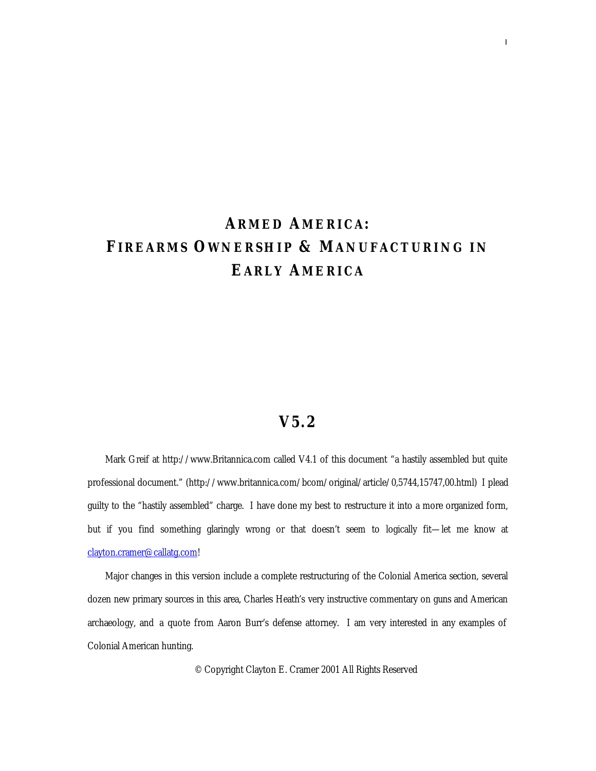# **ARMED AMERICA: FIREARMS OWNERSHIP & MANUFACTURING IN EARLY AMERICA**

## **V5.2**

Mark Greif at http://www.Britannica.com called V4.1 of this document "a hastily assembled but quite professional document." (http://www.britannica.com/bcom/original/article/0,5744,15747,00.html) I plead guilty to the "hastily assembled" charge. I have done my best to restructure it into a more organized form, but if you find something glaringly wrong or that doesn't seem to logically fit—let me know at clayton.cramer@callatg.com!

Major changes in this version include a complete restructuring of the Colonial America section, several dozen new primary sources in this area, Charles Heath's very instructive commentary on guns and American archaeology, and a quote from Aaron Burr's defense attorney. I am very interested in any examples of Colonial American hunting.

© Copyright Clayton E. Cramer 2001 All Rights Reserved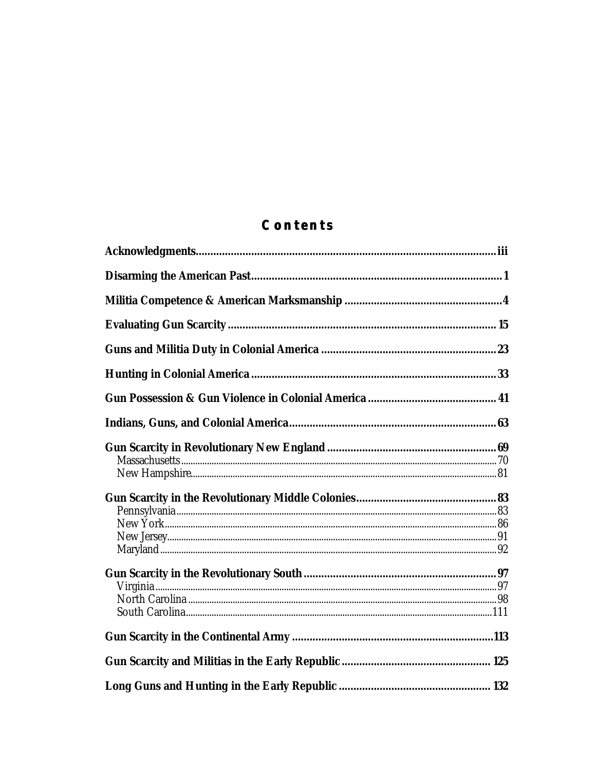## Contents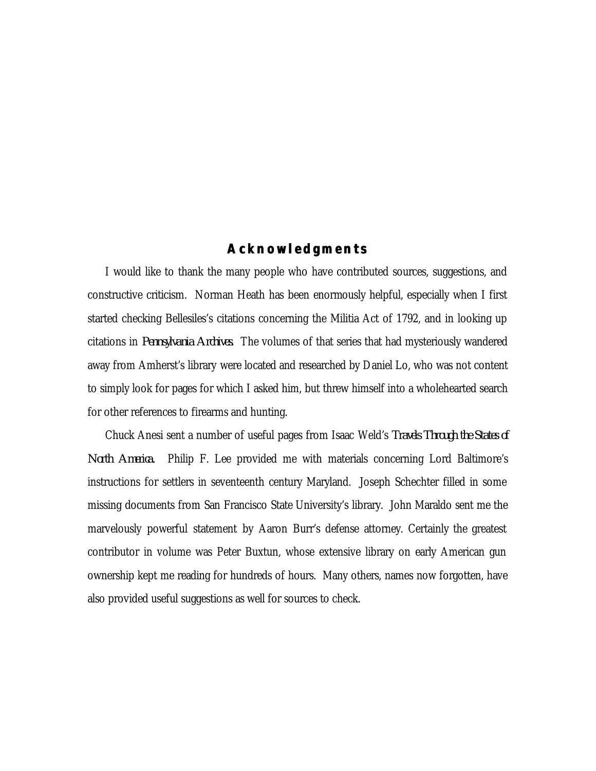## **Acknowledgments**

I would like to thank the many people who have contributed sources, suggestions, and constructive criticism. Norman Heath has been enormously helpful, especially when I first started checking Bellesiles's citations concerning the Militia Act of 1792, and in looking up citations in *Pennsylvania Archives*. The volumes of that series that had mysteriously wandered away from Amherst's library were located and researched by Daniel Lo, who was not content to simply look for pages for which I asked him, but threw himself into a wholehearted search for other references to firearms and hunting.

Chuck Anesi sent a number of useful pages from Isaac Weld's *Travels Through the States of North America.* Philip F. Lee provided me with materials concerning Lord Baltimore's instructions for settlers in seventeenth century Maryland. Joseph Schechter filled in some missing documents from San Francisco State University's library. John Maraldo sent me the marvelously powerful statement by Aaron Burr's defense attorney. Certainly the greatest contributor in volume was Peter Buxtun, whose extensive library on early American gun ownership kept me reading for hundreds of hours. Many others, names now forgotten, have also provided useful suggestions as well for sources to check.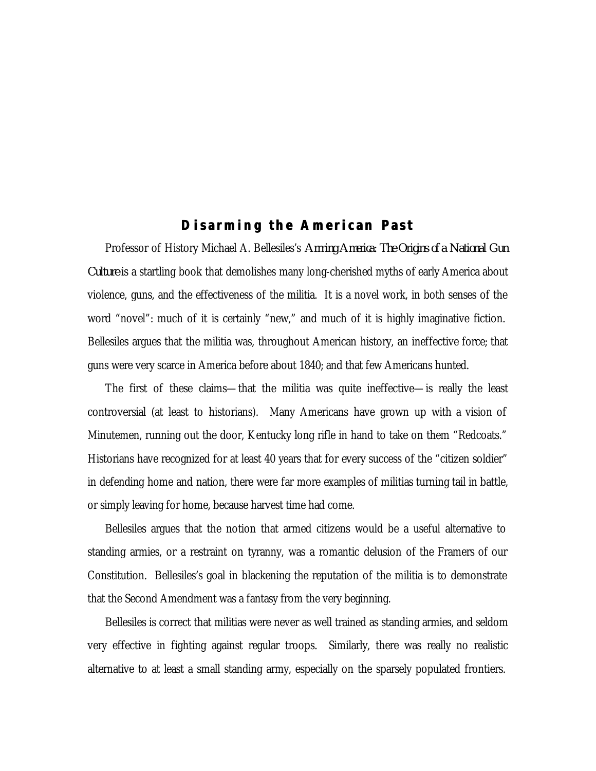#### **Disarming the American Past**

Professor of History Michael A. Bellesiles's *Arming America: The Origins of a National Gun Culture* is a startling book that demolishes many long-cherished myths of early America about violence, guns, and the effectiveness of the militia. It is a novel work, in both senses of the word "novel": much of it is certainly "new," and much of it is highly imaginative fiction. Bellesiles argues that the militia was, throughout American history, an ineffective force; that guns were very scarce in America before about 1840; and that few Americans hunted.

The first of these claims—that the militia was quite ineffective—is really the least controversial (at least to historians). Many Americans have grown up with a vision of Minutemen, running out the door, Kentucky long rifle in hand to take on them "Redcoats." Historians have recognized for at least 40 years that for every success of the "citizen soldier" in defending home and nation, there were far more examples of militias turning tail in battle, or simply leaving for home, because harvest time had come.

Bellesiles argues that the notion that armed citizens would be a useful alternative to standing armies, or a restraint on tyranny, was a romantic delusion of the Framers of our Constitution. Bellesiles's goal in blackening the reputation of the militia is to demonstrate that the Second Amendment was a fantasy from the very beginning.

Bellesiles is correct that militias were never as well trained as standing armies, and seldom very effective in fighting against regular troops. Similarly, there was really no realistic alternative to at least a small standing army, especially on the sparsely populated frontiers.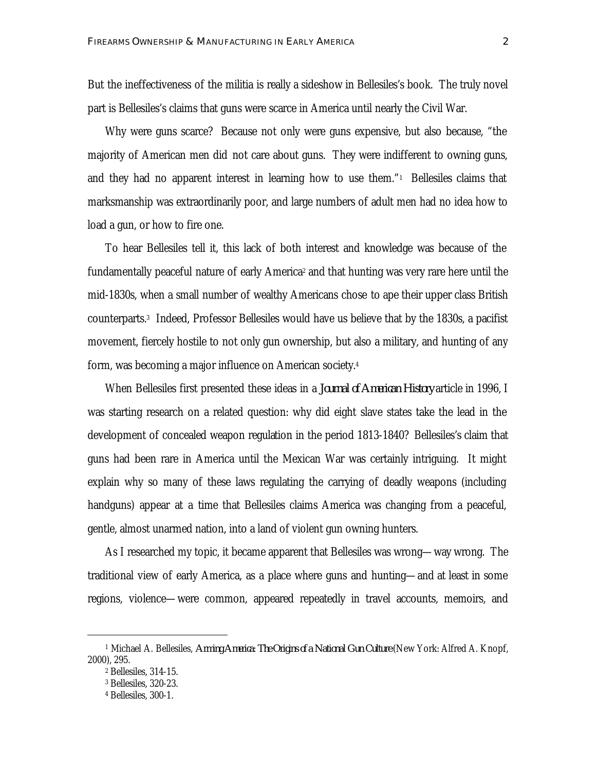But the ineffectiveness of the militia is really a sideshow in Bellesiles's book. The truly novel part is Bellesiles's claims that guns were scarce in America until nearly the Civil War.

Why were guns scarce? Because not only were guns expensive, but also because, "the majority of American men did not care about guns. They were indifferent to owning guns, and they had no apparent interest in learning how to use them."<sup>1</sup> Bellesiles claims that marksmanship was extraordinarily poor, and large numbers of adult men had no idea how to load a gun, or how to fire one.

To hear Bellesiles tell it, this lack of both interest and knowledge was because of the fundamentally peaceful nature of early America<sup>2</sup> and that hunting was very rare here until the mid-1830s, when a small number of wealthy Americans chose to ape their upper class British counterparts.<sup>3</sup> Indeed, Professor Bellesiles would have us believe that by the 1830s, a pacifist movement, fiercely hostile to not only gun ownership, but also a military, and hunting of any form, was becoming a major influence on American society.<sup>4</sup>

When Bellesiles first presented these ideas in a *Journal of American History* article in 1996, I was starting research on a related question: why did eight slave states take the lead in the development of concealed weapon regulation in the period 1813-1840? Bellesiles's claim that guns had been rare in America until the Mexican War was certainly intriguing. It might explain why so many of these laws regulating the carrying of deadly weapons (including handguns) appear at a time that Bellesiles claims America was changing from a peaceful, gentle, almost unarmed nation, into a land of violent gun owning hunters.

As I researched my topic, it became apparent that Bellesiles was wrong—way wrong. The traditional view of early America, as a place where guns and hunting—and at least in some regions, violence—were common, appeared repeatedly in travel accounts, memoirs, and

<sup>1</sup> Michael A. Bellesiles, *Arming America: The Origins of a National Gun Culture* (New York: Alfred A. Knopf, 2000), 295.

<sup>2</sup> Bellesiles, 314-15.

<sup>3</sup> Bellesiles, 320-23.

<sup>4</sup> Bellesiles, 300-1.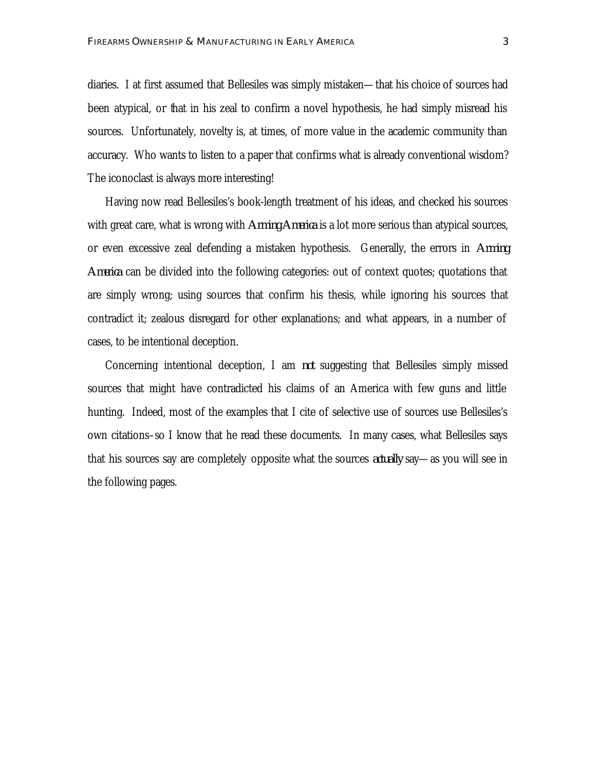diaries. I at first assumed that Bellesiles was simply mistaken—that his choice of sources had been atypical, or that in his zeal to confirm a novel hypothesis, he had simply misread his sources. Unfortunately, novelty is, at times, of more value in the academic community than accuracy. Who wants to listen to a paper that confirms what is already conventional wisdom? The iconoclast is always more interesting!

Having now read Bellesiles's book-length treatment of his ideas, and checked his sources with great care, what is wrong with *Arming America* is a lot more serious than atypical sources, or even excessive zeal defending a mistaken hypothesis. Generally, the errors in *Arming America* can be divided into the following categories: out of context quotes; quotations that are simply wrong; using sources that confirm his thesis, while ignoring his sources that contradict it; zealous disregard for other explanations; and what appears, in a number of cases, to be intentional deception.

Concerning intentional deception, I am *not* suggesting that Bellesiles simply missed sources that might have contradicted his claims of an America with few guns and little hunting. Indeed, most of the examples that I cite of selective use of sources use Bellesiles's own citations–so I know that he read these documents. In many cases, what Bellesiles says that his sources say are completely opposite what the sources *actually* say—as you will see in the following pages.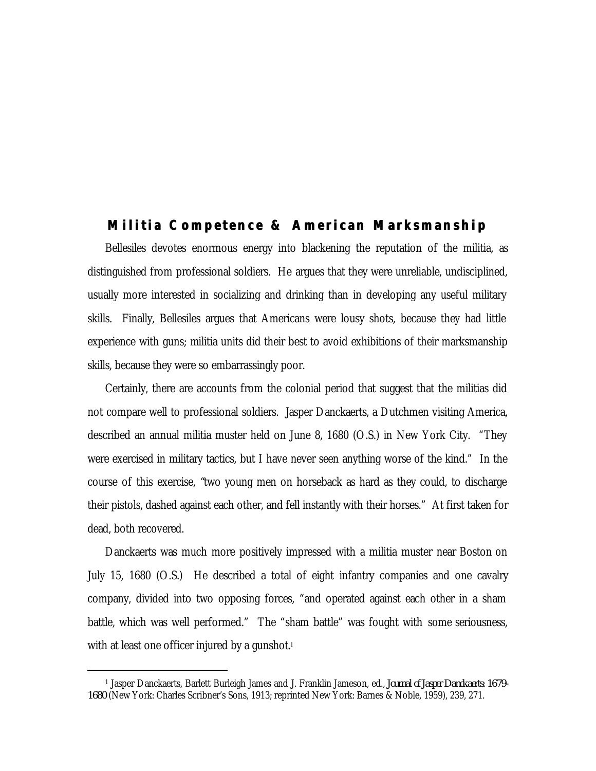#### **Militia Competence & American Marksmanship**

Bellesiles devotes enormous energy into blackening the reputation of the militia, as distinguished from professional soldiers. He argues that they were unreliable, undisciplined, usually more interested in socializing and drinking than in developing any useful military skills. Finally, Bellesiles argues that Americans were lousy shots, because they had little experience with guns; militia units did their best to avoid exhibitions of their marksmanship skills, because they were so embarrassingly poor.

Certainly, there are accounts from the colonial period that suggest that the militias did not compare well to professional soldiers. Jasper Danckaerts, a Dutchmen visiting America, described an annual militia muster held on June 8, 1680 (O.S.) in New York City. "They were exercised in military tactics, but I have never seen anything worse of the kind." In the course of this exercise, "two young men on horseback as hard as they could, to discharge their pistols, dashed against each other, and fell instantly with their horses." At first taken for dead, both recovered.

Danckaerts was much more positively impressed with a militia muster near Boston on July 15, 1680 (O.S.) He described a total of eight infantry companies and one cavalry company, divided into two opposing forces, "and operated against each other in a sham battle, which was well performed." The "sham battle" was fought with some seriousness, with at least one officer injured by a gunshot.<sup>1</sup>

<sup>1</sup> Jasper Danckaerts, Barlett Burleigh James and J. Franklin Jameson, ed., *Journal of Jasper Danckaerts: 1679- 1680* (New York: Charles Scribner's Sons, 1913; reprinted New York: Barnes & Noble, 1959), 239, 271.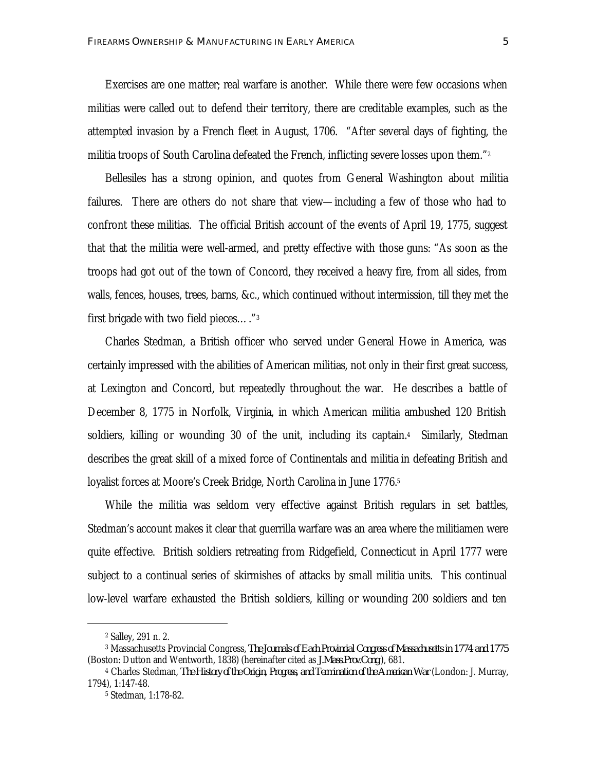Exercises are one matter; real warfare is another. While there were few occasions when militias were called out to defend their territory, there are creditable examples, such as the attempted invasion by a French fleet in August, 1706. "After several days of fighting, the militia troops of South Carolina defeated the French, inflicting severe losses upon them."<sup>2</sup>

Bellesiles has a strong opinion, and quotes from General Washington about militia failures. There are others do not share that view—including a few of those who had to confront these militias. The official British account of the events of April 19, 1775, suggest that that the militia were well-armed, and pretty effective with those guns: "As soon as the troops had got out of the town of Concord, they received a heavy fire, from all sides, from walls, fences, houses, trees, barns, &c., which continued without intermission, till they met the first brigade with two field pieces…."<sup>3</sup>

Charles Stedman, a British officer who served under General Howe in America, was certainly impressed with the abilities of American militias, not only in their first great success, at Lexington and Concord, but repeatedly throughout the war. He describes a battle of December 8, 1775 in Norfolk, Virginia, in which American militia ambushed 120 British soldiers, killing or wounding 30 of the unit, including its captain.<sup>4</sup> Similarly, Stedman describes the great skill of a mixed force of Continentals and militia in defeating British and loyalist forces at Moore's Creek Bridge, North Carolina in June 1776.<sup>5</sup>

While the militia was seldom very effective against British regulars in set battles, Stedman's account makes it clear that guerrilla warfare was an area where the militiamen were quite effective. British soldiers retreating from Ridgefield, Connecticut in April 1777 were subject to a continual series of skirmishes of attacks by small militia units. This continual low-level warfare exhausted the British soldiers, killing or wounding 200 soldiers and ten

<sup>2</sup> Salley, 291 n. 2.

<sup>3</sup> Massachusetts Provincial Congress, *The Journals of Each Provincial Congress of Massachusetts in 1774 and 1775* (Boston: Dutton and Wentworth, 1838) (hereinafter cited as *J.Mass.Prov.Cong.*), 681.

<sup>4</sup> Charles Stedman, *The History of the Origin, Progress, and Termination of the American War* (London: J. Murray, 1794), 1:147-48.

<sup>5</sup> Stedman, 1:178-82.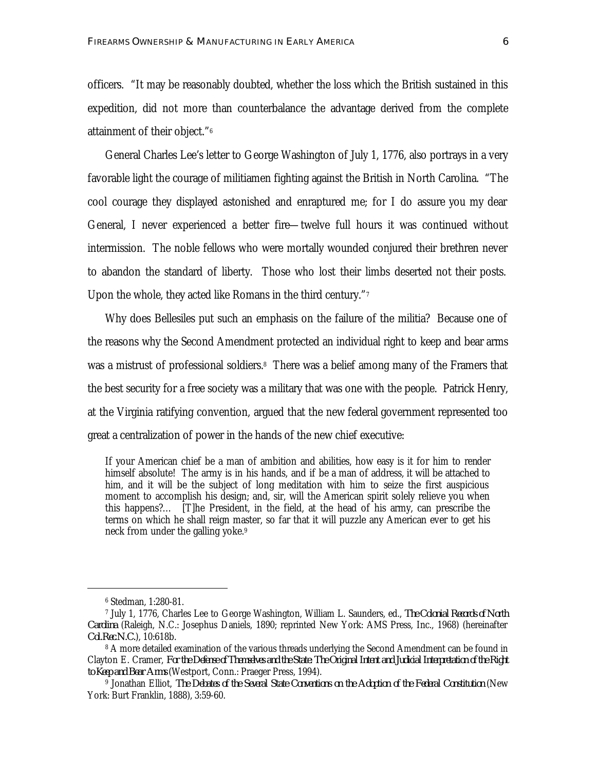officers. "It may be reasonably doubted, whether the loss which the British sustained in this expedition, did not more than counterbalance the advantage derived from the complete attainment of their object."<sup>6</sup>

General Charles Lee's letter to George Washington of July 1, 1776, also portrays in a very favorable light the courage of militiamen fighting against the British in North Carolina. "The cool courage they displayed astonished and enraptured me; for I do assure you my dear General, I never experienced a better fire—twelve full hours it was continued without intermission. The noble fellows who were mortally wounded conjured their brethren never to abandon the standard of liberty. Those who lost their limbs deserted not their posts. Upon the whole, they acted like Romans in the third century."7

Why does Bellesiles put such an emphasis on the failure of the militia? Because one of the reasons why the Second Amendment protected an individual right to keep and bear arms was a mistrust of professional soldiers.<sup>8</sup> There was a belief among many of the Framers that the best security for a free society was a military that was one with the people. Patrick Henry, at the Virginia ratifying convention, argued that the new federal government represented too great a centralization of power in the hands of the new chief executive:

If your American chief be a man of ambition and abilities, how easy is it for him to render himself absolute! The army is in his hands, and if be a man of address, it will be attached to him, and it will be the subject of long meditation with him to seize the first auspicious moment to accomplish his design; and, sir, will the American spirit solely relieve you when this happens?… [T]he President, in the field, at the head of his army, can prescribe the terms on which he shall reign master, so far that it will puzzle any American ever to get his neck from under the galling yoke.<sup>9</sup>

<sup>6</sup> Stedman, 1:280-81.

<sup>7</sup> July 1, 1776, Charles Lee to George Washington, William L. Saunders, ed., *The Colonial Records of North Carolina* (Raleigh, N.C.: Josephus Daniels, 1890; reprinted New York: AMS Press, Inc., 1968) (hereinafter *Col.Rec.N.C.*), 10:618b.

<sup>8</sup> A more detailed examination of the various threads underlying the Second Amendment can be found in Clayton E. Cramer, *For the Defense of Themselves and the State: The Original Intent and Judicial Interpretation of the Right to Keep and Bear Arms* (Westport, Conn.: Praeger Press, 1994).

<sup>9</sup> Jonathan Elliot, *The Debates of the Several State Conventions on the Adoption of the Federal Constitution* (New York: Burt Franklin, 1888), 3:59-60.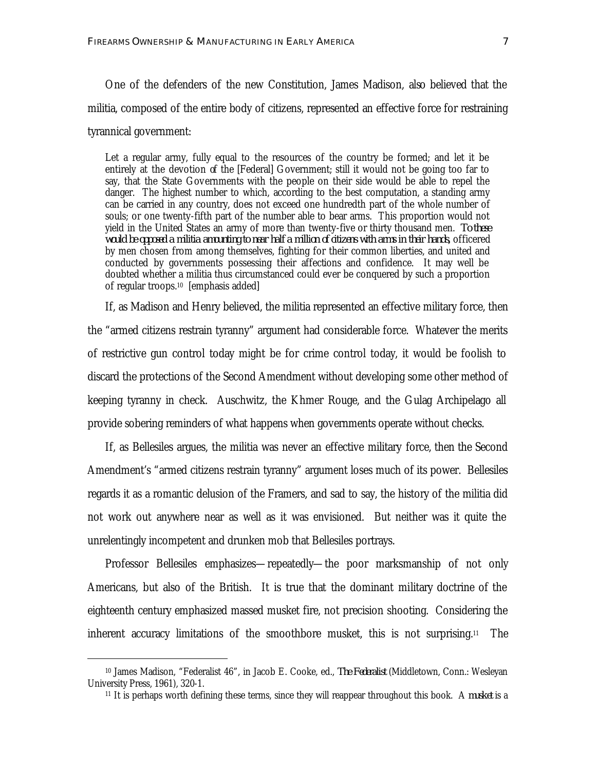One of the defenders of the new Constitution, James Madison, also believed that the militia, composed of the entire body of citizens, represented an effective force for restraining tyrannical government:

Let a regular army, fully equal to the resources of the country be formed; and let it be entirely at the devotion of the [Federal] Government; still it would not be going too far to say, that the State Governments with the people on their side would be able to repel the danger. The highest number to which, according to the best computation, a standing army can be carried in any country, does not exceed one hundredth part of the whole number of souls; or one twenty-fifth part of the number able to bear arms. This proportion would not yield in the United States an army of more than twenty-five or thirty thousand men. *To these would be opposed a militia amounting to near half a million of citizens with arms in their hands,* officered by men chosen from among themselves, fighting for their common liberties, and united and conducted by governments possessing their affections and confidence. It may well be doubted whether a militia thus circumstanced could ever be conquered by such a proportion of regular troops.10 [emphasis added]

If, as Madison and Henry believed, the militia represented an effective military force, then the "armed citizens restrain tyranny" argument had considerable force. Whatever the merits of restrictive gun control today might be for crime control today, it would be foolish to discard the protections of the Second Amendment without developing some other method of keeping tyranny in check. Auschwitz, the Khmer Rouge, and the Gulag Archipelago all provide sobering reminders of what happens when governments operate without checks.

If, as Bellesiles argues, the militia was never an effective military force, then the Second Amendment's "armed citizens restrain tyranny" argument loses much of its power. Bellesiles regards it as a romantic delusion of the Framers, and sad to say, the history of the militia did not work out anywhere near as well as it was envisioned. But neither was it quite the unrelentingly incompetent and drunken mob that Bellesiles portrays.

Professor Bellesiles emphasizes—repeatedly—the poor marksmanship of not only Americans, but also of the British. It is true that the dominant military doctrine of the eighteenth century emphasized massed musket fire, not precision shooting. Considering the inherent accuracy limitations of the smoothbore musket, this is not surprising.11 The

<sup>10</sup> James Madison, "Federalist 46", in Jacob E. Cooke, ed., *The Federalist* (Middletown, Conn.: Wesleyan University Press, 1961), 320-1.

<sup>11</sup> It is perhaps worth defining these terms, since they will reappear throughout this book. A *musket* is a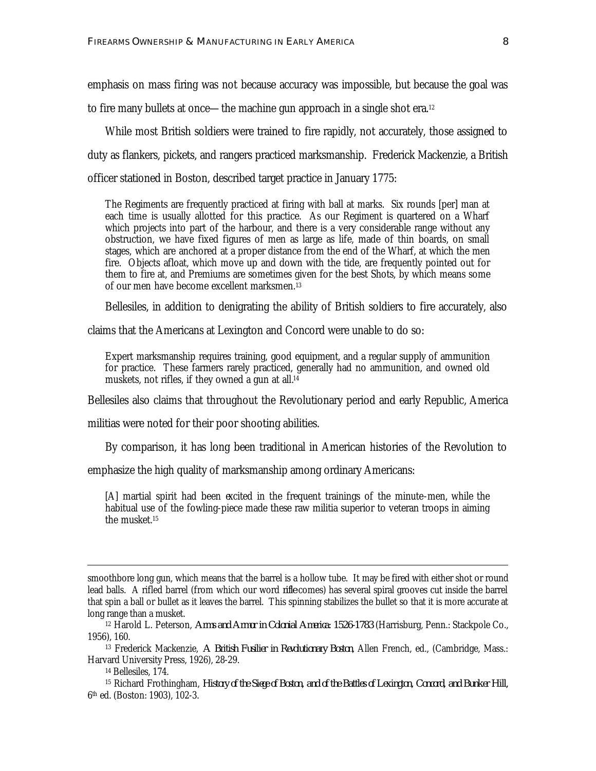emphasis on mass firing was not because accuracy was impossible, but because the goal was to fire many bullets at once—the machine gun approach in a single shot era.<sup>12</sup>

While most British soldiers were trained to fire rapidly, not accurately, those assigned to duty as flankers, pickets, and rangers practiced marksmanship. Frederick Mackenzie, a British officer stationed in Boston, described target practice in January 1775:

The Regiments are frequently practiced at firing with ball at marks. Six rounds [per] man at each time is usually allotted for this practice. As our Regiment is quartered on a Wharf which projects into part of the harbour, and there is a very considerable range without any obstruction, we have fixed figures of men as large as life, made of thin boards, on small stages, which are anchored at a proper distance from the end of the Wharf, at which the men fire. Objects afloat, which move up and down with the tide, are frequently pointed out for them to fire at, and Premiums are sometimes given for the best Shots, by which means some of our men have become excellent marksmen.<sup>13</sup>

Bellesiles, in addition to denigrating the ability of British soldiers to fire accurately, also

claims that the Americans at Lexington and Concord were unable to do so:

Expert marksmanship requires training, good equipment, and a regular supply of ammunition for practice. These farmers rarely practiced, generally had no ammunition, and owned old muskets, not rifles, if they owned a gun at all.<sup>14</sup>

Bellesiles also claims that throughout the Revolutionary period and early Republic, America

militias were noted for their poor shooting abilities.

By comparison, it has long been traditional in American histories of the Revolution to

emphasize the high quality of marksmanship among ordinary Americans:

[A] martial spirit had been excited in the frequent trainings of the minute-men, while the habitual use of the fowling-piece made these raw militia superior to veteran troops in aiming the musket.<sup>15</sup>

smoothbore long gun, which means that the barrel is a hollow tube. It may be fired with either shot or round lead balls. A rifled barrel (from which our word *rifle* comes) has several spiral grooves cut inside the barrel that spin a ball or bullet as it leaves the barrel. This spinning stabilizes the bullet so that it is more accurate at long range than a musket.

<sup>12</sup> Harold L. Peterson, *Arms and Armor in Colonial America: 1526-1783* (Harrisburg, Penn.: Stackpole Co., 1956), 160.

<sup>13</sup> Frederick Mackenzie, *A British Fusilier in Revolutionary Boston*, Allen French, ed., (Cambridge, Mass.: Harvard University Press, 1926), 28-29.

<sup>14</sup> Bellesiles, 174.

<sup>15</sup> Richard Frothingham, *History of the Siege of Boston, and of the Battles of Lexington, Concord, and Bunker Hill,* 6 th ed. (Boston: 1903), 102-3.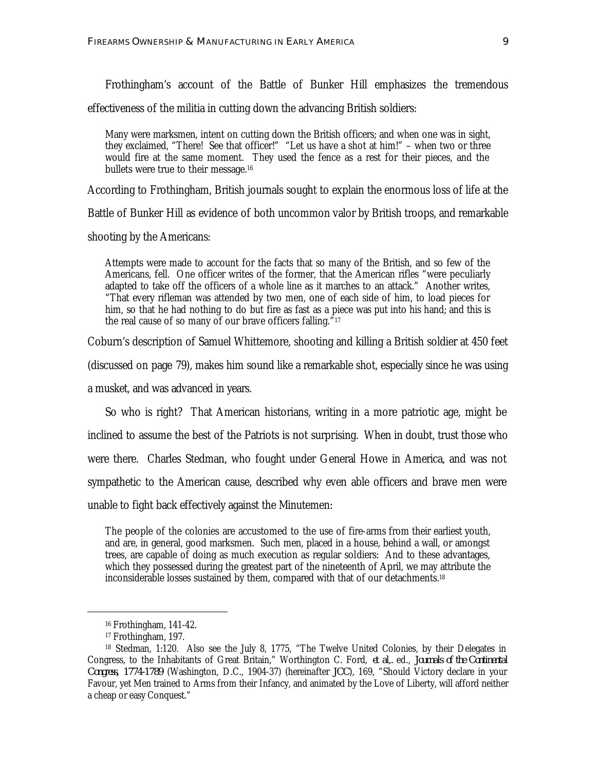Frothingham's account of the Battle of Bunker Hill emphasizes the tremendous effectiveness of the militia in cutting down the advancing British soldiers:

Many were marksmen, intent on cutting down the British officers; and when one was in sight, they exclaimed, "There! See that officer!" "Let us have a shot at him!" – when two or three would fire at the same moment. They used the fence as a rest for their pieces, and the bullets were true to their message.<sup>16</sup>

According to Frothingham, British journals sought to explain the enormous loss of life at the

Battle of Bunker Hill as evidence of both uncommon valor by British troops, and remarkable

shooting by the Americans:

Attempts were made to account for the facts that so many of the British, and so few of the Americans, fell. One officer writes of the former, that the American rifles "were peculiarly adapted to take off the officers of a whole line as it marches to an attack." Another writes, "That every rifleman was attended by two men, one of each side of him, to load pieces for him, so that he had nothing to do but fire as fast as a piece was put into his hand; and this is the real cause of so many of our brave officers falling."<sup>17</sup>

Coburn's description of Samuel Whittemore, shooting and killing a British soldier at 450 feet

(discussed on page 79), makes him sound like a remarkable shot, especially since he was using

a musket, and was advanced in years.

So who is right? That American historians, writing in a more patriotic age, might be inclined to assume the best of the Patriots is not surprising. When in doubt, trust those who were there. Charles Stedman, who fought under General Howe in America, and was not sympathetic to the American cause, described why even able officers and brave men were unable to fight back effectively against the Minutemen:

The people of the colonies are accustomed to the use of fire-arms from their earliest youth, and are, in general, good marksmen. Such men, placed in a house, behind a wall, or amongst trees, are capable of doing as much execution as regular soldiers: And to these advantages, which they possessed during the greatest part of the nineteenth of April, we may attribute the inconsiderable losses sustained by them, compared with that of our detachments.<sup>18</sup>

<sup>16</sup> Frothingham, 141-42.

<sup>17</sup> Frothingham, 197.

<sup>&</sup>lt;sup>18</sup> Stedman, 1:120. Also see the July 8, 1775, "The Twelve United Colonies, by their Delegates in Congress, to the Inhabitants of Great Britain," Worthington C. Ford, *et al,.* ed., *Journals of the Continental Congress, 1774-1789* (Washington, D.C., 1904-37) (hereinafter *JCC*), 169, "Should Victory declare in your Favour, yet Men trained to Arms from their Infancy, and animated by the Love of Liberty, will afford neither a cheap or easy Conquest."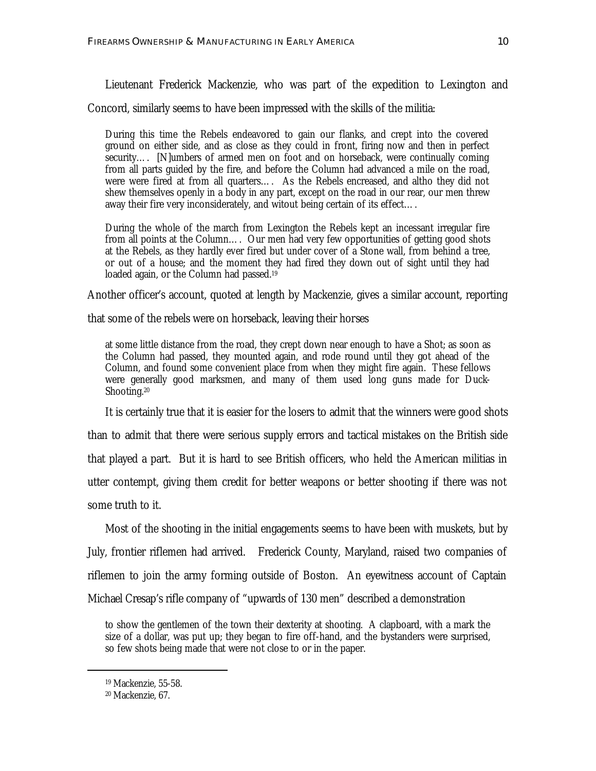Lieutenant Frederick Mackenzie, who was part of the expedition to Lexington and

Concord, similarly seems to have been impressed with the skills of the militia:

During this time the Rebels endeavored to gain our flanks, and crept into the covered ground on either side, and as close as they could in front, firing now and then in perfect security.... [N]umbers of armed men on foot and on horseback, were continually coming from all parts guided by the fire, and before the Column had advanced a mile on the road, were were fired at from all quarters…. As the Rebels encreased, and altho they did not shew themselves openly in a body in any part, except on the road in our rear, our men threw away their fire very inconsiderately, and witout being certain of its effect….

During the whole of the march from Lexington the Rebels kept an incessant irregular fire from all points at the Column…. Our men had very few opportunities of getting good shots at the Rebels, as they hardly ever fired but under cover of a Stone wall, from behind a tree, or out of a house; and the moment they had fired they down out of sight until they had loaded again, or the Column had passed.<sup>19</sup>

Another officer's account, quoted at length by Mackenzie, gives a similar account, reporting

that some of the rebels were on horseback, leaving their horses

at some little distance from the road, they crept down near enough to have a Shot; as soon as the Column had passed, they mounted again, and rode round until they got ahead of the Column, and found some convenient place from when they might fire again. These fellows were generally good marksmen, and many of them used long guns made for Duck-Shooting.<sup>20</sup>

It is certainly true that it is easier for the losers to admit that the winners were good shots

than to admit that there were serious supply errors and tactical mistakes on the British side

that played a part. But it is hard to see British officers, who held the American militias in

utter contempt, giving them credit for better weapons or better shooting if there was not

some truth to it.

Most of the shooting in the initial engagements seems to have been with muskets, but by July, frontier riflemen had arrived. Frederick County, Maryland, raised two companies of riflemen to join the army forming outside of Boston. An eyewitness account of Captain Michael Cresap's rifle company of "upwards of 130 men" described a demonstration

to show the gentlemen of the town their dexterity at shooting. A clapboard, with a mark the size of a dollar, was put up; they began to fire off-hand, and the bystanders were surprised, so few shots being made that were not close to or in the paper.

<sup>19</sup> Mackenzie, 55-58.

<sup>20</sup> Mackenzie, 67.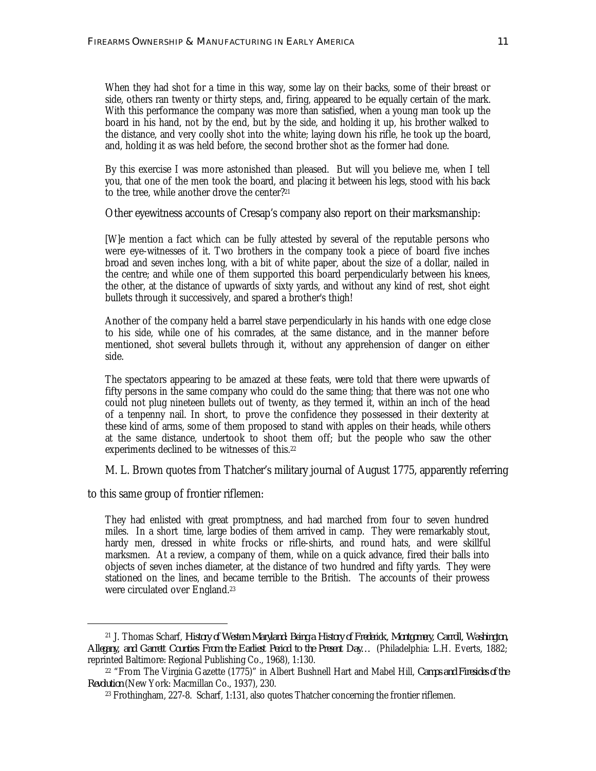When they had shot for a time in this way, some lay on their backs, some of their breast or side, others ran twenty or thirty steps, and, firing, appeared to be equally certain of the mark. With this performance the company was more than satisfied, when a young man took up the board in his hand, not by the end, but by the side, and holding it up, his brother walked to the distance, and very coolly shot into the white; laying down his rifle, he took up the board, and, holding it as was held before, the second brother shot as the former had done.

By this exercise I was more astonished than pleased. But will you believe me, when I tell you, that one of the men took the board, and placing it between his legs, stood with his back to the tree, while another drove the center?<sup>21</sup>

Other eyewitness accounts of Cresap's company also report on their marksmanship:

[W]e mention a fact which can be fully attested by several of the reputable persons who were eye-witnesses of it. Two brothers in the company took a piece of board five inches broad and seven inches long, with a bit of white paper, about the size of a dollar, nailed in the centre; and while one of them supported this board perpendicularly between his knees, the other, at the distance of upwards of sixty yards, and without any kind of rest, shot eight bullets through it successively, and spared a brother's thigh!

Another of the company held a barrel stave perpendicularly in his hands with one edge close to his side, while one of his comrades, at the same distance, and in the manner before mentioned, shot several bullets through it, without any apprehension of danger on either side.

The spectators appearing to be amazed at these feats, were told that there were upwards of fifty persons in the same company who could do the same thing; that there was not one who could not plug nineteen bullets out of twenty, as they termed it, within an inch of the head of a tenpenny nail. In short, to prove the confidence they possessed in their dexterity at these kind of arms, some of them proposed to stand with apples on their heads, while others at the same distance, undertook to shoot them off; but the people who saw the other experiments declined to be witnesses of this.<sup>22</sup>

M. L. Brown quotes from Thatcher's military journal of August 1775, apparently referring

to this same group of frontier riflemen:

 $\overline{a}$ 

They had enlisted with great promptness, and had marched from four to seven hundred miles. In a short time, large bodies of them arrived in camp. They were remarkably stout, hardy men, dressed in white frocks or rifle-shirts, and round hats, and were skillful marksmen. At a review, a company of them, while on a quick advance, fired their balls into objects of seven inches diameter, at the distance of two hundred and fifty yards. They were stationed on the lines, and became terrible to the British. The accounts of their prowess were circulated over England.<sup>23</sup>

<sup>21</sup> J. Thomas Scharf, *History of Western Maryland: Being a History of Frederick, Montgomery, Carroll, Washington, Allegany, and Garrett Counties From the Earliest Period to the Present Day…* (Philadelphia: L.H. Everts, 1882; reprinted Baltimore: Regional Publishing Co., 1968), 1:130.

<sup>22</sup> "From The Virginia Gazette (1775)" in Albert Bushnell Hart and Mabel Hill, *Camps and Firesides of the Revolution* (New York: Macmillan Co., 1937), 230.

<sup>23</sup> Frothingham, 227-8. Scharf, 1:131, also quotes Thatcher concerning the frontier riflemen.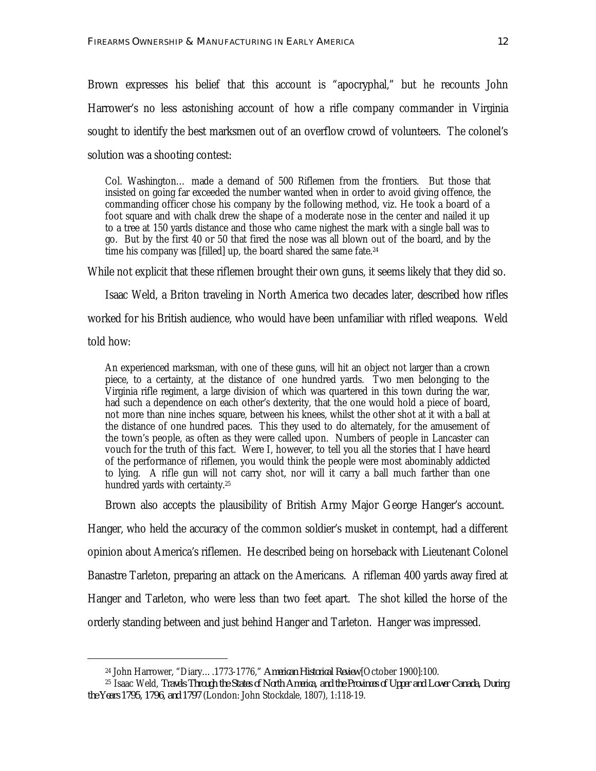Brown expresses his belief that this account is "apocryphal," but he recounts John Harrower's no less astonishing account of how a rifle company commander in Virginia sought to identify the best marksmen out of an overflow crowd of volunteers. The colonel's solution was a shooting contest:

Col. Washington… made a demand of 500 Riflemen from the frontiers. But those that insisted on going far exceeded the number wanted when in order to avoid giving offence, the commanding officer chose his company by the following method, viz. He took a board of a foot square and with chalk drew the shape of a moderate nose in the center and nailed it up to a tree at 150 yards distance and those who came nighest the mark with a single ball was to go. But by the first 40 or 50 that fired the nose was all blown out of the board, and by the time his company was [filled] up, the board shared the same fate.<sup>24</sup>

While not explicit that these riflemen brought their own guns, it seems likely that they did so.

Isaac Weld, a Briton traveling in North America two decades later, described how rifles worked for his British audience, who would have been unfamiliar with rifled weapons. Weld told how:

An experienced marksman, with one of these guns, will hit an object not larger than a crown piece, to a certainty, at the distance of one hundred yards. Two men belonging to the Virginia rifle regiment, a large division of which was quartered in this town during the war, had such a dependence on each other's dexterity, that the one would hold a piece of board, not more than nine inches square, between his knees, whilst the other shot at it with a ball at the distance of one hundred paces. This they used to do alternately, for the amusement of the town's people, as often as they were called upon. Numbers of people in Lancaster can vouch for the truth of this fact. Were I, however, to tell you all the stories that I have heard of the performance of riflemen, you would think the people were most abominably addicted to lying. A rifle gun will not carry shot, nor will it carry a ball much farther than one hundred yards with certainty.<sup>25</sup>

Brown also accepts the plausibility of British Army Major George Hanger's account. Hanger, who held the accuracy of the common soldier's musket in contempt, had a different opinion about America's riflemen. He described being on horseback with Lieutenant Colonel Banastre Tarleton, preparing an attack on the Americans. A rifleman 400 yards away fired at Hanger and Tarleton, who were less than two feet apart. The shot killed the horse of the orderly standing between and just behind Hanger and Tarleton. Hanger was impressed.

<sup>24</sup> John Harrower, "Diary….1773-1776," *American Historical Review* [October 1900]:100.

<sup>25</sup> Isaac Weld, *Travels Through the States of North America, and the Provinces of Upper and Lower Canada, During the Years 1795, 1796, and 1797* (London: John Stockdale, 1807), 1:118-19.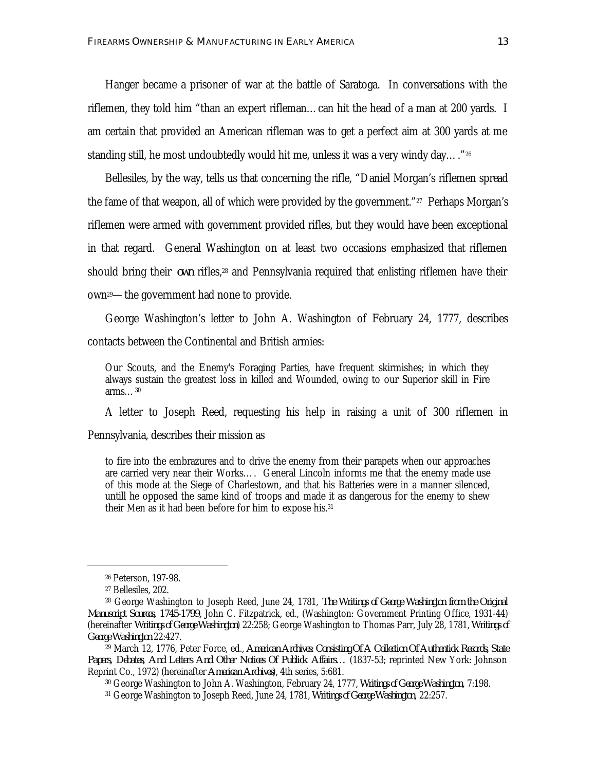Hanger became a prisoner of war at the battle of Saratoga. In conversations with the riflemen, they told him "than an expert rifleman…can hit the head of a man at 200 yards. I am certain that provided an American rifleman was to get a perfect aim at 300 yards at me standing still, he most undoubtedly would hit me, unless it was a very windy day…."<sup>26</sup>

Bellesiles, by the way, tells us that concerning the rifle, "Daniel Morgan's riflemen spread the fame of that weapon, all of which were provided by the government."27 Perhaps Morgan's riflemen were armed with government provided rifles, but they would have been exceptional in that regard. General Washington on at least two occasions emphasized that riflemen should bring their *own* rifles,28 and Pennsylvania required that enlisting riflemen have their own29—the government had none to provide.

George Washington's letter to John A. Washington of February 24, 1777, describes contacts between the Continental and British armies:

Our Scouts, and the Enemy's Foraging Parties, have frequent skirmishes; in which they always sustain the greatest loss in killed and Wounded, owing to our Superior skill in Fire  $arms...^{30}$ 

A letter to Joseph Reed, requesting his help in raising a unit of 300 riflemen in

Pennsylvania, describes their mission as

to fire into the embrazures and to drive the enemy from their parapets when our approaches are carried very near their Works…. General Lincoln informs me that the enemy made use of this mode at the Siege of Charlestown, and that his Batteries were in a manner silenced, untill he opposed the same kind of troops and made it as dangerous for the enemy to shew their Men as it had been before for him to expose his.<sup>31</sup>

<sup>26</sup> Peterson, 197-98.

<sup>27</sup> Bellesiles, 202.

<sup>28</sup> George Washington to Joseph Reed, June 24, 1781, *The Writings of George Washington from the Original Manuscript Sources, 1745-1799,* John C. Fitzpatrick, ed., (Washington: Government Printing Office, 1931-44) (hereinafter *Writings of George Washington*) 22:258; George Washington to Thomas Parr, July 28, 1781, *Writings of George Washington* 22:427.

<sup>29</sup> March 12, 1776, Peter Force, ed., *American Archives: Consisting Of A Collection Of Authentick Records, State Papers, Debates, And Letters And Other Notices Of Publick Affairs…* (1837-53; reprinted New York: Johnson Reprint Co., 1972) (hereinafter *American Archives*), 4th series, 5:681.

<sup>30</sup> George Washington to John A. Washington, February 24, 1777, *Writings of George Washington,* 7:198.

<sup>31</sup> George Washington to Joseph Reed, June 24, 1781, *Writings of George Washington,* 22:257.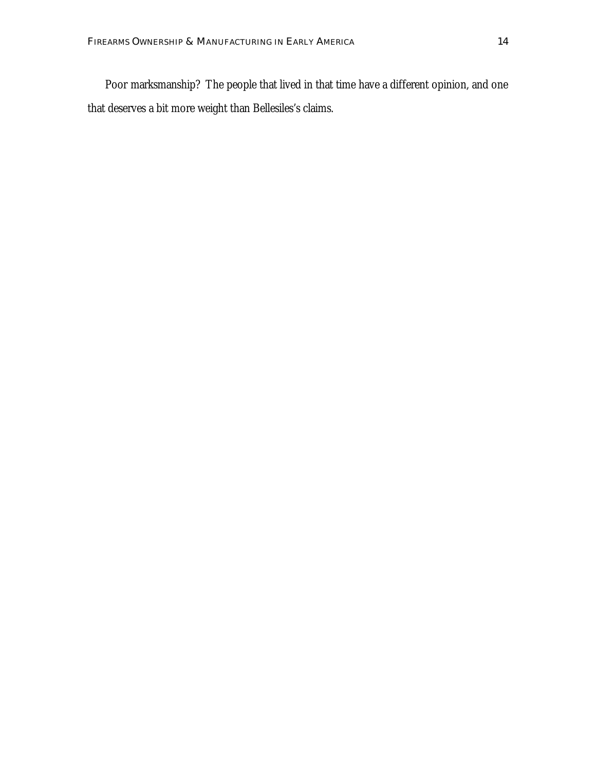Poor marksmanship? The people that lived in that time have a different opinion, and one that deserves a bit more weight than Bellesiles's claims.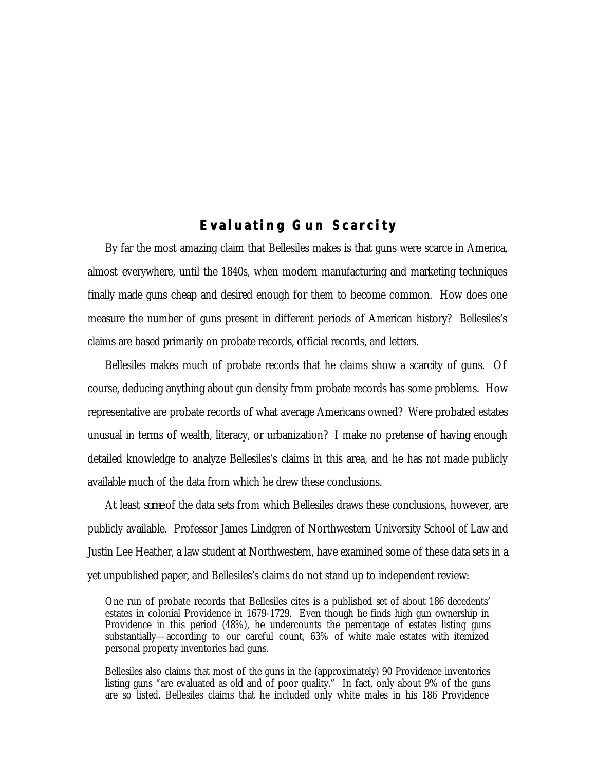## **Evaluating Gun Scarcity**

By far the most amazing claim that Bellesiles makes is that guns were scarce in America, almost everywhere, until the 1840s, when modern manufacturing and marketing techniques finally made guns cheap and desired enough for them to become common. How does one measure the number of guns present in different periods of American history? Bellesiles's claims are based primarily on probate records, official records, and letters.

Bellesiles makes much of probate records that he claims show a scarcity of guns. Of course, deducing anything about gun density from probate records has some problems. How representative are probate records of what average Americans owned? Were probated estates unusual in terms of wealth, literacy, or urbanization? I make no pretense of having enough detailed knowledge to analyze Bellesiles's claims in this area, and he has not made publicly available much of the data from which he drew these conclusions.

At least *some* of the data sets from which Bellesiles draws these conclusions, however, are publicly available. Professor James Lindgren of Northwestern University School of Law and Justin Lee Heather, a law student at Northwestern, have examined some of these data sets in a yet unpublished paper, and Bellesiles's claims do not stand up to independent review:

One run of probate records that Bellesiles cites is a published set of about 186 decedents' estates in colonial Providence in 1679-1729. Even though he finds high gun ownership in Providence in this period (48%), he undercounts the percentage of estates listing guns substantially—according to our careful count, 63% of white male estates with itemized personal property inventories had guns.

Bellesiles also claims that most of the guns in the (approximately) 90 Providence inventories listing guns "are evaluated as old and of poor quality." In fact, only about 9% of the guns are so listed. Bellesiles claims that he included only white males in his 186 Providence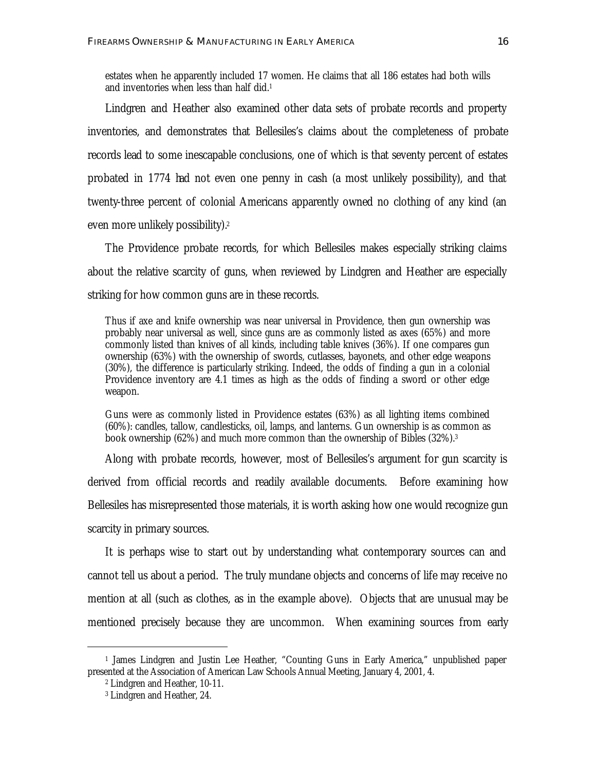estates when he apparently included 17 women. He claims that all 186 estates had both wills and inventories when less than half did.<sup>1</sup>

Lindgren and Heather also examined other data sets of probate records and property inventories, and demonstrates that Bellesiles's claims about the completeness of probate records lead to some inescapable conclusions, one of which is that seventy percent of estates probated in 1774 had not even one penny in cash (a most unlikely possibility), and that twenty-three percent of colonial Americans apparently owned no clothing of any kind (an even more unlikely possibility).<sup>2</sup>

The Providence probate records, for which Bellesiles makes especially striking claims about the relative scarcity of guns, when reviewed by Lindgren and Heather are especially striking for how common guns are in these records.

Thus if axe and knife ownership was near universal in Providence, then gun ownership was probably near universal as well, since guns are as commonly listed as axes (65%) and more commonly listed than knives of all kinds, including table knives (36%). If one compares gun ownership (63%) with the ownership of swords, cutlasses, bayonets, and other edge weapons (30%), the difference is particularly striking. Indeed, the odds of finding a gun in a colonial Providence inventory are 4.1 times as high as the odds of finding a sword or other edge weapon.

Guns were as commonly listed in Providence estates (63%) as all lighting items combined (60%): candles, tallow, candlesticks, oil, lamps, and lanterns. Gun ownership is as common as book ownership (62%) and much more common than the ownership of Bibles (32%).<sup>3</sup>

Along with probate records, however, most of Bellesiles's argument for gun scarcity is derived from official records and readily available documents. Before examining how Bellesiles has misrepresented those materials, it is worth asking how one would recognize gun scarcity in primary sources.

It is perhaps wise to start out by understanding what contemporary sources can and cannot tell us about a period. The truly mundane objects and concerns of life may receive no mention at all (such as clothes, as in the example above). Objects that are unusual may be mentioned precisely because they are uncommon. When examining sources from early

<sup>1</sup> James Lindgren and Justin Lee Heather, "Counting Guns in Early America," unpublished paper presented at the Association of American Law Schools Annual Meeting, January 4, 2001, 4.

<sup>2</sup> Lindgren and Heather, 10-11.

<sup>3</sup> Lindgren and Heather, 24.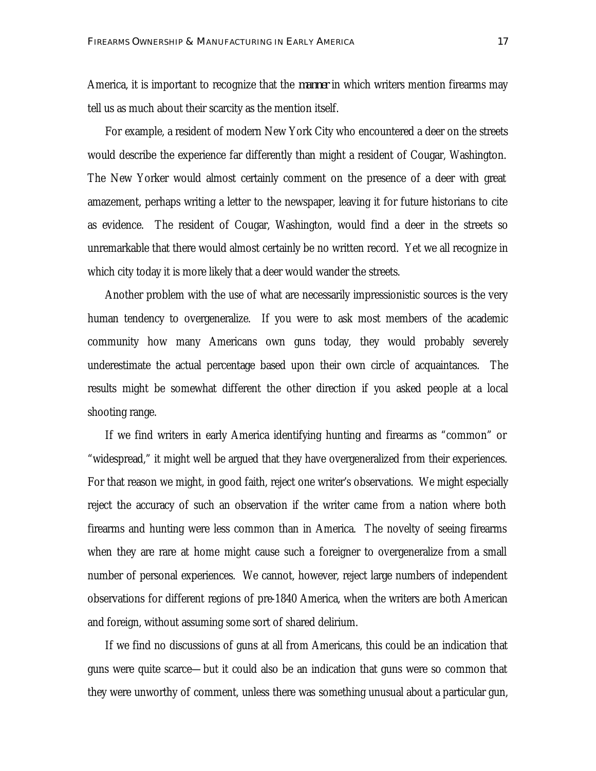America, it is important to recognize that the *manner* in which writers mention firearms may tell us as much about their scarcity as the mention itself.

For example, a resident of modern New York City who encountered a deer on the streets would describe the experience far differently than might a resident of Cougar, Washington. The New Yorker would almost certainly comment on the presence of a deer with great amazement, perhaps writing a letter to the newspaper, leaving it for future historians to cite as evidence. The resident of Cougar, Washington, would find a deer in the streets so unremarkable that there would almost certainly be no written record. Yet we all recognize in which city today it is more likely that a deer would wander the streets.

Another problem with the use of what are necessarily impressionistic sources is the very human tendency to overgeneralize. If you were to ask most members of the academic community how many Americans own guns today, they would probably severely underestimate the actual percentage based upon their own circle of acquaintances. The results might be somewhat different the other direction if you asked people at a local shooting range.

If we find writers in early America identifying hunting and firearms as "common" or "widespread," it might well be argued that they have overgeneralized from their experiences. For that reason we might, in good faith, reject one writer's observations. We might especially reject the accuracy of such an observation if the writer came from a nation where both firearms and hunting were less common than in America. The novelty of seeing firearms when they are rare at home might cause such a foreigner to overgeneralize from a small number of personal experiences. We cannot, however, reject large numbers of independent observations for different regions of pre-1840 America, when the writers are both American and foreign, without assuming some sort of shared delirium.

If we find no discussions of guns at all from Americans, this could be an indication that guns were quite scarce—but it could also be an indication that guns were so common that they were unworthy of comment, unless there was something unusual about a particular gun,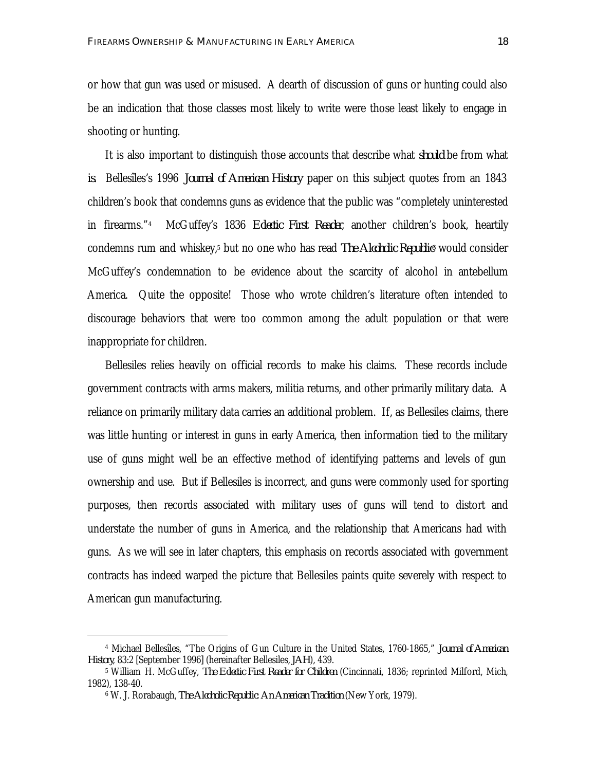or how that gun was used or misused. A dearth of discussion of guns or hunting could also be an indication that those classes most likely to write were those least likely to engage in shooting or hunting.

It is also important to distinguish those accounts that describe what *should* be from what *is*. Bellesîles's 1996 *Journal of American History* paper on this subject quotes from an 1843 children's book that condemns guns as evidence that the public was "completely uninterested in firearms."<sup>4</sup> McGuffey's 1836 *Eclectic First Reader*, another children's book, heartily condemns rum and whiskey,<sup>5</sup> but no one who has read *The Alcoholic Republic*<sup>6</sup> would consider McGuffey's condemnation to be evidence about the scarcity of alcohol in antebellum America. Quite the opposite! Those who wrote children's literature often intended to discourage behaviors that were too common among the adult population or that were inappropriate for children.

Bellesiles relies heavily on official records to make his claims. These records include government contracts with arms makers, militia returns, and other primarily military data. A reliance on primarily military data carries an additional problem. If, as Bellesiles claims, there was little hunting or interest in guns in early America, then information tied to the military use of guns might well be an effective method of identifying patterns and levels of gun ownership and use. But if Bellesiles is incorrect, and guns were commonly used for sporting purposes, then records associated with military uses of guns will tend to distort and understate the number of guns in America, and the relationship that Americans had with guns. As we will see in later chapters, this emphasis on records associated with government contracts has indeed warped the picture that Bellesiles paints quite severely with respect to American gun manufacturing.

<sup>4</sup> Michael Bellesîles, "The Origins of Gun Culture in the United States, 1760-1865," *Journal of American History*, 83:2 [September 1996] (hereinafter Bellesiles, *JAH*), 439.

<sup>5</sup> William H. McGuffey, *The Eclectic First Reader for Children* (Cincinnati, 1836; reprinted Milford, Mich, 1982), 138-40.

<sup>6</sup> W. J. Rorabaugh, *The Alcoholic Republic: An American Tradition* (New York, 1979).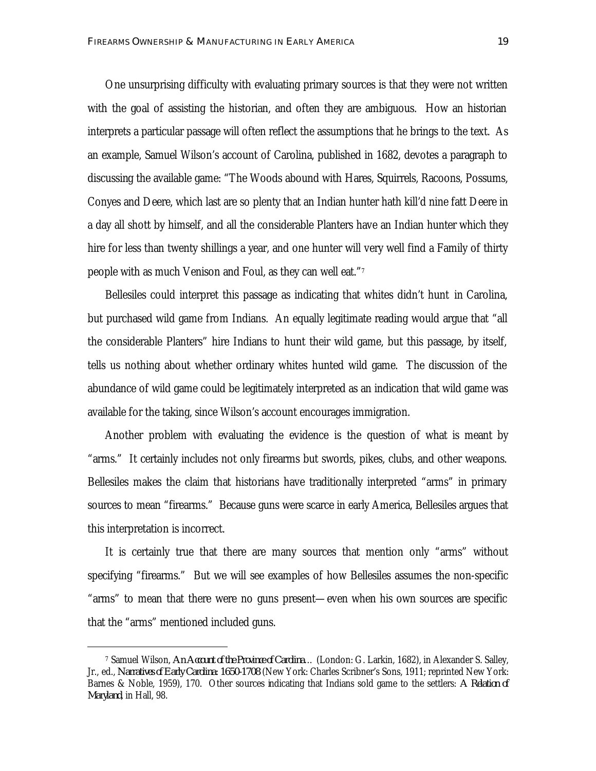One unsurprising difficulty with evaluating primary sources is that they were not written with the goal of assisting the historian, and often they are ambiguous. How an historian interprets a particular passage will often reflect the assumptions that he brings to the text. As an example, Samuel Wilson's account of Carolina, published in 1682, devotes a paragraph to discussing the available game: "The Woods abound with Hares, Squirrels, Racoons, Possums, Conyes and Deere, which last are so plenty that an Indian hunter hath kill'd nine fatt Deere in a day all shott by himself, and all the considerable Planters have an Indian hunter which they hire for less than twenty shillings a year, and one hunter will very well find a Family of thirty people with as much Venison and Foul, as they can well eat."<sup>7</sup>

Bellesiles could interpret this passage as indicating that whites didn't hunt in Carolina, but purchased wild game from Indians. An equally legitimate reading would argue that "all the considerable Planters" hire Indians to hunt their wild game, but this passage, by itself, tells us nothing about whether ordinary whites hunted wild game. The discussion of the abundance of wild game could be legitimately interpreted as an indication that wild game was available for the taking, since Wilson's account encourages immigration.

Another problem with evaluating the evidence is the question of what is meant by "arms." It certainly includes not only firearms but swords, pikes, clubs, and other weapons. Bellesiles makes the claim that historians have traditionally interpreted "arms" in primary sources to mean "firearms." Because guns were scarce in early America, Bellesiles argues that this interpretation is incorrect.

It is certainly true that there are many sources that mention only "arms" without specifying "firearms." But we will see examples of how Bellesiles assumes the non-specific "arms" to mean that there were no guns present—even when his own sources are specific that the "arms" mentioned included guns.

<sup>7</sup> Samuel Wilson, *An Account of the Province of Carolina*… (London: G. Larkin, 1682), in Alexander S. Salley, Jr., ed., *Narratives of Early Carolina: 1650-1708* (New York: Charles Scribner's Sons, 1911; reprinted New York: Barnes & Noble, 1959), 170. Other sources indicating that Indians sold game to the settlers: *A Relation of Maryland*, in Hall, 98.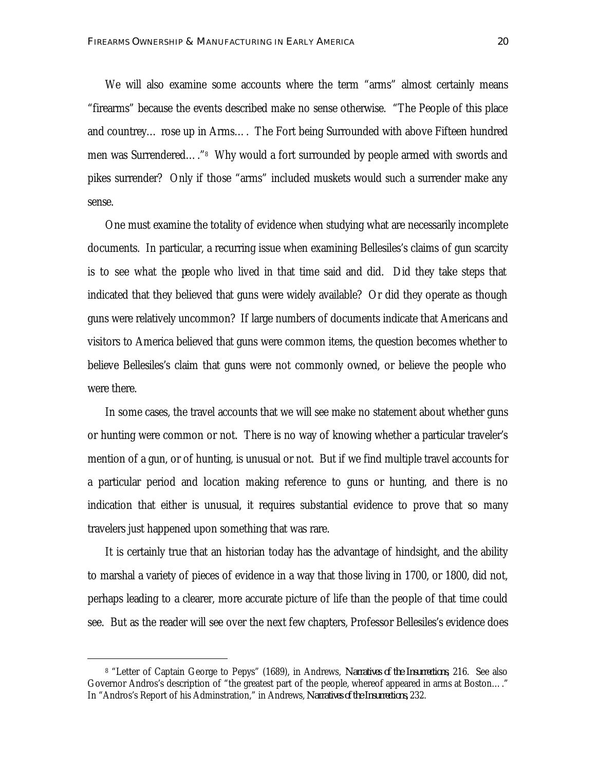We will also examine some accounts where the term "arms" almost certainly means "firearms" because the events described make no sense otherwise. "The People of this place and countrey… rose up in Arms…. The Fort being Surrounded with above Fifteen hundred men was Surrendered...."<sup>8</sup> Why would a fort surrounded by people armed with swords and pikes surrender? Only if those "arms" included muskets would such a surrender make any sense.

One must examine the totality of evidence when studying what are necessarily incomplete documents. In particular, a recurring issue when examining Bellesiles's claims of gun scarcity is to see what the people who lived in that time said and did. Did they take steps that indicated that they believed that guns were widely available? Or did they operate as though guns were relatively uncommon? If large numbers of documents indicate that Americans and visitors to America believed that guns were common items, the question becomes whether to believe Bellesiles's claim that guns were not commonly owned, or believe the people who were there.

In some cases, the travel accounts that we will see make no statement about whether guns or hunting were common or not. There is no way of knowing whether a particular traveler's mention of a gun, or of hunting, is unusual or not. But if we find multiple travel accounts for a particular period and location making reference to guns or hunting, and there is no indication that either is unusual, it requires substantial evidence to prove that so many travelers just happened upon something that was rare.

It is certainly true that an historian today has the advantage of hindsight, and the ability to marshal a variety of pieces of evidence in a way that those living in 1700, or 1800, did not, perhaps leading to a clearer, more accurate picture of life than the people of that time could see. But as the reader will see over the next few chapters, Professor Bellesiles's evidence does

<sup>8</sup> "Letter of Captain George to Pepys" (1689), in Andrews, *Narratives of the Insurrections*, 216. See also Governor Andros's description of "the greatest part of the people, whereof appeared in arms at Boston…." In "Andros's Report of his Adminstration," in Andrews, *Narratives of the Insurrections,* 232.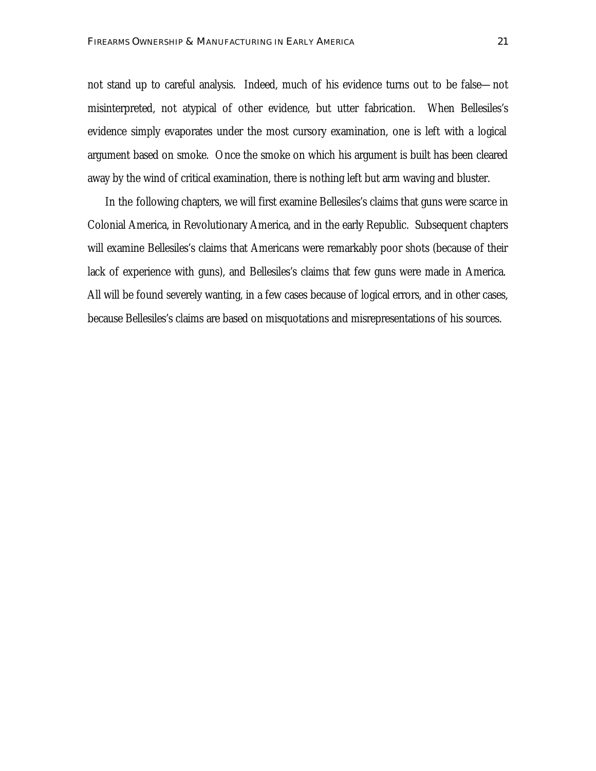not stand up to careful analysis. Indeed, much of his evidence turns out to be false—not misinterpreted, not atypical of other evidence, but utter fabrication. When Bellesiles's evidence simply evaporates under the most cursory examination, one is left with a logical argument based on smoke. Once the smoke on which his argument is built has been cleared away by the wind of critical examination, there is nothing left but arm waving and bluster.

In the following chapters, we will first examine Bellesiles's claims that guns were scarce in Colonial America, in Revolutionary America, and in the early Republic. Subsequent chapters will examine Bellesiles's claims that Americans were remarkably poor shots (because of their lack of experience with guns), and Bellesiles's claims that few guns were made in America. All will be found severely wanting, in a few cases because of logical errors, and in other cases, because Bellesiles's claims are based on misquotations and misrepresentations of his sources.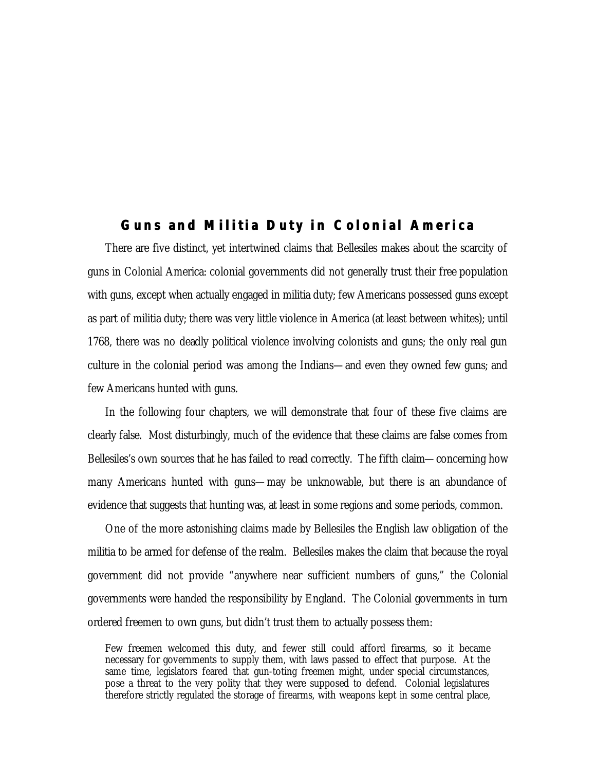### **Guns and Militia Duty in Colonial America**

There are five distinct, yet intertwined claims that Bellesiles makes about the scarcity of guns in Colonial America: colonial governments did not generally trust their free population with guns, except when actually engaged in militia duty; few Americans possessed guns except as part of militia duty; there was very little violence in America (at least between whites); until 1768, there was no deadly political violence involving colonists and guns; the only real gun culture in the colonial period was among the Indians—and even they owned few guns; and few Americans hunted with guns.

In the following four chapters, we will demonstrate that four of these five claims are clearly false. Most disturbingly, much of the evidence that these claims are false comes from Bellesiles's own sources that he has failed to read correctly. The fifth claim—concerning how many Americans hunted with guns—may be unknowable, but there is an abundance of evidence that suggests that hunting was, at least in some regions and some periods, common.

One of the more astonishing claims made by Bellesiles the English law obligation of the militia to be armed for defense of the realm. Bellesiles makes the claim that because the royal government did not provide "anywhere near sufficient numbers of guns," the Colonial governments were handed the responsibility by England. The Colonial governments in turn ordered freemen to own guns, but didn't trust them to actually possess them:

Few freemen welcomed this duty, and fewer still could afford firearms, so it became necessary for governments to supply them, with laws passed to effect that purpose. At the same time, legislators feared that gun-toting freemen might, under special circumstances, pose a threat to the very polity that they were supposed to defend. Colonial legislatures therefore strictly regulated the storage of firearms, with weapons kept in some central place,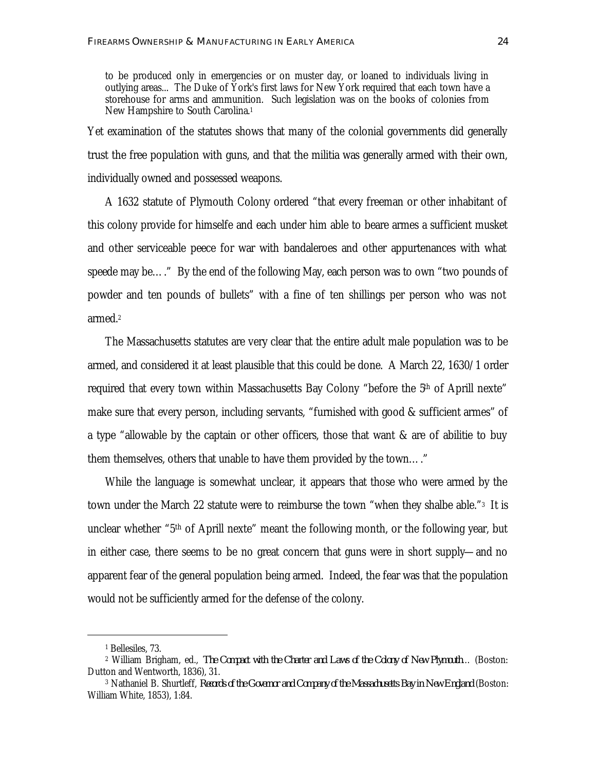to be produced only in emergencies or on muster day, or loaned to individuals living in outlying areas... The Duke of York's first laws for New York required that each town have a storehouse for arms and ammunition. Such legislation was on the books of colonies from New Hampshire to South Carolina.<sup>1</sup>

Yet examination of the statutes shows that many of the colonial governments did generally trust the free population with guns, and that the militia was generally armed with their own, individually owned and possessed weapons.

A 1632 statute of Plymouth Colony ordered "that every freeman or other inhabitant of this colony provide for himselfe and each under him able to beare armes a sufficient musket and other serviceable peece for war with bandaleroes and other appurtenances with what speede may be…." By the end of the following May, each person was to own "two pounds of powder and ten pounds of bullets" with a fine of ten shillings per person who was not armed.<sup>2</sup>

The Massachusetts statutes are very clear that the entire adult male population was to be armed, and considered it at least plausible that this could be done. A March 22, 1630/1 order required that every town within Massachusetts Bay Colony "before the 5<sup>th</sup> of Aprill nexte" make sure that every person, including servants, "furnished with good & sufficient armes" of a type "allowable by the captain or other officers, those that want & are of abilitie to buy them themselves, others that unable to have them provided by the town…."

While the language is somewhat unclear, it appears that those who were armed by the town under the March 22 statute were to reimburse the town "when they shalbe able."<sup>3</sup> It is unclear whether "5th of Aprill nexte" meant the following month, or the following year, but in either case, there seems to be no great concern that guns were in short supply—and no apparent fear of the general population being armed. Indeed, the fear was that the population would not be sufficiently armed for the defense of the colony.

<sup>1</sup> Bellesiles, 73.

<sup>2</sup> William Brigham, ed., *The Compact with the Charter and Laws of the Colony of New Plymouth*… (Boston: Dutton and Wentworth, 1836), 31.

<sup>3</sup> Nathaniel B. Shurtleff, *Records of the Governor and Company of the Massachusetts Bay in New England* (Boston: William White, 1853), 1:84.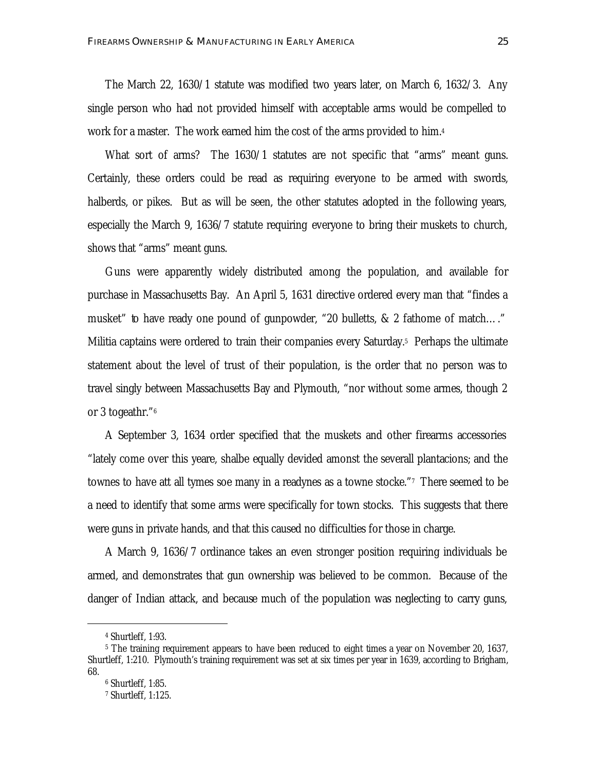The March 22, 1630/1 statute was modified two years later, on March 6, 1632/3. Any single person who had not provided himself with acceptable arms would be compelled to work for a master. The work earned him the cost of the arms provided to him.<sup>4</sup>

What sort of arms? The 1630/1 statutes are not specific that "arms" meant guns. Certainly, these orders could be read as requiring everyone to be armed with swords, halberds, or pikes. But as will be seen, the other statutes adopted in the following years, especially the March 9, 1636/7 statute requiring everyone to bring their muskets to church, shows that "arms" meant guns.

Guns were apparently widely distributed among the population, and available for purchase in Massachusetts Bay. An April 5, 1631 directive ordered every man that "findes a musket" to have ready one pound of gunpowder, "20 bulletts, & 2 fathome of match…." Militia captains were ordered to train their companies every Saturday.<sup>5</sup> Perhaps the ultimate statement about the level of trust of their population, is the order that no person was to travel singly between Massachusetts Bay and Plymouth, "nor without some armes, though 2 or 3 togeathr."<sup>6</sup>

A September 3, 1634 order specified that the muskets and other firearms accessories "lately come over this yeare, shalbe equally devided amonst the severall plantacions; and the townes to have att all tymes soe many in a readynes as a towne stocke."<sup>7</sup> There seemed to be a need to identify that some arms were specifically for town stocks. This suggests that there were guns in private hands, and that this caused no difficulties for those in charge.

A March 9, 1636/7 ordinance takes an even stronger position requiring individuals be armed, and demonstrates that gun ownership was believed to be common. Because of the danger of Indian attack, and because much of the population was neglecting to carry guns,

<sup>4</sup> Shurtleff, 1:93.

<sup>&</sup>lt;sup>5</sup> The training requirement appears to have been reduced to eight times a year on November 20, 1637, Shurtleff, 1:210. Plymouth's training requirement was set at six times per year in 1639, according to Brigham, 68.

<sup>6</sup> Shurtleff, 1:85.

<sup>7</sup> Shurtleff, 1:125.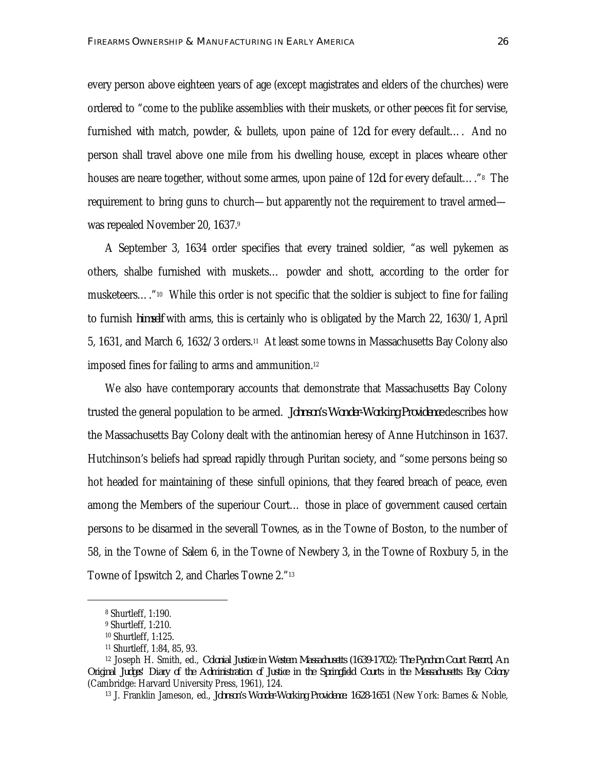every person above eighteen years of age (except magistrates and elders of the churches) were ordered to "come to the publike assemblies with their muskets, or other peeces fit for servise, furnished with match, powder, & bullets, upon paine of 12*d.* for every default…. And no person shall travel above one mile from his dwelling house, except in places wheare other houses are neare together, without some armes, upon paine of 12*d.* for every default…."<sup>8</sup> The requirement to bring guns to church—but apparently not the requirement to travel armed was repealed November 20, 1637.<sup>9</sup>

A September 3, 1634 order specifies that every trained soldier, "as well pykemen as others, shalbe furnished with muskets… powder and shott, according to the order for musketeers…."10 While this order is not specific that the soldier is subject to fine for failing to furnish *himself* with arms, this is certainly who is obligated by the March 22, 1630/1, April 5, 1631, and March 6, 1632/3 orders.11 At least some towns in Massachusetts Bay Colony also imposed fines for failing to arms and ammunition.<sup>12</sup>

We also have contemporary accounts that demonstrate that Massachusetts Bay Colony trusted the general population to be armed. *Johnson's Wonder-Working Providence* describes how the Massachusetts Bay Colony dealt with the antinomian heresy of Anne Hutchinson in 1637. Hutchinson's beliefs had spread rapidly through Puritan society, and "some persons being so hot headed for maintaining of these sinfull opinions, that they feared breach of peace, even among the Members of the superiour Court… those in place of government caused certain persons to be disarmed in the severall Townes, as in the Towne of Boston, to the number of 58, in the Towne of Salem 6, in the Towne of Newbery 3, in the Towne of Roxbury 5, in the Towne of Ipswitch 2, and Charles Towne 2."<sup>13</sup>

<sup>8</sup> Shurtleff, 1:190.

<sup>9</sup> Shurtleff, 1:210.

<sup>10</sup> Shurtleff, 1:125.

<sup>11</sup> Shurtleff, 1:84, 85, 93.

<sup>12</sup> Joseph H. Smith, ed., *Colonial Justice in Western Massachusetts (1639-1702): The Pynchon Court Record, An Original Judges' Diary of the Administration of Justice in the Springfield Courts in the Massachusetts Bay Colony* (Cambridge: Harvard University Press, 1961), 124.

<sup>13</sup> J. Franklin Jameson, ed., *Johnson's Wonder-Working Providence: 1628-1651* (New York: Barnes & Noble,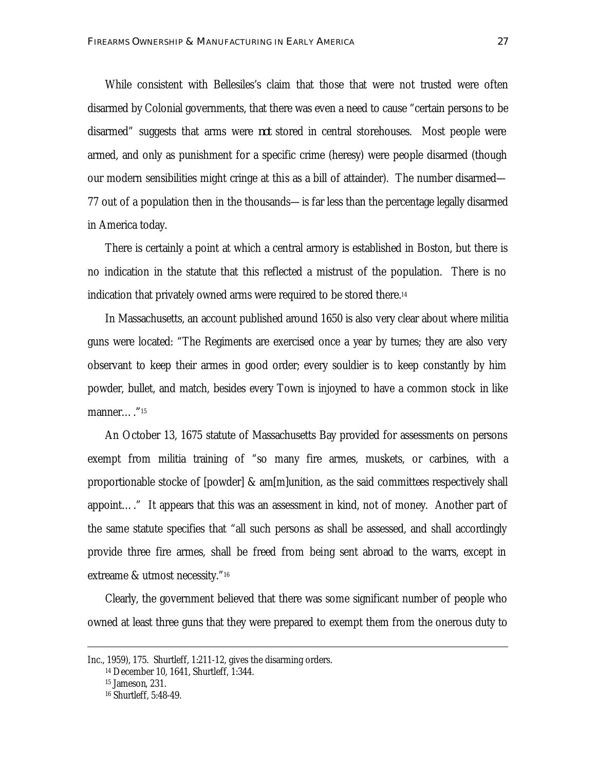While consistent with Bellesiles's claim that those that were not trusted were often disarmed by Colonial governments, that there was even a need to cause "certain persons to be disarmed" suggests that arms were *not* stored in central storehouses. Most people were armed, and only as punishment for a specific crime (heresy) were people disarmed (though our modern sensibilities might cringe at this as a bill of attainder). The number disarmed— 77 out of a population then in the thousands—is far less than the percentage legally disarmed in America today.

There is certainly a point at which a central armory is established in Boston, but there is no indication in the statute that this reflected a mistrust of the population. There is no indication that privately owned arms were required to be stored there.<sup>14</sup>

In Massachusetts, an account published around 1650 is also very clear about where militia guns were located: "The Regiments are exercised once a year by turnes; they are also very observant to keep their armes in good order; every souldier is to keep constantly by him powder, bullet, and match, besides every Town is injoyned to have a common stock in like manner…."<sup>15</sup>

An October 13, 1675 statute of Massachusetts Bay provided for assessments on persons exempt from militia training of "so many fire armes, muskets, or carbines, with a proportionable stocke of [powder] & am[m]unition, as the said committees respectively shall appoint…." It appears that this was an assessment in kind, not of money. Another part of the same statute specifies that "all such persons as shall be assessed, and shall accordingly provide three fire armes, shall be freed from being sent abroad to the warrs, except in extreame & utmost necessity."<sup>16</sup>

Clearly, the government believed that there was some significant number of people who owned at least three guns that they were prepared to exempt them from the onerous duty to

Inc., 1959), 175. Shurtleff, 1:211-12, gives the disarming orders.

<sup>14</sup> December 10, 1641, Shurtleff, 1:344.

<sup>15</sup> Jameson, 231.

<sup>16</sup> Shurtleff, 5:48-49.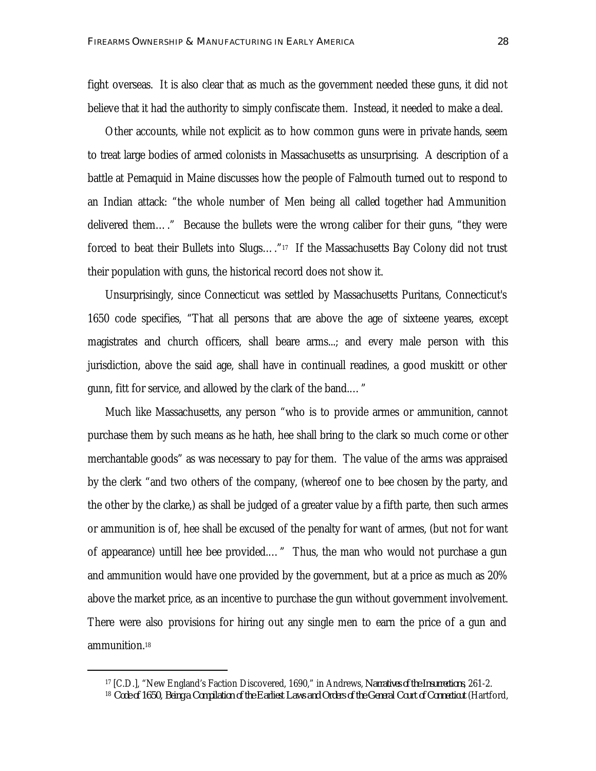fight overseas. It is also clear that as much as the government needed these guns, it did not believe that it had the authority to simply confiscate them. Instead, it needed to make a deal.

Other accounts, while not explicit as to how common guns were in private hands, seem to treat large bodies of armed colonists in Massachusetts as unsurprising. A description of a battle at Pemaquid in Maine discusses how the people of Falmouth turned out to respond to an Indian attack: "the whole number of Men being all called together had Ammunition delivered them…." Because the bullets were the wrong caliber for their guns, "they were forced to beat their Bullets into Slugs…."17 If the Massachusetts Bay Colony did not trust their population with guns, the historical record does not show it.

Unsurprisingly, since Connecticut was settled by Massachusetts Puritans, Connecticut's 1650 code specifies, "That all persons that are above the age of sixteene yeares, except magistrates and church officers, shall beare arms...; and every male person with this jurisdiction, above the said age, shall have in continuall readines, a good muskitt or other gunn, fitt for service, and allowed by the clark of the band.…"

Much like Massachusetts, any person "who is to provide armes or ammunition, cannot purchase them by such means as he hath, hee shall bring to the clark so much corne or other merchantable goods" as was necessary to pay for them. The value of the arms was appraised by the clerk "and two others of the company, (whereof one to bee chosen by the party, and the other by the clarke,) as shall be judged of a greater value by a fifth parte, then such armes or ammunition is of, hee shall be excused of the penalty for want of armes, (but not for want of appearance) untill hee bee provided.…" Thus, the man who would not purchase a gun and ammunition would have one provided by the government, but at a price as much as 20% above the market price, as an incentive to purchase the gun without government involvement. There were also provisions for hiring out any single men to earn the price of a gun and ammunition.<sup>18</sup>

<sup>17</sup> [C.D.], "New England's Faction Discovered, 1690," in Andrews, *Narratives of the Insurrections*, 261-2.

<sup>18</sup> *Code of 1650, Being a Compilation of the Earliest Laws and Orders of the General Court of Connecticut* (Hartford,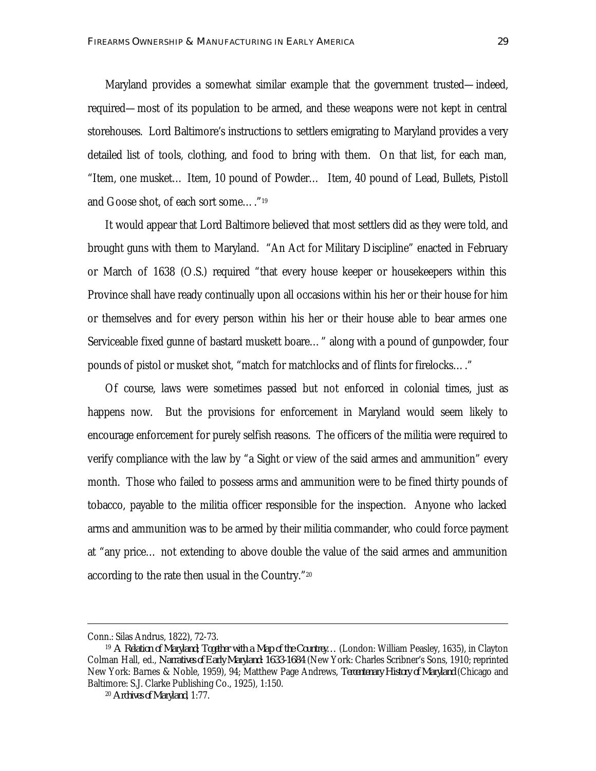Maryland provides a somewhat similar example that the government trusted—indeed, required—most of its population to be armed, and these weapons were not kept in central storehouses. Lord Baltimore's instructions to settlers emigrating to Maryland provides a very detailed list of tools, clothing, and food to bring with them. On that list, for each man, "Item, one musket… Item, 10 pound of Powder… Item, 40 pound of Lead, Bullets, Pistoll and Goose shot, of each sort some…."<sup>19</sup>

It would appear that Lord Baltimore believed that most settlers did as they were told, and brought guns with them to Maryland. "An Act for Military Discipline" enacted in February or March of 1638 (O.S.) required "that every house keeper or housekeepers within this Province shall have ready continually upon all occasions within his her or their house for him or themselves and for every person within his her or their house able to bear armes one Serviceable fixed gunne of bastard muskett boare…" along with a pound of gunpowder, four pounds of pistol or musket shot, "match for matchlocks and of flints for firelocks…."

Of course, laws were sometimes passed but not enforced in colonial times, just as happens now. But the provisions for enforcement in Maryland would seem likely to encourage enforcement for purely selfish reasons. The officers of the militia were required to verify compliance with the law by "a Sight or view of the said armes and ammunition" every month. Those who failed to possess arms and ammunition were to be fined thirty pounds of tobacco, payable to the militia officer responsible for the inspection. Anyone who lacked arms and ammunition was to be armed by their militia commander, who could force payment at "any price… not extending to above double the value of the said armes and ammunition according to the rate then usual in the Country."<sup>20</sup>

Conn.: Silas Andrus, 1822), 72-73.

<sup>19</sup> *A Relation of Maryland; Together with a Map of the Countrey…* (London: William Peasley, 1635), in Clayton Colman Hall, ed., *Narratives of Early Maryland: 1633-1684* (New York: Charles Scribner's Sons, 1910; reprinted New York: Barnes & Noble, 1959), 94; Matthew Page Andrews, *Tercentenary History of Maryland* (Chicago and Baltimore: S.J. Clarke Publishing Co., 1925), 1:150.

<sup>20</sup> *Archives of Maryland*, 1:77.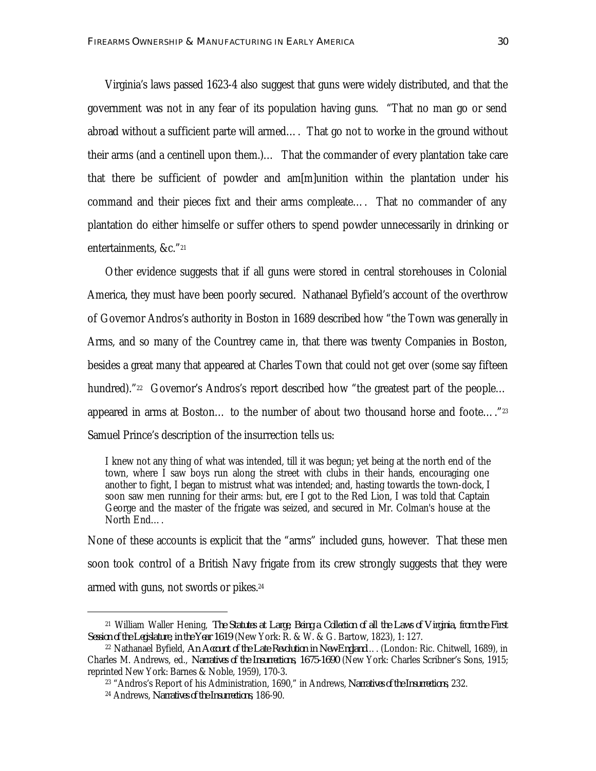Virginia's laws passed 1623-4 also suggest that guns were widely distributed, and that the government was not in any fear of its population having guns. "That no man go or send abroad without a sufficient parte will armed…. That go not to worke in the ground without their arms (and a centinell upon them.)… That the commander of every plantation take care that there be sufficient of powder and am[m]unition within the plantation under his command and their pieces fixt and their arms compleate…. That no commander of any plantation do either himselfe or suffer others to spend powder unnecessarily in drinking or entertainments, &c."<sup>21</sup>

Other evidence suggests that if all guns were stored in central storehouses in Colonial America, they must have been poorly secured. Nathanael Byfield's account of the overthrow of Governor Andros's authority in Boston in 1689 described how "the Town was generally in Arms, and so many of the Countrey came in, that there was twenty Companies in Boston, besides a great many that appeared at Charles Town that could not get over (some say fifteen hundred)."<sup>22</sup> Governor's Andros's report described how "the greatest part of the people... appeared in arms at Boston… to the number of about two thousand horse and foote…."<sup>23</sup> Samuel Prince's description of the insurrection tells us:

I knew not any thing of what was intended, till it was begun; yet being at the north end of the town, where I saw boys run along the street with clubs in their hands, encouraging one another to fight, I began to mistrust what was intended; and, hasting towards the town-dock, I soon saw men running for their arms: but, ere I got to the Red Lion, I was told that Captain George and the master of the frigate was seized, and secured in Mr. Colman's house at the North End….

None of these accounts is explicit that the "arms" included guns, however. That these men soon took control of a British Navy frigate from its crew strongly suggests that they were armed with guns, not swords or pikes.<sup>24</sup>

<sup>21</sup> William Waller Hening, *The Statutes at Large; Being a Collection of all the Laws of Virginia, from the First Session of the Legislature, in the Year 1619* (New York: R. & W. & G. Bartow, 1823), 1: 127.

<sup>22</sup> Nathanael Byfield, *An Account of the Late Revolution in New-England*…. (London: Ric. Chitwell, 1689), in Charles M. Andrews, ed., *Narratives of the Insurrections, 1675-1690* (New York: Charles Scribner's Sons, 1915; reprinted New York: Barnes & Noble, 1959), 170-3.

<sup>23</sup> "Andros's Report of his Administration, 1690," in Andrews, *Narratives of the Insurrections*, 232. 24 Andrews, *Narratives of the Insurrections*, 186-90.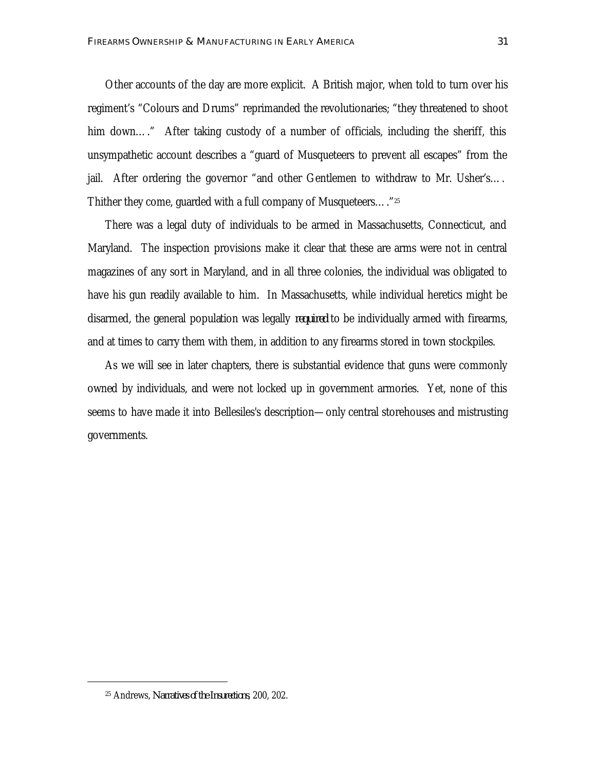Other accounts of the day are more explicit. A British major, when told to turn over his regiment's "Colours and Drums" reprimanded the revolutionaries; "they threatened to shoot him down...." After taking custody of a number of officials, including the sheriff, this unsympathetic account describes a "guard of Musqueteers to prevent all escapes" from the jail. After ordering the governor "and other Gentlemen to withdraw to Mr. Usher's…. Thither they come, guarded with a full company of Musqueteers…."<sup>25</sup>

There was a legal duty of individuals to be armed in Massachusetts, Connecticut, and Maryland. The inspection provisions make it clear that these are arms were not in central magazines of any sort in Maryland, and in all three colonies, the individual was obligated to have his gun readily available to him. In Massachusetts, while individual heretics might be disarmed, the general population was legally *required* to be individually armed with firearms, and at times to carry them with them, in addition to any firearms stored in town stockpiles.

As we will see in later chapters, there is substantial evidence that guns were commonly owned by individuals, and were not locked up in government armories. Yet, none of this seems to have made it into Bellesiles's description—only central storehouses and mistrusting governments.

<sup>25</sup> Andrews, *Narratives of the Insurections*, 200, 202.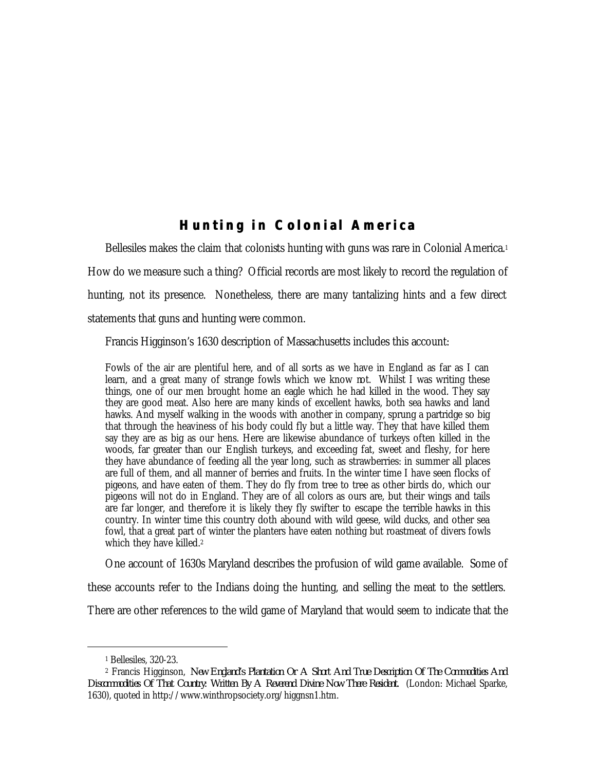## **Hunting in Colonial America**

Bellesiles makes the claim that colonists hunting with guns was rare in Colonial America.<sup>1</sup> How do we measure such a thing? Official records are most likely to record the regulation of hunting, not its presence. Nonetheless, there are many tantalizing hints and a few direct statements that guns and hunting were common.

Francis Higginson's 1630 description of Massachusetts includes this account:

Fowls of the air are plentiful here, and of all sorts as we have in England as far as I can learn, and a great many of strange fowls which we know not. Whilst I was writing these things, one of our men brought home an eagle which he had killed in the wood. They say they are good meat. Also here are many kinds of excellent hawks, both sea hawks and land hawks. And myself walking in the woods with another in company, sprung a partridge so big that through the heaviness of his body could fly but a little way. They that have killed them say they are as big as our hens. Here are likewise abundance of turkeys often killed in the woods, far greater than our English turkeys, and exceeding fat, sweet and fleshy, for here they have abundance of feeding all the year long, such as strawberries: in summer all places are full of them, and all manner of berries and fruits. In the winter time I have seen flocks of pigeons, and have eaten of them. They do fly from tree to tree as other birds do, which our pigeons will not do in England. They are of all colors as ours are, but their wings and tails are far longer, and therefore it is likely they fly swifter to escape the terrible hawks in this country. In winter time this country doth abound with wild geese, wild ducks, and other sea fowl, that a great part of winter the planters have eaten nothing but roastmeat of divers fowls which they have killed.<sup>2</sup>

One account of 1630s Maryland describes the profusion of wild game available. Some of

these accounts refer to the Indians doing the hunting, and selling the meat to the settlers.

There are other references to the wild game of Maryland that would seem to indicate that the

<sup>1</sup> Bellesiles, 320-23.

<sup>2</sup> Francis Higginson, *New England's Plantation Or A Short And True Description Of The Commodities And Discommodities Of That Country: Written By A Reverend Divine Now There Resident.* (London: Michael Sparke, 1630), quoted in http://www.winthropsociety.org/higgnsn1.htm.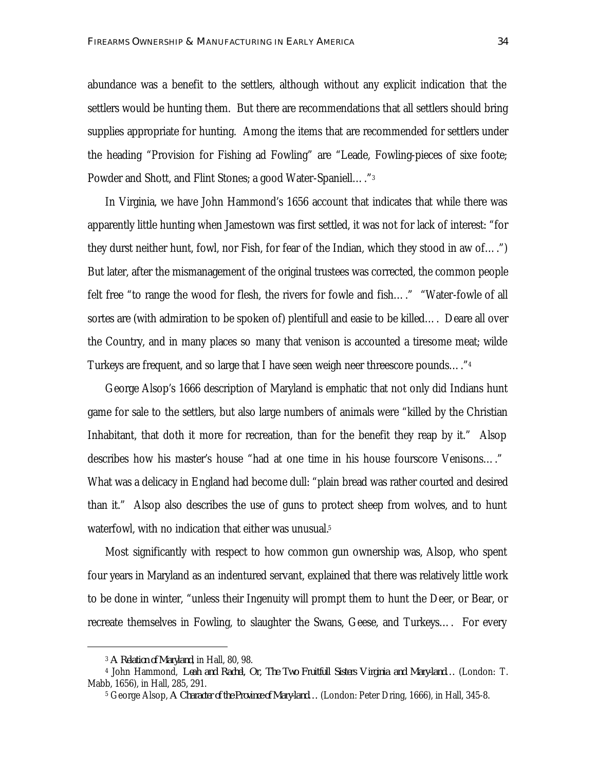abundance was a benefit to the settlers, although without any explicit indication that the settlers would be hunting them. But there are recommendations that all settlers should bring supplies appropriate for hunting. Among the items that are recommended for settlers under the heading "Provision for Fishing ad Fowling" are "Leade, Fowling-pieces of sixe foote; Powder and Shott, and Flint Stones; a good Water-Spaniell…."<sup>3</sup>

In Virginia, we have John Hammond's 1656 account that indicates that while there was apparently little hunting when Jamestown was first settled, it was not for lack of interest: "for they durst neither hunt, fowl, nor Fish, for fear of the Indian, which they stood in aw of….") But later, after the mismanagement of the original trustees was corrected, the common people felt free "to range the wood for flesh, the rivers for fowle and fish…." "Water-fowle of all sortes are (with admiration to be spoken of) plentifull and easie to be killed…. Deare all over the Country, and in many places so many that venison is accounted a tiresome meat; wilde Turkeys are frequent, and so large that I have seen weigh neer threescore pounds…."<sup>4</sup>

George Alsop's 1666 description of Maryland is emphatic that not only did Indians hunt game for sale to the settlers, but also large numbers of animals were "killed by the Christian Inhabitant, that doth it more for recreation, than for the benefit they reap by it." Alsop describes how his master's house "had at one time in his house fourscore Venisons…." What was a delicacy in England had become dull: "plain bread was rather courted and desired than it." Alsop also describes the use of guns to protect sheep from wolves, and to hunt waterfowl, with no indication that either was unusual.<sup>5</sup>

Most significantly with respect to how common gun ownership was, Alsop, who spent four years in Maryland as an indentured servant, explained that there was relatively little work to be done in winter, "unless their Ingenuity will prompt them to hunt the Deer, or Bear, or recreate themselves in Fowling, to slaughter the Swans, Geese, and Turkeys…. For every

<sup>3</sup> *A Relation of Maryland*, in Hall, 80, 98.

<sup>4</sup> John Hammond, *Leah and Rachel, Or, The Two Fruitfull Sisters Virginia and Mary-land…* (London: T. Mabb, 1656), in Hall, 285, 291.

<sup>5</sup> George Alsop, *A Character of the Province of Mary-land…* (London: Peter Dring, 1666), in Hall, 345-8.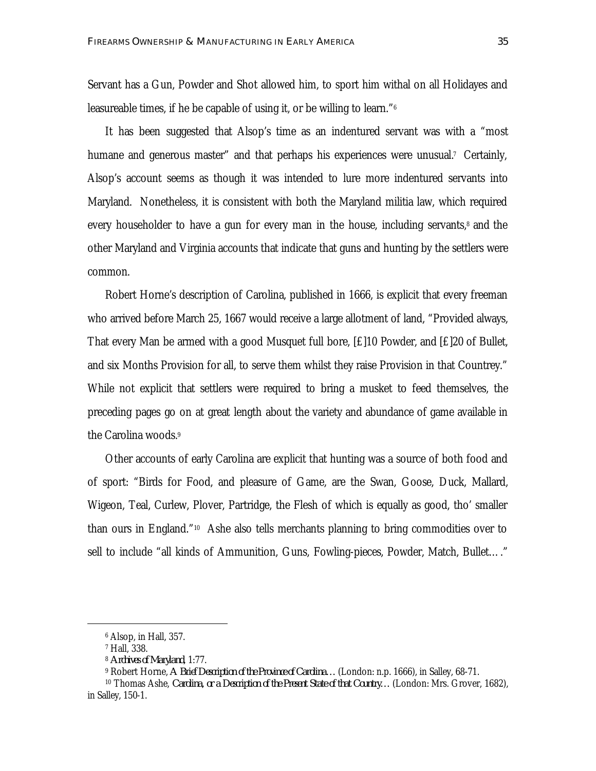Servant has a Gun, Powder and Shot allowed him, to sport him withal on all Holidayes and leasureable times, if he be capable of using it, or be willing to learn."<sup>6</sup>

It has been suggested that Alsop's time as an indentured servant was with a "most humane and generous master" and that perhaps his experiences were unusual.<sup>7</sup> Certainly, Alsop's account seems as though it was intended to lure more indentured servants into Maryland. Nonetheless, it is consistent with both the Maryland militia law, which required every householder to have a gun for every man in the house, including servants,<sup>8</sup> and the other Maryland and Virginia accounts that indicate that guns and hunting by the settlers were common.

Robert Horne's description of Carolina, published in 1666, is explicit that every freeman who arrived before March 25, 1667 would receive a large allotment of land, "Provided always, That every Man be armed with a good Musquet full bore, [£]10 Powder, and [£]20 of Bullet, and six Months Provision for all, to serve them whilst they raise Provision in that Countrey." While not explicit that settlers were required to bring a musket to feed themselves, the preceding pages go on at great length about the variety and abundance of game available in the Carolina woods.<sup>9</sup>

Other accounts of early Carolina are explicit that hunting was a source of both food and of sport: "Birds for Food, and pleasure of Game, are the Swan, Goose, Duck, Mallard, Wigeon, Teal, Curlew, Plover, Partridge, the Flesh of which is equally as good, tho' smaller than ours in England."10 Ashe also tells merchants planning to bring commodities over to sell to include "all kinds of Ammunition, Guns, Fowling-pieces, Powder, Match, Bullet…."

<sup>6</sup> Alsop, in Hall, 357.

<sup>7</sup> Hall, 338.

<sup>8</sup> *Archives of Maryland*, 1:77.

<sup>9</sup> Robert Horne, *A Brief Description of the Province of Carolina…* (London: n.p. 1666), in Salley, 68-71.

<sup>10</sup> Thomas Ashe, *Carolina, or a Description of the Present State of that Country…* (London: Mrs. Grover, 1682), in Salley, 150-1.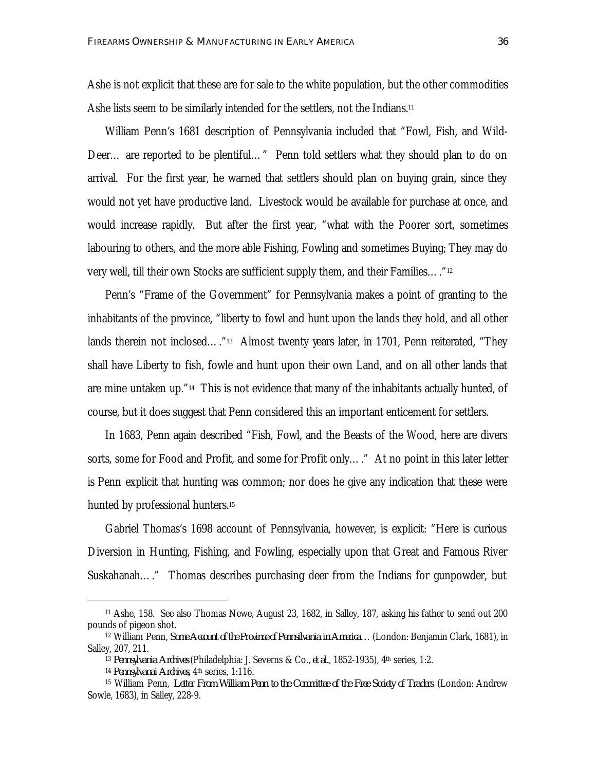Ashe is not explicit that these are for sale to the white population, but the other commodities Ashe lists seem to be similarly intended for the settlers, not the Indians.<sup>11</sup>

William Penn's 1681 description of Pennsylvania included that "Fowl, Fish, and Wild-Deer… are reported to be plentiful…" Penn told settlers what they should plan to do on arrival. For the first year, he warned that settlers should plan on buying grain, since they would not yet have productive land. Livestock would be available for purchase at once, and would increase rapidly. But after the first year, "what with the Poorer sort, sometimes labouring to others, and the more able Fishing, Fowling and sometimes Buying; They may do very well, till their own Stocks are sufficient supply them, and their Families…."<sup>12</sup>

Penn's "Frame of the Government" for Pennsylvania makes a point of granting to the inhabitants of the province, "liberty to fowl and hunt upon the lands they hold, and all other lands therein not inclosed…."13 Almost twenty years later, in 1701, Penn reiterated, "They shall have Liberty to fish, fowle and hunt upon their own Land, and on all other lands that are mine untaken up."14 This is not evidence that many of the inhabitants actually hunted, of course, but it does suggest that Penn considered this an important enticement for settlers.

In 1683, Penn again described "Fish, Fowl, and the Beasts of the Wood, here are divers sorts, some for Food and Profit, and some for Profit only…." At no point in this later letter is Penn explicit that hunting was common; nor does he give any indication that these were hunted by professional hunters.<sup>15</sup>

Gabriel Thomas's 1698 account of Pennsylvania, however, is explicit: "Here is curious Diversion in Hunting, Fishing, and Fowling, especially upon that Great and Famous River Suskahanah…." Thomas describes purchasing deer from the Indians for gunpowder, but

<sup>11</sup> Ashe, 158. See also Thomas Newe, August 23, 1682, in Salley, 187, asking his father to send out 200 pounds of pigeon shot.

<sup>12</sup> William Penn, *Some Account of the Province of Pennsilvania in America…* (London: Benjamin Clark, 1681), in Salley, 207, 211.

<sup>13</sup> *Pennsylvania Archives* (Philadelphia: J. Severns & Co., *et al.*, 1852-1935), 4th series, 1:2.

<sup>&</sup>lt;sup>14</sup> Pennsylvanai Archives, 4<sup>th</sup> series, 1:116.

<sup>15</sup> William Penn, *Letter From William Penn to the Committee of the Free Society of Traders* (London: Andrew Sowle, 1683), in Salley, 228-9.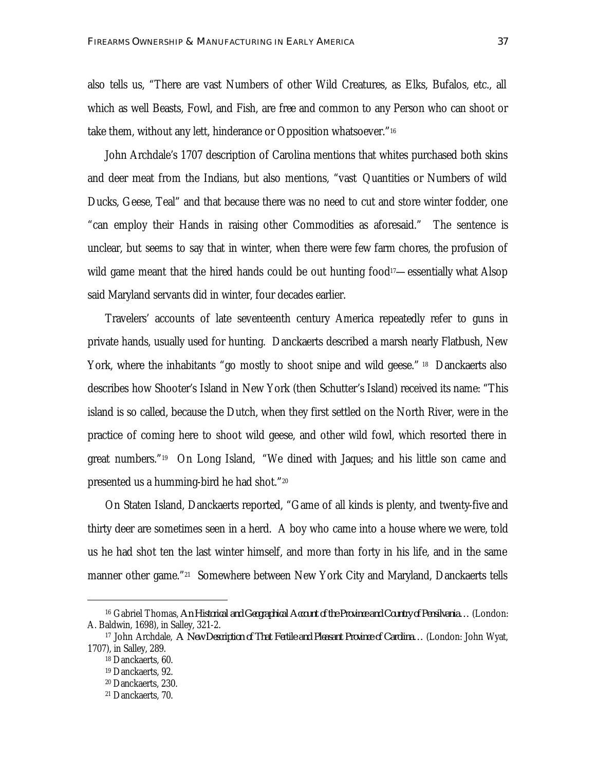also tells us, "There are vast Numbers of other Wild Creatures, as Elks, Bufalos, etc., all which as well Beasts, Fowl, and Fish, are free and common to any Person who can shoot or take them, without any lett, hinderance or Opposition whatsoever."<sup>16</sup>

John Archdale's 1707 description of Carolina mentions that whites purchased both skins and deer meat from the Indians, but also mentions, "vast Quantities or Numbers of wild Ducks, Geese, Teal" and that because there was no need to cut and store winter fodder, one "can employ their Hands in raising other Commodities as aforesaid." The sentence is unclear, but seems to say that in winter, when there were few farm chores, the profusion of wild game meant that the hired hands could be out hunting food<sup>17</sup>—essentially what Alsop said Maryland servants did in winter, four decades earlier.

Travelers' accounts of late seventeenth century America repeatedly refer to guns in private hands, usually used for hunting. Danckaerts described a marsh nearly Flatbush, New York, where the inhabitants "go mostly to shoot snipe and wild geese." <sup>18</sup> Danckaerts also describes how Shooter's Island in New York (then Schutter's Island) received its name: "This island is so called, because the Dutch, when they first settled on the North River, were in the practice of coming here to shoot wild geese, and other wild fowl, which resorted there in great numbers."19 On Long Island, "We dined with Jaques; and his little son came and presented us a humming-bird he had shot."<sup>20</sup>

On Staten Island, Danckaerts reported, "Game of all kinds is plenty, and twenty-five and thirty deer are sometimes seen in a herd. A boy who came into a house where we were, told us he had shot ten the last winter himself, and more than forty in his life, and in the same manner other game."21 Somewhere between New York City and Maryland, Danckaerts tells

<sup>16</sup> Gabriel Thomas, *An Historical and Geographical Account of the Province and Country of Pensilvania…* (London: A. Baldwin, 1698), in Salley, 321-2.

<sup>17</sup> John Archdale, *A New Description of That Fertile and Pleasant Province of Carolina…* (London: John Wyat, 1707), in Salley, 289.

<sup>18</sup> Danckaerts, 60.

<sup>19</sup> Danckaerts, 92.

<sup>20</sup> Danckaerts, 230.

<sup>21</sup> Danckaerts, 70.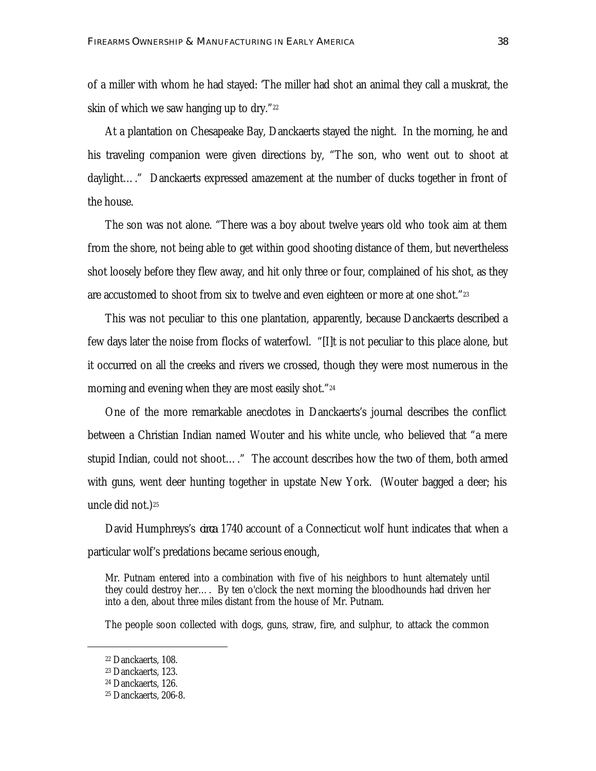of a miller with whom he had stayed: 'The miller had shot an animal they call a muskrat, the skin of which we saw hanging up to dry."<sup>22</sup>

At a plantation on Chesapeake Bay, Danckaerts stayed the night. In the morning, he and his traveling companion were given directions by, "The son, who went out to shoot at daylight…." Danckaerts expressed amazement at the number of ducks together in front of the house.

The son was not alone. "There was a boy about twelve years old who took aim at them from the shore, not being able to get within good shooting distance of them, but nevertheless shot loosely before they flew away, and hit only three or four, complained of his shot, as they are accustomed to shoot from six to twelve and even eighteen or more at one shot."<sup>23</sup>

This was not peculiar to this one plantation, apparently, because Danckaerts described a few days later the noise from flocks of waterfowl. "[I]t is not peculiar to this place alone, but it occurred on all the creeks and rivers we crossed, though they were most numerous in the morning and evening when they are most easily shot."<sup>24</sup>

One of the more remarkable anecdotes in Danckaerts's journal describes the conflict between a Christian Indian named Wouter and his white uncle, who believed that "a mere stupid Indian, could not shoot…." The account describes how the two of them, both armed with guns, went deer hunting together in upstate New York. (Wouter bagged a deer; his uncle did not.)<sup>25</sup>

David Humphreys's *circa* 1740 account of a Connecticut wolf hunt indicates that when a particular wolf's predations became serious enough,

Mr. Putnam entered into a combination with five of his neighbors to hunt alternately until they could destroy her…. By ten o'clock the next morning the bloodhounds had driven her into a den, about three miles distant from the house of Mr. Putnam.

The people soon collected with dogs, guns, straw, fire, and sulphur, to attack the common

<sup>22</sup> Danckaerts, 108.

<sup>23</sup> Danckaerts, 123.

<sup>24</sup> Danckaerts, 126.

<sup>25</sup> Danckaerts, 206-8.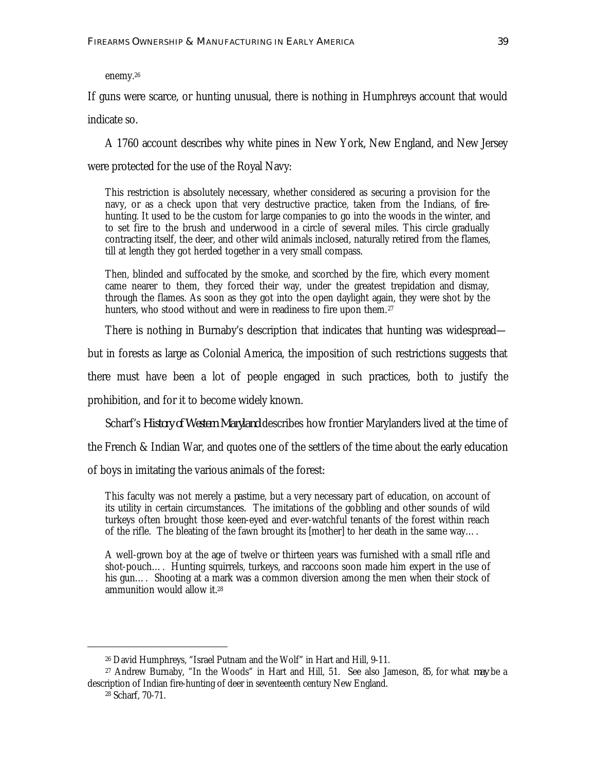enemy.<sup>26</sup>

If guns were scarce, or hunting unusual, there is nothing in Humphreys account that would

indicate so.

A 1760 account describes why white pines in New York, New England, and New Jersey

were protected for the use of the Royal Navy:

This restriction is absolutely necessary, whether considered as securing a provision for the navy, or as a check upon that very destructive practice, taken from the Indians, of firehunting. It used to be the custom for large companies to go into the woods in the winter, and to set fire to the brush and underwood in a circle of several miles. This circle gradually contracting itself, the deer, and other wild animals inclosed, naturally retired from the flames, till at length they got herded together in a very small compass.

Then, blinded and suffocated by the smoke, and scorched by the fire, which every moment came nearer to them, they forced their way, under the greatest trepidation and dismay, through the flames. As soon as they got into the open daylight again, they were shot by the hunters, who stood without and were in readiness to fire upon them.<sup>27</sup>

There is nothing in Burnaby's description that indicates that hunting was widespread—

but in forests as large as Colonial America, the imposition of such restrictions suggests that

there must have been a lot of people engaged in such practices, both to justify the

prohibition, and for it to become widely known.

Scharf's *History of Western Maryland* describes how frontier Marylanders lived at the time of

the French & Indian War, and quotes one of the settlers of the time about the early education

of boys in imitating the various animals of the forest:

This faculty was not merely a pastime, but a very necessary part of education, on account of its utility in certain circumstances. The imitations of the gobbling and other sounds of wild turkeys often brought those keen-eyed and ever-watchful tenants of the forest within reach of the rifle. The bleating of the fawn brought its [mother] to her death in the same way….

A well-grown boy at the age of twelve or thirteen years was furnished with a small rifle and shot-pouch…. Hunting squirrels, turkeys, and raccoons soon made him expert in the use of his gun.... Shooting at a mark was a common diversion among the men when their stock of ammunition would allow it.<sup>28</sup>

<sup>26</sup> David Humphreys, "Israel Putnam and the Wolf" in Hart and Hill, 9-11.

<sup>27</sup> Andrew Burnaby, "In the Woods" in Hart and Hill, 51. See also Jameson, 85, for what *may* be a description of Indian fire-hunting of deer in seventeenth century New England.

<sup>28</sup> Scharf, 70-71.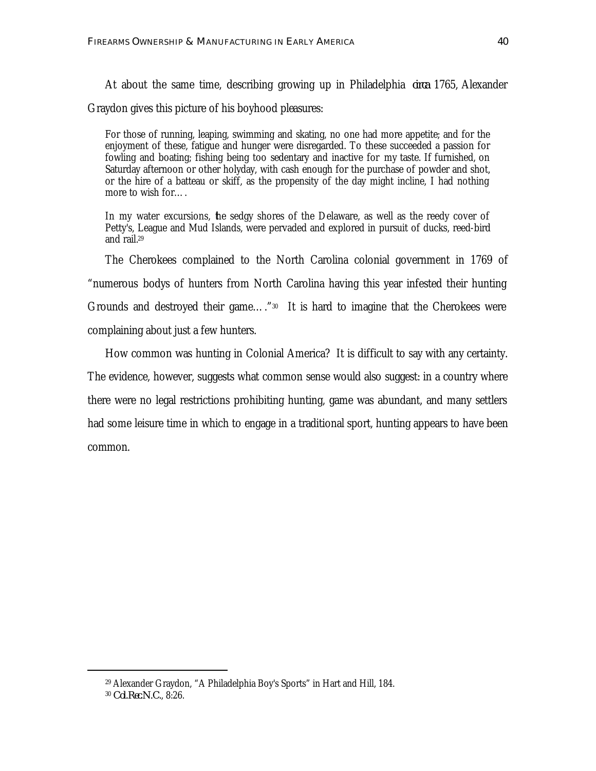At about the same time, describing growing up in Philadelphia *circa* 1765, Alexander Graydon gives this picture of his boyhood pleasures:

For those of running, leaping, swimming and skating, no one had more appetite; and for the enjoyment of these, fatigue and hunger were disregarded. To these succeeded a passion for fowling and boating; fishing being too sedentary and inactive for my taste. If furnished, on Saturday afternoon or other holyday, with cash enough for the purchase of powder and shot, or the hire of a batteau or skiff, as the propensity of the day might incline, I had nothing more to wish for….

In my water excursions, the sedgy shores of the Delaware, as well as the reedy cover of Petty's, League and Mud Islands, were pervaded and explored in pursuit of ducks, reed-bird and rail.<sup>29</sup>

The Cherokees complained to the North Carolina colonial government in 1769 of "numerous bodys of hunters from North Carolina having this year infested their hunting Grounds and destroyed their game...."<sup>30</sup> It is hard to imagine that the Cherokees were complaining about just a few hunters.

How common was hunting in Colonial America? It is difficult to say with any certainty.

The evidence, however, suggests what common sense would also suggest: in a country where there were no legal restrictions prohibiting hunting, game was abundant, and many settlers had some leisure time in which to engage in a traditional sport, hunting appears to have been common.

<sup>29</sup> Alexander Graydon, "A Philadelphia Boy's Sports" in Hart and Hill, 184.

<sup>30</sup> *Col.Rec.N.C.*, 8:26.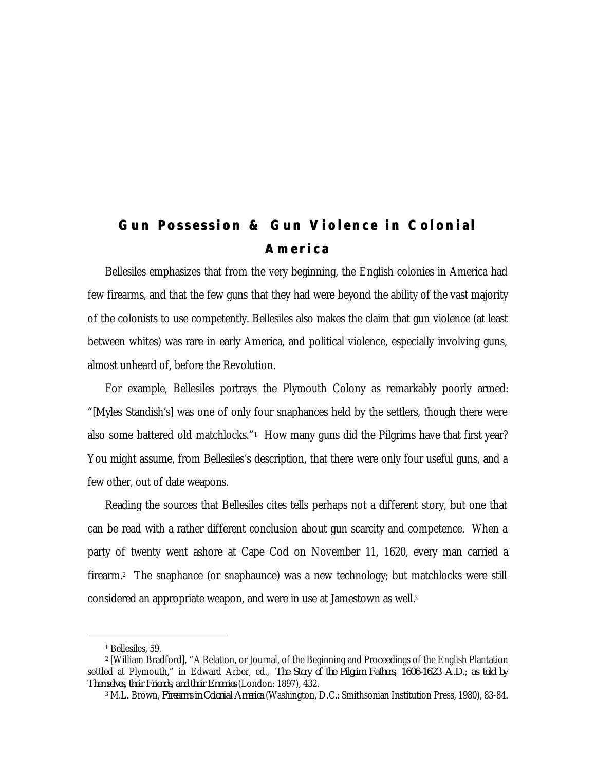## **Gun Possession & Gun Violence in Colonial America**

Bellesiles emphasizes that from the very beginning, the English colonies in America had few firearms, and that the few guns that they had were beyond the ability of the vast majority of the colonists to use competently. Bellesiles also makes the claim that gun violence (at least between whites) was rare in early America, and political violence, especially involving guns, almost unheard of, before the Revolution.

For example, Bellesiles portrays the Plymouth Colony as remarkably poorly armed: "[Myles Standish's] was one of only four snaphances held by the settlers, though there were also some battered old matchlocks."<sup>1</sup> How many guns did the Pilgrims have that first year? You might assume, from Bellesiles's description, that there were only four useful guns, and a few other, out of date weapons.

Reading the sources that Bellesiles cites tells perhaps not a different story, but one that can be read with a rather different conclusion about gun scarcity and competence. When a party of twenty went ashore at Cape Cod on November 11, 1620, every man carried a firearm.<sup>2</sup> The snaphance (or snaphaunce) was a new technology; but matchlocks were still considered an appropriate weapon, and were in use at Jamestown as well.<sup>3</sup>

<sup>1</sup> Bellesiles, 59.

<sup>2</sup> [William Bradford], "A Relation, or Journal, of the Beginning and Proceedings of the English Plantation settled at Plymouth," in Edward Arber, ed., *The Story of the Pilgrim Fathers, 1606-1623 A.D.; as told by Themselves, their Friends, and their Enemies* (London: 1897), 432.

<sup>3</sup> M.L. Brown, *Firearms in Colonial America* (Washington, D.C.: Smithsonian Institution Press, 1980), 83-84.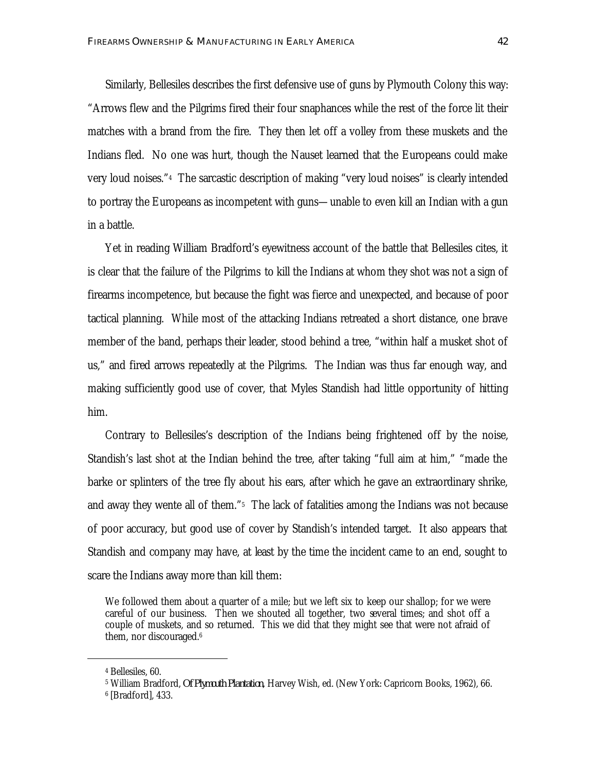Similarly, Bellesiles describes the first defensive use of guns by Plymouth Colony this way: "Arrows flew and the Pilgrims fired their four snaphances while the rest of the force lit their matches with a brand from the fire. They then let off a volley from these muskets and the Indians fled. No one was hurt, though the Nauset learned that the Europeans could make very loud noises."<sup>4</sup> The sarcastic description of making "very loud noises" is clearly intended to portray the Europeans as incompetent with guns—unable to even kill an Indian with a gun in a battle.

Yet in reading William Bradford's eyewitness account of the battle that Bellesiles cites, it is clear that the failure of the Pilgrims to kill the Indians at whom they shot was not a sign of firearms incompetence, but because the fight was fierce and unexpected, and because of poor tactical planning. While most of the attacking Indians retreated a short distance, one brave member of the band, perhaps their leader, stood behind a tree, "within half a musket shot of us," and fired arrows repeatedly at the Pilgrims. The Indian was thus far enough way, and making sufficiently good use of cover, that Myles Standish had little opportunity of hitting him.

Contrary to Bellesiles's description of the Indians being frightened off by the noise, Standish's last shot at the Indian behind the tree, after taking "full aim at him," "made the barke or splinters of the tree fly about his ears, after which he gave an extraordinary shrike, and away they wente all of them."<sup>5</sup> The lack of fatalities among the Indians was not because of poor accuracy, but good use of cover by Standish's intended target. It also appears that Standish and company may have, at least by the time the incident came to an end, sought to scare the Indians away more than kill them:

We followed them about a quarter of a mile; but we left six to keep our shallop; for we were careful of our business. Then we shouted all together, two several times; and shot off a couple of muskets, and so returned. This we did that they might see that were not afraid of them, nor discouraged.<sup>6</sup>

<sup>4</sup> Bellesiles, 60.

<sup>5</sup> William Bradford, *Of Plymouth Plantation,* Harvey Wish, ed. (New York: Capricorn Books, 1962), 66.

<sup>6</sup> [Bradford], 433.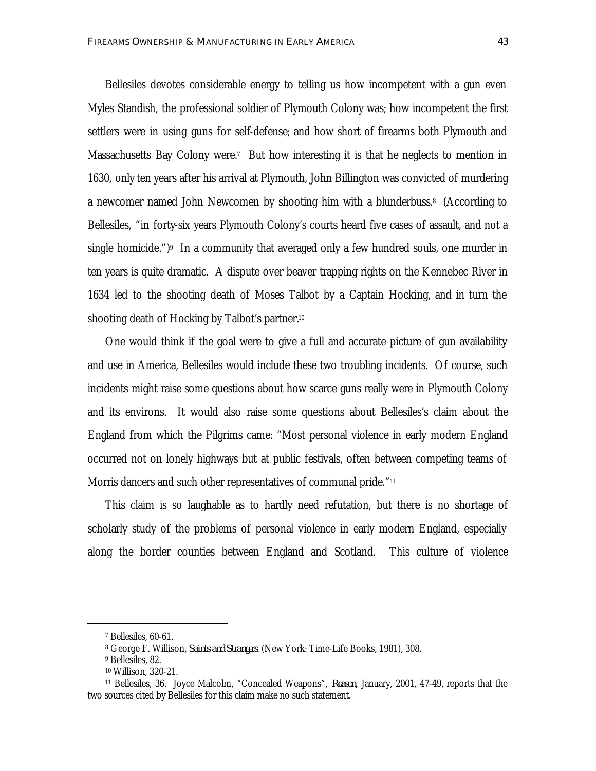Bellesiles devotes considerable energy to telling us how incompetent with a gun even Myles Standish, the professional soldier of Plymouth Colony was; how incompetent the first settlers were in using guns for self-defense; and how short of firearms both Plymouth and Massachusetts Bay Colony were.<sup>7</sup> But how interesting it is that he neglects to mention in 1630, only ten years after his arrival at Plymouth, John Billington was convicted of murdering a newcomer named John Newcomen by shooting him with a blunderbuss.<sup>8</sup> (According to Bellesiles, "in forty-six years Plymouth Colony's courts heard five cases of assault, and not a single homicide.")<sup>9</sup> In a community that averaged only a few hundred souls, one murder in ten years is quite dramatic. A dispute over beaver trapping rights on the Kennebec River in 1634 led to the shooting death of Moses Talbot by a Captain Hocking, and in turn the shooting death of Hocking by Talbot's partner.<sup>10</sup>

One would think if the goal were to give a full and accurate picture of gun availability and use in America, Bellesiles would include these two troubling incidents. Of course, such incidents might raise some questions about how scarce guns really were in Plymouth Colony and its environs. It would also raise some questions about Bellesiles's claim about the England from which the Pilgrims came: "Most personal violence in early modern England occurred not on lonely highways but at public festivals, often between competing teams of Morris dancers and such other representatives of communal pride."<sup>11</sup>

This claim is so laughable as to hardly need refutation, but there is no shortage of scholarly study of the problems of personal violence in early modern England, especially along the border counties between England and Scotland. This culture of violence

<sup>7</sup> Bellesiles, 60-61.

<sup>8</sup> George F. Willison, *Saints and Strangers*. (New York: Time-Life Books, 1981), 308.

<sup>9</sup> Bellesiles, 82.

<sup>10</sup> Willison, 320-21.

<sup>11</sup> Bellesiles, 36. Joyce Malcolm, "Concealed Weapons", *Reason,* January, 2001, 47-49, reports that the two sources cited by Bellesiles for this claim make no such statement.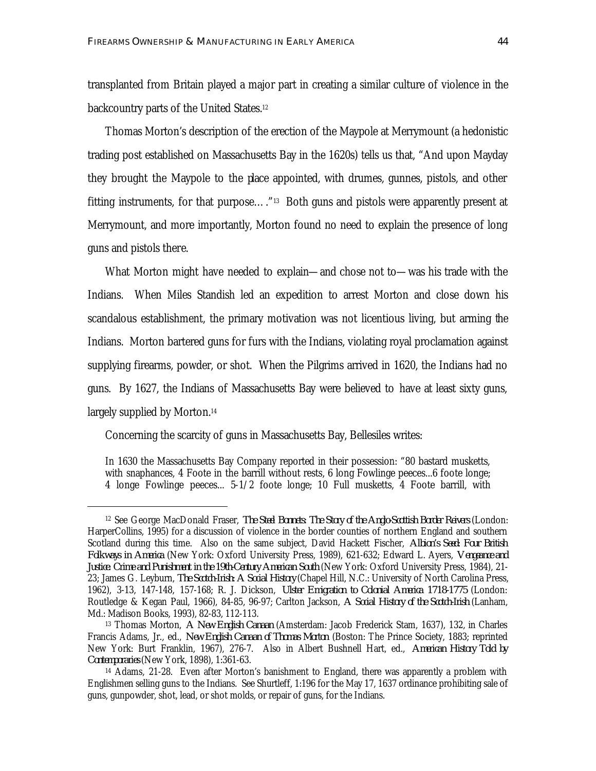transplanted from Britain played a major part in creating a similar culture of violence in the backcountry parts of the United States.<sup>12</sup>

Thomas Morton's description of the erection of the Maypole at Merrymount (a hedonistic trading post established on Massachusetts Bay in the 1620s) tells us that, "And upon Mayday they brought the Maypole to the place appointed, with drumes, gunnes, pistols, and other fitting instruments, for that purpose…."13 Both guns and pistols were apparently present at Merrymount, and more importantly, Morton found no need to explain the presence of long guns and pistols there.

What Morton might have needed to explain—and chose not to—was his trade with the Indians. When Miles Standish led an expedition to arrest Morton and close down his scandalous establishment, the primary motivation was not licentious living, but arming the Indians. Morton bartered guns for furs with the Indians, violating royal proclamation against supplying firearms, powder, or shot. When the Pilgrims arrived in 1620, the Indians had no guns. By 1627, the Indians of Massachusetts Bay were believed to have at least sixty guns, largely supplied by Morton.<sup>14</sup>

Concerning the scarcity of guns in Massachusetts Bay, Bellesiles writes:

 $\overline{a}$ 

In 1630 the Massachusetts Bay Company reported in their possession: "80 bastard musketts, with snaphances, 4 Foote in the barrill without rests, 6 long Fowlinge peeces...6 foote longe; 4 longe Fowlinge peeces... 5-1/2 foote longe; 10 Full musketts, 4 Foote barrill, with

<sup>12</sup> See George MacDonald Fraser, *The Steel Bonnets: The Story of the Anglo-Scottish Border Reivers* (London: HarperCollins, 1995) for a discussion of violence in the border counties of northern England and southern Scotland during this time. Also on the same subject, David Hackett Fischer, *Albion's Seed: Four British Folkways in America* (New York: Oxford University Press, 1989), 621-632; Edward L. Ayers, *Vengeance and Justice: Crime and Punishment in the 19th-Century American South* (New York: Oxford University Press, 1984), 21- 23; James G. Leyburn, *The Scotch-Irish: A Social History* (Chapel Hill, N.C.: University of North Carolina Press, 1962), 3-13, 147-148, 157-168; R. J. Dickson, *Ulster Emigration to Colonial America 1718-1775* (London: Routledge & Kegan Paul, 1966), 84-85, 96-97; Carlton Jackson, *A Social History of the Scotch-Irish* (Lanham, Md.: Madison Books, 1993), 82-83, 112-113.

<sup>13</sup> Thomas Morton, *A New English Canaan* (Amsterdam: Jacob Frederick Stam, 1637), 132, in Charles Francis Adams, Jr., ed., *New English Canaan of Thomas Morton* (Boston: The Prince Society, 1883; reprinted New York: Burt Franklin, 1967), 276-7. Also in Albert Bushnell Hart, ed., *American History Told by Contemporaries* (New York, 1898), 1:361-63.

<sup>&</sup>lt;sup>14</sup> Adams, 21-28. Even after Morton's banishment to England, there was apparently a problem with Englishmen selling guns to the Indians. See Shurtleff, 1:196 for the May 17, 1637 ordinance prohibiting sale of guns, gunpowder, shot, lead, or shot molds, or repair of guns, for the Indians.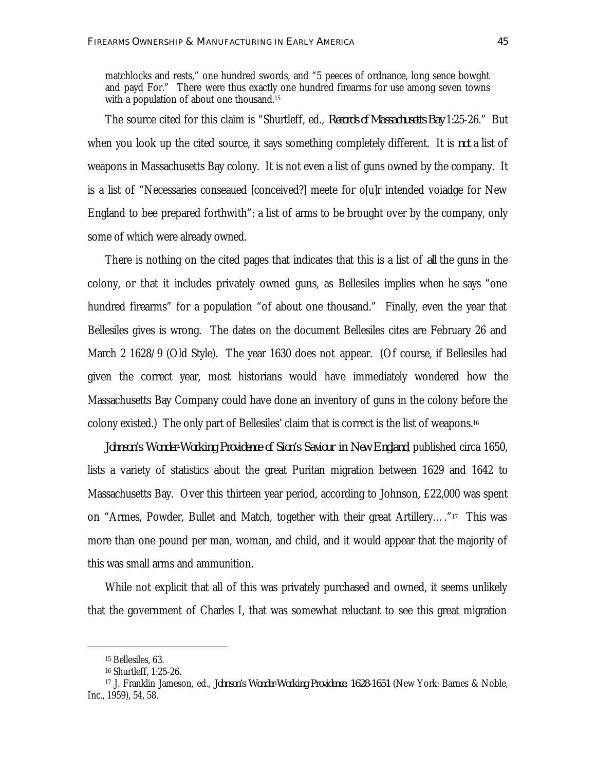matchlocks and rests," one hundred swords, and "5 peeces of ordnance, long sence bowght and payd For." There were thus exactly one hundred firearms for use among seven towns with a population of about one thousand.<sup>15</sup>

The source cited for this claim is "Shurtleff, ed., *Records of Massachusetts Bay* 1:25-26." But when you look up the cited source, it says something completely different. It is *not* a list of weapons in Massachusetts Bay colony. It is not even a list of guns owned by the company. It is a list of "Necessaries conseaued [conceived?] meete for o[u]r intended voiadge for New England to bee prepared forthwith": a list of arms to be brought over by the company, only some of which were already owned.

There is nothing on the cited pages that indicates that this is a list of *all* the guns in the colony, or that it includes privately owned guns, as Bellesiles implies when he says "one hundred firearms" for a population "of about one thousand." Finally, even the year that Bellesiles gives is wrong. The dates on the document Bellesiles cites are February 26 and March 2 1628/9 (Old Style). The year 1630 does not appear. (Of course, if Bellesiles had given the correct year, most historians would have immediately wondered how the Massachusetts Bay Company could have done an inventory of guns in the colony before the colony existed.) The only part of Bellesiles' claim that is correct is the list of weapons.<sup>16</sup>

*Johnson's Wonder-Working Providence of Sion's Saviour in New England*, published circa 1650, lists a variety of statistics about the great Puritan migration between 1629 and 1642 to Massachusetts Bay. Over this thirteen year period, according to Johnson, £22,000 was spent on "Armes, Powder, Bullet and Match, together with their great Artillery…."17 This was more than one pound per man, woman, and child, and it would appear that the majority of this was small arms and ammunition.

While not explicit that all of this was privately purchased and owned, it seems unlikely that the government of Charles I, that was somewhat reluctant to see this great migration

<sup>15</sup> Bellesiles, 63.

<sup>16</sup> Shurtleff, 1:25-26.

<sup>17</sup> J. Franklin Jameson, ed., *Johnson's Wonder-Working Providence: 1628-1651* (New York: Barnes & Noble, Inc., 1959), 54, 58.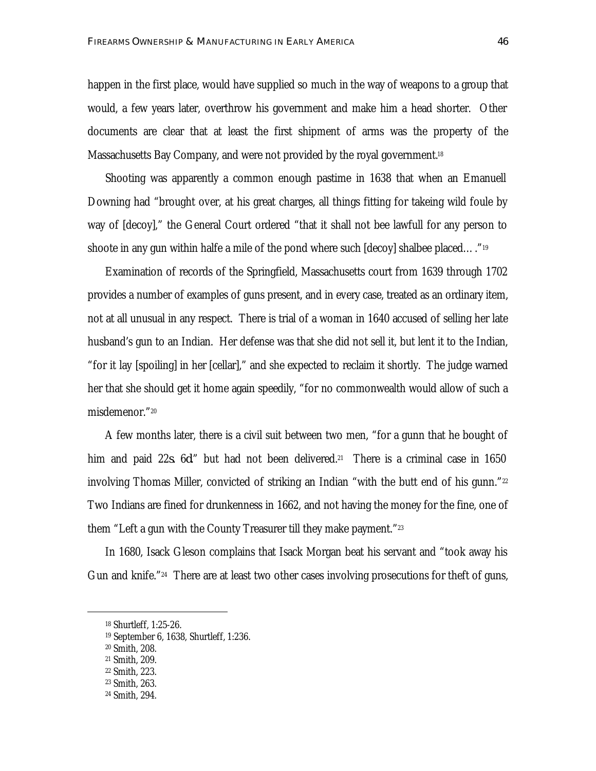happen in the first place, would have supplied so much in the way of weapons to a group that would, a few years later, overthrow his government and make him a head shorter. Other documents are clear that at least the first shipment of arms was the property of the Massachusetts Bay Company, and were not provided by the royal government.<sup>18</sup>

Shooting was apparently a common enough pastime in 1638 that when an Emanuell Downing had "brought over, at his great charges, all things fitting for takeing wild foule by way of [decoy]," the General Court ordered "that it shall not bee lawfull for any person to shoote in any gun within halfe a mile of the pond where such [decoy] shalbee placed…."<sup>19</sup>

Examination of records of the Springfield, Massachusetts court from 1639 through 1702 provides a number of examples of guns present, and in every case, treated as an ordinary item, not at all unusual in any respect. There is trial of a woman in 1640 accused of selling her late husband's gun to an Indian. Her defense was that she did not sell it, but lent it to the Indian, "for it lay [spoiling] in her [cellar]," and she expected to reclaim it shortly. The judge warned her that she should get it home again speedily, "for no commonwealth would allow of such a misdemenor."<sup>20</sup>

A few months later, there is a civil suit between two men, "for a gunn that he bought of him and paid 22*s.* 6*d.*" but had not been delivered.<sup>21</sup> There is a criminal case in 1650 involving Thomas Miller, convicted of striking an Indian "with the butt end of his gunn."<sup>22</sup> Two Indians are fined for drunkenness in 1662, and not having the money for the fine, one of them "Left a gun with the County Treasurer till they make payment."<sup>23</sup>

In 1680, Isack Gleson complains that Isack Morgan beat his servant and "took away his Gun and knife."<sup>24</sup> There are at least two other cases involving prosecutions for theft of guns,

- <sup>20</sup> Smith, 208.
- <sup>21</sup> Smith, 209.

- <sup>22</sup> Smith, 223.
- <sup>23</sup> Smith, 263.
- 24 Smith, 294.

<sup>18</sup> Shurtleff, 1:25-26.

<sup>19</sup> September 6, 1638, Shurtleff, 1:236.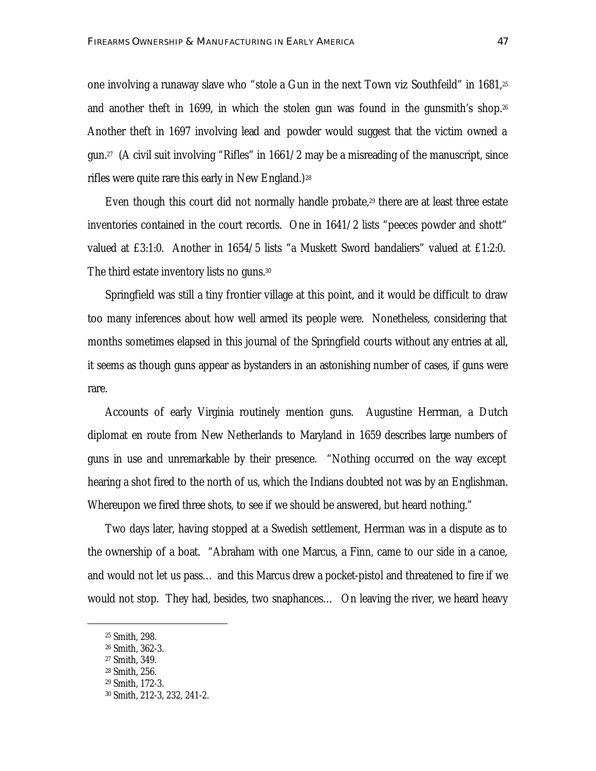one involving a runaway slave who "stole a Gun in the next Town viz Southfeild" in 1681,<sup>25</sup> and another theft in 1699, in which the stolen gun was found in the gunsmith's shop.<sup>26</sup> Another theft in 1697 involving lead and powder would suggest that the victim owned a gun.27 (A civil suit involving "Rifles" in 1661/2 may be a misreading of the manuscript, since rifles were quite rare this early in New England.)<sup>28</sup>

Even though this court did not normally handle probate,<sup>29</sup> there are at least three estate inventories contained in the court records. One in 1641/2 lists "peeces powder and shott" valued at £3:1:0. Another in 1654/5 lists "a Muskett Sword bandaliers" valued at £1:2:0. The third estate inventory lists no guns.<sup>30</sup>

Springfield was still a tiny frontier village at this point, and it would be difficult to draw too many inferences about how well armed its people were. Nonetheless, considering that months sometimes elapsed in this journal of the Springfield courts without any entries at all, it seems as though guns appear as bystanders in an astonishing number of cases, if guns were rare.

Accounts of early Virginia routinely mention guns. Augustine Herrman, a Dutch diplomat en route from New Netherlands to Maryland in 1659 describes large numbers of guns in use and unremarkable by their presence. "Nothing occurred on the way except hearing a shot fired to the north of us, which the Indians doubted not was by an Englishman. Whereupon we fired three shots, to see if we should be answered, but heard nothing."

Two days later, having stopped at a Swedish settlement, Herrman was in a dispute as to the ownership of a boat. "Abraham with one Marcus, a Finn, came to our side in a canoe, and would not let us pass… and this Marcus drew a pocket-pistol and threatened to fire if we would not stop. They had, besides, two snaphances… On leaving the river, we heard heavy

<sup>25</sup> Smith, 298.

<sup>26</sup> Smith, 362-3.

<sup>27</sup> Smith, 349.

<sup>28</sup> Smith, 256.

<sup>29</sup> Smith, 172-3.

<sup>30</sup> Smith, 212-3, 232, 241-2.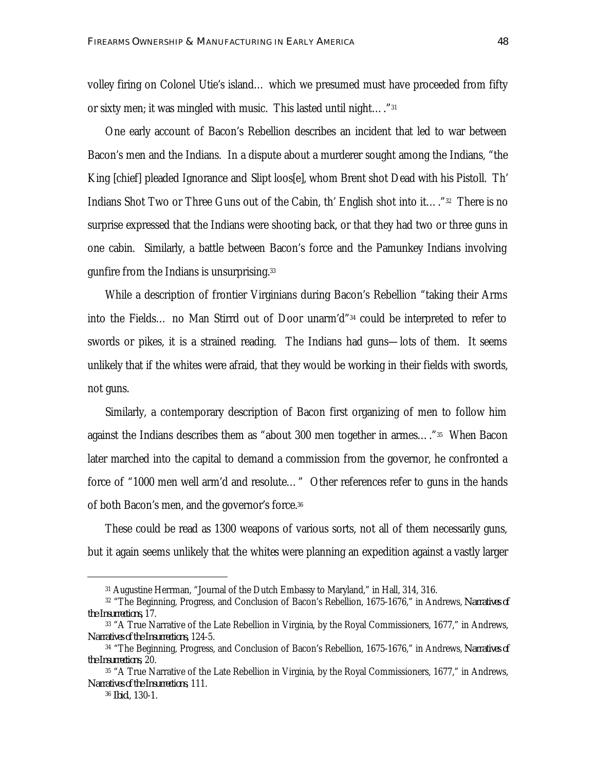volley firing on Colonel Utie's island… which we presumed must have proceeded from fifty or sixty men; it was mingled with music. This lasted until night…."<sup>31</sup>

One early account of Bacon's Rebellion describes an incident that led to war between Bacon's men and the Indians. In a dispute about a murderer sought among the Indians, "the King [chief] pleaded Ignorance and Slipt loos[e], whom Brent shot Dead with his Pistoll. Th' Indians Shot Two or Three Guns out of the Cabin, th' English shot into it…."32 There is no surprise expressed that the Indians were shooting back, or that they had two or three guns in one cabin. Similarly, a battle between Bacon's force and the Pamunkey Indians involving gunfire from the Indians is unsurprising.<sup>33</sup>

While a description of frontier Virginians during Bacon's Rebellion "taking their Arms into the Fields… no Man Stirrd out of Door unarm'd"34 could be interpreted to refer to swords or pikes, it is a strained reading. The Indians had guns—lots of them. It seems unlikely that if the whites were afraid, that they would be working in their fields with swords, not guns.

Similarly, a contemporary description of Bacon first organizing of men to follow him against the Indians describes them as "about 300 men together in armes…."35 When Bacon later marched into the capital to demand a commission from the governor, he confronted a force of "1000 men well arm'd and resolute…" Other references refer to guns in the hands of both Bacon's men, and the governor's force.<sup>36</sup>

These could be read as 1300 weapons of various sorts, not all of them necessarily guns, but it again seems unlikely that the whites were planning an expedition against a vastly larger

<sup>31</sup> Augustine Herrman, "Journal of the Dutch Embassy to Maryland," in Hall, 314, 316.

<sup>32</sup> "The Beginning, Progress, and Conclusion of Bacon's Rebellion, 1675-1676," in Andrews, *Narratives of the Insurrections,* 17.

<sup>33</sup> "A True Narrative of the Late Rebellion in Virginia, by the Royal Commissioners, 1677," in Andrews, *Narratives of the Insurrections,* 124-5.

<sup>34</sup> "The Beginning, Progress, and Conclusion of Bacon's Rebellion, 1675-1676," in Andrews, *Narratives of the Insurrections*, 20.

<sup>35</sup> "A True Narrative of the Late Rebellion in Virginia, by the Royal Commissioners, 1677," in Andrews, *Narratives of the Insurrections*, 111.

<sup>36</sup> *Ibid.*, 130-1.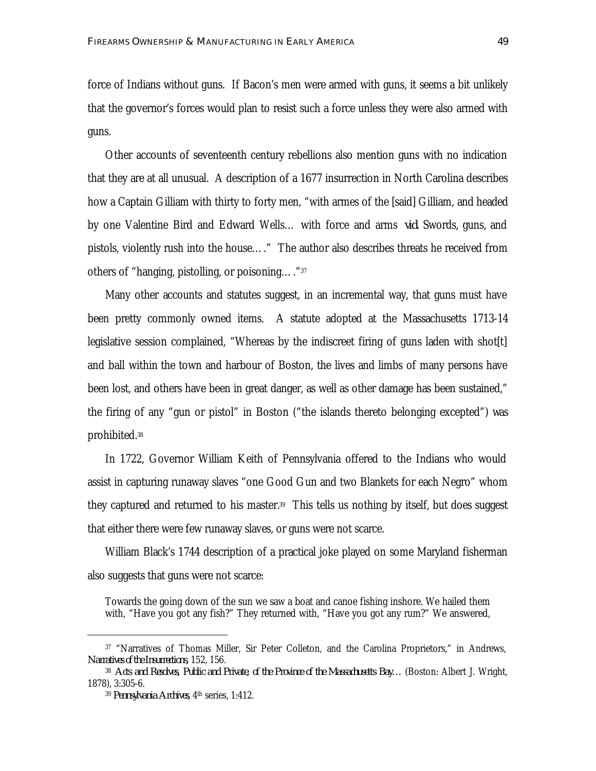force of Indians without guns. If Bacon's men were armed with guns, it seems a bit unlikely that the governor's forces would plan to resist such a force unless they were also armed with guns.

Other accounts of seventeenth century rebellions also mention guns with no indication that they are at all unusual. A description of a 1677 insurrection in North Carolina describes how a Captain Gilliam with thirty to forty men, "with armes of the [said] Gilliam, and headed by one Valentine Bird and Edward Wells… with force and arms *vid.* Swords, guns, and pistols, violently rush into the house…." The author also describes threats he received from others of "hanging, pistolling, or poisoning…."<sup>37</sup>

Many other accounts and statutes suggest, in an incremental way, that guns must have been pretty commonly owned items. A statute adopted at the Massachusetts 1713-14 legislative session complained, "Whereas by the indiscreet firing of guns laden with shot[t] and ball within the town and harbour of Boston, the lives and limbs of many persons have been lost, and others have been in great danger, as well as other damage has been sustained," the firing of any "gun or pistol" in Boston ("the islands thereto belonging excepted") was prohibited.<sup>38</sup>

In 1722, Governor William Keith of Pennsylvania offered to the Indians who would assist in capturing runaway slaves "one Good Gun and two Blankets for each Negro" whom they captured and returned to his master.39 This tells us nothing by itself, but does suggest that either there were few runaway slaves, or guns were not scarce.

William Black's 1744 description of a practical joke played on some Maryland fisherman also suggests that guns were not scarce:

Towards the going down of the sun we saw a boat and canoe fishing inshore. We hailed them with, "Have you got any fish?" They returned with, "Have you got any rum?" We answered,

<sup>&</sup>lt;sup>37</sup> "Narratives of Thomas Miller, Sir Peter Colleton, and the Carolina Proprietors," in Andrews, *Narratives of the Insurrections*, 152, 156.

<sup>38</sup> *Acts and Resolves, Public and Private, of the Province of the Massachusetts Bay…* (Boston: Albert J. Wright, 1878), 3:305-6.

<sup>39</sup> *Pennsylvania Archives*, 4th series, 1:412.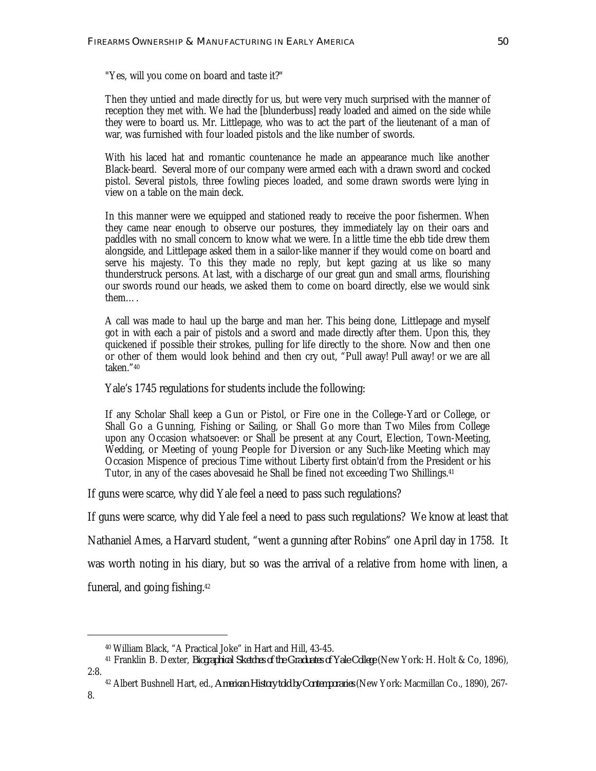"Yes, will you come on board and taste it?"

Then they untied and made directly for us, but were very much surprised with the manner of reception they met with. We had the [blunderbuss] ready loaded and aimed on the side while they were to board us. Mr. Littlepage, who was to act the part of the lieutenant of a man of war, was furnished with four loaded pistols and the like number of swords.

With his laced hat and romantic countenance he made an appearance much like another Black-beard. Several more of our company were armed each with a drawn sword and cocked pistol. Several pistols, three fowling pieces loaded, and some drawn swords were lying in view on a table on the main deck.

In this manner were we equipped and stationed ready to receive the poor fishermen. When they came near enough to observe our postures, they immediately lay on their oars and paddles with no small concern to know what we were. In a little time the ebb tide drew them alongside, and Littlepage asked them in a sailor-like manner if they would come on board and serve his majesty. To this they made no reply, but kept gazing at us like so many thunderstruck persons. At last, with a discharge of our great gun and small arms, flourishing our swords round our heads, we asked them to come on board directly, else we would sink them….

A call was made to haul up the barge and man her. This being done, Littlepage and myself got in with each a pair of pistols and a sword and made directly after them. Upon this, they quickened if possible their strokes, pulling for life directly to the shore. Now and then one or other of them would look behind and then cry out, "Pull away! Pull away! or we are all taken."<sup>40</sup>

Yale's 1745 regulations for students include the following:

If any Scholar Shall keep a Gun or Pistol, or Fire one in the College-Yard or College, or Shall Go a Gunning, Fishing or Sailing, or Shall Go more than Two Miles from College upon any Occasion whatsoever: or Shall be present at any Court, Election, Town-Meeting, Wedding, or Meeting of young People for Diversion or any Such-like Meeting which may Occasion Mispence of precious Time without Liberty first obtain'd from the President or his Tutor, in any of the cases abovesaid he Shall be fined not exceeding Two Shillings.<sup>41</sup>

If guns were scarce, why did Yale feel a need to pass such regulations?

If guns were scarce, why did Yale feel a need to pass such regulations? We know at least that

Nathaniel Ames, a Harvard student, "went a gunning after Robins" one April day in 1758. It

was worth noting in his diary, but so was the arrival of a relative from home with linen, a

funeral, and going fishing.<sup>42</sup>

<sup>40</sup> William Black, "A Practical Joke" in Hart and Hill, 43-45.

<sup>41</sup> Franklin B. Dexter, *Biographical Sketches of the Graduates of Yale College* (New York: H. Holt & Co, 1896), 2:8.

<sup>42</sup> Albert Bushnell Hart, ed., *American History told by Contemporaries* (New York: Macmillan Co., 1890), 267-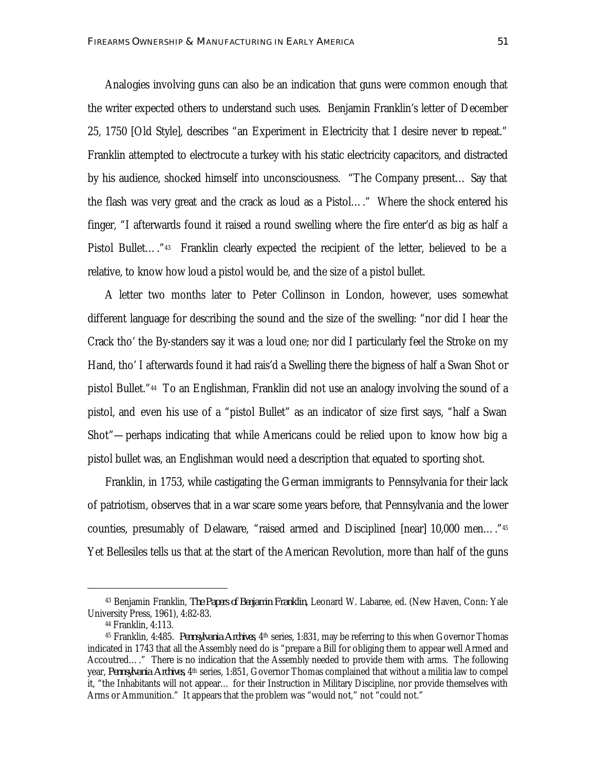Analogies involving guns can also be an indication that guns were common enough that the writer expected others to understand such uses. Benjamin Franklin's letter of December 25, 1750 [Old Style], describes "an Experiment in Electricity that I desire never to repeat." Franklin attempted to electrocute a turkey with his static electricity capacitors, and distracted by his audience, shocked himself into unconsciousness. "The Company present… Say that the flash was very great and the crack as loud as a Pistol…." Where the shock entered his finger, "I afterwards found it raised a round swelling where the fire enter'd as big as half a Pistol Bullet…."43 Franklin clearly expected the recipient of the letter, believed to be a relative, to know how loud a pistol would be, and the size of a pistol bullet.

A letter two months later to Peter Collinson in London, however, uses somewhat different language for describing the sound and the size of the swelling: "nor did I hear the Crack tho' the By-standers say it was a loud one; nor did I particularly feel the Stroke on my Hand, tho' I afterwards found it had rais'd a Swelling there the bigness of half a Swan Shot or pistol Bullet."44 To an Englishman, Franklin did not use an analogy involving the sound of a pistol, and even his use of a "pistol Bullet" as an indicator of size first says, "half a Swan Shot"—perhaps indicating that while Americans could be relied upon to know how big a pistol bullet was, an Englishman would need a description that equated to sporting shot.

Franklin, in 1753, while castigating the German immigrants to Pennsylvania for their lack of patriotism, observes that in a war scare some years before, that Pennsylvania and the lower counties, presumably of Delaware, "raised armed and Disciplined [near] 10,000 men…."<sup>45</sup> Yet Bellesiles tells us that at the start of the American Revolution, more than half of the guns

<sup>43</sup> Benjamin Franklin, *The Papers of Benjamin Franklin,* Leonard W. Labaree, ed. (New Haven, Conn: Yale University Press, 1961), 4:82-83.

<sup>44</sup> Franklin, 4:113.

<sup>45</sup> Franklin, 4:485. *Pennsylvania Archives*, 4th series, 1:831, may be referring to this when Governor Thomas indicated in 1743 that all the Assembly need do is "prepare a Bill for obliging them to appear well Armed and Accoutred…." There is no indication that the Assembly needed to provide them with arms. The following year, *Pennsylvania Archives,* 4<sup>th</sup> series, 1:851, Governor Thomas complained that without a militia law to compel it, "the Inhabitants will not appear… for their Instruction in Military Discipline, nor provide themselves with Arms or Ammunition." It appears that the problem was "would not," not "could not."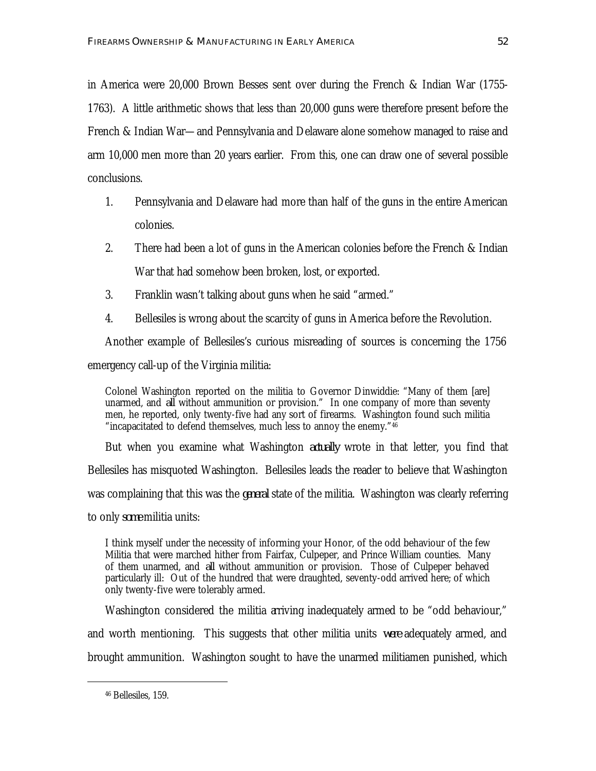in America were 20,000 Brown Besses sent over during the French & Indian War (1755- 1763). A little arithmetic shows that less than 20,000 guns were therefore present before the French & Indian War—and Pennsylvania and Delaware alone somehow managed to raise and arm 10,000 men more than 20 years earlier. From this, one can draw one of several possible conclusions.

- 1. Pennsylvania and Delaware had more than half of the guns in the entire American colonies.
- 2. There had been a lot of guns in the American colonies before the French & Indian War that had somehow been broken, lost, or exported.
- 3. Franklin wasn't talking about guns when he said "armed."
- 4. Bellesiles is wrong about the scarcity of guns in America before the Revolution.

Another example of Bellesiles's curious misreading of sources is concerning the 1756

emergency call-up of the Virginia militia:

Colonel Washington reported on the militia to Governor Dinwiddie: "Many of them [are] unarmed, and *all* without ammunition or provision." In one company of more than seventy men, he reported, only twenty-five had any sort of firearms. Washington found such militia "incapacitated to defend themselves, much less to annoy the enemy."<sup>46</sup>

But when you examine what Washington *actually* wrote in that letter, you find that Bellesiles has misquoted Washington. Bellesiles leads the reader to believe that Washington was complaining that this was the *general* state of the militia. Washington was clearly referring to only *some* militia units:

I think myself under the necessity of informing your Honor, of the odd behaviour of the few Militia that were marched hither from Fairfax, Culpeper, and Prince William counties. Many of them unarmed, and *all* without ammunition or provision. Those of Culpeper behaved particularly ill: Out of the hundred that were draughted, seventy-odd arrived here; of which only twenty-five were tolerably armed.

Washington considered the militia arriving inadequately armed to be "odd behaviour," and worth mentioning. This suggests that other militia units *were* adequately armed, and brought ammunition. Washington sought to have the unarmed militiamen punished, which

<sup>46</sup> Bellesiles, 159.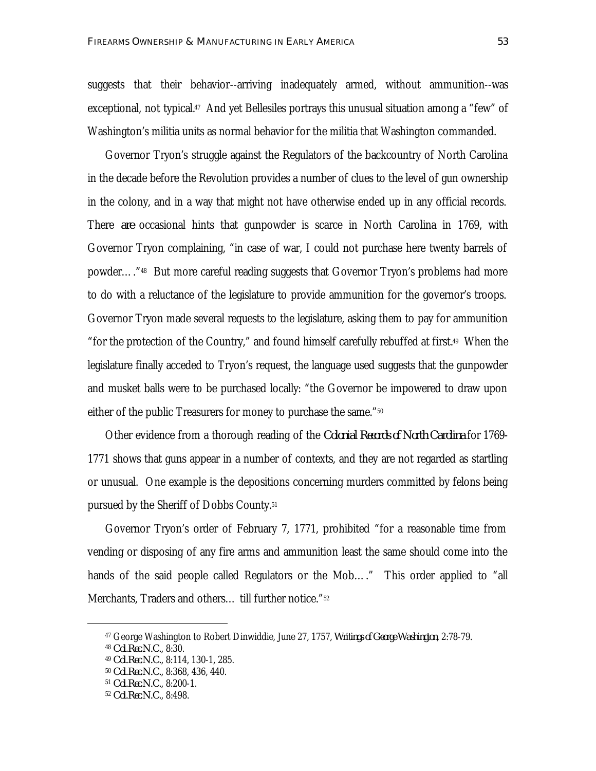suggests that their behavior--arriving inadequately armed, without ammunition--was exceptional, not typical.<sup>47</sup> And yet Bellesiles portrays this unusual situation among a "few" of Washington's militia units as normal behavior for the militia that Washington commanded.

Governor Tryon's struggle against the Regulators of the backcountry of North Carolina in the decade before the Revolution provides a number of clues to the level of gun ownership in the colony, and in a way that might not have otherwise ended up in any official records. There *are* occasional hints that gunpowder is scarce in North Carolina in 1769, with Governor Tryon complaining, "in case of war, I could not purchase here twenty barrels of powder…."48 But more careful reading suggests that Governor Tryon's problems had more to do with a reluctance of the legislature to provide ammunition for the governor's troops. Governor Tryon made several requests to the legislature, asking them to pay for ammunition "for the protection of the Country," and found himself carefully rebuffed at first.49 When the legislature finally acceded to Tryon's request, the language used suggests that the gunpowder and musket balls were to be purchased locally: "the Governor be impowered to draw upon either of the public Treasurers for money to purchase the same."<sup>50</sup>

Other evidence from a thorough reading of the *Colonial Records of North Carolina* for 1769- 1771 shows that guns appear in a number of contexts, and they are not regarded as startling or unusual. One example is the depositions concerning murders committed by felons being pursued by the Sheriff of Dobbs County.<sup>51</sup>

Governor Tryon's order of February 7, 1771, prohibited "for a reasonable time from vending or disposing of any fire arms and ammunition least the same should come into the hands of the said people called Regulators or the Mob...." This order applied to "all Merchants, Traders and others… till further notice."<sup>52</sup>

<sup>47</sup> George Washington to Robert Dinwiddie, June 27, 1757, *Writings of George Washington*, 2:78-79.

<sup>48</sup> *Col.Rec.N.C.*, 8:30.

<sup>49</sup> *Col.Rec.N.C.*, 8:114, 130-1, 285.

<sup>50</sup> *Col.Rec.N.C.*, 8:368, 436, 440.

<sup>51</sup> *Col.Rec.N.C.*, 8:200-1.

<sup>52</sup> *Col.Rec.N.C.*, 8:498.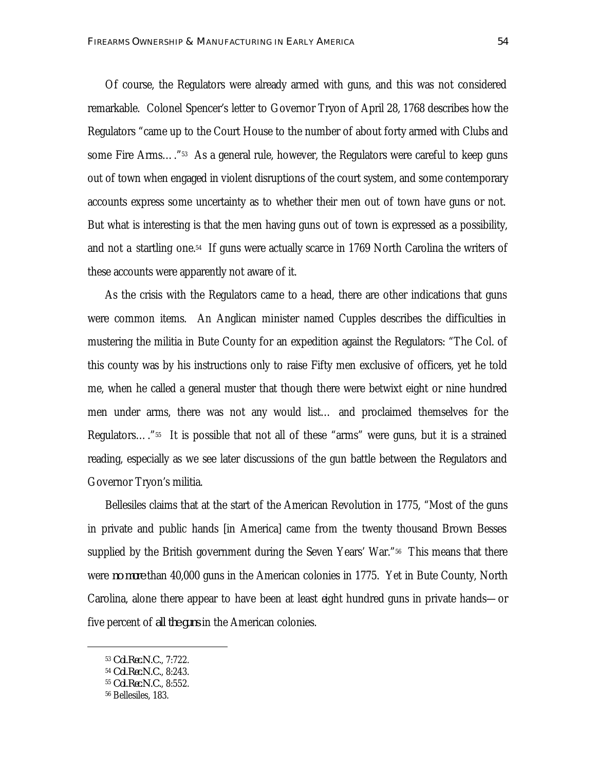Of course, the Regulators were already armed with guns, and this was not considered remarkable. Colonel Spencer's letter to Governor Tryon of April 28, 1768 describes how the Regulators "came up to the Court House to the number of about forty armed with Clubs and some Fire Arms…."53 As a general rule, however, the Regulators were careful to keep guns out of town when engaged in violent disruptions of the court system, and some contemporary accounts express some uncertainty as to whether their men out of town have guns or not. But what is interesting is that the men having guns out of town is expressed as a possibility, and not a startling one.54 If guns were actually scarce in 1769 North Carolina the writers of these accounts were apparently not aware of it.

As the crisis with the Regulators came to a head, there are other indications that guns were common items. An Anglican minister named Cupples describes the difficulties in mustering the militia in Bute County for an expedition against the Regulators: "The Col. of this county was by his instructions only to raise Fifty men exclusive of officers, yet he told me, when he called a general muster that though there were betwixt eight or nine hundred men under arms, there was not any would list… and proclaimed themselves for the Regulators…."55 It is possible that not all of these "arms" were guns, but it is a strained reading, especially as we see later discussions of the gun battle between the Regulators and Governor Tryon's militia.

Bellesiles claims that at the start of the American Revolution in 1775, "Most of the guns in private and public hands [in America] came from the twenty thousand Brown Besses supplied by the British government during the Seven Years' War."56 This means that there were *no more* than 40,000 guns in the American colonies in 1775. Yet in Bute County, North Carolina, alone there appear to have been at least eight hundred guns in private hands—or five percent of *all the guns* in the American colonies.

<sup>53</sup> *Col.Rec.N.C.*, 7:722.

<sup>54</sup> *Col.Rec.N.C.*, 8:243.

<sup>55</sup> *Col.Rec.N.C.*, 8:552.

<sup>56</sup> Bellesiles, 183.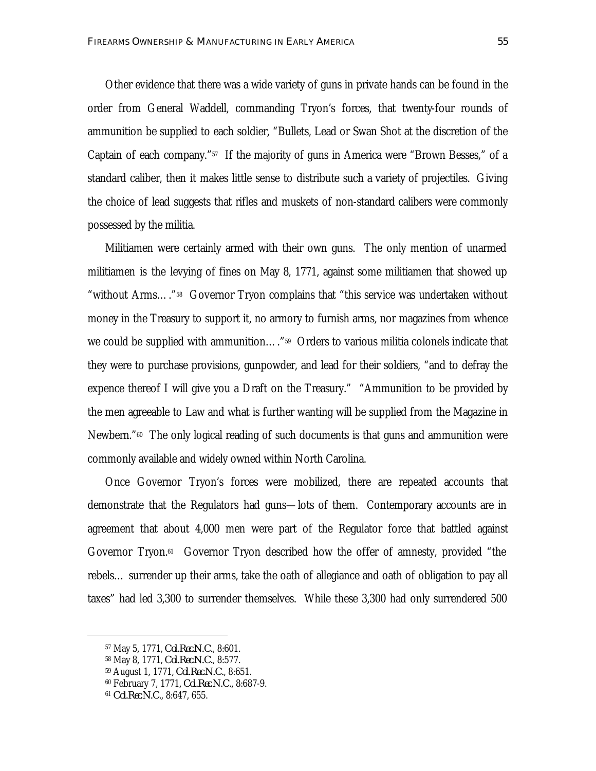Other evidence that there was a wide variety of guns in private hands can be found in the order from General Waddell, commanding Tryon's forces, that twenty-four rounds of ammunition be supplied to each soldier, "Bullets, Lead or Swan Shot at the discretion of the Captain of each company."57 If the majority of guns in America were "Brown Besses," of a standard caliber, then it makes little sense to distribute such a variety of projectiles. Giving the choice of lead suggests that rifles and muskets of non-standard calibers were commonly possessed by the militia.

Militiamen were certainly armed with their own guns. The only mention of unarmed militiamen is the levying of fines on May 8, 1771, against some militiamen that showed up "without Arms…."58 Governor Tryon complains that "this service was undertaken without money in the Treasury to support it, no armory to furnish arms, nor magazines from whence we could be supplied with ammunition...."<sup>59</sup> Orders to various militia colonels indicate that they were to purchase provisions, gunpowder, and lead for their soldiers, "and to defray the expence thereof I will give you a Draft on the Treasury." "Ammunition to be provided by the men agreeable to Law and what is further wanting will be supplied from the Magazine in Newbern."60 The only logical reading of such documents is that guns and ammunition were commonly available and widely owned within North Carolina.

Once Governor Tryon's forces were mobilized, there are repeated accounts that demonstrate that the Regulators had guns—lots of them. Contemporary accounts are in agreement that about 4,000 men were part of the Regulator force that battled against Governor Tryon.61 Governor Tryon described how the offer of amnesty, provided "the rebels… surrender up their arms, take the oath of allegiance and oath of obligation to pay all taxes" had led 3,300 to surrender themselves. While these 3,300 had only surrendered 500

<sup>57</sup> May 5, 1771, *Col.Rec.N.C.*, 8:601.

<sup>58</sup> May 8, 1771, *Col.Rec.N.C.*, 8:577.

<sup>59</sup> August 1, 1771, *Col.Rec.N.C.*, 8:651.

<sup>60</sup> February 7, 1771, *Col.Rec.N.C.*, 8:687-9.

<sup>61</sup> *Col.Rec.N.C.*, 8:647, 655.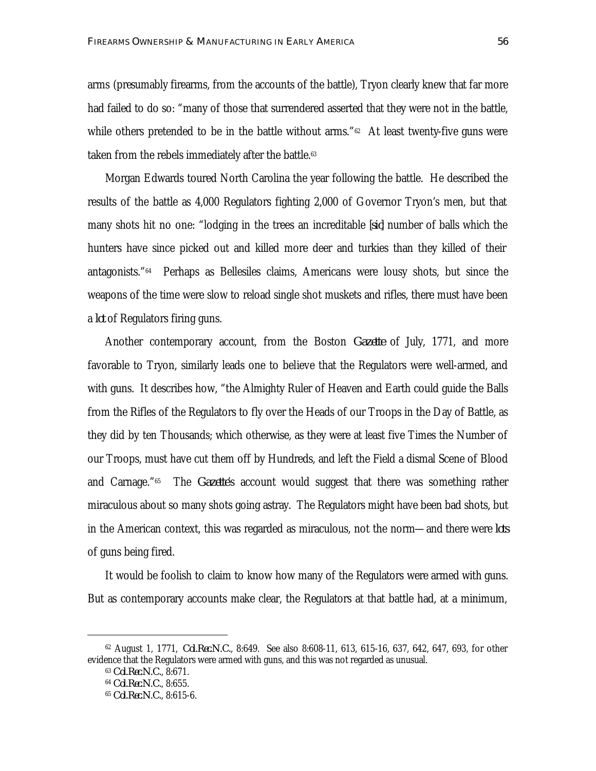arms (presumably firearms, from the accounts of the battle), Tryon clearly knew that far more had failed to do so: "many of those that surrendered asserted that they were not in the battle, while others pretended to be in the battle without arms."<sup>62</sup> At least twenty-five guns were taken from the rebels immediately after the battle.<sup>63</sup>

Morgan Edwards toured North Carolina the year following the battle. He described the results of the battle as 4,000 Regulators fighting 2,000 of Governor Tryon's men, but that many shots hit no one: "lodging in the trees an increditable [*sic*] number of balls which the hunters have since picked out and killed more deer and turkies than they killed of their antagonists."64 Perhaps as Bellesiles claims, Americans were lousy shots, but since the weapons of the time were slow to reload single shot muskets and rifles, there must have been a *lot* of Regulators firing guns.

Another contemporary account, from the Boston *Gazette* of July, 1771, and more favorable to Tryon, similarly leads one to believe that the Regulators were well-armed, and with guns. It describes how, "the Almighty Ruler of Heaven and Earth could guide the Balls from the Rifles of the Regulators to fly over the Heads of our Troops in the Day of Battle, as they did by ten Thousands; which otherwise, as they were at least five Times the Number of our Troops, must have cut them off by Hundreds, and left the Field a dismal Scene of Blood and Carnage."65 The *Gazette*'s account would suggest that there was something rather miraculous about so many shots going astray. The Regulators might have been bad shots, but in the American context, this was regarded as miraculous, not the norm—and there were *lots* of guns being fired.

It would be foolish to claim to know how many of the Regulators were armed with guns. But as contemporary accounts make clear, the Regulators at that battle had, at a minimum,

<sup>62</sup> August 1, 1771, *Col.Rec.N.C.*, 8:649. See also 8:608-11, 613, 615-16, 637, 642, 647, 693, for other evidence that the Regulators were armed with guns, and this was not regarded as unusual.

<sup>63</sup> *Col.Rec.N.C.*, 8:671.

<sup>64</sup> *Col.Rec.N.C.*, 8:655.

<sup>65</sup> *Col.Rec.N.C.*, 8:615-6.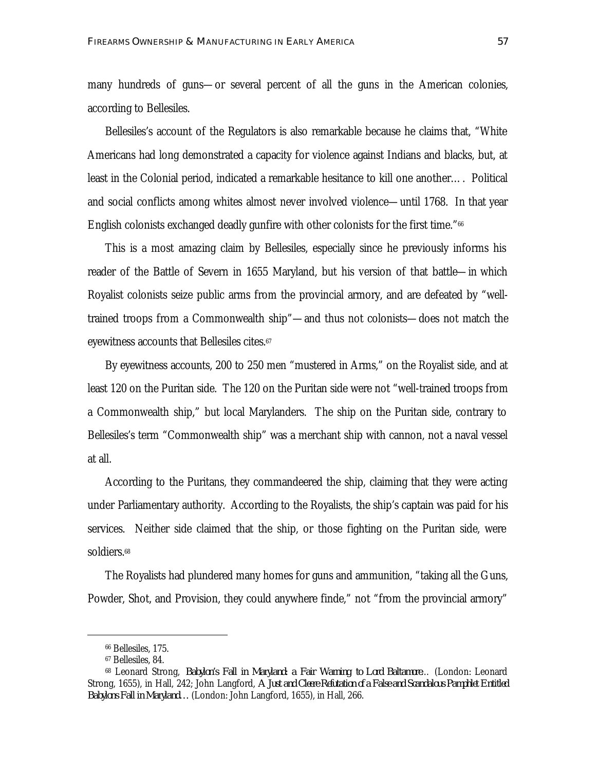many hundreds of guns—or several percent of all the guns in the American colonies, according to Bellesiles.

Bellesiles's account of the Regulators is also remarkable because he claims that, "White Americans had long demonstrated a capacity for violence against Indians and blacks, but, at least in the Colonial period, indicated a remarkable hesitance to kill one another…. Political and social conflicts among whites almost never involved violence—until 1768. In that year English colonists exchanged deadly gunfire with other colonists for the first time."<sup>66</sup>

This is a most amazing claim by Bellesiles, especially since he previously informs his reader of the Battle of Severn in 1655 Maryland, but his version of that battle—in which Royalist colonists seize public arms from the provincial armory, and are defeated by "welltrained troops from a Commonwealth ship"—and thus not colonists—does not match the eyewitness accounts that Bellesiles cites.<sup>67</sup>

By eyewitness accounts, 200 to 250 men "mustered in Arms," on the Royalist side, and at least 120 on the Puritan side. The 120 on the Puritan side were not "well-trained troops from a Commonwealth ship," but local Marylanders. The ship on the Puritan side, contrary to Bellesiles's term "Commonwealth ship" was a merchant ship with cannon, not a naval vessel at all.

According to the Puritans, they commandeered the ship, claiming that they were acting under Parliamentary authority. According to the Royalists, the ship's captain was paid for his services. Neither side claimed that the ship, or those fighting on the Puritan side, were soldiers.<sup>68</sup>

The Royalists had plundered many homes for guns and ammunition, "taking all the Guns, Powder, Shot, and Provision, they could anywhere finde," not "from the provincial armory"

<sup>66</sup> Bellesiles, 175.

<sup>67</sup> Bellesiles, 84.

<sup>68</sup> Leonard Strong, *Babylon's Fall in Maryland: a Fair Warning to Lord Baltamore*… (London: Leonard Strong, 1655), in Hall, 242; John Langford, *A Just and Cleere Refutation of a False and Scandalous Pamphlet Entitled Babylons Fall in Maryland…* (London: John Langford, 1655), in Hall, 266.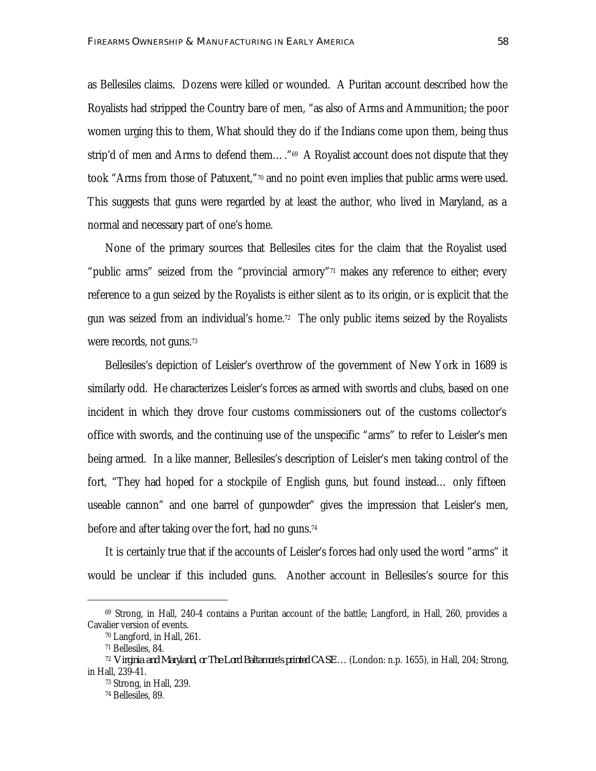as Bellesiles claims. Dozens were killed or wounded. A Puritan account described how the Royalists had stripped the Country bare of men, "as also of Arms and Ammunition; the poor women urging this to them, What should they do if the Indians come upon them, being thus strip'd of men and Arms to defend them...."<sup>69</sup> A Royalist account does not dispute that they took "Arms from those of Patuxent,"70 and no point even implies that public arms were used. This suggests that guns were regarded by at least the author, who lived in Maryland, as a normal and necessary part of one's home.

None of the primary sources that Bellesiles cites for the claim that the Royalist used "public arms" seized from the "provincial armory"<sup>71</sup> makes any reference to either; every reference to a gun seized by the Royalists is either silent as to its origin, or is explicit that the gun was seized from an individual's home.72 The only public items seized by the Royalists were records, not guns.<sup>73</sup>

Bellesiles's depiction of Leisler's overthrow of the government of New York in 1689 is similarly odd. He characterizes Leisler's forces as armed with swords and clubs, based on one incident in which they drove four customs commissioners out of the customs collector's office with swords, and the continuing use of the unspecific "arms" to refer to Leisler's men being armed. In a like manner, Bellesiles's description of Leisler's men taking control of the fort, "They had hoped for a stockpile of English guns, but found instead… only fifteen useable cannon" and one barrel of gunpowder" gives the impression that Leisler's men, before and after taking over the fort, had no guns.<sup>74</sup>

It is certainly true that if the accounts of Leisler's forces had only used the word "arms" it would be unclear if this included guns. Another account in Bellesiles's source for this

<sup>69</sup> Strong, in Hall, 240-4 contains a Puritan account of the battle; Langford, in Hall, 260, provides a Cavalier version of events.

<sup>70</sup> Langford, in Hall, 261.

<sup>71</sup> Bellesiles, 84.

<sup>72</sup> *Virginia and Maryland, or The Lord Baltamore's printed CASE…* (London: n.p. 1655), in Hall, 204; Strong, in Hall, 239-41.

<sup>73</sup> Strong, in Hall, 239.

<sup>74</sup> Bellesiles, 89.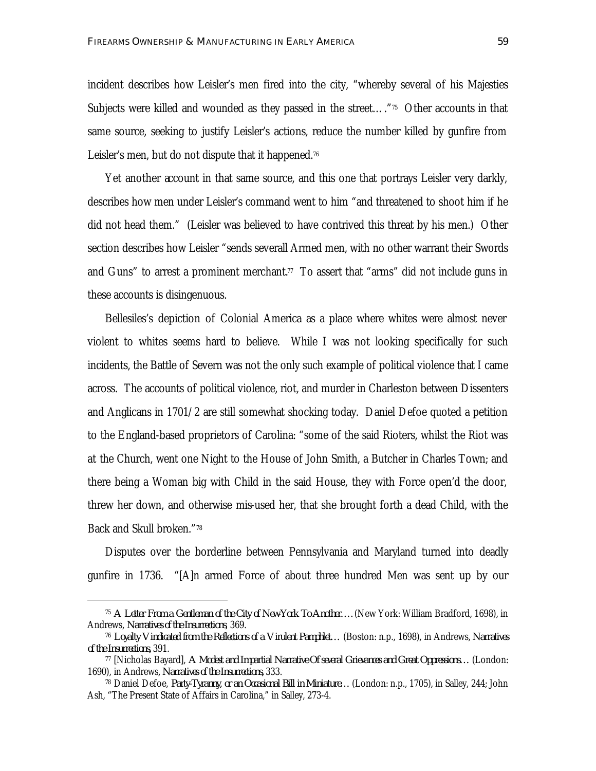incident describes how Leisler's men fired into the city, "whereby several of his Majesties Subjects were killed and wounded as they passed in the street…."75 Other accounts in that same source, seeking to justify Leisler's actions, reduce the number killed by gunfire from Leisler's men, but do not dispute that it happened.<sup>76</sup>

Yet another account in that same source, and this one that portrays Leisler very darkly, describes how men under Leisler's command went to him "and threatened to shoot him if he did not head them." (Leisler was believed to have contrived this threat by his men.) Other section describes how Leisler "sends severall Armed men, with no other warrant their Swords and Guns" to arrest a prominent merchant.<sup>77</sup> To assert that "arms" did not include guns in these accounts is disingenuous.

Bellesiles's depiction of Colonial America as a place where whites were almost never violent to whites seems hard to believe. While I was not looking specifically for such incidents, the Battle of Severn was not the only such example of political violence that I came across. The accounts of political violence, riot, and murder in Charleston between Dissenters and Anglicans in 1701/2 are still somewhat shocking today. Daniel Defoe quoted a petition to the England-based proprietors of Carolina: "some of the said Rioters, whilst the Riot was at the Church, went one Night to the House of John Smith, a Butcher in Charles Town; and there being a Woman big with Child in the said House, they with Force open'd the door, threw her down, and otherwise mis-used her, that she brought forth a dead Child, with the Back and Skull broken."<sup>78</sup>

Disputes over the borderline between Pennsylvania and Maryland turned into deadly gunfire in 1736. "[A]n armed Force of about three hundred Men was sent up by our

<sup>75</sup> *A Letter From a Gentleman of the City of New-York To Another….* (New York: William Bradford, 1698), in Andrews, *Narratives of the Insurrections*, 369.

<sup>76</sup> *Loyalty Vindicated from the Reflections of a Virulent Pamphlet…* (Boston: n.p., 1698), in Andrews, *Narratives of the Insurrections,* 391.

<sup>77</sup> [Nicholas Bayard], *A Modest and Impartial Narrative Of several Grievances and Great Oppressions…* (London: 1690), in Andrews, *Narratives of the Insurrections,* 333.

<sup>78</sup> Daniel Defoe, *Party-Tyranny, or an Occasional Bill in Miniature…* (London: n.p., 1705), in Salley, 244; John Ash, "The Present State of Affairs in Carolina," in Salley, 273-4.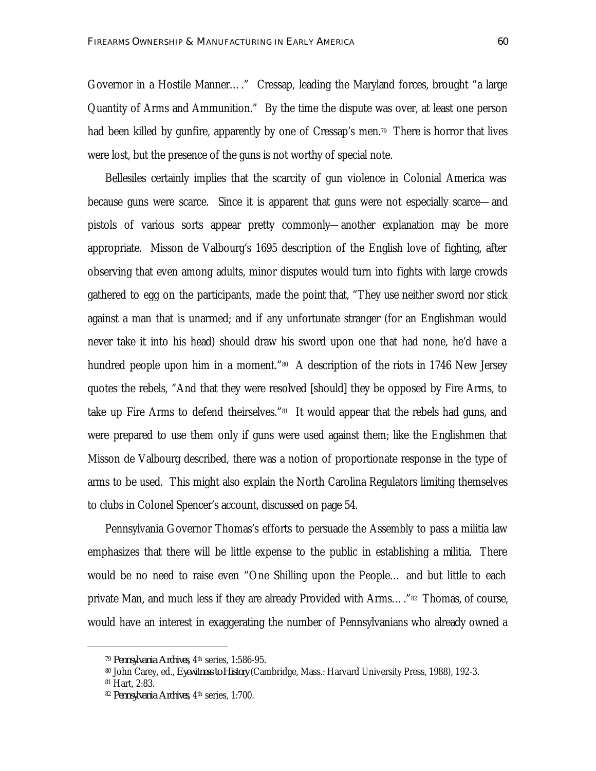Governor in a Hostile Manner…." Cressap, leading the Maryland forces, brought "a large Quantity of Arms and Ammunition." By the time the dispute was over, at least one person had been killed by gunfire, apparently by one of Cressap's men.<sup>79</sup> There is horror that lives were lost, but the presence of the guns is not worthy of special note.

Bellesiles certainly implies that the scarcity of gun violence in Colonial America was because guns were scarce. Since it is apparent that guns were not especially scarce—and pistols of various sorts appear pretty commonly—another explanation may be more appropriate. Misson de Valbourg's 1695 description of the English love of fighting, after observing that even among adults, minor disputes would turn into fights with large crowds gathered to egg on the participants, made the point that, "They use neither sword nor stick against a man that is unarmed; and if any unfortunate stranger (for an Englishman would never take it into his head) should draw his sword upon one that had none, he'd have a hundred people upon him in a moment."<sup>80</sup> A description of the riots in 1746 New Jersey quotes the rebels, "And that they were resolved [should] they be opposed by Fire Arms, to take up Fire Arms to defend theirselves."81 It would appear that the rebels had guns, and were prepared to use them only if guns were used against them; like the Englishmen that Misson de Valbourg described, there was a notion of proportionate response in the type of arms to be used. This might also explain the North Carolina Regulators limiting themselves to clubs in Colonel Spencer's account, discussed on page 54.

Pennsylvania Governor Thomas's efforts to persuade the Assembly to pass a militia law emphasizes that there will be little expense to the public in establishing a militia. There would be no need to raise even "One Shilling upon the People… and but little to each private Man, and much less if they are already Provided with Arms…."82 Thomas, of course, would have an interest in exaggerating the number of Pennsylvanians who already owned a

<sup>79</sup> *Pennsylvania Archives*, 4th series, 1:586-95.

<sup>80</sup> John Carey, ed., *Eyewitness to History* (Cambridge, Mass.: Harvard University Press, 1988), 192-3.

<sup>81</sup> Hart, 2:83.

<sup>82</sup> *Pennsylvania Archives*, 4th series, 1:700.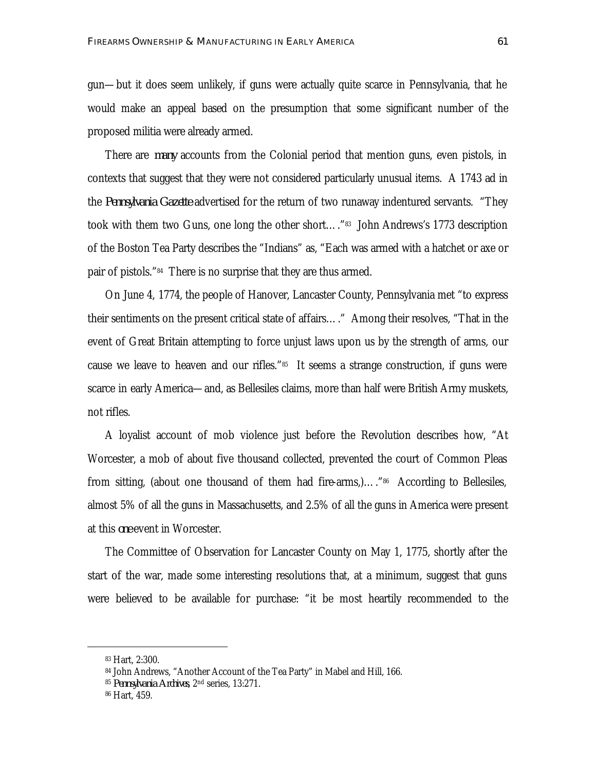gun—but it does seem unlikely, if guns were actually quite scarce in Pennsylvania, that he would make an appeal based on the presumption that some significant number of the proposed militia were already armed.

There are *many* accounts from the Colonial period that mention guns, even pistols, in contexts that suggest that they were not considered particularly unusual items. A 1743 ad in the *Pennsylvania Gazette* advertised for the return of two runaway indentured servants. "They took with them two Guns, one long the other short...."<sup>83</sup> John Andrews's 1773 description of the Boston Tea Party describes the "Indians" as, "Each was armed with a hatchet or axe or pair of pistols."84 There is no surprise that they are thus armed.

On June 4, 1774, the people of Hanover, Lancaster County, Pennsylvania met "to express their sentiments on the present critical state of affairs…." Among their resolves, "That in the event of Great Britain attempting to force unjust laws upon us by the strength of arms, our cause we leave to heaven and our rifles."85 It seems a strange construction, if guns were scarce in early America—and, as Bellesiles claims, more than half were British Army muskets, not rifles.

A loyalist account of mob violence just before the Revolution describes how, "At Worcester, a mob of about five thousand collected, prevented the court of Common Pleas from sitting, (about one thousand of them had fire-arms,)…."86 According to Bellesiles, almost 5% of all the guns in Massachusetts, and 2.5% of all the guns in America were present at this *one* event in Worcester.

The Committee of Observation for Lancaster County on May 1, 1775, shortly after the start of the war, made some interesting resolutions that, at a minimum, suggest that guns were believed to be available for purchase: "it be most heartily recommended to the

<sup>83</sup> Hart, 2:300.

<sup>84</sup> John Andrews, "Another Account of the Tea Party" in Mabel and Hill, 166.

<sup>85</sup> *Pennsylvania Archives*, 2nd series, 13:271.

<sup>86</sup> Hart, 459.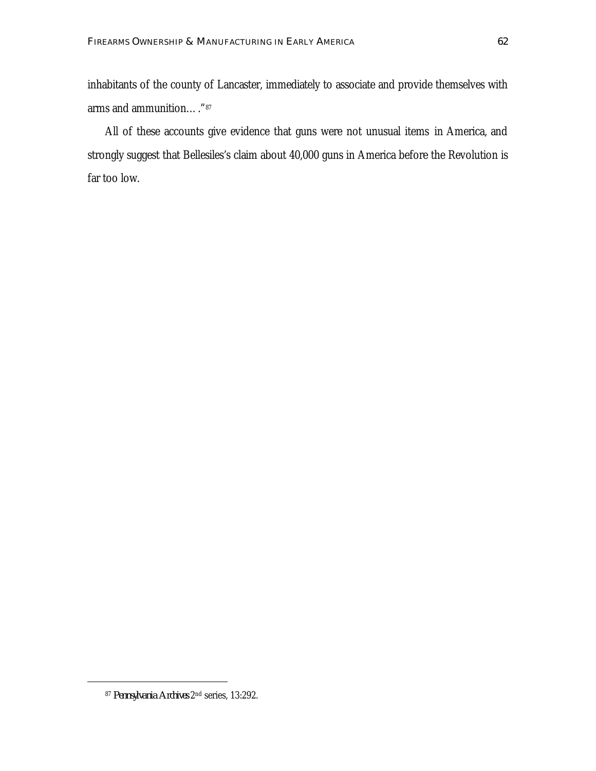inhabitants of the county of Lancaster, immediately to associate and provide themselves with arms and ammunition…."<sup>87</sup>

All of these accounts give evidence that guns were not unusual items in America, and strongly suggest that Bellesiles's claim about 40,000 guns in America before the Revolution is far too low.

<sup>87</sup> *Pennsylvania Archives* 2 nd series, 13:292.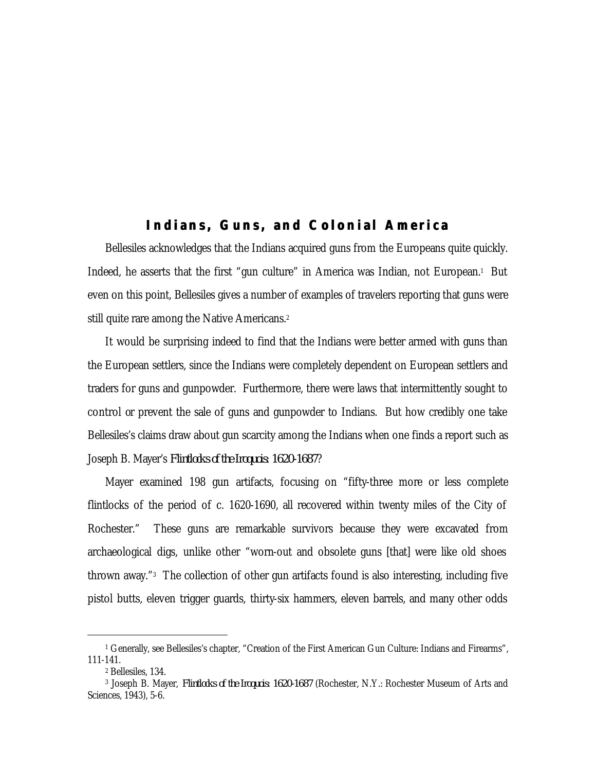## **Indians, Guns, and Colonial America**

Bellesiles acknowledges that the Indians acquired guns from the Europeans quite quickly. Indeed, he asserts that the first "gun culture" in America was Indian, not European.<sup>1</sup> But even on this point, Bellesiles gives a number of examples of travelers reporting that guns were still quite rare among the Native Americans.<sup>2</sup>

It would be surprising indeed to find that the Indians were better armed with guns than the European settlers, since the Indians were completely dependent on European settlers and traders for guns and gunpowder. Furthermore, there were laws that intermittently sought to control or prevent the sale of guns and gunpowder to Indians. But how credibly one take Bellesiles's claims draw about gun scarcity among the Indians when one finds a report such as Joseph B. Mayer's *Flintlocks of the Iroquois: 1620-1687*?

Mayer examined 198 gun artifacts, focusing on "fifty-three more or less complete flintlocks of the period of c. 1620-1690, all recovered within twenty miles of the City of Rochester." These guns are remarkable survivors because they were excavated from archaeological digs, unlike other "worn-out and obsolete guns [that] were like old shoes thrown away."<sup>3</sup> The collection of other gun artifacts found is also interesting, including five pistol butts, eleven trigger guards, thirty-six hammers, eleven barrels, and many other odds

<sup>1</sup> Generally, see Bellesiles's chapter, "Creation of the First American Gun Culture: Indians and Firearms", 111-141.

<sup>2</sup> Bellesiles, 134.

<sup>3</sup> Joseph B. Mayer, *Flintlocks of the Iroquois: 1620-1687* (Rochester, N.Y.: Rochester Museum of Arts and Sciences, 1943), 5-6.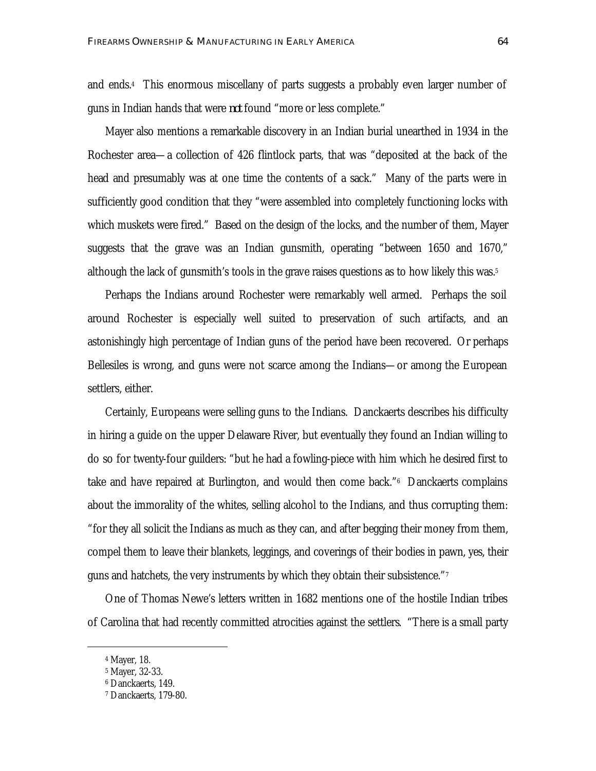and ends.<sup>4</sup> This enormous miscellany of parts suggests a probably even larger number of guns in Indian hands that were *not* found "more or less complete."

Mayer also mentions a remarkable discovery in an Indian burial unearthed in 1934 in the Rochester area—a collection of 426 flintlock parts, that was "deposited at the back of the head and presumably was at one time the contents of a sack." Many of the parts were in sufficiently good condition that they "were assembled into completely functioning locks with which muskets were fired." Based on the design of the locks, and the number of them, Mayer suggests that the grave was an Indian gunsmith, operating "between 1650 and 1670," although the lack of gunsmith's tools in the grave raises questions as to how likely this was.<sup>5</sup>

Perhaps the Indians around Rochester were remarkably well armed. Perhaps the soil around Rochester is especially well suited to preservation of such artifacts, and an astonishingly high percentage of Indian guns of the period have been recovered. Or perhaps Bellesiles is wrong, and guns were not scarce among the Indians—or among the European settlers, either.

Certainly, Europeans were selling guns to the Indians. Danckaerts describes his difficulty in hiring a guide on the upper Delaware River, but eventually they found an Indian willing to do so for twenty-four guilders: "but he had a fowling-piece with him which he desired first to take and have repaired at Burlington, and would then come back."<sup>6</sup> Danckaerts complains about the immorality of the whites, selling alcohol to the Indians, and thus corrupting them: "for they all solicit the Indians as much as they can, and after begging their money from them, compel them to leave their blankets, leggings, and coverings of their bodies in pawn, yes, their guns and hatchets, the very instruments by which they obtain their subsistence."7

One of Thomas Newe's letters written in 1682 mentions one of the hostile Indian tribes of Carolina that had recently committed atrocities against the settlers. "There is a small party

<sup>4</sup> Mayer, 18.

<sup>5</sup> Mayer, 32-33.

<sup>6</sup> Danckaerts, 149.

<sup>7</sup> Danckaerts, 179-80.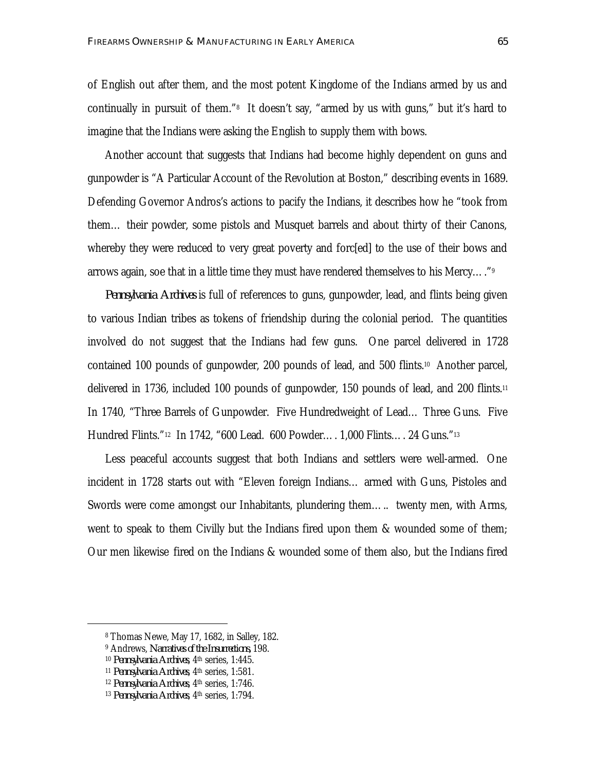of English out after them, and the most potent Kingdome of the Indians armed by us and continually in pursuit of them."<sup>8</sup> It doesn't say, "armed by us with guns," but it's hard to imagine that the Indians were asking the English to supply them with bows.

Another account that suggests that Indians had become highly dependent on guns and gunpowder is "A Particular Account of the Revolution at Boston," describing events in 1689. Defending Governor Andros's actions to pacify the Indians, it describes how he "took from them… their powder, some pistols and Musquet barrels and about thirty of their Canons, whereby they were reduced to very great poverty and forc[ed] to the use of their bows and arrows again, soe that in a little time they must have rendered themselves to his Mercy…."<sup>9</sup>

*Pennsylvania Archives* is full of references to guns, gunpowder, lead, and flints being given to various Indian tribes as tokens of friendship during the colonial period. The quantities involved do not suggest that the Indians had few guns. One parcel delivered in 1728 contained 100 pounds of gunpowder, 200 pounds of lead, and 500 flints.10 Another parcel, delivered in 1736, included 100 pounds of gunpowder, 150 pounds of lead, and 200 flints.<sup>11</sup> In 1740, "Three Barrels of Gunpowder. Five Hundredweight of Lead… Three Guns. Five Hundred Flints."12 In 1742, "600 Lead. 600 Powder…. 1,000 Flints…. 24 Guns."<sup>13</sup>

Less peaceful accounts suggest that both Indians and settlers were well-armed. One incident in 1728 starts out with "Eleven foreign Indians… armed with Guns, Pistoles and Swords were come amongst our Inhabitants, plundering them….. twenty men, with Arms, went to speak to them Civilly but the Indians fired upon them & wounded some of them; Our men likewise fired on the Indians & wounded some of them also, but the Indians fired

<sup>8</sup> Thomas Newe, May 17, 1682, in Salley, 182.

<sup>9</sup> Andrews, *Narratives of the Insurrections,* 198.

<sup>&</sup>lt;sup>10</sup> Pennsylvania Archives, 4<sup>th</sup> series, 1:445.

<sup>&</sup>lt;sup>11</sup> Pennsylvania Archives, 4<sup>th</sup> series, 1:581.

<sup>&</sup>lt;sup>12</sup> *Pennsylvania Archives*, 4<sup>th</sup> series, 1:746.

<sup>13</sup> *Pennsylvania Archives*, 4th series, 1:794.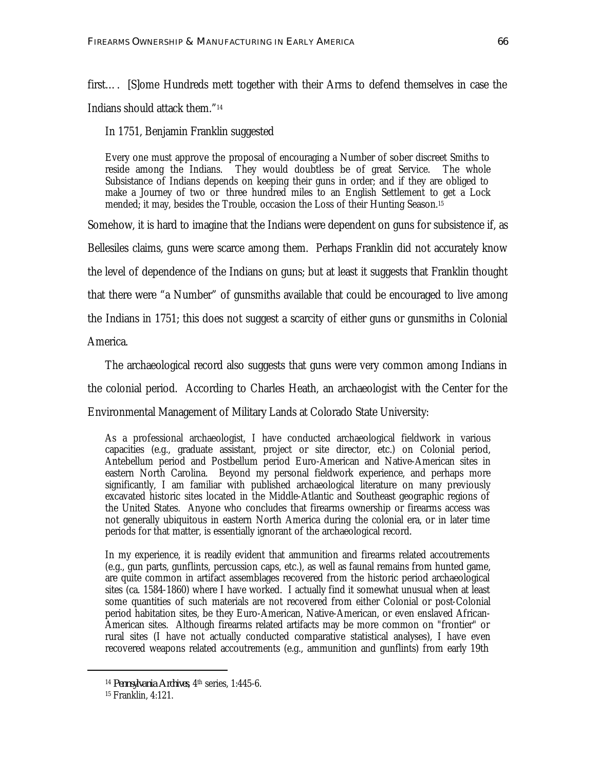first…. [S]ome Hundreds mett together with their Arms to defend themselves in case the Indians should attack them."<sup>14</sup>

In 1751, Benjamin Franklin suggested

Every one must approve the proposal of encouraging a Number of sober discreet Smiths to reside among the Indians. They would doubtless be of great Service. The whole Subsistance of Indians depends on keeping their guns in order; and if they are obliged to make a Journey of two or three hundred miles to an English Settlement to get a Lock mended; it may, besides the Trouble, occasion the Loss of their Hunting Season.<sup>15</sup>

Somehow, it is hard to imagine that the Indians were dependent on guns for subsistence if, as

Bellesiles claims, guns were scarce among them. Perhaps Franklin did not accurately know

the level of dependence of the Indians on guns; but at least it suggests that Franklin thought

that there were "a Number" of gunsmiths available that could be encouraged to live among

the Indians in 1751; this does not suggest a scarcity of either guns or gunsmiths in Colonial

America.

The archaeological record also suggests that guns were very common among Indians in the colonial period. According to Charles Heath, an archaeologist with the Center for the Environmental Management of Military Lands at Colorado State University:

As a professional archaeologist, I have conducted archaeological fieldwork in various capacities (e.g., graduate assistant, project or site director, etc.) on Colonial period, Antebellum period and Postbellum period Euro-American and Native-American sites in eastern North Carolina. Beyond my personal fieldwork experience, and perhaps more significantly, I am familiar with published archaeological literature on many previously excavated historic sites located in the Middle-Atlantic and Southeast geographic regions of the United States. Anyone who concludes that firearms ownership or firearms access was not generally ubiquitous in eastern North America during the colonial era, or in later time periods for that matter, is essentially ignorant of the archaeological record.

In my experience, it is readily evident that ammunition and firearms related accoutrements (e.g., gun parts, gunflints, percussion caps, etc.), as well as faunal remains from hunted game, are quite common in artifact assemblages recovered from the historic period archaeological sites (ca. 1584-1860) where I have worked. I actually find it somewhat unusual when at least some quantities of such materials are not recovered from either Colonial or post-Colonial period habitation sites, be they Euro-American, Native-American, or even enslaved African-American sites. Although firearms related artifacts may be more common on "frontier" or rural sites (I have not actually conducted comparative statistical analyses), I have even recovered weapons related accoutrements (e.g., ammunition and gunflints) from early 19th

<sup>&</sup>lt;sup>14</sup> Pennsylvania Archives, 4<sup>th</sup> series, 1:445-6.

<sup>15</sup> Franklin, 4:121.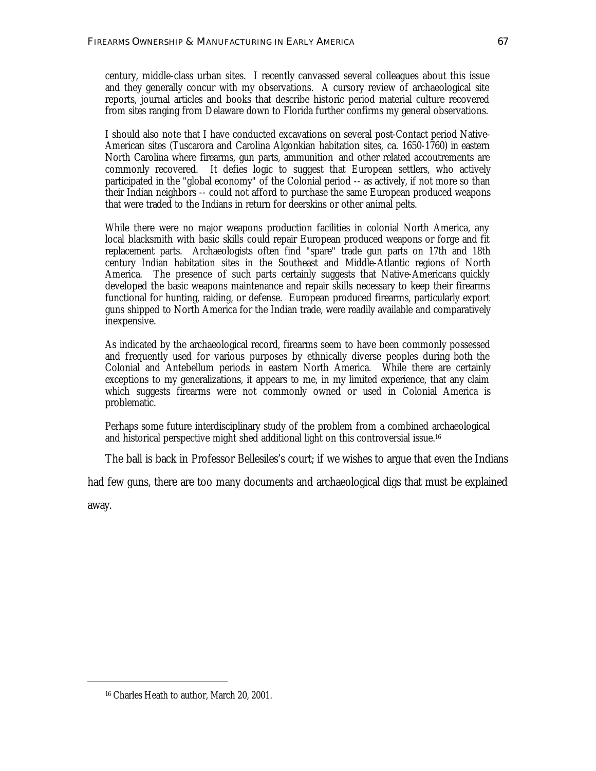century, middle-class urban sites. I recently canvassed several colleagues about this issue and they generally concur with my observations. A cursory review of archaeological site reports, journal articles and books that describe historic period material culture recovered from sites ranging from Delaware down to Florida further confirms my general observations.

I should also note that I have conducted excavations on several post-Contact period Native-American sites (Tuscarora and Carolina Algonkian habitation sites, ca. 1650-1760) in eastern North Carolina where firearms, gun parts, ammunition and other related accoutrements are commonly recovered. It defies logic to suggest that European settlers, who actively participated in the "global economy" of the Colonial period -- as actively, if not more so than their Indian neighbors -- could not afford to purchase the same European produced weapons that were traded to the Indians in return for deerskins or other animal pelts.

While there were no major weapons production facilities in colonial North America, any local blacksmith with basic skills could repair European produced weapons or forge and fit replacement parts. Archaeologists often find "spare" trade gun parts on 17th and 18th century Indian habitation sites in the Southeast and Middle-Atlantic regions of North America. The presence of such parts certainly suggests that Native-Americans quickly developed the basic weapons maintenance and repair skills necessary to keep their firearms functional for hunting, raiding, or defense. European produced firearms, particularly export guns shipped to North America for the Indian trade, were readily available and comparatively inexpensive.

As indicated by the archaeological record, firearms seem to have been commonly possessed and frequently used for various purposes by ethnically diverse peoples during both the Colonial and Antebellum periods in eastern North America. While there are certainly exceptions to my generalizations, it appears to me, in my limited experience, that any claim which suggests firearms were not commonly owned or used in Colonial America is problematic.

Perhaps some future interdisciplinary study of the problem from a combined archaeological and historical perspective might shed additional light on this controversial issue.<sup>16</sup>

The ball is back in Professor Bellesiles's court; if we wishes to argue that even the Indians

had few guns, there are too many documents and archaeological digs that must be explained

away.

<sup>16</sup> Charles Heath to author, March 20, 2001.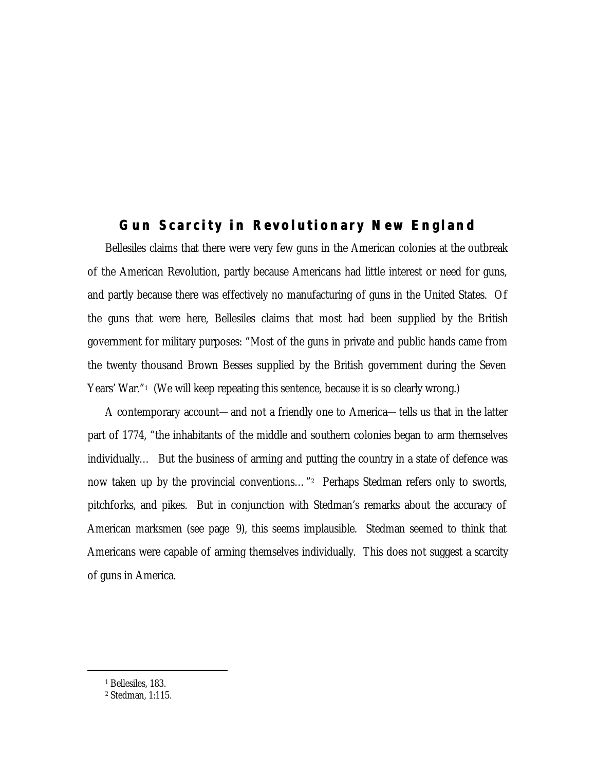# **Gun Scarcity in Revolutionary New England**

Bellesiles claims that there were very few guns in the American colonies at the outbreak of the American Revolution, partly because Americans had little interest or need for guns, and partly because there was effectively no manufacturing of guns in the United States. Of the guns that were here, Bellesiles claims that most had been supplied by the British government for military purposes: "Most of the guns in private and public hands came from the twenty thousand Brown Besses supplied by the British government during the Seven Years' War."<sup>1</sup> (We will keep repeating this sentence, because it is so clearly wrong.)

A contemporary account—and not a friendly one to America—tells us that in the latter part of 1774, "the inhabitants of the middle and southern colonies began to arm themselves individually… But the business of arming and putting the country in a state of defence was now taken up by the provincial conventions..."<sup>2</sup> Perhaps Stedman refers only to swords, pitchforks, and pikes. But in conjunction with Stedman's remarks about the accuracy of American marksmen (see page 9), this seems implausible. Stedman seemed to think that Americans were capable of arming themselves individually. This does not suggest a scarcity of guns in America.

<sup>&</sup>lt;sup>1</sup> Bellesiles, 183.

<sup>2</sup> Stedman, 1:115.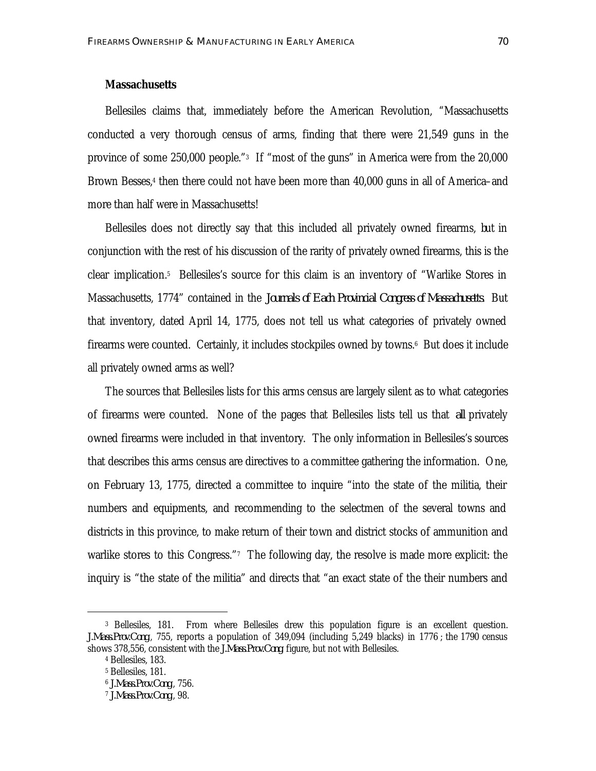## **Massachusetts**

Bellesiles claims that, immediately before the American Revolution, "Massachusetts conducted a very thorough census of arms, finding that there were 21,549 guns in the province of some 250,000 people."<sup>3</sup> If "most of the guns" in America were from the 20,000 Brown Besses,<sup>4</sup> then there could not have been more than 40,000 guns in all of America–and more than half were in Massachusetts!

Bellesiles does not directly say that this included all privately owned firearms, but in conjunction with the rest of his discussion of the rarity of privately owned firearms, this is the clear implication.<sup>5</sup> Bellesiles's source for this claim is an inventory of "Warlike Stores in Massachusetts, 1774" contained in the *Journals of Each Provincial Congress of Massachusetts*. But that inventory, dated April 14, 1775, does not tell us what categories of privately owned firearms were counted. Certainly, it includes stockpiles owned by towns.<sup>6</sup> But does it include all privately owned arms as well?

The sources that Bellesiles lists for this arms census are largely silent as to what categories of firearms were counted. None of the pages that Bellesiles lists tell us that *all* privately owned firearms were included in that inventory. The only information in Bellesiles's sources that describes this arms census are directives to a committee gathering the information. One, on February 13, 1775, directed a committee to inquire "into the state of the militia, their numbers and equipments, and recommending to the selectmen of the several towns and districts in this province, to make return of their town and district stocks of ammunition and warlike stores to this Congress."7 The following day, the resolve is made more explicit: the inquiry is "the state of the militia" and directs that "an exact state of the their numbers and

<sup>3</sup> Bellesiles, 181. From where Bellesiles drew this population figure is an excellent question. *J.Mass.Prov.Cong.*, 755, reports a population of 349,094 (including 5,249 blacks) in 1776 ; the 1790 census shows 378,556, consistent with the *J.Mass.Prov.Cong.* figure, but not with Bellesiles.

<sup>4</sup> Bellesiles, 183.

<sup>5</sup> Bellesiles, 181.

<sup>6</sup> *J.Mass.Prov.Cong.*, 756.

<sup>7</sup> *J.Mass.Prov.Cong.*, 98.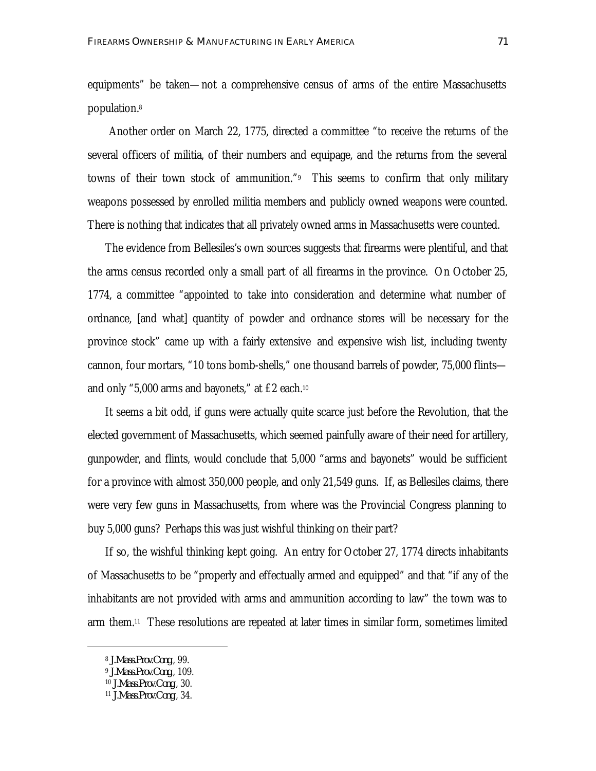equipments" be taken—not a comprehensive census of arms of the entire Massachusetts population.<sup>8</sup>

 Another order on March 22, 1775, directed a committee "to receive the returns of the several officers of militia, of their numbers and equipage, and the returns from the several towns of their town stock of ammunition."<sup>9</sup> This seems to confirm that only military weapons possessed by enrolled militia members and publicly owned weapons were counted. There is nothing that indicates that all privately owned arms in Massachusetts were counted.

The evidence from Bellesiles's own sources suggests that firearms were plentiful, and that the arms census recorded only a small part of all firearms in the province. On October 25, 1774, a committee "appointed to take into consideration and determine what number of ordnance, [and what] quantity of powder and ordnance stores will be necessary for the province stock" came up with a fairly extensive and expensive wish list, including twenty cannon, four mortars, "10 tons bomb-shells," one thousand barrels of powder, 75,000 flints and only "5,000 arms and bayonets," at £2 each.<sup>10</sup>

It seems a bit odd, if guns were actually quite scarce just before the Revolution, that the elected government of Massachusetts, which seemed painfully aware of their need for artillery, gunpowder, and flints, would conclude that 5,000 "arms and bayonets" would be sufficient for a province with almost 350,000 people, and only 21,549 guns. If, as Bellesiles claims, there were very few guns in Massachusetts, from where was the Provincial Congress planning to buy 5,000 guns? Perhaps this was just wishful thinking on their part?

If so, the wishful thinking kept going. An entry for October 27, 1774 directs inhabitants of Massachusetts to be "properly and effectually armed and equipped" and that "if any of the inhabitants are not provided with arms and ammunition according to law" the town was to arm them.11 These resolutions are repeated at later times in similar form, sometimes limited

<sup>8</sup> *J.Mass.Prov.Cong.*, 99.

<sup>9</sup> *J.Mass.Prov.Cong.*, 109.

<sup>10</sup> *J.Mass.Prov.Cong.*, 30.

<sup>11</sup> *J.Mass.Prov.Cong.*, 34.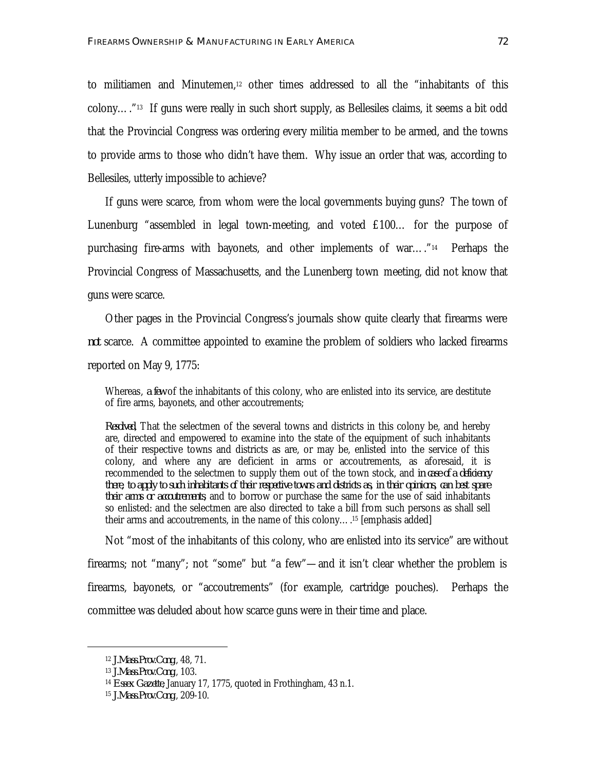to militiamen and Minutemen,12 other times addressed to all the "inhabitants of this colony…."13 If guns were really in such short supply, as Bellesiles claims, it seems a bit odd that the Provincial Congress was ordering every militia member to be armed, and the towns to provide arms to those who didn't have them. Why issue an order that was, according to Bellesiles, utterly impossible to achieve?

If guns were scarce, from whom were the local governments buying guns? The town of Lunenburg "assembled in legal town-meeting, and voted £100… for the purpose of purchasing fire-arms with bayonets, and other implements of war…."14 Perhaps the Provincial Congress of Massachusetts, and the Lunenberg town meeting, did not know that guns were scarce.

Other pages in the Provincial Congress's journals show quite clearly that firearms were *not* scarce. A committee appointed to examine the problem of soldiers who lacked firearms reported on May 9, 1775:

Whereas, *a few* of the inhabitants of this colony, who are enlisted into its service, are destitute of fire arms, bayonets, and other accoutrements;

*Resolved*, That the selectmen of the several towns and districts in this colony be, and hereby are, directed and empowered to examine into the state of the equipment of such inhabitants of their respective towns and districts as are, or may be, enlisted into the service of this colony, and where any are deficient in arms or accoutrements, as aforesaid, it is recommended to the selectmen to supply them out of the town stock, and *in case of a deficiency there, to apply to such inhabitants of their respective towns and districts as, in their opinions, can best spare their arms or accoutrements*, and to borrow or purchase the same for the use of said inhabitants so enlisted: and the selectmen are also directed to take a bill from such persons as shall sell their arms and accoutrements, in the name of this colony….15 [emphasis added]

Not "most of the inhabitants of this colony, who are enlisted into its service" are without firearms; not "many"; not "some" but "a few"—and it isn't clear whether the problem is firearms, bayonets, or "accoutrements" (for example, cartridge pouches). Perhaps the committee was deluded about how scarce guns were in their time and place.

<sup>12</sup> *J.Mass.Prov.Cong.*, 48, 71.

<sup>13</sup> *J.Mass.Prov.Cong.*, 103.

<sup>14</sup> *Essex Gazette*, January 17, 1775, quoted in Frothingham, 43 n.1.

<sup>15</sup> *J.Mass.Prov.Cong.*, 209-10.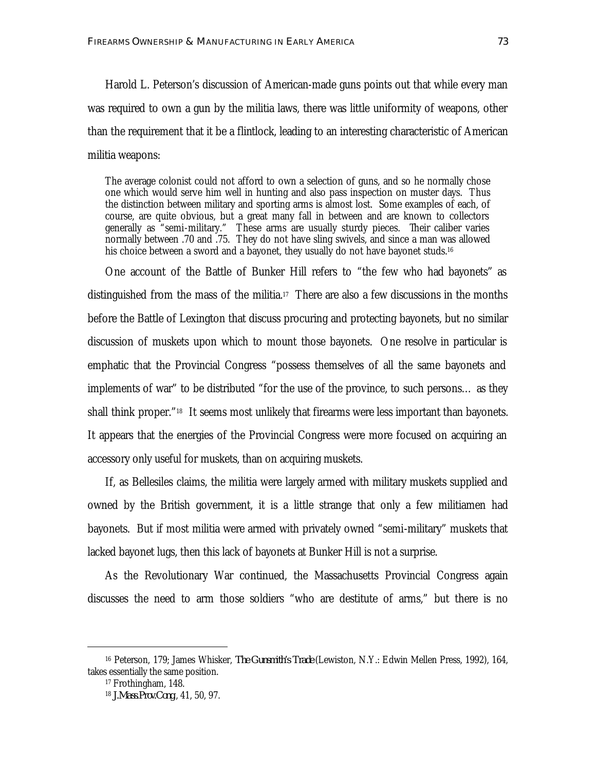Harold L. Peterson's discussion of American-made guns points out that while every man was required to own a gun by the militia laws, there was little uniformity of weapons, other than the requirement that it be a flintlock, leading to an interesting characteristic of American militia weapons:

The average colonist could not afford to own a selection of guns, and so he normally chose one which would serve him well in hunting and also pass inspection on muster days. Thus the distinction between military and sporting arms is almost lost. Some examples of each, of course, are quite obvious, but a great many fall in between and are known to collectors generally as "semi-military." These arms are usually sturdy pieces. Their caliber varies normally between .70 and .75. They do not have sling swivels, and since a man was allowed his choice between a sword and a bayonet, they usually do not have bayonet studs.<sup>16</sup>

One account of the Battle of Bunker Hill refers to "the few who had bayonets" as distinguished from the mass of the militia.17 There are also a few discussions in the months before the Battle of Lexington that discuss procuring and protecting bayonets, but no similar discussion of muskets upon which to mount those bayonets. One resolve in particular is emphatic that the Provincial Congress "possess themselves of all the same bayonets and implements of war" to be distributed "for the use of the province, to such persons… as they shall think proper."18 It seems most unlikely that firearms were less important than bayonets. It appears that the energies of the Provincial Congress were more focused on acquiring an accessory only useful for muskets, than on acquiring muskets.

If, as Bellesiles claims, the militia were largely armed with military muskets supplied and owned by the British government, it is a little strange that only a few militiamen had bayonets. But if most militia were armed with privately owned "semi-military" muskets that lacked bayonet lugs, then this lack of bayonets at Bunker Hill is not a surprise.

As the Revolutionary War continued, the Massachusetts Provincial Congress again discusses the need to arm those soldiers "who are destitute of arms," but there is no

<sup>16</sup> Peterson, 179; James Whisker, *The Gunsmith's Trade* (Lewiston, N.Y.: Edwin Mellen Press, 1992), 164, takes essentially the same position.

<sup>17</sup> Frothingham, 148.

<sup>18</sup> *J.Mass.Prov.Cong.*, 41, 50, 97.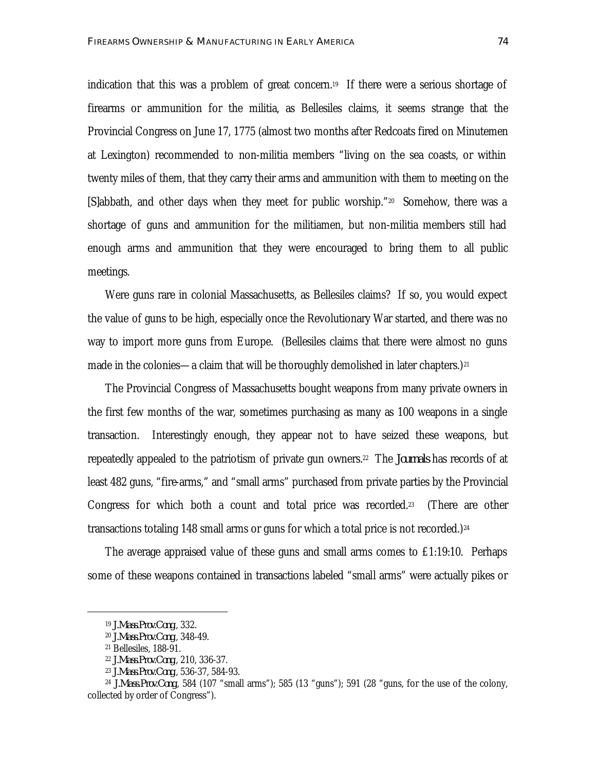indication that this was a problem of great concern.19 If there were a serious shortage of firearms or ammunition for the militia, as Bellesiles claims, it seems strange that the Provincial Congress on June 17, 1775 (almost two months after Redcoats fired on Minutemen at Lexington) recommended to non-militia members "living on the sea coasts, or within twenty miles of them, that they carry their arms and ammunition with them to meeting on the [S]abbath, and other days when they meet for public worship."20 Somehow, there was a shortage of guns and ammunition for the militiamen, but non-militia members still had enough arms and ammunition that they were encouraged to bring them to all public meetings.

Were guns rare in colonial Massachusetts, as Bellesiles claims? If so, you would expect the value of guns to be high, especially once the Revolutionary War started, and there was no way to import more guns from Europe. (Bellesiles claims that there were almost no guns made in the colonies—a claim that will be thoroughly demolished in later chapters.) $^{21}$ 

The Provincial Congress of Massachusetts bought weapons from many private owners in the first few months of the war, sometimes purchasing as many as 100 weapons in a single transaction. Interestingly enough, they appear not to have seized these weapons, but repeatedly appealed to the patriotism of private gun owners.22 The *Journals* has records of at least 482 guns, "fire-arms," and "small arms" purchased from private parties by the Provincial Congress for which both a count and total price was recorded.23 (There are other transactions totaling 148 small arms or guns for which a total price is not recorded.)<sup>24</sup>

The average appraised value of these guns and small arms comes to £1:19:10. Perhaps some of these weapons contained in transactions labeled "small arms" were actually pikes or

<sup>19</sup> *J.Mass.Prov.Cong.*, 332.

<sup>20</sup> *J.Mass.Prov.Cong.*, 348-49.

<sup>21</sup> Bellesiles, 188-91.

<sup>22</sup> *J.Mass.Prov.Cong.*, 210, 336-37.

<sup>23</sup> *J.Mass.Prov.Cong.*, 536-37, 584-93.

<sup>24</sup> *J.Mass.Prov.Cong.*, 584 (107 "small arms"); 585 (13 "guns"); 591 (28 "guns, for the use of the colony, collected by order of Congress").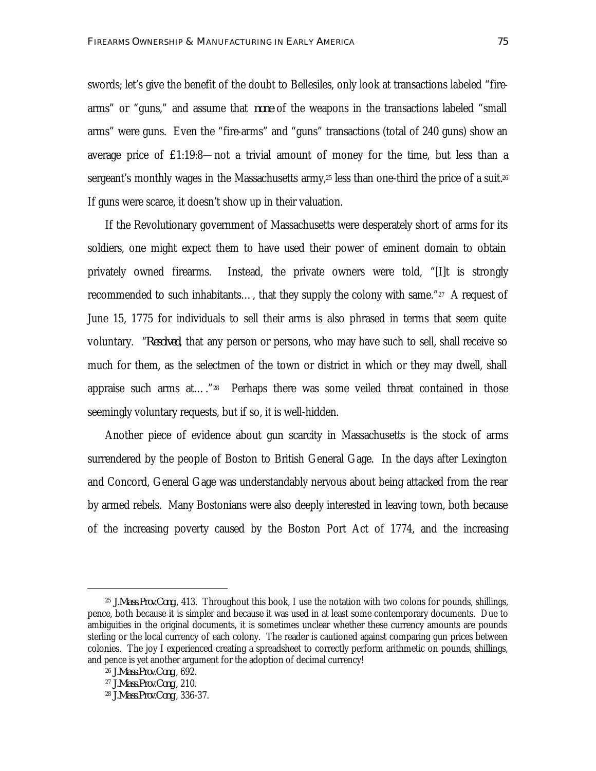swords; let's give the benefit of the doubt to Bellesiles, only look at transactions labeled "firearms" or "guns," and assume that *none* of the weapons in the transactions labeled "small arms" were guns. Even the "fire-arms" and "guns" transactions (total of 240 guns) show an average price of £1:19:8—not a trivial amount of money for the time, but less than a sergeant's monthly wages in the Massachusetts army, $25$  less than one-third the price of a suit. $26$ If guns were scarce, it doesn't show up in their valuation.

If the Revolutionary government of Massachusetts were desperately short of arms for its soldiers, one might expect them to have used their power of eminent domain to obtain privately owned firearms. Instead, the private owners were told, "[I]t is strongly recommended to such inhabitants..., that they supply the colony with same."<sup>27</sup> A request of June 15, 1775 for individuals to sell their arms is also phrased in terms that seem quite voluntary. "*Resolved*, that any person or persons, who may have such to sell, shall receive so much for them, as the selectmen of the town or district in which or they may dwell, shall appraise such arms at…."28 Perhaps there was some veiled threat contained in those seemingly voluntary requests, but if so, it is well-hidden.

Another piece of evidence about gun scarcity in Massachusetts is the stock of arms surrendered by the people of Boston to British General Gage. In the days after Lexington and Concord, General Gage was understandably nervous about being attacked from the rear by armed rebels. Many Bostonians were also deeply interested in leaving town, both because of the increasing poverty caused by the Boston Port Act of 1774, and the increasing

<sup>25</sup> *J.Mass.Prov.Cong.*, 413. Throughout this book, I use the notation with two colons for pounds, shillings, pence, both because it is simpler and because it was used in at least some contemporary documents. Due to ambiguities in the original documents, it is sometimes unclear whether these currency amounts are pounds sterling or the local currency of each colony. The reader is cautioned against comparing gun prices between colonies. The joy I experienced creating a spreadsheet to correctly perform arithmetic on pounds, shillings, and pence is yet another argument for the adoption of decimal currency!

<sup>26</sup> *J.Mass.Prov.Cong.*, 692.

<sup>27</sup> *J.Mass.Prov.Cong.*, 210.

<sup>28</sup> *J.Mass.Prov.Cong.*, 336-37.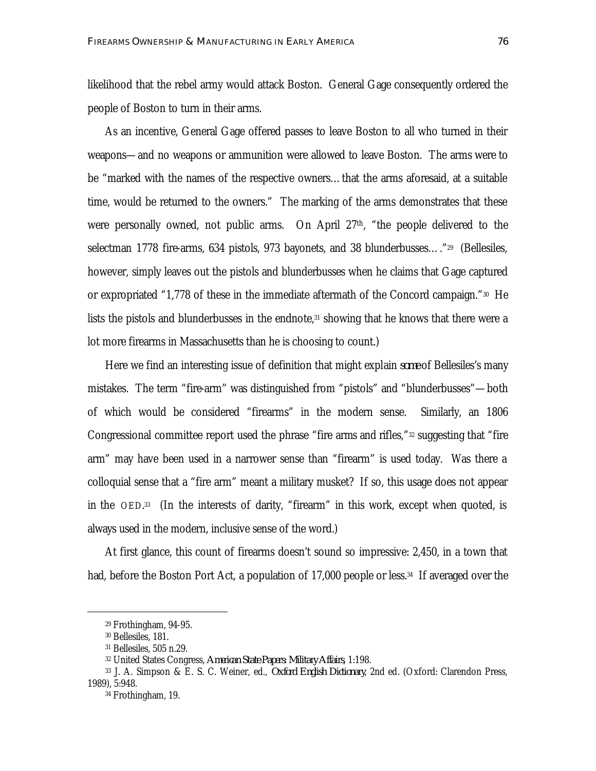likelihood that the rebel army would attack Boston. General Gage consequently ordered the people of Boston to turn in their arms.

As an incentive, General Gage offered passes to leave Boston to all who turned in their weapons—and no weapons or ammunition were allowed to leave Boston. The arms were to be "marked with the names of the respective owners…that the arms aforesaid, at a suitable time, would be returned to the owners." The marking of the arms demonstrates that these were personally owned, not public arms. On April 27<sup>th</sup>, "the people delivered to the selectman 1778 fire-arms, 634 pistols, 973 bayonets, and 38 blunderbusses...."<sup>29</sup> (Bellesiles, however, simply leaves out the pistols and blunderbusses when he claims that Gage captured or expropriated "1,778 of these in the immediate aftermath of the Concord campaign."30 He lists the pistols and blunderbusses in the endnote,<sup>31</sup> showing that he knows that there were a lot more firearms in Massachusetts than he is choosing to count.)

Here we find an interesting issue of definition that might explain *some* of Bellesiles's many mistakes. The term "fire-arm" was distinguished from "pistols" and "blunderbusses"—both of which would be considered "firearms" in the modern sense. Similarly, an 1806 Congressional committee report used the phrase "fire arms and rifles,"32 suggesting that "fire arm" may have been used in a narrower sense than "firearm" is used today. Was there a colloquial sense that a "fire arm" meant a military musket? If so, this usage does not appear in the OED.<sup>33</sup> (In the interests of darity, "firearm" in this work, except when quoted, is always used in the modern, inclusive sense of the word.)

At first glance, this count of firearms doesn't sound so impressive: 2,450, in a town that had, before the Boston Port Act, a population of 17,000 people or less.<sup>34</sup> If averaged over the

<sup>29</sup> Frothingham, 94-95.

<sup>30</sup> Bellesiles, 181.

<sup>31</sup> Bellesiles, 505 n.29.

<sup>32</sup> United States Congress, *American State Papers: Military Affairs*, 1:198.

<sup>33</sup> J. A. Simpson & E. S. C. Weiner, ed., *Oxford English Dictionary*, 2nd ed. (Oxford: Clarendon Press, 1989), 5:948.

<sup>34</sup> Frothingham, 19.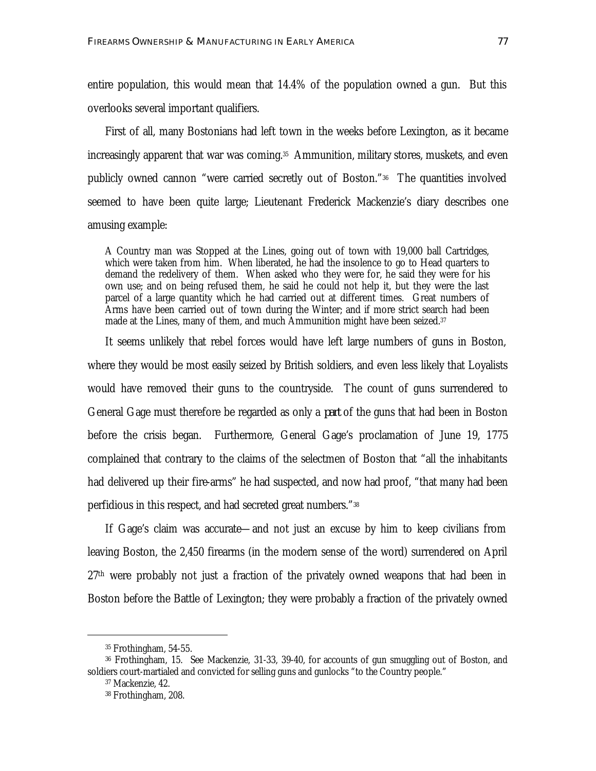entire population, this would mean that 14.4% of the population owned a gun. But this overlooks several important qualifiers.

First of all, many Bostonians had left town in the weeks before Lexington, as it became increasingly apparent that war was coming.<sup>35</sup> Ammunition, military stores, muskets, and even publicly owned cannon "were carried secretly out of Boston."36 The quantities involved seemed to have been quite large; Lieutenant Frederick Mackenzie's diary describes one amusing example:

A Country man was Stopped at the Lines, going out of town with 19,000 ball Cartridges, which were taken from him. When liberated, he had the insolence to go to Head quarters to demand the redelivery of them. When asked who they were for, he said they were for his own use; and on being refused them, he said he could not help it, but they were the last parcel of a large quantity which he had carried out at different times. Great numbers of Arms have been carried out of town during the Winter; and if more strict search had been made at the Lines, many of them, and much Ammunition might have been seized.<sup>37</sup>

It seems unlikely that rebel forces would have left large numbers of guns in Boston, where they would be most easily seized by British soldiers, and even less likely that Loyalists would have removed their guns to the countryside. The count of guns surrendered to General Gage must therefore be regarded as only a *part* of the guns that had been in Boston before the crisis began. Furthermore, General Gage's proclamation of June 19, 1775 complained that contrary to the claims of the selectmen of Boston that "all the inhabitants had delivered up their fire-arms" he had suspected, and now had proof, "that many had been perfidious in this respect, and had secreted great numbers."<sup>38</sup>

If Gage's claim was accurate—and not just an excuse by him to keep civilians from leaving Boston, the 2,450 firearms (in the modern sense of the word) surrendered on April 27<sup>th</sup> were probably not just a fraction of the privately owned weapons that had been in Boston before the Battle of Lexington; they were probably a fraction of the privately owned

<sup>35</sup> Frothingham, 54-55.

<sup>36</sup> Frothingham, 15. See Mackenzie, 31-33, 39-40, for accounts of gun smuggling out of Boston, and soldiers court-martialed and convicted for selling guns and gunlocks "to the Country people."

<sup>37</sup> Mackenzie, 42.

<sup>38</sup> Frothingham, 208.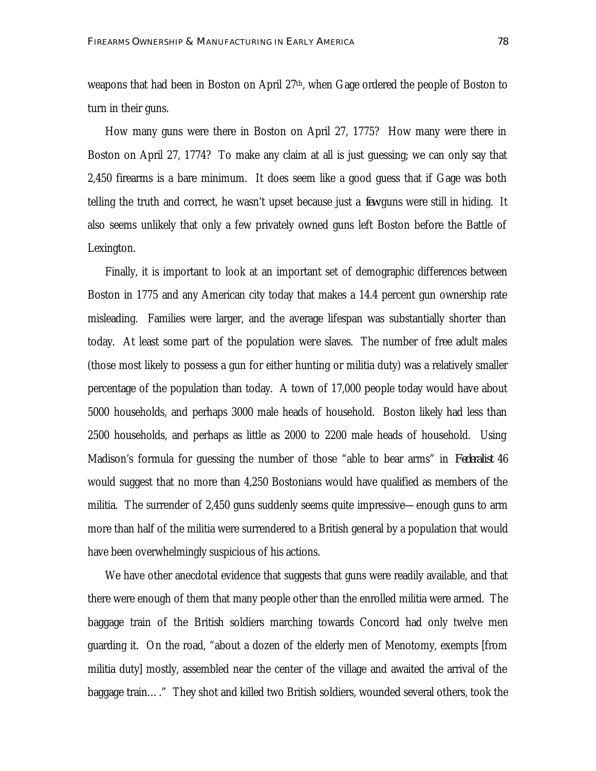weapons that had been in Boston on April 27th, when Gage ordered the people of Boston to turn in their guns.

How many guns were there in Boston on April 27, 1775? How many were there in Boston on April 27, 1774? To make any claim at all is just guessing; we can only say that 2,450 firearms is a bare minimum. It does seem like a good guess that if Gage was both telling the truth and correct, he wasn't upset because just a *few* guns were still in hiding. It also seems unlikely that only a few privately owned guns left Boston before the Battle of Lexington.

Finally, it is important to look at an important set of demographic differences between Boston in 1775 and any American city today that makes a 14.4 percent gun ownership rate misleading. Families were larger, and the average lifespan was substantially shorter than today. At least some part of the population were slaves. The number of free adult males (those most likely to possess a gun for either hunting or militia duty) was a relatively smaller percentage of the population than today. A town of 17,000 people today would have about 5000 households, and perhaps 3000 male heads of household. Boston likely had less than 2500 households, and perhaps as little as 2000 to 2200 male heads of household. Using Madison's formula for guessing the number of those "able to bear arms" in *Federalist* 46 would suggest that no more than 4,250 Bostonians would have qualified as members of the militia. The surrender of 2,450 guns suddenly seems quite impressive—enough guns to arm more than half of the militia were surrendered to a British general by a population that would have been overwhelmingly suspicious of his actions.

We have other anecdotal evidence that suggests that guns were readily available, and that there were enough of them that many people other than the enrolled militia were armed. The baggage train of the British soldiers marching towards Concord had only twelve men guarding it. On the road, "about a dozen of the elderly men of Menotomy, exempts [from militia duty] mostly, assembled near the center of the village and awaited the arrival of the baggage train…." They shot and killed two British soldiers, wounded several others, took the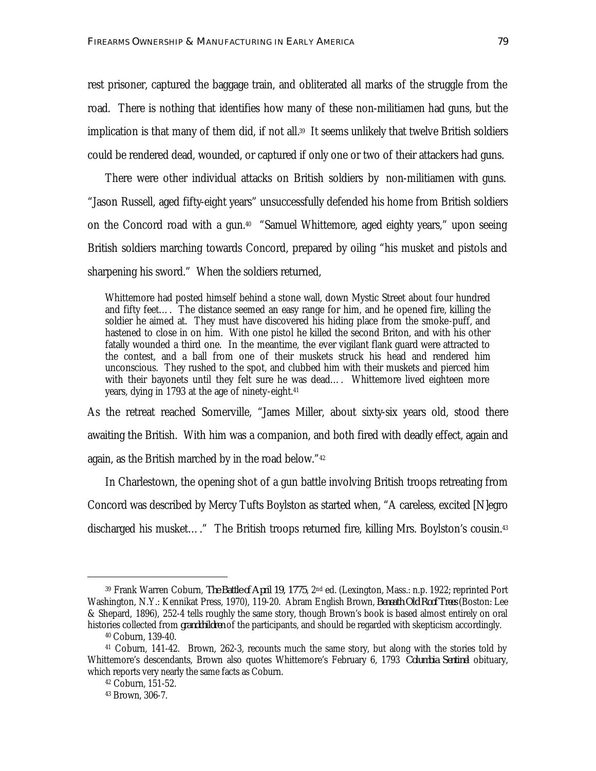rest prisoner, captured the baggage train, and obliterated all marks of the struggle from the road. There is nothing that identifies how many of these non-militiamen had guns, but the implication is that many of them did, if not all.39 It seems unlikely that twelve British soldiers could be rendered dead, wounded, or captured if only one or two of their attackers had guns.

There were other individual attacks on British soldiers by non-militiamen with guns. "Jason Russell, aged fifty-eight years" unsuccessfully defended his home from British soldiers on the Concord road with a gun.40 "Samuel Whittemore, aged eighty years," upon seeing British soldiers marching towards Concord, prepared by oiling "his musket and pistols and sharpening his sword." When the soldiers returned,

Whittemore had posted himself behind a stone wall, down Mystic Street about four hundred and fifty feet…. The distance seemed an easy range for him, and he opened fire, killing the soldier he aimed at. They must have discovered his hiding place from the smoke-puff, and hastened to close in on him. With one pistol he killed the second Briton, and with his other fatally wounded a third one. In the meantime, the ever vigilant flank guard were attracted to the contest, and a ball from one of their muskets struck his head and rendered him unconscious. They rushed to the spot, and clubbed him with their muskets and pierced him with their bayonets until they felt sure he was dead…. Whittemore lived eighteen more years, dying in 1793 at the age of ninety-eight.<sup>41</sup>

As the retreat reached Somerville, "James Miller, about sixty-six years old, stood there awaiting the British. With him was a companion, and both fired with deadly effect, again and again, as the British marched by in the road below."<sup>42</sup>

In Charlestown, the opening shot of a gun battle involving British troops retreating from Concord was described by Mercy Tufts Boylston as started when, "A careless, excited [N]egro discharged his musket…." The British troops returned fire, killing Mrs. Boylston's cousin.<sup>43</sup>

<sup>39</sup> Frank Warren Coburn, *The Battle of April 19, 1775*, 2nd ed. (Lexington, Mass.: n.p. 1922; reprinted Port Washington, N.Y.: Kennikat Press, 1970), 119-20. Abram English Brown, *Beneath Old Roof Trees* (Boston: Lee & Shepard, 1896), 252-4 tells roughly the same story, though Brown's book is based almost entirely on oral histories collected from *grandchildren* of the participants, and should be regarded with skepticism accordingly.

<sup>40</sup> Coburn, 139-40.

<sup>41</sup> Coburn, 141-42. Brown, 262-3, recounts much the same story, but along with the stories told by Whittemore's descendants, Brown also quotes Whittemore's February 6, 1793 *Columbia Sentinel* obituary, which reports very nearly the same facts as Coburn.

<sup>42</sup> Coburn, 151-52.

<sup>43</sup> Brown, 306-7.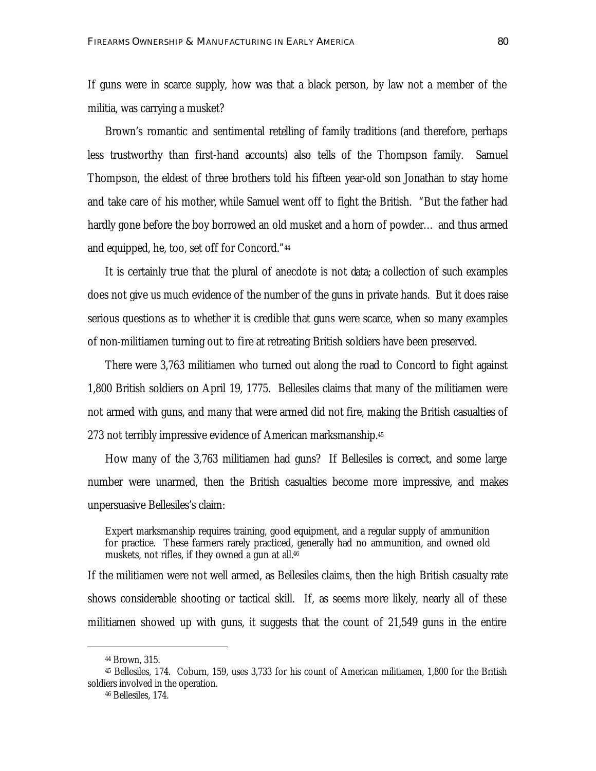If guns were in scarce supply, how was that a black person, by law not a member of the militia, was carrying a musket?

Brown's romantic and sentimental retelling of family traditions (and therefore, perhaps less trustworthy than first-hand accounts) also tells of the Thompson family. Samuel Thompson, the eldest of three brothers told his fifteen year-old son Jonathan to stay home and take care of his mother, while Samuel went off to fight the British. "But the father had hardly gone before the boy borrowed an old musket and a horn of powder… and thus armed and equipped, he, too, set off for Concord."<sup>44</sup>

It is certainly true that the plural of anecdote is not data; a collection of such examples does not give us much evidence of the number of the guns in private hands. But it does raise serious questions as to whether it is credible that guns were scarce, when so many examples of non-militiamen turning out to fire at retreating British soldiers have been preserved.

There were 3,763 militiamen who turned out along the road to Concord to fight against 1,800 British soldiers on April 19, 1775. Bellesiles claims that many of the militiamen were not armed with guns, and many that were armed did not fire, making the British casualties of 273 not terribly impressive evidence of American marksmanship.<sup>45</sup>

How many of the 3,763 militiamen had guns? If Bellesiles is correct, and some large number were unarmed, then the British casualties become more impressive, and makes unpersuasive Bellesiles's claim:

Expert marksmanship requires training, good equipment, and a regular supply of ammunition for practice. These farmers rarely practiced, generally had no ammunition, and owned old muskets, not rifles, if they owned a gun at all.<sup>46</sup>

If the militiamen were not well armed, as Bellesiles claims, then the high British casualty rate shows considerable shooting or tactical skill. If, as seems more likely, nearly all of these militiamen showed up with guns, it suggests that the count of 21,549 guns in the entire

<sup>44</sup> Brown, 315.

<sup>45</sup> Bellesiles, 174. Coburn, 159, uses 3,733 for his count of American militiamen, 1,800 for the British soldiers involved in the operation.

<sup>46</sup> Bellesiles, 174.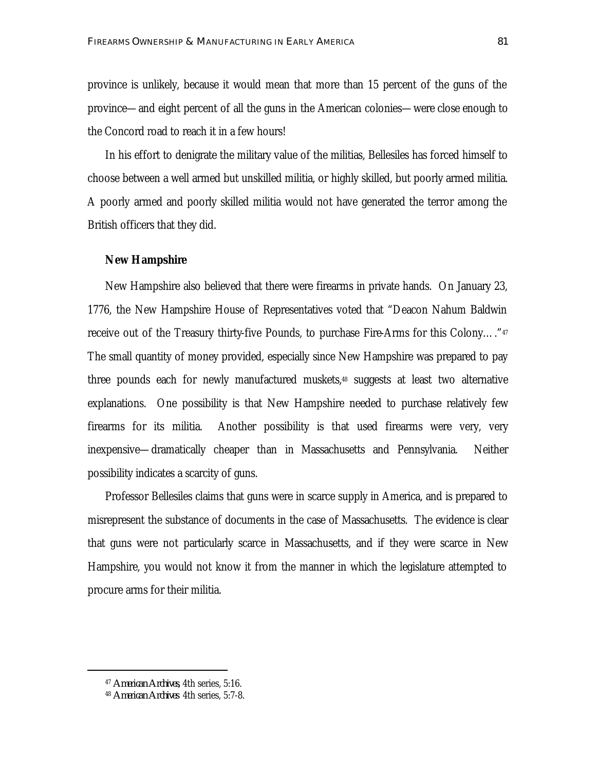province is unlikely, because it would mean that more than 15 percent of the guns of the province—and eight percent of all the guns in the American colonies—were close enough to the Concord road to reach it in a few hours!

In his effort to denigrate the military value of the militias, Bellesiles has forced himself to choose between a well armed but unskilled militia, or highly skilled, but poorly armed militia. A poorly armed and poorly skilled militia would not have generated the terror among the British officers that they did.

### **New Hampshire**

New Hampshire also believed that there were firearms in private hands. On January 23, 1776, the New Hampshire House of Representatives voted that "Deacon Nahum Baldwin receive out of the Treasury thirty-five Pounds, to purchase Fire-Arms for this Colony...."47 The small quantity of money provided, especially since New Hampshire was prepared to pay three pounds each for newly manufactured muskets,48 suggests at least two alternative explanations. One possibility is that New Hampshire needed to purchase relatively few firearms for its militia. Another possibility is that used firearms were very, very inexpensive—dramatically cheaper than in Massachusetts and Pennsylvania. Neither possibility indicates a scarcity of guns.

Professor Bellesiles claims that guns were in scarce supply in America, and is prepared to misrepresent the substance of documents in the case of Massachusetts. The evidence is clear that guns were not particularly scarce in Massachusetts, and if they were scarce in New Hampshire, you would not know it from the manner in which the legislature attempted to procure arms for their militia.

<sup>47</sup> *American Archives*, 4th series, 5:16.

<sup>48</sup> *American Archives* 4th series, 5:7-8.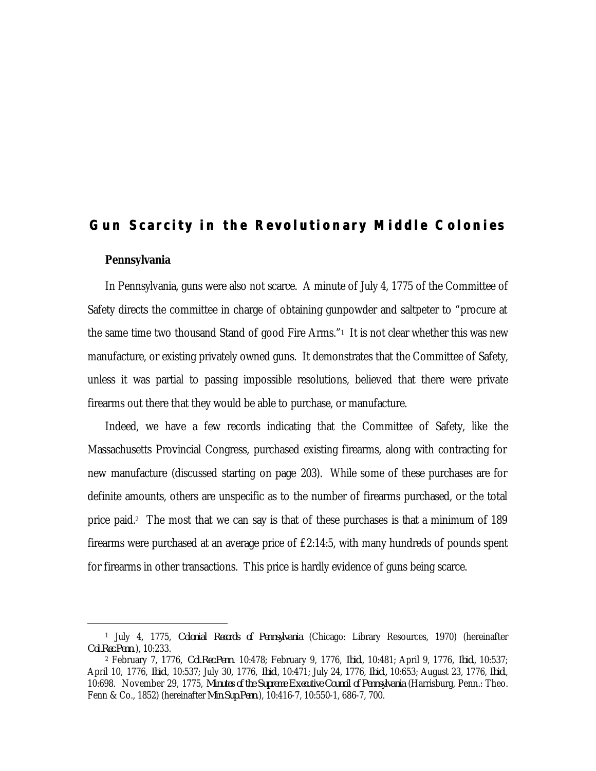# **Gun Scarcity in the Revolutionary M iddle Colonies**

### **Pennsylvania**

1

In Pennsylvania, guns were also not scarce. A minute of July 4, 1775 of the Committee of Safety directs the committee in charge of obtaining gunpowder and saltpeter to "procure at the same time two thousand Stand of good Fire Arms."<sup>1</sup> It is not clear whether this was new manufacture, or existing privately owned guns. It demonstrates that the Committee of Safety, unless it was partial to passing impossible resolutions, believed that there were private firearms out there that they would be able to purchase, or manufacture.

Indeed, we have a few records indicating that the Committee of Safety, like the Massachusetts Provincial Congress, purchased existing firearms, along with contracting for new manufacture (discussed starting on page 203). While some of these purchases are for definite amounts, others are unspecific as to the number of firearms purchased, or the total price paid.<sup>2</sup> The most that we can say is that of these purchases is that a minimum of 189 firearms were purchased at an average price of £2:14:5, with many hundreds of pounds spent for firearms in other transactions. This price is hardly evidence of guns being scarce.

<sup>1</sup> July 4, 1775, *Colonial Records of Pennsylvania* (Chicago: Library Resources, 1970) (hereinafter *Col.Rec.Penn.*), 10:233.

<sup>2</sup> February 7, 1776, *Col.Rec.Penn.* 10:478; February 9, 1776, *Ibid.*, 10:481; April 9, 1776, *Ibid.*, 10:537; April 10, 1776, *Ibid.*, 10:537; July 30, 1776, *Ibid*., 10:471; July 24, 1776, *Ibid.,* 10:653; August 23, 1776, *Ibid.*, 10:698. November 29, 1775, *Minutes of the Supreme Executive Council of Pennsylvania* (Harrisburg, Penn.: Theo. Fenn & Co., 1852) (hereinafter *Min.Sup.Penn.*), 10:416-7, 10:550-1, 686-7, 700.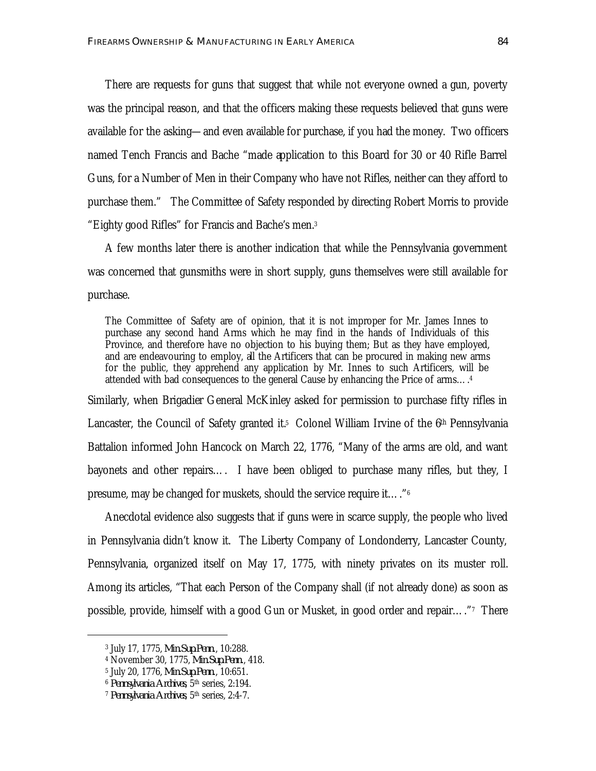There are requests for guns that suggest that while not everyone owned a gun, poverty was the principal reason, and that the officers making these requests believed that guns were available for the asking—and even available for purchase, if you had the money. Two officers named Tench Francis and Bache "made application to this Board for 30 or 40 Rifle Barrel Guns, for a Number of Men in their Company who have not Rifles, neither can they afford to purchase them." The Committee of Safety responded by directing Robert Morris to provide "Eighty good Rifles" for Francis and Bache's men.<sup>3</sup>

A few months later there is another indication that while the Pennsylvania government was concerned that gunsmiths were in short supply, guns themselves were still available for purchase.

The Committee of Safety are of opinion, that it is not improper for Mr. James Innes to purchase any second hand Arms which he may find in the hands of Individuals of this Province, and therefore have no objection to his buying them; But as they have employed, and are endeavouring to employ, all the Artificers that can be procured in making new arms for the public, they apprehend any application by Mr. Innes to such Artificers, will be attended with bad consequences to the general Cause by enhancing the Price of arms….<sup>4</sup>

Similarly, when Brigadier General McKinley asked for permission to purchase fifty rifles in Lancaster, the Council of Safety granted it.<sup>5</sup> Colonel William Irvine of the 6<sup>th</sup> Pennsylvania Battalion informed John Hancock on March 22, 1776, "Many of the arms are old, and want bayonets and other repairs…. I have been obliged to purchase many rifles, but they, I presume, may be changed for muskets, should the service require it…."<sup>6</sup>

Anecdotal evidence also suggests that if guns were in scarce supply, the people who lived in Pennsylvania didn't know it. The Liberty Company of Londonderry, Lancaster County, Pennsylvania, organized itself on May 17, 1775, with ninety privates on its muster roll. Among its articles, "That each Person of the Company shall (if not already done) as soon as possible, provide, himself with a good Gun or Musket, in good order and repair…."<sup>7</sup> There

<sup>3</sup> July 17, 1775, *Min.Sup.Penn.*, 10:288.

<sup>4</sup> November 30, 1775, *Min.Sup.Penn.*, 418.

<sup>5</sup> July 20, 1776, *Min.Sup.Penn.*, 10:651.

<sup>6</sup> *Pennsylvania Archives*, 5th series, 2:194.

<sup>7</sup> *Pennsylvania Archives*, 5th series, 2:4-7.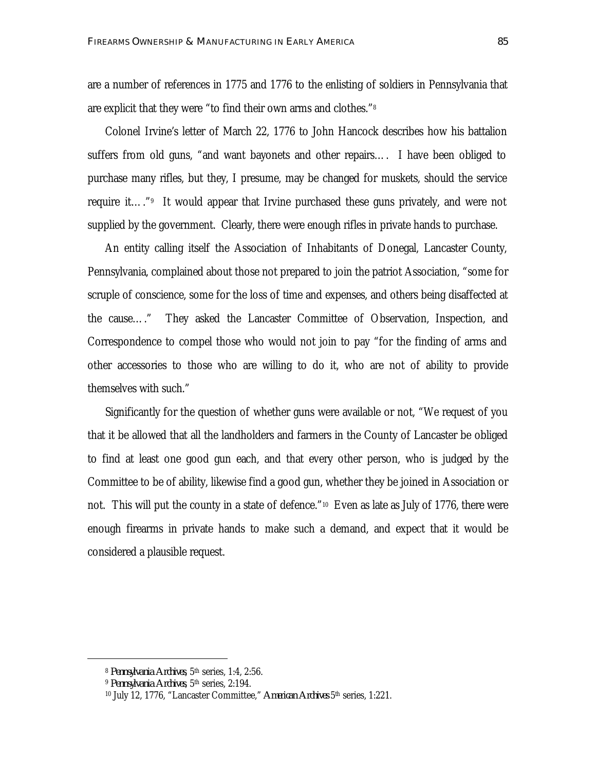are a number of references in 1775 and 1776 to the enlisting of soldiers in Pennsylvania that are explicit that they were "to find their own arms and clothes."<sup>8</sup>

Colonel Irvine's letter of March 22, 1776 to John Hancock describes how his battalion suffers from old guns, "and want bayonets and other repairs…. I have been obliged to purchase many rifles, but they, I presume, may be changed for muskets, should the service require it…."<sup>9</sup> It would appear that Irvine purchased these guns privately, and were not supplied by the government. Clearly, there were enough rifles in private hands to purchase.

An entity calling itself the Association of Inhabitants of Donegal, Lancaster County, Pennsylvania, complained about those not prepared to join the patriot Association, "some for scruple of conscience, some for the loss of time and expenses, and others being disaffected at the cause…." They asked the Lancaster Committee of Observation, Inspection, and Correspondence to compel those who would not join to pay "for the finding of arms and other accessories to those who are willing to do it, who are not of ability to provide themselves with such."

Significantly for the question of whether guns were available or not, "We request of you that it be allowed that all the landholders and farmers in the County of Lancaster be obliged to find at least one good gun each, and that every other person, who is judged by the Committee to be of ability, likewise find a good gun, whether they be joined in Association or not. This will put the county in a state of defence."<sup>10</sup> Even as late as July of 1776, there were enough firearms in private hands to make such a demand, and expect that it would be considered a plausible request.

<sup>8</sup> *Pennsylvania Archives*, 5th series, 1:4, 2:56.

<sup>&</sup>lt;sup>9</sup> Pennsylvania Archives, 5<sup>th</sup> series, 2:194.

<sup>&</sup>lt;sup>10</sup> July 12, 1776, "Lancaster Committee," American Archives 5<sup>th</sup> series, 1:221.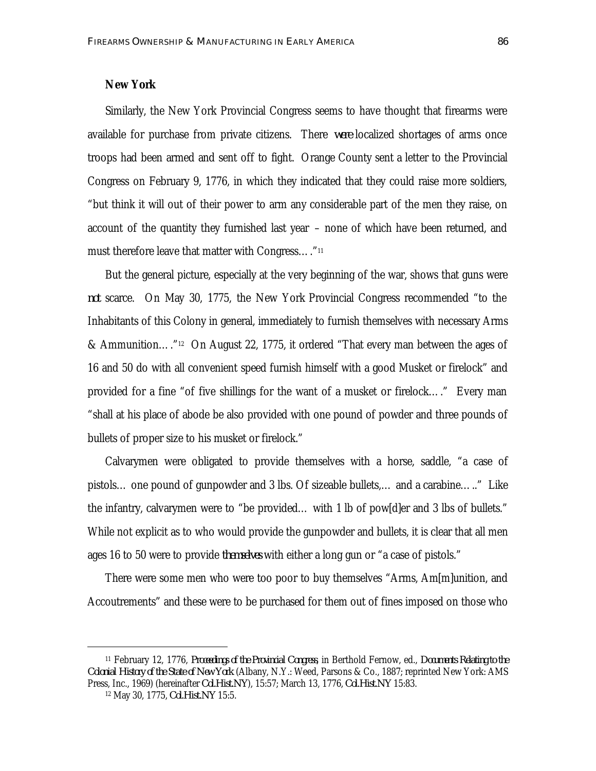### **New York**

Similarly, the New York Provincial Congress seems to have thought that firearms were available for purchase from private citizens. There *were* localized shortages of arms once troops had been armed and sent off to fight. Orange County sent a letter to the Provincial Congress on February 9, 1776, in which they indicated that they could raise more soldiers, "but think it will out of their power to arm any considerable part of the men they raise, on account of the quantity they furnished last year – none of which have been returned, and must therefore leave that matter with Congress...."<sup>11</sup>

But the general picture, especially at the very beginning of the war, shows that guns were *not* scarce. On May 30, 1775, the New York Provincial Congress recommended "to the Inhabitants of this Colony in general, immediately to furnish themselves with necessary Arms & Ammunition…."12 On August 22, 1775, it ordered "That every man between the ages of 16 and 50 do with all convenient speed furnish himself with a good Musket or firelock" and provided for a fine "of five shillings for the want of a musket or firelock…." Every man "shall at his place of abode be also provided with one pound of powder and three pounds of bullets of proper size to his musket or firelock."

Calvarymen were obligated to provide themselves with a horse, saddle, "a case of pistols… one pound of gunpowder and 3 lbs. Of sizeable bullets,… and a carabine….." Like the infantry, calvarymen were to "be provided… with 1 lb of pow[d]er and 3 lbs of bullets." While not explicit as to who would provide the gunpowder and bullets, it is clear that all men ages 16 to 50 were to provide *themselves* with either a long gun or "a case of pistols."

There were some men who were too poor to buy themselves "Arms, Am[m]unition, and Accoutrements" and these were to be purchased for them out of fines imposed on those who

<sup>11</sup> February 12, 1776, *Proceedings of the Provincial Congress*, in Berthold Fernow, ed., *Documents Relating to the Colonial History of the State of New York* (Albany, N.Y.: Weed, Parsons & Co., 1887; reprinted New York: AMS Press, Inc., 1969) (hereinafter *Col.Hist.NY*), 15:57; March 13, 1776, *Col.Hist.NY* 15:83.

<sup>12</sup> May 30, 1775, *Col.Hist.NY* 15:5.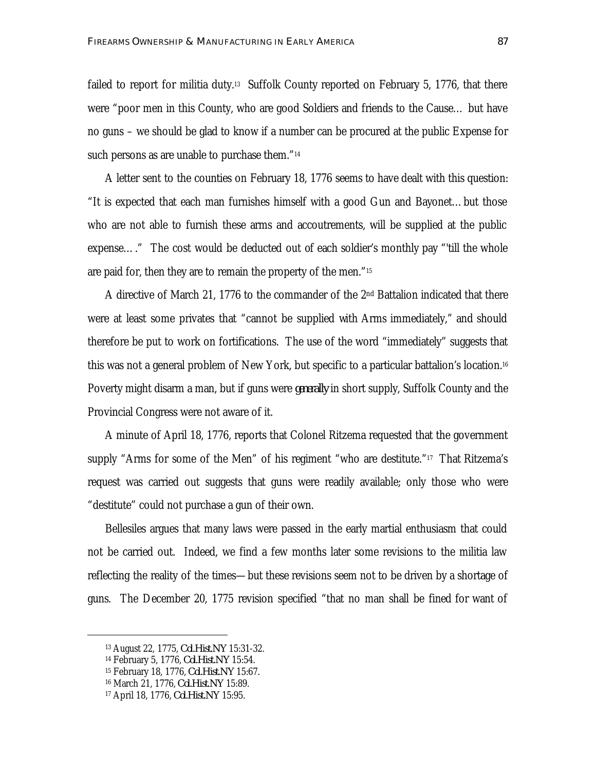failed to report for militia duty.<sup>13</sup> Suffolk County reported on February 5, 1776, that there were "poor men in this County, who are good Soldiers and friends to the Cause… but have no guns – we should be glad to know if a number can be procured at the public Expense for such persons as are unable to purchase them."<sup>14</sup>

A letter sent to the counties on February 18, 1776 seems to have dealt with this question: "It is expected that each man furnishes himself with a good Gun and Bayonet…but those who are not able to furnish these arms and accoutrements, will be supplied at the public expense…." The cost would be deducted out of each soldier's monthly pay "'till the whole are paid for, then they are to remain the property of the men."<sup>15</sup>

A directive of March 21, 1776 to the commander of the 2nd Battalion indicated that there were at least some privates that "cannot be supplied with Arms immediately," and should therefore be put to work on fortifications. The use of the word "immediately" suggests that this was not a general problem of New York, but specific to a particular battalion's location.<sup>16</sup> Poverty might disarm a man, but if guns were *generally* in short supply, Suffolk County and the Provincial Congress were not aware of it.

A minute of April 18, 1776, reports that Colonel Ritzema requested that the government supply "Arms for some of the Men" of his regiment "who are destitute."17 That Ritzema's request was carried out suggests that guns were readily available; only those who were "destitute" could not purchase a gun of their own.

Bellesiles argues that many laws were passed in the early martial enthusiasm that could not be carried out. Indeed, we find a few months later some revisions to the militia law reflecting the reality of the times—but these revisions seem not to be driven by a shortage of guns. The December 20, 1775 revision specified "that no man shall be fined for want of

<sup>13</sup> August 22, 1775, *Col.Hist.NY* 15:31-32.

<sup>14</sup> February 5, 1776, *Col.Hist.NY* 15:54.

<sup>15</sup> February 18, 1776, *Col.Hist.NY* 15:67.

<sup>16</sup> March 21, 1776, *Col.Hist.NY* 15:89.

<sup>17</sup> April 18, 1776, *Col.Hist.NY* 15:95.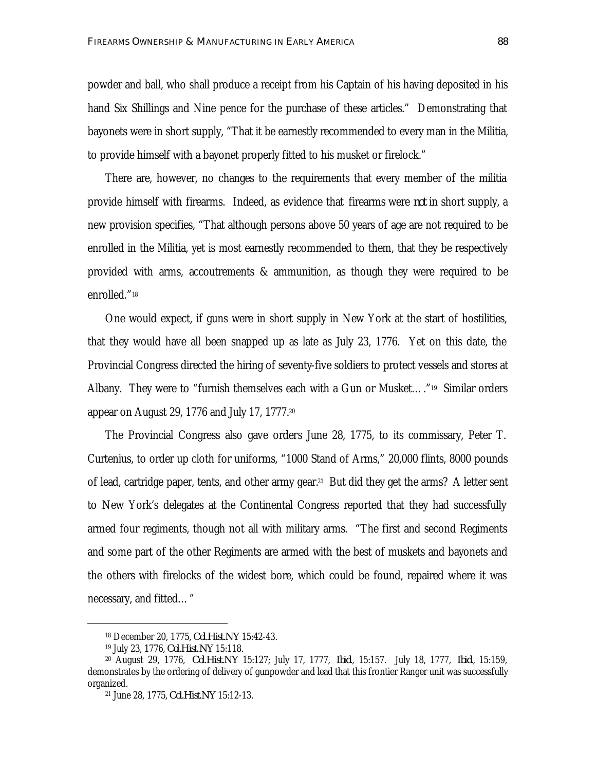powder and ball, who shall produce a receipt from his Captain of his having deposited in his hand Six Shillings and Nine pence for the purchase of these articles." Demonstrating that bayonets were in short supply, "That it be earnestly recommended to every man in the Militia, to provide himself with a bayonet properly fitted to his musket or firelock."

There are, however, no changes to the requirements that every member of the militia provide himself with firearms. Indeed, as evidence that firearms were *not* in short supply, a new provision specifies, "That although persons above 50 years of age are not required to be enrolled in the Militia, yet is most earnestly recommended to them, that they be respectively provided with arms, accoutrements & ammunition, as though they were required to be enrolled."<sup>18</sup>

One would expect, if guns were in short supply in New York at the start of hostilities, that they would have all been snapped up as late as July 23, 1776. Yet on this date, the Provincial Congress directed the hiring of seventy-five soldiers to protect vessels and stores at Albany. They were to "furnish themselves each with a Gun or Musket…."19 Similar orders appear on August 29, 1776 and July 17, 1777.<sup>20</sup>

The Provincial Congress also gave orders June 28, 1775, to its commissary, Peter T. Curtenius, to order up cloth for uniforms, "1000 Stand of Arms," 20,000 flints, 8000 pounds of lead, cartridge paper, tents, and other army gear.21 But did they get the arms? A letter sent to New York's delegates at the Continental Congress reported that they had successfully armed four regiments, though not all with military arms. "The first and second Regiments and some part of the other Regiments are armed with the best of muskets and bayonets and the others with firelocks of the widest bore, which could be found, repaired where it was necessary, and fitted…"

<sup>18</sup> December 20, 1775, *Col.Hist.NY* 15:42-43.

<sup>19</sup> July 23, 1776, *Col.Hist.NY* 15:118.

<sup>20</sup> August 29, 1776, *Col.Hist.NY* 15:127; July 17, 1777, *Ibid.*, 15:157. July 18, 1777, *Ibid.*, 15:159, demonstrates by the ordering of delivery of gunpowder and lead that this frontier Ranger unit was successfully organized.

<sup>21</sup> June 28, 1775, *Col.Hist.NY* 15:12-13.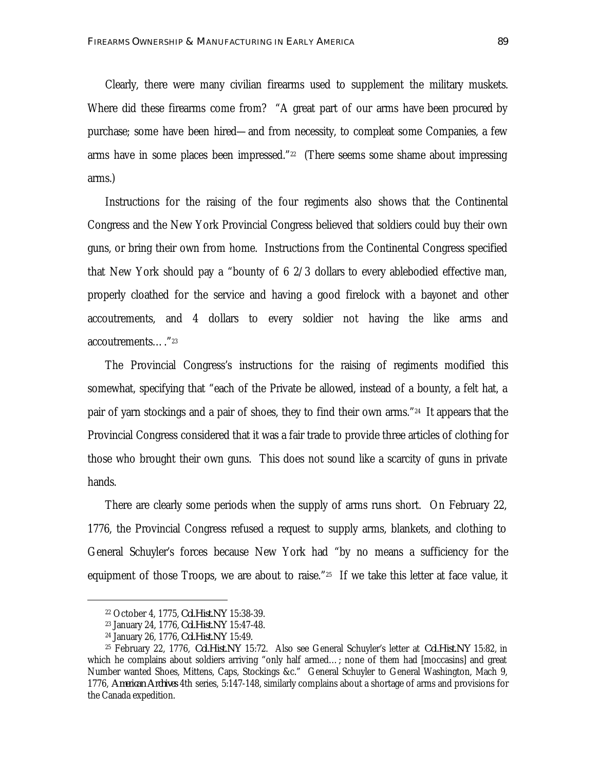Clearly, there were many civilian firearms used to supplement the military muskets. Where did these firearms come from? "A great part of our arms have been procured by purchase; some have been hired—and from necessity, to compleat some Companies, a few arms have in some places been impressed."<sup>22</sup> (There seems some shame about impressing arms.)

Instructions for the raising of the four regiments also shows that the Continental Congress and the New York Provincial Congress believed that soldiers could buy their own guns, or bring their own from home. Instructions from the Continental Congress specified that New York should pay a "bounty of 6 2/3 dollars to every ablebodied effective man, properly cloathed for the service and having a good firelock with a bayonet and other accoutrements, and 4 dollars to every soldier not having the like arms and accoutrements…."<sup>23</sup>

The Provincial Congress's instructions for the raising of regiments modified this somewhat, specifying that "each of the Private be allowed, instead of a bounty, a felt hat, a pair of yarn stockings and a pair of shoes, they to find their own arms."24 It appears that the Provincial Congress considered that it was a fair trade to provide three articles of clothing for those who brought their own guns. This does not sound like a scarcity of guns in private hands.

There are clearly some periods when the supply of arms runs short. On February 22, 1776, the Provincial Congress refused a request to supply arms, blankets, and clothing to General Schuyler's forces because New York had "by no means a sufficiency for the equipment of those Troops, we are about to raise."<sup>25</sup> If we take this letter at face value, it

<sup>22</sup> October 4, 1775, *Col.Hist.NY* 15:38-39.

<sup>23</sup> January 24, 1776, *Col.Hist.NY* 15:47-48.

<sup>24</sup> January 26, 1776, *Col.Hist.NY* 15:49.

<sup>25</sup> February 22, 1776, *Col.Hist.NY* 15:72. Also see General Schuyler's letter at *Col.Hist.NY* 15:82, in which he complains about soldiers arriving "only half armed…; none of them had [moccasins] and great Number wanted Shoes, Mittens, Caps, Stockings &c." General Schuyler to General Washington, Mach 9, 1776, *American Archives* 4th series, 5:147-148, similarly complains about a shortage of arms and provisions for the Canada expedition.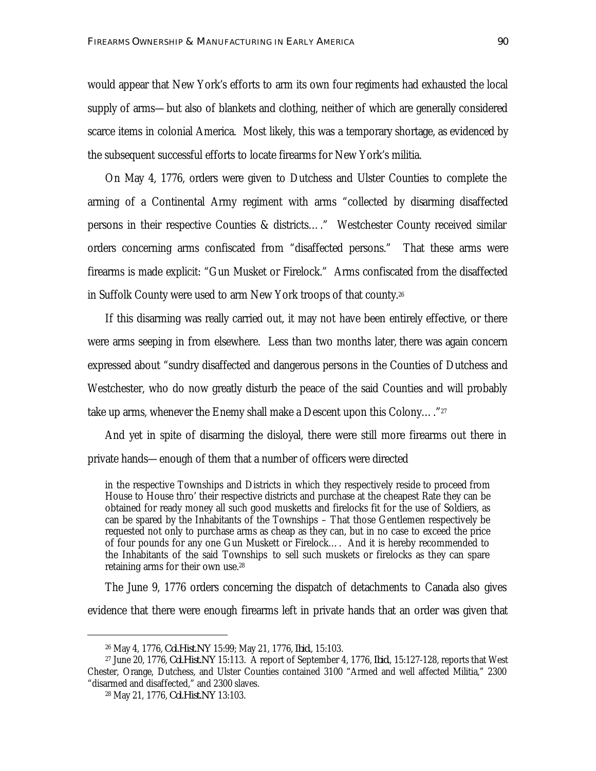would appear that New York's efforts to arm its own four regiments had exhausted the local supply of arms—but also of blankets and clothing, neither of which are generally considered scarce items in colonial America. Most likely, this was a temporary shortage, as evidenced by the subsequent successful efforts to locate firearms for New York's militia.

On May 4, 1776, orders were given to Dutchess and Ulster Counties to complete the arming of a Continental Army regiment with arms "collected by disarming disaffected persons in their respective Counties & districts…." Westchester County received similar orders concerning arms confiscated from "disaffected persons." That these arms were firearms is made explicit: "Gun Musket or Firelock." Arms confiscated from the disaffected in Suffolk County were used to arm New York troops of that county.<sup>26</sup>

If this disarming was really carried out, it may not have been entirely effective, or there were arms seeping in from elsewhere. Less than two months later, there was again concern expressed about "sundry disaffected and dangerous persons in the Counties of Dutchess and Westchester, who do now greatly disturb the peace of the said Counties and will probably take up arms, whenever the Enemy shall make a Descent upon this Colony...."<sup>27</sup>

And yet in spite of disarming the disloyal, there were still more firearms out there in private hands—enough of them that a number of officers were directed

in the respective Townships and Districts in which they respectively reside to proceed from House to House thro' their respective districts and purchase at the cheapest Rate they can be obtained for ready money all such good musketts and firelocks fit for the use of Soldiers, as can be spared by the Inhabitants of the Townships  $-$  That those Gentlemen respectively be requested not only to purchase arms as cheap as they can, but in no case to exceed the price of four pounds for any one Gun Muskett or Firelock…. And it is hereby recommended to the Inhabitants of the said Townships to sell such muskets or firelocks as they can spare retaining arms for their own use.<sup>28</sup>

The June 9, 1776 orders concerning the dispatch of detachments to Canada also gives evidence that there were enough firearms left in private hands that an order was given that

<sup>26</sup> May 4, 1776, *Col.Hist.NY* 15:99; May 21, 1776, *Ibid.*, 15:103.

<sup>27</sup> June 20, 1776, *Col.Hist.NY* 15:113. A report of September 4, 1776, *Ibid.*, 15:127-128, reports that West Chester, Orange, Dutchess, and Ulster Counties contained 3100 "Armed and well affected Militia," 2300 "disarmed and disaffected," and 2300 slaves.

<sup>28</sup> May 21, 1776, *Col.Hist.NY* 13:103.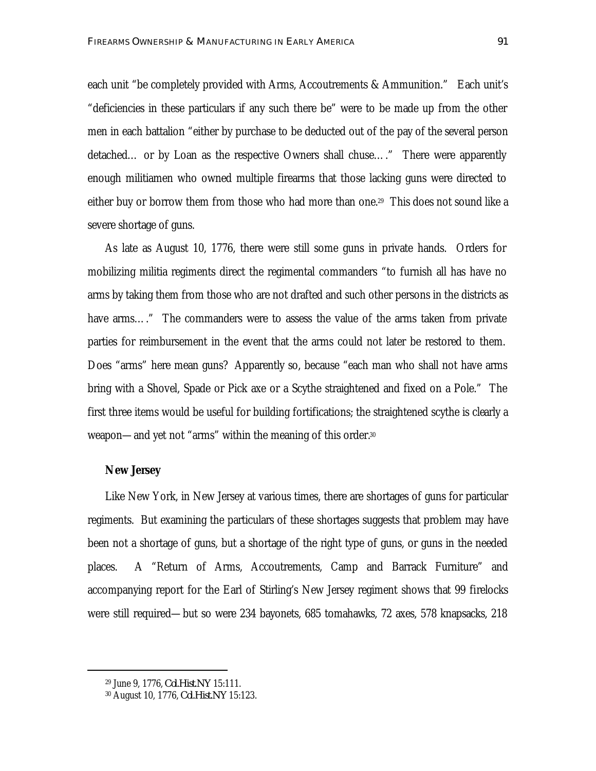each unit "be completely provided with Arms, Accoutrements & Ammunition." Each unit's "deficiencies in these particulars if any such there be" were to be made up from the other men in each battalion "either by purchase to be deducted out of the pay of the several person detached… or by Loan as the respective Owners shall chuse…." There were apparently enough militiamen who owned multiple firearms that those lacking guns were directed to either buy or borrow them from those who had more than one.29 This does not sound like a severe shortage of guns.

As late as August 10, 1776, there were still some guns in private hands. Orders for mobilizing militia regiments direct the regimental commanders "to furnish all has have no arms by taking them from those who are not drafted and such other persons in the districts as have arms...." The commanders were to assess the value of the arms taken from private parties for reimbursement in the event that the arms could not later be restored to them. Does "arms" here mean guns? Apparently so, because "each man who shall not have arms bring with a Shovel, Spade or Pick axe or a Scythe straightened and fixed on a Pole." The first three items would be useful for building fortifications; the straightened scythe is clearly a weapon—and yet not "arms" within the meaning of this order.<sup>30</sup>

### **New Jersey**

 $\overline{a}$ 

Like New York, in New Jersey at various times, there are shortages of guns for particular regiments. But examining the particulars of these shortages suggests that problem may have been not a shortage of guns, but a shortage of the right type of guns, or guns in the needed places. A "Return of Arms, Accoutrements, Camp and Barrack Furniture" and accompanying report for the Earl of Stirling's New Jersey regiment shows that 99 firelocks were still required—but so were 234 bayonets, 685 tomahawks, 72 axes, 578 knapsacks, 218

<sup>29</sup> June 9, 1776, *Col.Hist.NY* 15:111.

<sup>30</sup> August 10, 1776, *Col.Hist.NY* 15:123.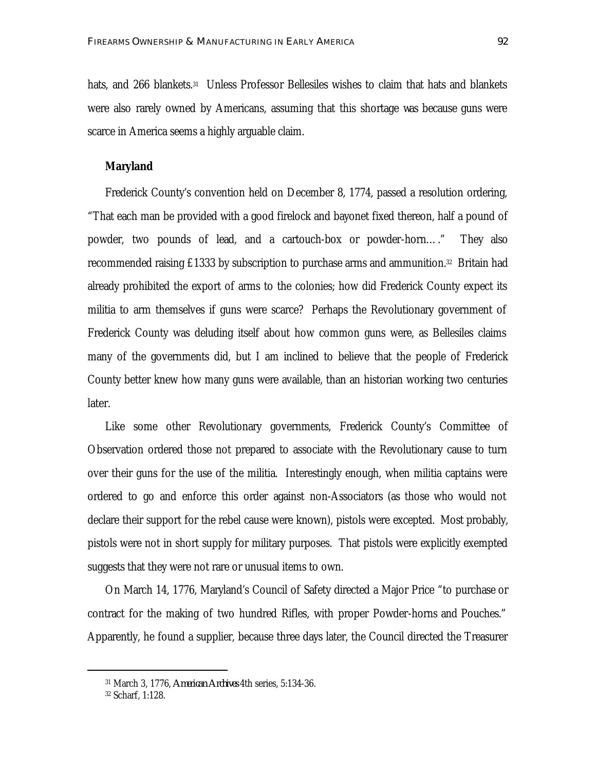hats, and 266 blankets.<sup>31</sup> Unless Professor Bellesiles wishes to claim that hats and blankets were also rarely owned by Americans, assuming that this shortage was because guns were scarce in America seems a highly arguable claim.

#### **Maryland**

Frederick County's convention held on December 8, 1774, passed a resolution ordering, "That each man be provided with a good firelock and bayonet fixed thereon, half a pound of powder, two pounds of lead, and a cartouch-box or powder-horn…." They also recommended raising £1333 by subscription to purchase arms and ammunition.<sup>32</sup> Britain had already prohibited the export of arms to the colonies; how did Frederick County expect its militia to arm themselves if guns were scarce? Perhaps the Revolutionary government of Frederick County was deluding itself about how common guns were, as Bellesiles claims many of the governments did, but I am inclined to believe that the people of Frederick County better knew how many guns were available, than an historian working two centuries later.

Like some other Revolutionary governments, Frederick County's Committee of Observation ordered those not prepared to associate with the Revolutionary cause to turn over their guns for the use of the militia. Interestingly enough, when militia captains were ordered to go and enforce this order against non-Associators (as those who would not declare their support for the rebel cause were known), pistols were excepted. Most probably, pistols were not in short supply for military purposes. That pistols were explicitly exempted suggests that they were not rare or unusual items to own.

On March 14, 1776, Maryland's Council of Safety directed a Major Price "to purchase or contract for the making of two hundred Rifles, with proper Powder-horns and Pouches." Apparently, he found a supplier, because three days later, the Council directed the Treasurer

<sup>31</sup> March 3, 1776, *American Archives* 4th series, 5:134-36.

<sup>32</sup> Scharf, 1:128.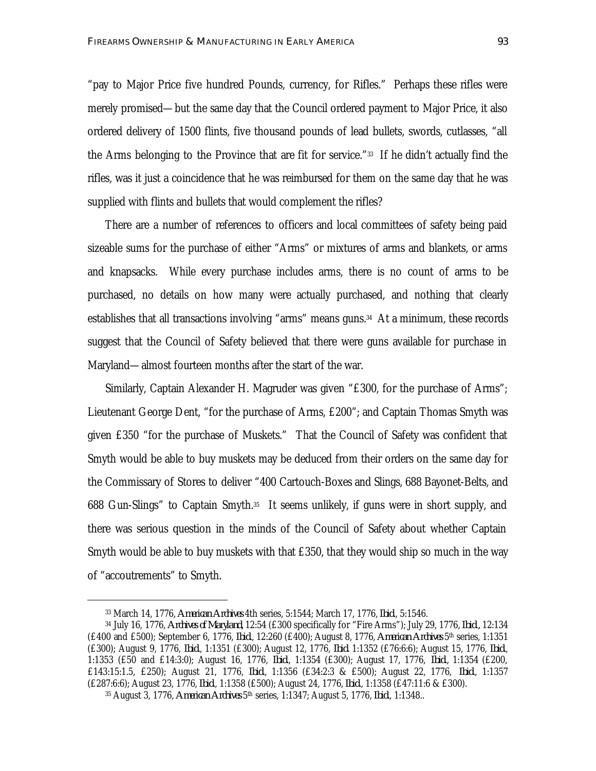"pay to Major Price five hundred Pounds, currency, for Rifles." Perhaps these rifles were merely promised—but the same day that the Council ordered payment to Major Price, it also ordered delivery of 1500 flints, five thousand pounds of lead bullets, swords, cutlasses, "all the Arms belonging to the Province that are fit for service."33 If he didn't actually find the rifles, was it just a coincidence that he was reimbursed for them on the same day that he was supplied with flints and bullets that would complement the rifles?

There are a number of references to officers and local committees of safety being paid sizeable sums for the purchase of either "Arms" or mixtures of arms and blankets, or arms and knapsacks. While every purchase includes arms, there is no count of arms to be purchased, no details on how many were actually purchased, and nothing that clearly establishes that all transactions involving "arms" means guns.<sup>34</sup> At a minimum, these records suggest that the Council of Safety believed that there were guns available for purchase in Maryland—almost fourteen months after the start of the war.

Similarly, Captain Alexander H. Magruder was given "£300, for the purchase of Arms"; Lieutenant George Dent, "for the purchase of Arms, £200"; and Captain Thomas Smyth was given £350 "for the purchase of Muskets." That the Council of Safety was confident that Smyth would be able to buy muskets may be deduced from their orders on the same day for the Commissary of Stores to deliver "400 Cartouch-Boxes and Slings, 688 Bayonet-Belts, and 688 Gun-Slings" to Captain Smyth.35 It seems unlikely, if guns were in short supply, and there was serious question in the minds of the Council of Safety about whether Captain Smyth would be able to buy muskets with that £350, that they would ship so much in the way of "accoutrements" to Smyth.

<sup>33</sup> March 14, 1776, *American Archives* 4th series, 5:1544; March 17, 1776, *Ibid.*, 5:1546.

<sup>34</sup> July 16, 1776, *Archives of Maryland,* 12:54 (£300 specifically for "Fire Arms"); July 29, 1776, *Ibid.,* 12:134 (£400 and £500); September 6, 1776, *Ibid.*, 12:260 (£400); August 8, 1776, *American Archives* 5 th series, 1:1351 (£300); August 9, 1776, *Ibid.*, 1:1351 (£300); August 12, 1776, *Ibid.* 1:1352 (£76:6:6); August 15, 1776, *Ibid.*, 1:1353 (£50 and £14:3:0); August 16, 1776, *Ibid.*, 1:1354 (£300); August 17, 1776, *Ibid.*, 1:1354 (£200, £143:15:1.5, £250); August 21, 1776, *Ibid.*, 1:1356 (£34:2:3 & £500); August 22, 1776, *Ibid.*, 1:1357 (£287:6:6); August 23, 1776, *Ibid.*, 1:1358 (£500); August 24, 1776, *Ibid.*, 1:1358 (£47:11:6 & £300).

<sup>35</sup> August 3, 1776, *American Archives* 5th series, 1:1347; August 5, 1776, *Ibid.*, 1:1348..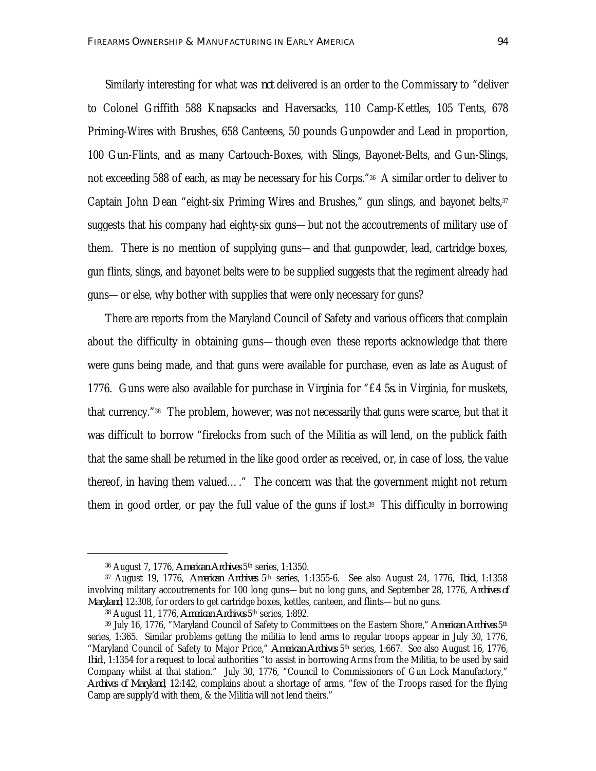Similarly interesting for what was *not* delivered is an order to the Commissary to "deliver to Colonel Griffith 588 Knapsacks and Haversacks, 110 Camp-Kettles, 105 Tents, 678 Priming-Wires with Brushes, 658 Canteens, 50 pounds Gunpowder and Lead in proportion, 100 Gun-Flints, and as many Cartouch-Boxes, with Slings, Bayonet-Belts, and Gun-Slings, not exceeding 588 of each, as may be necessary for his Corps."36 A similar order to deliver to Captain John Dean "eight-six Priming Wires and Brushes," gun slings, and bayonet belts, 37 suggests that his company had eighty-six guns—but not the accoutrements of military use of them. There is no mention of supplying guns—and that gunpowder, lead, cartridge boxes, gun flints, slings, and bayonet belts were to be supplied suggests that the regiment already had guns—or else, why bother with supplies that were only necessary for guns?

There are reports from the Maryland Council of Safety and various officers that complain about the difficulty in obtaining guns—though even these reports acknowledge that there were guns being made, and that guns were available for purchase, even as late as August of 1776. Guns were also available for purchase in Virginia for "£4 5*s.* in Virginia, for muskets, that currency."38 The problem, however, was not necessarily that guns were scarce, but that it was difficult to borrow "firelocks from such of the Militia as will lend, on the publick faith that the same shall be returned in the like good order as received, or, in case of loss, the value thereof, in having them valued…." The concern was that the government might not return them in good order, or pay the full value of the guns if lost.39 This difficulty in borrowing

<sup>36</sup> August 7, 1776, *American Archives* 5 th series, 1:1350.

<sup>37</sup> August 19, 1776, *American Archives* 5th series, 1:1355-6. See also August 24, 1776, *Ibid.*, 1:1358 involving military accoutrements for 100 long guns—but no long guns, and September 28, 1776, *Archives of Maryland*, 12:308, for orders to get cartridge boxes, kettles, canteen, and flints—but no guns.

<sup>38</sup> August 11, 1776, *American Archives* 5th series, 1:892.

<sup>39</sup> July 16, 1776, "Maryland Council of Safety to Committees on the Eastern Shore," *American Archives* 5th series, 1:365. Similar problems getting the militia to lend arms to regular troops appear in July 30, 1776, "Maryland Council of Safety to Major Price," *American Archives* 5 th series, 1:667. See also August 16, 1776, *Ibid.*, 1:1354 for a request to local authorities "to assist in borrowing Arms from the Militia, to be used by said Company whilst at that station." July 30, 1776, "Council to Commissioners of Gun Lock Manufactory," *Archives of Maryland*, 12:142, complains about a shortage of arms, "few of the Troops raised for the flying Camp are supply'd with them, & the Militia will not lend theirs."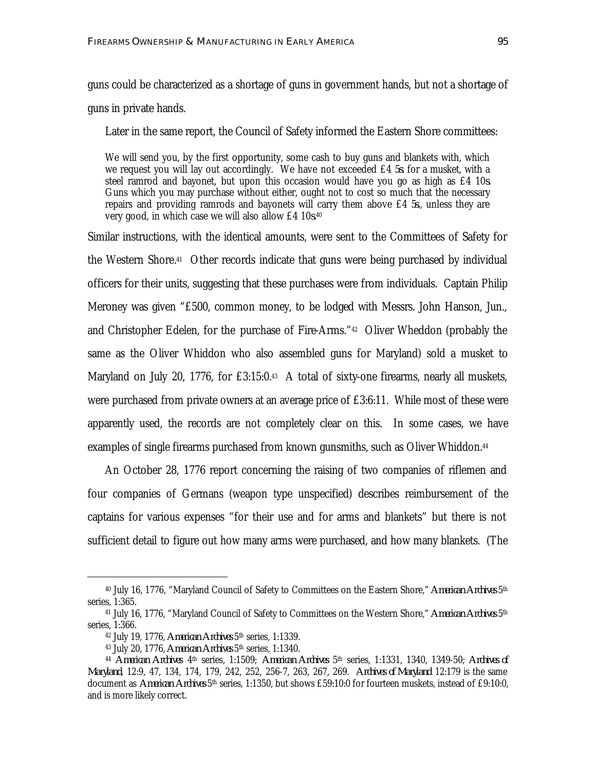guns could be characterized as a shortage of guns in government hands, but not a shortage of guns in private hands.

Later in the same report, the Council of Safety informed the Eastern Shore committees:

We will send you, by the first opportunity, some cash to buy guns and blankets with, which we request you will lay out accordingly. We have not exceeded £4 5*s.* for a musket, with a steel ramrod and bayonet, but upon this occasion would have you go as high as £4 10*s.* Guns which you may purchase without either, ought not to cost so much that the necessary repairs and providing ramrods and bayonets will carry them above £4 5*s.*, unless they are very good, in which case we will also allow £4 10*s.*<sup>40</sup>

Similar instructions, with the identical amounts, were sent to the Committees of Safety for the Western Shore.41 Other records indicate that guns were being purchased by individual officers for their units, suggesting that these purchases were from individuals. Captain Philip Meroney was given "£500, common money, to be lodged with Messrs. John Hanson, Jun., and Christopher Edelen, for the purchase of Fire-Arms."42 Oliver Wheddon (probably the same as the Oliver Whiddon who also assembled guns for Maryland) sold a musket to Maryland on July 20, 1776, for £3:15:0.<sup>43</sup> A total of sixty-one firearms, nearly all muskets, were purchased from private owners at an average price of £3:6:11. While most of these were apparently used, the records are not completely clear on this. In some cases, we have examples of single firearms purchased from known gunsmiths, such as Oliver Whiddon.<sup>44</sup>

An October 28, 1776 report concerning the raising of two companies of riflemen and four companies of Germans (weapon type unspecified) describes reimbursement of the captains for various expenses "for their use and for arms and blankets" but there is not sufficient detail to figure out how many arms were purchased, and how many blankets. (The

<sup>40</sup> July 16, 1776, "Maryland Council of Safety to Committees on the Eastern Shore," *American Archives* 5th series, 1:365.

<sup>41</sup> July 16, 1776, "Maryland Council of Safety to Committees on the Western Shore," *American Archives* 5th series, 1:366.

<sup>42</sup> July 19, 1776, *American Archives* 5th series, 1:1339.

<sup>43</sup> July 20, 1776, *American Archives* 5 th series, 1:1340.

<sup>44</sup> *American Archives* 4 th series, 1:1509; *American Archives* 5 th series, 1:1331, 1340, 1349-50; *Archives of Maryland*, 12:9, 47, 134, 174, 179, 242, 252, 256-7, 263, 267, 269. *Archives of Maryland* 12:179 is the same document as *American Archives* 5<sup>th</sup> series, 1:1350, but shows £59:10:0 for fourteen muskets, instead of £9:10:0, and is more likely correct.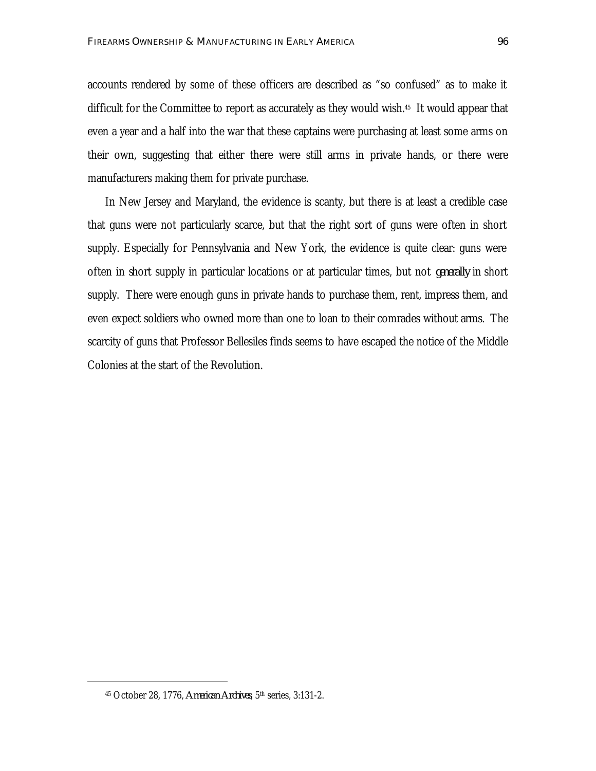accounts rendered by some of these officers are described as "so confused" as to make it difficult for the Committee to report as accurately as they would wish.45 It would appear that even a year and a half into the war that these captains were purchasing at least some arms on their own, suggesting that either there were still arms in private hands, or there were manufacturers making them for private purchase.

In New Jersey and Maryland, the evidence is scanty, but there is at least a credible case that guns were not particularly scarce, but that the right sort of guns were often in short supply. Especially for Pennsylvania and New York, the evidence is quite clear: guns were often in short supply in particular locations or at particular times, but not *generally* in short supply. There were enough guns in private hands to purchase them, rent, impress them, and even expect soldiers who owned more than one to loan to their comrades without arms. The scarcity of guns that Professor Bellesiles finds seems to have escaped the notice of the Middle Colonies at the start of the Revolution.

<sup>45</sup> October 28, 1776, *American Archives*, 5th series, 3:131-2.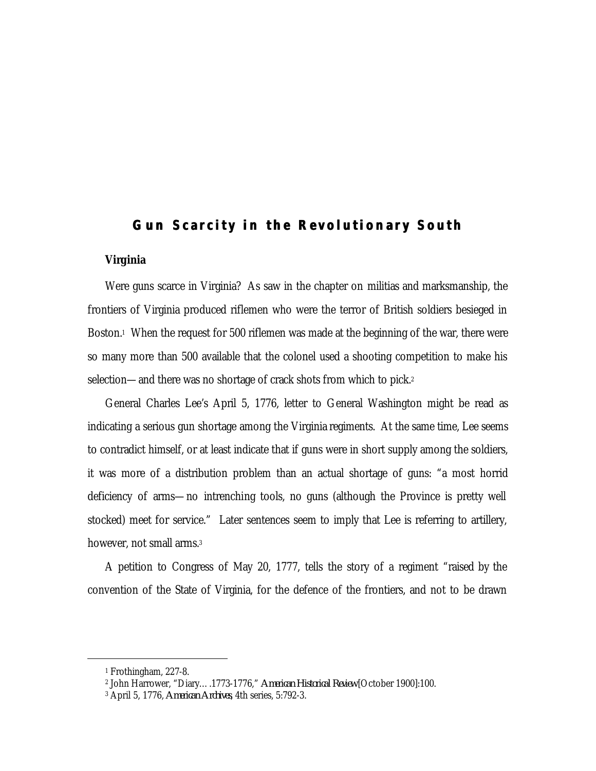# **Gun Scarcity in the Revolutionary South**

## **Virginia**

Were guns scarce in Virginia? As saw in the chapter on militias and marksmanship, the frontiers of Virginia produced riflemen who were the terror of British soldiers besieged in Boston.<sup>1</sup> When the request for 500 riflemen was made at the beginning of the war, there were so many more than 500 available that the colonel used a shooting competition to make his selection—and there was no shortage of crack shots from which to pick.<sup>2</sup>

General Charles Lee's April 5, 1776, letter to General Washington might be read as indicating a serious gun shortage among the Virginia regiments. At the same time, Lee seems to contradict himself, or at least indicate that if guns were in short supply among the soldiers, it was more of a distribution problem than an actual shortage of guns: "a most horrid deficiency of arms—no intrenching tools, no guns (although the Province is pretty well stocked) meet for service." Later sentences seem to imply that Lee is referring to artillery, however, not small arms.<sup>3</sup>

A petition to Congress of May 20, 1777, tells the story of a regiment "raised by the convention of the State of Virginia, for the defence of the frontiers, and not to be drawn

<sup>1</sup> Frothingham, 227-8.

<sup>2</sup> John Harrower, "Diary….1773-1776," *American Historical Review* [October 1900]:100.

<sup>3</sup> April 5, 1776, *American Archives*, 4th series, 5:792-3.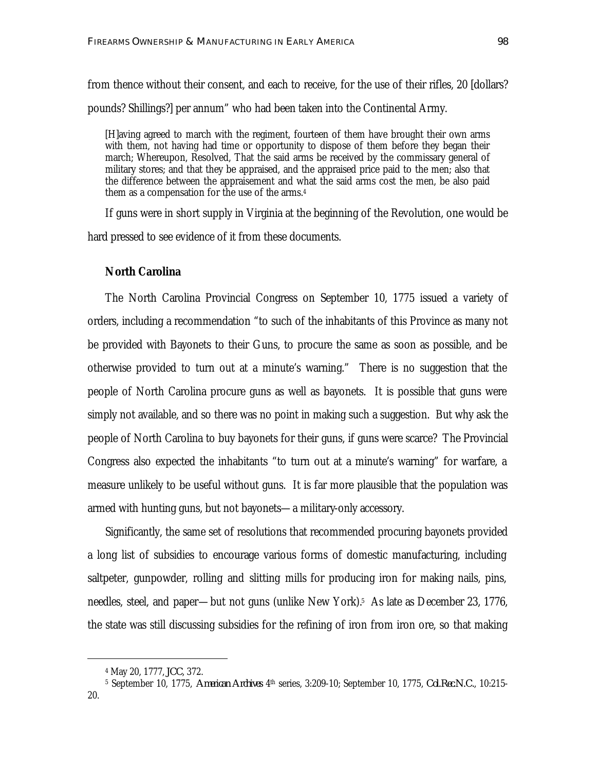from thence without their consent, and each to receive, for the use of their rifles, 20 [dollars? pounds? Shillings?] per annum" who had been taken into the Continental Army.

[H]aving agreed to march with the regiment, fourteen of them have brought their own arms with them, not having had time or opportunity to dispose of them before they began their march; Whereupon, Resolved, That the said arms be received by the commissary general of military stores; and that they be appraised, and the appraised price paid to the men; also that the difference between the appraisement and what the said arms cost the men, be also paid them as a compensation for the use of the arms.<sup>4</sup>

If guns were in short supply in Virginia at the beginning of the Revolution, one would be hard pressed to see evidence of it from these documents.

#### **North Carolina**

The North Carolina Provincial Congress on September 10, 1775 issued a variety of orders, including a recommendation "to such of the inhabitants of this Province as many not be provided with Bayonets to their Guns, to procure the same as soon as possible, and be otherwise provided to turn out at a minute's warning." There is no suggestion that the people of North Carolina procure guns as well as bayonets. It is possible that guns were simply not available, and so there was no point in making such a suggestion. But why ask the people of North Carolina to buy bayonets for their guns, if guns were scarce? The Provincial Congress also expected the inhabitants "to turn out at a minute's warning" for warfare, a measure unlikely to be useful without guns. It is far more plausible that the population was armed with hunting guns, but not bayonets—a military-only accessory.

Significantly, the same set of resolutions that recommended procuring bayonets provided a long list of subsidies to encourage various forms of domestic manufacturing, including saltpeter, gunpowder, rolling and slitting mills for producing iron for making nails, pins, needles, steel, and paper—but not guns (unlike New York).<sup>5</sup> As late as December 23, 1776, the state was still discussing subsidies for the refining of iron from iron ore, so that making

<sup>4</sup> May 20, 1777, *JCC*, 372.

<sup>5</sup> September 10, 1775, *American Archives* 4 th series, 3:209-10; September 10, 1775, *Col.Rec.N.C.*, 10:215- 20.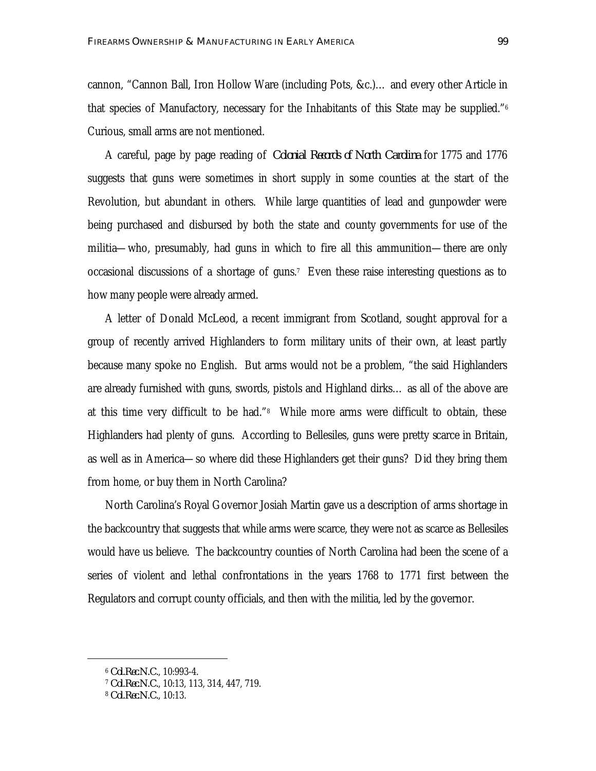cannon, "Cannon Ball, Iron Hollow Ware (including Pots, &c.)… and every other Article in that species of Manufactory, necessary for the Inhabitants of this State may be supplied."<sup>6</sup> Curious, small arms are not mentioned.

A careful, page by page reading of *Colonial Records of North Carolina* for 1775 and 1776 suggests that guns were sometimes in short supply in some counties at the start of the Revolution, but abundant in others. While large quantities of lead and gunpowder were being purchased and disbursed by both the state and county governments for use of the militia—who, presumably, had guns in which to fire all this ammunition—there are only occasional discussions of a shortage of guns.<sup>7</sup> Even these raise interesting questions as to how many people were already armed.

A letter of Donald McLeod, a recent immigrant from Scotland, sought approval for a group of recently arrived Highlanders to form military units of their own, at least partly because many spoke no English. But arms would not be a problem, "the said Highlanders are already furnished with guns, swords, pistols and Highland dirks… as all of the above are at this time very difficult to be had."<sup>8</sup> While more arms were difficult to obtain, these Highlanders had plenty of guns. According to Bellesiles, guns were pretty scarce in Britain, as well as in America—so where did these Highlanders get their guns? Did they bring them from home, or buy them in North Carolina?

North Carolina's Royal Governor Josiah Martin gave us a description of arms shortage in the backcountry that suggests that while arms were scarce, they were not as scarce as Bellesiles would have us believe. The backcountry counties of North Carolina had been the scene of a series of violent and lethal confrontations in the years 1768 to 1771 first between the Regulators and corrupt county officials, and then with the militia, led by the governor.

<sup>6</sup> *Col.Rec.N.C.*, 10:993-4.

<sup>7</sup> *Col.Rec.N.C.*, 10:13, 113, 314, 447, 719.

<sup>8</sup> *Col.Rec.N.C.*, 10:13.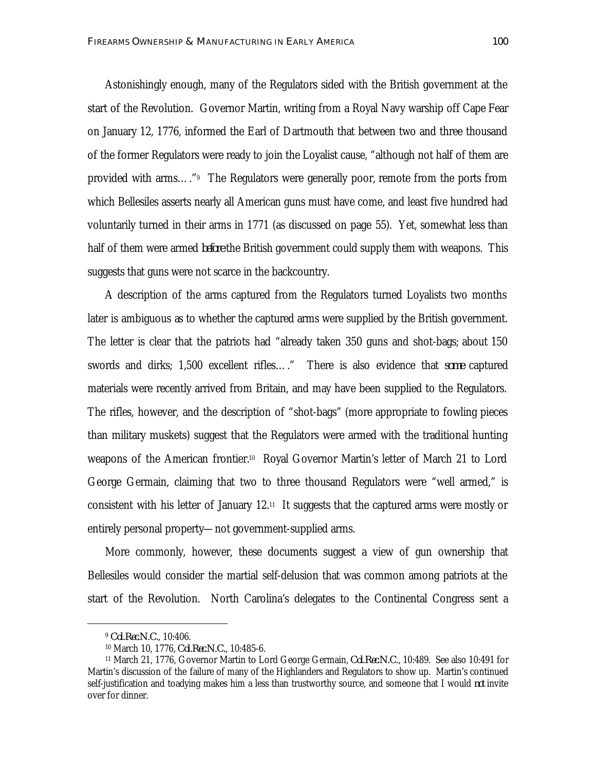Astonishingly enough, many of the Regulators sided with the British government at the start of the Revolution. Governor Martin, writing from a Royal Navy warship off Cape Fear on January 12, 1776, informed the Earl of Dartmouth that between two and three thousand of the former Regulators were ready to join the Loyalist cause, "although not half of them are provided with arms…."<sup>9</sup> The Regulators were generally poor, remote from the ports from which Bellesiles asserts nearly all American guns must have come, and least five hundred had voluntarily turned in their arms in 1771 (as discussed on page 55). Yet, somewhat less than half of them were armed *before* the British government could supply them with weapons. This suggests that guns were not scarce in the backcountry.

A description of the arms captured from the Regulators turned Loyalists two months later is ambiguous as to whether the captured arms were supplied by the British government. The letter is clear that the patriots had "already taken 350 guns and shot-bags; about 150 swords and dirks; 1,500 excellent rifles…." There is also evidence that *some* captured materials were recently arrived from Britain, and may have been supplied to the Regulators. The rifles, however, and the description of "shot-bags" (more appropriate to fowling pieces than military muskets) suggest that the Regulators were armed with the traditional hunting weapons of the American frontier.10 Royal Governor Martin's letter of March 21 to Lord George Germain, claiming that two to three thousand Regulators were "well armed," is consistent with his letter of January 12.11 It suggests that the captured arms were mostly or entirely personal property—not government-supplied arms.

More commonly, however, these documents suggest a view of gun ownership that Bellesiles would consider the martial self-delusion that was common among patriots at the start of the Revolution. North Carolina's delegates to the Continental Congress sent a

<sup>9</sup> *Col.Rec.N.C.*, 10:406.

<sup>10</sup> March 10, 1776, *Col.Rec.N.C.*, 10:485-6.

<sup>11</sup> March 21, 1776, Governor Martin to Lord George Germain, *Col.Rec.N.C.*, 10:489. See also 10:491 for Martin's discussion of the failure of many of the Highlanders and Regulators to show up. Martin's continued self-justification and toadying makes him a less than trustworthy source, and someone that I would *not* invite over for dinner.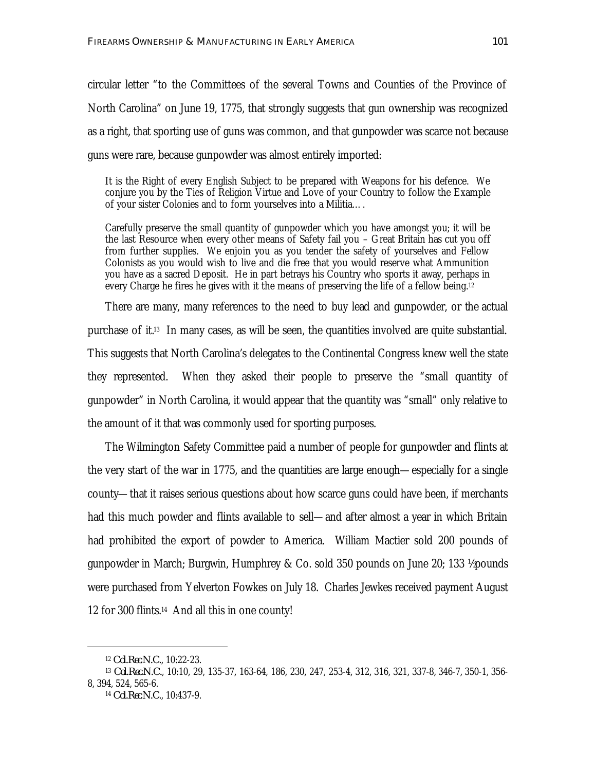circular letter "to the Committees of the several Towns and Counties of the Province of North Carolina" on June 19, 1775, that strongly suggests that gun ownership was recognized as a right, that sporting use of guns was common, and that gunpowder was scarce not because guns were rare, because gunpowder was almost entirely imported:

It is the Right of every English Subject to be prepared with Weapons for his defence. We conjure you by the Ties of Religion Virtue and Love of your Country to follow the Example of your sister Colonies and to form yourselves into a Militia….

Carefully preserve the small quantity of gunpowder which you have amongst you; it will be the last Resource when every other means of Safety fail you – Great Britain has cut you off from further supplies. We enjoin you as you tender the safety of yourselves and Fellow Colonists as you would wish to live and die free that you would reserve what Ammunition you have as a sacred Deposit. He in part betrays his Country who sports it away, perhaps in every Charge he fires he gives with it the means of preserving the life of a fellow being.<sup>12</sup>

There are many, many references to the need to buy lead and gunpowder, or the actual purchase of it.13 In many cases, as will be seen, the quantities involved are quite substantial. This suggests that North Carolina's delegates to the Continental Congress knew well the state they represented. When they asked their people to preserve the "small quantity of gunpowder" in North Carolina, it would appear that the quantity was "small" only relative to the amount of it that was commonly used for sporting purposes.

The Wilmington Safety Committee paid a number of people for gunpowder and flints at the very start of the war in 1775, and the quantities are large enough—especially for a single county—that it raises serious questions about how scarce guns could have been, if merchants had this much powder and flints available to sell—and after almost a year in which Britain had prohibited the export of powder to America. William Mactier sold 200 pounds of gunpowder in March; Burgwin, Humphrey & Co. sold 350 pounds on June 20; 133 ½ pounds were purchased from Yelverton Fowkes on July 18. Charles Jewkes received payment August 12 for 300 flints.14 And all this in one county!

<sup>12</sup> *Col.Rec.N.C.*, 10:22-23.

<sup>13</sup> *Col.Rec.N.C.*, 10:10, 29, 135-37, 163-64, 186, 230, 247, 253-4, 312, 316, 321, 337-8, 346-7, 350-1, 356- 8, 394, 524, 565-6.

<sup>14</sup> *Col.Rec.N.C.*, 10:437-9.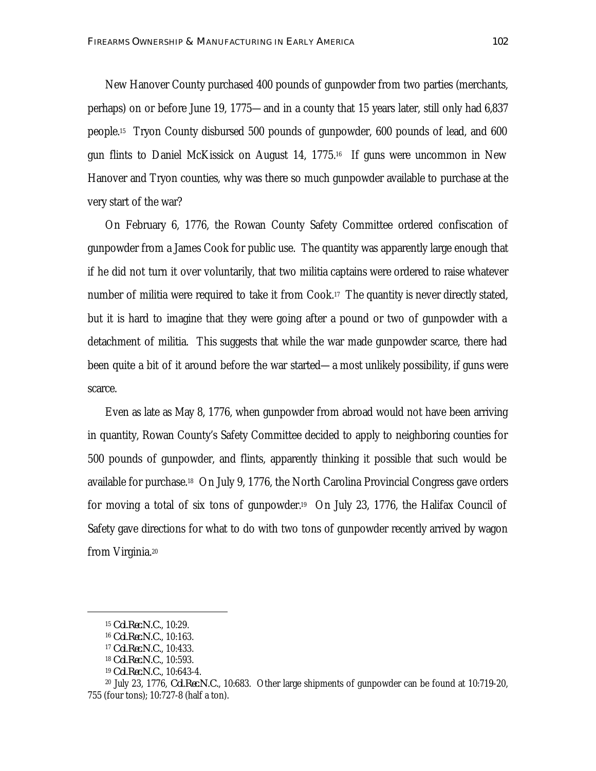New Hanover County purchased 400 pounds of gunpowder from two parties (merchants, perhaps) on or before June 19, 1775—and in a county that 15 years later, still only had 6,837 people.15 Tryon County disbursed 500 pounds of gunpowder, 600 pounds of lead, and 600 gun flints to Daniel McKissick on August 14, 1775.16 If guns were uncommon in New Hanover and Tryon counties, why was there so much gunpowder available to purchase at the very start of the war?

On February 6, 1776, the Rowan County Safety Committee ordered confiscation of gunpowder from a James Cook for public use. The quantity was apparently large enough that if he did not turn it over voluntarily, that two militia captains were ordered to raise whatever number of militia were required to take it from Cook.<sup>17</sup> The quantity is never directly stated, but it is hard to imagine that they were going after a pound or two of gunpowder with a detachment of militia. This suggests that while the war made gunpowder scarce, there had been quite a bit of it around before the war started—a most unlikely possibility, if guns were scarce.

Even as late as May 8, 1776, when gunpowder from abroad would not have been arriving in quantity, Rowan County's Safety Committee decided to apply to neighboring counties for 500 pounds of gunpowder, and flints, apparently thinking it possible that such would be available for purchase.18 On July 9, 1776, the North Carolina Provincial Congress gave orders for moving a total of six tons of gunpowder.19 On July 23, 1776, the Halifax Council of Safety gave directions for what to do with two tons of gunpowder recently arrived by wagon from Virginia.<sup>20</sup>

<sup>15</sup> *Col.Rec.N.C.*, 10:29.

<sup>16</sup> *Col.Rec.N.C.*, 10:163.

<sup>17</sup> *Col.Rec.N.C.*, 10:433.

<sup>18</sup> *Col.Rec.N.C.*, 10:593.

<sup>19</sup> *Col.Rec.N.C.*, 10:643-4.

<sup>20</sup> July 23, 1776, *Col.Rec.N.C.*, 10:683. Other large shipments of gunpowder can be found at 10:719-20, 755 (four tons); 10:727-8 (half a ton).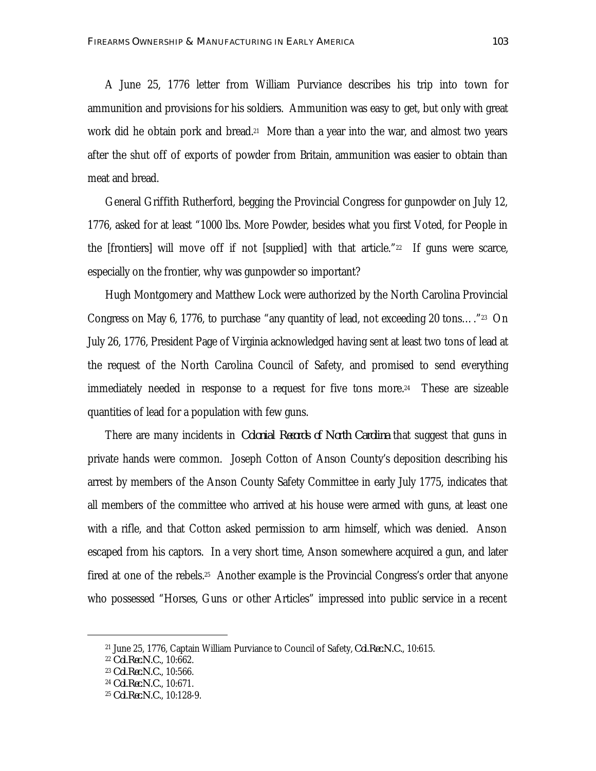A June 25, 1776 letter from William Purviance describes his trip into town for ammunition and provisions for his soldiers. Ammunition was easy to get, but only with great work did he obtain pork and bread.<sup>21</sup> More than a year into the war, and almost two years after the shut off of exports of powder from Britain, ammunition was easier to obtain than meat and bread.

General Griffith Rutherford, begging the Provincial Congress for gunpowder on July 12, 1776, asked for at least "1000 lbs. More Powder, besides what you first Voted, for People in the [frontiers] will move off if not [supplied] with that article." $22$  If guns were scarce, especially on the frontier, why was gunpowder so important?

Hugh Montgomery and Matthew Lock were authorized by the North Carolina Provincial Congress on May 6, 1776, to purchase "any quantity of lead, not exceeding 20 tons…."23 On July 26, 1776, President Page of Virginia acknowledged having sent at least two tons of lead at the request of the North Carolina Council of Safety, and promised to send everything immediately needed in response to a request for five tons more.24 These are sizeable quantities of lead for a population with few guns.

There are many incidents in *Colonial Records of North Carolina* that suggest that guns in private hands were common. Joseph Cotton of Anson County's deposition describing his arrest by members of the Anson County Safety Committee in early July 1775, indicates that all members of the committee who arrived at his house were armed with guns, at least one with a rifle, and that Cotton asked permission to arm himself, which was denied. Anson escaped from his captors. In a very short time, Anson somewhere acquired a gun, and later fired at one of the rebels.25 Another example is the Provincial Congress's order that anyone who possessed "Horses, Guns or other Articles" impressed into public service in a recent

<sup>21</sup> June 25, 1776, Captain William Purviance to Council of Safety, *Col.Rec.N.C.*, 10:615.

<sup>22</sup> *Col.Rec.N.C.*, 10:662.

<sup>23</sup> *Col.Rec.N.C.*, 10:566.

<sup>24</sup> *Col.Rec.N.C.*, 10:671.

<sup>25</sup> *Col.Rec.N.C.*, 10:128-9.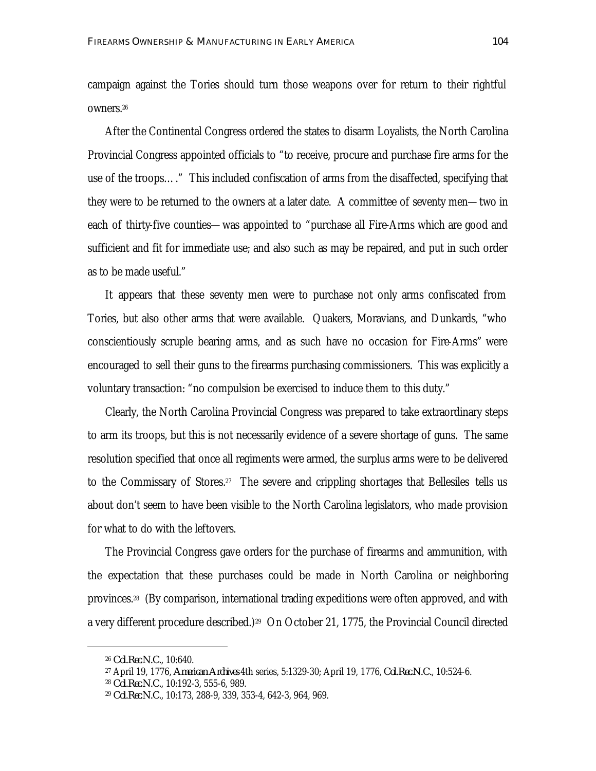campaign against the Tories should turn those weapons over for return to their rightful owners.<sup>26</sup>

After the Continental Congress ordered the states to disarm Loyalists, the North Carolina Provincial Congress appointed officials to "to receive, procure and purchase fire arms for the use of the troops…." This included confiscation of arms from the disaffected, specifying that they were to be returned to the owners at a later date. A committee of seventy men—two in each of thirty-five counties—was appointed to "purchase all Fire-Arms which are good and sufficient and fit for immediate use; and also such as may be repaired, and put in such order as to be made useful."

It appears that these seventy men were to purchase not only arms confiscated from Tories, but also other arms that were available. Quakers, Moravians, and Dunkards, "who conscientiously scruple bearing arms, and as such have no occasion for Fire-Arms" were encouraged to sell their guns to the firearms purchasing commissioners. This was explicitly a voluntary transaction: "no compulsion be exercised to induce them to this duty."

Clearly, the North Carolina Provincial Congress was prepared to take extraordinary steps to arm its troops, but this is not necessarily evidence of a severe shortage of guns. The same resolution specified that once all regiments were armed, the surplus arms were to be delivered to the Commissary of Stores.27 The severe and crippling shortages that Bellesiles tells us about don't seem to have been visible to the North Carolina legislators, who made provision for what to do with the leftovers.

The Provincial Congress gave orders for the purchase of firearms and ammunition, with the expectation that these purchases could be made in North Carolina or neighboring provinces.28 (By comparison, international trading expeditions were often approved, and with a very different procedure described.)<sup>29</sup> On October 21, 1775, the Provincial Council directed

<sup>26</sup> *Col.Rec.N.C.*, 10:640.

<sup>27</sup> April 19, 1776, *American Archives* 4th series, 5:1329-30; April 19, 1776, *Col.Rec.N.C.*, 10:524-6.

<sup>28</sup> *Col.Rec.N.C.*, 10:192-3, 555-6, 989.

<sup>29</sup> *Col.Rec.N.C.*, 10:173, 288-9, 339, 353-4, 642-3, 964, 969.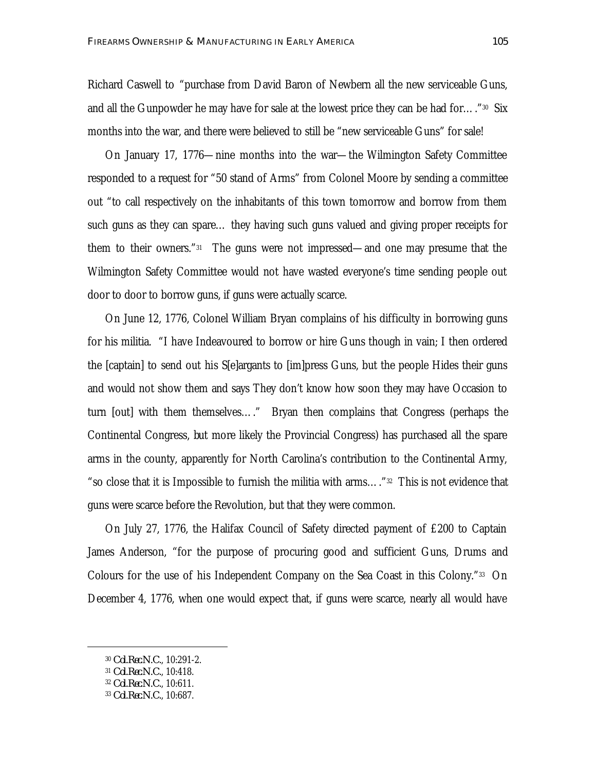Richard Caswell to "purchase from David Baron of Newbern all the new serviceable Guns, and all the Gunpowder he may have for sale at the lowest price they can be had for…."30 Six months into the war, and there were believed to still be "new serviceable Guns" for sale!

On January 17, 1776—nine months into the war—the Wilmington Safety Committee responded to a request for "50 stand of Arms" from Colonel Moore by sending a committee out "to call respectively on the inhabitants of this town tomorrow and borrow from them such guns as they can spare… they having such guns valued and giving proper receipts for them to their owners."31 The guns were not impressed—and one may presume that the Wilmington Safety Committee would not have wasted everyone's time sending people out door to door to borrow guns, if guns were actually scarce.

On June 12, 1776, Colonel William Bryan complains of his difficulty in borrowing guns for his militia. "I have Indeavoured to borrow or hire Guns though in vain; I then ordered the [captain] to send out his S[e]argants to [im]press Guns, but the people Hides their guns and would not show them and says They don't know how soon they may have Occasion to turn [out] with them themselves…." Bryan then complains that Congress (perhaps the Continental Congress, but more likely the Provincial Congress) has purchased all the spare arms in the county, apparently for North Carolina's contribution to the Continental Army, "so close that it is Impossible to furnish the militia with arms…."32 This is not evidence that guns were scarce before the Revolution, but that they were common.

On July 27, 1776, the Halifax Council of Safety directed payment of £200 to Captain James Anderson, "for the purpose of procuring good and sufficient Guns, Drums and Colours for the use of his Independent Company on the Sea Coast in this Colony."33 On December 4, 1776, when one would expect that, if guns were scarce, nearly all would have

<sup>30</sup> *Col.Rec.N.C.*, 10:291-2.

<sup>31</sup> *Col.Rec.N.C.*, 10:418.

<sup>32</sup> *Col.Rec.N.C.*, 10:611.

<sup>33</sup> *Col.Rec.N.C.*, 10:687.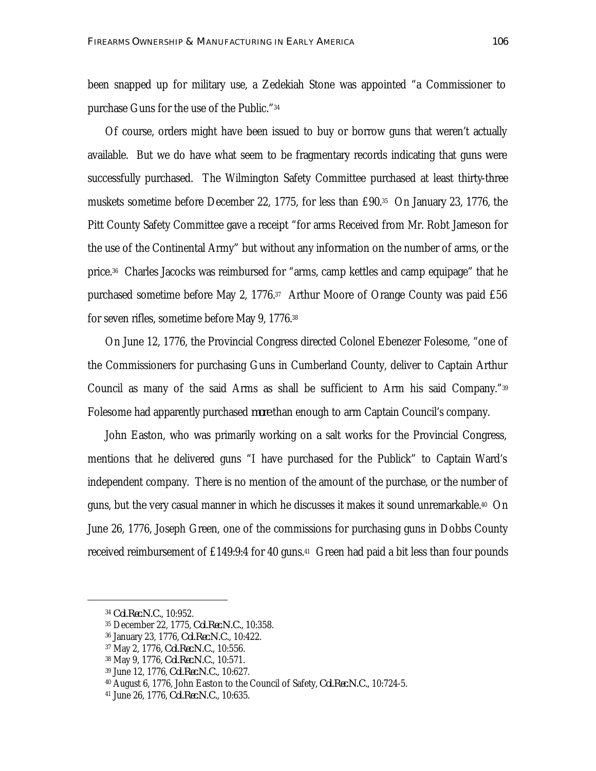been snapped up for military use, a Zedekiah Stone was appointed "a Commissioner to purchase Guns for the use of the Public."<sup>34</sup>

Of course, orders might have been issued to buy or borrow guns that weren't actually available. But we do have what seem to be fragmentary records indicating that guns were successfully purchased. The Wilmington Safety Committee purchased at least thirty-three muskets sometime before December 22, 1775, for less than £90.35 On January 23, 1776, the Pitt County Safety Committee gave a receipt "for arms Received from Mr. Robt Jameson for the use of the Continental Army" but without any information on the number of arms, or the price.36 Charles Jacocks was reimbursed for "arms, camp kettles and camp equipage" that he purchased sometime before May 2, 1776.37 Arthur Moore of Orange County was paid £56 for seven rifles, sometime before May 9, 1776.<sup>38</sup>

On June 12, 1776, the Provincial Congress directed Colonel Ebenezer Folesome, "one of the Commissioners for purchasing Guns in Cumberland County, deliver to Captain Arthur Council as many of the said Arms as shall be sufficient to Arm his said Company."<sup>39</sup> Folesome had apparently purchased *more* than enough to arm Captain Council's company.

John Easton, who was primarily working on a salt works for the Provincial Congress, mentions that he delivered guns "I have purchased for the Publick" to Captain Ward's independent company. There is no mention of the amount of the purchase, or the number of guns, but the very casual manner in which he discusses it makes it sound unremarkable.40 On June 26, 1776, Joseph Green, one of the commissions for purchasing guns in Dobbs County received reimbursement of £149:9:4 for 40 guns.41 Green had paid a bit less than four pounds

<sup>34</sup> *Col.Rec.N.C.*, 10:952.

<sup>35</sup> December 22, 1775, *Col.Rec.N.C.*, 10:358.

<sup>36</sup> January 23, 1776, *Col.Rec.N.C.*, 10:422.

<sup>37</sup> May 2, 1776, *Col.Rec.N.C.*, 10:556.

<sup>38</sup> May 9, 1776, *Col.Rec.N.C.*, 10:571.

<sup>39</sup> June 12, 1776, *Col.Rec.N.C.*, 10:627.

<sup>40</sup> August 6, 1776, John Easton to the Council of Safety, *Col.Rec.N.C.*, 10:724-5.

<sup>41</sup> June 26, 1776, *Col.Rec.N.C.*, 10:635.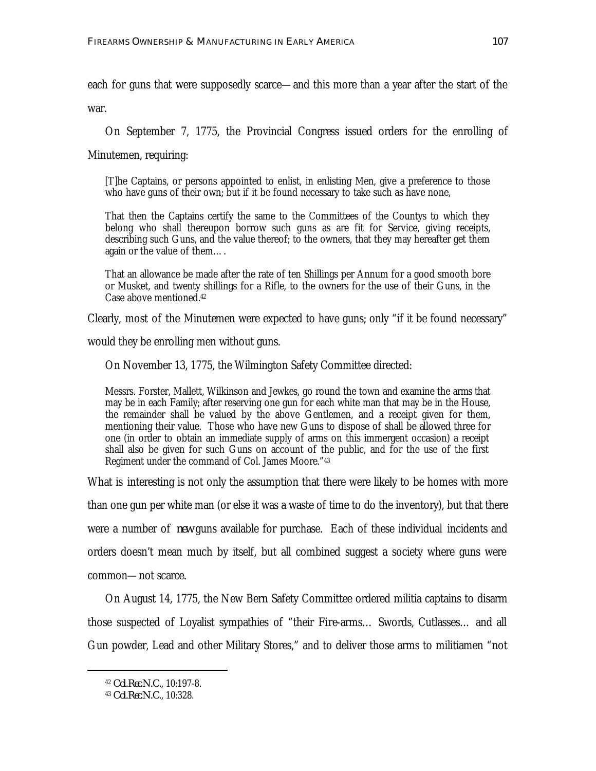each for guns that were supposedly scarce—and this more than a year after the start of the

war.

On September 7, 1775, the Provincial Congress issued orders for the enrolling of

Minutemen, requiring:

[T]he Captains, or persons appointed to enlist, in enlisting Men, give a preference to those who have guns of their own; but if it be found necessary to take such as have none,

That then the Captains certify the same to the Committees of the Countys to which they belong who shall thereupon borrow such guns as are fit for Service, giving receipts, describing such Guns, and the value thereof; to the owners, that they may hereafter get them again or the value of them….

That an allowance be made after the rate of ten Shillings per Annum for a good smooth bore or Musket, and twenty shillings for a Rifle, to the owners for the use of their Guns, in the Case above mentioned.<sup>42</sup>

Clearly, most of the Minutemen were expected to have guns; only "if it be found necessary"

would they be enrolling men without guns.

On November 13, 1775, the Wilmington Safety Committee directed:

Messrs. Forster, Mallett, Wilkinson and Jewkes, go round the town and examine the arms that may be in each Family; after reserving one gun for each white man that may be in the House, the remainder shall be valued by the above Gentlemen, and a receipt given for them, mentioning their value. Those who have new Guns to dispose of shall be allowed three for one (in order to obtain an immediate supply of arms on this immergent occasion) a receipt shall also be given for such Guns on account of the public, and for the use of the first Regiment under the command of Col. James Moore."<sup>43</sup>

What is interesting is not only the assumption that there were likely to be homes with more

than one gun per white man (or else it was a waste of time to do the inventory), but that there

were a number of *new* guns available for purchase. Each of these individual incidents and

orders doesn't mean much by itself, but all combined suggest a society where guns were

common—not scarce.

On August 14, 1775, the New Bern Safety Committee ordered militia captains to disarm those suspected of Loyalist sympathies of "their Fire-arms… Swords, Cutlasses… and all Gun powder, Lead and other Military Stores," and to deliver those arms to militiamen "not

<sup>42</sup> *Col.Rec.N.C.*, 10:197-8.

<sup>43</sup> *Col.Rec.N.C.*, 10:328.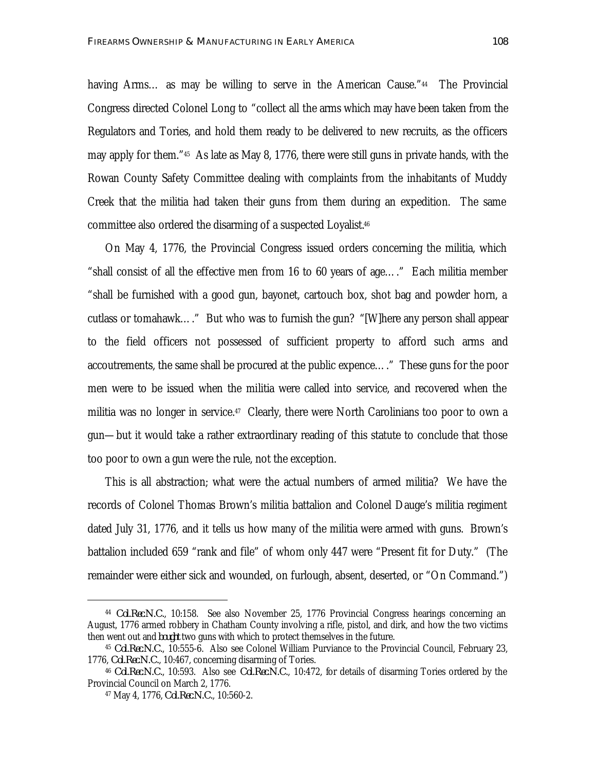having Arms... as may be willing to serve in the American Cause."<sup>44</sup> The Provincial Congress directed Colonel Long to "collect all the arms which may have been taken from the Regulators and Tories, and hold them ready to be delivered to new recruits, as the officers may apply for them."45 As late as May 8, 1776, there were still guns in private hands, with the Rowan County Safety Committee dealing with complaints from the inhabitants of Muddy Creek that the militia had taken their guns from them during an expedition. The same committee also ordered the disarming of a suspected Loyalist.<sup>46</sup>

On May 4, 1776, the Provincial Congress issued orders concerning the militia, which "shall consist of all the effective men from 16 to 60 years of age…." Each militia member "shall be furnished with a good gun, bayonet, cartouch box, shot bag and powder horn, a cutlass or tomahawk…." But who was to furnish the gun? "[W]here any person shall appear to the field officers not possessed of sufficient property to afford such arms and accoutrements, the same shall be procured at the public expence…." These guns for the poor men were to be issued when the militia were called into service, and recovered when the militia was no longer in service.<sup>47</sup> Clearly, there were North Carolinians too poor to own a gun—but it would take a rather extraordinary reading of this statute to conclude that those too poor to own a gun were the rule, not the exception.

This is all abstraction; what were the actual numbers of armed militia? We have the records of Colonel Thomas Brown's militia battalion and Colonel Dauge's militia regiment dated July 31, 1776, and it tells us how many of the militia were armed with guns. Brown's battalion included 659 "rank and file" of whom only 447 were "Present fit for Duty." (The remainder were either sick and wounded, on furlough, absent, deserted, or "On Command.")

<sup>44</sup> *Col.Rec.N.C.*, 10:158. See also November 25, 1776 Provincial Congress hearings concerning an August, 1776 armed robbery in Chatham County involving a rifle, pistol, and dirk, and how the two victims then went out and *bought* two guns with which to protect themselves in the future.

<sup>45</sup> *Col.Rec.N.C.*, 10:555-6. Also see Colonel William Purviance to the Provincial Council, February 23, 1776, *Col.Rec.N.C.*, 10:467, concerning disarming of Tories.

<sup>46</sup> *Col.Rec.N.C.*, 10:593. Also see *Col.Rec.N.C.*, 10:472, for details of disarming Tories ordered by the Provincial Council on March 2, 1776.

<sup>47</sup> May 4, 1776, *Col.Rec.N.C.*, 10:560-2.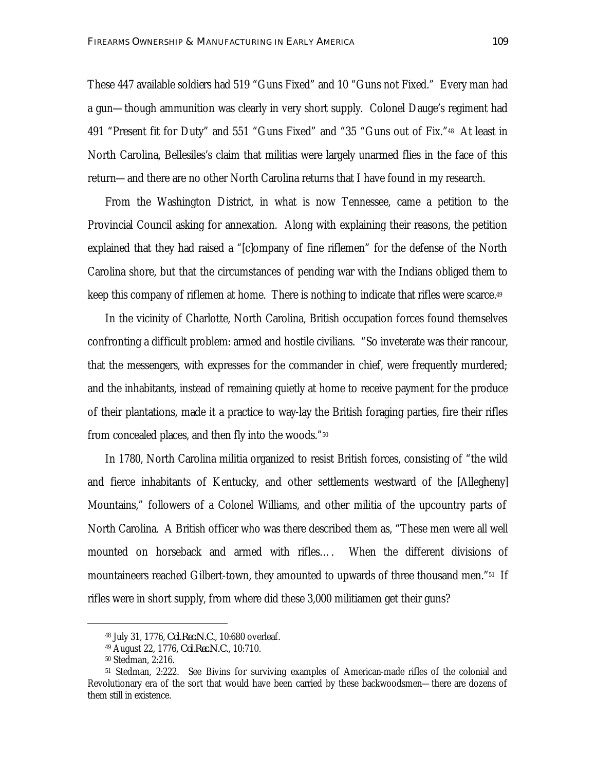These 447 available soldiers had 519 "Guns Fixed" and 10 "Guns not Fixed." Every man had a gun—though ammunition was clearly in very short supply. Colonel Dauge's regiment had 491 "Present fit for Duty" and 551 "Guns Fixed" and "35 "Guns out of Fix."48 At least in North Carolina, Bellesiles's claim that militias were largely unarmed flies in the face of this return—and there are no other North Carolina returns that I have found in my research.

From the Washington District, in what is now Tennessee, came a petition to the Provincial Council asking for annexation. Along with explaining their reasons, the petition explained that they had raised a "[c]ompany of fine riflemen" for the defense of the North Carolina shore, but that the circumstances of pending war with the Indians obliged them to keep this company of riflemen at home. There is nothing to indicate that rifles were scarce.<sup>49</sup>

In the vicinity of Charlotte, North Carolina, British occupation forces found themselves confronting a difficult problem: armed and hostile civilians. "So inveterate was their rancour, that the messengers, with expresses for the commander in chief, were frequently murdered; and the inhabitants, instead of remaining quietly at home to receive payment for the produce of their plantations, made it a practice to way-lay the British foraging parties, fire their rifles from concealed places, and then fly into the woods."<sup>50</sup>

In 1780, North Carolina militia organized to resist British forces, consisting of "the wild and fierce inhabitants of Kentucky, and other settlements westward of the [Allegheny] Mountains," followers of a Colonel Williams, and other militia of the upcountry parts of North Carolina. A British officer who was there described them as, "These men were all well mounted on horseback and armed with rifles…. When the different divisions of mountaineers reached Gilbert-town, they amounted to upwards of three thousand men."<sup>51</sup> If rifles were in short supply, from where did these 3,000 militiamen get their guns?

<sup>48</sup> July 31, 1776, *Col.Rec.N.C.*, 10:680 overleaf.

<sup>49</sup> August 22, 1776, *Col.Rec.N.C.*, 10:710.

<sup>50</sup> Stedman, 2:216.

<sup>51</sup> Stedman, 2:222. See Bivins for surviving examples of American-made rifles of the colonial and Revolutionary era of the sort that would have been carried by these backwoodsmen—there are dozens of them still in existence.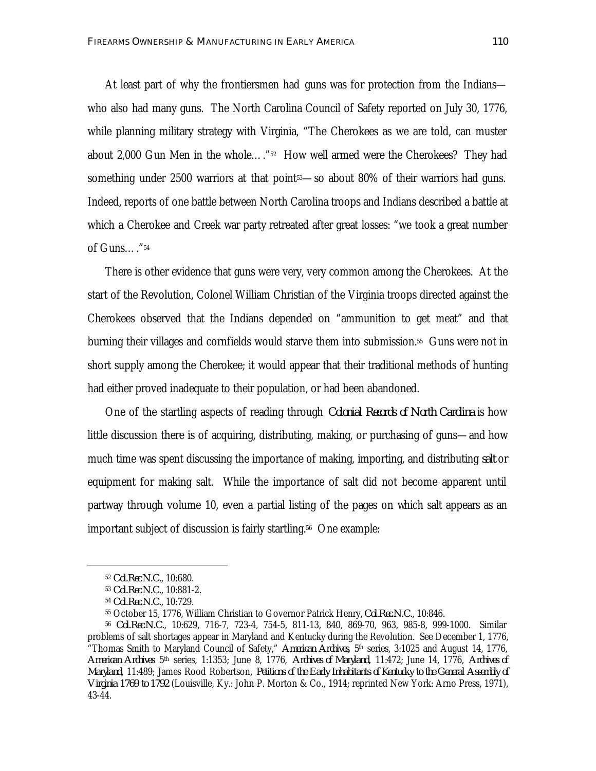At least part of why the frontiersmen had guns was for protection from the Indians who also had many guns. The North Carolina Council of Safety reported on July 30, 1776, while planning military strategy with Virginia, "The Cherokees as we are told, can muster about 2,000 Gun Men in the whole…."52 How well armed were the Cherokees? They had something under 2500 warriors at that point53—so about 80% of their warriors had guns. Indeed, reports of one battle between North Carolina troops and Indians described a battle at which a Cherokee and Creek war party retreated after great losses: "we took a great number of Guns…."<sup>54</sup>

There is other evidence that guns were very, very common among the Cherokees. At the start of the Revolution, Colonel William Christian of the Virginia troops directed against the Cherokees observed that the Indians depended on "ammunition to get meat" and that burning their villages and cornfields would starve them into submission.<sup>55</sup> Guns were not in short supply among the Cherokee; it would appear that their traditional methods of hunting had either proved inadequate to their population, or had been abandoned.

One of the startling aspects of reading through *Colonial Records of North Carolina* is how little discussion there is of acquiring, distributing, making, or purchasing of guns—and how much time was spent discussing the importance of making, importing, and distributing *salt* or equipment for making salt. While the importance of salt did not become apparent until partway through volume 10, even a partial listing of the pages on which salt appears as an important subject of discussion is fairly startling.56 One example:

<sup>52</sup> *Col.Rec.N.C.*, 10:680.

<sup>53</sup> *Col.Rec.N.C.*, 10:881-2.

<sup>54</sup> *Col.Rec.N.C.*, 10:729.

<sup>55</sup> October 15, 1776, William Christian to Governor Patrick Henry, *Col.Rec.N.C.*, 10:846.

<sup>56</sup> *Col.Rec.N.C.*, 10:629, 716-7, 723-4, 754-5, 811-13, 840, 869-70, 963, 985-8, 999-1000. Similar problems of salt shortages appear in Maryland and Kentucky during the Revolution. See December 1, 1776, "Thomas Smith to Maryland Council of Safety," *American Archives*, 5th series, 3:1025 and August 14, 1776, *American Archives* 5 th series, 1:1353; June 8, 1776, *Archives of Maryland,* 11:472; June 14, 1776, *Archives of Maryland,* 11:489; James Rood Robertson, *Petitions of the Early Inhabitants of Kentucky to the General Assembly of Virginia 1769 to 1792* (Louisville, Ky.: John P. Morton & Co., 1914; reprinted New York: Arno Press, 1971), 43-44.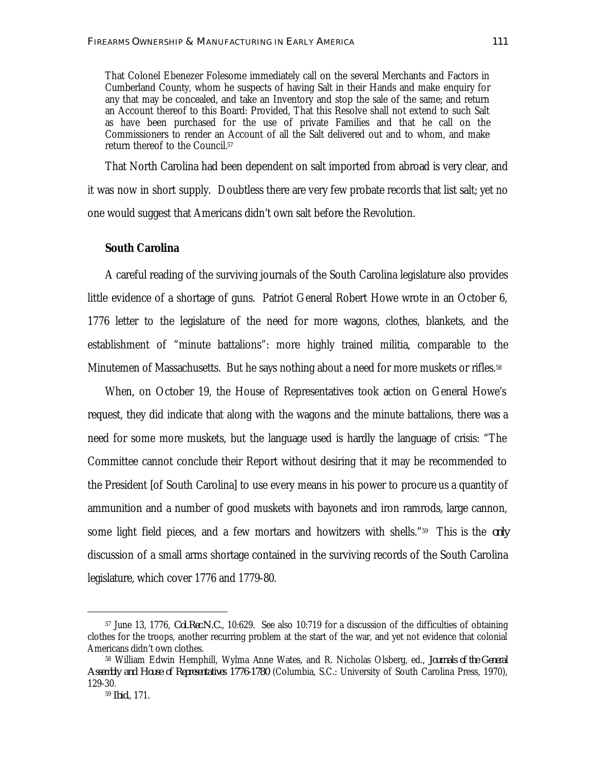That Colonel Ebenezer Folesome immediately call on the several Merchants and Factors in Cumberland County, whom he suspects of having Salt in their Hands and make enquiry for any that may be concealed, and take an Inventory and stop the sale of the same; and return an Account thereof to this Board: Provided, That this Resolve shall not extend to such Salt as have been purchased for the use of private Families and that he call on the Commissioners to render an Account of all the Salt delivered out and to whom, and make return thereof to the Council.<sup>57</sup>

That North Carolina had been dependent on salt imported from abroad is very clear, and it was now in short supply. Doubtless there are very few probate records that list salt; yet no one would suggest that Americans didn't own salt before the Revolution.

## **South Carolina**

A careful reading of the surviving journals of the South Carolina legislature also provides little evidence of a shortage of guns. Patriot General Robert Howe wrote in an October 6, 1776 letter to the legislature of the need for more wagons, clothes, blankets, and the establishment of "minute battalions": more highly trained militia, comparable to the Minutemen of Massachusetts. But he says nothing about a need for more muskets or rifles.<sup>58</sup>

When, on October 19, the House of Representatives took action on General Howe's request, they did indicate that along with the wagons and the minute battalions, there was a need for some more muskets, but the language used is hardly the language of crisis: "The Committee cannot conclude their Report without desiring that it may be recommended to the President [of South Carolina] to use every means in his power to procure us a quantity of ammunition and a number of good muskets with bayonets and iron ramrods, large cannon, some light field pieces, and a few mortars and howitzers with shells."59 This is the *only*  discussion of a small arms shortage contained in the surviving records of the South Carolina legislature, which cover 1776 and 1779-80.

<sup>57</sup> June 13, 1776, *Col.Rec.N.C.*, 10:629. See also 10:719 for a discussion of the difficulties of obtaining clothes for the troops, another recurring problem at the start of the war, and yet not evidence that colonial Americans didn't own clothes.

<sup>58</sup> William Edwin Hemphill, Wylma Anne Wates, and R. Nicholas Olsberg, ed., *Journals of the General Assembly and House of Representatives 1776-1780* (Columbia, S.C.: University of South Carolina Press, 1970), 129-30.

<sup>59</sup> *Ibid.*, 171.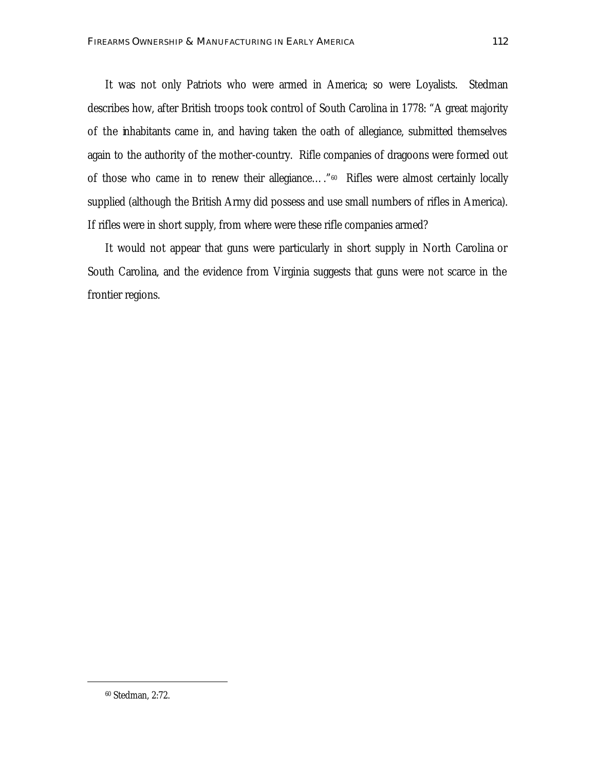It was not only Patriots who were armed in America; so were Loyalists. Stedman describes how, after British troops took control of South Carolina in 1778: "A great majority of the inhabitants came in, and having taken the oath of allegiance, submitted themselves again to the authority of the mother-country. Rifle companies of dragoons were formed out of those who came in to renew their allegiance...."<sup>60</sup> Rifles were almost certainly locally supplied (although the British Army did possess and use small numbers of rifles in America). If rifles were in short supply, from where were these rifle companies armed?

It would not appear that guns were particularly in short supply in North Carolina or South Carolina, and the evidence from Virginia suggests that guns were not scarce in the frontier regions.

<sup>60</sup> Stedman, 2:72.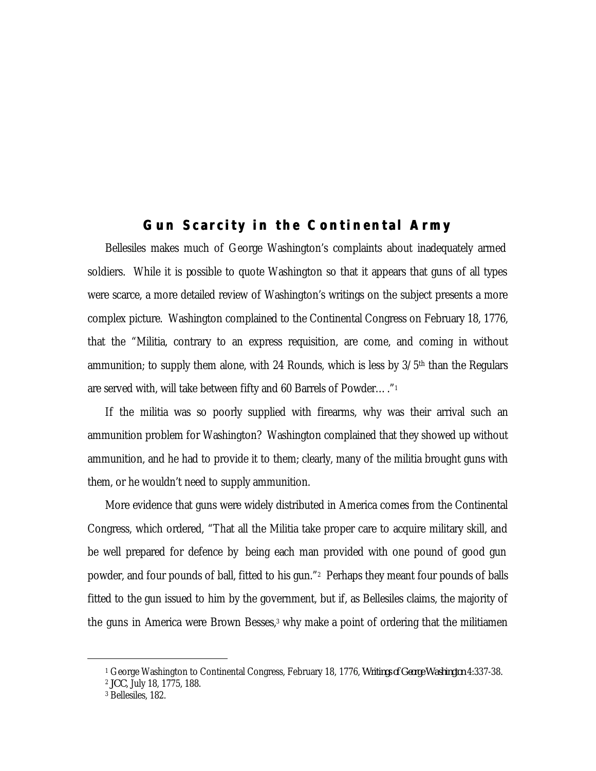## **Gun Scarcity in the Continental Army**

Bellesiles makes much of George Washington's complaints about inadequately armed soldiers. While it is possible to quote Washington so that it appears that guns of all types were scarce, a more detailed review of Washington's writings on the subject presents a more complex picture. Washington complained to the Continental Congress on February 18, 1776, that the "Militia, contrary to an express requisition, are come, and coming in without ammunition; to supply them alone, with 24 Rounds, which is less by  $3/5<sup>th</sup>$  than the Regulars are served with, will take between fifty and 60 Barrels of Powder…."<sup>1</sup>

If the militia was so poorly supplied with firearms, why was their arrival such an ammunition problem for Washington? Washington complained that they showed up without ammunition, and he had to provide it to them; clearly, many of the militia brought guns with them, or he wouldn't need to supply ammunition.

More evidence that guns were widely distributed in America comes from the Continental Congress, which ordered, "That all the Militia take proper care to acquire military skill, and be well prepared for defence by being each man provided with one pound of good gun powder, and four pounds of ball, fitted to his gun."<sup>2</sup> Perhaps they meant four pounds of balls fitted to the gun issued to him by the government, but if, as Bellesiles claims, the majority of the guns in America were Brown Besses,<sup>3</sup> why make a point of ordering that the militiamen

<sup>1</sup> George Washington to Continental Congress, February 18, 1776, *Writings of George Washington* 4:337-38.

<sup>2</sup> *JCC*, July 18, 1775, 188.

<sup>3</sup> Bellesiles, 182.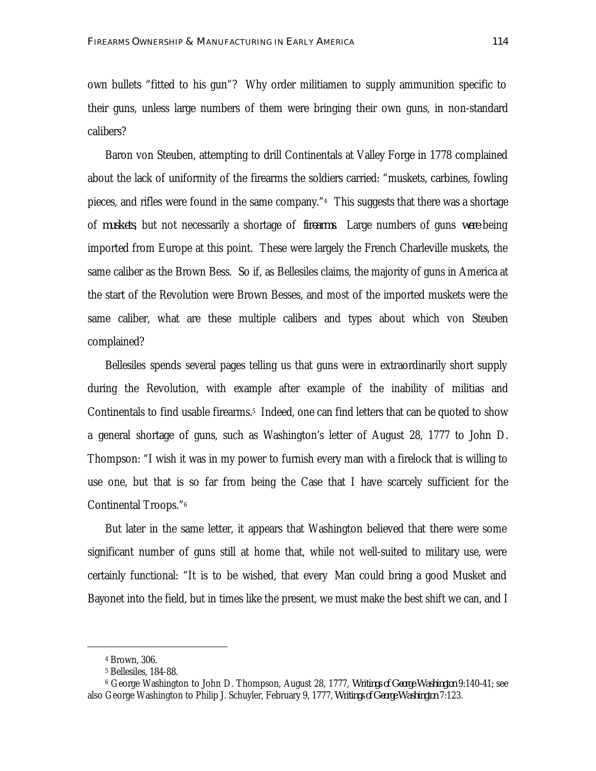own bullets "fitted to his gun"? Why order militiamen to supply ammunition specific to their guns, unless large numbers of them were bringing their own guns, in non-standard calibers?

Baron von Steuben, attempting to drill Continentals at Valley Forge in 1778 complained about the lack of uniformity of the firearms the soldiers carried: "muskets, carbines, fowling pieces, and rifles were found in the same company."<sup>4</sup> This suggests that there was a shortage of *muskets*, but not necessarily a shortage of *firearms*. Large numbers of guns *were* being imported from Europe at this point. These were largely the French Charleville muskets, the same caliber as the Brown Bess. So if, as Bellesiles claims, the majority of guns in America at the start of the Revolution were Brown Besses, and most of the imported muskets were the same caliber, what are these multiple calibers and types about which von Steuben complained?

Bellesiles spends several pages telling us that guns were in extraordinarily short supply during the Revolution, with example after example of the inability of militias and Continentals to find usable firearms.<sup>5</sup> Indeed, one can find letters that can be quoted to show a general shortage of guns, such as Washington's letter of August 28, 1777 to John D. Thompson: "I wish it was in my power to furnish every man with a firelock that is willing to use one, but that is so far from being the Case that I have scarcely sufficient for the Continental Troops."<sup>6</sup>

But later in the same letter, it appears that Washington believed that there were some significant number of guns still at home that, while not well-suited to military use, were certainly functional: "It is to be wished, that every Man could bring a good Musket and Bayonet into the field, but in times like the present, we must make the best shift we can, and I

<sup>4</sup> Brown, 306.

<sup>5</sup> Bellesiles, 184-88.

<sup>6</sup> George Washington to John D. Thompson, August 28, 1777, *Writings of George Washington* 9:140-41; see also George Washington to Philip J. Schuyler, February 9, 1777, *Writings of George Washington* 7:123.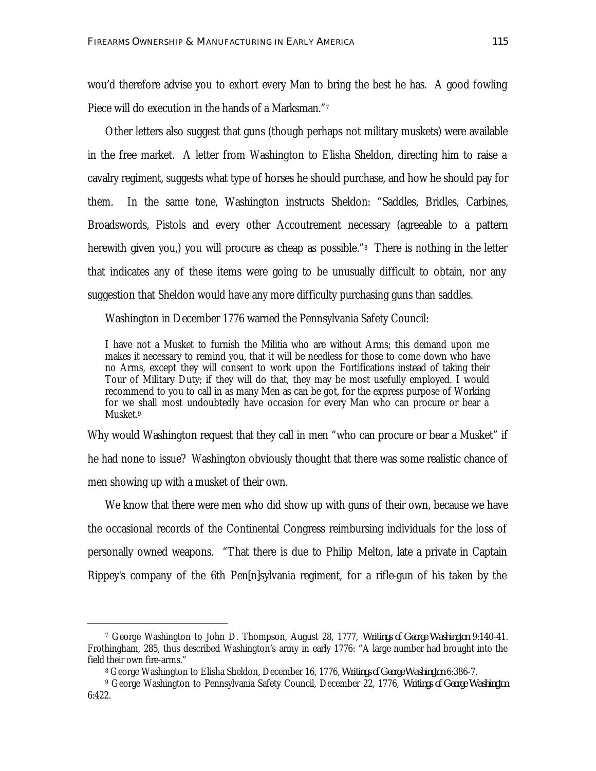wou'd therefore advise you to exhort every Man to bring the best he has. A good fowling Piece will do execution in the hands of a Marksman."<sup>7</sup>

Other letters also suggest that guns (though perhaps not military muskets) were available in the free market. A letter from Washington to Elisha Sheldon, directing him to raise a cavalry regiment, suggests what type of horses he should purchase, and how he should pay for them. In the same tone, Washington instructs Sheldon: "Saddles, Bridles, Carbines, Broadswords, Pistols and every other Accoutrement necessary (agreeable to a pattern herewith given you,) you will procure as cheap as possible."<sup>8</sup> There is nothing in the letter that indicates any of these items were going to be unusually difficult to obtain, nor any suggestion that Sheldon would have any more difficulty purchasing guns than saddles.

Washington in December 1776 warned the Pennsylvania Safety Council:

I have not a Musket to furnish the Militia who are without Arms; this demand upon me makes it necessary to remind you, that it will be needless for those to come down who have no Arms, except they will consent to work upon the Fortifications instead of taking their Tour of Military Duty; if they will do that, they may be most usefully employed. I would recommend to you to call in as many Men as can be got, for the express purpose of Working for we shall most undoubtedly have occasion for every Man who can procure or bear a Musket.<sup>9</sup>

Why would Washington request that they call in men "who can procure or bear a Musket" if he had none to issue? Washington obviously thought that there was some realistic chance of men showing up with a musket of their own.

We know that there were men who did show up with guns of their own, because we have the occasional records of the Continental Congress reimbursing individuals for the loss of personally owned weapons. "That there is due to Philip Melton, late a private in Captain Rippey's company of the 6th Pen[n]sylvania regiment, for a rifle-gun of his taken by the

<sup>7</sup> George Washington to John D. Thompson, August 28, 1777, *Writings of George Washington* 9:140-41. Frothingham, 285, thus described Washington's army in early 1776: "A large number had brought into the field their own fire-arms."

<sup>8</sup> George Washington to Elisha Sheldon, December 16, 1776, *Writings of George Washington* 6:386-7.

<sup>9</sup> George Washington to Pennsylvania Safety Council, December 22, 1776, *Writings of George Washington* 6:422.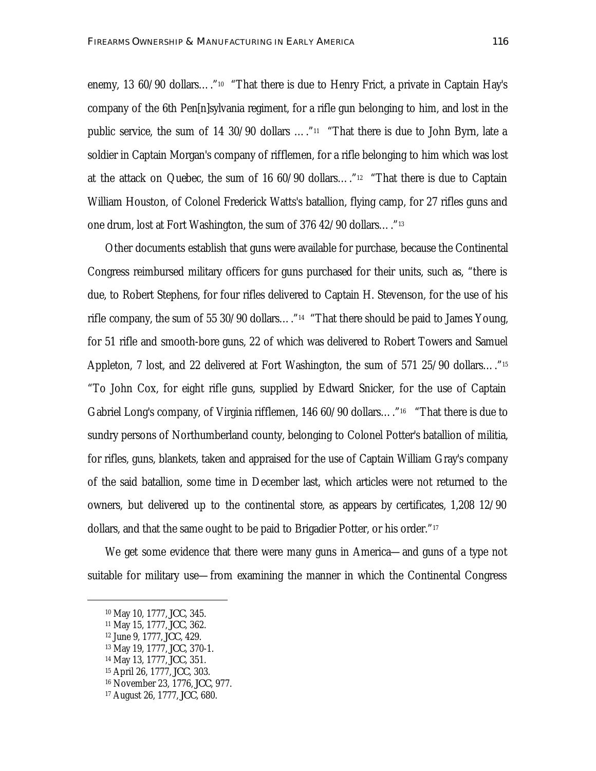enemy, 13 60/90 dollars...."<sup>10</sup> "That there is due to Henry Frict, a private in Captain Hay's company of the 6th Pen[n]sylvania regiment, for a rifle gun belonging to him, and lost in the public service, the sum of 14 30/90 dollars ...."<sup>11</sup> "That there is due to John Byrn, late a soldier in Captain Morgan's company of rifflemen, for a rifle belonging to him which was lost at the attack on Quebec, the sum of 16 60/90 dollars…."12 "That there is due to Captain William Houston, of Colonel Frederick Watts's batallion, flying camp, for 27 rifles guns and one drum, lost at Fort Washington, the sum of 376 42/90 dollars…."<sup>13</sup>

Other documents establish that guns were available for purchase, because the Continental Congress reimbursed military officers for guns purchased for their units, such as, "there is due, to Robert Stephens, for four rifles delivered to Captain H. Stevenson, for the use of his rifle company, the sum of 55 30/90 dollars…."14 "That there should be paid to James Young, for 51 rifle and smooth-bore guns, 22 of which was delivered to Robert Towers and Samuel Appleton, 7 lost, and 22 delivered at Fort Washington, the sum of 571 25/90 dollars…."<sup>15</sup> "To John Cox, for eight rifle guns, supplied by Edward Snicker, for the use of Captain Gabriel Long's company, of Virginia rifflemen, 146 60/90 dollars...."<sup>16</sup> "That there is due to sundry persons of Northumberland county, belonging to Colonel Potter's batallion of militia, for rifles, guns, blankets, taken and appraised for the use of Captain William Gray's company of the said batallion, some time in December last, which articles were not returned to the owners, but delivered up to the continental store, as appears by certificates, 1,208 12/90 dollars, and that the same ought to be paid to Brigadier Potter, or his order."<sup>17</sup>

We get some evidence that there were many guns in America—and guns of a type not suitable for military use—from examining the manner in which the Continental Congress

 $\overline{a}$ 

<sup>15</sup> April 26, 1777, *JCC*, 303.

<sup>10</sup> May 10, 1777, *JCC*, 345.

<sup>11</sup> May 15, 1777, *JCC*, 362.

<sup>12</sup> June 9, 1777, *JCC*, 429.

<sup>13</sup> May 19, 1777, *JCC*, 370-1.

<sup>14</sup> May 13, 1777, *JCC*, 351.

<sup>16</sup> November 23, 1776, *JCC*, 977.

<sup>17</sup> August 26, 1777, *JCC*, 680.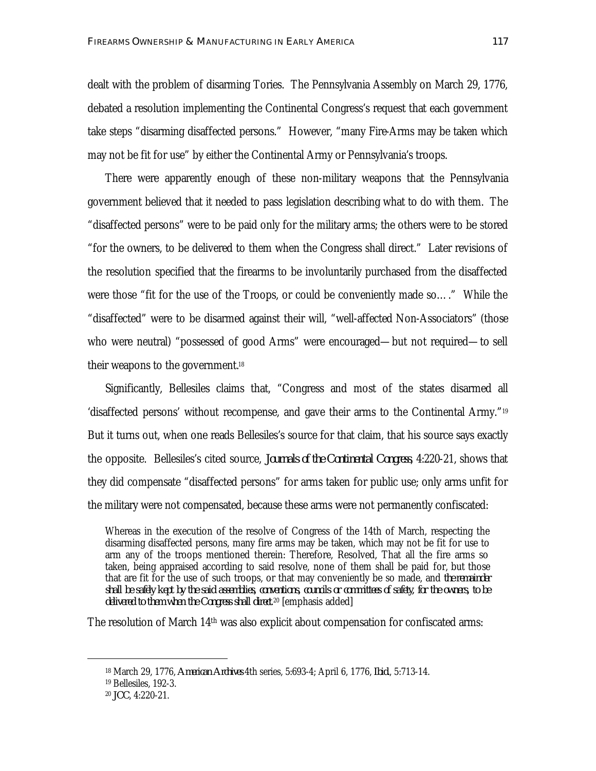dealt with the problem of disarming Tories. The Pennsylvania Assembly on March 29, 1776, debated a resolution implementing the Continental Congress's request that each government take steps "disarming disaffected persons." However, "many Fire-Arms may be taken which may not be fit for use" by either the Continental Army or Pennsylvania's troops.

There were apparently enough of these non-military weapons that the Pennsylvania government believed that it needed to pass legislation describing what to do with them. The "disaffected persons" were to be paid only for the military arms; the others were to be stored "for the owners, to be delivered to them when the Congress shall direct." Later revisions of the resolution specified that the firearms to be involuntarily purchased from the disaffected were those "fit for the use of the Troops, or could be conveniently made so…." While the "disaffected" were to be disarmed against their will, "well-affected Non-Associators" (those who were neutral) "possessed of good Arms" were encouraged—but not required—to sell their weapons to the government.<sup>18</sup>

Significantly, Bellesiles claims that, "Congress and most of the states disarmed all 'disaffected persons' without recompense, and gave their arms to the Continental Army."<sup>19</sup> But it turns out, when one reads Bellesiles's source for that claim, that his source says exactly the opposite. Bellesiles's cited source, *Journals of the Continental Congress*, 4:220-21, shows that they did compensate "disaffected persons" for arms taken for public use; only arms unfit for the military were not compensated, because these arms were not permanently confiscated:

Whereas in the execution of the resolve of Congress of the 14th of March, respecting the disarming disaffected persons, many fire arms may be taken, which may not be fit for use to arm any of the troops mentioned therein: Therefore, Resolved, That all the fire arms so taken, being appraised according to said resolve, none of them shall be paid for, but those that are fit for the use of such troops, or that may conveniently be so made, and *the remainder shall be safely kept by the said assemblies, conventions, councils or committees of safety, for the owners, to be delivered to them when the Congress shall direct*. <sup>20</sup> [emphasis added]

The resolution of March 14th was also explicit about compensation for confiscated arms:

<sup>18</sup> March 29, 1776, *American Archives* 4th series, 5:693-4; April 6, 1776, *Ibid.*, 5:713-14.

<sup>19</sup> Bellesiles, 192-3.

<sup>20</sup> *JCC*, 4:220-21.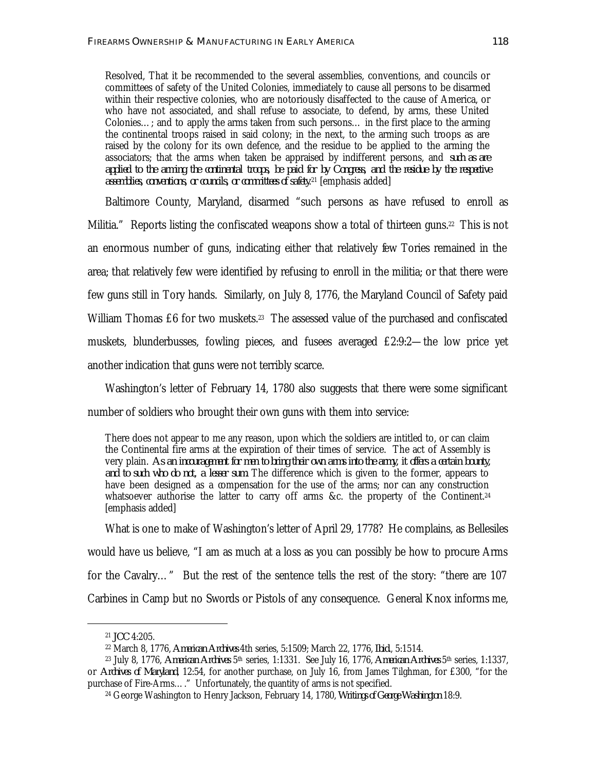Resolved, That it be recommended to the several assemblies, conventions, and councils or committees of safety of the United Colonies, immediately to cause all persons to be disarmed within their respective colonies, who are notoriously disaffected to the cause of America, or who have not associated, and shall refuse to associate, to defend, by arms, these United Colonies…; and to apply the arms taken from such persons… in the first place to the arming the continental troops raised in said colony; in the next, to the arming such troops as are raised by the colony for its own defence, and the residue to be applied to the arming the associators; that the arms when taken be appraised by indifferent persons, and *such as are applied to the arming the continental troops, be paid for by Congress, and the residue by the respective assemblies, conventions, or councils, or committees of safety*. <sup>21</sup> [emphasis added]

Baltimore County, Maryland, disarmed "such persons as have refused to enroll as Militia." Reports listing the confiscated weapons show a total of thirteen guns.<sup>22</sup> This is not an enormous number of guns, indicating either that relatively few Tories remained in the area; that relatively few were identified by refusing to enroll in the militia; or that there were few guns still in Tory hands. Similarly, on July 8, 1776, the Maryland Council of Safety paid William Thomas £6 for two muskets.<sup>23</sup> The assessed value of the purchased and confiscated muskets, blunderbusses, fowling pieces, and fusees averaged £2:9:2—the low price yet another indication that guns were not terribly scarce.

Washington's letter of February 14, 1780 also suggests that there were some significant number of soldiers who brought their own guns with them into service:

There does not appear to me any reason, upon which the soldiers are intitled to, or can claim the Continental fire arms at the expiration of their times of service. The act of Assembly is very plain. *As an incouragement for men to bring their own arms into the army, it offers a certain bounty, and to such who do not, a lesser sum*. The difference which is given to the former, appears to have been designed as a compensation for the use of the arms; nor can any construction whatsoever authorise the latter to carry off arms &c. the property of the Continent.<sup>24</sup> [emphasis added]

What is one to make of Washington's letter of April 29, 1778? He complains, as Bellesiles would have us believe, "I am as much at a loss as you can possibly be how to procure Arms for the Cavalry…" But the rest of the sentence tells the rest of the story: "there are 107 Carbines in Camp but no Swords or Pistols of any consequence. General Knox informs me,

<sup>21</sup> *JCC* 4:205.

<sup>22</sup> March 8, 1776, *American Archives* 4th series, 5:1509; March 22, 1776, *Ibid.*, 5:1514.

<sup>&</sup>lt;sup>23</sup> July 8, 1776, *American Archives* 5<sup>th</sup> series, 1:1331. See July 16, 1776, *American Archives* 5<sup>th</sup> series, 1:1337, or *Archives of Maryland*, 12:54, for another purchase, on July 16, from James Tilghman, for £300, "for the purchase of Fire-Arms…." Unfortunately, the quantity of arms is not specified.

<sup>24</sup> George Washington to Henry Jackson, February 14, 1780, *Writings of George Washington* 18:9.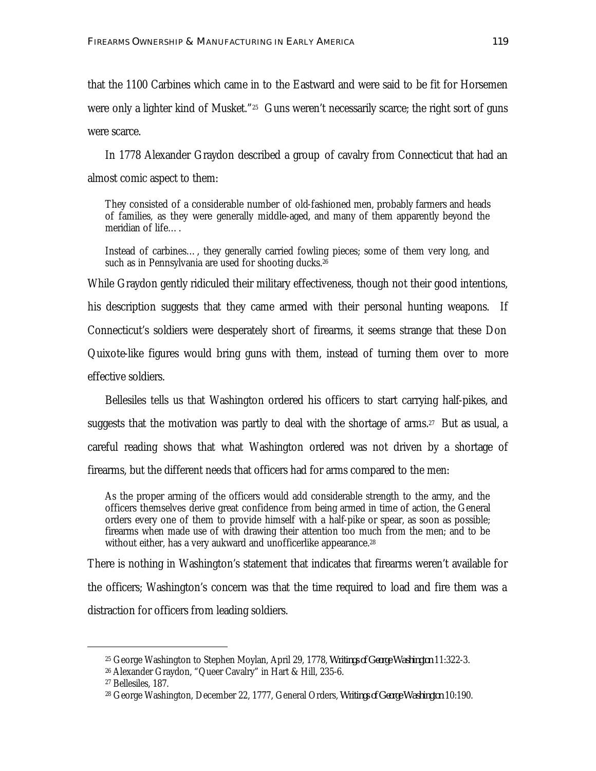that the 1100 Carbines which came in to the Eastward and were said to be fit for Horsemen were only a lighter kind of Musket."<sup>25</sup> Guns weren't necessarily scarce; the right sort of guns were scarce.

In 1778 Alexander Graydon described a group of cavalry from Connecticut that had an almost comic aspect to them:

They consisted of a considerable number of old-fashioned men, probably farmers and heads of families, as they were generally middle-aged, and many of them apparently beyond the meridian of life….

Instead of carbines…, they generally carried fowling pieces; some of them very long, and such as in Pennsylvania are used for shooting ducks.<sup>26</sup>

While Graydon gently ridiculed their military effectiveness, though not their good intentions, his description suggests that they came armed with their personal hunting weapons. If Connecticut's soldiers were desperately short of firearms, it seems strange that these Don Quixote-like figures would bring guns with them, instead of turning them over to more effective soldiers.

Bellesiles tells us that Washington ordered his officers to start carrying half-pikes, and suggests that the motivation was partly to deal with the shortage of arms.<sup>27</sup> But as usual, a careful reading shows that what Washington ordered was not driven by a shortage of firearms, but the different needs that officers had for arms compared to the men:

As the proper arming of the officers would add considerable strength to the army, and the officers themselves derive great confidence from being armed in time of action, the General orders every one of them to provide himself with a half-pike or spear, as soon as possible; firearms when made use of with drawing their attention too much from the men; and to be without either, has a very aukward and unofficerlike appearance.<sup>28</sup>

There is nothing in Washington's statement that indicates that firearms weren't available for the officers; Washington's concern was that the time required to load and fire them was a distraction for officers from leading soldiers.

<sup>25</sup> George Washington to Stephen Moylan, April 29, 1778, *Writings of George Washington* 11:322-3.

<sup>26</sup> Alexander Graydon, "Queer Cavalry" in Hart & Hill, 235-6.

<sup>27</sup> Bellesiles, 187.

<sup>28</sup> George Washington, December 22, 1777, General Orders, *Writings of George Washington* 10:190.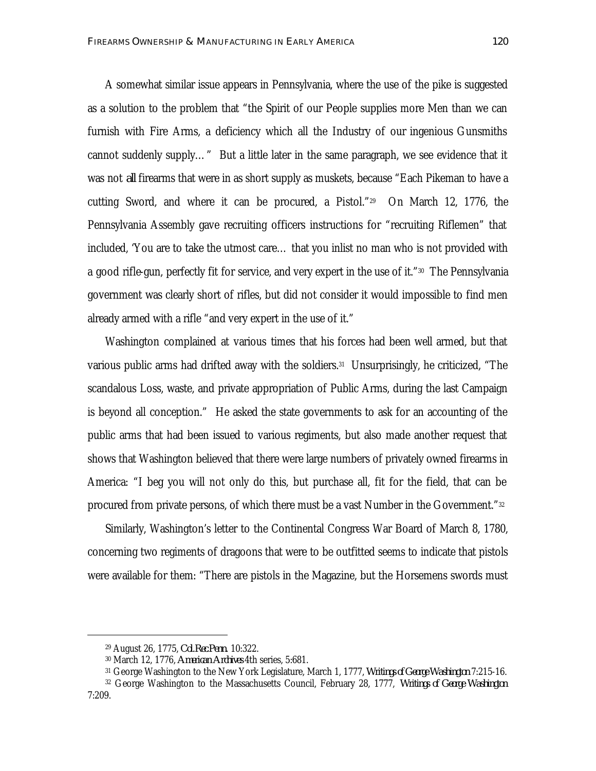A somewhat similar issue appears in Pennsylvania, where the use of the pike is suggested as a solution to the problem that "the Spirit of our People supplies more Men than we can furnish with Fire Arms, a deficiency which all the Industry of our ingenious Gunsmiths cannot suddenly supply…" But a little later in the same paragraph, we see evidence that it was not *all* firearms that were in as short supply as muskets, because "Each Pikeman to have a cutting Sword, and where it can be procured, a Pistol."29 On March 12, 1776, the Pennsylvania Assembly gave recruiting officers instructions for "recruiting Riflemen" that included, 'You are to take the utmost care… that you inlist no man who is not provided with a good rifle-gun, perfectly fit for service, and very expert in the use of it."30 The Pennsylvania government was clearly short of rifles, but did not consider it would impossible to find men already armed with a rifle "and very expert in the use of it."

Washington complained at various times that his forces had been well armed, but that various public arms had drifted away with the soldiers.31 Unsurprisingly, he criticized, "The scandalous Loss, waste, and private appropriation of Public Arms, during the last Campaign is beyond all conception." He asked the state governments to ask for an accounting of the public arms that had been issued to various regiments, but also made another request that shows that Washington believed that there were large numbers of privately owned firearms in America: "I beg you will not only do this, but purchase all, fit for the field, that can be procured from private persons, of which there must be a vast Number in the Government."<sup>32</sup>

Similarly, Washington's letter to the Continental Congress War Board of March 8, 1780, concerning two regiments of dragoons that were to be outfitted seems to indicate that pistols were available for them: "There are pistols in the Magazine, but the Horsemens swords must

<sup>29</sup> August 26, 1775, *Col.Rec.Penn.* 10:322.

<sup>30</sup> March 12, 1776, *American Archives* 4th series, 5:681.

<sup>31</sup> George Washington to the New York Legislature, March 1, 1777, *Writings of George Washington* 7:215-16.

<sup>32</sup> George Washington to the Massachusetts Council, February 28, 1777, *Writings of George Washington*  7:209.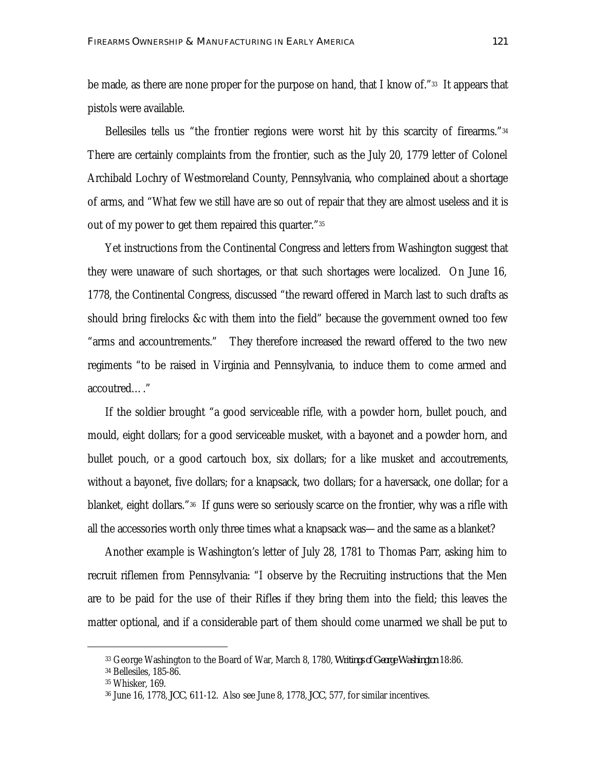be made, as there are none proper for the purpose on hand, that I know of."33 It appears that pistols were available.

Bellesiles tells us "the frontier regions were worst hit by this scarcity of firearms."<sup>34</sup> There are certainly complaints from the frontier, such as the July 20, 1779 letter of Colonel Archibald Lochry of Westmoreland County, Pennsylvania, who complained about a shortage of arms, and "What few we still have are so out of repair that they are almost useless and it is out of my power to get them repaired this quarter."<sup>35</sup>

Yet instructions from the Continental Congress and letters from Washington suggest that they were unaware of such shortages, or that such shortages were localized. On June 16, 1778, the Continental Congress, discussed "the reward offered in March last to such drafts as should bring firelocks &c with them into the field" because the government owned too few "arms and accountrements." They therefore increased the reward offered to the two new regiments "to be raised in Virginia and Pennsylvania, to induce them to come armed and accoutred…."

If the soldier brought "a good serviceable rifle, with a powder horn, bullet pouch, and mould, eight dollars; for a good serviceable musket, with a bayonet and a powder horn, and bullet pouch, or a good cartouch box, six dollars; for a like musket and accoutrements, without a bayonet, five dollars; for a knapsack, two dollars; for a haversack, one dollar; for a blanket, eight dollars."36 If guns were so seriously scarce on the frontier, why was a rifle with all the accessories worth only three times what a knapsack was—and the same as a blanket?

Another example is Washington's letter of July 28, 1781 to Thomas Parr, asking him to recruit riflemen from Pennsylvania: "I observe by the Recruiting instructions that the Men are to be paid for the use of their Rifles if they bring them into the field; this leaves the matter optional, and if a considerable part of them should come unarmed we shall be put to

<sup>33</sup> George Washington to the Board of War, March 8, 1780, *Writings of George Washington* 18:86.

<sup>34</sup> Bellesiles, 185-86.

<sup>35</sup> Whisker, 169.

<sup>36</sup> June 16, 1778, *JCC*, 611-12. Also see June 8, 1778, *JCC*, 577, for similar incentives.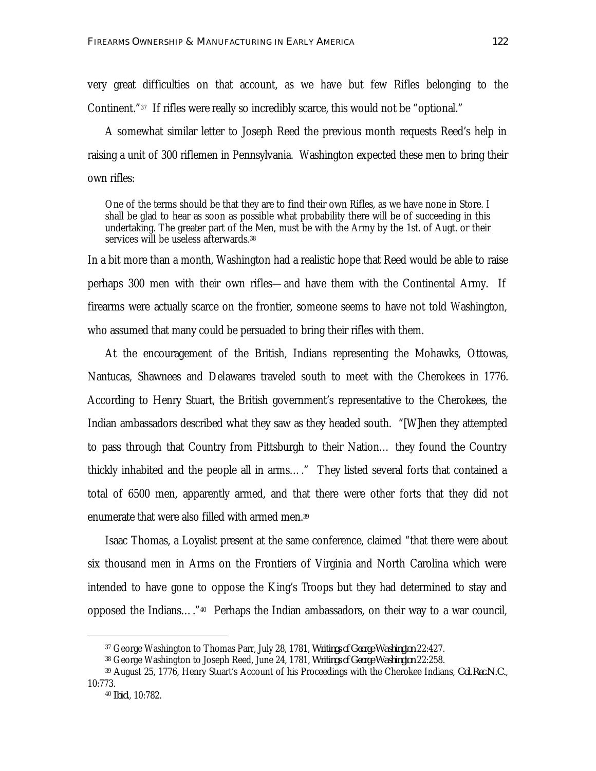very great difficulties on that account, as we have but few Rifles belonging to the Continent."37 If rifles were really so incredibly scarce, this would not be "optional."

A somewhat similar letter to Joseph Reed the previous month requests Reed's help in raising a unit of 300 riflemen in Pennsylvania. Washington expected these men to bring their own rifles:

One of the terms should be that they are to find their own Rifles, as we have none in Store. I shall be glad to hear as soon as possible what probability there will be of succeeding in this undertaking. The greater part of the Men, must be with the Army by the 1st. of Augt. or their services will be useless afterwards.<sup>38</sup>

In a bit more than a month, Washington had a realistic hope that Reed would be able to raise perhaps 300 men with their own rifles—and have them with the Continental Army. If firearms were actually scarce on the frontier, someone seems to have not told Washington, who assumed that many could be persuaded to bring their rifles with them.

At the encouragement of the British, Indians representing the Mohawks, Ottowas, Nantucas, Shawnees and Delawares traveled south to meet with the Cherokees in 1776. According to Henry Stuart, the British government's representative to the Cherokees, the Indian ambassadors described what they saw as they headed south. "[W]hen they attempted to pass through that Country from Pittsburgh to their Nation… they found the Country thickly inhabited and the people all in arms…." They listed several forts that contained a total of 6500 men, apparently armed, and that there were other forts that they did not enumerate that were also filled with armed men.<sup>39</sup>

Isaac Thomas, a Loyalist present at the same conference, claimed "that there were about six thousand men in Arms on the Frontiers of Virginia and North Carolina which were intended to have gone to oppose the King's Troops but they had determined to stay and opposed the Indians…."40 Perhaps the Indian ambassadors, on their way to a war council,

<sup>37</sup> George Washington to Thomas Parr, July 28, 1781, *Writings of George Washington* 22:427.

<sup>38</sup> George Washington to Joseph Reed, June 24, 1781, *Writings of George Washington* 22:258.

<sup>39</sup> August 25, 1776, Henry Stuart's Account of his Proceedings with the Cherokee Indians, *Col.Rec.N.C.*, 10:773.

<sup>40</sup> *Ibid.*, 10:782.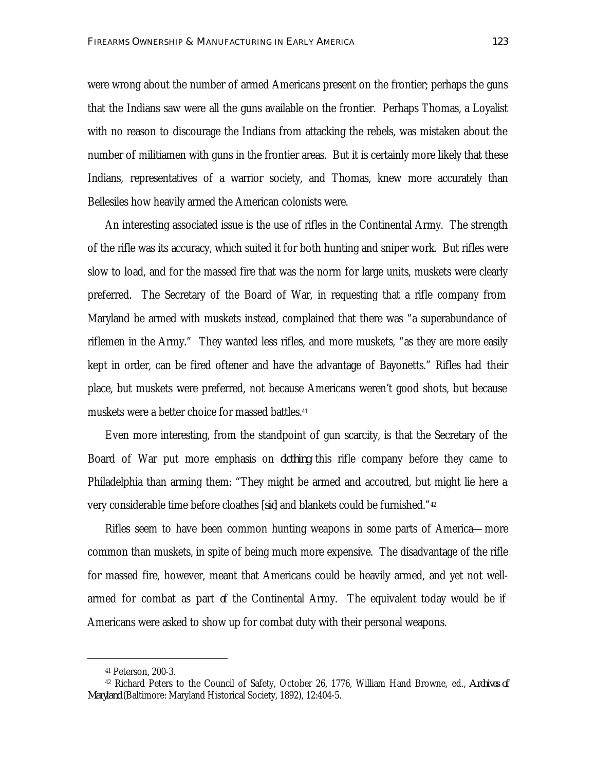were wrong about the number of armed Americans present on the frontier; perhaps the guns that the Indians saw were all the guns available on the frontier. Perhaps Thomas, a Loyalist with no reason to discourage the Indians from attacking the rebels, was mistaken about the number of militiamen with guns in the frontier areas. But it is certainly more likely that these Indians, representatives of a warrior society, and Thomas, knew more accurately than Bellesiles how heavily armed the American colonists were.

An interesting associated issue is the use of rifles in the Continental Army. The strength of the rifle was its accuracy, which suited it for both hunting and sniper work. But rifles were slow to load, and for the massed fire that was the norm for large units, muskets were clearly preferred. The Secretary of the Board of War, in requesting that a rifle company from Maryland be armed with muskets instead, complained that there was "a superabundance of riflemen in the Army." They wanted less rifles, and more muskets, "as they are more easily kept in order, can be fired oftener and have the advantage of Bayonetts." Rifles had their place, but muskets were preferred, not because Americans weren't good shots, but because muskets were a better choice for massed battles.<sup>41</sup>

Even more interesting, from the standpoint of gun scarcity, is that the Secretary of the Board of War put more emphasis on *clothing* this rifle company before they came to Philadelphia than arming them: "They might be armed and accoutred, but might lie here a very considerable time before cloathes [*sic*] and blankets could be furnished."<sup>42</sup>

Rifles seem to have been common hunting weapons in some parts of America—more common than muskets, in spite of being much more expensive. The disadvantage of the rifle for massed fire, however, meant that Americans could be heavily armed, and yet not wellarmed for combat as part of the Continental Army. The equivalent today would be if Americans were asked to show up for combat duty with their personal weapons.

<sup>41</sup> Peterson, 200-3.

<sup>42</sup> Richard Peters to the Council of Safety, October 26, 1776, William Hand Browne, ed., *Archives of Maryland* (Baltimore: Maryland Historical Society, 1892), 12:404-5.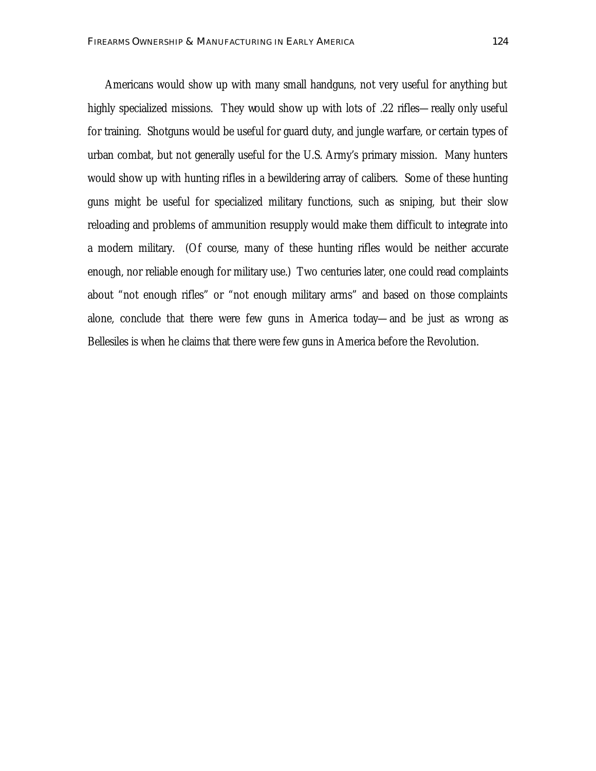Americans would show up with many small handguns, not very useful for anything but highly specialized missions. They would show up with lots of .22 rifles—really only useful for training. Shotguns would be useful for guard duty, and jungle warfare, or certain types of urban combat, but not generally useful for the U.S. Army's primary mission. Many hunters would show up with hunting rifles in a bewildering array of calibers. Some of these hunting guns might be useful for specialized military functions, such as sniping, but their slow reloading and problems of ammunition resupply would make them difficult to integrate into a modern military. (Of course, many of these hunting rifles would be neither accurate enough, nor reliable enough for military use.) Two centuries later, one could read complaints about "not enough rifles" or "not enough military arms" and based on those complaints alone, conclude that there were few guns in America today—and be just as wrong as Bellesiles is when he claims that there were few guns in America before the Revolution.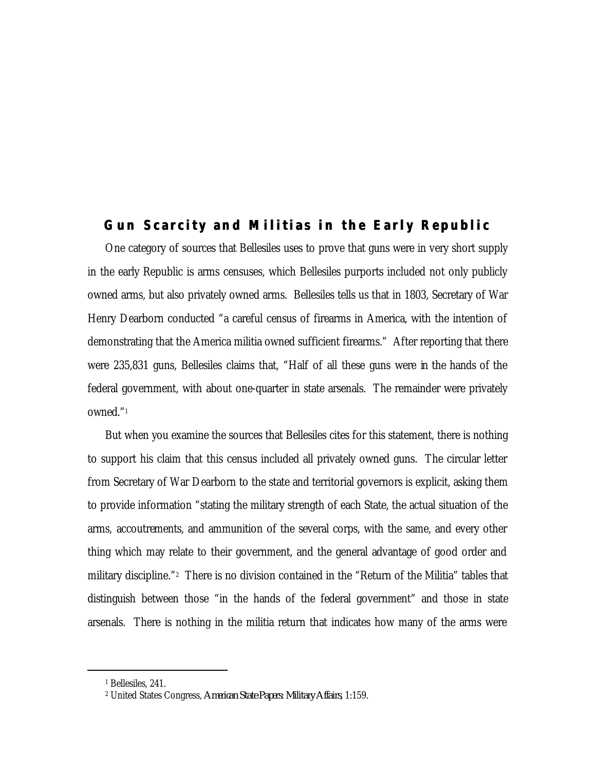## **Gun Scarcity and Militias in the Early Republic**

One category of sources that Bellesiles uses to prove that guns were in very short supply in the early Republic is arms censuses, which Bellesiles purports included not only publicly owned arms, but also privately owned arms. Bellesiles tells us that in 1803, Secretary of War Henry Dearborn conducted "a careful census of firearms in America, with the intention of demonstrating that the America militia owned sufficient firearms." After reporting that there were 235,831 guns, Bellesiles claims that, "Half of all these guns were in the hands of the federal government, with about one-quarter in state arsenals. The remainder were privately owned."<sup>1</sup>

But when you examine the sources that Bellesiles cites for this statement, there is nothing to support his claim that this census included all privately owned guns. The circular letter from Secretary of War Dearborn to the state and territorial governors is explicit, asking them to provide information "stating the military strength of each State, the actual situation of the arms, accoutrements, and ammunition of the several corps, with the same, and every other thing which may relate to their government, and the general advantage of good order and military discipline."<sup>2</sup> There is no division contained in the "Return of the Militia" tables that distinguish between those "in the hands of the federal government" and those in state arsenals. There is nothing in the militia return that indicates how many of the arms were

<sup>1</sup> Bellesiles, 241.

<sup>2</sup> United States Congress, *American State Papers: Military Affairs*, 1:159.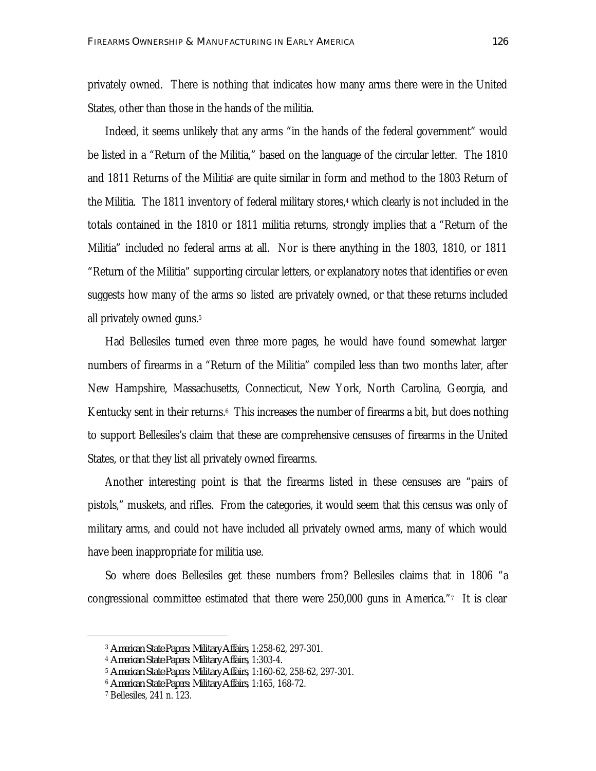privately owned. There is nothing that indicates how many arms there were in the United States, other than those in the hands of the militia.

Indeed, it seems unlikely that any arms "in the hands of the federal government" would be listed in a "Return of the Militia," based on the language of the circular letter. The 1810 and 1811 Returns of the Militia<sup>3</sup> are quite similar in form and method to the 1803 Return of the Militia. The 1811 inventory of federal military stores,<sup>4</sup> which clearly is not included in the totals contained in the 1810 or 1811 militia returns, strongly implies that a "Return of the Militia" included no federal arms at all. Nor is there anything in the 1803, 1810, or 1811 "Return of the Militia" supporting circular letters, or explanatory notes that identifies or even suggests how many of the arms so listed are privately owned, or that these returns included all privately owned guns.<sup>5</sup>

Had Bellesiles turned even three more pages, he would have found somewhat larger numbers of firearms in a "Return of the Militia" compiled less than two months later, after New Hampshire, Massachusetts, Connecticut, New York, North Carolina, Georgia, and Kentucky sent in their returns.<sup>6</sup> This increases the number of firearms a bit, but does nothing to support Bellesiles's claim that these are comprehensive censuses of firearms in the United States, or that they list all privately owned firearms.

Another interesting point is that the firearms listed in these censuses are "pairs of pistols," muskets, and rifles. From the categories, it would seem that this census was only of military arms, and could not have included all privately owned arms, many of which would have been inappropriate for militia use.

So where does Bellesiles get these numbers from? Bellesiles claims that in 1806 "a congressional committee estimated that there were 250,000 guns in America."<sup>7</sup> It is clear

<sup>3</sup> *American State Papers: Military Affairs*, 1:258-62, 297-301.

<sup>4</sup> *American State Papers: Military Affairs*, 1:303-4.

<sup>5</sup> *American State Papers: Military Affairs*, 1:160-62, 258-62, 297-301.

<sup>6</sup> *American State Papers: Military Affairs*, 1:165, 168-72.

<sup>7</sup> Bellesiles, 241 n. 123.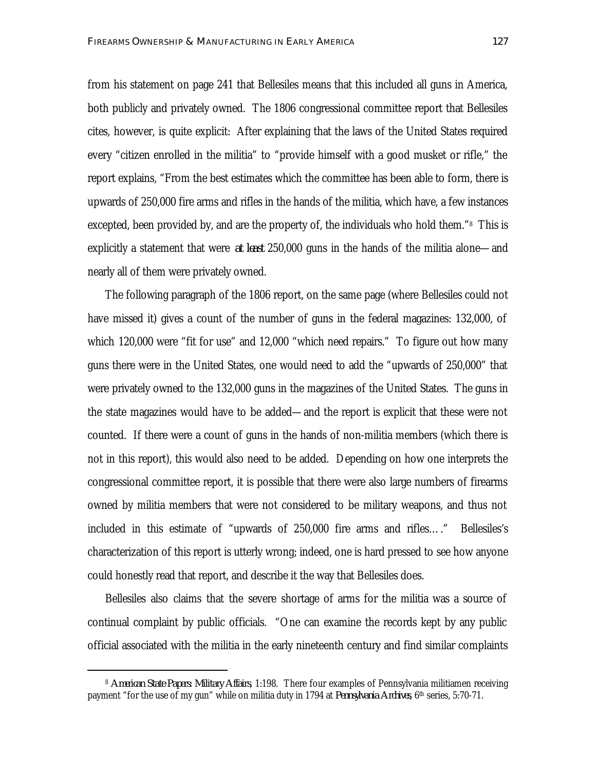from his statement on page 241 that Bellesiles means that this included all guns in America, both publicly and privately owned. The 1806 congressional committee report that Bellesiles cites, however, is quite explicit: After explaining that the laws of the United States required every "citizen enrolled in the militia" to "provide himself with a good musket or rifle," the report explains, "From the best estimates which the committee has been able to form, there is upwards of 250,000 fire arms and rifles in the hands of the militia, which have, a few instances excepted, been provided by, and are the property of, the individuals who hold them."<sup>8</sup> This is explicitly a statement that were *at least* 250,000 guns in the hands of the militia alone—and nearly all of them were privately owned.

The following paragraph of the 1806 report, on the same page (where Bellesiles could not have missed it) gives a count of the number of guns in the federal magazines: 132,000, of which 120,000 were "fit for use" and 12,000 "which need repairs." To figure out how many guns there were in the United States, one would need to add the "upwards of 250,000" that were privately owned to the 132,000 guns in the magazines of the United States. The guns in the state magazines would have to be added—and the report is explicit that these were not counted. If there were a count of guns in the hands of non-militia members (which there is not in this report), this would also need to be added. Depending on how one interprets the congressional committee report, it is possible that there were also large numbers of firearms owned by militia members that were not considered to be military weapons, and thus not included in this estimate of "upwards of 250,000 fire arms and rifles…." Bellesiles's characterization of this report is utterly wrong; indeed, one is hard pressed to see how anyone could honestly read that report, and describe it the way that Bellesiles does.

Bellesiles also claims that the severe shortage of arms for the militia was a source of continual complaint by public officials. "One can examine the records kept by any public official associated with the militia in the early nineteenth century and find similar complaints

<sup>8</sup> *American State Papers: Military Affairs*, 1:198. There four examples of Pennsylvania militiamen receiving payment "for the use of my gun" while on militia duty in 1794 at *Pennsylvania Archives*, 6<sup>th</sup> series, 5:70-71.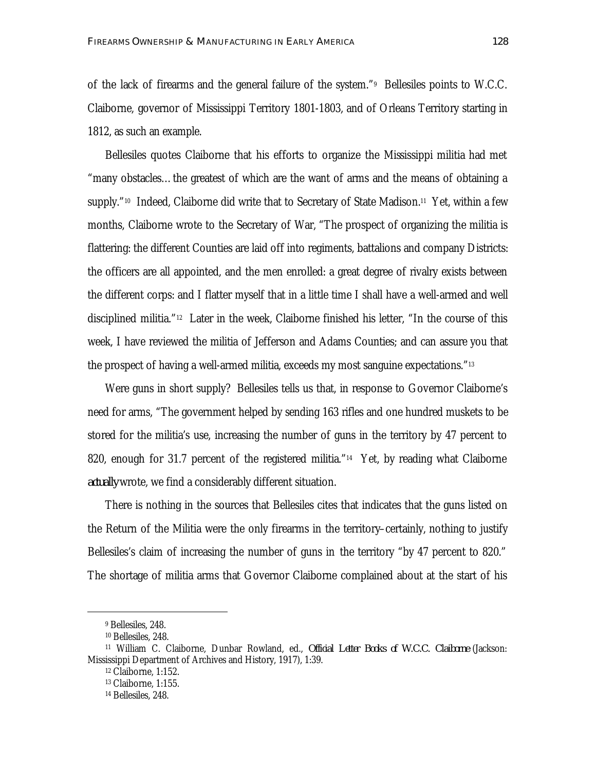of the lack of firearms and the general failure of the system."<sup>9</sup> Bellesiles points to W.C.C. Claiborne, governor of Mississippi Territory 1801-1803, and of Orleans Territory starting in 1812, as such an example.

Bellesiles quotes Claiborne that his efforts to organize the Mississippi militia had met "many obstacles…the greatest of which are the want of arms and the means of obtaining a supply."10 Indeed, Claiborne did write that to Secretary of State Madison.11 Yet, within a few months, Claiborne wrote to the Secretary of War, "The prospect of organizing the militia is flattering: the different Counties are laid off into regiments, battalions and company Districts: the officers are all appointed, and the men enrolled: a great degree of rivalry exists between the different corps: and I flatter myself that in a little time I shall have a well-armed and well disciplined militia."12 Later in the week, Claiborne finished his letter, "In the course of this week, I have reviewed the militia of Jefferson and Adams Counties; and can assure you that the prospect of having a well-armed militia, exceeds my most sanguine expectations."<sup>13</sup>

Were guns in short supply? Bellesiles tells us that, in response to Governor Claiborne's need for arms, "The government helped by sending 163 rifles and one hundred muskets to be stored for the militia's use, increasing the number of guns in the territory by 47 percent to 820, enough for 31.7 percent of the registered militia."<sup>14</sup> Yet, by reading what Claiborne *actually* wrote, we find a considerably different situation.

There is nothing in the sources that Bellesiles cites that indicates that the guns listed on the Return of the Militia were the only firearms in the territory–certainly, nothing to justify Bellesiles's claim of increasing the number of guns in the territory "by 47 percent to 820." The shortage of militia arms that Governor Claiborne complained about at the start of his

<sup>9</sup> Bellesiles, 248.

<sup>10</sup> Bellesiles, 248.

<sup>11</sup> William C. Claiborne, Dunbar Rowland, ed., *Official Letter Books of W.C.C. Claiborne* (Jackson: Mississippi Department of Archives and History, 1917), 1:39.

<sup>12</sup> Claiborne, 1:152.

<sup>13</sup> Claiborne, 1:155.

<sup>14</sup> Bellesiles, 248.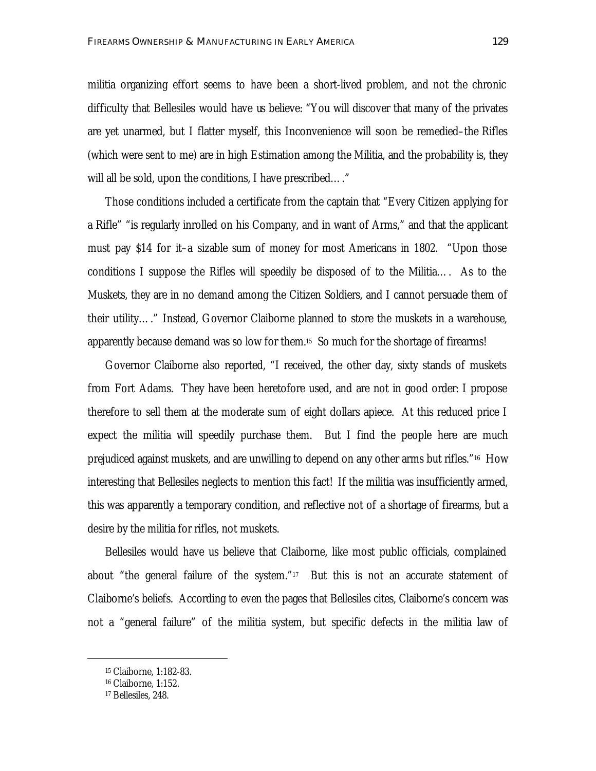militia organizing effort seems to have been a short-lived problem, and not the chronic difficulty that Bellesiles would have us believe: "You will discover that many of the privates are yet unarmed, but I flatter myself, this Inconvenience will soon be remedied–the Rifles (which were sent to me) are in high Estimation among the Militia, and the probability is, they will all be sold, upon the conditions, I have prescribed...."

Those conditions included a certificate from the captain that "Every Citizen applying for a Rifle" "is regularly inrolled on his Company, and in want of Arms," and that the applicant must pay \$14 for it–a sizable sum of money for most Americans in 1802. "Upon those conditions I suppose the Rifles will speedily be disposed of to the Militia…. As to the Muskets, they are in no demand among the Citizen Soldiers, and I cannot persuade them of their utility…." Instead, Governor Claiborne planned to store the muskets in a warehouse, apparently because demand was so low for them.15 So much for the shortage of firearms!

Governor Claiborne also reported, "I received, the other day, sixty stands of muskets from Fort Adams. They have been heretofore used, and are not in good order: I propose therefore to sell them at the moderate sum of eight dollars apiece. At this reduced price I expect the militia will speedily purchase them. But I find the people here are much prejudiced against muskets, and are unwilling to depend on any other arms but rifles."16 How interesting that Bellesiles neglects to mention this fact! If the militia was insufficiently armed, this was apparently a temporary condition, and reflective not of a shortage of firearms, but a desire by the militia for rifles, not muskets.

Bellesiles would have us believe that Claiborne, like most public officials, complained about "the general failure of the system."17 But this is not an accurate statement of Claiborne's beliefs. According to even the pages that Bellesiles cites, Claiborne's concern was not a "general failure" of the militia system, but specific defects in the militia law of

<sup>15</sup> Claiborne, 1:182-83.

<sup>16</sup> Claiborne, 1:152.

<sup>17</sup> Bellesiles, 248.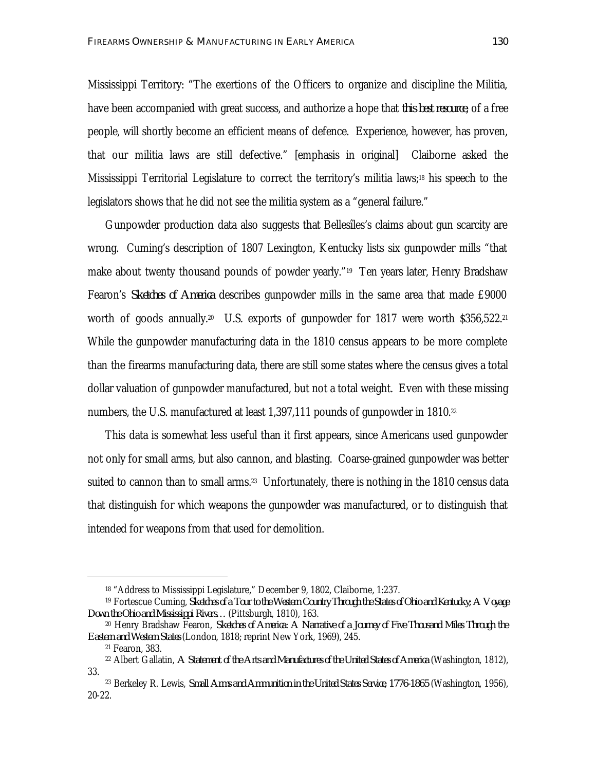Mississippi Territory: "The exertions of the Officers to organize and discipline the Militia, have been accompanied with great success, and authorize a hope that *this best resource*, of a free people, will shortly become an efficient means of defence. Experience, however, has proven, that our militia laws are still defective." [emphasis in original] Claiborne asked the Mississippi Territorial Legislature to correct the territory's militia laws;18 his speech to the legislators shows that he did not see the militia system as a "general failure."

Gunpowder production data also suggests that Bellesîles's claims about gun scarcity are wrong. Cuming's description of 1807 Lexington, Kentucky lists six gunpowder mills "that make about twenty thousand pounds of powder yearly."19 Ten years later, Henry Bradshaw Fearon's *Sketches of America* describes gunpowder mills in the same area that made £9000 worth of goods annually.<sup>20</sup> U.S. exports of gunpowder for 1817 were worth \$356,522.<sup>21</sup> While the gunpowder manufacturing data in the 1810 census appears to be more complete than the firearms manufacturing data, there are still some states where the census gives a total dollar valuation of gunpowder manufactured, but not a total weight. Even with these missing numbers, the U.S. manufactured at least 1,397,111 pounds of gunpowder in 1810.<sup>22</sup>

This data is somewhat less useful than it first appears, since Americans used gunpowder not only for small arms, but also cannon, and blasting. Coarse-grained gunpowder was better suited to cannon than to small arms.<sup>23</sup> Unfortunately, there is nothing in the 1810 census data that distinguish for which weapons the gunpowder was manufactured, or to distinguish that intended for weapons from that used for demolition.

<sup>18</sup> "Address to Mississippi Legislature," December 9, 1802, Claiborne, 1:237.

<sup>19</sup> Fortescue Cuming, *Sketches of a Tour to the Western Country Through the States of Ohio and Kentucky; A Voyage Down the Ohio and Mississippi Rivers…* (Pittsburgh, 1810), 163.

<sup>20</sup> Henry Bradshaw Fearon, *Sketches of America: A Narrative of a Journey of Five Thousand Miles Through the Eastern and Western States* (London, 1818; reprint New York, 1969), 245.

<sup>21</sup> Fearon, 383.

<sup>22</sup> Albert Gallatin, *A Statement of the Arts and Manufactures of the United States of America* (Washington, 1812), 33.

<sup>23</sup> Berkeley R. Lewis, *Small Arms and Ammunition in the United States Service, 1776-1865* (Washington, 1956), 20-22.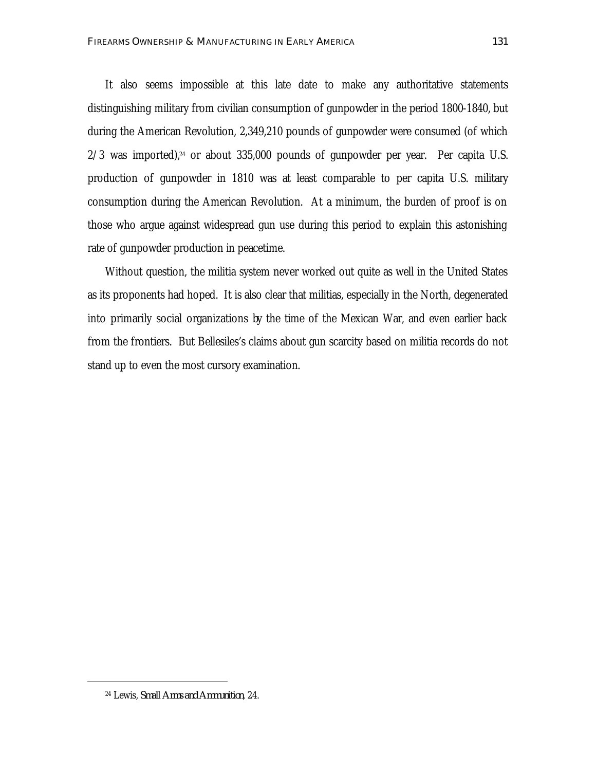It also seems impossible at this late date to make any authoritative statements distinguishing military from civilian consumption of gunpowder in the period 1800-1840, but during the American Revolution, 2,349,210 pounds of gunpowder were consumed (of which  $2/3$  was imported),<sup>24</sup> or about  $335,000$  pounds of gunpowder per year. Per capita U.S. production of gunpowder in 1810 was at least comparable to per capita U.S. military consumption during the American Revolution. At a minimum, the burden of proof is on those who argue against widespread gun use during this period to explain this astonishing rate of gunpowder production in peacetime.

Without question, the militia system never worked out quite as well in the United States as its proponents had hoped. It is also clear that militias, especially in the North, degenerated into primarily social organizations by the time of the Mexican War, and even earlier back from the frontiers. But Bellesiles's claims about gun scarcity based on militia records do not stand up to even the most cursory examination.

<sup>24</sup> Lewis, *Small Arms and Ammunition*, 24.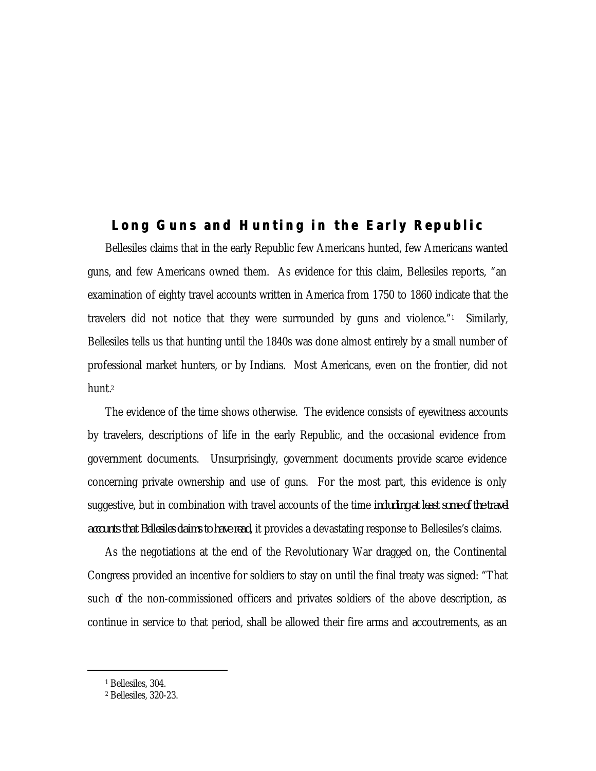## **Long Guns and Hunting in the Early Republic**

Bellesiles claims that in the early Republic few Americans hunted, few Americans wanted guns, and few Americans owned them. As evidence for this claim, Bellesiles reports, "an examination of eighty travel accounts written in America from 1750 to 1860 indicate that the travelers did not notice that they were surrounded by guns and violence."<sup>1</sup> Similarly, Bellesiles tells us that hunting until the 1840s was done almost entirely by a small number of professional market hunters, or by Indians. Most Americans, even on the frontier, did not hunt.<sup>2</sup>

The evidence of the time shows otherwise. The evidence consists of eyewitness accounts by travelers, descriptions of life in the early Republic, and the occasional evidence from government documents. Unsurprisingly, government documents provide scarce evidence concerning private ownership and use of guns. For the most part, this evidence is only suggestive, but in combination with travel accounts of the time *including at least some of the travel accounts that Bellesiles claims to have read,* it provides a devastating response to Bellesiles's claims.

As the negotiations at the end of the Revolutionary War dragged on, the Continental Congress provided an incentive for soldiers to stay on until the final treaty was signed: "That such of the non-commissioned officers and privates soldiers of the above description, as continue in service to that period, shall be allowed their fire arms and accoutrements, as an

<sup>1</sup> Bellesiles, 304.

<sup>2</sup> Bellesiles, 320-23.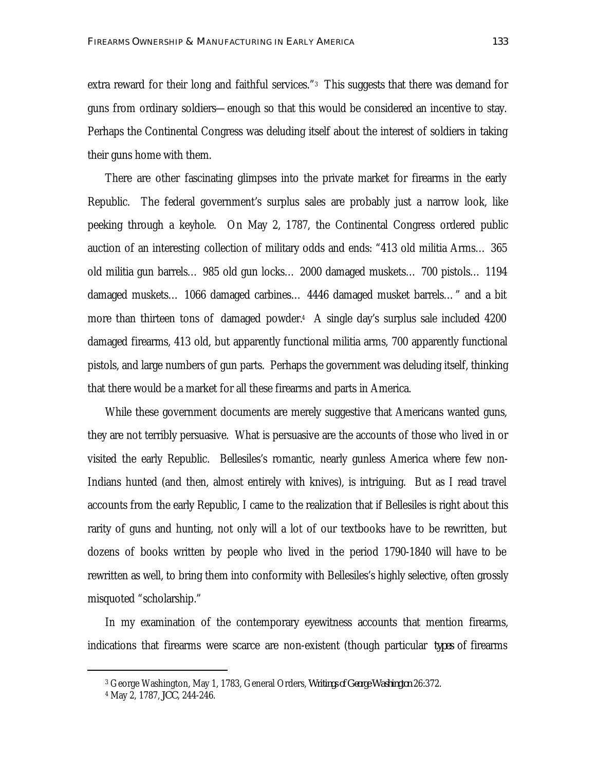extra reward for their long and faithful services."<sup>3</sup> This suggests that there was demand for guns from ordinary soldiers—enough so that this would be considered an incentive to stay. Perhaps the Continental Congress was deluding itself about the interest of soldiers in taking their guns home with them.

There are other fascinating glimpses into the private market for firearms in the early Republic. The federal government's surplus sales are probably just a narrow look, like peeking through a keyhole. On May 2, 1787, the Continental Congress ordered public auction of an interesting collection of military odds and ends: "413 old militia Arms… 365 old militia gun barrels… 985 old gun locks… 2000 damaged muskets… 700 pistols… 1194 damaged muskets… 1066 damaged carbines… 4446 damaged musket barrels…" and a bit more than thirteen tons of damaged powder.<sup>4</sup> A single day's surplus sale included 4200 damaged firearms, 413 old, but apparently functional militia arms, 700 apparently functional pistols, and large numbers of gun parts. Perhaps the government was deluding itself, thinking that there would be a market for all these firearms and parts in America.

While these government documents are merely suggestive that Americans wanted guns, they are not terribly persuasive. What is persuasive are the accounts of those who lived in or visited the early Republic. Bellesiles's romantic, nearly gunless America where few non-Indians hunted (and then, almost entirely with knives), is intriguing. But as I read travel accounts from the early Republic, I came to the realization that if Bellesiles is right about this rarity of guns and hunting, not only will a lot of our textbooks have to be rewritten, but dozens of books written by people who lived in the period 1790-1840 will have to be rewritten as well, to bring them into conformity with Bellesiles's highly selective, often grossly misquoted "scholarship."

In my examination of the contemporary eyewitness accounts that mention firearms, indications that firearms were scarce are non-existent (though particular *types* of firearms

<sup>3</sup> George Washington, May 1, 1783, General Orders, *Writings of George Washington* 26:372.

<sup>4</sup> May 2, 1787, *JCC*, 244-246.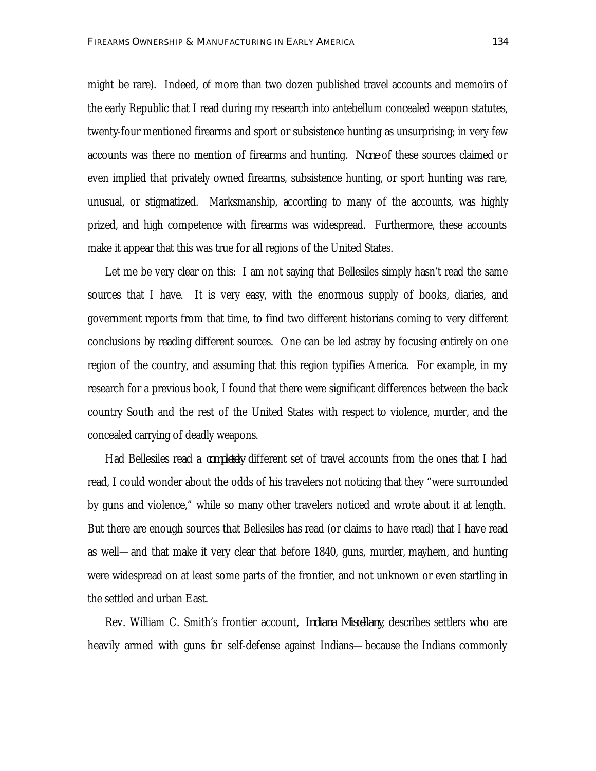might be rare). Indeed, of more than two dozen published travel accounts and memoirs of the early Republic that I read during my research into antebellum concealed weapon statutes, twenty-four mentioned firearms and sport or subsistence hunting as unsurprising; in very few accounts was there no mention of firearms and hunting. *None* of these sources claimed or even implied that privately owned firearms, subsistence hunting, or sport hunting was rare, unusual, or stigmatized. Marksmanship, according to many of the accounts, was highly prized, and high competence with firearms was widespread. Furthermore, these accounts make it appear that this was true for all regions of the United States.

Let me be very clear on this: I am not saying that Bellesiles simply hasn't read the same sources that I have. It is very easy, with the enormous supply of books, diaries, and government reports from that time, to find two different historians coming to very different conclusions by reading different sources. One can be led astray by focusing entirely on one region of the country, and assuming that this region typifies America. For example, in my research for a previous book, I found that there were significant differences between the back country South and the rest of the United States with respect to violence, murder, and the concealed carrying of deadly weapons.

Had Bellesiles read a *completely* different set of travel accounts from the ones that I had read, I could wonder about the odds of his travelers not noticing that they "were surrounded by guns and violence," while so many other travelers noticed and wrote about it at length. But there are enough sources that Bellesiles has read (or claims to have read) that I have read as well—and that make it very clear that before 1840, guns, murder, mayhem, and hunting were widespread on at least some parts of the frontier, and not unknown or even startling in the settled and urban East.

Rev. William C. Smith's frontier account, *Indiana Miscellany*, describes settlers who are heavily armed with guns for self-defense against Indians—because the Indians commonly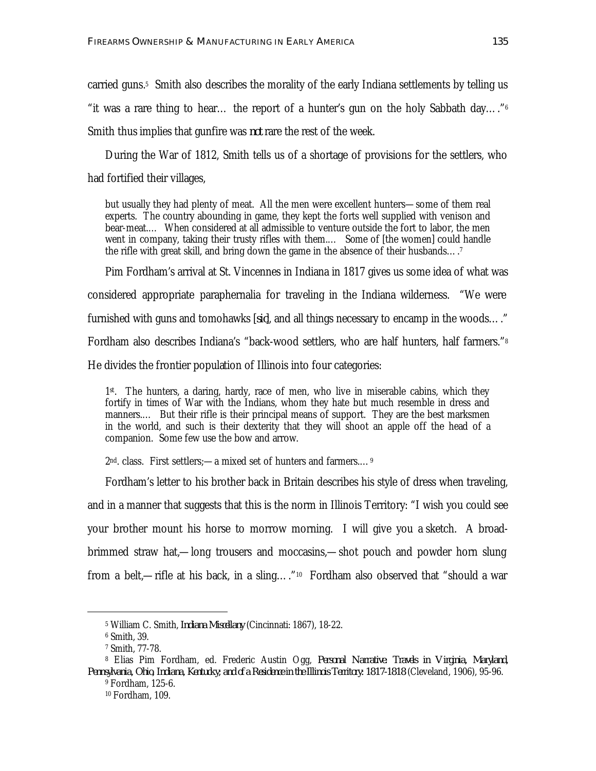carried guns.<sup>5</sup> Smith also describes the morality of the early Indiana settlements by telling us "it was a rare thing to hear… the report of a hunter's gun on the holy Sabbath day…."<sup>6</sup> Smith thus implies that gunfire was *not* rare the rest of the week.

During the War of 1812, Smith tells us of a shortage of provisions for the settlers, who had fortified their villages,

but usually they had plenty of meat. All the men were excellent hunters—some of them real experts. The country abounding in game, they kept the forts well supplied with venison and bear-meat.… When considered at all admissible to venture outside the fort to labor, the men went in company, taking their trusty rifles with them.… Some of [the women] could handle the rifle with great skill, and bring down the game in the absence of their husbands….<sup>7</sup>

Pim Fordham's arrival at St. Vincennes in Indiana in 1817 gives us some idea of what was considered appropriate paraphernalia for traveling in the Indiana wilderness. "We were furnished with guns and tomohawks [*sic*], and all things necessary to encamp in the woods…." Fordham also describes Indiana's "back-wood settlers, who are half hunters, half farmers."<sup>8</sup> He divides the frontier population of Illinois into four categories:

1st. The hunters, a daring, hardy, race of men, who live in miserable cabins, which they fortify in times of War with the Indians, whom they hate but much resemble in dress and manners.... But their rifle is their principal means of support. They are the best marksmen in the world, and such is their dexterity that they will shoot an apple off the head of a companion. Some few use the bow and arrow.

2nd. class. First settlers;—a mixed set of hunters and farmers.…<sup>9</sup>

Fordham's letter to his brother back in Britain describes his style of dress when traveling, and in a manner that suggests that this is the norm in Illinois Territory: "I wish you could see your brother mount his horse to morrow morning. I will give you a sketch. A broadbrimmed straw hat,—long trousers and moccasins,—shot pouch and powder horn slung from a belt,—rifle at his back, in a sling...."<sup>10</sup> Fordham also observed that "should a war

<sup>5</sup> William C. Smith, *Indiana Miscellany* (Cincinnati: 1867), 18-22.

<sup>6</sup> Smith, 39.

<sup>7</sup> Smith, 77-78.

<sup>8</sup> Elias Pim Fordham, ed. Frederic Austin Ogg, *Personal Narrative: Travels in Virginia, Maryland, Pennsylvania, Ohio, Indiana, Kentucky; and of a Residence in the Illinois Territory: 1817-1818* (Cleveland, 1906), 95-96.

<sup>9</sup> Fordham, 125-6.

<sup>10</sup> Fordham, 109.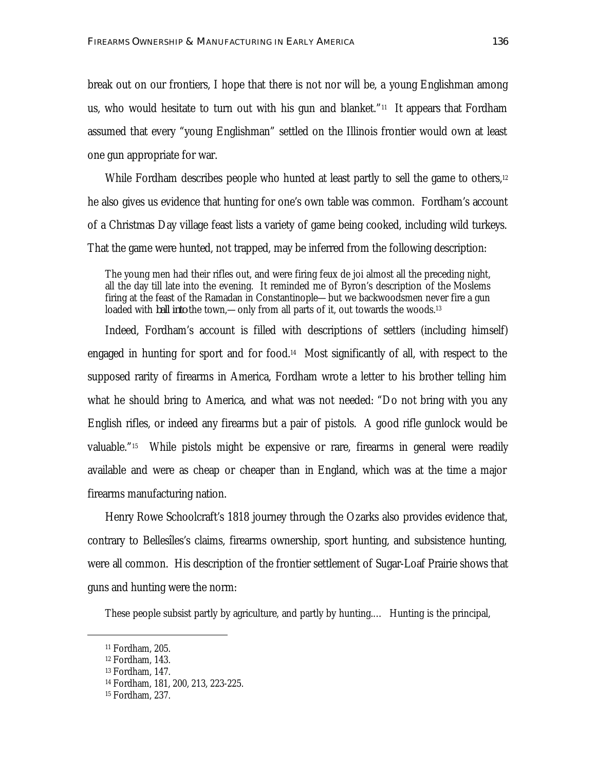break out on our frontiers, I hope that there is not nor will be, a young Englishman among us, who would hesitate to turn out with his gun and blanket."11 It appears that Fordham assumed that every "young Englishman" settled on the Illinois frontier would own at least one gun appropriate for war.

While Fordham describes people who hunted at least partly to sell the game to others,<sup>12</sup> he also gives us evidence that hunting for one's own table was common. Fordham's account of a Christmas Day village feast lists a variety of game being cooked, including wild turkeys. That the game were hunted, not trapped, may be inferred from the following description:

The young men had their rifles out, and were firing feux de joi almost all the preceding night, all the day till late into the evening. It reminded me of Byron's description of the Moslems firing at the feast of the Ramadan in Constantinople—but we backwoodsmen never fire a gun loaded with *ball into* the town,—only from all parts of it, out towards the woods.<sup>13</sup>

Indeed, Fordham's account is filled with descriptions of settlers (including himself) engaged in hunting for sport and for food.14 Most significantly of all, with respect to the supposed rarity of firearms in America, Fordham wrote a letter to his brother telling him what he should bring to America, and what was not needed: "Do not bring with you any English rifles, or indeed any firearms but a pair of pistols. A good rifle gunlock would be valuable."15 While pistols might be expensive or rare, firearms in general were readily available and were as cheap or cheaper than in England, which was at the time a major firearms manufacturing nation.

Henry Rowe Schoolcraft's 1818 journey through the Ozarks also provides evidence that, contrary to Bellesîles's claims, firearms ownership, sport hunting, and subsistence hunting, were all common. His description of the frontier settlement of Sugar-Loaf Prairie shows that guns and hunting were the norm:

These people subsist partly by agriculture, and partly by hunting.… Hunting is the principal,

<sup>11</sup> Fordham, 205.

<sup>12</sup> Fordham, 143.

<sup>13</sup> Fordham, 147.

<sup>14</sup> Fordham, 181, 200, 213, 223-225.

<sup>15</sup> Fordham, 237.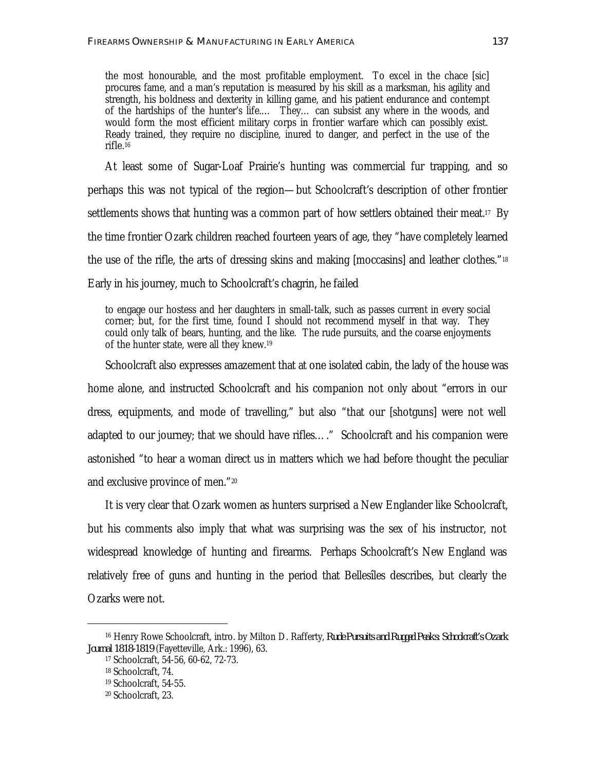the most honourable, and the most profitable employment. To excel in the chace [sic] procures fame, and a man's reputation is measured by his skill as a marksman, his agility and strength, his boldness and dexterity in killing game, and his patient endurance and contempt of the hardships of the hunter's life.… They… can subsist any where in the woods, and would form the most efficient military corps in frontier warfare which can possibly exist. Ready trained, they require no discipline, inured to danger, and perfect in the use of the rifle.<sup>16</sup>

At least some of Sugar-Loaf Prairie's hunting was commercial fur trapping, and so perhaps this was not typical of the region—but Schoolcraft's description of other frontier settlements shows that hunting was a common part of how settlers obtained their meat.<sup>17</sup> By the time frontier Ozark children reached fourteen years of age, they "have completely learned the use of the rifle, the arts of dressing skins and making [moccasins] and leather clothes."<sup>18</sup> Early in his journey, much to Schoolcraft's chagrin, he failed

to engage our hostess and her daughters in small-talk, such as passes current in every social corner; but, for the first time, found I should not recommend myself in that way. They could only talk of bears, hunting, and the like. The rude pursuits, and the coarse enjoyments of the hunter state, were all they knew.<sup>19</sup>

Schoolcraft also expresses amazement that at one isolated cabin, the lady of the house was home alone, and instructed Schoolcraft and his companion not only about "errors in our dress, equipments, and mode of travelling," but also "that our [shotguns] were not well adapted to our journey; that we should have rifles…." Schoolcraft and his companion were astonished "to hear a woman direct us in matters which we had before thought the peculiar and exclusive province of men."<sup>20</sup>

It is very clear that Ozark women as hunters surprised a New Englander like Schoolcraft, but his comments also imply that what was surprising was the sex of his instructor, not widespread knowledge of hunting and firearms. Perhaps Schoolcraft's New England was relatively free of guns and hunting in the period that Bellesîles describes, but clearly the Ozarks were not.

<sup>16</sup> Henry Rowe Schoolcraft, intro. by Milton D. Rafferty, *Rude Pursuits and Rugged Peaks: Schoolcraft's Ozark Journal 1818-1819* (Fayetteville, Ark.: 1996), 63.

<sup>17</sup> Schoolcraft, 54-56, 60-62, 72-73.

<sup>18</sup> Schoolcraft, 74.

<sup>19</sup> Schoolcraft, 54-55.

<sup>20</sup> Schoolcraft, 23.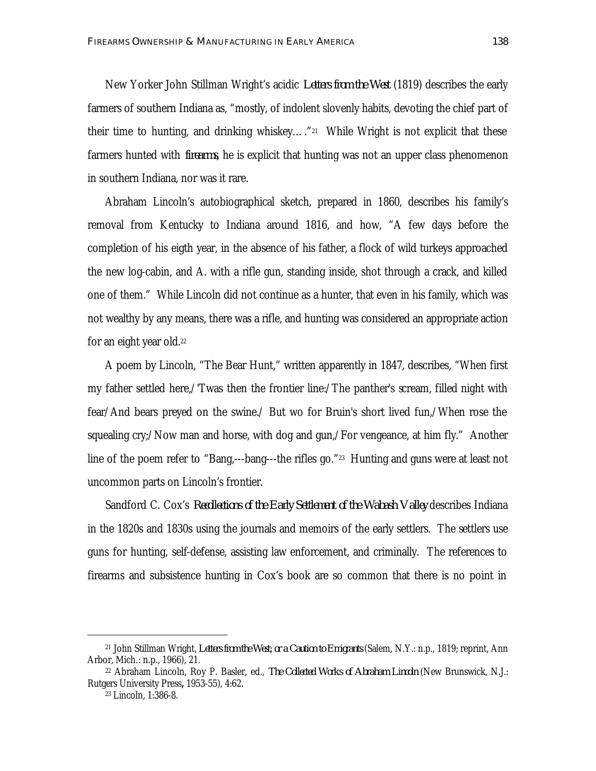New Yorker John Stillman Wright's acidic *Letters from the West* (1819) describes the early farmers of southern Indiana as, "mostly, of indolent slovenly habits, devoting the chief part of their time to hunting, and drinking whiskey...."<sup>21</sup> While Wright is not explicit that these farmers hunted with *firearms*, he is explicit that hunting was not an upper class phenomenon in southern Indiana, nor was it rare.

Abraham Lincoln's autobiographical sketch, prepared in 1860, describes his family's removal from Kentucky to Indiana around 1816, and how, "A few days before the completion of his eigth year, in the absence of his father, a flock of wild turkeys approached the new log-cabin, and A. with a rifle gun, standing inside, shot through a crack, and killed one of them." While Lincoln did not continue as a hunter, that even in his family, which was not wealthy by any means, there was a rifle, and hunting was considered an appropriate action for an eight year old.<sup>22</sup>

A poem by Lincoln, "The Bear Hunt," written apparently in 1847, describes, "When first my father settled here,/'Twas then the frontier line:/The panther's scream, filled night with fear/And bears preyed on the swine./ But wo for Bruin's short lived fun,/When rose the squealing cry;/Now man and horse, with dog and gun,/For vengeance, at him fly." Another line of the poem refer to "Bang,---bang---the rifles go."23 Hunting and guns were at least not uncommon parts on Lincoln's frontier.

Sandford C. Cox's *Recollections of the Early Settlement of the Wabash Valley* describes Indiana in the 1820s and 1830s using the journals and memoirs of the early settlers. The settlers use guns for hunting, self-defense, assisting law enforcement, and criminally. The references to firearms and subsistence hunting in Cox's book are so common that there is no point in

<sup>21</sup> John Stillman Wright, *Letters from the West; or a Caution to Emigrants* (Salem, N.Y.: n.p., 1819; reprint, Ann Arbor, Mich.: n.p., 1966), 21.

<sup>22</sup> Abraham Lincoln, Roy P. Basler, ed., *The Collected Works of Abraham Lincoln* (New Brunswick, N.J.: Rutgers University Press*,* 1953-55), 4:62.

<sup>23</sup> Lincoln, 1:386-8.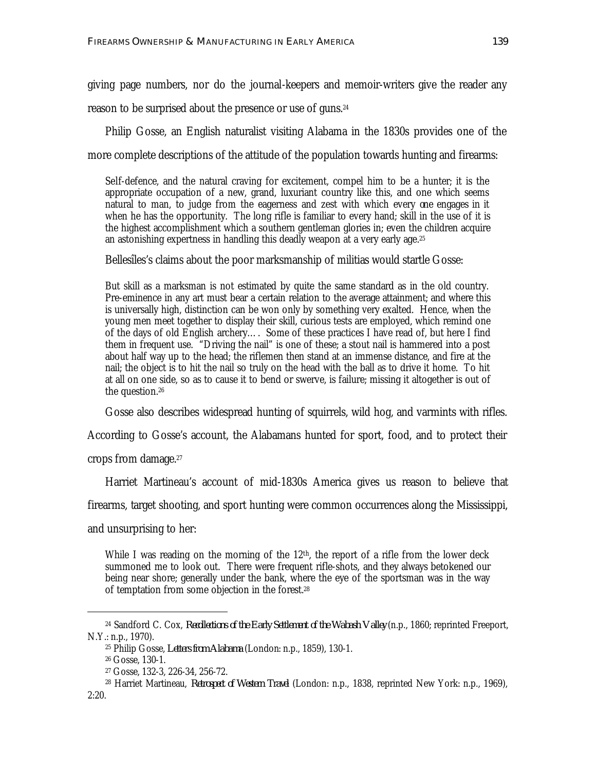giving page numbers, nor do the journal-keepers and memoir-writers give the reader any reason to be surprised about the presence or use of guns.<sup>24</sup>

Philip Gosse, an English naturalist visiting Alabama in the 1830s provides one of the more complete descriptions of the attitude of the population towards hunting and firearms:

Self-defence, and the natural craving for excitement, compel him to be a hunter; it is the appropriate occupation of a new, grand, luxuriant country like this, and one which seems natural to man, to judge from the eagerness and zest with which every one engages in it when he has the opportunity. The long rifle is familiar to every hand; skill in the use of it is the highest accomplishment which a southern gentleman glories in; even the children acquire an astonishing expertness in handling this deadly weapon at a very early age.<sup>25</sup>

Bellesîles's claims about the poor marksmanship of militias would startle Gosse:

But skill as a marksman is not estimated by quite the same standard as in the old country. Pre-eminence in any art must bear a certain relation to the average attainment; and where this is universally high, distinction can be won only by something very exalted. Hence, when the young men meet together to display their skill, curious tests are employed, which remind one of the days of old English archery…. Some of these practices I have read of, but here I find them in frequent use. "Driving the nail" is one of these; a stout nail is hammered into a post about half way up to the head; the riflemen then stand at an immense distance, and fire at the nail; the object is to hit the nail so truly on the head with the ball as to drive it home. To hit at all on one side, so as to cause it to bend or swerve, is failure; missing it altogether is out of the question.<sup>26</sup>

Gosse also describes widespread hunting of squirrels, wild hog, and varmints with rifles.

According to Gosse's account, the Alabamans hunted for sport, food, and to protect their

crops from damage.<sup>27</sup>

Harriet Martineau's account of mid-1830s America gives us reason to believe that

firearms, target shooting, and sport hunting were common occurrences along the Mississippi,

and unsurprising to her:

While I was reading on the morning of the  $12<sup>th</sup>$ , the report of a rifle from the lower deck summoned me to look out. There were frequent rifle-shots, and they always betokened our being near shore; generally under the bank, where the eye of the sportsman was in the way of temptation from some objection in the forest.<sup>28</sup>

<sup>24</sup> Sandford C. Cox, *Recollections of the Early Settlement of the Wabash Valley* (n.p., 1860; reprinted Freeport, N.Y.: n.p., 1970).

<sup>25</sup> Philip Gosse, *Letters from Alabama* (London: n.p., 1859), 130-1.

<sup>26</sup> Gosse, 130-1.

<sup>27</sup> Gosse, 132-3, 226-34, 256-72.

<sup>28</sup> Harriet Martineau, *Retrospect of Western Travel* (London: n.p., 1838, reprinted New York: n.p., 1969), 2:20.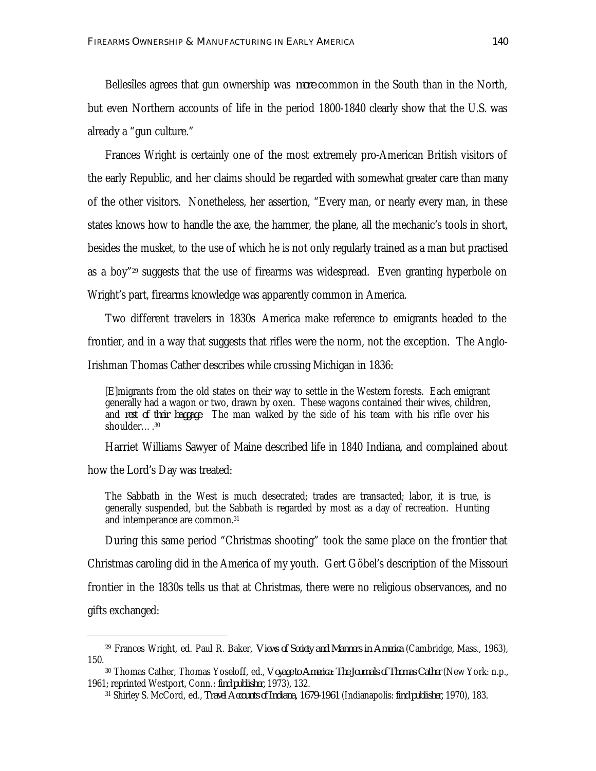Bellesîles agrees that gun ownership was *more* common in the South than in the North, but even Northern accounts of life in the period 1800-1840 clearly show that the U.S. was already a "gun culture."

Frances Wright is certainly one of the most extremely pro-American British visitors of the early Republic, and her claims should be regarded with somewhat greater care than many of the other visitors. Nonetheless, her assertion, "Every man, or nearly every man, in these states knows how to handle the axe, the hammer, the plane, all the mechanic's tools in short, besides the musket, to the use of which he is not only regularly trained as a man but practised as a boy"29 suggests that the use of firearms was widespread. Even granting hyperbole on Wright's part, firearms knowledge was apparently common in America.

Two different travelers in 1830s America make reference to emigrants headed to the frontier, and in a way that suggests that rifles were the norm, not the exception. The Anglo-Irishman Thomas Cather describes while crossing Michigan in 1836:

[E]migrants from the old states on their way to settle in the Western forests. Each emigrant generally had a wagon or two, drawn by oxen. These wagons contained their wives, children, and *rest of their baggage*. The man walked by the side of his team with his rifle over his shoulder….<sup>30</sup>

Harriet Williams Sawyer of Maine described life in 1840 Indiana, and complained about

how the Lord's Day was treated:

 $\overline{a}$ 

The Sabbath in the West is much desecrated; trades are transacted; labor, it is true, is generally suspended, but the Sabbath is regarded by most as a day of recreation. Hunting and intemperance are common.<sup>31</sup>

During this same period "Christmas shooting" took the same place on the frontier that Christmas caroling did in the America of my youth. Gert Göbel's description of the Missouri frontier in the 1830s tells us that at Christmas, there were no religious observances, and no gifts exchanged:

<sup>29</sup> Frances Wright, ed. Paul R. Baker, *Views of Society and Manners in America* (Cambridge, Mass., 1963), 150.

<sup>30</sup> Thomas Cather, Thomas Yoseloff, ed., *Voyage to America: The Journals of Thomas Cather* (New York: n.p., 1961; reprinted Westport, Conn.: *find publisher,* 1973), 132.

<sup>31</sup> Shirley S. McCord, ed., *Travel Accounts of Indiana, 1679-1961* (Indianapolis: *find publisher,* 1970), 183.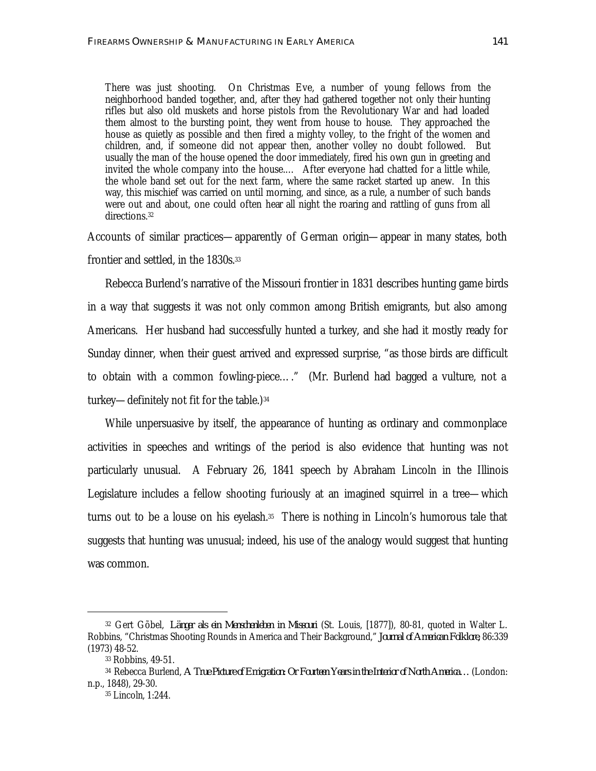There was just shooting. On Christmas Eve, a number of young fellows from the neighborhood banded together, and, after they had gathered together not only their hunting rifles but also old muskets and horse pistols from the Revolutionary War and had loaded them almost to the bursting point, they went from house to house. They approached the house as quietly as possible and then fired a mighty volley, to the fright of the women and children, and, if someone did not appear then, another volley no doubt followed. But usually the man of the house opened the door immediately, fired his own gun in greeting and invited the whole company into the house.… After everyone had chatted for a little while, the whole band set out for the next farm, where the same racket started up anew. In this way, this mischief was carried on until morning, and since, as a rule, a number of such bands were out and about, one could often hear all night the roaring and rattling of guns from all directions.<sup>32</sup>

Accounts of similar practices—apparently of German origin—appear in many states, both frontier and settled, in the 1830s.<sup>33</sup>

Rebecca Burlend's narrative of the Missouri frontier in 1831 describes hunting game birds in a way that suggests it was not only common among British emigrants, but also among Americans. Her husband had successfully hunted a turkey, and she had it mostly ready for Sunday dinner, when their guest arrived and expressed surprise, "as those birds are difficult to obtain with a common fowling-piece…." (Mr. Burlend had bagged a vulture, not a turkey—definitely not fit for the table.)<sup>34</sup>

While unpersuasive by itself, the appearance of hunting as ordinary and commonplace activities in speeches and writings of the period is also evidence that hunting was not particularly unusual. A February 26, 1841 speech by Abraham Lincoln in the Illinois Legislature includes a fellow shooting furiously at an imagined squirrel in a tree—which turns out to be a louse on his eyelash.35 There is nothing in Lincoln's humorous tale that suggests that hunting was unusual; indeed, his use of the analogy would suggest that hunting was common.

<sup>32</sup> Gert Gõbel, *Länger als ein Menschenleben in Missouri* (St. Louis, [1877]), 80-81, quoted in Walter L. Robbins, "Christmas Shooting Rounds in America and Their Background," *Journal of American Folklore,* 86:339 (1973) 48-52.

<sup>33</sup> Robbins, 49-51.

<sup>34</sup> Rebecca Burlend, *A True Picture of Emigration: Or Fourteen Years in the Interior of North America…* (London: n.p., 1848), 29-30.

<sup>35</sup> Lincoln, 1:244.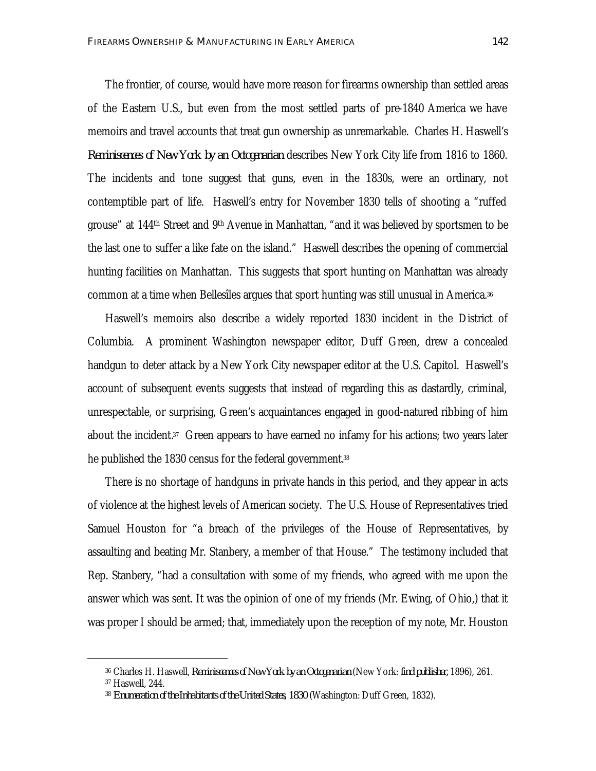The frontier, of course, would have more reason for firearms ownership than settled areas of the Eastern U.S., but even from the most settled parts of pre-1840 America we have memoirs and travel accounts that treat gun ownership as unremarkable. Charles H. Haswell's *Reminiscences of New York by an Octogenarian* describes New York City life from 1816 to 1860. The incidents and tone suggest that guns, even in the 1830s, were an ordinary, not contemptible part of life. Haswell's entry for November 1830 tells of shooting a "ruffed grouse" at 144th Street and 9th Avenue in Manhattan, "and it was believed by sportsmen to be the last one to suffer a like fate on the island." Haswell describes the opening of commercial hunting facilities on Manhattan. This suggests that sport hunting on Manhattan was already common at a time when Bellesîles argues that sport hunting was still unusual in America.<sup>36</sup>

Haswell's memoirs also describe a widely reported 1830 incident in the District of Columbia. A prominent Washington newspaper editor, Duff Green, drew a concealed handgun to deter attack by a New York City newspaper editor at the U.S. Capitol. Haswell's account of subsequent events suggests that instead of regarding this as dastardly, criminal, unrespectable, or surprising, Green's acquaintances engaged in good-natured ribbing of him about the incident.37 Green appears to have earned no infamy for his actions; two years later he published the 1830 census for the federal government.<sup>38</sup>

There is no shortage of handguns in private hands in this period, and they appear in acts of violence at the highest levels of American society. The U.S. House of Representatives tried Samuel Houston for "a breach of the privileges of the House of Representatives, by assaulting and beating Mr. Stanbery, a member of that House." The testimony included that Rep. Stanbery, "had a consultation with some of my friends, who agreed with me upon the answer which was sent. It was the opinion of one of my friends (Mr. Ewing, of Ohio,) that it was proper I should be armed; that, immediately upon the reception of my note, Mr. Houston

<sup>36</sup> Charles H. Haswell, *Reminiscences of New York by an Octogenarian* (New York: *find publisher,* 1896), 261.

<sup>37</sup> Haswell, 244.

<sup>38</sup> *Enumeration of the Inhabitants of the United States, 1830* (Washington: Duff Green, 1832).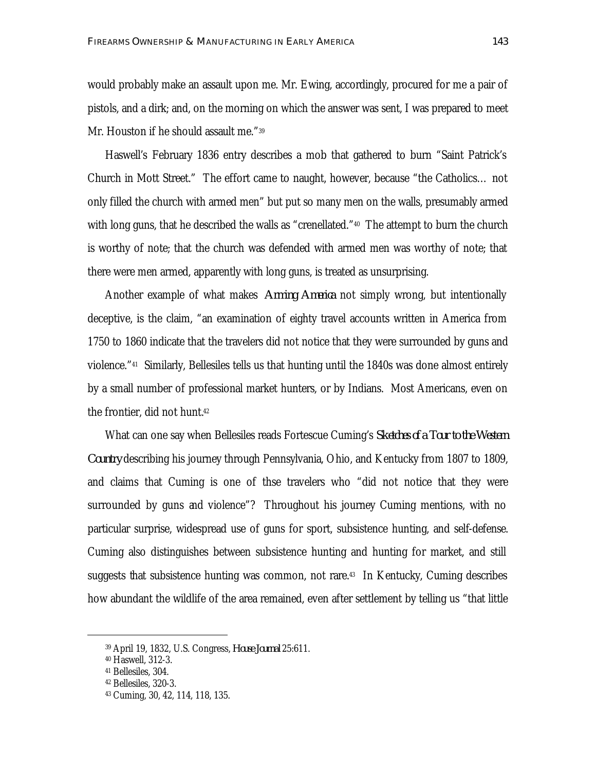would probably make an assault upon me. Mr. Ewing, accordingly, procured for me a pair of pistols, and a dirk; and, on the morning on which the answer was sent, I was prepared to meet Mr. Houston if he should assault me."<sup>39</sup>

Haswell's February 1836 entry describes a mob that gathered to burn "Saint Patrick's Church in Mott Street." The effort came to naught, however, because "the Catholics… not only filled the church with armed men" but put so many men on the walls, presumably armed with long guns, that he described the walls as "crenellated."<sup>40</sup> The attempt to burn the church is worthy of note; that the church was defended with armed men was worthy of note; that there were men armed, apparently with long guns, is treated as unsurprising.

Another example of what makes *Arming America* not simply wrong, but intentionally deceptive, is the claim, "an examination of eighty travel accounts written in America from 1750 to 1860 indicate that the travelers did not notice that they were surrounded by guns and violence."41 Similarly, Bellesiles tells us that hunting until the 1840s was done almost entirely by a small number of professional market hunters, or by Indians. Most Americans, even on the frontier, did not hunt.<sup>42</sup>

What can one say when Bellesiles reads Fortescue Cuming's *Sketches of a Tour to the Western Country* describing his journey through Pennsylvania, Ohio, and Kentucky from 1807 to 1809, and claims that Cuming is one of thse travelers who "did not notice that they were surrounded by guns and violence"? Throughout his journey Cuming mentions, with no particular surprise, widespread use of guns for sport, subsistence hunting, and self-defense. Cuming also distinguishes between subsistence hunting and hunting for market, and still suggests that subsistence hunting was common, not rare.43 In Kentucky, Cuming describes how abundant the wildlife of the area remained, even after settlement by telling us "that little

<sup>39</sup> April 19, 1832, U.S. Congress, *House Journal* 25:611.

<sup>40</sup> Haswell, 312-3.

<sup>41</sup> Bellesiles, 304.

<sup>42</sup> Bellesiles, 320-3.

<sup>43</sup> Cuming, 30, 42, 114, 118, 135.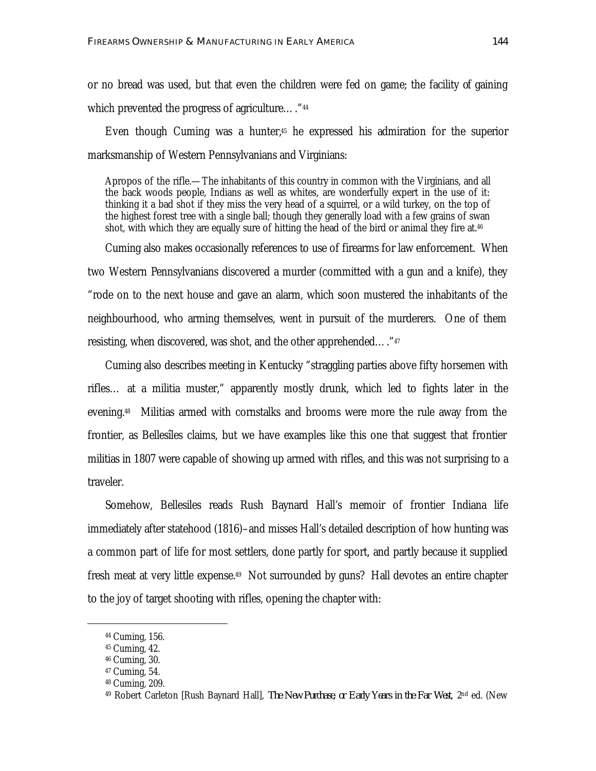or no bread was used, but that even the children were fed on game; the facility of gaining which prevented the progress of agriculture...."<sup>44</sup>

Even though Cuming was a hunter,45 he expressed his admiration for the superior marksmanship of Western Pennsylvanians and Virginians:

Apropos of the rifle.—The inhabitants of this country in common with the Virginians, and all the back woods people, Indians as well as whites, are wonderfully expert in the use of it: thinking it a bad shot if they miss the very head of a squirrel, or a wild turkey, on the top of the highest forest tree with a single ball; though they generally load with a few grains of swan shot, with which they are equally sure of hitting the head of the bird or animal they fire at.<sup>46</sup>

Cuming also makes occasionally references to use of firearms for law enforcement. When two Western Pennsylvanians discovered a murder (committed with a gun and a knife), they "rode on to the next house and gave an alarm, which soon mustered the inhabitants of the neighbourhood, who arming themselves, went in pursuit of the murderers. One of them resisting, when discovered, was shot, and the other apprehended…."<sup>47</sup>

Cuming also describes meeting in Kentucky "straggling parties above fifty horsemen with rifles… at a militia muster," apparently mostly drunk, which led to fights later in the evening.48 Militias armed with cornstalks and brooms were more the rule away from the frontier, as Bellesîles claims, but we have examples like this one that suggest that frontier militias in 1807 were capable of showing up armed with rifles, and this was not surprising to a traveler.

Somehow, Bellesiles reads Rush Baynard Hall's memoir of frontier Indiana life immediately after statehood (1816)–and misses Hall's detailed description of how hunting was a common part of life for most settlers, done partly for sport, and partly because it supplied fresh meat at very little expense.49 Not surrounded by guns? Hall devotes an entire chapter to the joy of target shooting with rifles, opening the chapter with:

<sup>44</sup> Cuming, 156.

<sup>45</sup> Cuming, 42.

<sup>46</sup> Cuming, 30.

<sup>47</sup> Cuming, 54.

<sup>48</sup> Cuming, 209.

<sup>49</sup> Robert Carleton [Rush Baynard Hall], *The New Purchase, or Early Years in the Far West*, 2nd ed. (New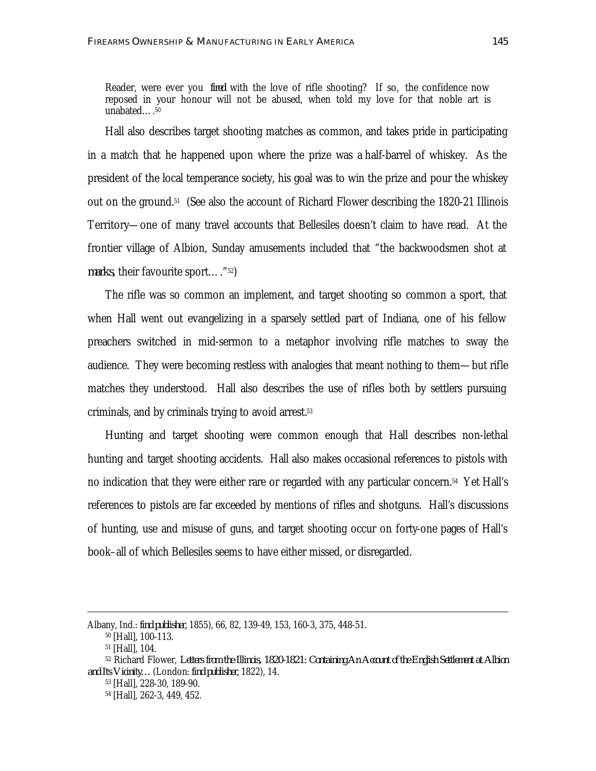Reader, were ever you *fired* with the love of rifle shooting? If so, the confidence now reposed in your honour will not be abused, when told my love for that noble art is unabated….<sup>50</sup>

Hall also describes target shooting matches as common, and takes pride in participating in a match that he happened upon where the prize was a half-barrel of whiskey. As the president of the local temperance society, his goal was to win the prize and pour the whiskey out on the ground.51 (See also the account of Richard Flower describing the 1820-21 Illinois Territory—one of many travel accounts that Bellesiles doesn't claim to have read. At the frontier village of Albion, Sunday amusements included that "the backwoodsmen shot at *marks*, their favourite sport...."<sup>52</sup>)

The rifle was so common an implement, and target shooting so common a sport, that when Hall went out evangelizing in a sparsely settled part of Indiana, one of his fellow preachers switched in mid-sermon to a metaphor involving rifle matches to sway the audience. They were becoming restless with analogies that meant nothing to them—but rifle matches they understood. Hall also describes the use of rifles both by settlers pursuing criminals, and by criminals trying to avoid arrest.<sup>53</sup>

Hunting and target shooting were common enough that Hall describes non-lethal hunting and target shooting accidents. Hall also makes occasional references to pistols with no indication that they were either rare or regarded with any particular concern.54 Yet Hall's references to pistols are far exceeded by mentions of rifles and shotguns. Hall's discussions of hunting, use and misuse of guns, and target shooting occur on forty-one pages of Hall's book–all of which Bellesiles seems to have either missed, or disregarded.

Albany, Ind.: *find publisher,* 1855), 66, 82, 139-49, 153, 160-3, 375, 448-51.

<sup>50</sup> [Hall], 100-113.

<sup>51</sup> [Hall], 104.

<sup>52</sup> Richard Flower, *Letters from the Illinois, 1820-1821: Containing An Account of the English Settlement at Albion and Its Vicinity…* (London: *find publisher,* 1822), 14.

<sup>53</sup> [Hall], 228-30, 189-90.

<sup>54</sup> [Hall], 262-3, 449, 452.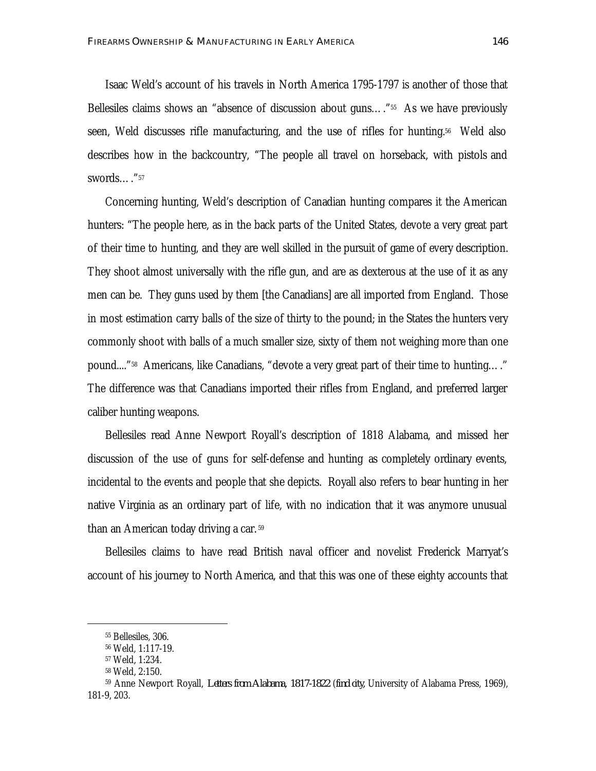Isaac Weld's account of his travels in North America 1795-1797 is another of those that Bellesiles claims shows an "absence of discussion about guns...."<sup>55</sup> As we have previously seen, Weld discusses rifle manufacturing, and the use of rifles for hunting.56 Weld also describes how in the backcountry, "The people all travel on horseback, with pistols and swords…."<sup>57</sup>

Concerning hunting, Weld's description of Canadian hunting compares it the American hunters: "The people here, as in the back parts of the United States, devote a very great part of their time to hunting, and they are well skilled in the pursuit of game of every description. They shoot almost universally with the rifle gun, and are as dexterous at the use of it as any men can be. They guns used by them [the Canadians] are all imported from England. Those in most estimation carry balls of the size of thirty to the pound; in the States the hunters very commonly shoot with balls of a much smaller size, sixty of them not weighing more than one pound...."58 Americans, like Canadians, "devote a very great part of their time to hunting…." The difference was that Canadians imported their rifles from England, and preferred larger caliber hunting weapons.

Bellesiles read Anne Newport Royall's description of 1818 Alabama, and missed her discussion of the use of guns for self-defense and hunting as completely ordinary events, incidental to the events and people that she depicts. Royall also refers to bear hunting in her native Virginia as an ordinary part of life, with no indication that it was anymore unusual than an American today driving a car. 59

Bellesiles claims to have read British naval officer and novelist Frederick Marryat's account of his journey to North America, and that this was one of these eighty accounts that

<sup>55</sup> Bellesiles, 306.

<sup>56</sup> Weld, 1:117-19.

<sup>57</sup> Weld, 1:234.

<sup>58</sup> Weld, 2:150.

<sup>59</sup> Anne Newport Royall, *Letters from Alabama, 1817-1822* (*find city,* University of Alabama Press, 1969), 181-9, 203.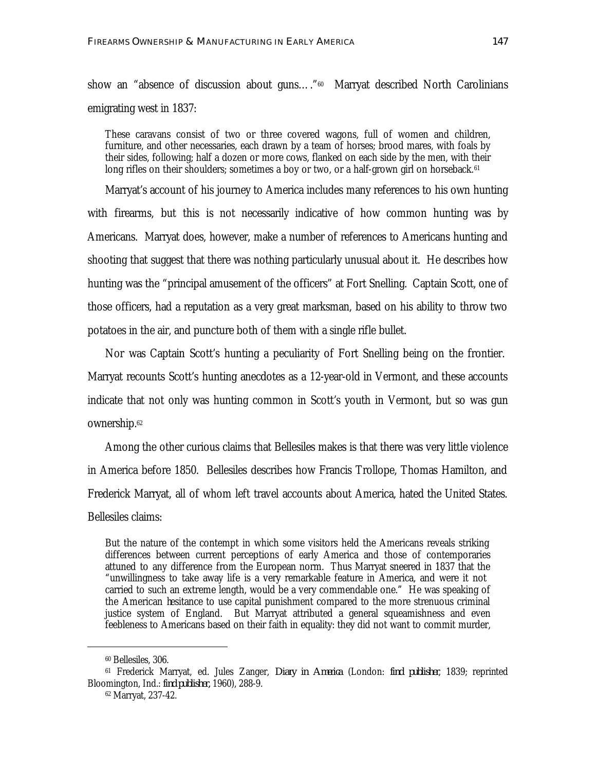show an "absence of discussion about guns…."60 Marryat described North Carolinians emigrating west in 1837:

These caravans consist of two or three covered wagons, full of women and children, furniture, and other necessaries, each drawn by a team of horses; brood mares, with foals by their sides, following; half a dozen or more cows, flanked on each side by the men, with their long rifles on their shoulders; sometimes a boy or two, or a half-grown girl on horseback.<sup>61</sup>

Marryat's account of his journey to America includes many references to his own hunting with firearms, but this is not necessarily indicative of how common hunting was by Americans. Marryat does, however, make a number of references to Americans hunting and shooting that suggest that there was nothing particularly unusual about it. He describes how hunting was the "principal amusement of the officers" at Fort Snelling. Captain Scott, one of those officers, had a reputation as a very great marksman, based on his ability to throw two potatoes in the air, and puncture both of them with a single rifle bullet.

Nor was Captain Scott's hunting a peculiarity of Fort Snelling being on the frontier. Marryat recounts Scott's hunting anecdotes as a 12-year-old in Vermont, and these accounts indicate that not only was hunting common in Scott's youth in Vermont, but so was gun ownership.<sup>62</sup>

Among the other curious claims that Bellesiles makes is that there was very little violence in America before 1850. Bellesiles describes how Francis Trollope, Thomas Hamilton, and Frederick Marryat, all of whom left travel accounts about America, hated the United States. Bellesiles claims:

But the nature of the contempt in which some visitors held the Americans reveals striking differences between current perceptions of early America and those of contemporaries attuned to any difference from the European norm. Thus Marryat sneered in 1837 that the "unwillingness to take away life is a very remarkable feature in America, and were it not carried to such an extreme length, would be a very commendable one." He was speaking of the American hesitance to use capital punishment compared to the more strenuous criminal justice system of England. But Marryat attributed a general squeamishness and even feebleness to Americans based on their faith in equality: they did not want to commit murder,

<sup>60</sup> Bellesiles, 306.

<sup>61</sup> Frederick Marryat, ed. Jules Zanger, *Diary in America* (London: *find publisher*, 1839; reprinted Bloomington, Ind.: *find publisher,* 1960), 288-9.

<sup>62</sup> Marryat, 237-42.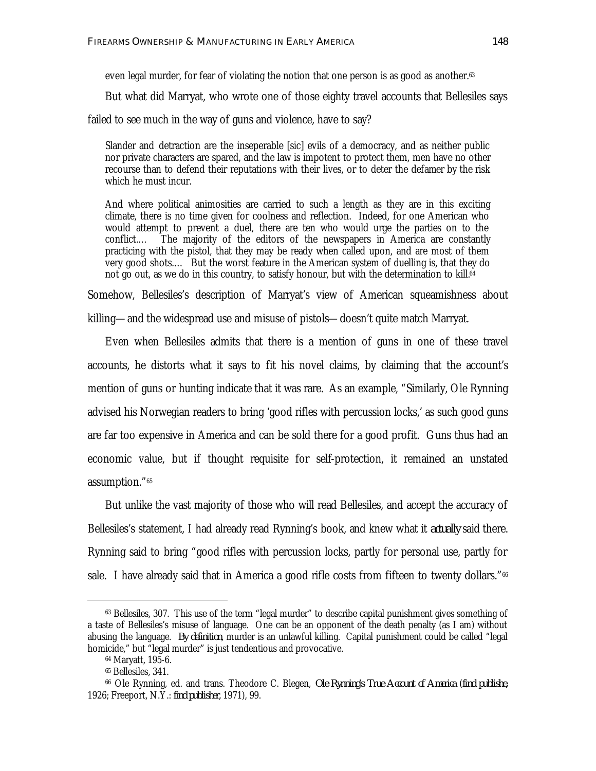even legal murder, for fear of violating the notion that one person is as good as another.<sup>63</sup>

But what did Marryat, who wrote one of those eighty travel accounts that Bellesiles says

failed to see much in the way of guns and violence, have to say?

Slander and detraction are the inseperable [sic] evils of a democracy, and as neither public nor private characters are spared, and the law is impotent to protect them, men have no other recourse than to defend their reputations with their lives, or to deter the defamer by the risk which he must incur.

And where political animosities are carried to such a length as they are in this exciting climate, there is no time given for coolness and reflection. Indeed, for one American who would attempt to prevent a duel, there are ten who would urge the parties on to the conflict.… The majority of the editors of the newspapers in America are constantly practicing with the pistol, that they may be ready when called upon, and are most of them very good shots.… But the worst feature in the American system of duelling is, that they do not go out, as we do in this country, to satisfy honour, but with the determination to kill.<sup>64</sup>

Somehow, Bellesiles's description of Marryat's view of American squeamishness about killing—and the widespread use and misuse of pistols—doesn't quite match Marryat.

Even when Bellesiles admits that there is a mention of guns in one of these travel accounts, he distorts what it says to fit his novel claims, by claiming that the account's mention of guns or hunting indicate that it was rare. As an example, "Similarly, Ole Rynning advised his Norwegian readers to bring 'good rifles with percussion locks,' as such good guns are far too expensive in America and can be sold there for a good profit. Guns thus had an economic value, but if thought requisite for self-protection, it remained an unstated assumption."<sup>65</sup>

But unlike the vast majority of those who will read Bellesiles, and accept the accuracy of Bellesiles's statement, I had already read Rynning's book, and knew what it *actually* said there. Rynning said to bring "good rifles with percussion locks, partly for personal use, partly for sale. I have already said that in America a good rifle costs from fifteen to twenty dollars."<sup>66</sup>

<sup>63</sup> Bellesiles, 307. This use of the term "legal murder" to describe capital punishment gives something of a taste of Bellesiles's misuse of language. One can be an opponent of the death penalty (as I am) without abusing the language. *By definition*, murder is an unlawful killing. Capital punishment could be called "legal homicide," but "legal murder" is just tendentious and provocative.

<sup>64</sup> Maryatt, 195-6.

<sup>65</sup> Bellesiles, 341.

<sup>66</sup> Ole Rynning, ed. and trans. Theodore C. Blegen, *Ole Rynning's True Account of America* (*find publishe,*  1926; Freeport, N.Y.: *find publisher,* 1971), 99.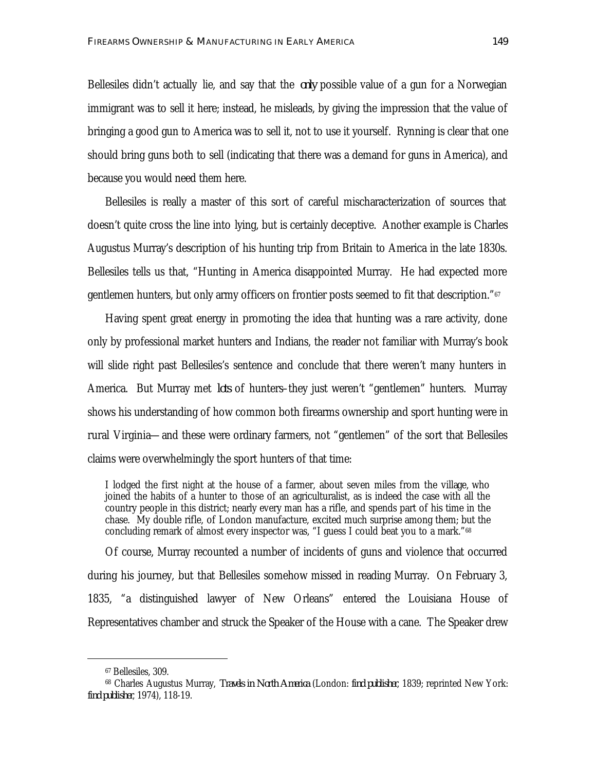Bellesiles didn't actually lie, and say that the *only* possible value of a gun for a Norwegian immigrant was to sell it here; instead, he misleads, by giving the impression that the value of bringing a good gun to America was to sell it, not to use it yourself. Rynning is clear that one should bring guns both to sell (indicating that there was a demand for guns in America), and because you would need them here.

Bellesiles is really a master of this sort of careful mischaracterization of sources that doesn't quite cross the line into lying, but is certainly deceptive. Another example is Charles Augustus Murray's description of his hunting trip from Britain to America in the late 1830s. Bellesiles tells us that, "Hunting in America disappointed Murray. He had expected more gentlemen hunters, but only army officers on frontier posts seemed to fit that description."<sup>67</sup>

Having spent great energy in promoting the idea that hunting was a rare activity, done only by professional market hunters and Indians, the reader not familiar with Murray's book will slide right past Bellesiles's sentence and conclude that there weren't many hunters in America. But Murray met *lots* of hunters–they just weren't "gentlemen" hunters. Murray shows his understanding of how common both firearms ownership and sport hunting were in rural Virginia—and these were ordinary farmers, not "gentlemen" of the sort that Bellesiles claims were overwhelmingly the sport hunters of that time:

I lodged the first night at the house of a farmer, about seven miles from the village, who joined the habits of a hunter to those of an agriculturalist, as is indeed the case with all the country people in this district; nearly every man has a rifle, and spends part of his time in the chase. My double rifle, of London manufacture, excited much surprise among them; but the concluding remark of almost every inspector was, "I guess I could beat you to a mark."<sup>68</sup>

Of course, Murray recounted a number of incidents of guns and violence that occurred during his journey, but that Bellesiles somehow missed in reading Murray. On February 3, 1835, "a distinguished lawyer of New Orleans" entered the Louisiana House of Representatives chamber and struck the Speaker of the House with a cane. The Speaker drew

<sup>67</sup> Bellesiles, 309.

<sup>68</sup> Charles Augustus Murray, *Travels in North America* (London: *find publisher*, 1839; reprinted New York: *find publisher*, 1974), 118-19.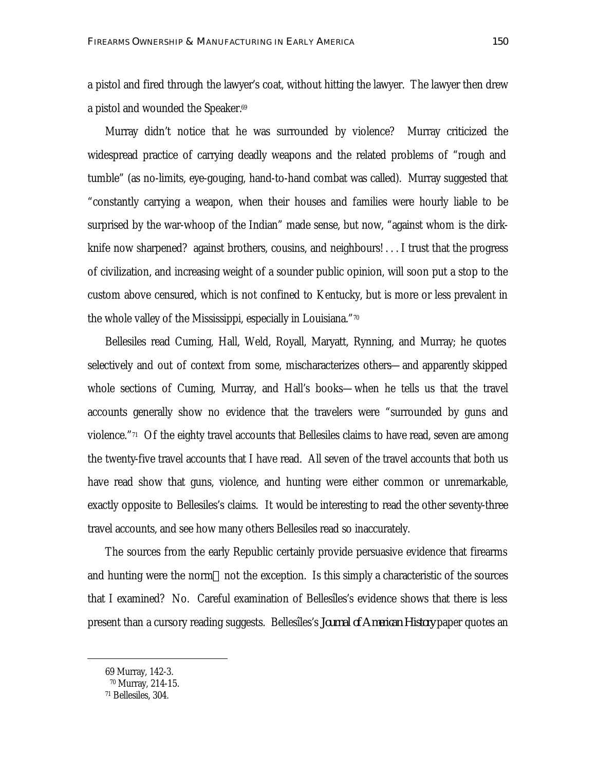a pistol and fired through the lawyer's coat, without hitting the lawyer. The lawyer then drew a pistol and wounded the Speaker.<sup>69</sup>

Murray didn't notice that he was surrounded by violence? Murray criticized the widespread practice of carrying deadly weapons and the related problems of "rough and tumble" (as no-limits, eye-gouging, hand-to-hand combat was called). Murray suggested that "constantly carrying a weapon, when their houses and families were hourly liable to be surprised by the war-whoop of the Indian" made sense, but now, "against whom is the dirkknife now sharpened? against brothers, cousins, and neighbours! . . . I trust that the progress of civilization, and increasing weight of a sounder public opinion, will soon put a stop to the custom above censured, which is not confined to Kentucky, but is more or less prevalent in the whole valley of the Mississippi, especially in Louisiana."<sup>70</sup>

Bellesiles read Cuming, Hall, Weld, Royall, Maryatt, Rynning, and Murray; he quotes selectively and out of context from some, mischaracterizes others—and apparently skipped whole sections of Cuming, Murray, and Hall's books—when he tells us that the travel accounts generally show no evidence that the travelers were "surrounded by guns and violence."71 Of the eighty travel accounts that Bellesiles claims to have read, seven are among the twenty-five travel accounts that I have read. All seven of the travel accounts that both us have read show that guns, violence, and hunting were either common or unremarkable, exactly opposite to Bellesiles's claims. It would be interesting to read the other seventy-three travel accounts, and see how many others Bellesiles read so inaccurately.

The sources from the early Republic certainly provide persuasive evidence that firearms and hunting were the norm—not the exception. Is this simply a characteristic of the sources that I examined? No. Careful examination of Bellesîles's evidence shows that there is less present than a cursory reading suggests. Bellesîles's *Journal of American History* paper quotes an

<sup>69</sup> Murray, 142-3.

<sup>70</sup> Murray, 214-15.

<sup>71</sup> Bellesiles, 304.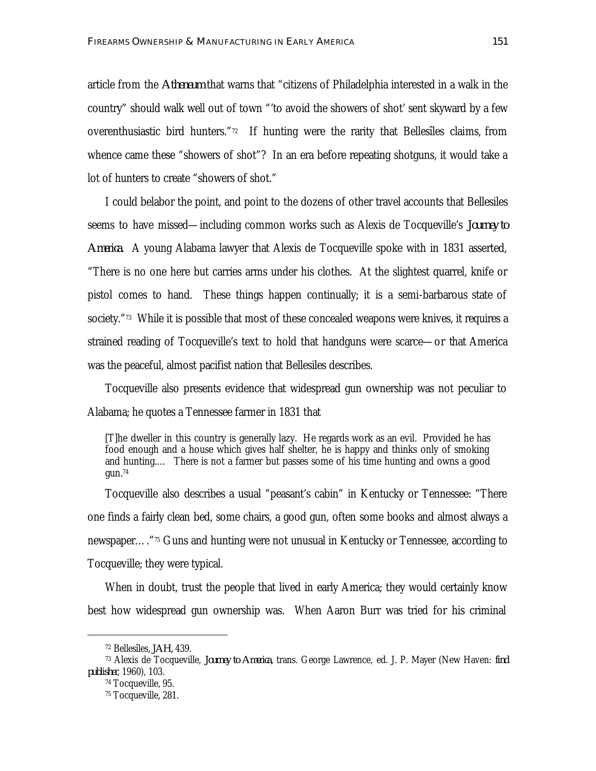article from the *Atheneum* that warns that "citizens of Philadelphia interested in a walk in the country" should walk well out of town "'to avoid the showers of shot' sent skyward by a few overenthusiastic bird hunters."72 If hunting were the rarity that Bellesîles claims, from whence came these "showers of shot"? In an era before repeating shotguns, it would take a lot of hunters to create "showers of shot."

I could belabor the point, and point to the dozens of other travel accounts that Bellesiles seems to have missed—including common works such as Alexis de Tocqueville's *Journey to America*. A young Alabama lawyer that Alexis de Tocqueville spoke with in 1831 asserted, "There is no one here but carries arms under his clothes. At the slightest quarrel, knife or pistol comes to hand. These things happen continually; it is a semi-barbarous state of society."<sup>73</sup> While it is possible that most of these concealed weapons were knives, it requires a strained reading of Tocqueville's text to hold that handguns were scarce—or that America was the peaceful, almost pacifist nation that Bellesiles describes.

Tocqueville also presents evidence that widespread gun ownership was not peculiar to Alabama; he quotes a Tennessee farmer in 1831 that

[T]he dweller in this country is generally lazy. He regards work as an evil. Provided he has food enough and a house which gives half shelter, he is happy and thinks only of smoking and hunting.… There is not a farmer but passes some of his time hunting and owns a good gun.<sup>74</sup>

Tocqueville also describes a usual "peasant's cabin" in Kentucky or Tennessee: "There one finds a fairly clean bed, some chairs, a good gun, often some books and almost always a newspaper…."75 Guns and hunting were not unusual in Kentucky or Tennessee, according to Tocqueville; they were typical.

When in doubt, trust the people that lived in early America; they would certainly know best how widespread gun ownership was. When Aaron Burr was tried for his criminal

<sup>72</sup> Bellesîles, *JAH,* 439.

<sup>73</sup> Alexis de Tocqueville, *Journey to America*, trans. George Lawrence, ed. J. P. Mayer (New Haven: *find publisher*, 1960), 103.

<sup>74</sup> Tocqueville, 95.

<sup>75</sup> Tocqueville, 281.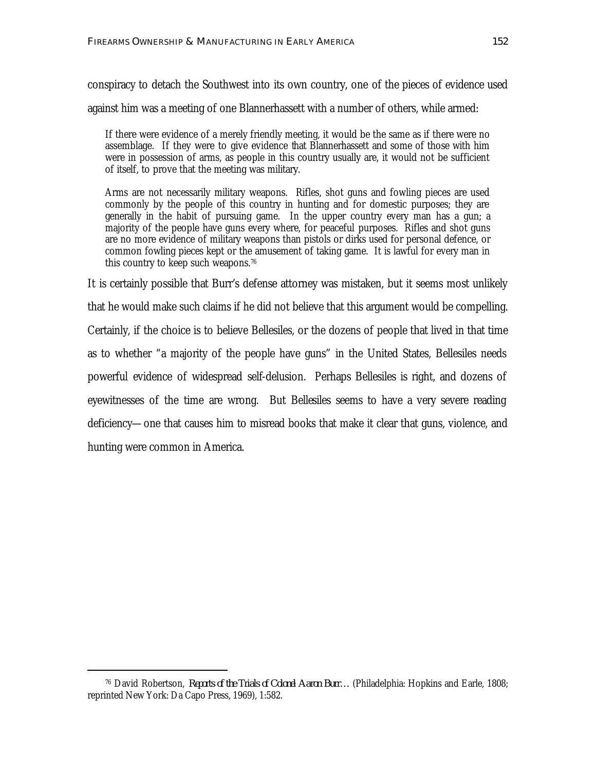If there were evidence of a merely friendly meeting, it would be the same as if there were no assemblage. If they were to give evidence that Blannerhassett and some of those with him were in possession of arms, as people in this country usually are, it would not be sufficient of itself, to prove that the meeting was military.

Arms are not necessarily military weapons. Rifles, shot guns and fowling pieces are used commonly by the people of this country in hunting and for domestic purposes; they are generally in the habit of pursuing game. In the upper country every man has a gun; a majority of the people have guns every where, for peaceful purposes. Rifles and shot guns are no more evidence of military weapons than pistols or dirks used for personal defence, or common fowling pieces kept or the amusement of taking game. It is lawful for every man in this country to keep such weapons.<sup>76</sup>

It is certainly possible that Burr's defense attorney was mistaken, but it seems most unlikely that he would make such claims if he did not believe that this argument would be compelling. Certainly, if the choice is to believe Bellesiles, or the dozens of people that lived in that time as to whether "a majority of the people have guns" in the United States, Bellesiles needs powerful evidence of widespread self-delusion. Perhaps Bellesiles is right, and dozens of eyewitnesses of the time are wrong. But Bellesiles seems to have a very severe reading deficiency—one that causes him to misread books that make it clear that guns, violence, and hunting were common in America.

<sup>76</sup> David Robertson, *Reports of the Trials of Colonel Aaron Burr…* (Philadelphia: Hopkins and Earle, 1808; reprinted New York: Da Capo Press, 1969), 1:582.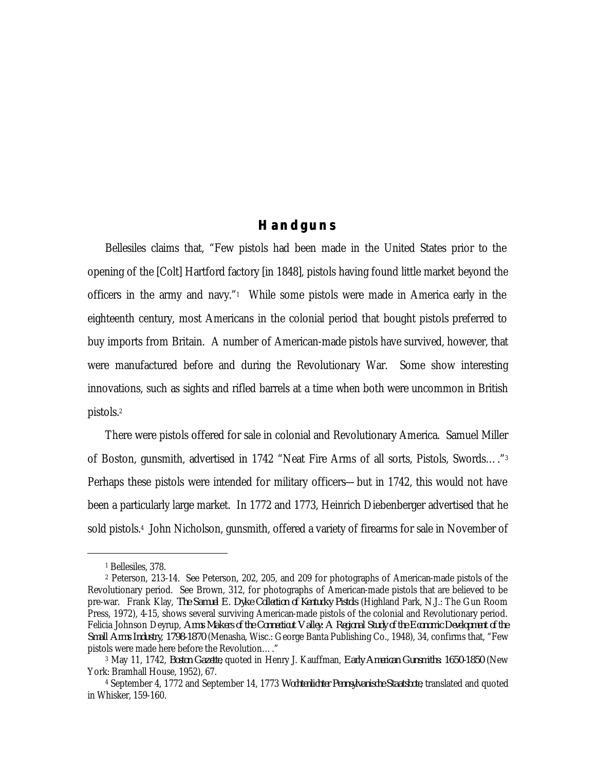## **Handguns**

Bellesiles claims that, "Few pistols had been made in the United States prior to the opening of the [Colt] Hartford factory [in 1848], pistols having found little market beyond the officers in the army and navy."<sup>1</sup> While some pistols were made in America early in the eighteenth century, most Americans in the colonial period that bought pistols preferred to buy imports from Britain. A number of American-made pistols have survived, however, that were manufactured before and during the Revolutionary War. Some show interesting innovations, such as sights and rifled barrels at a time when both were uncommon in British pistols.<sup>2</sup>

There were pistols offered for sale in colonial and Revolutionary America. Samuel Miller of Boston, gunsmith, advertised in 1742 "Neat Fire Arms of all sorts, Pistols, Swords…."<sup>3</sup> Perhaps these pistols were intended for military officers—but in 1742, this would not have been a particularly large market. In 1772 and 1773, Heinrich Diebenberger advertised that he sold pistols.<sup>4</sup> John Nicholson, gunsmith, offered a variety of firearms for sale in November of

<sup>1</sup> Bellesiles, 378.

<sup>2</sup> Peterson, 213-14. See Peterson, 202, 205, and 209 for photographs of American-made pistols of the Revolutionary period. See Brown, 312, for photographs of American-made pistols that are believed to be pre-war. Frank Klay, *The Samuel E. Dyke Collection of Kentucky Pistols* (Highland Park, N.J.: The Gun Room Press, 1972), 4-15, shows several surviving American-made pistols of the colonial and Revolutionary period. Felicia Johnson Deyrup, *Arms Makers of the Connecticut Valley: A Regional Study of the Economic Development of the Small Arms Industry, 1798-1870* (Menasha, Wisc.: George Banta Publishing Co., 1948), 34, confirms that, "Few pistols were made here before the Revolution…."

<sup>3</sup> May 11, 1742, *Boston Gazette*, quoted in Henry J. Kauffman, *Early American Gunsmiths: 1650-1850* (New York: Bramhall House, 1952), 67.

<sup>4</sup> September 4, 1772 and September 14, 1773 *Wochtenlichter Pennsylvanische Staatsbote*, translated and quoted in Whisker, 159-160.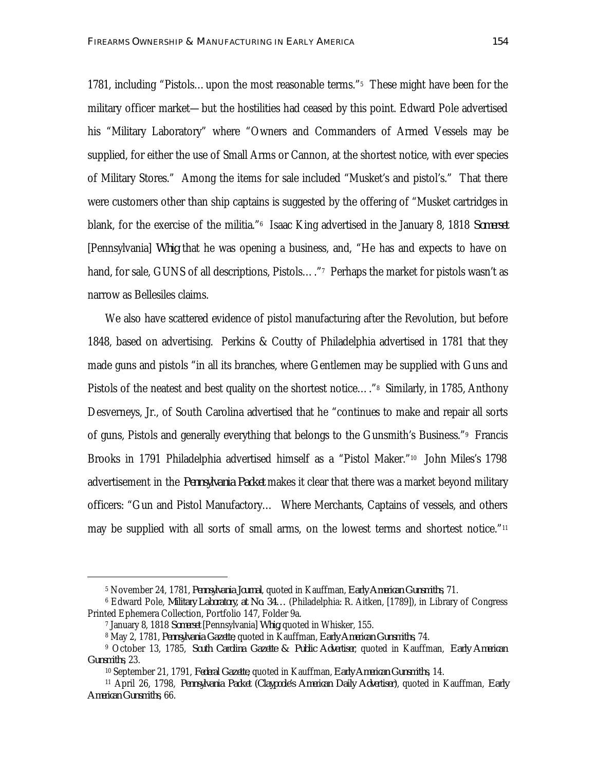1781, including "Pistols…upon the most reasonable terms."<sup>5</sup> These might have been for the military officer market—but the hostilities had ceased by this point. Edward Pole advertised his "Military Laboratory" where "Owners and Commanders of Armed Vessels may be supplied, for either the use of Small Arms or Cannon, at the shortest notice, with ever species of Military Stores." Among the items for sale included "Musket's and pistol's." That there were customers other than ship captains is suggested by the offering of "Musket cartridges in blank, for the exercise of the militia."<sup>6</sup> Isaac King advertised in the January 8, 1818 *Somerset* [Pennsylvania] *Whig* that he was opening a business, and, "He has and expects to have on hand, for sale, GUNS of all descriptions, Pistols...."7 Perhaps the market for pistols wasn't as narrow as Bellesiles claims.

We also have scattered evidence of pistol manufacturing after the Revolution, but before 1848, based on advertising. Perkins & Coutty of Philadelphia advertised in 1781 that they made guns and pistols "in all its branches, where Gentlemen may be supplied with Guns and Pistols of the neatest and best quality on the shortest notice...."<sup>8</sup> Similarly, in 1785, Anthony Desverneys, Jr., of South Carolina advertised that he "continues to make and repair all sorts of guns, Pistols and generally everything that belongs to the Gunsmith's Business."<sup>9</sup> Francis Brooks in 1791 Philadelphia advertised himself as a "Pistol Maker."10 John Miles's 1798 advertisement in the *Pennsylvania Packet* makes it clear that there was a market beyond military officers: "Gun and Pistol Manufactory… Where Merchants, Captains of vessels, and others may be supplied with all sorts of small arms, on the lowest terms and shortest notice."<sup>11</sup>

<sup>5</sup> November 24, 1781, *Pennsylvania Journal*, quoted in Kauffman, *Early American Gunsmiths*, 71.

<sup>6</sup> Edward Pole, *Military Laboratory, at No. 34…* (Philadelphia: R. Aitken, [1789]), in Library of Congress Printed Ephemera Collection, Portfolio 147, Folder 9a.

<sup>7</sup> January 8, 1818 *Somerset* [Pennsylvania] *Whig*, quoted in Whisker, 155.

<sup>8</sup> May 2, 1781, *Pennsylvania Gazette*, quoted in Kauffman, *Early American Gunsmiths*, 74.

<sup>9</sup> October 13, 1785, *South Carolina Gazette & Public Advertiser*, quoted in Kauffman, *Early American Gunsmiths*, 23.

<sup>10</sup> September 21, 1791, *Federal Gazette*, quoted in Kauffman, *Early American Gunsmiths*, 14.

<sup>11</sup> April 26, 1798, *Pennsylvania Packet (Claypoole's American Daily Advertiser)*, quoted in Kauffman, *Early American Gunsmiths*, 66.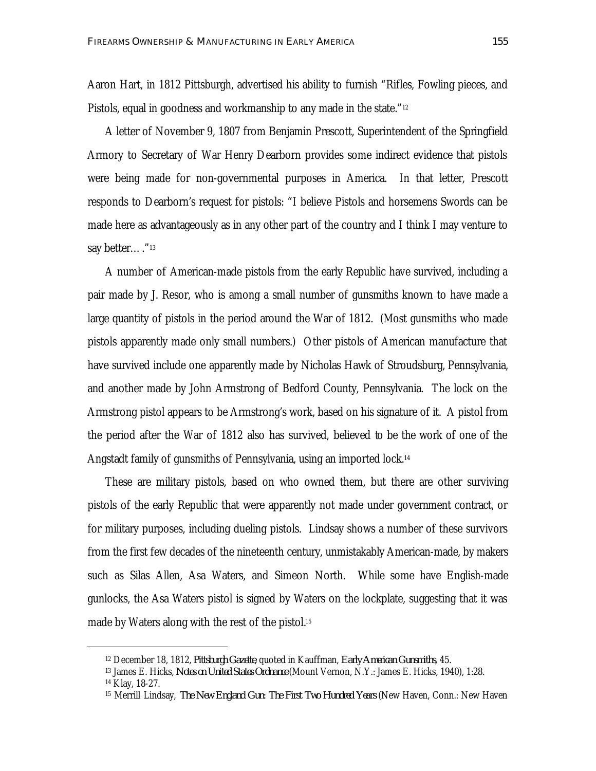Aaron Hart, in 1812 Pittsburgh, advertised his ability to furnish "Rifles, Fowling pieces, and Pistols, equal in goodness and workmanship to any made in the state."<sup>12</sup>

A letter of November 9, 1807 from Benjamin Prescott, Superintendent of the Springfield Armory to Secretary of War Henry Dearborn provides some indirect evidence that pistols were being made for non-governmental purposes in America. In that letter, Prescott responds to Dearborn's request for pistols: "I believe Pistols and horsemens Swords can be made here as advantageously as in any other part of the country and I think I may venture to say better...."<sup>13</sup>

A number of American-made pistols from the early Republic have survived, including a pair made by J. Resor, who is among a small number of gunsmiths known to have made a large quantity of pistols in the period around the War of 1812. (Most gunsmiths who made pistols apparently made only small numbers.) Other pistols of American manufacture that have survived include one apparently made by Nicholas Hawk of Stroudsburg, Pennsylvania, and another made by John Armstrong of Bedford County, Pennsylvania. The lock on the Armstrong pistol appears to be Armstrong's work, based on his signature of it. A pistol from the period after the War of 1812 also has survived, believed to be the work of one of the Angstadt family of gunsmiths of Pennsylvania, using an imported lock.<sup>14</sup>

These are military pistols, based on who owned them, but there are other surviving pistols of the early Republic that were apparently not made under government contract, or for military purposes, including dueling pistols. Lindsay shows a number of these survivors from the first few decades of the nineteenth century, unmistakably American-made, by makers such as Silas Allen, Asa Waters, and Simeon North. While some have English-made gunlocks, the Asa Waters pistol is signed by Waters on the lockplate, suggesting that it was made by Waters along with the rest of the pistol.<sup>15</sup>

<sup>12</sup> December 18, 1812, *Pittsburgh Gazette*, quoted in Kauffman, *Early American Gunsmiths*, 45.

<sup>13</sup> James E. Hicks, *Notes on United States Ordnance* (Mount Vernon, N.Y.: James E. Hicks, 1940), 1:28. <sup>14</sup> Klay, 18-27.

<sup>15</sup> Merrill Lindsay, *The New England Gun: The First Two Hundred Years* (New Haven, Conn.: New Haven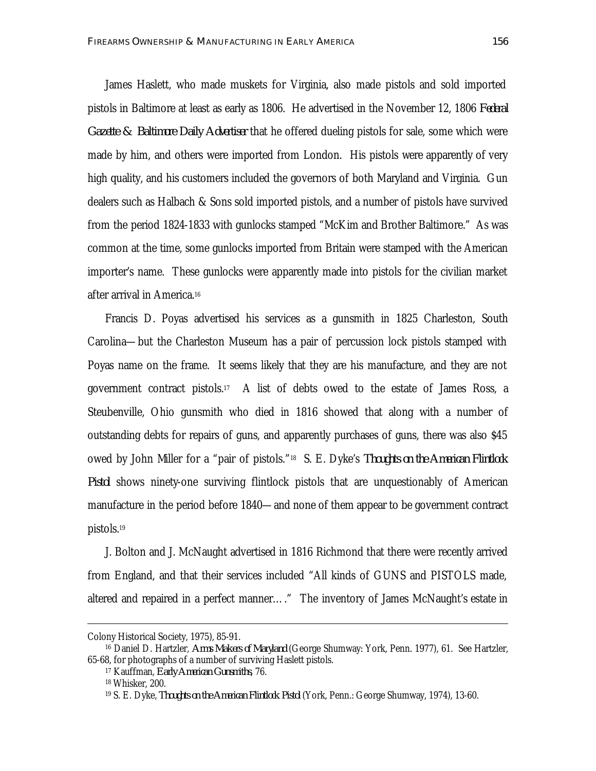James Haslett, who made muskets for Virginia, also made pistols and sold imported pistols in Baltimore at least as early as 1806. He advertised in the November 12, 1806 *Federal Gazette & Baltimore Daily Advertiser* that he offered dueling pistols for sale, some which were made by him, and others were imported from London. His pistols were apparently of very high quality, and his customers included the governors of both Maryland and Virginia. Gun dealers such as Halbach & Sons sold imported pistols, and a number of pistols have survived from the period 1824-1833 with gunlocks stamped "McKim and Brother Baltimore." As was common at the time, some gunlocks imported from Britain were stamped with the American importer's name. These gunlocks were apparently made into pistols for the civilian market after arrival in America.<sup>16</sup>

Francis D. Poyas advertised his services as a gunsmith in 1825 Charleston, South Carolina—but the Charleston Museum has a pair of percussion lock pistols stamped with Poyas name on the frame. It seems likely that they are his manufacture, and they are not government contract pistols.17 A list of debts owed to the estate of James Ross, a Steubenville, Ohio gunsmith who died in 1816 showed that along with a number of outstanding debts for repairs of guns, and apparently purchases of guns, there was also \$45 owed by John Miller for a "pair of pistols."18 S. E. Dyke's *Thoughts on the American Flintlock Pistol* shows ninety-one surviving flintlock pistols that are unquestionably of American manufacture in the period before 1840—and none of them appear to be government contract pistols.<sup>19</sup>

J. Bolton and J. McNaught advertised in 1816 Richmond that there were recently arrived from England, and that their services included "All kinds of GUNS and PISTOLS made, altered and repaired in a perfect manner…." The inventory of James McNaught's estate in

Colony Historical Society, 1975), 85-91.

<sup>16</sup> Daniel D. Hartzler, *Arms Makers of Maryland* (George Shumway: York, Penn. 1977), 61. See Hartzler, 65-68, for photographs of a number of surviving Haslett pistols.

<sup>17</sup> Kauffman, *Early American Gunsmiths*, 76.

<sup>18</sup> Whisker, 200.

<sup>19</sup> S. E. Dyke, *Thoughts on the American Flintlock Pistol* (York, Penn.: George Shumway, 1974), 13-60.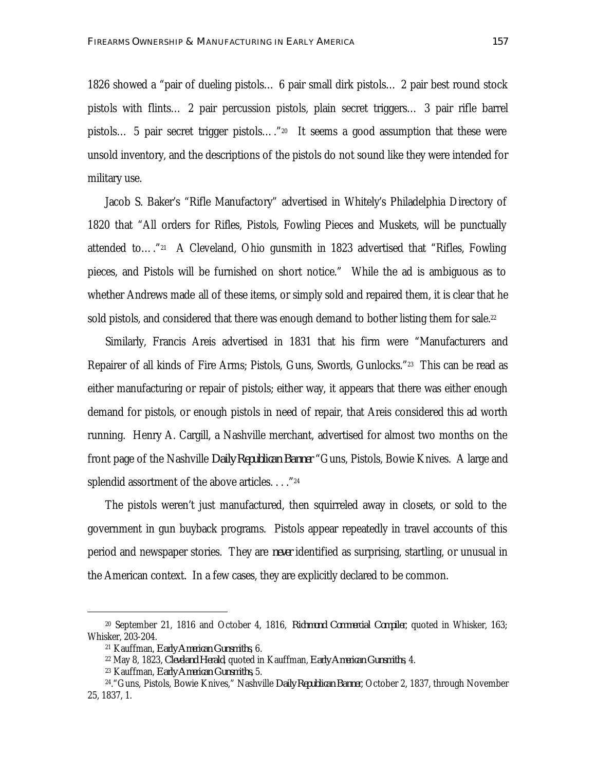1826 showed a "pair of dueling pistols… 6 pair small dirk pistols… 2 pair best round stock pistols with flints… 2 pair percussion pistols, plain secret triggers… 3 pair rifle barrel pistols… 5 pair secret trigger pistols…."20 It seems a good assumption that these were unsold inventory, and the descriptions of the pistols do not sound like they were intended for military use.

Jacob S. Baker's "Rifle Manufactory" advertised in Whitely's Philadelphia Directory of 1820 that "All orders for Rifles, Pistols, Fowling Pieces and Muskets, will be punctually attended to…."21 A Cleveland, Ohio gunsmith in 1823 advertised that "Rifles, Fowling pieces, and Pistols will be furnished on short notice." While the ad is ambiguous as to whether Andrews made all of these items, or simply sold and repaired them, it is clear that he sold pistols, and considered that there was enough demand to bother listing them for sale.<sup>22</sup>

Similarly, Francis Areis advertised in 1831 that his firm were "Manufacturers and Repairer of all kinds of Fire Arms; Pistols, Guns, Swords, Gunlocks."23 This can be read as either manufacturing or repair of pistols; either way, it appears that there was either enough demand for pistols, or enough pistols in need of repair, that Areis considered this ad worth running. Henry A. Cargill, a Nashville merchant, advertised for almost two months on the front page of the Nashville *Daily Republican Banner* "Guns, Pistols, Bowie Knives. A large and splendid assortment of the above articles. . . . "24

The pistols weren't just manufactured, then squirreled away in closets, or sold to the government in gun buyback programs. Pistols appear repeatedly in travel accounts of this period and newspaper stories. They are *never* identified as surprising, startling, or unusual in the American context. In a few cases, they are explicitly declared to be common.

<sup>20</sup> September 21, 1816 and October 4, 1816, *Richmond Commercial Compiler*, quoted in Whisker, 163; Whisker, 203-204.

<sup>21</sup> Kauffman, *Early American Gunsmiths*, 6.

<sup>22</sup> May 8, 1823, *Cleveland Herald*, quoted in Kauffman, *Early American Gunsmiths*, 4.

<sup>23</sup> Kauffman, *Early American Gunsmiths,* 5.

<sup>24</sup>."Guns, Pistols, Bowie Knives," Nashville *Daily Republican Banner*, October 2, 1837, through November 25, 1837, 1.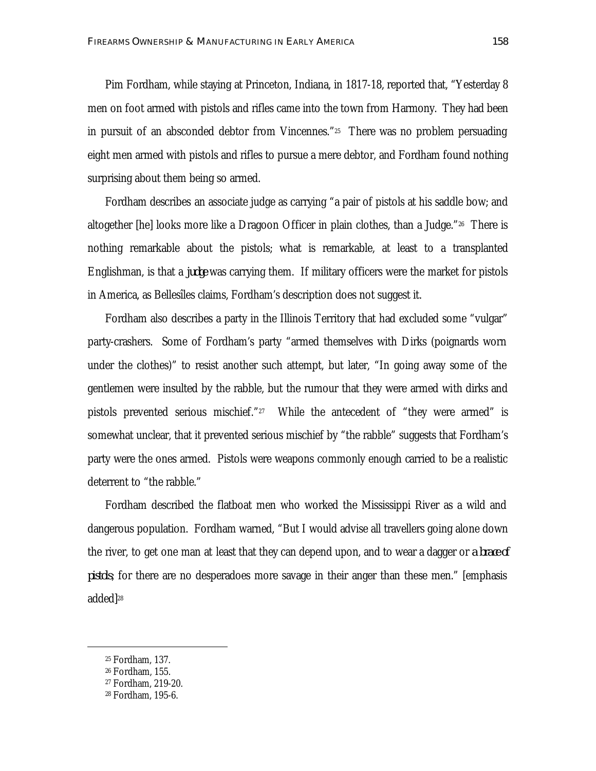Pim Fordham, while staying at Princeton, Indiana, in 1817-18, reported that, "Yesterday 8 men on foot armed with pistols and rifles came into the town from Harmony. They had been in pursuit of an absconded debtor from Vincennes."25 There was no problem persuading eight men armed with pistols and rifles to pursue a mere debtor, and Fordham found nothing surprising about them being so armed.

Fordham describes an associate judge as carrying "a pair of pistols at his saddle bow; and altogether [he] looks more like a Dragoon Officer in plain clothes, than a Judge."26 There is nothing remarkable about the pistols; what is remarkable, at least to a transplanted Englishman, is that a *judge* was carrying them. If military officers were the market for pistols in America, as Bellesîles claims, Fordham's description does not suggest it.

Fordham also describes a party in the Illinois Territory that had excluded some "vulgar" party-crashers. Some of Fordham's party "armed themselves with Dirks (poignards worn under the clothes)" to resist another such attempt, but later, "In going away some of the gentlemen were insulted by the rabble, but the rumour that they were armed with dirks and pistols prevented serious mischief."<sup>27</sup> While the antecedent of "they were armed" is somewhat unclear, that it prevented serious mischief by "the rabble" suggests that Fordham's party were the ones armed. Pistols were weapons commonly enough carried to be a realistic deterrent to "the rabble."

Fordham described the flatboat men who worked the Mississippi River as a wild and dangerous population. Fordham warned, "But I would advise all travellers going alone down the river, to get one man at least that they can depend upon, and to wear a dagger or *a brace of pistols*; for there are no desperadoes more savage in their anger than these men." [emphasis added]<sup>28</sup>

<sup>25</sup> Fordham, 137.

<sup>26</sup> Fordham, 155.

<sup>27</sup> Fordham, 219-20.

<sup>28</sup> Fordham, 195-6.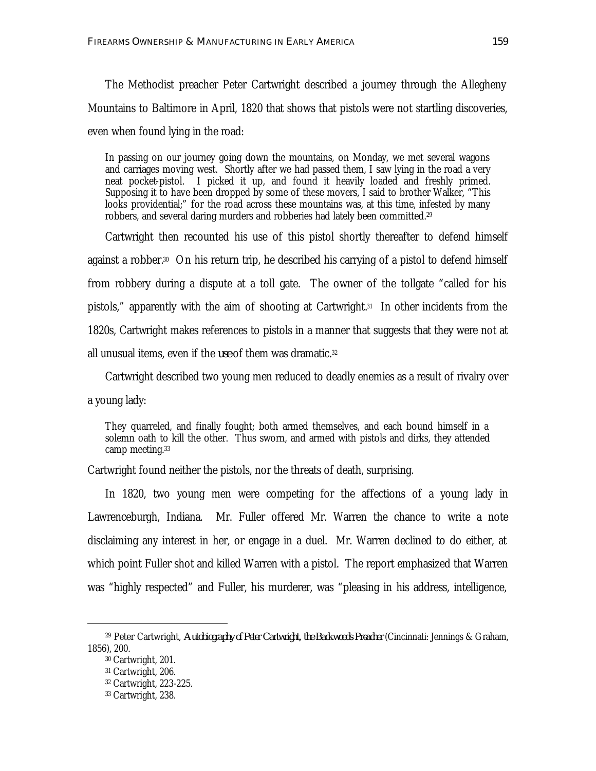The Methodist preacher Peter Cartwright described a journey through the Allegheny Mountains to Baltimore in April, 1820 that shows that pistols were not startling discoveries, even when found lying in the road:

In passing on our journey going down the mountains, on Monday, we met several wagons and carriages moving west. Shortly after we had passed them, I saw lying in the road a very neat pocket-pistol. I picked it up, and found it heavily loaded and freshly primed. Supposing it to have been dropped by some of these movers, I said to brother Walker, "This looks providential;" for the road across these mountains was, at this time, infested by many robbers, and several daring murders and robberies had lately been committed.<sup>29</sup>

Cartwright then recounted his use of this pistol shortly thereafter to defend himself against a robber.30 On his return trip, he described his carrying of a pistol to defend himself from robbery during a dispute at a toll gate. The owner of the tollgate "called for his pistols," apparently with the aim of shooting at Cartwright.31 In other incidents from the 1820s, Cartwright makes references to pistols in a manner that suggests that they were not at all unusual items, even if the *use* of them was dramatic.<sup>32</sup>

Cartwright described two young men reduced to deadly enemies as a result of rivalry over a young lady:

They quarreled, and finally fought; both armed themselves, and each bound himself in a solemn oath to kill the other. Thus sworn, and armed with pistols and dirks, they attended camp meeting.<sup>33</sup>

Cartwright found neither the pistols, nor the threats of death, surprising.

In 1820, two young men were competing for the affections of a young lady in Lawrenceburgh, Indiana. Mr. Fuller offered Mr. Warren the chance to write a note disclaiming any interest in her, or engage in a duel. Mr. Warren declined to do either, at which point Fuller shot and killed Warren with a pistol. The report emphasized that Warren was "highly respected" and Fuller, his murderer, was "pleasing in his address, intelligence,

<sup>29</sup> Peter Cartwright, *Autobiography of Peter Cartwright, the Backwoods Preacher* (Cincinnati: Jennings & Graham, 1856), 200.

<sup>30</sup> Cartwright, 201.

<sup>31</sup> Cartwright, 206.

<sup>32</sup> Cartwright, 223-225.

<sup>33</sup> Cartwright, 238.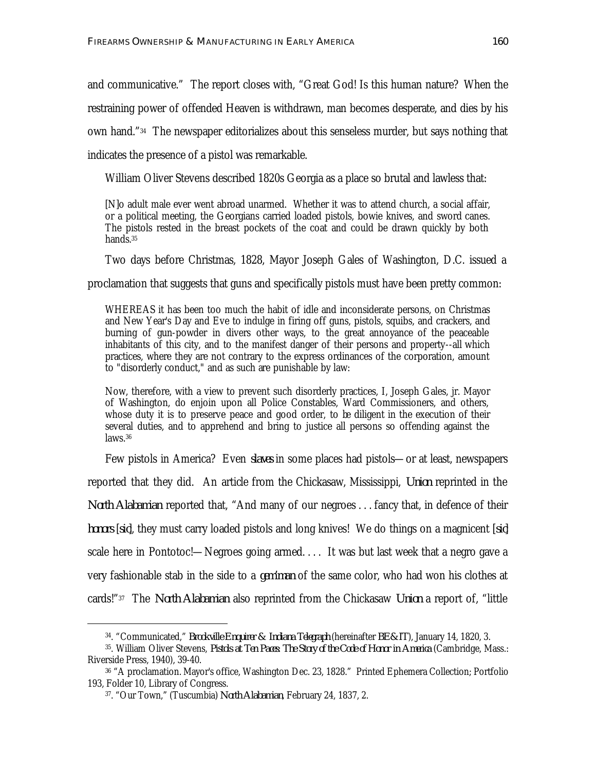and communicative." The report closes with, "Great God! Is this human nature? When the restraining power of offended Heaven is withdrawn, man becomes desperate, and dies by his own hand."34 The newspaper editorializes about this senseless murder, but says nothing that indicates the presence of a pistol was remarkable.

William Oliver Stevens described 1820s Georgia as a place so brutal and lawless that:

[N]o adult male ever went abroad unarmed. Whether it was to attend church, a social affair, or a political meeting, the Georgians carried loaded pistols, bowie knives, and sword canes. The pistols rested in the breast pockets of the coat and could be drawn quickly by both hands.<sup>35</sup>

Two days before Christmas, 1828, Mayor Joseph Gales of Washington, D.C. issued a

proclamation that suggests that guns and specifically pistols must have been pretty common:

WHEREAS it has been too much the habit of idle and inconsiderate persons, on Christmas and New Year's Day and Eve to indulge in firing off guns, pistols, squibs, and crackers, and burning of gun-powder in divers other ways, to the great annoyance of the peaceable inhabitants of this city, and to the manifest danger of their persons and property--all which practices, where they are not contrary to the express ordinances of the corporation, amount to "disorderly conduct," and as such are punishable by law:

Now, therefore, with a view to prevent such disorderly practices, I, Joseph Gales, jr. Mayor of Washington, do enjoin upon all Police Constables, Ward Commissioners, and others, whose duty it is to preserve peace and good order, to be diligent in the execution of their several duties, and to apprehend and bring to justice all persons so offending against the laws.<sup>36</sup>

Few pistols in America? Even *slaves* in some places had pistols—or at least, newspapers reported that they did. An article from the Chickasaw, Mississippi, *Union* reprinted in the *North Alabamian* reported that, "And many of our negroes . . . fancy that, in defence of their *honors* [*sic*], they must carry loaded pistols and long knives! We do things on a magnicent [*sic*] scale here in Pontotoc!—Negroes going armed. . . . It was but last week that a negro gave a very fashionable stab in the side to a *gem'man* of the same color, who had won his clothes at cards!"37 The *North Alabamian* also reprinted from the Chickasaw *Union* a report of, "little

<sup>34</sup>. "Communicated," *Brookville Enquirer & Indiana Telegraph* (hereinafter *BE&IT*), January 14, 1820, 3.

<sup>35</sup>. William Oliver Stevens, *Pistols at Ten Paces: The Story of the Code of Honor in America* (Cambridge, Mass.: Riverside Press, 1940), 39-40.

<sup>36</sup> "A proclamation. Mayor's office, Washington Dec. 23, 1828." Printed Ephemera Collection; Portfolio 193, Folder 10, Library of Congress.

<sup>37</sup>. "Our Town," (Tuscumbia) *North Alabamian*, February 24, 1837, 2.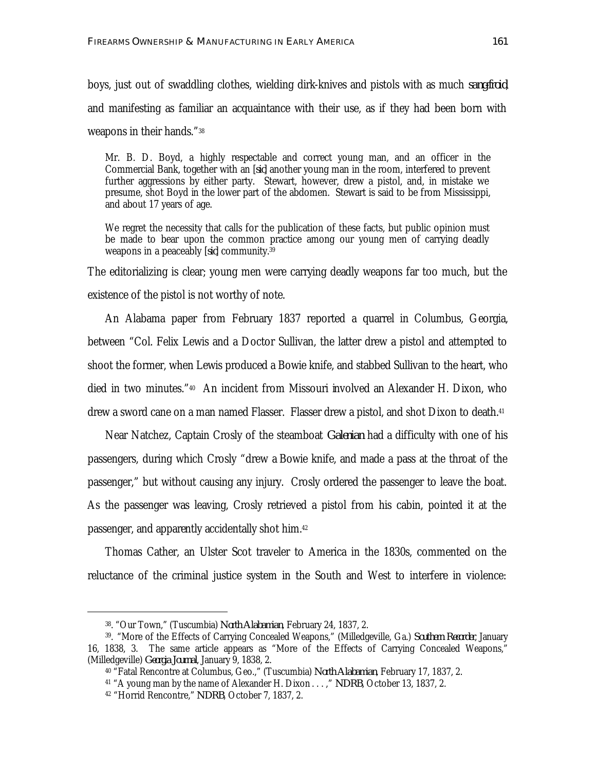boys, just out of swaddling clothes, wielding dirk-knives and pistols with as much *sang-froid*, and manifesting as familiar an acquaintance with their use, as if they had been born with weapons in their hands."<sup>38</sup>

Mr. B. D. Boyd, a highly respectable and correct young man, and an officer in the Commercial Bank, together with an [*sic*] another young man in the room, interfered to prevent further aggressions by either party. Stewart, however, drew a pistol, and, in mistake we presume, shot Boyd in the lower part of the abdomen. Stewart is said to be from Mississippi, and about 17 years of age.

We regret the necessity that calls for the publication of these facts, but public opinion must be made to bear upon the common practice among our young men of carrying deadly weapons in a peaceably [*sic*] community.<sup>39</sup>

The editorializing is clear; young men were carrying deadly weapons far too much, but the existence of the pistol is not worthy of note.

An Alabama paper from February 1837 reported a quarrel in Columbus, Georgia, between "Col. Felix Lewis and a Doctor Sullivan, the latter drew a pistol and attempted to shoot the former, when Lewis produced a Bowie knife, and stabbed Sullivan to the heart, who died in two minutes."40 An incident from Missouri involved an Alexander H. Dixon, who drew a sword cane on a man named Flasser. Flasser drew a pistol, and shot Dixon to death.<sup>41</sup>

Near Natchez, Captain Crosly of the steamboat *Galenian* had a difficulty with one of his passengers, during which Crosly "drew a Bowie knife, and made a pass at the throat of the passenger," but without causing any injury. Crosly ordered the passenger to leave the boat. As the passenger was leaving, Crosly retrieved a pistol from his cabin, pointed it at the passenger, and apparently accidentally shot him.<sup>42</sup>

Thomas Cather, an Ulster Scot traveler to America in the 1830s, commented on the reluctance of the criminal justice system in the South and West to interfere in violence:

<sup>38</sup>. "Our Town," (Tuscumbia) *North Alabamian*, February 24, 1837, 2.

<sup>39</sup>. "More of the Effects of Carrying Concealed Weapons," (Milledgeville, Ga.) *Southern Recorder*, January 16, 1838, 3. The same article appears as "More of the Effects of Carrying Concealed Weapons," (Milledgeville) *Georgia Journal*, January 9, 1838, 2.

<sup>40</sup> "Fatal Rencontre at Columbus, Geo.," (Tuscumbia) *North Alabamian*, February 17, 1837, 2.

<sup>41</sup> "A young man by the name of Alexander H. Dixon . . . ," *NDRB*, October 13, 1837, 2.

<sup>42</sup> "Horrid Rencontre," *NDRB*, October 7, 1837, 2.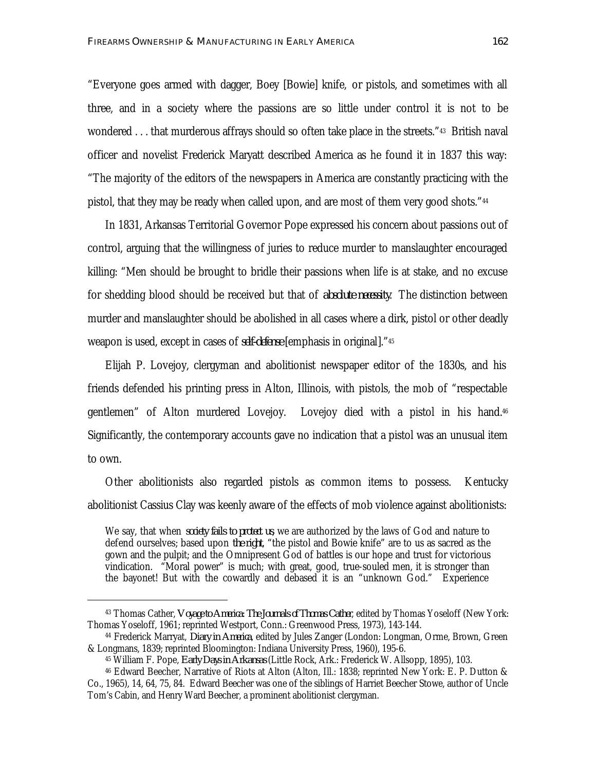"Everyone goes armed with dagger, Boey [Bowie] knife, or pistols, and sometimes with all three, and in a society where the passions are so little under control it is not to be wondered . . . that murderous affrays should so often take place in the streets."<sup>43</sup> British naval officer and novelist Frederick Maryatt described America as he found it in 1837 this way: "The majority of the editors of the newspapers in America are constantly practicing with the pistol, that they may be ready when called upon, and are most of them very good shots."<sup>44</sup>

In 1831, Arkansas Territorial Governor Pope expressed his concern about passions out of control, arguing that the willingness of juries to reduce murder to manslaughter encouraged killing: "Men should be brought to bridle their passions when life is at stake, and no excuse for shedding blood should be received but that of *absolute necessity*. The distinction between murder and manslaughter should be abolished in all cases where a dirk, pistol or other deadly weapon is used, except in cases of *self-defense* [emphasis in original]."<sup>45</sup>

Elijah P. Lovejoy, clergyman and abolitionist newspaper editor of the 1830s, and his friends defended his printing press in Alton, Illinois, with pistols, the mob of "respectable gentlemen" of Alton murdered Lovejoy. Lovejoy died with a pistol in his hand.<sup>46</sup> Significantly, the contemporary accounts gave no indication that a pistol was an unusual item to own.

Other abolitionists also regarded pistols as common items to possess. Kentucky abolitionist Cassius Clay was keenly aware of the effects of mob violence against abolitionists:

We say, that when *society fails to protect us*, we are authorized by the laws of God and nature to defend ourselves; based upon *the right*, "the pistol and Bowie knife" are to us as sacred as the gown and the pulpit; and the Omnipresent God of battles is our hope and trust for victorious vindication. "Moral power" is much; with great, good, true-souled men, it is stronger than the bayonet! But with the cowardly and debased it is an "unknown God." Experience

<sup>43</sup> Thomas Cather, *Voyage to America: The Journals of Thomas Cather*, edited by Thomas Yoseloff (New York: Thomas Yoseloff, 1961; reprinted Westport, Conn.: Greenwood Press, 1973), 143-144.

<sup>44</sup> Frederick Marryat, *Diary in America*, edited by Jules Zanger (London: Longman, Orme, Brown, Green & Longmans, 1839; reprinted Bloomington: Indiana University Press, 1960), 195-6.

<sup>45</sup> William F. Pope, *Early Days in Arkansas* (Little Rock, Ark.: Frederick W. Allsopp, 1895), 103.

<sup>46</sup> Edward Beecher, Narrative of Riots at Alton (Alton, Ill.: 1838; reprinted New York: E. P. Dutton & Co., 1965), 14, 64, 75, 84. Edward Beecher was one of the siblings of Harriet Beecher Stowe, author of Uncle Tom's Cabin, and Henry Ward Beecher, a prominent abolitionist clergyman.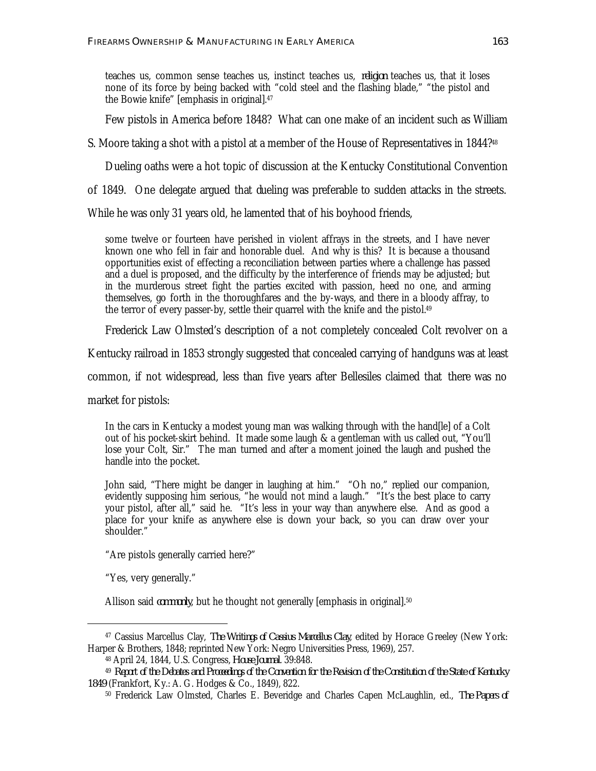teaches us, common sense teaches us, instinct teaches us, *religion* teaches us, that it loses none of its force by being backed with "cold steel and the flashing blade," "the pistol and the Bowie knife" [emphasis in original].<sup>47</sup>

Few pistols in America before 1848? What can one make of an incident such as William

S. Moore taking a shot with a pistol at a member of the House of Representatives in 1844?<sup>48</sup>

Dueling oaths were a hot topic of discussion at the Kentucky Constitutional Convention

of 1849. One delegate argued that dueling was preferable to sudden attacks in the streets.

While he was only 31 years old, he lamented that of his boyhood friends,

some twelve or fourteen have perished in violent affrays in the streets, and I have never known one who fell in fair and honorable duel. And why is this? It is because a thousand opportunities exist of effecting a reconciliation between parties where a challenge has passed and a duel is proposed, and the difficulty by the interference of friends may be adjusted; but in the murderous street fight the parties excited with passion, heed no one, and arming themselves, go forth in the thoroughfares and the by-ways, and there in a bloody affray, to the terror of every passer-by, settle their quarrel with the knife and the pistol.<sup>49</sup>

Frederick Law Olmsted's description of a not completely concealed Colt revolver on a

Kentucky railroad in 1853 strongly suggested that concealed carrying of handguns was at least

common, if not widespread, less than five years after Bellesiles claimed that there was no

market for pistols:

In the cars in Kentucky a modest young man was walking through with the hand[le] of a Colt out of his pocket-skirt behind. It made some laugh & a gentleman with us called out, "You'll lose your Colt, Sir." The man turned and after a moment joined the laugh and pushed the handle into the pocket.

John said, "There might be danger in laughing at him." "Oh no," replied our companion, evidently supposing him serious, "he would not mind a laugh." "It's the best place to carry your pistol, after all," said he. "It's less in your way than anywhere else. And as good a place for your knife as anywhere else is down your back, so you can draw over your shoulder."

"Are pistols generally carried here?"

"Yes, very generally."

 $\overline{a}$ 

Allison said *commonly*, but he thought not generally [emphasis in original].<sup>50</sup>

<sup>47</sup> Cassius Marcellus Clay, *The Writings of Cassius Marcellus Clay*, edited by Horace Greeley (New York: Harper & Brothers, 1848; reprinted New York: Negro Universities Press, 1969), 257.

<sup>48</sup> April 24, 1844, U.S. Congress, *House Journal*. 39:848.

<sup>49</sup> *Report of the Debates and Proceedings of the Convention for the Revision of the Constitution of the State of Kentucky 1849* (Frankfort, Ky.: A. G. Hodges & Co., 1849), 822.

<sup>50</sup> Frederick Law Olmsted, Charles E. Beveridge and Charles Capen McLaughlin, ed., *The Papers of*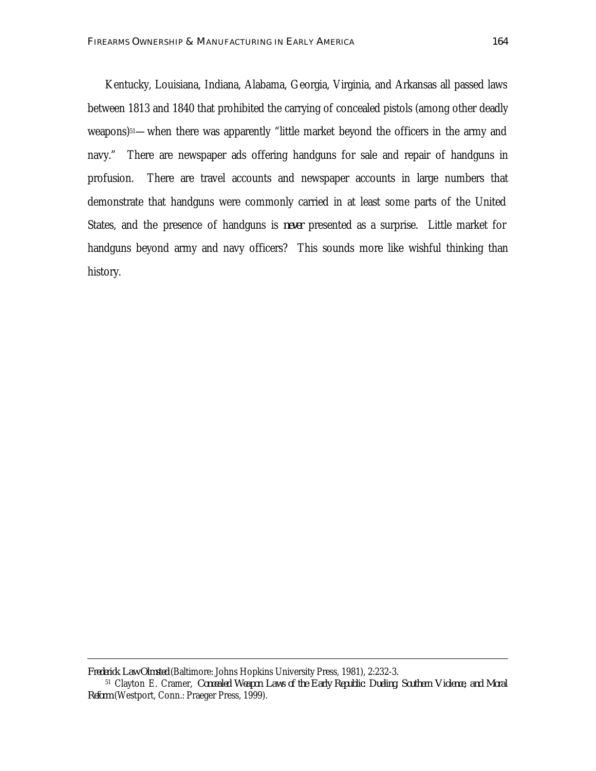Kentucky, Louisiana, Indiana, Alabama, Georgia, Virginia, and Arkansas all passed laws between 1813 and 1840 that prohibited the carrying of concealed pistols (among other deadly weapons)51—when there was apparently "little market beyond the officers in the army and navy." There are newspaper ads offering handguns for sale and repair of handguns in profusion. There are travel accounts and newspaper accounts in large numbers that demonstrate that handguns were commonly carried in at least some parts of the United States, and the presence of handguns is *never* presented as a surprise. Little market for handguns beyond army and navy officers? This sounds more like wishful thinking than history.

*Frederick Law Olmsted* (Baltimore: Johns Hopkins University Press, 1981), 2:232-3.

<sup>51</sup> Clayton E. Cramer, *Concealed Weapon Laws of the Early Republic: Dueling, Southern Violence, and Moral Reform* (Westport, Conn.: Praeger Press, 1999).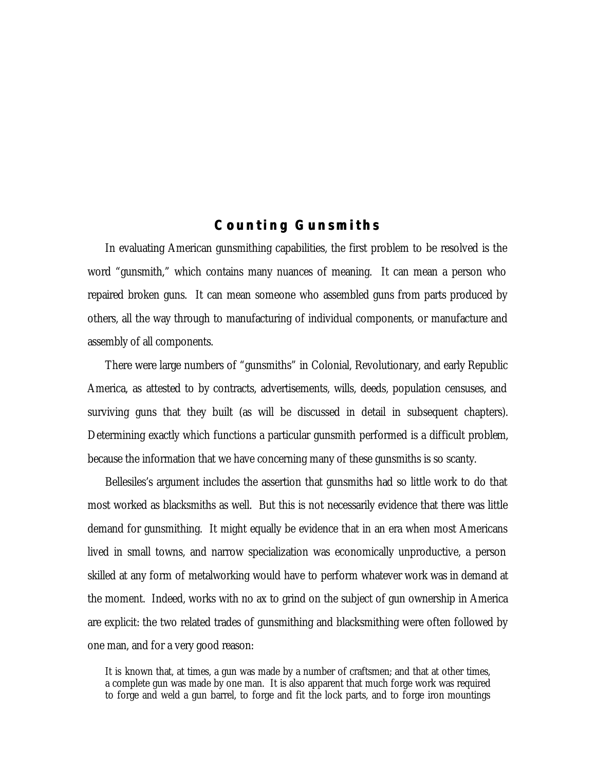## **Counting Gunsmiths**

In evaluating American gunsmithing capabilities, the first problem to be resolved is the word "gunsmith," which contains many nuances of meaning. It can mean a person who repaired broken guns. It can mean someone who assembled guns from parts produced by others, all the way through to manufacturing of individual components, or manufacture and assembly of all components.

There were large numbers of "gunsmiths" in Colonial, Revolutionary, and early Republic America, as attested to by contracts, advertisements, wills, deeds, population censuses, and surviving guns that they built (as will be discussed in detail in subsequent chapters). Determining exactly which functions a particular gunsmith performed is a difficult problem, because the information that we have concerning many of these gunsmiths is so scanty.

Bellesiles's argument includes the assertion that gunsmiths had so little work to do that most worked as blacksmiths as well. But this is not necessarily evidence that there was little demand for gunsmithing. It might equally be evidence that in an era when most Americans lived in small towns, and narrow specialization was economically unproductive, a person skilled at any form of metalworking would have to perform whatever work was in demand at the moment. Indeed, works with no ax to grind on the subject of gun ownership in America are explicit: the two related trades of gunsmithing and blacksmithing were often followed by one man, and for a very good reason:

It is known that, at times, a gun was made by a number of craftsmen; and that at other times, a complete gun was made by one man. It is also apparent that much forge work was required to forge and weld a gun barrel, to forge and fit the lock parts, and to forge iron mountings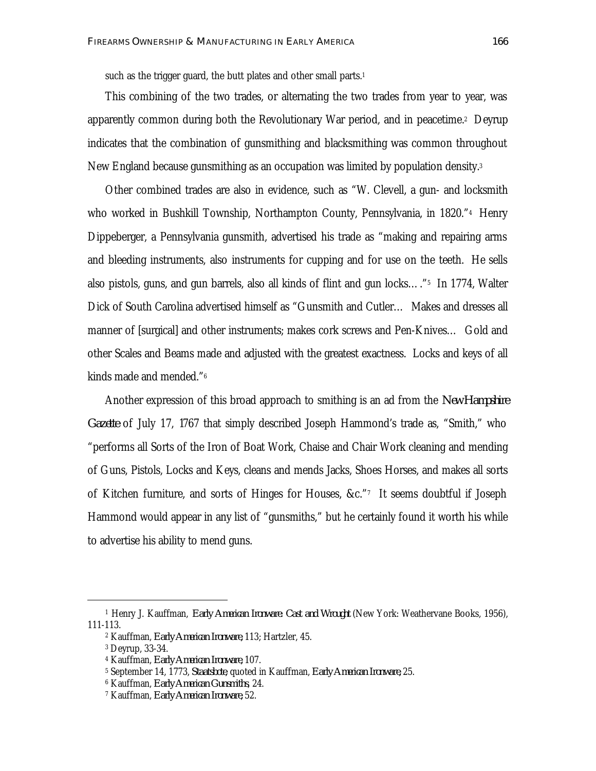such as the trigger guard, the butt plates and other small parts.<sup>1</sup>

This combining of the two trades, or alternating the two trades from year to year, was apparently common during both the Revolutionary War period, and in peacetime.<sup>2</sup> Deyrup indicates that the combination of gunsmithing and blacksmithing was common throughout New England because gunsmithing as an occupation was limited by population density.<sup>3</sup>

Other combined trades are also in evidence, such as "W. Clevell, a gun- and locksmith who worked in Bushkill Township, Northampton County, Pennsylvania, in 1820."<sup>4</sup> Henry Dippeberger, a Pennsylvania gunsmith, advertised his trade as "making and repairing arms and bleeding instruments, also instruments for cupping and for use on the teeth. He sells also pistols, guns, and gun barrels, also all kinds of flint and gun locks…."<sup>5</sup> In 1774, Walter Dick of South Carolina advertised himself as "Gunsmith and Cutler… Makes and dresses all manner of [surgical] and other instruments; makes cork screws and Pen-Knives… Gold and other Scales and Beams made and adjusted with the greatest exactness. Locks and keys of all kinds made and mended."<sup>6</sup>

Another expression of this broad approach to smithing is an ad from the *New Hampshire Gazette* of July 17, 1767 that simply described Joseph Hammond's trade as, "Smith," who "performs all Sorts of the Iron of Boat Work, Chaise and Chair Work cleaning and mending of Guns, Pistols, Locks and Keys, cleans and mends Jacks, Shoes Horses, and makes all sorts of Kitchen furniture, and sorts of Hinges for Houses, &c."<sup>7</sup> It seems doubtful if Joseph Hammond would appear in any list of "gunsmiths," but he certainly found it worth his while to advertise his ability to mend guns.

<sup>1</sup> Henry J. Kauffman, *Early American Ironware: Cast and Wrought* (New York: Weathervane Books, 1956), 111-113.

<sup>2</sup> Kauffman, *Early American Ironware,* 113; Hartzler, 45.

<sup>3</sup> Deyrup, 33-34.

<sup>4</sup> Kauffman, *Early American Ironware,* 107.

<sup>5</sup> September 14, 1773, *Staatsbote*, quoted in Kauffman, *Early American Ironware,* 25.

<sup>6</sup> Kauffman, *Early American Gunsmiths*, 24.

<sup>7</sup> Kauffman, *Early American Ironware,* 52.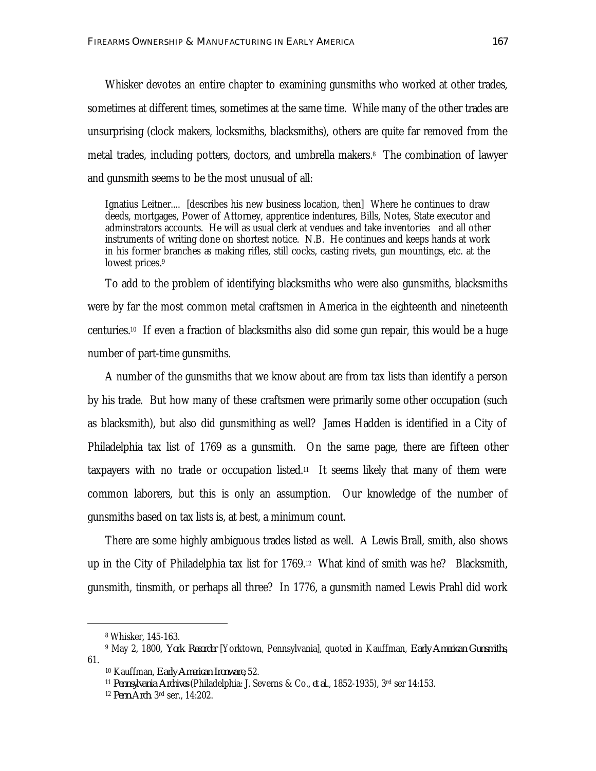Whisker devotes an entire chapter to examining gunsmiths who worked at other trades, sometimes at different times, sometimes at the same time. While many of the other trades are unsurprising (clock makers, locksmiths, blacksmiths), others are quite far removed from the metal trades, including potters, doctors, and umbrella makers.<sup>8</sup> The combination of lawyer and gunsmith seems to be the most unusual of all:

Ignatius Leitner.... [describes his new business location, then] Where he continues to draw deeds, mortgages, Power of Attorney, apprentice indentures, Bills, Notes, State executor and adminstrators accounts. He will as usual clerk at vendues and take inventories and all other instruments of writing done on shortest notice. N.B. He continues and keeps hands at work in his former branches as making rifles, still cocks, casting rivets, gun mountings, etc. at the lowest prices.<sup>9</sup>

To add to the problem of identifying blacksmiths who were also gunsmiths, blacksmiths were by far the most common metal craftsmen in America in the eighteenth and nineteenth centuries.10 If even a fraction of blacksmiths also did some gun repair, this would be a huge number of part-time gunsmiths.

A number of the gunsmiths that we know about are from tax lists than identify a person by his trade. But how many of these craftsmen were primarily some other occupation (such as blacksmith), but also did gunsmithing as well? James Hadden is identified in a City of Philadelphia tax list of 1769 as a gunsmith. On the same page, there are fifteen other taxpayers with no trade or occupation listed.11 It seems likely that many of them were common laborers, but this is only an assumption. Our knowledge of the number of gunsmiths based on tax lists is, at best, a minimum count.

There are some highly ambiguous trades listed as well. A Lewis Brall, smith, also shows up in the City of Philadelphia tax list for 1769.12 What kind of smith was he? Blacksmith, gunsmith, tinsmith, or perhaps all three? In 1776, a gunsmith named Lewis Prahl did work

<sup>8</sup> Whisker, 145-163.

<sup>9</sup> May 2, 1800, *York Recorder* [Yorktown, Pennsylvania], quoted in Kauffman, *Early American Gunsmiths*, 61.

<sup>10</sup> Kauffman, *Early American Ironware,* 52.

<sup>11</sup> *Pennsylvania Archives* (Philadelphia: J. Severns & Co., *et al.*, 1852-1935), 3rd ser 14:153.

<sup>12</sup> *Penn.Arch.* 3 rd ser., 14:202.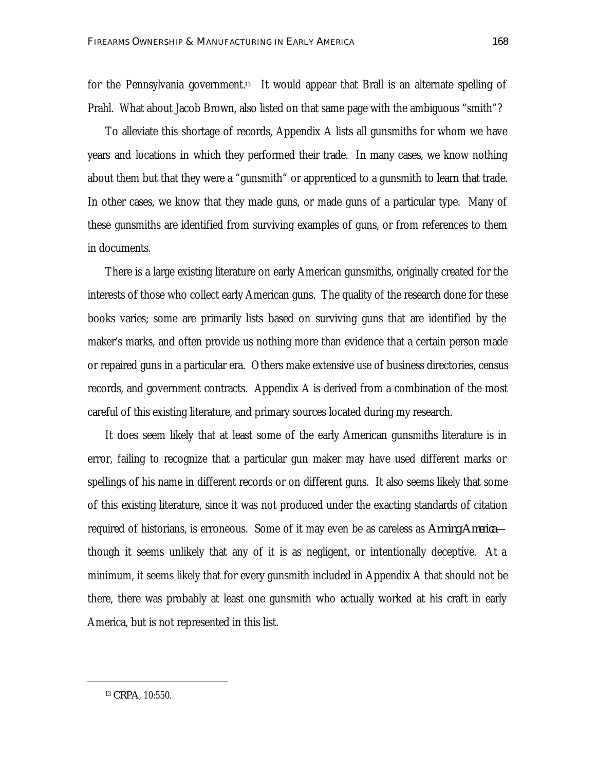for the Pennsylvania government.13 It would appear that Brall is an alternate spelling of Prahl. What about Jacob Brown, also listed on that same page with the ambiguous "smith"?

To alleviate this shortage of records, Appendix A lists all gunsmiths for whom we have years and locations in which they performed their trade. In many cases, we know nothing about them but that they were a "gunsmith" or apprenticed to a gunsmith to learn that trade. In other cases, we know that they made guns, or made guns of a particular type. Many of these gunsmiths are identified from surviving examples of guns, or from references to them in documents.

There is a large existing literature on early American gunsmiths, originally created for the interests of those who collect early American guns. The quality of the research done for these books varies; some are primarily lists based on surviving guns that are identified by the maker's marks, and often provide us nothing more than evidence that a certain person made or repaired guns in a particular era. Others make extensive use of business directories, census records, and government contracts. Appendix A is derived from a combination of the most careful of this existing literature, and primary sources located during my research.

It does seem likely that at least some of the early American gunsmiths literature is in error, failing to recognize that a particular gun maker may have used different marks or spellings of his name in different records or on different guns. It also seems likely that some of this existing literature, since it was not produced under the exacting standards of citation required of historians, is erroneous. Some of it may even be as careless as *Arming America* though it seems unlikely that any of it is as negligent, or intentionally deceptive. At a minimum, it seems likely that for every gunsmith included in Appendix A that should not be there, there was probably at least one gunsmith who actually worked at his craft in early America, but is not represented in this list.

<sup>13</sup> *CRPA*, 10:550.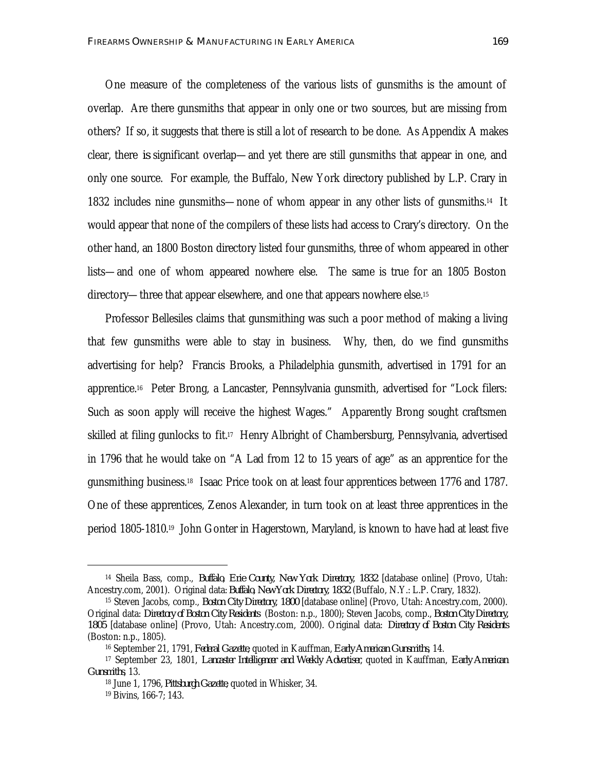One measure of the completeness of the various lists of gunsmiths is the amount of overlap. Are there gunsmiths that appear in only one or two sources, but are missing from others? If so, it suggests that there is still a lot of research to be done. As Appendix A makes clear, there *is* significant overlap—and yet there are still gunsmiths that appear in one, and only one source. For example, the Buffalo, New York directory published by L.P. Crary in 1832 includes nine gunsmiths—none of whom appear in any other lists of gunsmiths.14 It would appear that none of the compilers of these lists had access to Crary's directory. On the other hand, an 1800 Boston directory listed four gunsmiths, three of whom appeared in other lists—and one of whom appeared nowhere else. The same is true for an 1805 Boston directory—three that appear elsewhere, and one that appears nowhere else.<sup>15</sup>

Professor Bellesiles claims that gunsmithing was such a poor method of making a living that few gunsmiths were able to stay in business. Why, then, do we find gunsmiths advertising for help? Francis Brooks, a Philadelphia gunsmith, advertised in 1791 for an apprentice.16 Peter Brong, a Lancaster, Pennsylvania gunsmith, advertised for "Lock filers: Such as soon apply will receive the highest Wages." Apparently Brong sought craftsmen skilled at filing gunlocks to fit.17 Henry Albright of Chambersburg, Pennsylvania, advertised in 1796 that he would take on "A Lad from 12 to 15 years of age" as an apprentice for the gunsmithing business.18 Isaac Price took on at least four apprentices between 1776 and 1787. One of these apprentices, Zenos Alexander, in turn took on at least three apprentices in the period 1805-1810.19 John Gonter in Hagerstown, Maryland, is known to have had at least five

<sup>14</sup> Sheila Bass, comp., *Buffalo, Erie County, New York Directory, 1832* [database online] (Provo, Utah: Ancestry.com, 2001). Original data: *Buffalo, New York Directory, 1832* (Buffalo, N.Y.: L.P. Crary, 1832).

<sup>15</sup> Steven Jacobs, comp., *Boston City Directory, 1800* [database online] (Provo, Utah: Ancestry.com, 2000). Original data: *Directory of Boston City Residents* (Boston: n.p., 1800); Steven Jacobs, comp., *Boston City Directory, 1805* [database online] (Provo, Utah: Ancestry.com, 2000). Original data: *Directory of Boston City Residents* (Boston: n.p., 1805).

<sup>16</sup> September 21, 1791, *Federal Gazette*, quoted in Kauffman, *Early American Gunsmiths*, 14.

<sup>17</sup> September 23, 1801, *Lancaster Intelligencer and Weekly Advertiser*, quoted in Kauffman, *Early American Gunsmiths*, 13.

<sup>18</sup> June 1, 1796, *Pittsburgh Gazette*, quoted in Whisker, 34.

<sup>19</sup> Bivins, 166-7; 143.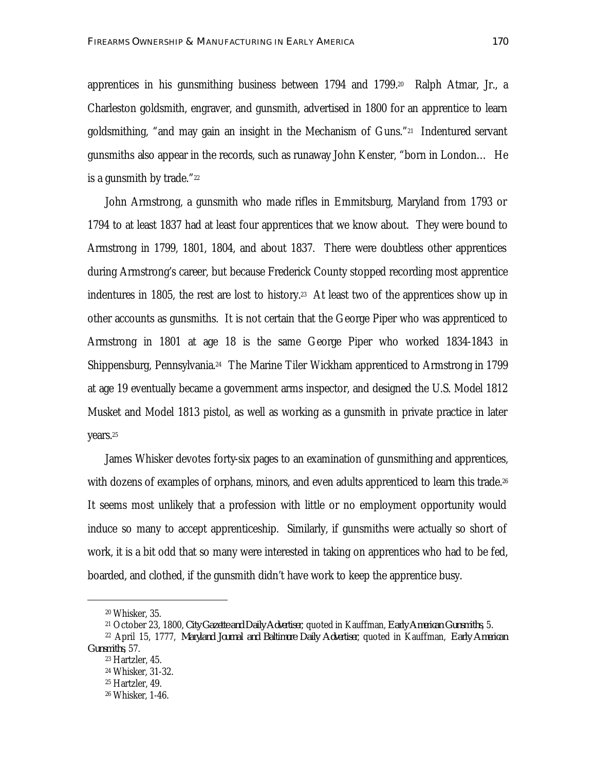apprentices in his gunsmithing business between 1794 and 1799.20 Ralph Atmar, Jr., a Charleston goldsmith, engraver, and gunsmith, advertised in 1800 for an apprentice to learn goldsmithing, "and may gain an insight in the Mechanism of Guns."21 Indentured servant gunsmiths also appear in the records, such as runaway John Kenster, "born in London… He is a gunsmith by trade."<sup>22</sup>

John Armstrong, a gunsmith who made rifles in Emmitsburg, Maryland from 1793 or 1794 to at least 1837 had at least four apprentices that we know about. They were bound to Armstrong in 1799, 1801, 1804, and about 1837. There were doubtless other apprentices during Armstrong's career, but because Frederick County stopped recording most apprentice indentures in 1805, the rest are lost to history.23 At least two of the apprentices show up in other accounts as gunsmiths. It is not certain that the George Piper who was apprenticed to Armstrong in 1801 at age 18 is the same George Piper who worked 1834-1843 in Shippensburg, Pennsylvania.24 The Marine Tiler Wickham apprenticed to Armstrong in 1799 at age 19 eventually became a government arms inspector, and designed the U.S. Model 1812 Musket and Model 1813 pistol, as well as working as a gunsmith in private practice in later years.<sup>25</sup>

James Whisker devotes forty-six pages to an examination of gunsmithing and apprentices, with dozens of examples of orphans, minors, and even adults apprenticed to learn this trade.<sup>26</sup> It seems most unlikely that a profession with little or no employment opportunity would induce so many to accept apprenticeship. Similarly, if gunsmiths were actually so short of work, it is a bit odd that so many were interested in taking on apprentices who had to be fed, boarded, and clothed, if the gunsmith didn't have work to keep the apprentice busy.

<sup>20</sup> Whisker, 35.

<sup>21</sup> October 23, 1800, *City Gazette and Daily Advertiser*, quoted in Kauffman, *Early American Gunsmiths*, 5.

<sup>22</sup> April 15, 1777, *Maryland Journal and Baltimore Daily Advertiser*, quoted in Kauffman, *Early American Gunsmiths*, 57.

<sup>23</sup> Hartzler, 45.

<sup>24</sup> Whisker, 31-32.

<sup>25</sup> Hartzler, 49.

<sup>26</sup> Whisker, 1-46.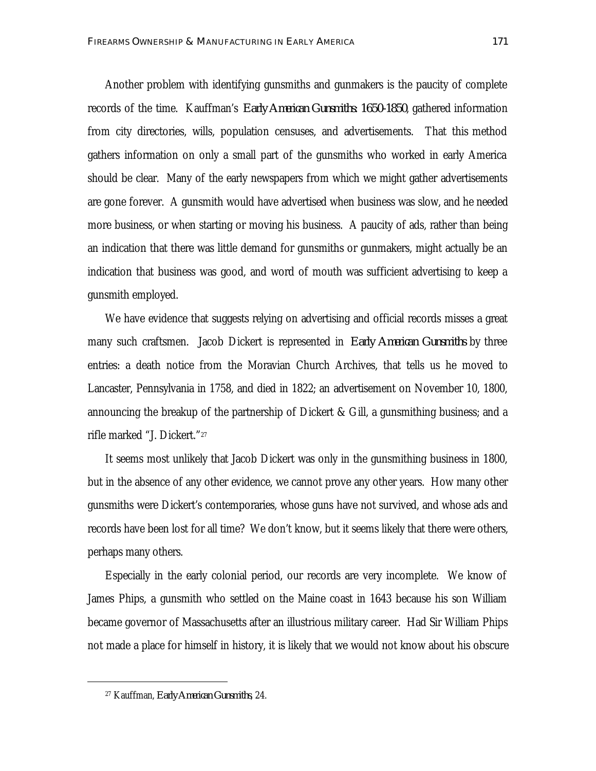Another problem with identifying gunsmiths and gunmakers is the paucity of complete records of the time. Kauffman's *Early American Gunsmiths: 1650-1850*, gathered information from city directories, wills, population censuses, and advertisements. That this method gathers information on only a small part of the gunsmiths who worked in early America should be clear. Many of the early newspapers from which we might gather advertisements are gone forever. A gunsmith would have advertised when business was slow, and he needed more business, or when starting or moving his business. A paucity of ads, rather than being an indication that there was little demand for gunsmiths or gunmakers, might actually be an indication that business was good, and word of mouth was sufficient advertising to keep a gunsmith employed.

We have evidence that suggests relying on advertising and official records misses a great many such craftsmen. Jacob Dickert is represented in *Early American Gunsmiths* by three entries: a death notice from the Moravian Church Archives, that tells us he moved to Lancaster, Pennsylvania in 1758, and died in 1822; an advertisement on November 10, 1800, announcing the breakup of the partnership of Dickert & Gill, a gunsmithing business; and a rifle marked "J. Dickert."<sup>27</sup>

It seems most unlikely that Jacob Dickert was only in the gunsmithing business in 1800, but in the absence of any other evidence, we cannot prove any other years. How many other gunsmiths were Dickert's contemporaries, whose guns have not survived, and whose ads and records have been lost for all time? We don't know, but it seems likely that there were others, perhaps many others.

Especially in the early colonial period, our records are very incomplete. We know of James Phips, a gunsmith who settled on the Maine coast in 1643 because his son William became governor of Massachusetts after an illustrious military career. Had Sir William Phips not made a place for himself in history, it is likely that we would not know about his obscure

<sup>27</sup> Kauffman, *Early American Gunsmiths*, 24.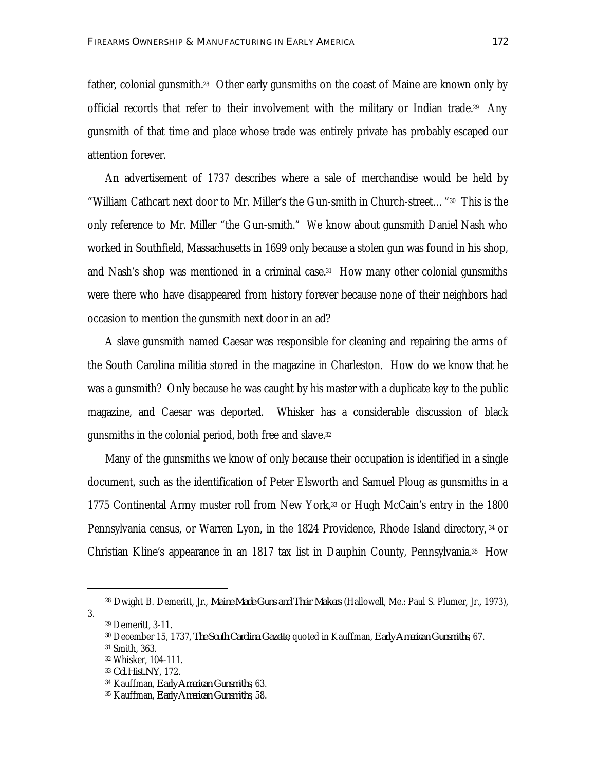father, colonial gunsmith.28 Other early gunsmiths on the coast of Maine are known only by official records that refer to their involvement with the military or Indian trade.29 Any gunsmith of that time and place whose trade was entirely private has probably escaped our attention forever.

An advertisement of 1737 describes where a sale of merchandise would be held by "William Cathcart next door to Mr. Miller's the Gun-smith in Church-street…"30 This is the only reference to Mr. Miller "the Gun-smith." We know about gunsmith Daniel Nash who worked in Southfield, Massachusetts in 1699 only because a stolen gun was found in his shop, and Nash's shop was mentioned in a criminal case.31 How many other colonial gunsmiths were there who have disappeared from history forever because none of their neighbors had occasion to mention the gunsmith next door in an ad?

A slave gunsmith named Caesar was responsible for cleaning and repairing the arms of the South Carolina militia stored in the magazine in Charleston. How do we know that he was a gunsmith? Only because he was caught by his master with a duplicate key to the public magazine, and Caesar was deported. Whisker has a considerable discussion of black gunsmiths in the colonial period, both free and slave.<sup>32</sup>

Many of the gunsmiths we know of only because their occupation is identified in a single document, such as the identification of Peter Elsworth and Samuel Ploug as gunsmiths in a 1775 Continental Army muster roll from New York,<sup>33</sup> or Hugh McCain's entry in the 1800 Pennsylvania census, or Warren Lyon, in the 1824 Providence, Rhode Island directory, <sup>34</sup> or Christian Kline's appearance in an 1817 tax list in Dauphin County, Pennsylvania.35 How

3.

<sup>28</sup> Dwight B. Demeritt, Jr., *Maine Made Guns and Their Makers* (Hallowell, Me.: Paul S. Plumer, Jr., 1973),

<sup>29</sup> Demeritt, 3-11.

<sup>30</sup> December 15, 1737, *The South Carolina Gazette*, quoted in Kauffman, *Early American Gunsmiths*, 67.

<sup>31</sup> Smith, 363.

<sup>32</sup> Whisker, 104-111.

<sup>33</sup> *Col.Hist.NY*, 172.

<sup>34</sup> Kauffman, *Early American Gunsmiths*, 63.

<sup>35</sup> Kauffman, *Early American Gunsmiths*, 58.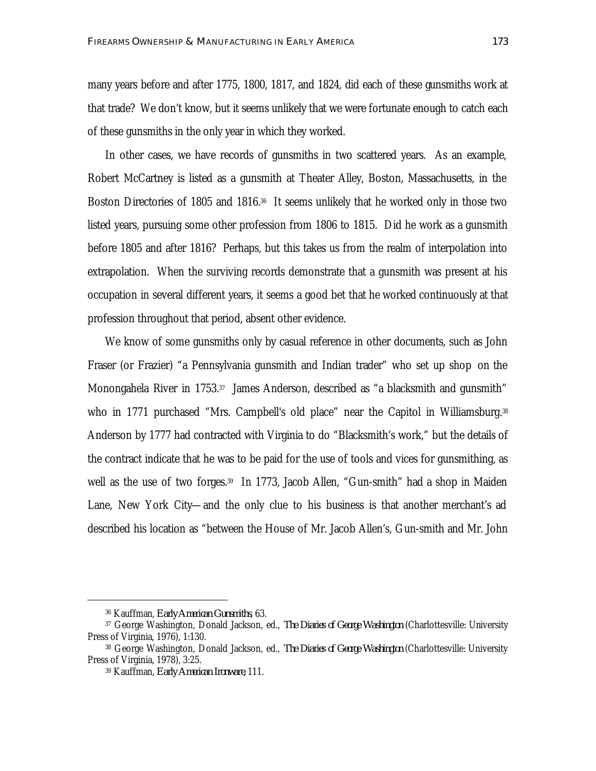many years before and after 1775, 1800, 1817, and 1824, did each of these gunsmiths work at that trade? We don't know, but it seems unlikely that we were fortunate enough to catch each of these gunsmiths in the only year in which they worked.

In other cases, we have records of gunsmiths in two scattered years. As an example, Robert McCartney is listed as a gunsmith at Theater Alley, Boston, Massachusetts, in the Boston Directories of 1805 and 1816.36 It seems unlikely that he worked only in those two listed years, pursuing some other profession from 1806 to 1815. Did he work as a gunsmith before 1805 and after 1816? Perhaps, but this takes us from the realm of interpolation into extrapolation. When the surviving records demonstrate that a gunsmith was present at his occupation in several different years, it seems a good bet that he worked continuously at that profession throughout that period, absent other evidence.

We know of some gunsmiths only by casual reference in other documents, such as John Fraser (or Frazier) "a Pennsylvania gunsmith and Indian trader" who set up shop on the Monongahela River in 1753.<sup>37</sup> James Anderson, described as "a blacksmith and gunsmith" who in 1771 purchased "Mrs. Campbell's old place" near the Capitol in Williamsburg.<sup>38</sup> Anderson by 1777 had contracted with Virginia to do "Blacksmith's work," but the details of the contract indicate that he was to be paid for the use of tools and vices for gunsmithing, as well as the use of two forges.39 In 1773, Jacob Allen, "Gun-smith" had a shop in Maiden Lane, New York City—and the only clue to his business is that another merchant's ad described his location as "between the House of Mr. Jacob Allen's, Gun-smith and Mr. John

<sup>36</sup> Kauffman, *Early American Gunsmiths*, 63.

<sup>37</sup> George Washington, Donald Jackson, ed., *The Diaries of George Washington* (Charlottesville: University Press of Virginia, 1976), 1:130.

<sup>38</sup> George Washington, Donald Jackson, ed., *The Diaries of George Washington* (Charlottesville: University Press of Virginia, 1978), 3:25.

<sup>39</sup> Kauffman, *Early American Ironware,* 111.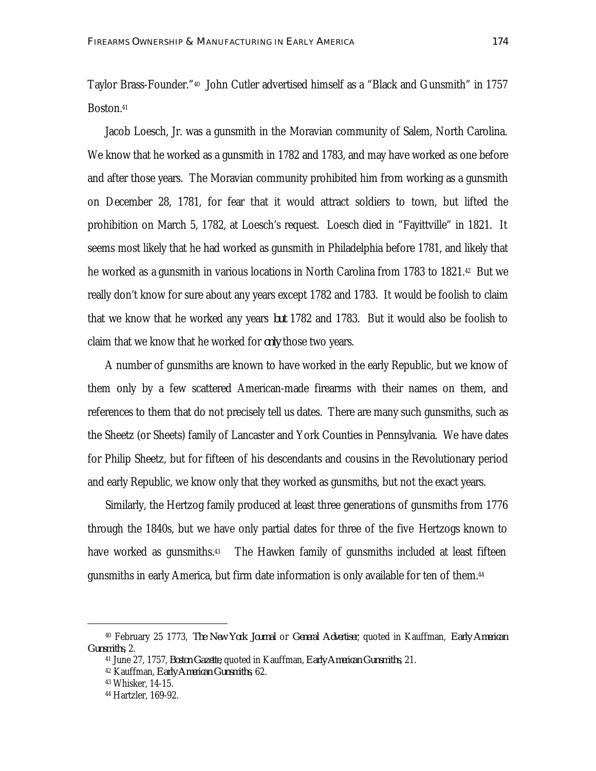Taylor Brass-Founder."40 John Cutler advertised himself as a "Black and Gunsmith" in 1757 Boston.<sup>41</sup>

Jacob Loesch, Jr. was a gunsmith in the Moravian community of Salem, North Carolina. We know that he worked as a gunsmith in 1782 and 1783, and may have worked as one before and after those years. The Moravian community prohibited him from working as a gunsmith on December 28, 1781, for fear that it would attract soldiers to town, but lifted the prohibition on March 5, 1782, at Loesch's request. Loesch died in "Fayittville" in 1821. It seems most likely that he had worked as gunsmith in Philadelphia before 1781, and likely that he worked as a gunsmith in various locations in North Carolina from 1783 to 1821.42 But we really don't know for sure about any years except 1782 and 1783. It would be foolish to claim that we know that he worked any years *but* 1782 and 1783. But it would also be foolish to claim that we know that he worked for *only* those two years.

A number of gunsmiths are known to have worked in the early Republic, but we know of them only by a few scattered American-made firearms with their names on them, and references to them that do not precisely tell us dates. There are many such gunsmiths, such as the Sheetz (or Sheets) family of Lancaster and York Counties in Pennsylvania. We have dates for Philip Sheetz, but for fifteen of his descendants and cousins in the Revolutionary period and early Republic, we know only that they worked as gunsmiths, but not the exact years.

Similarly, the Hertzog family produced at least three generations of gunsmiths from 1776 through the 1840s, but we have only partial dates for three of the five Hertzogs known to have worked as gunsmiths.43 The Hawken family of gunsmiths included at least fifteen gunsmiths in early America, but firm date information is only available for ten of them.<sup>44</sup>

<sup>40</sup> February 25 1773, *The New York Journal* or *General Advertiser*, quoted in Kauffman, *Early American Gunsmiths*, 2.

<sup>41</sup> June 27, 1757, *Boston Gazette*, quoted in Kauffman, *Early American Gunsmiths*, 21.

<sup>42</sup> Kauffman, *Early American Gunsmiths*, 62.

<sup>43</sup> Whisker, 14-15.

<sup>44</sup> Hartzler, 169-92.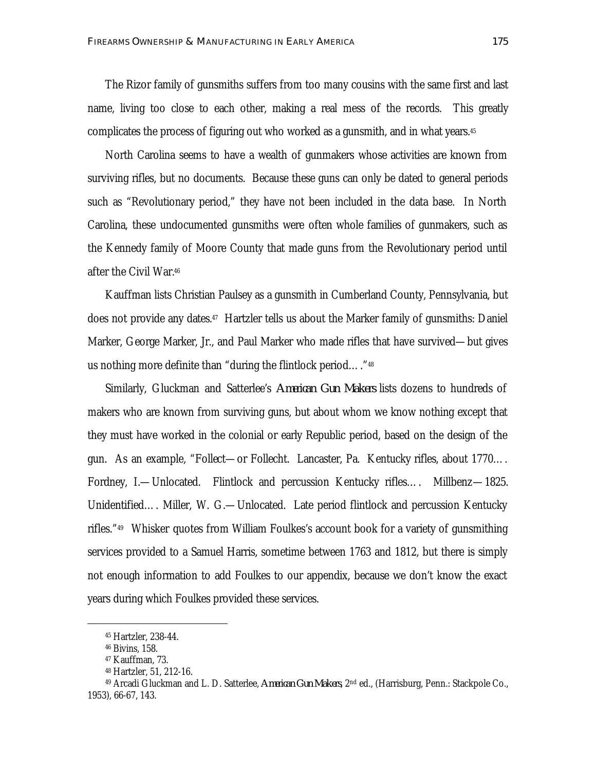The Rizor family of gunsmiths suffers from too many cousins with the same first and last name, living too close to each other, making a real mess of the records. This greatly complicates the process of figuring out who worked as a gunsmith, and in what years.<sup>45</sup>

North Carolina seems to have a wealth of gunmakers whose activities are known from surviving rifles, but no documents. Because these guns can only be dated to general periods such as "Revolutionary period," they have not been included in the data base. In North Carolina, these undocumented gunsmiths were often whole families of gunmakers, such as the Kennedy family of Moore County that made guns from the Revolutionary period until after the Civil War.<sup>46</sup>

Kauffman lists Christian Paulsey as a gunsmith in Cumberland County, Pennsylvania, but does not provide any dates.47 Hartzler tells us about the Marker family of gunsmiths: Daniel Marker, George Marker, Jr., and Paul Marker who made rifles that have survived—but gives us nothing more definite than "during the flintlock period…."<sup>48</sup>

Similarly, Gluckman and Satterlee's *American Gun Makers* lists dozens to hundreds of makers who are known from surviving guns, but about whom we know nothing except that they must have worked in the colonial or early Republic period, based on the design of the gun. As an example, "Follect—or Follecht. Lancaster, Pa. Kentucky rifles, about 1770…. Fordney, I.—Unlocated. Flintlock and percussion Kentucky rifles…. Millbenz—1825. Unidentified…. Miller, W. G.—Unlocated. Late period flintlock and percussion Kentucky rifles."49 Whisker quotes from William Foulkes's account book for a variety of gunsmithing services provided to a Samuel Harris, sometime between 1763 and 1812, but there is simply not enough information to add Foulkes to our appendix, because we don't know the exact years during which Foulkes provided these services.

<sup>45</sup> Hartzler, 238-44.

<sup>46</sup> Bivins, 158.

<sup>47</sup> Kauffman, 73.

<sup>48</sup> Hartzler, 51, 212-16.

<sup>49</sup> Arcadi Gluckman and L. D. Satterlee, *American Gun Makers*, 2nd ed., (Harrisburg, Penn.: Stackpole Co., 1953), 66-67, 143.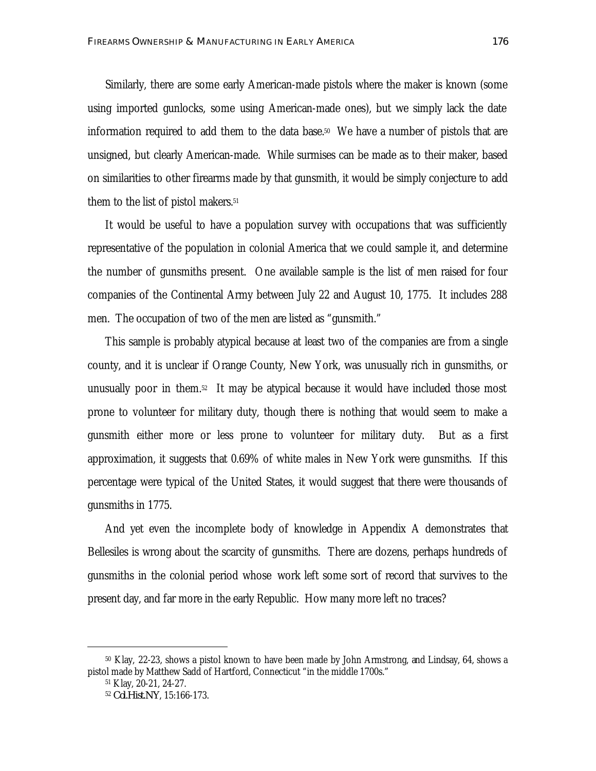Similarly, there are some early American-made pistols where the maker is known (some using imported gunlocks, some using American-made ones), but we simply lack the date information required to add them to the data base.50 We have a number of pistols that are unsigned, but clearly American-made. While surmises can be made as to their maker, based on similarities to other firearms made by that gunsmith, it would be simply conjecture to add them to the list of pistol makers.<sup>51</sup>

It would be useful to have a population survey with occupations that was sufficiently representative of the population in colonial America that we could sample it, and determine the number of gunsmiths present. One available sample is the list of men raised for four companies of the Continental Army between July 22 and August 10, 1775. It includes 288 men. The occupation of two of the men are listed as "gunsmith."

This sample is probably atypical because at least two of the companies are from a single county, and it is unclear if Orange County, New York, was unusually rich in gunsmiths, or unusually poor in them.52 It may be atypical because it would have included those most prone to volunteer for military duty, though there is nothing that would seem to make a gunsmith either more or less prone to volunteer for military duty. But as a first approximation, it suggests that 0.69% of white males in New York were gunsmiths. If this percentage were typical of the United States, it would suggest that there were thousands of gunsmiths in 1775.

And yet even the incomplete body of knowledge in Appendix A demonstrates that Bellesiles is wrong about the scarcity of gunsmiths. There are dozens, perhaps hundreds of gunsmiths in the colonial period whose work left some sort of record that survives to the present day, and far more in the early Republic. How many more left no traces?

<sup>50</sup> Klay, 22-23, shows a pistol known to have been made by John Armstrong, and Lindsay, 64, shows a pistol made by Matthew Sadd of Hartford, Connecticut "in the middle 1700s."

<sup>51</sup> Klay, 20-21, 24-27.

<sup>52</sup> *Col.Hist.NY*, 15:166-173.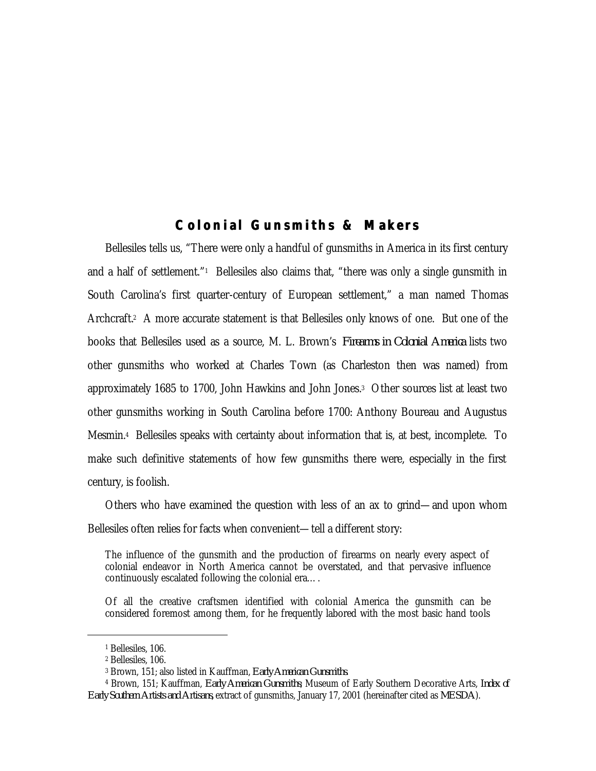## **Colonial Gunsmiths & Makers**

Bellesiles tells us, "There were only a handful of gunsmiths in America in its first century and a half of settlement."<sup>1</sup> Bellesiles also claims that, "there was only a single gunsmith in South Carolina's first quarter-century of European settlement," a man named Thomas Archcraft.<sup>2</sup> A more accurate statement is that Bellesiles only knows of one. But one of the books that Bellesiles used as a source, M. L. Brown's *Firearms in Colonial America* lists two other gunsmiths who worked at Charles Town (as Charleston then was named) from approximately 1685 to 1700, John Hawkins and John Jones.<sup>3</sup> Other sources list at least two other gunsmiths working in South Carolina before 1700: Anthony Boureau and Augustus Mesmin.<sup>4</sup> Bellesiles speaks with certainty about information that is, at best, incomplete. To make such definitive statements of how few gunsmiths there were, especially in the first century, is foolish.

Others who have examined the question with less of an ax to grind—and upon whom Bellesiles often relies for facts when convenient—tell a different story:

The influence of the gunsmith and the production of firearms on nearly every aspect of colonial endeavor in North America cannot be overstated, and that pervasive influence continuously escalated following the colonial era….

Of all the creative craftsmen identified with colonial America the gunsmith can be considered foremost among them, for he frequently labored with the most basic hand tools

<sup>1</sup> Bellesiles, 106.

<sup>2</sup> Bellesiles, 106.

<sup>3</sup> Brown, 151; also listed in Kauffman, *Early American Gunsmiths*.

<sup>4</sup> Brown, 151; Kauffman, *Early American Gunsmiths*; Museum of Early Southern Decorative Arts, *Index of Early Southern Artists and Artisans,* extract of gunsmiths, January 17, 2001 (hereinafter cited as *MESDA*).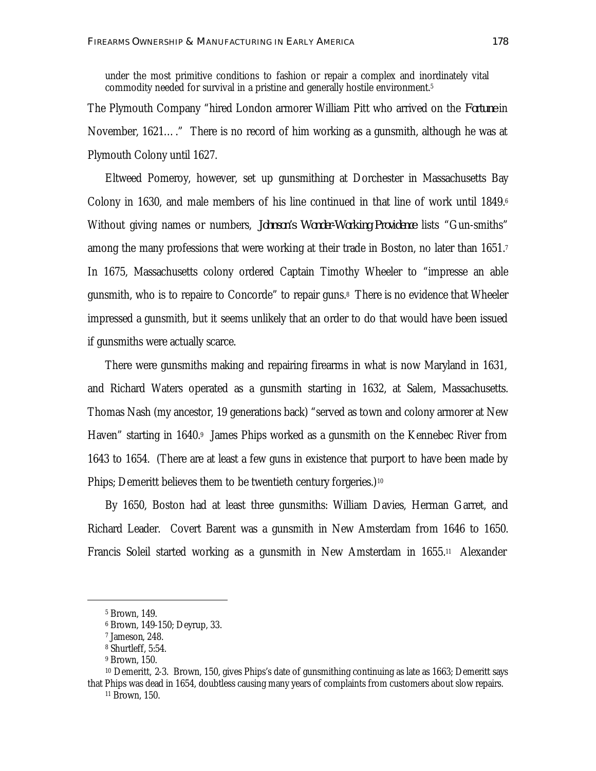under the most primitive conditions to fashion or repair a complex and inordinately vital commodity needed for survival in a pristine and generally hostile environment.<sup>5</sup>

The Plymouth Company "hired London armorer William Pitt who arrived on the *Fortune* in November, 1621…." There is no record of him working as a gunsmith, although he was at Plymouth Colony until 1627.

Eltweed Pomeroy, however, set up gunsmithing at Dorchester in Massachusetts Bay Colony in 1630, and male members of his line continued in that line of work until 1849.<sup>6</sup> Without giving names or numbers, *Johnson's Wonder-Working Providence* lists "Gun-smiths" among the many professions that were working at their trade in Boston, no later than 1651.<sup>7</sup> In 1675, Massachusetts colony ordered Captain Timothy Wheeler to "impresse an able gunsmith, who is to repaire to Concorde" to repair guns.<sup>8</sup> There is no evidence that Wheeler impressed a gunsmith, but it seems unlikely that an order to do that would have been issued if gunsmiths were actually scarce.

There were gunsmiths making and repairing firearms in what is now Maryland in 1631, and Richard Waters operated as a gunsmith starting in 1632, at Salem, Massachusetts. Thomas Nash (my ancestor, 19 generations back) "served as town and colony armorer at New Haven" starting in 1640.<sup>9</sup> James Phips worked as a gunsmith on the Kennebec River from 1643 to 1654. (There are at least a few guns in existence that purport to have been made by Phips; Demeritt believes them to be twentieth century forgeries.)<sup>10</sup>

By 1650, Boston had at least three gunsmiths: William Davies, Herman Garret, and Richard Leader. Covert Barent was a gunsmith in New Amsterdam from 1646 to 1650. Francis Soleil started working as a gunsmith in New Amsterdam in 1655.11 Alexander

<sup>5</sup> Brown, 149.

<sup>6</sup> Brown, 149-150; Deyrup, 33.

<sup>7</sup> Jameson, 248.

<sup>8</sup> Shurtleff, 5:54.

<sup>9</sup> Brown, 150.

<sup>10</sup> Demeritt, 2-3. Brown, 150, gives Phips's date of gunsmithing continuing as late as 1663; Demeritt says that Phips was dead in 1654, doubtless causing many years of complaints from customers about slow repairs.

<sup>11</sup> Brown, 150.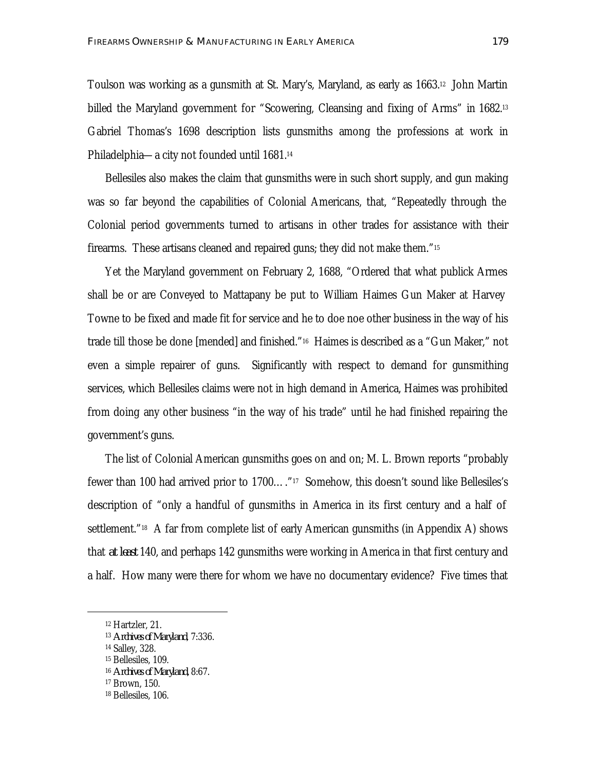Toulson was working as a gunsmith at St. Mary's, Maryland, as early as 1663.12 John Martin billed the Maryland government for "Scowering, Cleansing and fixing of Arms" in 1682.<sup>13</sup> Gabriel Thomas's 1698 description lists gunsmiths among the professions at work in Philadelphia—a city not founded until 1681.<sup>14</sup>

Bellesiles also makes the claim that gunsmiths were in such short supply, and gun making was so far beyond the capabilities of Colonial Americans, that, "Repeatedly through the Colonial period governments turned to artisans in other trades for assistance with their firearms. These artisans cleaned and repaired guns; they did not make them."<sup>15</sup>

Yet the Maryland government on February 2, 1688, "Ordered that what publick Armes shall be or are Conveyed to Mattapany be put to William Haimes Gun Maker at Harvey Towne to be fixed and made fit for service and he to doe noe other business in the way of his trade till those be done [mended] and finished."16 Haimes is described as a "Gun Maker," not even a simple repairer of guns. Significantly with respect to demand for gunsmithing services, which Bellesiles claims were not in high demand in America, Haimes was prohibited from doing any other business "in the way of his trade" until he had finished repairing the government's guns.

The list of Colonial American gunsmiths goes on and on; M. L. Brown reports "probably fewer than 100 had arrived prior to 1700...."<sup>17</sup> Somehow, this doesn't sound like Bellesiles's description of "only a handful of gunsmiths in America in its first century and a half of settlement."18 A far from complete list of early American gunsmiths (in Appendix A) shows that *at least* 140, and perhaps 142 gunsmiths were working in America in that first century and a half. How many were there for whom we have no documentary evidence? Five times that

<sup>12</sup> Hartzler, 21.

<sup>13</sup> *Archives of Maryland*, 7:336.

<sup>14</sup> Salley, 328.

<sup>15</sup> Bellesiles, 109.

<sup>16</sup> *Archives of Maryland,* 8:67.

<sup>17</sup> Brown, 150.

<sup>18</sup> Bellesiles, 106.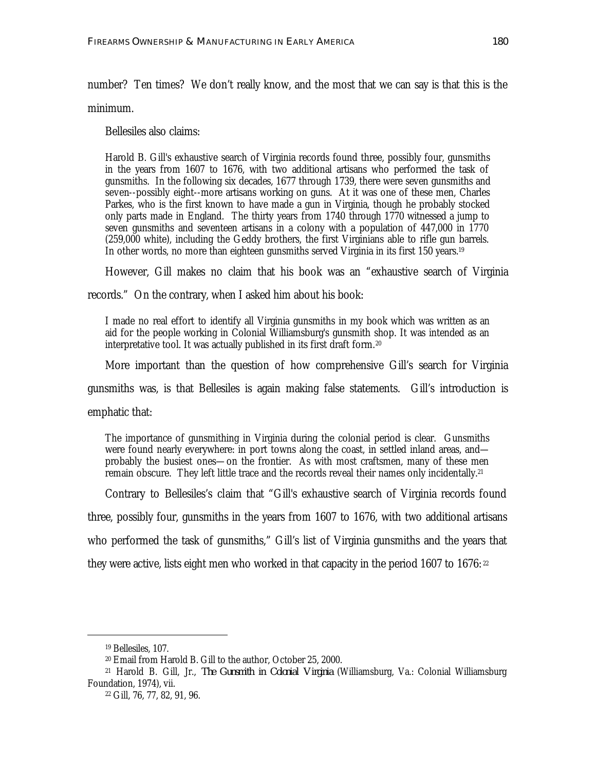number? Ten times? We don't really know, and the most that we can say is that this is the

minimum.

Bellesiles also claims:

Harold B. Gill's exhaustive search of Virginia records found three, possibly four, gunsmiths in the years from 1607 to 1676, with two additional artisans who performed the task of gunsmiths. In the following six decades, 1677 through 1739, there were seven gunsmiths and seven--possibly eight--more artisans working on guns. At it was one of these men, Charles Parkes, who is the first known to have made a gun in Virginia, though he probably stocked only parts made in England. The thirty years from 1740 through 1770 witnessed a jump to seven gunsmiths and seventeen artisans in a colony with a population of 447,000 in 1770 (259,000 white), including the Geddy brothers, the first Virginians able to rifle gun barrels. In other words, no more than eighteen gunsmiths served Virginia in its first 150 years.<sup>19</sup>

However, Gill makes no claim that his book was an "exhaustive search of Virginia

records." On the contrary, when I asked him about his book:

I made no real effort to identify all Virginia gunsmiths in my book which was written as an aid for the people working in Colonial Williamsburg's gunsmith shop. It was intended as an interpretative tool. It was actually published in its first draft form.<sup>20</sup>

More important than the question of how comprehensive Gill's search for Virginia

gunsmiths was, is that Bellesiles is again making false statements. Gill's introduction is

emphatic that:

The importance of gunsmithing in Virginia during the colonial period is clear. Gunsmiths were found nearly everywhere: in port towns along the coast, in settled inland areas, and probably the busiest ones—on the frontier. As with most craftsmen, many of these men remain obscure. They left little trace and the records reveal their names only incidentally.<sup>21</sup>

Contrary to Bellesiles's claim that "Gill's exhaustive search of Virginia records found three, possibly four, gunsmiths in the years from 1607 to 1676, with two additional artisans who performed the task of gunsmiths," Gill's list of Virginia gunsmiths and the years that they were active, lists eight men who worked in that capacity in the period 1607 to 1676: <sup>22</sup>

<sup>19</sup> Bellesiles, 107.

<sup>20</sup> Email from Harold B. Gill to the author, October 25, 2000.

<sup>21</sup> Harold B. Gill, Jr., *The Gunsmith in Colonial Virginia* (Williamsburg, Va.: Colonial Williamsburg Foundation, 1974), vii.

<sup>22</sup> Gill, 76, 77, 82, 91, 96.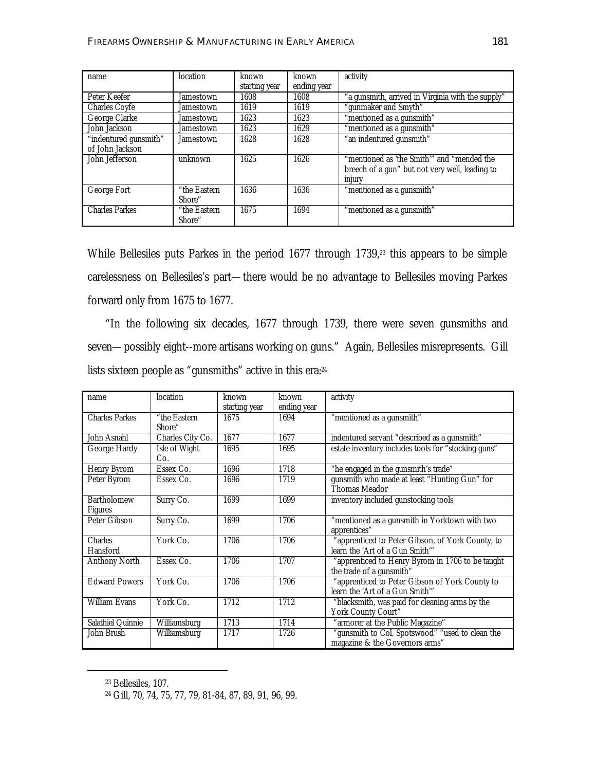| name                  | location     | known         | known       | activity                                          |
|-----------------------|--------------|---------------|-------------|---------------------------------------------------|
|                       |              | starting year | ending year |                                                   |
| Peter Keefer          | Jamestown    | 1608          | 1608        | "a gunsmith, arrived in Virginia with the supply" |
| <b>Charles Coyfe</b>  | Jamestown    | 1619          | 1619        | "gunmaker and Smyth"                              |
| George Clarke         | Jamestown    | 1623          | 1623        | "mentioned as a gunsmith"                         |
| John Jackson          | Jamestown    | 1623          | 1629        | "mentioned as a gunsmith"                         |
| "indentured gunsmith" | Jamestown    | 1628          | 1628        | "an indentured gunsmith"                          |
| of John Jackson       |              |               |             |                                                   |
| John Jefferson        | unknown      | 1625          | 1626        | "mentioned as 'the Smith'" and "mended the        |
|                       |              |               |             | breech of a gun" but not very well, leading to    |
|                       |              |               |             | injury                                            |
| George Fort           | "the Eastern | 1636          | 1636        | "mentioned as a gunsmith"                         |
|                       | Shore"       |               |             |                                                   |
| <b>Charles Parkes</b> | "the Eastern | 1675          | 1694        | "mentioned as a gunsmith"                         |
|                       | Shore"       |               |             |                                                   |

While Bellesiles puts Parkes in the period 1677 through 1739,<sup>23</sup> this appears to be simple carelessness on Bellesiles's part—there would be no advantage to Bellesiles moving Parkes forward only from 1675 to 1677.

"In the following six decades, 1677 through 1739, there were seven gunsmiths and seven—possibly eight--more artisans working on guns." Again, Bellesiles misrepresents. Gill lists sixteen people as "gunsmiths" active in this era:<sup>24</sup>

| name                                 | location             | known                 | known               | activity                                                                            |
|--------------------------------------|----------------------|-----------------------|---------------------|-------------------------------------------------------------------------------------|
| <b>Charles Parkes</b>                | "the Eastern         | starting year<br>1675 | ending year<br>1694 | "mentioned as a gunsmith"                                                           |
|                                      | Shore"               |                       |                     |                                                                                     |
| John Asnahl                          | Charles City Co.     | 1677                  | 1677                | indentured servant "described as a gunsmith"                                        |
| George Hardy                         | Isle of Wight<br>Co. | 1695                  | 1695                | estate inventory includes tools for "stocking guns"                                 |
| Henry Byrom                          | Essex Co.            | 1696                  | 1718                | "he engaged in the gunsmith's trade"                                                |
| Peter Byrom                          | Essex Co.            | 1696                  | 1719                | gunsmith who made at least "Hunting Gun" for<br><b>Thomas Meador</b>                |
| <b>Bartholomew</b><br><b>Figures</b> | Surry Co.            | 1699                  | 1699                | inventory included gunstocking tools                                                |
| Peter Gibson                         | Surry Co.            | 1699                  | 1706                | "mentioned as a gunsmith in Yorktown with two<br>apprentices"                       |
| Charles<br>Hansford                  | York Co.             | 1706                  | 1706                | "apprenticed to Peter Gibson, of York County, to<br>learn the 'Art of a Gun Smith'" |
| <b>Anthony North</b>                 | Essex Co.            | 1706                  | 1707                | "apprenticed to Henry Byrom in 1706 to be taught<br>the trade of a gunsmith"        |
| <b>Edward Powers</b>                 | York Co.             | 1706                  | 1706                | "apprenticed to Peter Gibson of York County to<br>learn the 'Art of a Gun Smith'"   |
| <b>William Evans</b>                 | York Co.             | 1712                  | 1712                | "blacksmith, was paid for cleaning arms by the<br>York County Court"                |
| Salathiel Quinnie                    | Williamsburg         | 1713                  | 1714                | "armorer at the Public Magazine"                                                    |
| John Brush                           | Williamsburg         | 1717                  | 1726                | "gunsmith to Col. Spotswood" "used to clean the<br>magazine & the Governors arms"   |

<sup>23</sup> Bellesiles, 107.

<sup>24</sup> Gill, 70, 74, 75, 77, 79, 81-84, 87, 89, 91, 96, 99.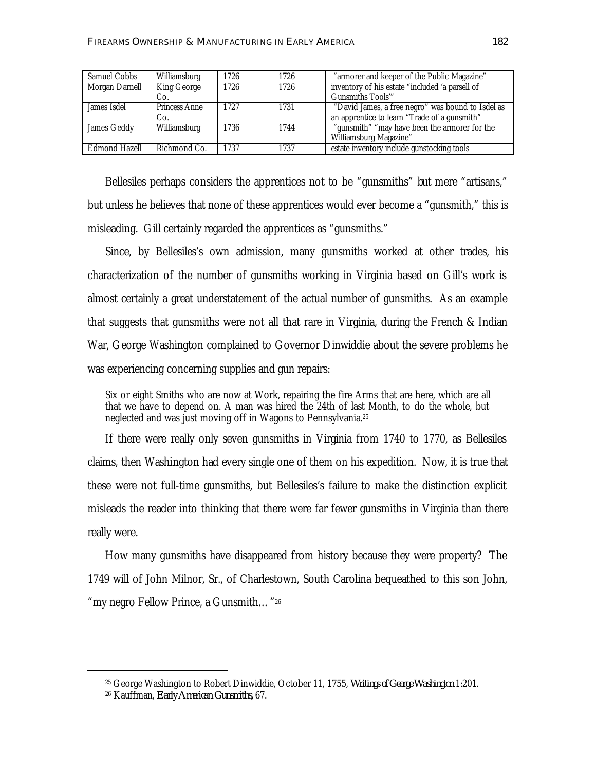| <b>Samuel Cobbs</b> | Williamsburg         | 1726 | 1726 | "armorer and keeper of the Public Magazine"       |
|---------------------|----------------------|------|------|---------------------------------------------------|
| Morgan Darnell      | <b>King George</b>   | 1726 | 1726 | inventory of his estate "included 'a parsell of   |
|                     | Co.                  |      |      | Gunsmiths Tools"                                  |
| James Isdel         | <b>Princess Anne</b> | 1727 | 1731 | "David James, a free negro" was bound to Isdel as |
|                     | Co.                  |      |      | an apprentice to learn "Trade of a gunsmith"      |
| James Geddy         | Williamsburg         | 1736 | 1744 | "gunsmith" "may have been the armorer for the     |
|                     |                      |      |      | Williamsburg Magazine"                            |
| Edmond Hazell       | Richmond Co.         | 1737 | 1737 | estate inventory include gunstocking tools        |

Bellesiles perhaps considers the apprentices not to be "gunsmiths" but mere "artisans," but unless he believes that none of these apprentices would ever become a "gunsmith," this is misleading. Gill certainly regarded the apprentices as "gunsmiths."

Since, by Bellesiles's own admission, many gunsmiths worked at other trades, his characterization of the number of gunsmiths working in Virginia based on Gill's work is almost certainly a great understatement of the actual number of gunsmiths. As an example that suggests that gunsmiths were not all that rare in Virginia, during the French & Indian War, George Washington complained to Governor Dinwiddie about the severe problems he was experiencing concerning supplies and gun repairs:

Six or eight Smiths who are now at Work, repairing the fire Arms that are here, which are all that we have to depend on. A man was hired the 24th of last Month, to do the whole, but neglected and was just moving off in Wagons to Pennsylvania.<sup>25</sup>

If there were really only seven gunsmiths in Virginia from 1740 to 1770, as Bellesiles claims, then Washington had every single one of them on his expedition. Now, it is true that these were not full-time gunsmiths, but Bellesiles's failure to make the distinction explicit misleads the reader into thinking that there were far fewer gunsmiths in Virginia than there really were.

How many gunsmiths have disappeared from history because they were property? The 1749 will of John Milnor, Sr., of Charlestown, South Carolina bequeathed to this son John, "my negro Fellow Prince, a Gunsmith…"<sup>26</sup>

<sup>25</sup> George Washington to Robert Dinwiddie, October 11, 1755, *Writings of George Washington* 1:201.

<sup>26</sup> Kauffman, *Early American Gunsmiths,* 67.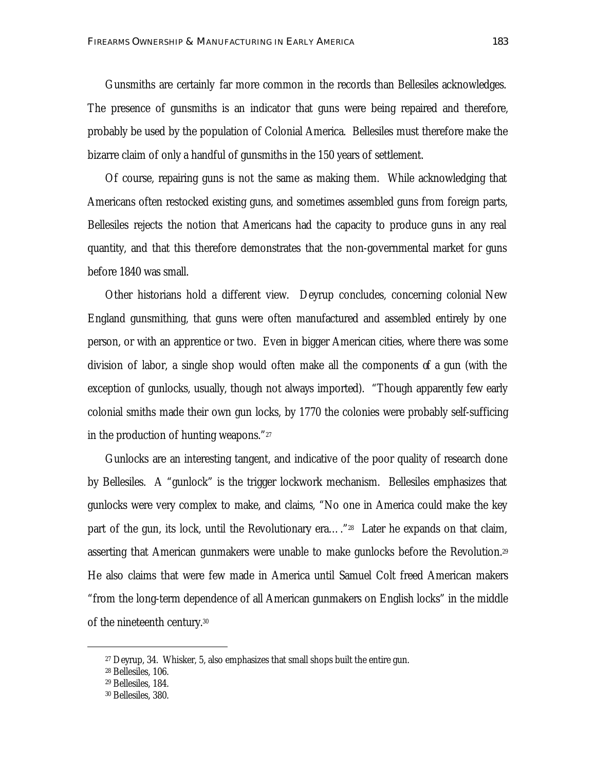Gunsmiths are certainly far more common in the records than Bellesiles acknowledges. The presence of gunsmiths is an indicator that guns were being repaired and therefore, probably be used by the population of Colonial America. Bellesiles must therefore make the bizarre claim of only a handful of gunsmiths in the 150 years of settlement.

Of course, repairing guns is not the same as making them. While acknowledging that Americans often restocked existing guns, and sometimes assembled guns from foreign parts, Bellesiles rejects the notion that Americans had the capacity to produce guns in any real quantity, and that this therefore demonstrates that the non-governmental market for guns before 1840 was small.

Other historians hold a different view. Deyrup concludes, concerning colonial New England gunsmithing, that guns were often manufactured and assembled entirely by one person, or with an apprentice or two. Even in bigger American cities, where there was some division of labor, a single shop would often make all the components of a gun (with the exception of gunlocks, usually, though not always imported). "Though apparently few early colonial smiths made their own gun locks, by 1770 the colonies were probably self-sufficing in the production of hunting weapons."<sup>27</sup>

Gunlocks are an interesting tangent, and indicative of the poor quality of research done by Bellesiles. A "gunlock" is the trigger lockwork mechanism. Bellesiles emphasizes that gunlocks were very complex to make, and claims, "No one in America could make the key part of the gun, its lock, until the Revolutionary era…."28 Later he expands on that claim, asserting that American gunmakers were unable to make gunlocks before the Revolution.<sup>29</sup> He also claims that were few made in America until Samuel Colt freed American makers "from the long-term dependence of all American gunmakers on English locks" in the middle of the nineteenth century.<sup>30</sup>

<sup>27</sup> Deyrup, 34. Whisker, 5, also emphasizes that small shops built the entire gun.

<sup>28</sup> Bellesiles, 106.

<sup>29</sup> Bellesiles, 184.

<sup>30</sup> Bellesiles, 380.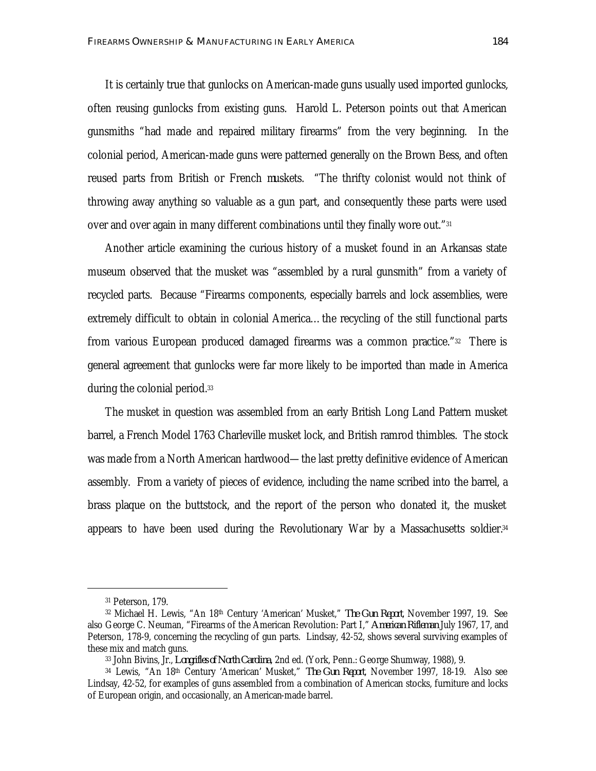It is certainly true that gunlocks on American-made guns usually used imported gunlocks, often reusing gunlocks from existing guns. Harold L. Peterson points out that American gunsmiths "had made and repaired military firearms" from the very beginning. In the colonial period, American-made guns were patterned generally on the Brown Bess, and often reused parts from British or French muskets. "The thrifty colonist would not think of throwing away anything so valuable as a gun part, and consequently these parts were used over and over again in many different combinations until they finally wore out."<sup>31</sup>

Another article examining the curious history of a musket found in an Arkansas state museum observed that the musket was "assembled by a rural gunsmith" from a variety of recycled parts. Because "Firearms components, especially barrels and lock assemblies, were extremely difficult to obtain in colonial America…the recycling of the still functional parts from various European produced damaged firearms was a common practice."32 There is general agreement that gunlocks were far more likely to be imported than made in America during the colonial period.<sup>33</sup>

The musket in question was assembled from an early British Long Land Pattern musket barrel, a French Model 1763 Charleville musket lock, and British ramrod thimbles. The stock was made from a North American hardwood—the last pretty definitive evidence of American assembly. From a variety of pieces of evidence, including the name scribed into the barrel, a brass plaque on the buttstock, and the report of the person who donated it, the musket appears to have been used during the Revolutionary War by a Massachusetts soldier.<sup>34</sup>

<sup>31</sup> Peterson, 179.

<sup>32</sup> Michael H. Lewis, "An 18th Century 'American' Musket," *The Gun Report*, November 1997, 19. See also George C. Neuman, "Firearms of the American Revolution: Part I," *American Rifleman* July 1967, 17, and Peterson, 178-9, concerning the recycling of gun parts. Lindsay, 42-52, shows several surviving examples of these mix and match guns.

<sup>33</sup> John Bivins, Jr., *Longrifles of North Carolina*, 2nd ed. (York, Penn.: George Shumway, 1988), 9.

<sup>34</sup> Lewis, "An 18th Century 'American' Musket," *The Gun Report*, November 1997, 18-19. Also see Lindsay, 42-52, for examples of guns assembled from a combination of American stocks, furniture and locks of European origin, and occasionally, an American-made barrel.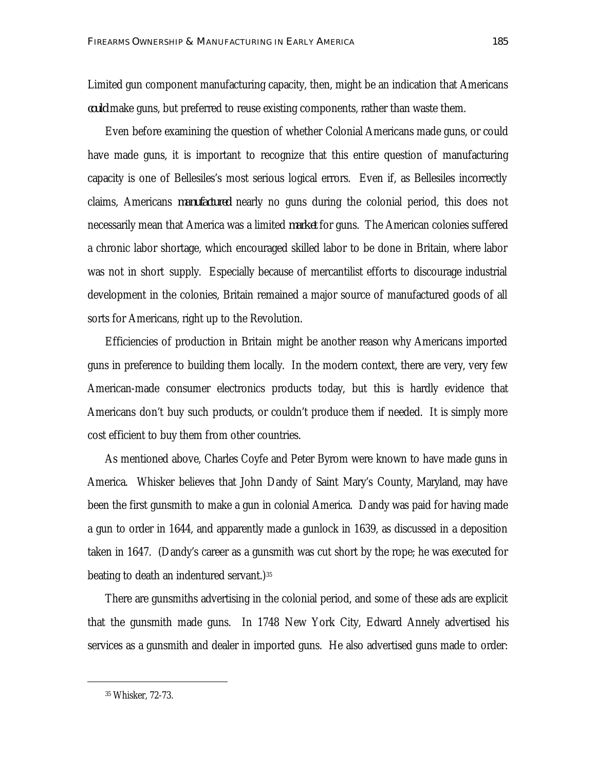Limited gun component manufacturing capacity, then, might be an indication that Americans *could* make guns, but preferred to reuse existing components, rather than waste them.

Even before examining the question of whether Colonial Americans made guns, or could have made guns, it is important to recognize that this entire question of manufacturing capacity is one of Bellesiles's most serious logical errors. Even if, as Bellesiles incorrectly claims, Americans *manufactured* nearly no guns during the colonial period, this does not necessarily mean that America was a limited *market* for guns. The American colonies suffered a chronic labor shortage, which encouraged skilled labor to be done in Britain, where labor was not in short supply. Especially because of mercantilist efforts to discourage industrial development in the colonies, Britain remained a major source of manufactured goods of all sorts for Americans, right up to the Revolution.

Efficiencies of production in Britain might be another reason why Americans imported guns in preference to building them locally. In the modern context, there are very, very few American-made consumer electronics products today, but this is hardly evidence that Americans don't buy such products, or couldn't produce them if needed. It is simply more cost efficient to buy them from other countries.

As mentioned above, Charles Coyfe and Peter Byrom were known to have made guns in America. Whisker believes that John Dandy of Saint Mary's County, Maryland, may have been the first gunsmith to make a gun in colonial America. Dandy was paid for having made a gun to order in 1644, and apparently made a gunlock in 1639, as discussed in a deposition taken in 1647. (Dandy's career as a gunsmith was cut short by the rope; he was executed for beating to death an indentured servant.)<sup>35</sup>

There are gunsmiths advertising in the colonial period, and some of these ads are explicit that the gunsmith made guns. In 1748 New York City, Edward Annely advertised his services as a gunsmith and dealer in imported guns. He also advertised guns made to order:

<sup>35</sup> Whisker, 72-73.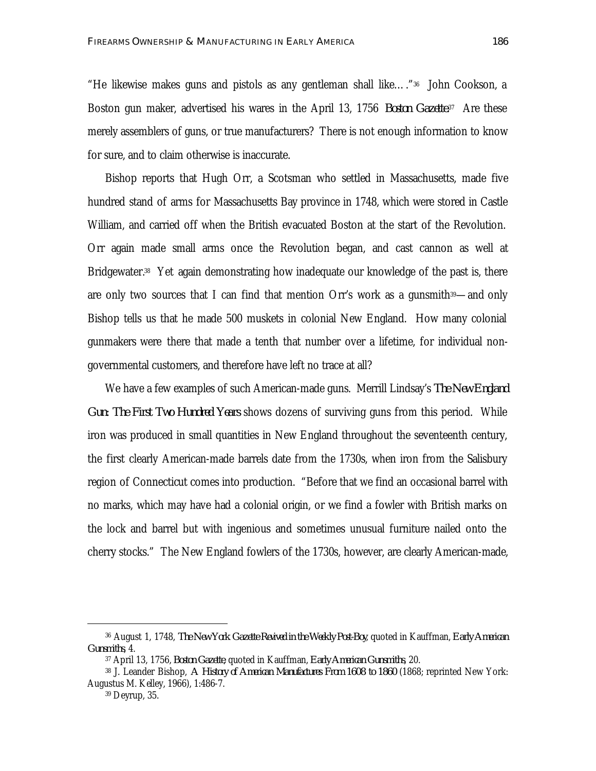"He likewise makes guns and pistols as any gentleman shall like…."36 John Cookson, a Boston gun maker, advertised his wares in the April 13, 1756 *Boston Gazette.*37 Are these merely assemblers of guns, or true manufacturers? There is not enough information to know for sure, and to claim otherwise is inaccurate.

Bishop reports that Hugh Orr, a Scotsman who settled in Massachusetts, made five hundred stand of arms for Massachusetts Bay province in 1748, which were stored in Castle William, and carried off when the British evacuated Boston at the start of the Revolution. Orr again made small arms once the Revolution began, and cast cannon as well at Bridgewater.38 Yet again demonstrating how inadequate our knowledge of the past is, there are only two sources that I can find that mention Orr's work as a gunsmith <sup>39</sup>—and only Bishop tells us that he made 500 muskets in colonial New England. How many colonial gunmakers were there that made a tenth that number over a lifetime, for individual nongovernmental customers, and therefore have left no trace at all?

We have a few examples of such American-made guns. Merrill Lindsay's *The New England Gun: The First Two Hundred Years* shows dozens of surviving guns from this period. While iron was produced in small quantities in New England throughout the seventeenth century, the first clearly American-made barrels date from the 1730s, when iron from the Salisbury region of Connecticut comes into production. "Before that we find an occasional barrel with no marks, which may have had a colonial origin, or we find a fowler with British marks on the lock and barrel but with ingenious and sometimes unusual furniture nailed onto the cherry stocks." The New England fowlers of the 1730s, however, are clearly American-made,

<sup>36</sup> August 1, 1748, *The New York Gazette Revived in the Weekly Post-Boy*, quoted in Kauffman, *Early American Gunsmiths*, 4.

<sup>37</sup> April 13, 1756, *Boston Gazette*, quoted in Kauffman, *Early American Gunsmiths*, 20.

<sup>38</sup> J. Leander Bishop, *A History of American Manufactures From 1608 to 1860* (1868; reprinted New York: Augustus M. Kelley, 1966), 1:486-7.

<sup>39</sup> Deyrup, 35.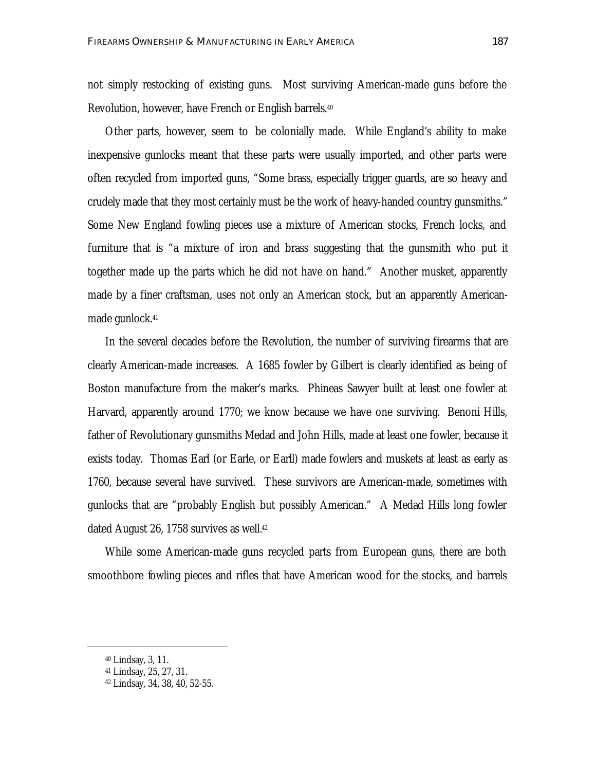not simply restocking of existing guns. Most surviving American-made guns before the Revolution, however, have French or English barrels.<sup>40</sup>

Other parts, however, seem to be colonially made. While England's ability to make inexpensive gunlocks meant that these parts were usually imported, and other parts were often recycled from imported guns, "Some brass, especially trigger guards, are so heavy and crudely made that they most certainly must be the work of heavy-handed country gunsmiths." Some New England fowling pieces use a mixture of American stocks, French locks, and furniture that is "a mixture of iron and brass suggesting that the gunsmith who put it together made up the parts which he did not have on hand." Another musket, apparently made by a finer craftsman, uses not only an American stock, but an apparently Americanmade gunlock.<sup>41</sup>

In the several decades before the Revolution, the number of surviving firearms that are clearly American-made increases. A 1685 fowler by Gilbert is clearly identified as being of Boston manufacture from the maker's marks. Phineas Sawyer built at least one fowler at Harvard, apparently around 1770; we know because we have one surviving. Benoni Hills, father of Revolutionary gunsmiths Medad and John Hills, made at least one fowler, because it exists today. Thomas Earl (or Earle, or Earll) made fowlers and muskets at least as early as 1760, because several have survived. These survivors are American-made, sometimes with gunlocks that are "probably English but possibly American." A Medad Hills long fowler dated August 26, 1758 survives as well.<sup>42</sup>

While some American-made guns recycled parts from European guns, there are both smoothbore fowling pieces and rifles that have American wood for the stocks, and barrels

<sup>40</sup> Lindsay, 3, 11.

<sup>41</sup> Lindsay, 25, 27, 31.

<sup>42</sup> Lindsay, 34, 38, 40, 52-55.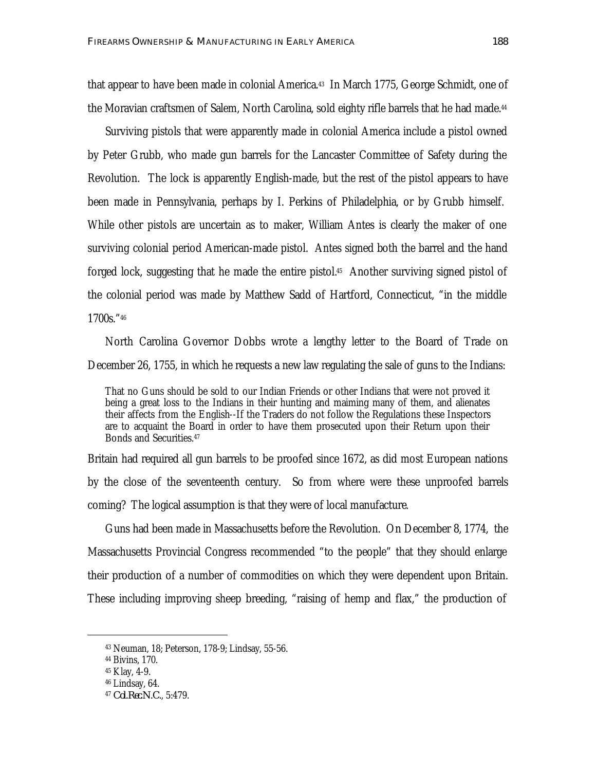that appear to have been made in colonial America.43 In March 1775, George Schmidt, one of the Moravian craftsmen of Salem, North Carolina, sold eighty rifle barrels that he had made.<sup>44</sup>

Surviving pistols that were apparently made in colonial America include a pistol owned by Peter Grubb, who made gun barrels for the Lancaster Committee of Safety during the Revolution. The lock is apparently English-made, but the rest of the pistol appears to have been made in Pennsylvania, perhaps by I. Perkins of Philadelphia, or by Grubb himself. While other pistols are uncertain as to maker, William Antes is clearly the maker of one surviving colonial period American-made pistol. Antes signed both the barrel and the hand forged lock, suggesting that he made the entire pistol.<sup>45</sup> Another surviving signed pistol of the colonial period was made by Matthew Sadd of Hartford, Connecticut, "in the middle 1700s."<sup>46</sup>

North Carolina Governor Dobbs wrote a lengthy letter to the Board of Trade on December 26, 1755, in which he requests a new law regulating the sale of guns to the Indians:

That no Guns should be sold to our Indian Friends or other Indians that were not proved it being a great loss to the Indians in their hunting and maiming many of them, and alienates their affects from the English--If the Traders do not follow the Regulations these Inspectors are to acquaint the Board in order to have them prosecuted upon their Return upon their Bonds and Securities.<sup>47</sup>

Britain had required all gun barrels to be proofed since 1672, as did most European nations by the close of the seventeenth century. So from where were these unproofed barrels coming? The logical assumption is that they were of local manufacture.

Guns had been made in Massachusetts before the Revolution. On December 8, 1774, the Massachusetts Provincial Congress recommended "to the people" that they should enlarge their production of a number of commodities on which they were dependent upon Britain. These including improving sheep breeding, "raising of hemp and flax," the production of

<sup>43</sup> Neuman, 18; Peterson, 178-9; Lindsay, 55-56.

<sup>44</sup> Bivins, 170.

<sup>45</sup> Klay, 4-9.

<sup>46</sup> Lindsay, 64.

<sup>47</sup> *Col.Rec.N.C.*, 5:479.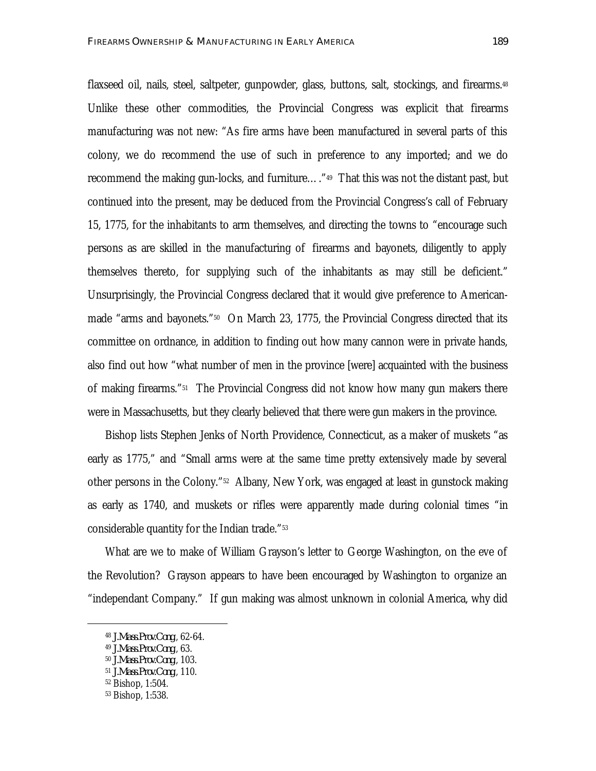flaxseed oil, nails, steel, saltpeter, gunpowder, glass, buttons, salt, stockings, and firearms.<sup>48</sup> Unlike these other commodities, the Provincial Congress was explicit that firearms manufacturing was not new: "As fire arms have been manufactured in several parts of this colony, we do recommend the use of such in preference to any imported; and we do recommend the making gun-locks, and furniture…."49 That this was not the distant past, but continued into the present, may be deduced from the Provincial Congress's call of February 15, 1775, for the inhabitants to arm themselves, and directing the towns to "encourage such persons as are skilled in the manufacturing of firearms and bayonets, diligently to apply themselves thereto, for supplying such of the inhabitants as may still be deficient." Unsurprisingly, the Provincial Congress declared that it would give preference to Americanmade "arms and bayonets."<sup>50</sup> On March 23, 1775, the Provincial Congress directed that its committee on ordnance, in addition to finding out how many cannon were in private hands, also find out how "what number of men in the province [were] acquainted with the business of making firearms."<sup>51</sup> The Provincial Congress did not know how many gun makers there were in Massachusetts, but they clearly believed that there were gun makers in the province.

Bishop lists Stephen Jenks of North Providence, Connecticut, as a maker of muskets "as early as 1775," and "Small arms were at the same time pretty extensively made by several other persons in the Colony."52 Albany, New York, was engaged at least in gunstock making as early as 1740, and muskets or rifles were apparently made during colonial times "in considerable quantity for the Indian trade."<sup>53</sup>

What are we to make of William Grayson's letter to George Washington, on the eve of the Revolution? Grayson appears to have been encouraged by Washington to organize an "independant Company." If gun making was almost unknown in colonial America, why did

<sup>48</sup> *J.Mass.Prov.Cong.*, 62-64.

<sup>49</sup> *J.Mass.Prov.Cong.*, 63.

<sup>50</sup> *J.Mass.Prov.Cong.*, 103.

<sup>51</sup> *J.Mass.Prov.Cong.*, 110.

<sup>52</sup> Bishop, 1:504.

<sup>53</sup> Bishop, 1:538.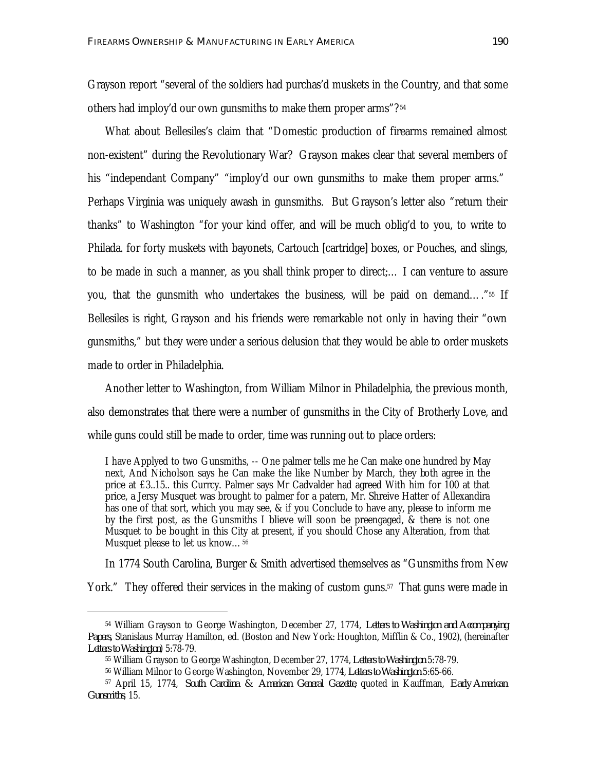Grayson report "several of the soldiers had purchas'd muskets in the Country, and that some others had imploy'd our own gunsmiths to make them proper arms"? <sup>54</sup>

What about Bellesiles's claim that "Domestic production of firearms remained almost non-existent" during the Revolutionary War? Grayson makes clear that several members of his "independant Company" "imploy'd our own gunsmiths to make them proper arms." Perhaps Virginia was uniquely awash in gunsmiths. But Grayson's letter also "return their thanks" to Washington "for your kind offer, and will be much oblig'd to you, to write to Philada. for forty muskets with bayonets, Cartouch [cartridge] boxes, or Pouches, and slings, to be made in such a manner, as you shall think proper to direct;… I can venture to assure you, that the gunsmith who undertakes the business, will be paid on demand...."<sup>55</sup> If Bellesiles is right, Grayson and his friends were remarkable not only in having their "own gunsmiths," but they were under a serious delusion that they would be able to order muskets made to order in Philadelphia.

Another letter to Washington, from William Milnor in Philadelphia, the previous month, also demonstrates that there were a number of gunsmiths in the City of Brotherly Love, and while guns could still be made to order, time was running out to place orders:

I have Applyed to two Gunsmiths, -- One palmer tells me he Can make one hundred by May next, And Nicholson says he Can make the like Number by March, they both agree in the price at £3..15.. this Currcy. Palmer says Mr Cadvalder had agreed With him for 100 at that price, a Jersy Musquet was brought to palmer for a patern, Mr. Shreive Hatter of Allexandira has one of that sort, which you may see, & if you Conclude to have any, please to inform me by the first post, as the Gunsmiths I blieve will soon be preengaged, & there is not one Musquet to be bought in this City at present, if you should Chose any Alteration, from that Musquet please to let us know…<sup>56</sup>

In 1774 South Carolina, Burger & Smith advertised themselves as "Gunsmiths from New York." They offered their services in the making of custom guns.<sup>57</sup> That guns were made in

<sup>54</sup> William Grayson to George Washington, December 27, 1774, *Letters to Washington and Accompanying Papers,* Stanislaus Murray Hamilton, ed. (Boston and New York: Houghton, Mifflin & Co., 1902), (hereinafter *Letters to Washington*) 5:78-79.

<sup>55</sup> William Grayson to George Washington, December 27, 1774, *Letters to Washington* 5:78-79.

<sup>56</sup> William Milnor to George Washington, November 29, 1774, *Letters to Washington* 5:65-66.

<sup>57</sup> April 15, 1774, *South Carolina & American General Gazette*, quoted in Kauffman, *Early American Gunsmiths*, 15.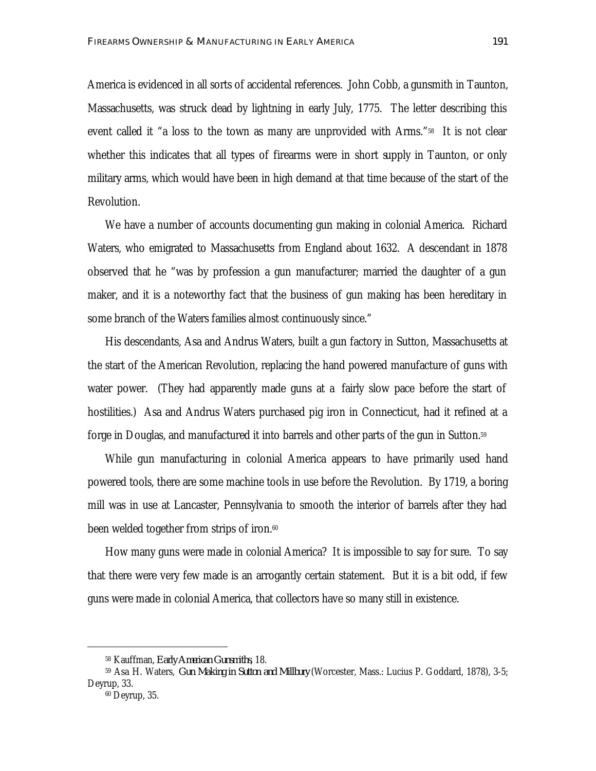America is evidenced in all sorts of accidental references. John Cobb, a gunsmith in Taunton, Massachusetts, was struck dead by lightning in early July, 1775. The letter describing this event called it "a loss to the town as many are unprovided with Arms."58 It is not clear whether this indicates that all types of firearms were in short supply in Taunton, or only military arms, which would have been in high demand at that time because of the start of the Revolution.

We have a number of accounts documenting gun making in colonial America. Richard Waters, who emigrated to Massachusetts from England about 1632. A descendant in 1878 observed that he "was by profession a gun manufacturer; married the daughter of a gun maker, and it is a noteworthy fact that the business of gun making has been hereditary in some branch of the Waters families almost continuously since."

His descendants, Asa and Andrus Waters, built a gun factory in Sutton, Massachusetts at the start of the American Revolution, replacing the hand powered manufacture of guns with water power. (They had apparently made guns at a fairly slow pace before the start of hostilities.) Asa and Andrus Waters purchased pig iron in Connecticut, had it refined at a forge in Douglas, and manufactured it into barrels and other parts of the gun in Sutton.<sup>59</sup>

While gun manufacturing in colonial America appears to have primarily used hand powered tools, there are some machine tools in use before the Revolution. By 1719, a boring mill was in use at Lancaster, Pennsylvania to smooth the interior of barrels after they had been welded together from strips of iron.<sup>60</sup>

How many guns were made in colonial America? It is impossible to say for sure. To say that there were very few made is an arrogantly certain statement. But it is a bit odd, if few guns were made in colonial America, that collectors have so many still in existence.

<sup>58</sup> Kauffman, *Early American Gunsmiths*, 18.

<sup>59</sup> Asa H. Waters, *Gun Making in Sutton and Millbury* (Worcester, Mass.: Lucius P. Goddard, 1878), 3-5; Deyrup, 33.

<sup>60</sup> Deyrup, 35.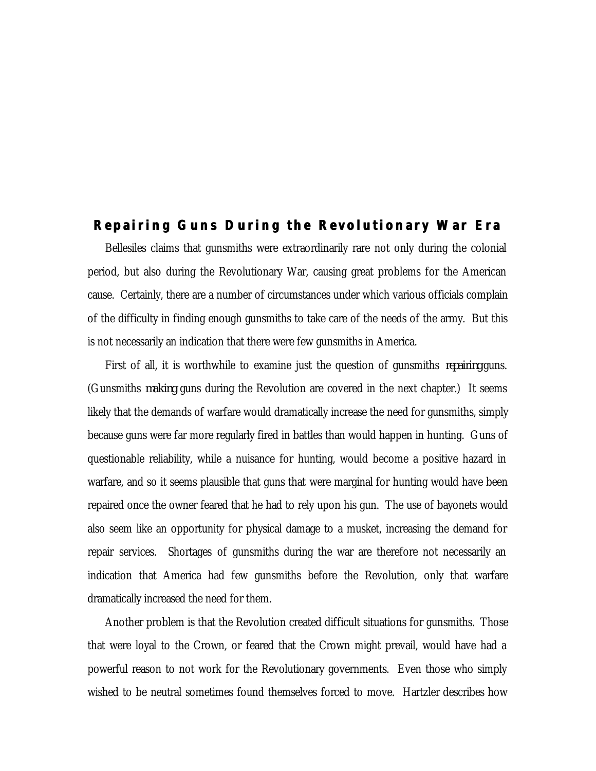## **Repairing Guns During the Revolutionary War Era**

Bellesiles claims that gunsmiths were extraordinarily rare not only during the colonial period, but also during the Revolutionary War, causing great problems for the American cause. Certainly, there are a number of circumstances under which various officials complain of the difficulty in finding enough gunsmiths to take care of the needs of the army. But this is not necessarily an indication that there were few gunsmiths in America.

First of all, it is worthwhile to examine just the question of gunsmiths *repairing* guns. (Gunsmiths *making* guns during the Revolution are covered in the next chapter.) It seems likely that the demands of warfare would dramatically increase the need for gunsmiths, simply because guns were far more regularly fired in battles than would happen in hunting. Guns of questionable reliability, while a nuisance for hunting, would become a positive hazard in warfare, and so it seems plausible that guns that were marginal for hunting would have been repaired once the owner feared that he had to rely upon his gun. The use of bayonets would also seem like an opportunity for physical damage to a musket, increasing the demand for repair services. Shortages of gunsmiths during the war are therefore not necessarily an indication that America had few gunsmiths before the Revolution, only that warfare dramatically increased the need for them.

Another problem is that the Revolution created difficult situations for gunsmiths. Those that were loyal to the Crown, or feared that the Crown might prevail, would have had a powerful reason to not work for the Revolutionary governments. Even those who simply wished to be neutral sometimes found themselves forced to move. Hartzler describes how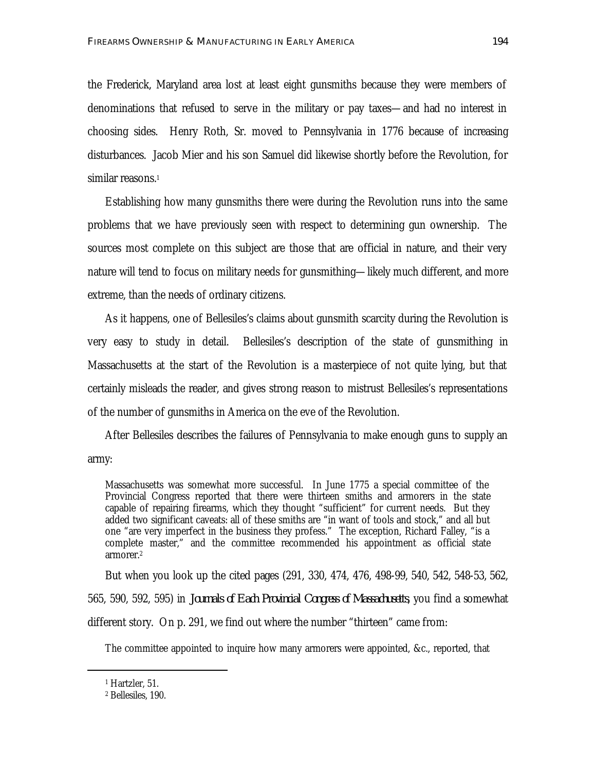the Frederick, Maryland area lost at least eight gunsmiths because they were members of denominations that refused to serve in the military or pay taxes—and had no interest in choosing sides. Henry Roth, Sr. moved to Pennsylvania in 1776 because of increasing disturbances. Jacob Mier and his son Samuel did likewise shortly before the Revolution, for similar reasons.<sup>1</sup>

Establishing how many gunsmiths there were during the Revolution runs into the same problems that we have previously seen with respect to determining gun ownership. The sources most complete on this subject are those that are official in nature, and their very nature will tend to focus on military needs for gunsmithing—likely much different, and more extreme, than the needs of ordinary citizens.

As it happens, one of Bellesiles's claims about gunsmith scarcity during the Revolution is very easy to study in detail. Bellesiles's description of the state of gunsmithing in Massachusetts at the start of the Revolution is a masterpiece of not quite lying, but that certainly misleads the reader, and gives strong reason to mistrust Bellesiles's representations of the number of gunsmiths in America on the eve of the Revolution.

After Bellesiles describes the failures of Pennsylvania to make enough guns to supply an army:

Massachusetts was somewhat more successful. In June 1775 a special committee of the Provincial Congress reported that there were thirteen smiths and armorers in the state capable of repairing firearms, which they thought "sufficient" for current needs. But they added two significant caveats: all of these smiths are "in want of tools and stock," and all but one "are very imperfect in the business they profess." The exception, Richard Falley, "is a complete master," and the committee recommended his appointment as official state armorer.<sup>2</sup>

But when you look up the cited pages (291, 330, 474, 476, 498-99, 540, 542, 548-53, 562, 565, 590, 592, 595) in *Journals of Each Provincial Congress of Massachusetts*, you find a somewhat different story. On p. 291, we find out where the number "thirteen" came from:

The committee appointed to inquire how many armorers were appointed, &c., reported, that

<sup>1</sup> Hartzler, 51.

<sup>2</sup> Bellesiles, 190.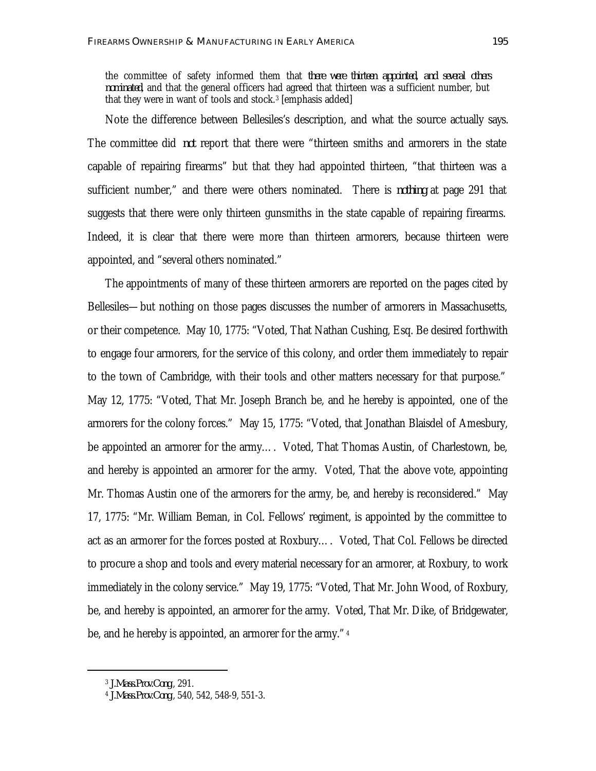the committee of safety informed them that *there were thirteen appointed, and several others nominated*, and that the general officers had agreed that thirteen was a sufficient number, but that they were in want of tools and stock.<sup>3</sup> [emphasis added]

Note the difference between Bellesiles's description, and what the source actually says. The committee did *not* report that there were "thirteen smiths and armorers in the state capable of repairing firearms" but that they had appointed thirteen, "that thirteen was a sufficient number," and there were others nominated. There is *nothing* at page 291 that suggests that there were only thirteen gunsmiths in the state capable of repairing firearms. Indeed, it is clear that there were more than thirteen armorers, because thirteen were appointed, and "several others nominated."

The appointments of many of these thirteen armorers are reported on the pages cited by Bellesiles—but nothing on those pages discusses the number of armorers in Massachusetts, or their competence. May 10, 1775: "Voted, That Nathan Cushing, Esq. Be desired forthwith to engage four armorers, for the service of this colony, and order them immediately to repair to the town of Cambridge, with their tools and other matters necessary for that purpose." May 12, 1775: "Voted, That Mr. Joseph Branch be, and he hereby is appointed, one of the armorers for the colony forces." May 15, 1775: "Voted, that Jonathan Blaisdel of Amesbury, be appointed an armorer for the army…. Voted, That Thomas Austin, of Charlestown, be, and hereby is appointed an armorer for the army. Voted, That the above vote, appointing Mr. Thomas Austin one of the armorers for the army, be, and hereby is reconsidered." May 17, 1775: "Mr. William Beman, in Col. Fellows' regiment, is appointed by the committee to act as an armorer for the forces posted at Roxbury…. Voted, That Col. Fellows be directed to procure a shop and tools and every material necessary for an armorer, at Roxbury, to work immediately in the colony service." May 19, 1775: "Voted, That Mr. John Wood, of Roxbury, be, and hereby is appointed, an armorer for the army. Voted, That Mr. Dike, of Bridgewater, be, and he hereby is appointed, an armorer for the army." <sup>4</sup>

<sup>3</sup> *J.Mass.Prov.Cong.*, 291.

<sup>4</sup> *J.Mass.Prov.Cong.*, 540, 542, 548-9, 551-3.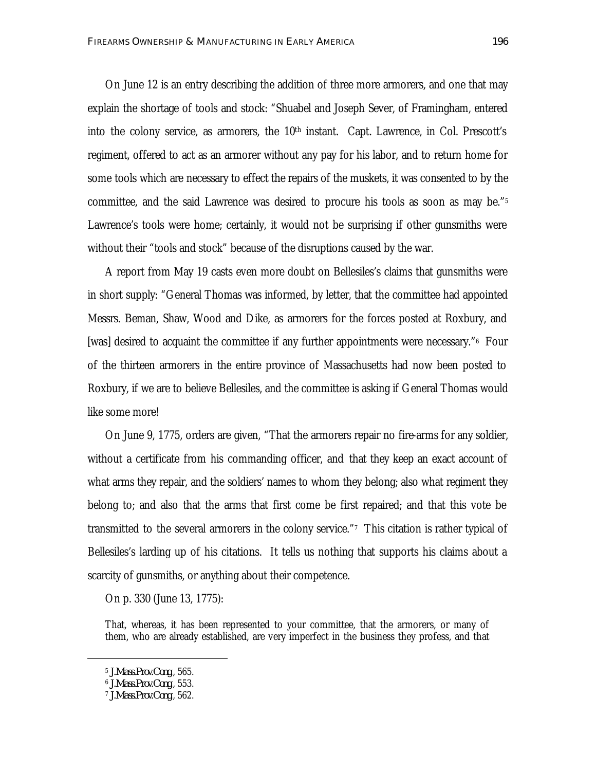On June 12 is an entry describing the addition of three more armorers, and one that may explain the shortage of tools and stock: "Shuabel and Joseph Sever, of Framingham, entered into the colony service, as armorers, the 10<sup>th</sup> instant. Capt. Lawrence, in Col. Prescott's regiment, offered to act as an armorer without any pay for his labor, and to return home for some tools which are necessary to effect the repairs of the muskets, it was consented to by the committee, and the said Lawrence was desired to procure his tools as soon as may be."<sup>5</sup> Lawrence's tools were home; certainly, it would not be surprising if other gunsmiths were without their "tools and stock" because of the disruptions caused by the war.

A report from May 19 casts even more doubt on Bellesiles's claims that gunsmiths were in short supply: "General Thomas was informed, by letter, that the committee had appointed Messrs. Beman, Shaw, Wood and Dike, as armorers for the forces posted at Roxbury, and [was] desired to acquaint the committee if any further appointments were necessary."<sup>6</sup> Four of the thirteen armorers in the entire province of Massachusetts had now been posted to Roxbury, if we are to believe Bellesiles, and the committee is asking if General Thomas would like some more!

On June 9, 1775, orders are given, "That the armorers repair no fire-arms for any soldier, without a certificate from his commanding officer, and that they keep an exact account of what arms they repair, and the soldiers' names to whom they belong; also what regiment they belong to; and also that the arms that first come be first repaired; and that this vote be transmitted to the several armorers in the colony service."<sup>7</sup> This citation is rather typical of Bellesiles's larding up of his citations. It tells us nothing that supports his claims about a scarcity of gunsmiths, or anything about their competence.

On p. 330 (June 13, 1775):

That, whereas, it has been represented to your committee, that the armorers, or many of them, who are already established, are very imperfect in the business they profess, and that

<sup>5</sup> *J.Mass.Prov.Cong.*, 565.

<sup>6</sup> *J.Mass.Prov.Cong.*, 553.

<sup>7</sup> *J.Mass.Prov.Cong.*, 562.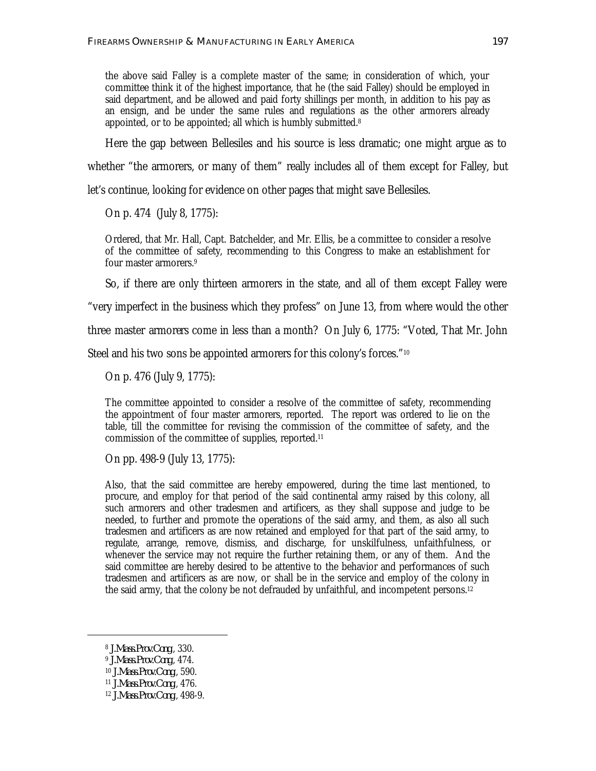the above said Falley is a complete master of the same; in consideration of which, your committee think it of the highest importance, that he (the said Falley) should be employed in said department, and be allowed and paid forty shillings per month, in addition to his pay as an ensign, and be under the same rules and regulations as the other armorers already appointed, or to be appointed; all which is humbly submitted.<sup>8</sup>

Here the gap between Bellesiles and his source is less dramatic; one might argue as to

whether "the armorers, or many of them" really includes all of them except for Falley, but

let's continue, looking for evidence on other pages that might save Bellesiles.

On p. 474 (July 8, 1775):

Ordered, that Mr. Hall, Capt. Batchelder, and Mr. Ellis, be a committee to consider a resolve of the committee of safety, recommending to this Congress to make an establishment for four master armorers.<sup>9</sup>

So, if there are only thirteen armorers in the state, and all of them except Falley were

"very imperfect in the business which they profess" on June 13, from where would the other

three master armorers come in less than a month? On July 6, 1775: "Voted, That Mr. John

Steel and his two sons be appointed armorers for this colony's forces."<sup>10</sup>

On p. 476 (July 9, 1775):

The committee appointed to consider a resolve of the committee of safety, recommending the appointment of four master armorers, reported. The report was ordered to lie on the table, till the committee for revising the commission of the committee of safety, and the commission of the committee of supplies, reported.<sup>11</sup>

On pp. 498-9 (July 13, 1775):

Also, that the said committee are hereby empowered, during the time last mentioned, to procure, and employ for that period of the said continental army raised by this colony, all such armorers and other tradesmen and artificers, as they shall suppose and judge to be needed, to further and promote the operations of the said army, and them, as also all such tradesmen and artificers as are now retained and employed for that part of the said army, to regulate, arrange, remove, dismiss, and discharge, for unskilfulness, unfaithfulness, or whenever the service may not require the further retaining them, or any of them. And the said committee are hereby desired to be attentive to the behavior and performances of such tradesmen and artificers as are now, or shall be in the service and employ of the colony in the said army, that the colony be not defrauded by unfaithful, and incompetent persons.<sup>12</sup>

<sup>8</sup> *J.Mass.Prov.Cong.*, 330.

<sup>9</sup> *J.Mass.Prov.Cong.*, 474.

<sup>10</sup> *J.Mass.Prov.Cong.*, 590.

<sup>11</sup> *J.Mass.Prov.Cong.*, 476.

<sup>12</sup> *J.Mass.Prov.Cong.*, 498-9.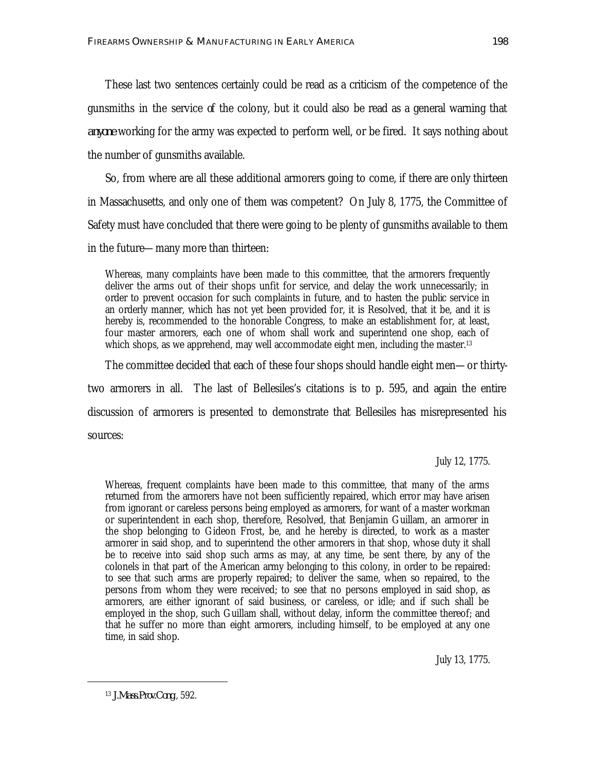These last two sentences certainly could be read as a criticism of the competence of the gunsmiths in the service of the colony, but it could also be read as a general warning that *anyone* working for the army was expected to perform well, or be fired. It says nothing about the number of gunsmiths available.

So, from where are all these additional armorers going to come, if there are only thirteen in Massachusetts, and only one of them was competent? On July 8, 1775, the Committee of Safety must have concluded that there were going to be plenty of gunsmiths available to them in the future—many more than thirteen:

Whereas, many complaints have been made to this committee, that the armorers frequently deliver the arms out of their shops unfit for service, and delay the work unnecessarily; in order to prevent occasion for such complaints in future, and to hasten the public service in an orderly manner, which has not yet been provided for, it is Resolved, that it be, and it is hereby is, recommended to the honorable Congress, to make an establishment for, at least, four master armorers, each one of whom shall work and superintend one shop, each of which shops, as we apprehend, may well accommodate eight men, including the master.<sup>13</sup>

The committee decided that each of these four shops should handle eight men—or thirtytwo armorers in all. The last of Bellesiles's citations is to p. 595, and again the entire discussion of armorers is presented to demonstrate that Bellesiles has misrepresented his sources:

July 12, 1775.

Whereas, frequent complaints have been made to this committee, that many of the arms returned from the armorers have not been sufficiently repaired, which error may have arisen from ignorant or careless persons being employed as armorers, for want of a master workman or superintendent in each shop, therefore, Resolved, that Benjamin Guillam, an armorer in the shop belonging to Gideon Frost, be, and he hereby is directed, to work as a master armorer in said shop, and to superintend the other armorers in that shop, whose duty it shall be to receive into said shop such arms as may, at any time, be sent there, by any of the colonels in that part of the American army belonging to this colony, in order to be repaired: to see that such arms are properly repaired; to deliver the same, when so repaired, to the persons from whom they were received; to see that no persons employed in said shop, as armorers, are either ignorant of said business, or careless, or idle; and if such shall be employed in the shop, such Guillam shall, without delay, inform the committee thereof; and that he suffer no more than eight armorers, including himself, to be employed at any one time, in said shop.

July 13, 1775.

<sup>13</sup> *J.Mass.Prov.Cong.*, 592.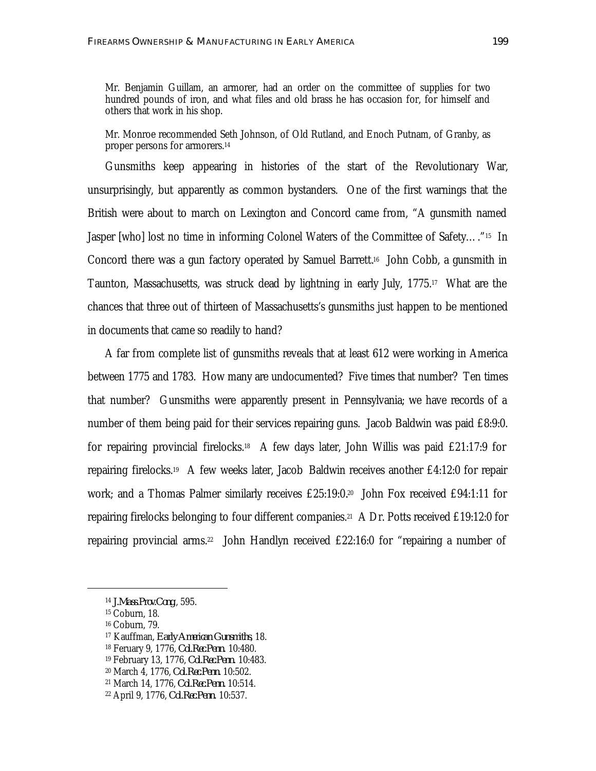Mr. Benjamin Guillam, an armorer, had an order on the committee of supplies for two hundred pounds of iron, and what files and old brass he has occasion for, for himself and others that work in his shop.

Mr. Monroe recommended Seth Johnson, of Old Rutland, and Enoch Putnam, of Granby, as proper persons for armorers.<sup>14</sup>

Gunsmiths keep appearing in histories of the start of the Revolutionary War, unsurprisingly, but apparently as common bystanders. One of the first warnings that the British were about to march on Lexington and Concord came from, "A gunsmith named Jasper [who] lost no time in informing Colonel Waters of the Committee of Safety…."15 In Concord there was a gun factory operated by Samuel Barrett.16 John Cobb, a gunsmith in Taunton, Massachusetts, was struck dead by lightning in early July, 1775.17 What are the chances that three out of thirteen of Massachusetts's gunsmiths just happen to be mentioned in documents that came so readily to hand?

A far from complete list of gunsmiths reveals that at least 612 were working in America between 1775 and 1783. How many are undocumented? Five times that number? Ten times that number? Gunsmiths were apparently present in Pennsylvania; we have records of a number of them being paid for their services repairing guns. Jacob Baldwin was paid £8:9:0. for repairing provincial firelocks.18 A few days later, John Willis was paid £21:17:9 for repairing firelocks.19 A few weeks later, Jacob Baldwin receives another £4:12:0 for repair work; and a Thomas Palmer similarly receives £25:19:0.<sup>20</sup> John Fox received £94:1:11 for repairing firelocks belonging to four different companies.21 A Dr. Potts received £19:12:0 for repairing provincial arms.<sup>22</sup> John Handlyn received £22:16:0 for "repairing a number of

<sup>14</sup> *J.Mass.Prov.Cong.*, 595.

<sup>15</sup> Coburn, 18.

<sup>16</sup> Coburn, 79.

<sup>17</sup> Kauffman, *Early American Gunsmiths*, 18.

<sup>18</sup> Feruary 9, 1776, *Col.Rec.Penn.* 10:480.

<sup>19</sup> February 13, 1776, *Col.Rec.Penn.* 10:483.

<sup>20</sup> March 4, 1776, *Col.Rec.Penn.* 10:502.

<sup>21</sup> March 14, 1776, *Col.Rec.Penn.* 10:514.

<sup>22</sup> April 9, 1776, *Col.Rec.Penn.* 10:537.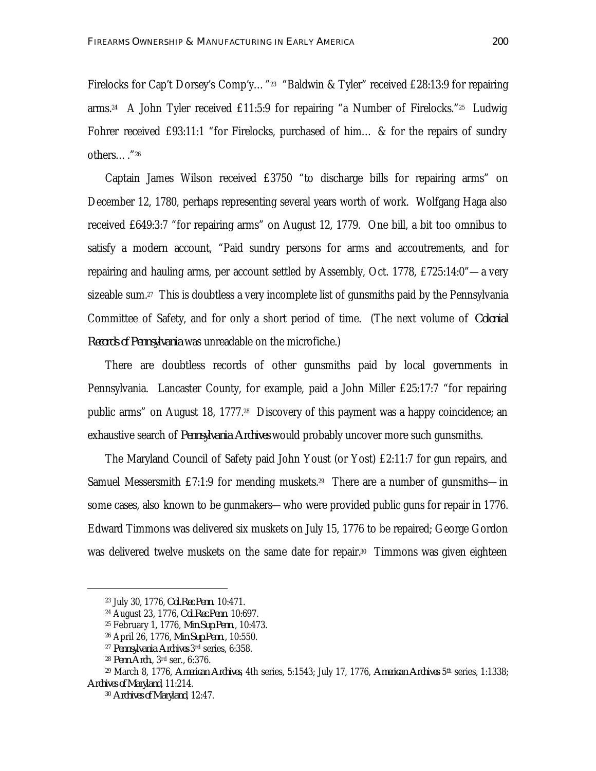Firelocks for Cap't Dorsey's Comp'y..."<sup>23</sup> "Baldwin & Tyler" received £28:13:9 for repairing arms.24 A John Tyler received £11:5:9 for repairing "a Number of Firelocks."25 Ludwig Fohrer received £93:11:1 "for Firelocks, purchased of him… & for the repairs of sundry others…."<sup>26</sup>

Captain James Wilson received £3750 "to discharge bills for repairing arms" on December 12, 1780, perhaps representing several years worth of work. Wolfgang Haga also received £649:3:7 "for repairing arms" on August 12, 1779. One bill, a bit too omnibus to satisfy a modern account, "Paid sundry persons for arms and accoutrements, and for repairing and hauling arms, per account settled by Assembly, Oct. 1778, £725:14:0"—a very sizeable sum.<sup>27</sup> This is doubtless a very incomplete list of gunsmiths paid by the Pennsylvania Committee of Safety, and for only a short period of time. (The next volume of *Colonial Records of Pennsylvania* was unreadable on the microfiche.)

There are doubtless records of other gunsmiths paid by local governments in Pennsylvania. Lancaster County, for example, paid a John Miller £25:17:7 "for repairing public arms" on August 18, 1777.28 Discovery of this payment was a happy coincidence; an exhaustive search of *Pennsylvania Archives* would probably uncover more such gunsmiths.

The Maryland Council of Safety paid John Youst (or Yost) £2:11:7 for gun repairs, and Samuel Messersmith £7:1:9 for mending muskets.29 There are a number of gunsmiths—in some cases, also known to be gunmakers—who were provided public guns for repair in 1776. Edward Timmons was delivered six muskets on July 15, 1776 to be repaired; George Gordon was delivered twelve muskets on the same date for repair.<sup>30</sup> Timmons was given eighteen

<sup>23</sup> July 30, 1776, *Col.Rec.Penn.* 10:471.

<sup>24</sup> August 23, 1776, *Col.Rec.Penn.* 10:697.

<sup>25</sup> February 1, 1776, *Min.Sup.Penn.*, 10:473.

<sup>26</sup> April 26, 1776, *Min.Sup.Penn.*, 10:550.

<sup>27</sup> *Pennsylvania Archives* 3rd series, 6:358.

<sup>28</sup> *Penn.Arch.*, 3rd ser., 6:376.

<sup>29</sup> March 8, 1776, *American Archives*, 4th series, 5:1543; July 17, 1776, *American Archives* 5 th series, 1:1338; *Archives of Maryland*, 11:214.

<sup>30</sup> *Archives of Maryland*, 12:47.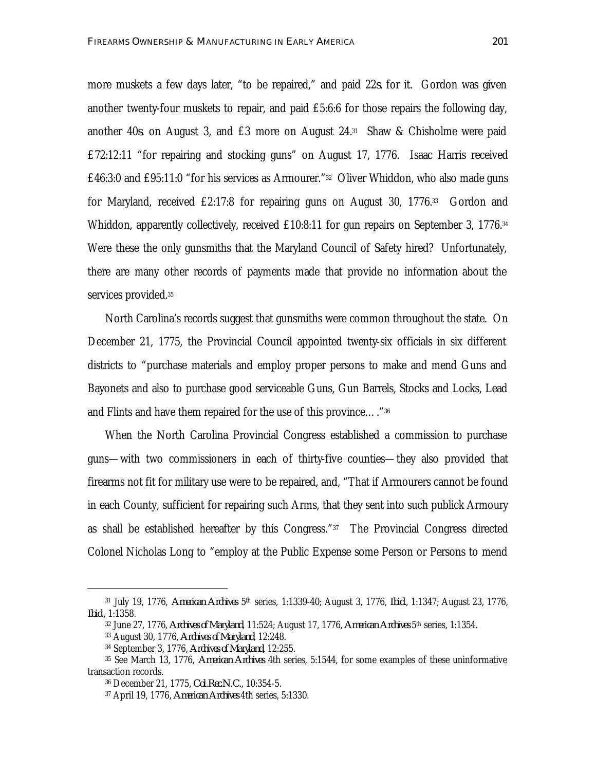more muskets a few days later, "to be repaired," and paid 22*s.* for it. Gordon was given another twenty-four muskets to repair, and paid £5:6:6 for those repairs the following day, another 40*s.* on August 3, and £3 more on August 24.31 Shaw & Chisholme were paid £72:12:11 "for repairing and stocking guns" on August 17, 1776. Isaac Harris received £46:3:0 and £95:11:0 "for his services as Armourer."32 Oliver Whiddon, who also made guns for Maryland, received £2:17:8 for repairing guns on August 30, 1776.33 Gordon and Whiddon, apparently collectively, received £10:8:11 for gun repairs on September 3, 1776.<sup>34</sup> Were these the only gunsmiths that the Maryland Council of Safety hired? Unfortunately, there are many other records of payments made that provide no information about the services provided.<sup>35</sup>

North Carolina's records suggest that gunsmiths were common throughout the state. On December 21, 1775, the Provincial Council appointed twenty-six officials in six different districts to "purchase materials and employ proper persons to make and mend Guns and Bayonets and also to purchase good serviceable Guns, Gun Barrels, Stocks and Locks, Lead and Flints and have them repaired for the use of this province…."<sup>36</sup>

When the North Carolina Provincial Congress established a commission to purchase guns—with two commissioners in each of thirty-five counties—they also provided that firearms not fit for military use were to be repaired, and, "That if Armourers cannot be found in each County, sufficient for repairing such Arms, that they sent into such publick Armoury as shall be established hereafter by this Congress."<sup>37</sup> The Provincial Congress directed Colonel Nicholas Long to "employ at the Public Expense some Person or Persons to mend

<sup>31</sup> July 19, 1776, *American Archives* 5 th series, 1:1339-40; August 3, 1776, *Ibid.*, 1:1347; August 23, 1776, *Ibid.*, 1:1358.

<sup>32</sup> June 27, 1776, *Archives of Maryland*, 11:524; August 17, 1776, *American Archives* 5 th series, 1:1354.

<sup>33</sup> August 30, 1776, *Archives of Maryland*, 12:248.

<sup>34</sup> September 3, 1776, *Archives of Maryland*, 12:255.

<sup>35</sup> See March 13, 1776, *American Archives* 4th series, 5:1544, for some examples of these uninformative transaction records.

<sup>36</sup> December 21, 1775, *Col.Rec.N.C.*, 10:354-5.

<sup>37</sup> April 19, 1776, *American Archives* 4th series, 5:1330.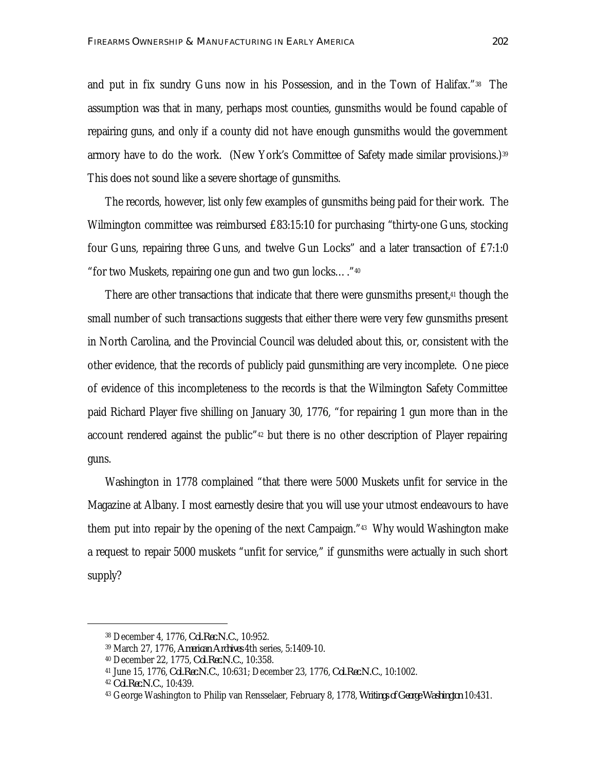and put in fix sundry Guns now in his Possession, and in the Town of Halifax."38 The assumption was that in many, perhaps most counties, gunsmiths would be found capable of repairing guns, and only if a county did not have enough gunsmiths would the government armory have to do the work. (New York's Committee of Safety made similar provisions.)<sup>39</sup> This does not sound like a severe shortage of gunsmiths.

The records, however, list only few examples of gunsmiths being paid for their work. The Wilmington committee was reimbursed £83:15:10 for purchasing "thirty-one Guns, stocking four Guns, repairing three Guns, and twelve Gun Locks" and a later transaction of £7:1:0 "for two Muskets, repairing one gun and two gun locks…."<sup>40</sup>

There are other transactions that indicate that there were gunsmiths present,<sup>41</sup> though the small number of such transactions suggests that either there were very few gunsmiths present in North Carolina, and the Provincial Council was deluded about this, or, consistent with the other evidence, that the records of publicly paid gunsmithing are very incomplete. One piece of evidence of this incompleteness to the records is that the Wilmington Safety Committee paid Richard Player five shilling on January 30, 1776, "for repairing 1 gun more than in the account rendered against the public<sup>"42</sup> but there is no other description of Player repairing guns.

Washington in 1778 complained "that there were 5000 Muskets unfit for service in the Magazine at Albany. I most earnestly desire that you will use your utmost endeavours to have them put into repair by the opening of the next Campaign."43 Why would Washington make a request to repair 5000 muskets "unfit for service," if gunsmiths were actually in such short supply?

<sup>38</sup> December 4, 1776, *Col.Rec.N.C.*, 10:952.

<sup>39</sup> March 27, 1776, *American Archives* 4th series, 5:1409-10.

<sup>40</sup> December 22, 1775, *Col.Rec.N.C.*, 10:358.

<sup>41</sup> June 15, 1776, *Col.Rec.N.C.*, 10:631; December 23, 1776, *Col.Rec.N.C.*, 10:1002.

<sup>42</sup> *Col.Rec.N.C.*, 10:439.

<sup>43</sup> George Washington to Philip van Rensselaer, February 8, 1778, *Writings of George Washington* 10:431.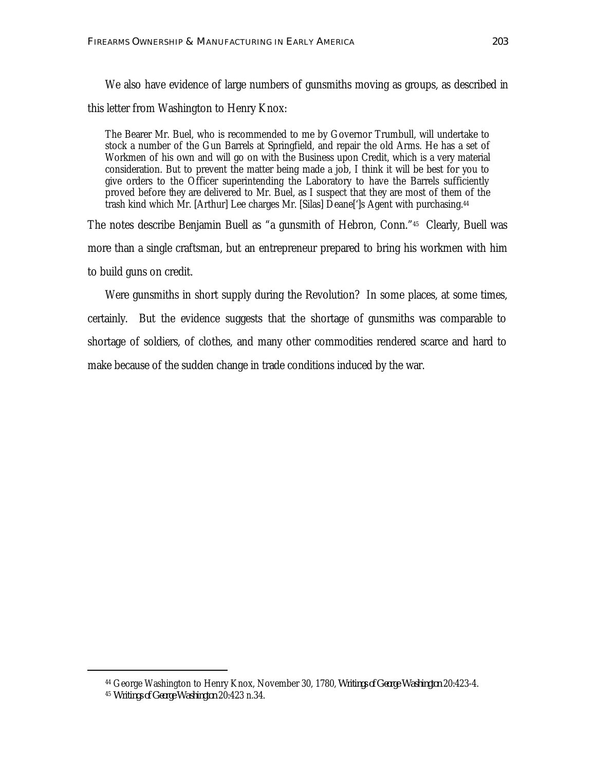We also have evidence of large numbers of gunsmiths moving as groups, as described in this letter from Washington to Henry Knox:

The Bearer Mr. Buel, who is recommended to me by Governor Trumbull, will undertake to stock a number of the Gun Barrels at Springfield, and repair the old Arms. He has a set of Workmen of his own and will go on with the Business upon Credit, which is a very material consideration. But to prevent the matter being made a job, I think it will be best for you to give orders to the Officer superintending the Laboratory to have the Barrels sufficiently proved before they are delivered to Mr. Buel, as I suspect that they are most of them of the trash kind which Mr. [Arthur] Lee charges Mr. [Silas] Deane[']s Agent with purchasing.<sup>44</sup>

The notes describe Benjamin Buell as "a gunsmith of Hebron, Conn."45 Clearly, Buell was more than a single craftsman, but an entrepreneur prepared to bring his workmen with him to build guns on credit.

Were gunsmiths in short supply during the Revolution? In some places, at some times, certainly. But the evidence suggests that the shortage of gunsmiths was comparable to shortage of soldiers, of clothes, and many other commodities rendered scarce and hard to make because of the sudden change in trade conditions induced by the war.

<sup>44</sup> George Washington to Henry Knox, November 30, 1780, *Writings of George Washington* 20:423-4.

<sup>45</sup> *Writings of George Washington* 20:423 n.34.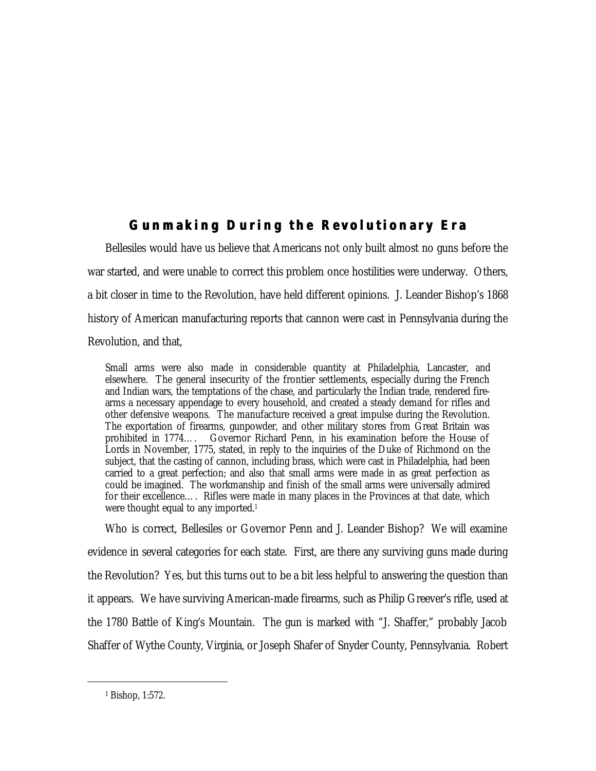## **Gunmaking During the Revolutionary Era**

Bellesiles would have us believe that Americans not only built almost no guns before the war started, and were unable to correct this problem once hostilities were underway. Others, a bit closer in time to the Revolution, have held different opinions. J. Leander Bishop's 1868 history of American manufacturing reports that cannon were cast in Pennsylvania during the Revolution, and that,

Small arms were also made in considerable quantity at Philadelphia, Lancaster, and elsewhere. The general insecurity of the frontier settlements, especially during the French and Indian wars, the temptations of the chase, and particularly the Indian trade, rendered firearms a necessary appendage to every household, and created a steady demand for rifles and other defensive weapons. The manufacture received a great impulse during the Revolution. The exportation of firearms, gunpowder, and other military stores from Great Britain was prohibited in 1774…. Governor Richard Penn, in his examination before the House of Lords in November, 1775, stated, in reply to the inquiries of the Duke of Richmond on the subject, that the casting of cannon, including brass, which were cast in Philadelphia, had been carried to a great perfection; and also that small arms were made in as great perfection as could be imagined. The workmanship and finish of the small arms were universally admired for their excellence…. Rifles were made in many places in the Provinces at that date, which were thought equal to any imported.<sup>1</sup>

Who is correct, Bellesiles or Governor Penn and J. Leander Bishop? We will examine evidence in several categories for each state. First, are there any surviving guns made during the Revolution? Yes, but this turns out to be a bit less helpful to answering the question than it appears. We have surviving American-made firearms, such as Philip Greever's rifle, used at the 1780 Battle of King's Mountain. The gun is marked with "J. Shaffer," probably Jacob Shaffer of Wythe County, Virginia, or Joseph Shafer of Snyder County, Pennsylvania. Robert

<sup>1</sup> Bishop, 1:572.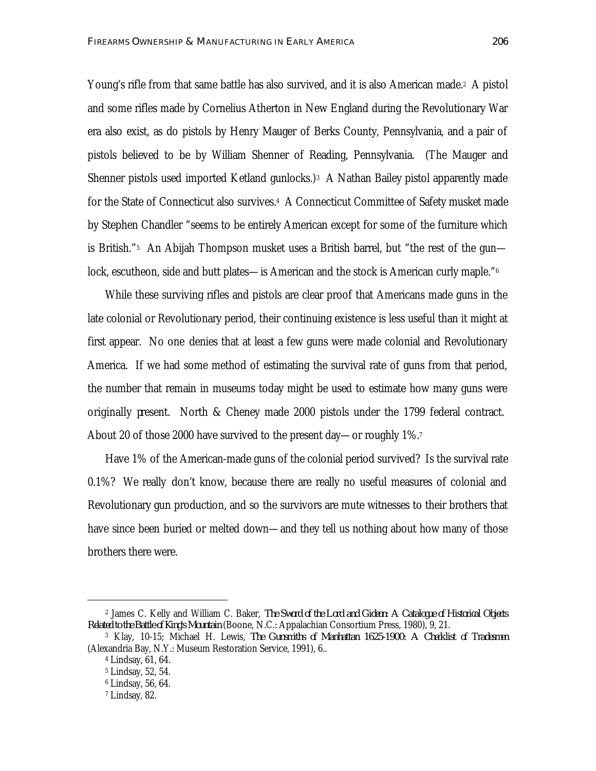Young's rifle from that same battle has also survived, and it is also American made.<sup>2</sup> A pistol and some rifles made by Cornelius Atherton in New England during the Revolutionary War era also exist, as do pistols by Henry Mauger of Berks County, Pennsylvania, and a pair of pistols believed to be by William Shenner of Reading, Pennsylvania. (The Mauger and Shenner pistols used imported Ketland gunlocks.)<sup>3</sup> A Nathan Bailey pistol apparently made for the State of Connecticut also survives.<sup>4</sup> A Connecticut Committee of Safety musket made by Stephen Chandler "seems to be entirely American except for some of the furniture which is British."<sup>5</sup> An Abijah Thompson musket uses a British barrel, but "the rest of the gun lock, escutheon, side and butt plates—is American and the stock is American curly maple."<sup>6</sup>

While these surviving rifles and pistols are clear proof that Americans made guns in the late colonial or Revolutionary period, their continuing existence is less useful than it might at first appear. No one denies that at least a few guns were made colonial and Revolutionary America. If we had some method of estimating the survival rate of guns from that period, the number that remain in museums today might be used to estimate how many guns were originally present. North & Cheney made 2000 pistols under the 1799 federal contract. About 20 of those 2000 have survived to the present day—or roughly 1%.<sup>7</sup>

Have 1% of the American-made guns of the colonial period survived? Is the survival rate 0.1%? We really don't know, because there are really no useful measures of colonial and Revolutionary gun production, and so the survivors are mute witnesses to their brothers that have since been buried or melted down—and they tell us nothing about how many of those brothers there were.

<sup>2</sup> James C. Kelly and William C. Baker, *The Sword of the Lord and Gideon: A Catalogue of Historical Objects Related to the Battle of King's Mountain* (Boone, N.C.: Appalachian Consortium Press, 1980), 9, 21.

<sup>3</sup> Klay, 10-15; Michael H. Lewis, *The Gunsmiths of Manhattan 1625-1900: A Checklist of Tradesmen* (Alexandria Bay, N.Y.: Museum Restoration Service, 1991), 6..

<sup>4</sup> Lindsay, 61, 64.

<sup>5</sup> Lindsay, 52, 54.

<sup>6</sup> Lindsay, 56, 64.

<sup>7</sup> Lindsay, 82.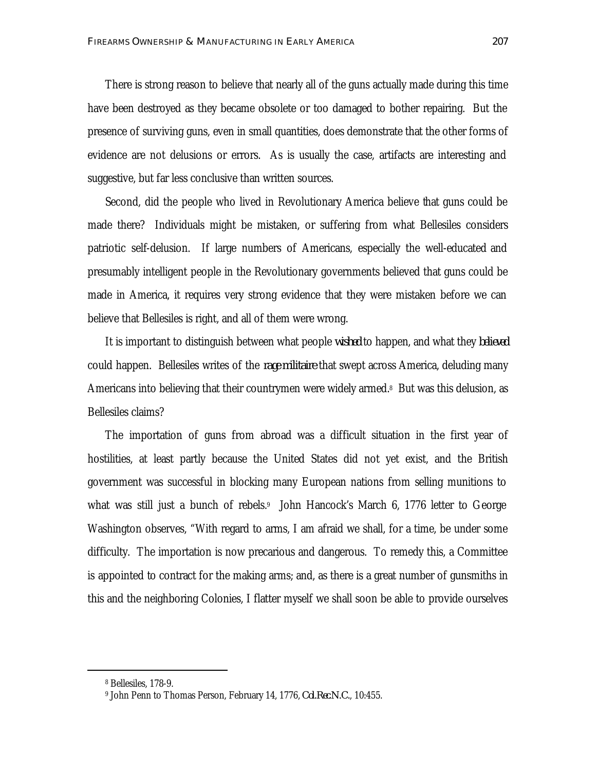There is strong reason to believe that nearly all of the guns actually made during this time have been destroyed as they became obsolete or too damaged to bother repairing. But the presence of surviving guns, even in small quantities, does demonstrate that the other forms of evidence are not delusions or errors. As is usually the case, artifacts are interesting and suggestive, but far less conclusive than written sources.

Second, did the people who lived in Revolutionary America believe that guns could be made there? Individuals might be mistaken, or suffering from what Bellesiles considers patriotic self-delusion. If large numbers of Americans, especially the well-educated and presumably intelligent people in the Revolutionary governments believed that guns could be made in America, it requires very strong evidence that they were mistaken before we can believe that Bellesiles is right, and all of them were wrong.

It is important to distinguish between what people *wished* to happen, and what they *believed*  could happen. Bellesiles writes of the *rage militaire* that swept across America, deluding many Americans into believing that their countrymen were widely armed.<sup>8</sup> But was this delusion, as Bellesiles claims?

The importation of guns from abroad was a difficult situation in the first year of hostilities, at least partly because the United States did not yet exist, and the British government was successful in blocking many European nations from selling munitions to what was still just a bunch of rebels.<sup>9</sup> John Hancock's March 6, 1776 letter to George Washington observes, "With regard to arms, I am afraid we shall, for a time, be under some difficulty. The importation is now precarious and dangerous. To remedy this, a Committee is appointed to contract for the making arms; and, as there is a great number of gunsmiths in this and the neighboring Colonies, I flatter myself we shall soon be able to provide ourselves

<sup>8</sup> Bellesiles, 178-9.

<sup>9</sup> John Penn to Thomas Person, February 14, 1776, *Col.Rec.N.C.*, 10:455.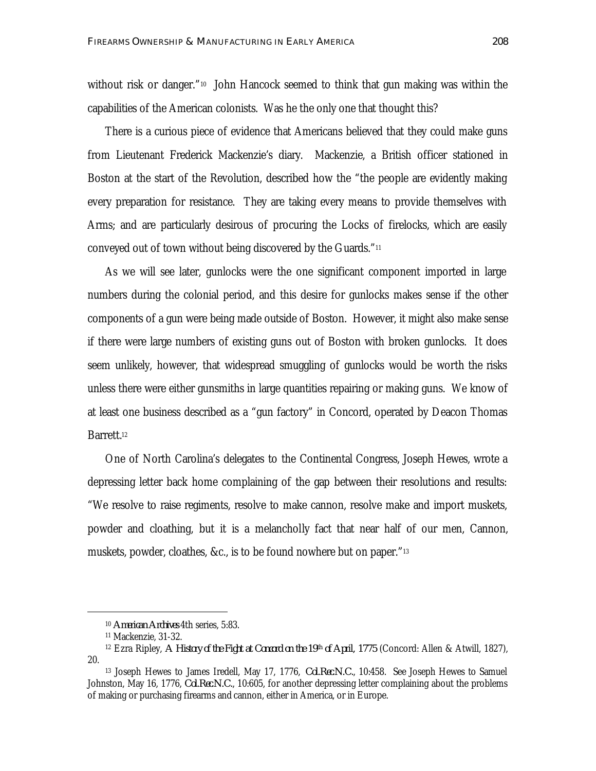without risk or danger."10 John Hancock seemed to think that gun making was within the capabilities of the American colonists. Was he the only one that thought this?

There is a curious piece of evidence that Americans believed that they could make guns from Lieutenant Frederick Mackenzie's diary. Mackenzie, a British officer stationed in Boston at the start of the Revolution, described how the "the people are evidently making every preparation for resistance. They are taking every means to provide themselves with Arms; and are particularly desirous of procuring the Locks of firelocks, which are easily conveyed out of town without being discovered by the Guards."<sup>11</sup>

As we will see later, gunlocks were the one significant component imported in large numbers during the colonial period, and this desire for gunlocks makes sense if the other components of a gun were being made outside of Boston. However, it might also make sense if there were large numbers of existing guns out of Boston with broken gunlocks. It does seem unlikely, however, that widespread smuggling of gunlocks would be worth the risks unless there were either gunsmiths in large quantities repairing or making guns. We know of at least one business described as a "gun factory" in Concord, operated by Deacon Thomas Barrett.<sup>12</sup>

One of North Carolina's delegates to the Continental Congress, Joseph Hewes, wrote a depressing letter back home complaining of the gap between their resolutions and results: "We resolve to raise regiments, resolve to make cannon, resolve make and import muskets, powder and cloathing, but it is a melancholly fact that near half of our men, Cannon, muskets, powder, cloathes, &c., is to be found nowhere but on paper."<sup>13</sup>

<sup>10</sup> *American Archives* 4th series, 5:83.

<sup>11</sup> Mackenzie, 31-32.

<sup>&</sup>lt;sup>12</sup> Ezra Ripley, *A History of the Fight at Concord on the 19<sup>th</sup> of April, 1775* (Concord: Allen & Atwill, 1827), 20.

<sup>13</sup> Joseph Hewes to James Iredell, May 17, 1776, *Col.Rec.N.C.*, 10:458. See Joseph Hewes to Samuel Johnston, May 16, 1776, *Col.Rec.N.C.*, 10:605, for another depressing letter complaining about the problems of making or purchasing firearms and cannon, either in America, or in Europe.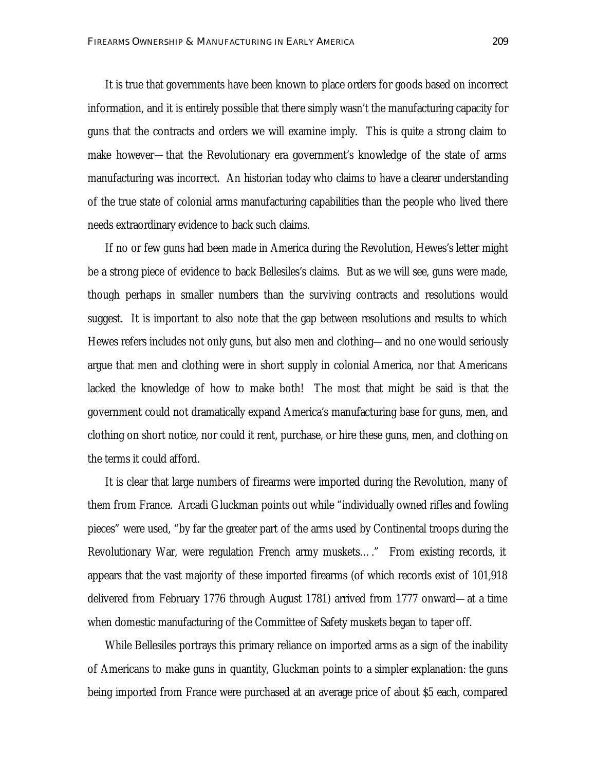It is true that governments have been known to place orders for goods based on incorrect information, and it is entirely possible that there simply wasn't the manufacturing capacity for guns that the contracts and orders we will examine imply. This is quite a strong claim to make however—that the Revolutionary era government's knowledge of the state of arms manufacturing was incorrect. An historian today who claims to have a clearer understanding of the true state of colonial arms manufacturing capabilities than the people who lived there needs extraordinary evidence to back such claims.

If no or few guns had been made in America during the Revolution, Hewes's letter might be a strong piece of evidence to back Bellesiles's claims. But as we will see, guns were made, though perhaps in smaller numbers than the surviving contracts and resolutions would suggest. It is important to also note that the gap between resolutions and results to which Hewes refers includes not only guns, but also men and clothing—and no one would seriously argue that men and clothing were in short supply in colonial America, nor that Americans lacked the knowledge of how to make both! The most that might be said is that the government could not dramatically expand America's manufacturing base for guns, men, and clothing on short notice, nor could it rent, purchase, or hire these guns, men, and clothing on the terms it could afford.

It is clear that large numbers of firearms were imported during the Revolution, many of them from France. Arcadi Gluckman points out while "individually owned rifles and fowling pieces" were used, "by far the greater part of the arms used by Continental troops during the Revolutionary War, were regulation French army muskets…." From existing records, it appears that the vast majority of these imported firearms (of which records exist of 101,918 delivered from February 1776 through August 1781) arrived from 1777 onward—at a time when domestic manufacturing of the Committee of Safety muskets began to taper off.

While Bellesiles portrays this primary reliance on imported arms as a sign of the inability of Americans to make guns in quantity, Gluckman points to a simpler explanation: the guns being imported from France were purchased at an average price of about \$5 each, compared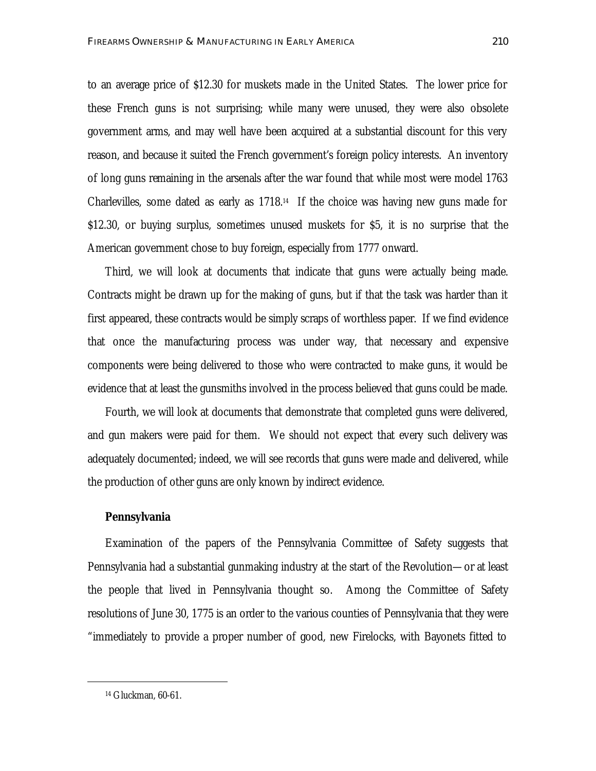to an average price of \$12.30 for muskets made in the United States. The lower price for these French guns is not surprising; while many were unused, they were also obsolete government arms, and may well have been acquired at a substantial discount for this very reason, and because it suited the French government's foreign policy interests. An inventory of long guns remaining in the arsenals after the war found that while most were model 1763 Charlevilles, some dated as early as 1718.14 If the choice was having new guns made for \$12.30, or buying surplus, sometimes unused muskets for \$5, it is no surprise that the American government chose to buy foreign, especially from 1777 onward.

Third, we will look at documents that indicate that guns were actually being made. Contracts might be drawn up for the making of guns, but if that the task was harder than it first appeared, these contracts would be simply scraps of worthless paper. If we find evidence that once the manufacturing process was under way, that necessary and expensive components were being delivered to those who were contracted to make guns, it would be evidence that at least the gunsmiths involved in the process believed that guns could be made.

Fourth, we will look at documents that demonstrate that completed guns were delivered, and gun makers were paid for them. We should not expect that every such delivery was adequately documented; indeed, we will see records that guns were made and delivered, while the production of other guns are only known by indirect evidence.

## **Pennsylvania**

Examination of the papers of the Pennsylvania Committee of Safety suggests that Pennsylvania had a substantial gunmaking industry at the start of the Revolution—or at least the people that lived in Pennsylvania thought so. Among the Committee of Safety resolutions of June 30, 1775 is an order to the various counties of Pennsylvania that they were "immediately to provide a proper number of good, new Firelocks, with Bayonets fitted to

<sup>14</sup> Gluckman, 60-61.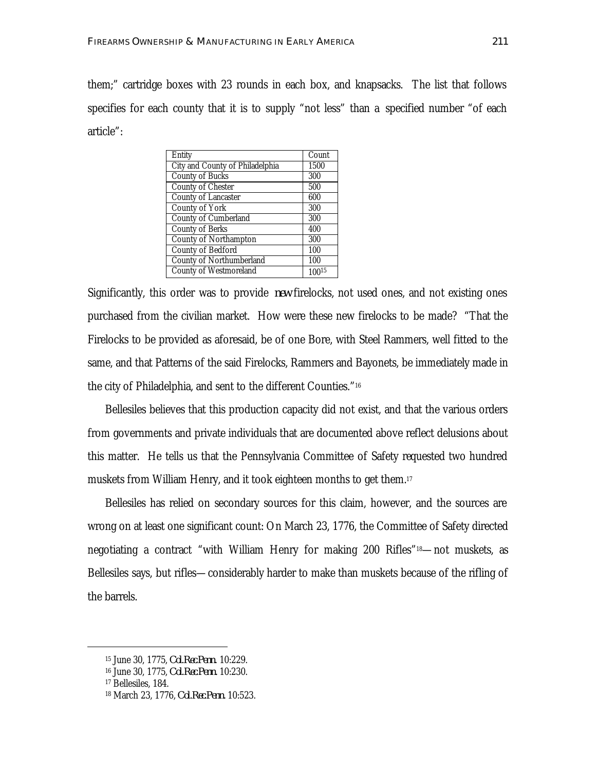them;" cartridge boxes with 23 rounds in each box, and knapsacks. The list that follows specifies for each county that it is to supply "not less" than a specified number "of each article":

| Entity                          | Count |
|---------------------------------|-------|
| City and County of Philadelphia | 1500  |
| <b>County of Bucks</b>          | 300   |
| <b>County of Chester</b>        | 500   |
| County of Lancaster             | 600   |
| County of York                  | 300   |
| <b>County of Cumberland</b>     | 300   |
| <b>County of Berks</b>          | 400   |
| <b>County of Northampton</b>    | 300   |
| <b>County of Bedford</b>        | 100   |
| County of Northumberland        | 100   |
| <b>County of Westmoreland</b>   | 10015 |

Significantly, this order was to provide *new* firelocks, not used ones, and not existing ones purchased from the civilian market. How were these new firelocks to be made? "That the Firelocks to be provided as aforesaid, be of one Bore, with Steel Rammers, well fitted to the same, and that Patterns of the said Firelocks, Rammers and Bayonets, be immediately made in the city of Philadelphia, and sent to the different Counties."<sup>16</sup>

Bellesiles believes that this production capacity did not exist, and that the various orders from governments and private individuals that are documented above reflect delusions about this matter. He tells us that the Pennsylvania Committee of Safety requested two hundred muskets from William Henry, and it took eighteen months to get them.<sup>17</sup>

Bellesiles has relied on secondary sources for this claim, however, and the sources are wrong on at least one significant count: On March 23, 1776, the Committee of Safety directed negotiating a contract "with William Henry for making 200 Rifles"18—not muskets, as Bellesiles says, but rifles—considerably harder to make than muskets because of the rifling of the barrels.

<sup>15</sup> June 30, 1775, *Col.Rec.Penn.* 10:229.

<sup>16</sup> June 30, 1775, *Col.Rec.Penn.* 10:230.

<sup>17</sup> Bellesiles, 184.

<sup>18</sup> March 23, 1776, *Col.Rec.Penn.* 10:523.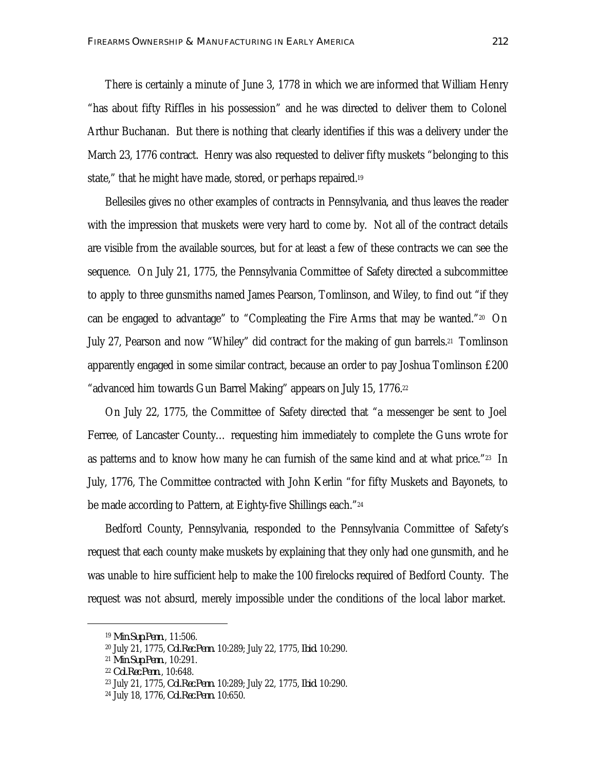There is certainly a minute of June 3, 1778 in which we are informed that William Henry "has about fifty Riffles in his possession" and he was directed to deliver them to Colonel Arthur Buchanan. But there is nothing that clearly identifies if this was a delivery under the March 23, 1776 contract. Henry was also requested to deliver fifty muskets "belonging to this state," that he might have made, stored, or perhaps repaired.<sup>19</sup>

Bellesiles gives no other examples of contracts in Pennsylvania, and thus leaves the reader with the impression that muskets were very hard to come by. Not all of the contract details are visible from the available sources, but for at least a few of these contracts we can see the sequence. On July 21, 1775, the Pennsylvania Committee of Safety directed a subcommittee to apply to three gunsmiths named James Pearson, Tomlinson, and Wiley, to find out "if they can be engaged to advantage" to "Compleating the Fire Arms that may be wanted."20 On July 27, Pearson and now "Whiley" did contract for the making of gun barrels.<sup>21</sup> Tomlinson apparently engaged in some similar contract, because an order to pay Joshua Tomlinson £200 "advanced him towards Gun Barrel Making" appears on July 15, 1776.<sup>22</sup>

On July 22, 1775, the Committee of Safety directed that "a messenger be sent to Joel Ferree, of Lancaster County… requesting him immediately to complete the Guns wrote for as patterns and to know how many he can furnish of the same kind and at what price."<sup>23</sup> In July, 1776, The Committee contracted with John Kerlin "for fifty Muskets and Bayonets, to be made according to Pattern, at Eighty-five Shillings each."<sup>24</sup>

Bedford County, Pennsylvania, responded to the Pennsylvania Committee of Safety's request that each county make muskets by explaining that they only had one gunsmith, and he was unable to hire sufficient help to make the 100 firelocks required of Bedford County. The request was not absurd, merely impossible under the conditions of the local labor market.

<sup>19</sup> *Min.Sup.Penn.*, 11:506.

<sup>20</sup> July 21, 1775, *Col.Rec.Penn.* 10:289; July 22, 1775, *Ibid.* 10:290.

<sup>21</sup> *Min.Sup.Penn.*, 10:291.

<sup>22</sup> *Col.Rec.Penn.*, 10:648.

<sup>23</sup> July 21, 1775, *Col.Rec.Penn.* 10:289; July 22, 1775, *Ibid.* 10:290.

<sup>24</sup> July 18, 1776, *Col.Rec.Penn.* 10:650.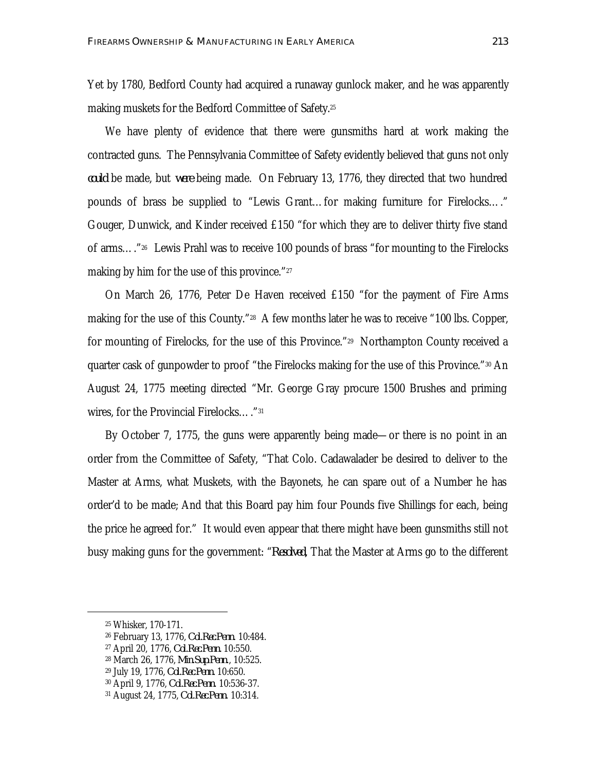Yet by 1780, Bedford County had acquired a runaway gunlock maker, and he was apparently making muskets for the Bedford Committee of Safety.<sup>25</sup>

We have plenty of evidence that there were gunsmiths hard at work making the contracted guns. The Pennsylvania Committee of Safety evidently believed that guns not only *could* be made, but *were* being made. On February 13, 1776, they directed that two hundred pounds of brass be supplied to "Lewis Grant…for making furniture for Firelocks…." Gouger, Dunwick, and Kinder received £150 "for which they are to deliver thirty five stand of arms…."26 Lewis Prahl was to receive 100 pounds of brass "for mounting to the Firelocks making by him for the use of this province."<sup>27</sup>

On March 26, 1776, Peter De Haven received £150 "for the payment of Fire Arms making for the use of this County."28 A few months later he was to receive "100 lbs. Copper, for mounting of Firelocks, for the use of this Province."29 Northampton County received a quarter cask of gunpowder to proof "the Firelocks making for the use of this Province."30 An August 24, 1775 meeting directed "Mr. George Gray procure 1500 Brushes and priming wires, for the Provincial Firelocks…."<sup>31</sup>

By October 7, 1775, the guns were apparently being made—or there is no point in an order from the Committee of Safety, "That Colo. Cadawalader be desired to deliver to the Master at Arms, what Muskets, with the Bayonets, he can spare out of a Number he has order'd to be made; And that this Board pay him four Pounds five Shillings for each, being the price he agreed for." It would even appear that there might have been gunsmiths still not busy making guns for the government: "*Resolved,* That the Master at Arms go to the different

<sup>25</sup> Whisker, 170-171.

<sup>26</sup> February 13, 1776, *Col.Rec.Penn.* 10:484.

<sup>27</sup> April 20, 1776, *Col.Rec.Penn.* 10:550.

<sup>28</sup> March 26, 1776, *Min.Sup.Penn.*, 10:525.

<sup>29</sup> July 19, 1776, *Col.Rec.Penn.* 10:650.

<sup>30</sup> April 9, 1776, *Col.Rec.Penn.* 10:536-37.

<sup>31</sup> August 24, 1775, *Col.Rec.Penn.* 10:314.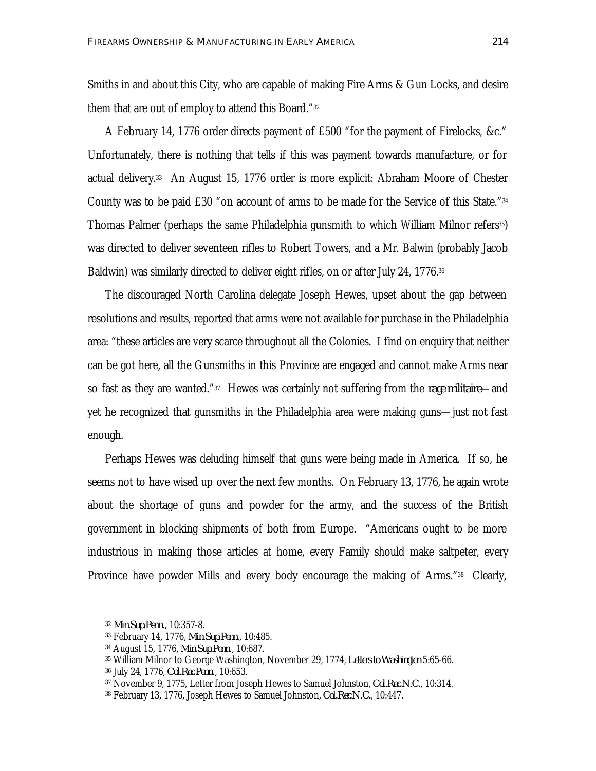Smiths in and about this City, who are capable of making Fire Arms & Gun Locks, and desire them that are out of employ to attend this Board."<sup>32</sup>

A February 14, 1776 order directs payment of £500 "for the payment of Firelocks, &c." Unfortunately, there is nothing that tells if this was payment towards manufacture, or for actual delivery.33 An August 15, 1776 order is more explicit: Abraham Moore of Chester County was to be paid £30 "on account of arms to be made for the Service of this State."<sup>34</sup> Thomas Palmer (perhaps the same Philadelphia gunsmith to which William Milnor refers35) was directed to deliver seventeen rifles to Robert Towers, and a Mr. Balwin (probably Jacob Baldwin) was similarly directed to deliver eight rifles, on or after July 24, 1776.<sup>36</sup>

The discouraged North Carolina delegate Joseph Hewes, upset about the gap between resolutions and results, reported that arms were not available for purchase in the Philadelphia area: "these articles are very scarce throughout all the Colonies. I find on enquiry that neither can be got here, all the Gunsmiths in this Province are engaged and cannot make Arms near so fast as they are wanted."37 Hewes was certainly not suffering from the *rage militaire*—and yet he recognized that gunsmiths in the Philadelphia area were making guns—just not fast enough.

Perhaps Hewes was deluding himself that guns were being made in America. If so, he seems not to have wised up over the next few months. On February 13, 1776, he again wrote about the shortage of guns and powder for the army, and the success of the British government in blocking shipments of both from Europe. "Americans ought to be more industrious in making those articles at home, every Family should make saltpeter, every Province have powder Mills and every body encourage the making of Arms."38 Clearly,

<sup>32</sup> *Min.Sup.Penn.*, 10:357-8.

<sup>33</sup> February 14, 1776, *Min.Sup.Penn.*, 10:485.

<sup>34</sup> August 15, 1776, *Min.Sup.Penn.*, 10:687.

<sup>35</sup> William Milnor to George Washington, November 29, 1774, *Letters to Washington* 5:65-66.

<sup>36</sup> July 24, 1776, *Col.Rec.Penn.*, 10:653.

<sup>37</sup> November 9, 1775, Letter from Joseph Hewes to Samuel Johnston, *Col.Rec.N.C.*, 10:314.

<sup>38</sup> February 13, 1776, Joseph Hewes to Samuel Johnston, *Col.Rec.N.C.*, 10:447.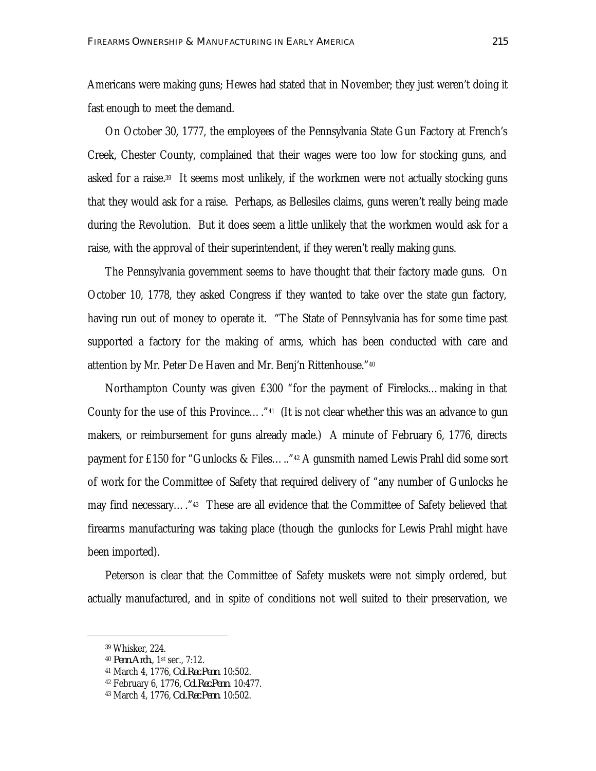Americans were making guns; Hewes had stated that in November; they just weren't doing it fast enough to meet the demand.

On October 30, 1777, the employees of the Pennsylvania State Gun Factory at French's Creek, Chester County, complained that their wages were too low for stocking guns, and asked for a raise.39 It seems most unlikely, if the workmen were not actually stocking guns that they would ask for a raise. Perhaps, as Bellesiles claims, guns weren't really being made during the Revolution. But it does seem a little unlikely that the workmen would ask for a raise, with the approval of their superintendent, if they weren't really making guns.

The Pennsylvania government seems to have thought that their factory made guns. On October 10, 1778, they asked Congress if they wanted to take over the state gun factory, having run out of money to operate it. "The State of Pennsylvania has for some time past supported a factory for the making of arms, which has been conducted with care and attention by Mr. Peter De Haven and Mr. Benj'n Rittenhouse."<sup>40</sup>

Northampton County was given £300 "for the payment of Firelocks…making in that County for the use of this Province…."41 (It is not clear whether this was an advance to gun makers, or reimbursement for guns already made.) A minute of February 6, 1776, directs payment for £150 for "Gunlocks & Files….."42 A gunsmith named Lewis Prahl did some sort of work for the Committee of Safety that required delivery of "any number of Gunlocks he may find necessary…."43 These are all evidence that the Committee of Safety believed that firearms manufacturing was taking place (though the gunlocks for Lewis Prahl might have been imported).

Peterson is clear that the Committee of Safety muskets were not simply ordered, but actually manufactured, and in spite of conditions not well suited to their preservation, we

<sup>39</sup> Whisker, 224.

<sup>40</sup> *Penn.Arch.*, 1st ser., 7:12.

<sup>41</sup> March 4, 1776, *Col.Rec.Penn.* 10:502.

<sup>42</sup> February 6, 1776, *Col.Rec.Penn.* 10:477.

<sup>43</sup> March 4, 1776, *Col.Rec.Penn.* 10:502.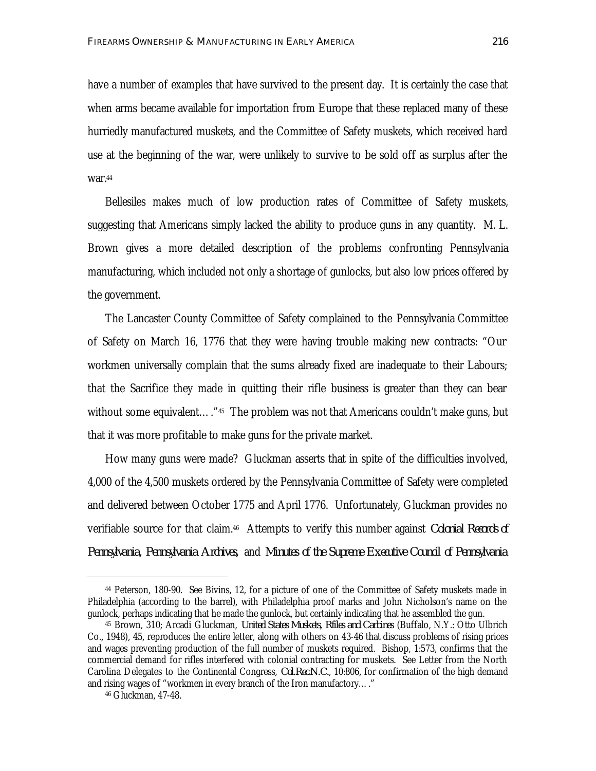have a number of examples that have survived to the present day. It is certainly the case that when arms became available for importation from Europe that these replaced many of these hurriedly manufactured muskets, and the Committee of Safety muskets, which received hard use at the beginning of the war, were unlikely to survive to be sold off as surplus after the war.<sup>44</sup>

Bellesiles makes much of low production rates of Committee of Safety muskets, suggesting that Americans simply lacked the ability to produce guns in any quantity. M. L. Brown gives a more detailed description of the problems confronting Pennsylvania manufacturing, which included not only a shortage of gunlocks, but also low prices offered by the government.

The Lancaster County Committee of Safety complained to the Pennsylvania Committee of Safety on March 16, 1776 that they were having trouble making new contracts: "Our workmen universally complain that the sums already fixed are inadequate to their Labours; that the Sacrifice they made in quitting their rifle business is greater than they can bear without some equivalent...."<sup>45</sup> The problem was not that Americans couldn't make guns, but that it was more profitable to make guns for the private market.

How many guns were made? Gluckman asserts that in spite of the difficulties involved, 4,000 of the 4,500 muskets ordered by the Pennsylvania Committee of Safety were completed and delivered between October 1775 and April 1776. Unfortunately, Gluckman provides no verifiable source for that claim.46 Attempts to verify this number against *Colonial Records of Pennsylvania, Pennsylvania Archives,* and *Minutes of the Supreme Executive Council of Pennsylvania* 

<sup>44</sup> Peterson, 180-90. See Bivins, 12, for a picture of one of the Committee of Safety muskets made in Philadelphia (according to the barrel), with Philadelphia proof marks and John Nicholson's name on the gunlock, perhaps indicating that he made the gunlock, but certainly indicating that he assembled the gun.

<sup>45</sup> Brown, 310; Arcadi Gluckman, *United States Muskets, Rfiles and Carbines* (Buffalo, N.Y.: Otto Ulbrich Co., 1948), 45, reproduces the entire letter, along with others on 43-46 that discuss problems of rising prices and wages preventing production of the full number of muskets required. Bishop, 1:573, confirms that the commercial demand for rifles interfered with colonial contracting for muskets. See Letter from the North Carolina Delegates to the Continental Congress, *Col.Rec.N.C.*, 10:806, for confirmation of the high demand and rising wages of "workmen in every branch of the Iron manufactory…."

<sup>46</sup> Gluckman, 47-48.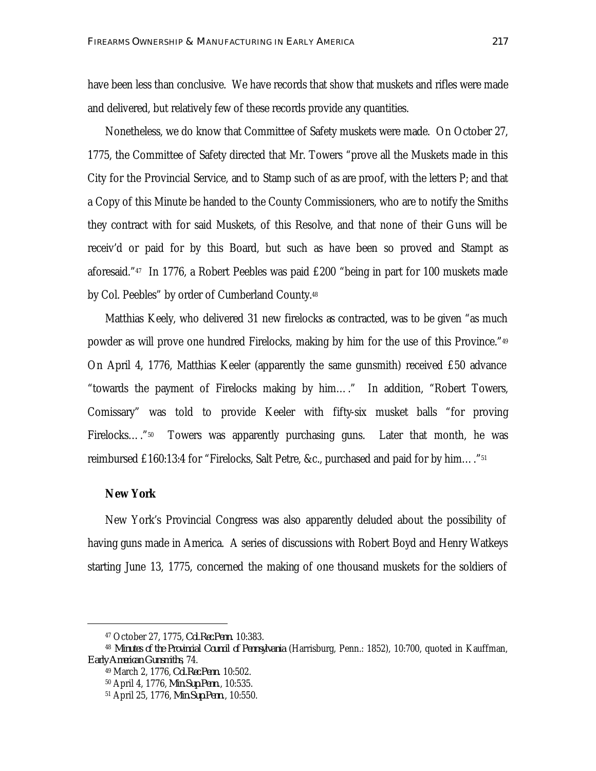have been less than conclusive. We have records that show that muskets and rifles were made and delivered, but relatively few of these records provide any quantities.

Nonetheless, we do know that Committee of Safety muskets were made. On October 27, 1775, the Committee of Safety directed that Mr. Towers "prove all the Muskets made in this City for the Provincial Service, and to Stamp such of as are proof, with the letters P; and that a Copy of this Minute be handed to the County Commissioners, who are to notify the Smiths they contract with for said Muskets, of this Resolve, and that none of their Guns will be receiv'd or paid for by this Board, but such as have been so proved and Stampt as aforesaid."47 In 1776, a Robert Peebles was paid £200 "being in part for 100 muskets made by Col. Peebles" by order of Cumberland County.<sup>48</sup>

Matthias Keely, who delivered 31 new firelocks as contracted, was to be given "as much powder as will prove one hundred Firelocks, making by him for the use of this Province."<sup>49</sup> On April 4, 1776, Matthias Keeler (apparently the same gunsmith) received £50 advance "towards the payment of Firelocks making by him…." In addition, "Robert Towers, Comissary" was told to provide Keeler with fifty-six musket balls "for proving Firelocks...."<sup>50</sup> Towers was apparently purchasing guns. Later that month, he was reimbursed £160:13:4 for "Firelocks, Salt Petre, &c., purchased and paid for by him…."<sup>51</sup>

## **New York**

 $\overline{a}$ 

New York's Provincial Congress was also apparently deluded about the possibility of having guns made in America. A series of discussions with Robert Boyd and Henry Watkeys starting June 13, 1775, concerned the making of one thousand muskets for the soldiers of

<sup>47</sup> October 27, 1775, *Col.Rec.Penn.* 10:383.

<sup>48</sup> *Minutes of the Provincial Council of Pennsylvania* (Harrisburg, Penn.: 1852), 10:700, quoted in Kauffman, *Early American Gunsmiths*, 74.

<sup>49</sup> March 2, 1776, *Col.Rec.Penn.* 10:502.

<sup>50</sup> April 4, 1776, *Min.Sup.Penn.*, 10:535.

<sup>51</sup> April 25, 1776, *Min.Sup.Penn.*, 10:550.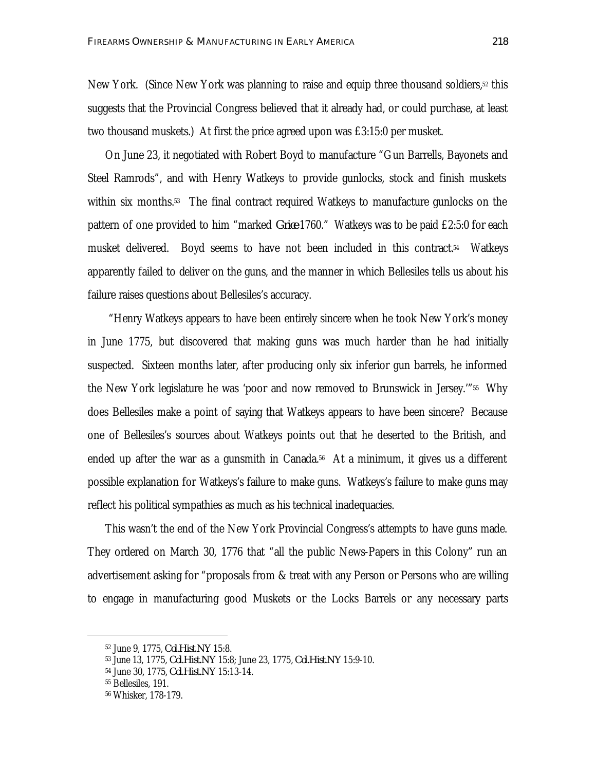New York. (Since New York was planning to raise and equip three thousand soldiers,<sup>52</sup> this suggests that the Provincial Congress believed that it already had, or could purchase, at least two thousand muskets.) At first the price agreed upon was £3:15:0 per musket.

On June 23, it negotiated with Robert Boyd to manufacture "Gun Barrells, Bayonets and Steel Ramrods", and with Henry Watkeys to provide gunlocks, stock and finish muskets within six months.53 The final contract required Watkeys to manufacture gunlocks on the pattern of one provided to him "marked *Grice* 1760." Watkeys was to be paid £2:5:0 for each musket delivered. Boyd seems to have not been included in this contract.54 Watkeys apparently failed to deliver on the guns, and the manner in which Bellesiles tells us about his failure raises questions about Bellesiles's accuracy.

 "Henry Watkeys appears to have been entirely sincere when he took New York's money in June 1775, but discovered that making guns was much harder than he had initially suspected. Sixteen months later, after producing only six inferior gun barrels, he informed the New York legislature he was 'poor and now removed to Brunswick in Jersey.'"55 Why does Bellesiles make a point of saying that Watkeys appears to have been sincere? Because one of Bellesiles's sources about Watkeys points out that he deserted to the British, and ended up after the war as a gunsmith in Canada.<sup>56</sup> At a minimum, it gives us a different possible explanation for Watkeys's failure to make guns. Watkeys's failure to make guns may reflect his political sympathies as much as his technical inadequacies.

This wasn't the end of the New York Provincial Congress's attempts to have guns made. They ordered on March 30, 1776 that "all the public News-Papers in this Colony" run an advertisement asking for "proposals from & treat with any Person or Persons who are willing to engage in manufacturing good Muskets or the Locks Barrels or any necessary parts

<sup>52</sup> June 9, 1775, *Col.Hist.NY* 15:8.

<sup>53</sup> June 13, 1775, *Col.Hist.NY* 15:8; June 23, 1775, *Col.Hist.NY* 15:9-10.

<sup>54</sup> June 30, 1775, *Col.Hist.NY* 15:13-14.

<sup>55</sup> Bellesiles, 191.

<sup>56</sup> Whisker, 178-179.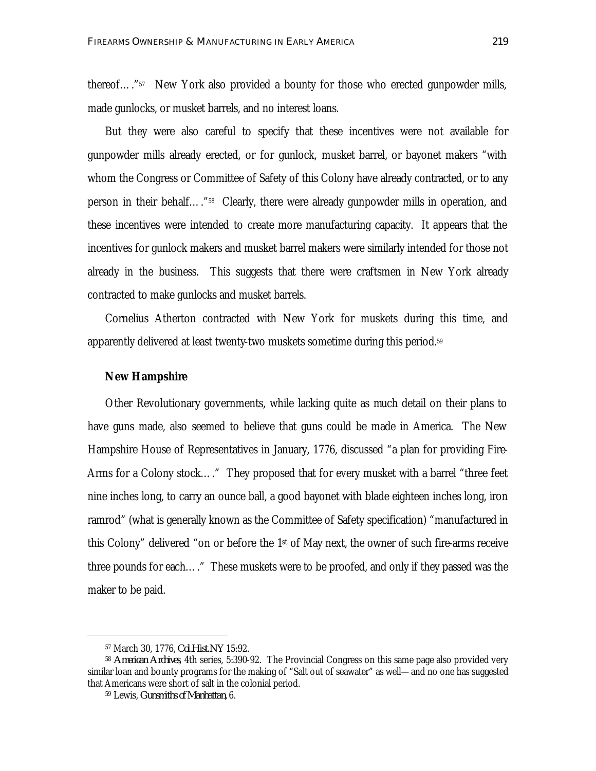thereof…."57 New York also provided a bounty for those who erected gunpowder mills, made gunlocks, or musket barrels, and no interest loans.

But they were also careful to specify that these incentives were not available for gunpowder mills already erected, or for gunlock, musket barrel, or bayonet makers "with whom the Congress or Committee of Safety of this Colony have already contracted, or to any person in their behalf…."58 Clearly, there were already gunpowder mills in operation, and these incentives were intended to create more manufacturing capacity. It appears that the incentives for gunlock makers and musket barrel makers were similarly intended for those not already in the business. This suggests that there were craftsmen in New York already contracted to make gunlocks and musket barrels.

Cornelius Atherton contracted with New York for muskets during this time, and apparently delivered at least twenty-two muskets sometime during this period.<sup>59</sup>

#### **New Hampshire**

Other Revolutionary governments, while lacking quite as much detail on their plans to have guns made, also seemed to believe that guns could be made in America. The New Hampshire House of Representatives in January, 1776, discussed "a plan for providing Fire-Arms for a Colony stock…." They proposed that for every musket with a barrel "three feet nine inches long, to carry an ounce ball, a good bayonet with blade eighteen inches long, iron ramrod" (what is generally known as the Committee of Safety specification) "manufactured in this Colony" delivered "on or before the 1st of May next, the owner of such fire-arms receive three pounds for each…." These muskets were to be proofed, and only if they passed was the maker to be paid.

<sup>57</sup> March 30, 1776, *Col.Hist.NY* 15:92.

<sup>58</sup> *American Archives*, 4th series, 5:390-92. The Provincial Congress on this same page also provided very similar loan and bounty programs for the making of "Salt out of seawater" as well—and no one has suggested that Americans were short of salt in the colonial period.

<sup>59</sup> Lewis, *Gunsmiths of Manhattan,* 6.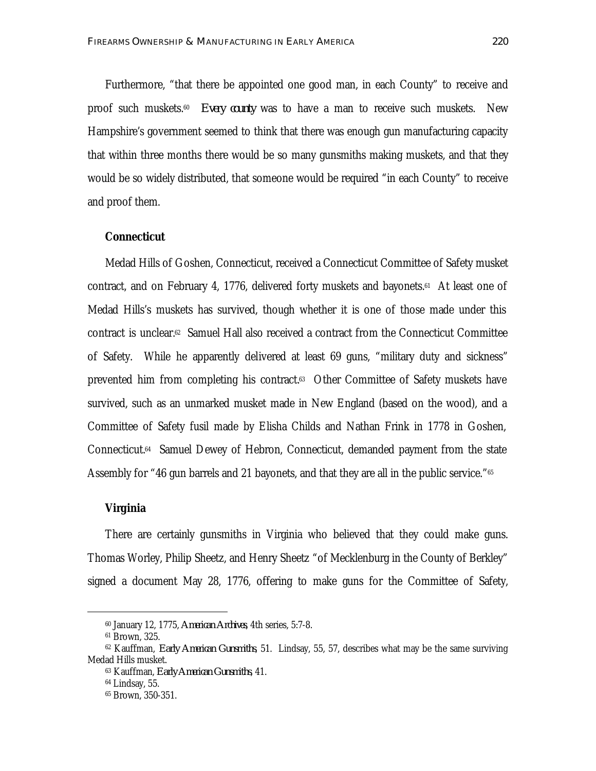Furthermore, "that there be appointed one good man, in each County" to receive and proof such muskets.<sup>60</sup> Every county was to have a man to receive such muskets. New Hampshire's government seemed to think that there was enough gun manufacturing capacity that within three months there would be so many gunsmiths making muskets, and that they would be so widely distributed, that someone would be required "in each County" to receive and proof them.

# **Connecticut**

Medad Hills of Goshen, Connecticut, received a Connecticut Committee of Safety musket contract, and on February 4, 1776, delivered forty muskets and bayonets.61 At least one of Medad Hills's muskets has survived, though whether it is one of those made under this contract is unclear.62 Samuel Hall also received a contract from the Connecticut Committee of Safety. While he apparently delivered at least 69 guns, "military duty and sickness" prevented him from completing his contract.63 Other Committee of Safety muskets have survived, such as an unmarked musket made in New England (based on the wood), and a Committee of Safety fusil made by Elisha Childs and Nathan Frink in 1778 in Goshen, Connecticut.64 Samuel Dewey of Hebron, Connecticut, demanded payment from the state Assembly for "46 gun barrels and 21 bayonets, and that they are all in the public service."<sup>65</sup>

# **Virginia**

There are certainly gunsmiths in Virginia who believed that they could make guns. Thomas Worley, Philip Sheetz, and Henry Sheetz "of Mecklenburg in the County of Berkley" signed a document May 28, 1776, offering to make guns for the Committee of Safety,

<sup>60</sup> January 12, 1775, *American Archives*, 4th series, 5:7-8.

<sup>61</sup> Brown, 325.

<sup>62</sup> Kauffman, *Early American Gunsmiths*, 51. Lindsay, 55, 57, describes what may be the same surviving Medad Hills musket.

<sup>63</sup> Kauffman, *Early American Gunsmiths*, 41.

<sup>64</sup> Lindsay, 55.

<sup>65</sup> Brown, 350-351.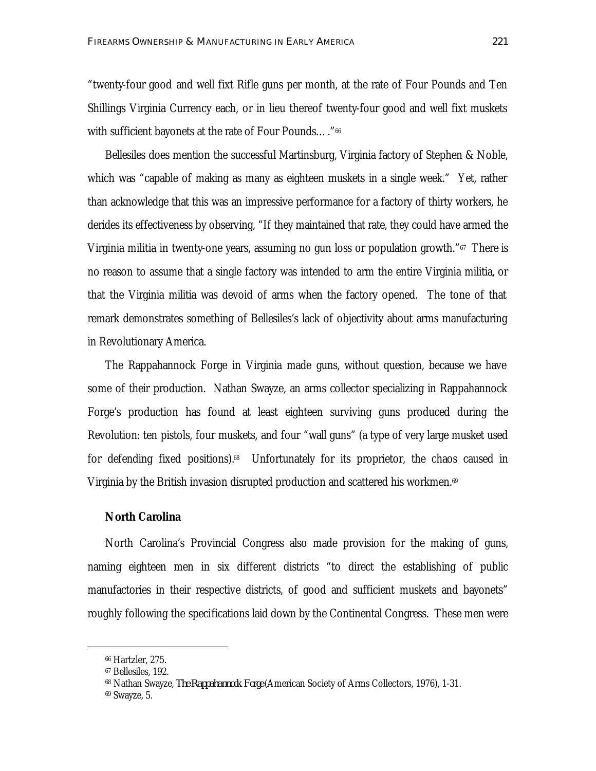"twenty-four good and well fixt Rifle guns per month, at the rate of Four Pounds and Ten Shillings Virginia Currency each, or in lieu thereof twenty-four good and well fixt muskets with sufficient bayonets at the rate of Four Pounds…."<sup>66</sup>

Bellesiles does mention the successful Martinsburg, Virginia factory of Stephen & Noble, which was "capable of making as many as eighteen muskets in a single week." Yet, rather than acknowledge that this was an impressive performance for a factory of thirty workers, he derides its effectiveness by observing, "If they maintained that rate, they could have armed the Virginia militia in twenty-one years, assuming no gun loss or population growth."67 There is no reason to assume that a single factory was intended to arm the entire Virginia militia, or that the Virginia militia was devoid of arms when the factory opened. The tone of that remark demonstrates something of Bellesiles's lack of objectivity about arms manufacturing in Revolutionary America.

The Rappahannock Forge in Virginia made guns, without question, because we have some of their production. Nathan Swayze, an arms collector specializing in Rappahannock Forge's production has found at least eighteen surviving guns produced during the Revolution: ten pistols, four muskets, and four "wall guns" (a type of very large musket used for defending fixed positions).<sup>68</sup> Unfortunately for its proprietor, the chaos caused in Virginia by the British invasion disrupted production and scattered his workmen.<sup>69</sup>

## **North Carolina**

North Carolina's Provincial Congress also made provision for the making of guns, naming eighteen men in six different districts "to direct the establishing of public manufactories in their respective districts, of good and sufficient muskets and bayonets" roughly following the specifications laid down by the Continental Congress. These men were

<sup>66</sup> Hartzler, 275.

<sup>67</sup> Bellesiles, 192.

<sup>68</sup> Nathan Swayze, *The Rappahannock Forge* (American Society of Arms Collectors, 1976), 1-31.

<sup>69</sup> Swayze, 5.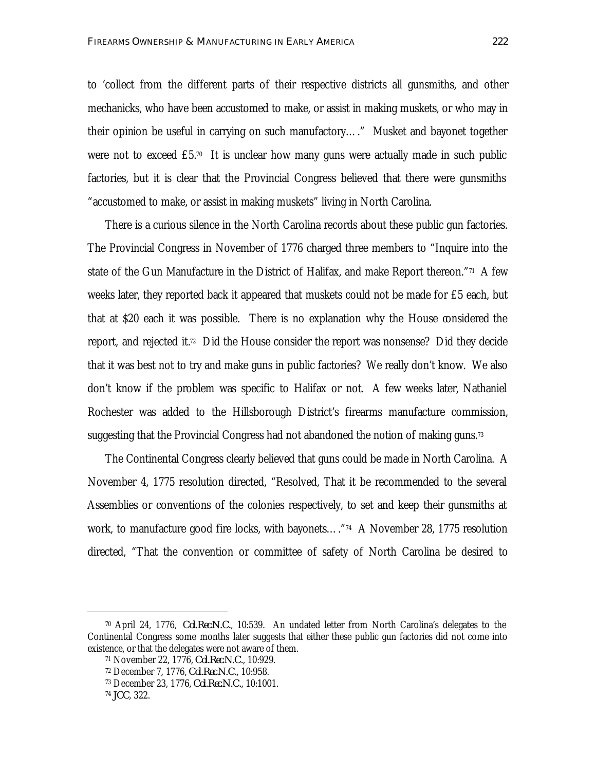to 'collect from the different parts of their respective districts all gunsmiths, and other mechanicks, who have been accustomed to make, or assist in making muskets, or who may in their opinion be useful in carrying on such manufactory…." Musket and bayonet together were not to exceed  $£5.70$  It is unclear how many guns were actually made in such public factories, but it is clear that the Provincial Congress believed that there were gunsmiths "accustomed to make, or assist in making muskets" living in North Carolina.

There is a curious silence in the North Carolina records about these public gun factories. The Provincial Congress in November of 1776 charged three members to "Inquire into the state of the Gun Manufacture in the District of Halifax, and make Report thereon."71 A few weeks later, they reported back it appeared that muskets could not be made for £5 each, but that at \$20 each it was possible. There is no explanation why the House considered the report, and rejected it.72 Did the House consider the report was nonsense? Did they decide that it was best not to try and make guns in public factories? We really don't know. We also don't know if the problem was specific to Halifax or not. A few weeks later, Nathaniel Rochester was added to the Hillsborough District's firearms manufacture commission, suggesting that the Provincial Congress had not abandoned the notion of making guns.<sup>73</sup>

The Continental Congress clearly believed that guns could be made in North Carolina. A November 4, 1775 resolution directed, "Resolved, That it be recommended to the several Assemblies or conventions of the colonies respectively, to set and keep their gunsmiths at work, to manufacture good fire locks, with bayonets...."<sup>74</sup> A November 28, 1775 resolution directed, "That the convention or committee of safety of North Carolina be desired to

<sup>70</sup> April 24, 1776, *Col.Rec.N.C.*, 10:539. An undated letter from North Carolina's delegates to the Continental Congress some months later suggests that either these public gun factories did not come into existence, or that the delegates were not aware of them.

<sup>71</sup> November 22, 1776, *Col.Rec.N.C.*, 10:929.

<sup>72</sup> December 7, 1776, *Col.Rec.N.C.*, 10:958.

<sup>73</sup> December 23, 1776, *Col.Rec.N.C.*, 10:1001.

<sup>74</sup> *JCC*, 322.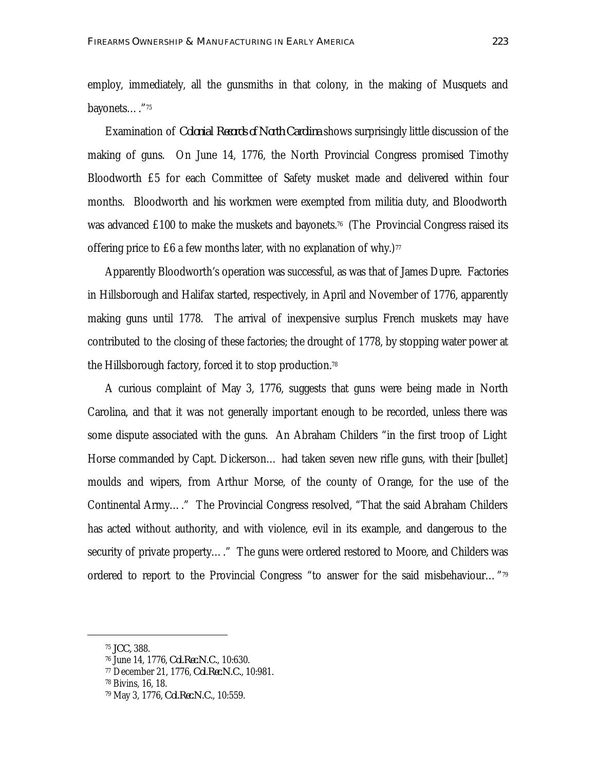employ, immediately, all the gunsmiths in that colony, in the making of Musquets and bayonets…."<sup>75</sup>

Examination of *Colonial Records of North Carolina* shows surprisingly little discussion of the making of guns. On June 14, 1776, the North Provincial Congress promised Timothy Bloodworth £5 for each Committee of Safety musket made and delivered within four months. Bloodworth and his workmen were exempted from militia duty, and Bloodworth was advanced £100 to make the muskets and bayonets.76 (The Provincial Congress raised its offering price to £6 a few months later, with no explanation of why.) $\frac{7}{7}$ 

Apparently Bloodworth's operation was successful, as was that of James Dupre. Factories in Hillsborough and Halifax started, respectively, in April and November of 1776, apparently making guns until 1778. The arrival of inexpensive surplus French muskets may have contributed to the closing of these factories; the drought of 1778, by stopping water power at the Hillsborough factory, forced it to stop production.<sup>78</sup>

A curious complaint of May 3, 1776, suggests that guns were being made in North Carolina, and that it was not generally important enough to be recorded, unless there was some dispute associated with the guns. An Abraham Childers "in the first troop of Light Horse commanded by Capt. Dickerson… had taken seven new rifle guns, with their [bullet] moulds and wipers, from Arthur Morse, of the county of Orange, for the use of the Continental Army…." The Provincial Congress resolved, "That the said Abraham Childers has acted without authority, and with violence, evil in its example, and dangerous to the security of private property…." The guns were ordered restored to Moore, and Childers was ordered to report to the Provincial Congress "to answer for the said misbehaviour…"<sup>79</sup>

<sup>75</sup> *JCC,* 388.

<sup>76</sup> June 14, 1776, *Col.Rec.N.C.*, 10:630.

<sup>77</sup> December 21, 1776, *Col.Rec.N.C.*, 10:981.

<sup>78</sup> Bivins, 16, 18.

<sup>79</sup> May 3, 1776, *Col.Rec.N.C.*, 10:559.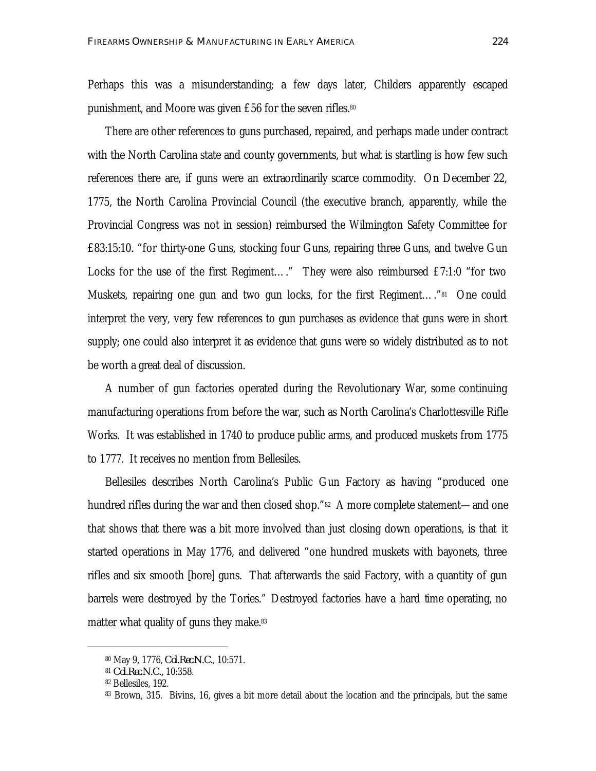Perhaps this was a misunderstanding; a few days later, Childers apparently escaped punishment, and Moore was given £56 for the seven rifles.<sup>80</sup>

There are other references to guns purchased, repaired, and perhaps made under contract with the North Carolina state and county governments, but what is startling is how few such references there are, if guns were an extraordinarily scarce commodity. On December 22, 1775, the North Carolina Provincial Council (the executive branch, apparently, while the Provincial Congress was not in session) reimbursed the Wilmington Safety Committee for £83:15:10*.* "for thirty-one Guns, stocking four Guns, repairing three Guns, and twelve Gun Locks for the use of the first Regiment…." They were also reimbursed £7:1:0 "for two Muskets, repairing one gun and two gun locks, for the first Regiment…."81 One could interpret the very, very few references to gun purchases as evidence that guns were in short supply; one could also interpret it as evidence that guns were so widely distributed as to not be worth a great deal of discussion.

A number of gun factories operated during the Revolutionary War, some continuing manufacturing operations from before the war, such as North Carolina's Charlottesville Rifle Works. It was established in 1740 to produce public arms, and produced muskets from 1775 to 1777. It receives no mention from Bellesiles.

Bellesiles describes North Carolina's Public Gun Factory as having "produced one hundred rifles during the war and then closed shop."<sup>82</sup> A more complete statement—and one that shows that there was a bit more involved than just closing down operations, is that it started operations in May 1776, and delivered "one hundred muskets with bayonets, three rifles and six smooth [bore] guns. That afterwards the said Factory, with a quantity of gun barrels were destroyed by the Tories." Destroyed factories have a hard time operating, no matter what quality of guns they make.<sup>83</sup>

<sup>80</sup> May 9, 1776, *Col.Rec.N.C.*, 10:571.

<sup>81</sup> *Col.Rec.N.C.,* 10:358.

<sup>82</sup> Bellesiles, 192.

<sup>83</sup> Brown, 315. Bivins, 16, gives a bit more detail about the location and the principals, but the same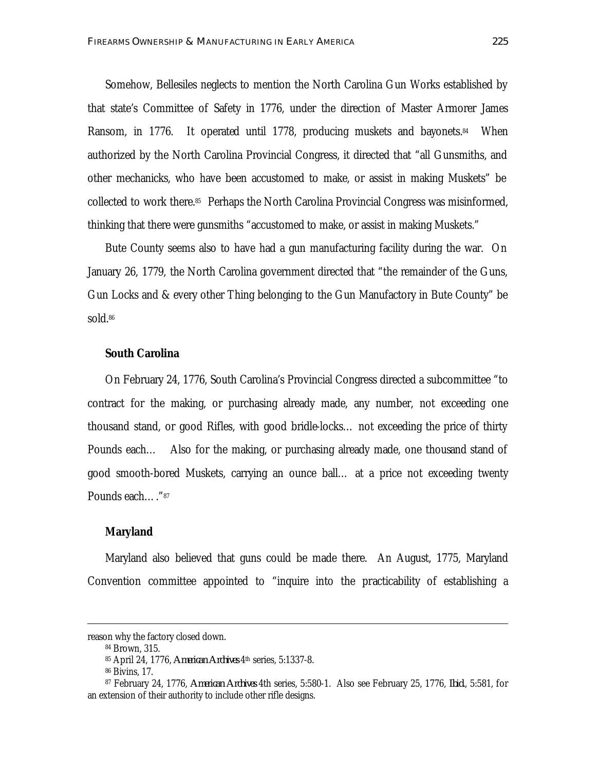Somehow, Bellesiles neglects to mention the North Carolina Gun Works established by that state's Committee of Safety in 1776, under the direction of Master Armorer James Ransom, in 1776. It operated until 1778, producing muskets and bayonets.<sup>84</sup> When authorized by the North Carolina Provincial Congress, it directed that "all Gunsmiths, and other mechanicks, who have been accustomed to make, or assist in making Muskets" be collected to work there.85 Perhaps the North Carolina Provincial Congress was misinformed, thinking that there were gunsmiths "accustomed to make, or assist in making Muskets."

Bute County seems also to have had a gun manufacturing facility during the war. On January 26, 1779, the North Carolina government directed that "the remainder of the Guns, Gun Locks and & every other Thing belonging to the Gun Manufactory in Bute County" be sold.<sup>86</sup>

# **South Carolina**

On February 24, 1776, South Carolina's Provincial Congress directed a subcommittee "to contract for the making, or purchasing already made, any number, not exceeding one thousand stand, or good Rifles, with good bridle-locks… not exceeding the price of thirty Pounds each… Also for the making, or purchasing already made, one thousand stand of good smooth-bored Muskets, carrying an ounce ball… at a price not exceeding twenty Pounds each…."<sup>87</sup>

## **Maryland**

Maryland also believed that guns could be made there. An August, 1775, Maryland Convention committee appointed to "inquire into the practicability of establishing a

reason why the factory closed down.

<sup>84</sup> Brown, 315.

<sup>85</sup> April 24, 1776, *American Archives* 4<sup>th</sup> series, 5:1337-8.

<sup>86</sup> Bivins, 17.

<sup>87</sup> February 24, 1776, *American Archives* 4th series, 5:580-1. Also see February 25, 1776, *Ibid.*, 5:581, for an extension of their authority to include other rifle designs.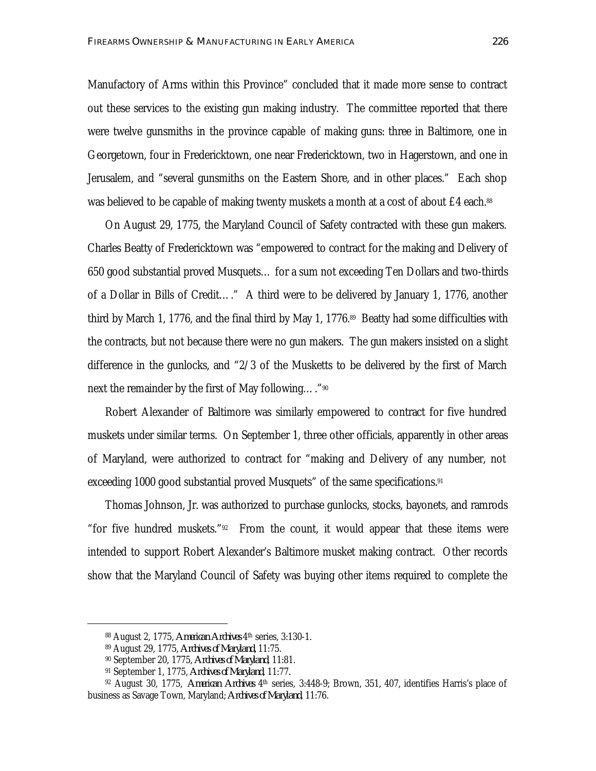Manufactory of Arms within this Province" concluded that it made more sense to contract out these services to the existing gun making industry. The committee reported that there were twelve gunsmiths in the province capable of making guns: three in Baltimore, one in Georgetown, four in Fredericktown, one near Fredericktown, two in Hagerstown, and one in Jerusalem, and "several gunsmiths on the Eastern Shore, and in other places." Each shop was believed to be capable of making twenty muskets a month at a cost of about £4 each.<sup>88</sup>

On August 29, 1775, the Maryland Council of Safety contracted with these gun makers. Charles Beatty of Fredericktown was "empowered to contract for the making and Delivery of 650 good substantial proved Musquets… for a sum not exceeding Ten Dollars and two-thirds of a Dollar in Bills of Credit…." A third were to be delivered by January 1, 1776, another third by March 1, 1776, and the final third by May 1, 1776.89 Beatty had some difficulties with the contracts, but not because there were no gun makers. The gun makers insisted on a slight difference in the gunlocks, and "2/3 of the Musketts to be delivered by the first of March next the remainder by the first of May following…."<sup>90</sup>

Robert Alexander of Baltimore was similarly empowered to contract for five hundred muskets under similar terms. On September 1, three other officials, apparently in other areas of Maryland, were authorized to contract for "making and Delivery of any number, not exceeding 1000 good substantial proved Musquets" of the same specifications.<sup>91</sup>

Thomas Johnson, Jr. was authorized to purchase gunlocks, stocks, bayonets, and ramrods "for five hundred muskets."92 From the count, it would appear that these items were intended to support Robert Alexander's Baltimore musket making contract. Other records show that the Maryland Council of Safety was buying other items required to complete the

<sup>88</sup> August 2, 1775, *American Archives* 4th series, 3:130-1.

<sup>89</sup> August 29, 1775, *Archives of Maryland,* 11:75.

<sup>90</sup> September 20, 1775, *Archives of Maryland*, 11:81.

<sup>91</sup> September 1, 1775, *Archives of Maryland*, 11:77.

<sup>92</sup> August 30, 1775, *American Archives* 4th series, 3:448-9; Brown, 351, 407, identifies Harris's place of business as Savage Town, Maryland; *Archives of Maryland*, 11:76.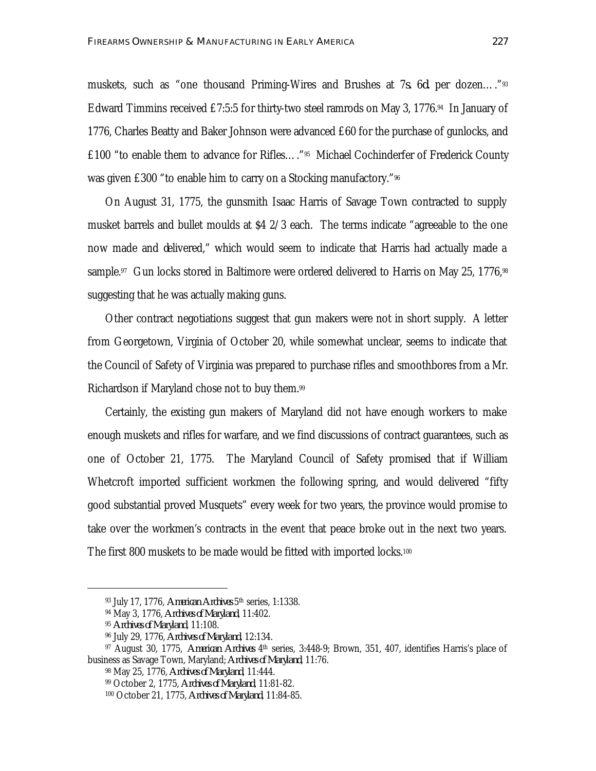muskets, such as "one thousand Priming-Wires and Brushes at 7*s.* 6*d.* per dozen…."<sup>93</sup> Edward Timmins received £7:5:5 for thirty-two steel ramrods on May 3, 1776.94 In January of 1776, Charles Beatty and Baker Johnson were advanced £60 for the purchase of gunlocks, and £100 "to enable them to advance for Rifles…."95 Michael Cochinderfer of Frederick County was given £300 "to enable him to carry on a Stocking manufactory."<sup>96</sup>

On August 31, 1775, the gunsmith Isaac Harris of Savage Town contracted to supply musket barrels and bullet moulds at \$4 2/3 each. The terms indicate "agreeable to the one now made and delivered," which would seem to indicate that Harris had actually made a sample.<sup>97</sup> Gun locks stored in Baltimore were ordered delivered to Harris on May 25, 1776,<sup>98</sup> suggesting that he was actually making guns.

Other contract negotiations suggest that gun makers were not in short supply. A letter from Georgetown, Virginia of October 20, while somewhat unclear, seems to indicate that the Council of Safety of Virginia was prepared to purchase rifles and smoothbores from a Mr. Richardson if Maryland chose not to buy them.<sup>99</sup>

Certainly, the existing gun makers of Maryland did not have enough workers to make enough muskets and rifles for warfare, and we find discussions of contract guarantees, such as one of October 21, 1775. The Maryland Council of Safety promised that if William Whetcroft imported sufficient workmen the following spring, and would delivered "fifty good substantial proved Musquets" every week for two years, the province would promise to take over the workmen's contracts in the event that peace broke out in the next two years. The first 800 muskets to be made would be fitted with imported locks.<sup>100</sup>

<sup>93</sup> July 17, 1776, *American Archives* 5 th series, 1:1338.

<sup>94</sup> May 3, 1776, *Archives of Maryland*, 11:402.

<sup>95</sup> *Archives of Maryland*, 11:108.

<sup>96</sup> July 29, 1776, *Archives of Maryland*, 12:134.

<sup>&</sup>lt;sup>97</sup> August 30, 1775, *American Archives* 4<sup>th</sup> series, 3:448-9; Brown, 351, 407, identifies Harris's place of business as Savage Town, Maryland; *Archives of Maryland*, 11:76.

<sup>98</sup> May 25, 1776, *Archives of Maryland*, 11:444.

<sup>99</sup> October 2, 1775, *Archives of Maryland*, 11:81-82.

<sup>100</sup> October 21, 1775, *Archives of Maryland*, 11:84-85.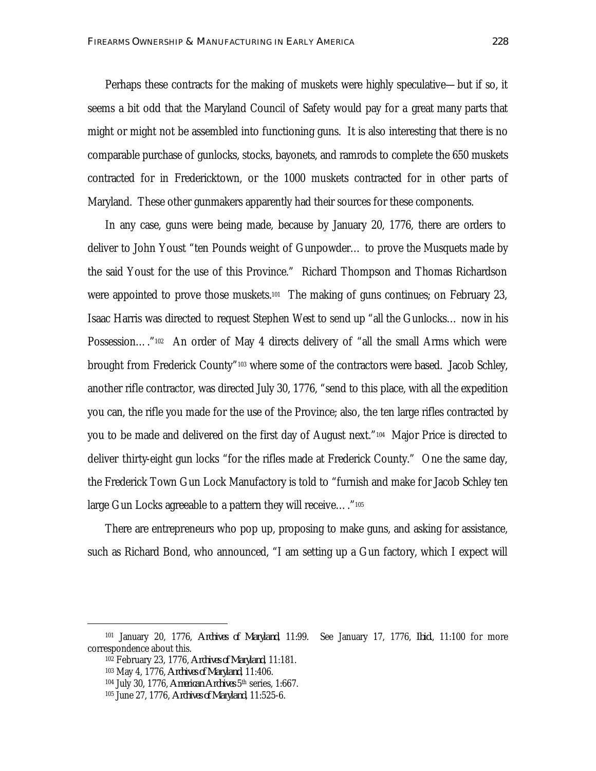Perhaps these contracts for the making of muskets were highly speculative—but if so, it seems a bit odd that the Maryland Council of Safety would pay for a great many parts that might or might not be assembled into functioning guns. It is also interesting that there is no comparable purchase of gunlocks, stocks, bayonets, and ramrods to complete the 650 muskets contracted for in Fredericktown, or the 1000 muskets contracted for in other parts of Maryland. These other gunmakers apparently had their sources for these components.

In any case, guns were being made, because by January 20, 1776, there are orders to deliver to John Youst "ten Pounds weight of Gunpowder… to prove the Musquets made by the said Youst for the use of this Province." Richard Thompson and Thomas Richardson were appointed to prove those muskets.101 The making of guns continues; on February 23, Isaac Harris was directed to request Stephen West to send up "all the Gunlocks… now in his Possession…."<sup>102</sup> An order of May 4 directs delivery of "all the small Arms which were brought from Frederick County"103 where some of the contractors were based. Jacob Schley, another rifle contractor, was directed July 30, 1776, "send to this place, with all the expedition you can, the rifle you made for the use of the Province; also, the ten large rifles contracted by you to be made and delivered on the first day of August next."104 Major Price is directed to deliver thirty-eight gun locks "for the rifles made at Frederick County." One the same day, the Frederick Town Gun Lock Manufactory is told to "furnish and make for Jacob Schley ten large Gun Locks agreeable to a pattern they will receive…."<sup>105</sup>

There are entrepreneurs who pop up, proposing to make guns, and asking for assistance, such as Richard Bond, who announced, "I am setting up a Gun factory, which I expect will

<sup>101</sup> January 20, 1776, *Archives of Maryland*, 11:99. See January 17, 1776, *Ibid.*, 11:100 for more correspondence about this.

<sup>102</sup> February 23, 1776, *Archives of Maryland*, 11:181.

<sup>103</sup> May 4, 1776, *Archives of Maryland*, 11:406.

<sup>104</sup> July 30, 1776, *American Archives* 5 th series, 1:667.

<sup>105</sup> June 27, 1776, *Archives of Maryland*, 11:525-6.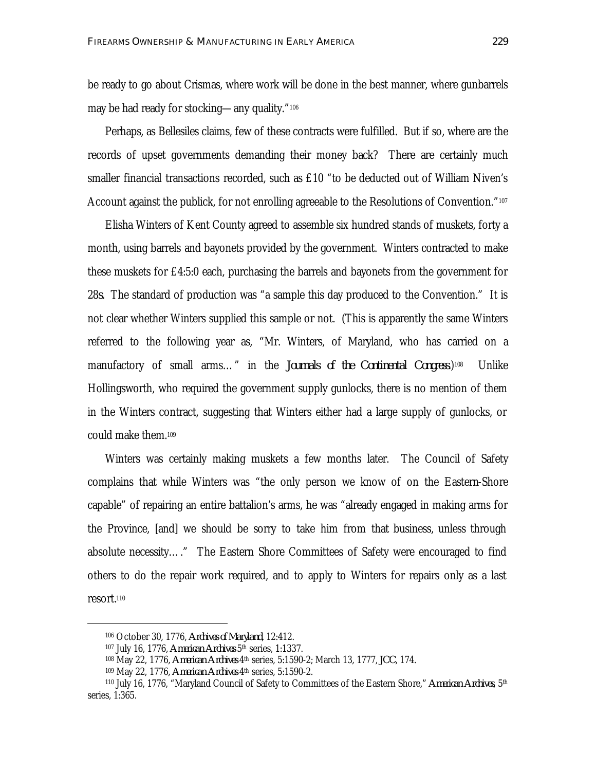be ready to go about Crismas, where work will be done in the best manner, where gunbarrels may be had ready for stocking—any quality."<sup>106</sup>

Perhaps, as Bellesiles claims, few of these contracts were fulfilled. But if so, where are the records of upset governments demanding their money back? There are certainly much smaller financial transactions recorded, such as £10 "to be deducted out of William Niven's Account against the publick, for not enrolling agreeable to the Resolutions of Convention."<sup>107</sup>

Elisha Winters of Kent County agreed to assemble six hundred stands of muskets, forty a month, using barrels and bayonets provided by the government. Winters contracted to make these muskets for £4:5:0 each, purchasing the barrels and bayonets from the government for 28*s.* The standard of production was "a sample this day produced to the Convention." It is not clear whether Winters supplied this sample or not. (This is apparently the same Winters referred to the following year as, "Mr. Winters, of Maryland, who has carried on a manufactory of small arms…" in the *Journals of the Continental Congress*.)108 Unlike Hollingsworth, who required the government supply gunlocks, there is no mention of them in the Winters contract, suggesting that Winters either had a large supply of gunlocks, or could make them.<sup>109</sup>

Winters was certainly making muskets a few months later. The Council of Safety complains that while Winters was "the only person we know of on the Eastern-Shore capable" of repairing an entire battalion's arms, he was "already engaged in making arms for the Province, [and] we should be sorry to take him from that business, unless through absolute necessity…." The Eastern Shore Committees of Safety were encouraged to find others to do the repair work required, and to apply to Winters for repairs only as a last resort.<sup>110</sup>

<sup>106</sup> October 30, 1776, *Archives of Maryland*, 12:412.

<sup>107</sup> July 16, 1776, *American Archives* 5th series, 1:1337.

<sup>&</sup>lt;sup>108</sup> May 22, 1776, *American Archives* 4<sup>th</sup> series, 5:1590-2; March 13, 1777, *JCC*, 174.

<sup>109</sup> May 22, 1776, *American Archives* 4 th series, 5:1590-2.

<sup>110</sup> July 16, 1776, "Maryland Council of Safety to Committees of the Eastern Shore," *American Archives*, 5th series, 1:365.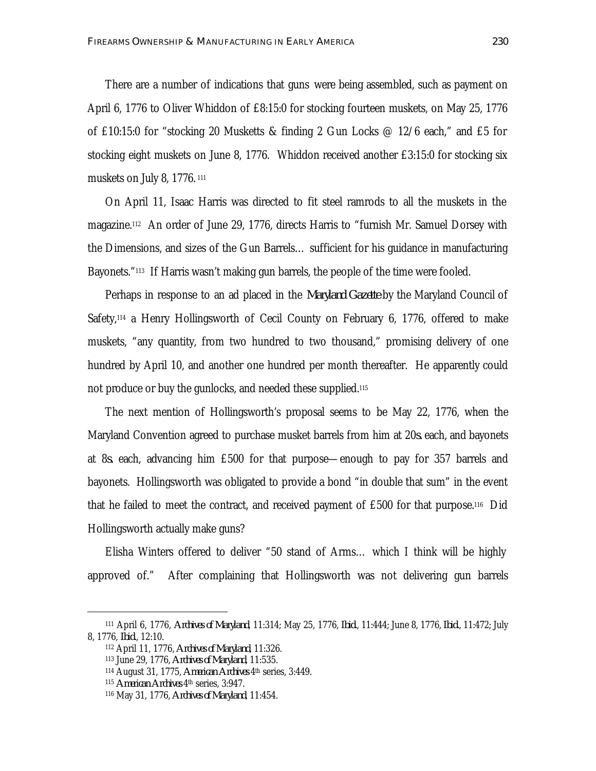There are a number of indications that guns were being assembled, such as payment on April 6, 1776 to Oliver Whiddon of £8:15:0 for stocking fourteen muskets, on May 25, 1776 of £10:15:0 for "stocking 20 Musketts & finding 2 Gun Locks @ 12/6 each," and £5 for stocking eight muskets on June 8, 1776. Whiddon received another £3:15:0 for stocking six muskets on July 8, 1776. <sup>111</sup>

On April 11, Isaac Harris was directed to fit steel ramrods to all the muskets in the magazine.112 An order of June 29, 1776, directs Harris to "furnish Mr. Samuel Dorsey with the Dimensions, and sizes of the Gun Barrels… sufficient for his guidance in manufacturing Bayonets."<sup>113</sup> If Harris wasn't making gun barrels, the people of the time were fooled.

Perhaps in response to an ad placed in the *Maryland Gazette* by the Maryland Council of Safety,114 a Henry Hollingsworth of Cecil County on February 6, 1776, offered to make muskets, "any quantity, from two hundred to two thousand," promising delivery of one hundred by April 10, and another one hundred per month thereafter. He apparently could not produce or buy the gunlocks, and needed these supplied.<sup>115</sup>

The next mention of Hollingsworth's proposal seems to be May 22, 1776, when the Maryland Convention agreed to purchase musket barrels from him at 20*s.* each, and bayonets at 8*s.* each, advancing him £500 for that purpose—enough to pay for 357 barrels and bayonets. Hollingsworth was obligated to provide a bond "in double that sum" in the event that he failed to meet the contract, and received payment of £500 for that purpose.116 Did Hollingsworth actually make guns?

Elisha Winters offered to deliver "50 stand of Arms… which I think will be highly approved of." After complaining that Hollingsworth was not delivering gun barrels

<sup>111</sup> April 6, 1776, *Archives of Maryland*, 11:314; May 25, 1776, *Ibid.*, 11:444; June 8, 1776, *Ibid.*, 11:472; July 8, 1776, *Ibid.*, 12:10.

<sup>112</sup> April 11, 1776, *Archives of Maryland*, 11:326.

<sup>113</sup> June 29, 1776, *Archives of Maryland*, 11:535.

<sup>114</sup> August 31, 1775, *American Archives* 4th series, 3:449.

<sup>&</sup>lt;sup>115</sup> American Archives 4<sup>th</sup> series, 3:947.

<sup>116</sup> May 31, 1776, *Archives of Maryland*, 11:454.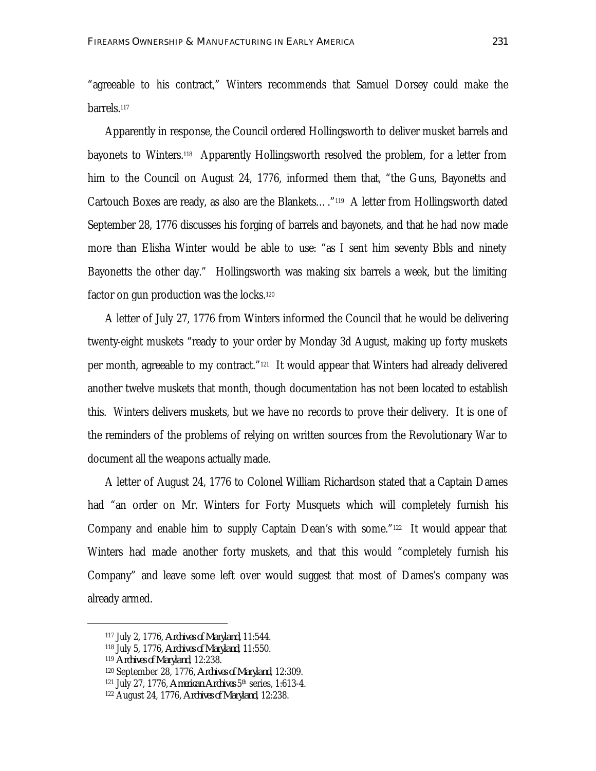"agreeable to his contract," Winters recommends that Samuel Dorsey could make the barrels.<sup>117</sup>

Apparently in response, the Council ordered Hollingsworth to deliver musket barrels and bayonets to Winters.118 Apparently Hollingsworth resolved the problem, for a letter from him to the Council on August 24, 1776, informed them that, "the Guns, Bayonetts and Cartouch Boxes are ready, as also are the Blankets…."119 A letter from Hollingsworth dated September 28, 1776 discusses his forging of barrels and bayonets, and that he had now made more than Elisha Winter would be able to use: "as I sent him seventy Bbls and ninety Bayonetts the other day." Hollingsworth was making six barrels a week, but the limiting factor on gun production was the locks.<sup>120</sup>

A letter of July 27, 1776 from Winters informed the Council that he would be delivering twenty-eight muskets "ready to your order by Monday 3d August, making up forty muskets per month, agreeable to my contract."121 It would appear that Winters had already delivered another twelve muskets that month, though documentation has not been located to establish this. Winters delivers muskets, but we have no records to prove their delivery. It is one of the reminders of the problems of relying on written sources from the Revolutionary War to document all the weapons actually made.

A letter of August 24, 1776 to Colonel William Richardson stated that a Captain Dames had "an order on Mr. Winters for Forty Musquets which will completely furnish his Company and enable him to supply Captain Dean's with some."122 It would appear that Winters had made another forty muskets, and that this would "completely furnish his Company" and leave some left over would suggest that most of Dames's company was already armed.

<sup>117</sup> July 2, 1776, *Archives of Maryland,* 11:544.

<sup>118</sup> July 5, 1776, *Archives of Maryland*, 11:550.

<sup>119</sup> *Archives of Maryland*, 12:238.

<sup>120</sup> September 28, 1776, *Archives of Maryland*, 12:309.

<sup>121</sup> July 27, 1776, *American Archives* 5 th series, 1:613-4.

<sup>122</sup> August 24, 1776, *Archives of Maryland*, 12:238.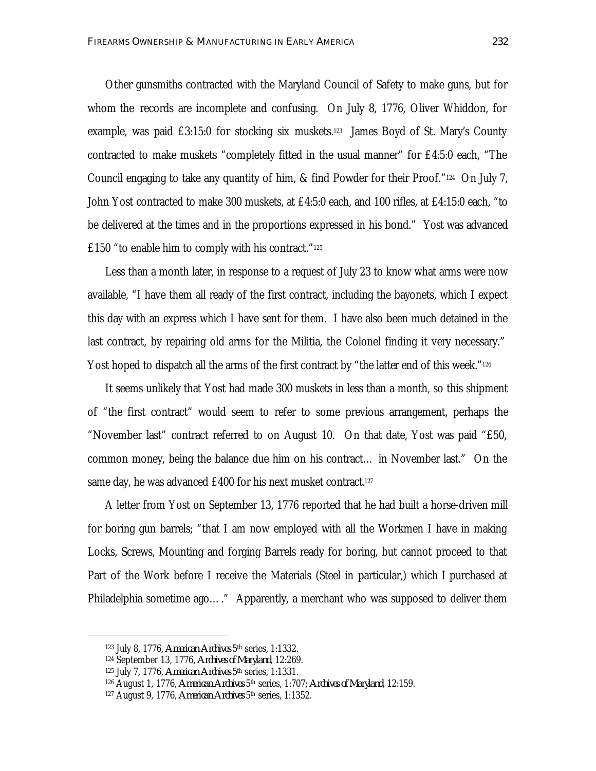Other gunsmiths contracted with the Maryland Council of Safety to make guns, but for whom the records are incomplete and confusing. On July 8, 1776, Oliver Whiddon, for example, was paid £3:15:0 for stocking six muskets.123 James Boyd of St. Mary's County contracted to make muskets "completely fitted in the usual manner" for £4:5:0 each, "The Council engaging to take any quantity of him, & find Powder for their Proof."124 On July 7, John Yost contracted to make 300 muskets, at £4:5:0 each, and 100 rifles, at £4:15:0 each, "to be delivered at the times and in the proportions expressed in his bond." Yost was advanced £150 "to enable him to comply with his contract." $125$ 

Less than a month later, in response to a request of July 23 to know what arms were now available, "I have them all ready of the first contract, including the bayonets, which I expect this day with an express which I have sent for them. I have also been much detained in the last contract, by repairing old arms for the Militia, the Colonel finding it very necessary." Yost hoped to dispatch all the arms of the first contract by "the latter end of this week."<sup>126</sup>

It seems unlikely that Yost had made 300 muskets in less than a month, so this shipment of "the first contract" would seem to refer to some previous arrangement, perhaps the "November last" contract referred to on August 10. On that date, Yost was paid "£50, common money, being the balance due him on his contract… in November last." On the same day, he was advanced £400 for his next musket contract.<sup>127</sup>

A letter from Yost on September 13, 1776 reported that he had built a horse-driven mill for boring gun barrels; "that I am now employed with all the Workmen I have in making Locks, Screws, Mounting and forging Barrels ready for boring, but cannot proceed to that Part of the Work before I receive the Materials (Steel in particular,) which I purchased at Philadelphia sometime ago…." Apparently, a merchant who was supposed to deliver them

<sup>123</sup> July 8, 1776, *American Archives* 5th series, 1:1332.

<sup>124</sup> September 13, 1776, *Archives of Maryland*, 12:269.

<sup>125</sup> July 7, 1776, *American Archives* 5th series, 1:1331.

<sup>&</sup>lt;sup>126</sup> August 1, 1776, *American Archives* 5<sup>th</sup> series, 1:707; *Archives of Maryland*, 12:159.

<sup>&</sup>lt;sup>127</sup> August 9, 1776, *American Archives* 5<sup>th</sup> series, 1:1352.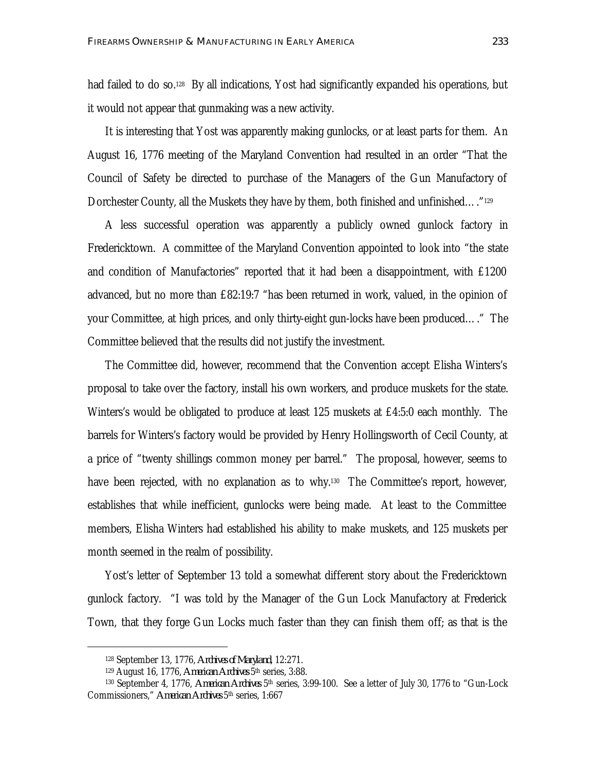had failed to do so.<sup>128</sup> By all indications, Yost had significantly expanded his operations, but it would not appear that gunmaking was a new activity.

It is interesting that Yost was apparently making gunlocks, or at least parts for them. An August 16, 1776 meeting of the Maryland Convention had resulted in an order "That the Council of Safety be directed to purchase of the Managers of the Gun Manufactory of Dorchester County, all the Muskets they have by them, both finished and unfinished...."<sup>129</sup>

A less successful operation was apparently a publicly owned gunlock factory in Fredericktown. A committee of the Maryland Convention appointed to look into "the state and condition of Manufactories" reported that it had been a disappointment, with £1200 advanced, but no more than £82:19:7 "has been returned in work, valued, in the opinion of your Committee, at high prices, and only thirty-eight gun-locks have been produced…." The Committee believed that the results did not justify the investment.

The Committee did, however, recommend that the Convention accept Elisha Winters's proposal to take over the factory, install his own workers, and produce muskets for the state. Winters's would be obligated to produce at least 125 muskets at £4:5:0 each monthly. The barrels for Winters's factory would be provided by Henry Hollingsworth of Cecil County, at a price of "twenty shillings common money per barrel." The proposal, however, seems to have been rejected, with no explanation as to why.<sup>130</sup> The Committee's report, however, establishes that while inefficient, gunlocks were being made. At least to the Committee members, Elisha Winters had established his ability to make muskets, and 125 muskets per month seemed in the realm of possibility.

Yost's letter of September 13 told a somewhat different story about the Fredericktown gunlock factory. "I was told by the Manager of the Gun Lock Manufactory at Frederick Town, that they forge Gun Locks much faster than they can finish them off; as that is the

<sup>128</sup> September 13, 1776, *Archives of Maryland*, 12:271.

<sup>&</sup>lt;sup>129</sup> August 16, 1776, *American Archives* 5<sup>th</sup> series, 3:88.

<sup>&</sup>lt;sup>130</sup> September 4, 1776, *American Archives* 5<sup>th</sup> series, 3:99-100. See a letter of July 30, 1776 to "Gun-Lock Commissioners," *American Archives* 5 th series, 1:667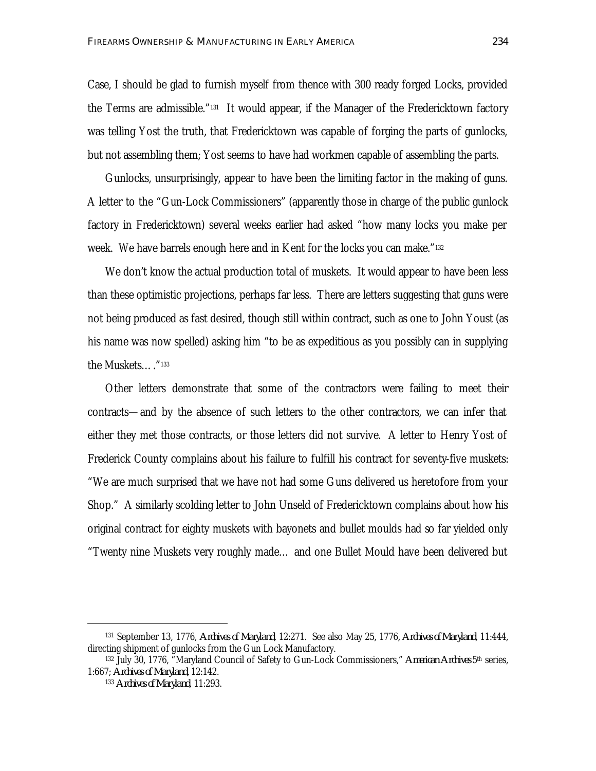Case, I should be glad to furnish myself from thence with 300 ready forged Locks, provided the Terms are admissible."131 It would appear, if the Manager of the Fredericktown factory was telling Yost the truth, that Fredericktown was capable of forging the parts of gunlocks, but not assembling them; Yost seems to have had workmen capable of assembling the parts.

Gunlocks, unsurprisingly, appear to have been the limiting factor in the making of guns. A letter to the "Gun-Lock Commissioners" (apparently those in charge of the public gunlock factory in Fredericktown) several weeks earlier had asked "how many locks you make per week. We have barrels enough here and in Kent for the locks you can make."<sup>132</sup>

We don't know the actual production total of muskets. It would appear to have been less than these optimistic projections, perhaps far less. There are letters suggesting that guns were not being produced as fast desired, though still within contract, such as one to John Youst (as his name was now spelled) asking him "to be as expeditious as you possibly can in supplying the Muskets…."<sup>133</sup>

Other letters demonstrate that some of the contractors were failing to meet their contracts—and by the absence of such letters to the other contractors, we can infer that either they met those contracts, or those letters did not survive. A letter to Henry Yost of Frederick County complains about his failure to fulfill his contract for seventy-five muskets: "We are much surprised that we have not had some Guns delivered us heretofore from your Shop." A similarly scolding letter to John Unseld of Fredericktown complains about how his original contract for eighty muskets with bayonets and bullet moulds had so far yielded only "Twenty nine Muskets very roughly made… and one Bullet Mould have been delivered but

<sup>131</sup> September 13, 1776, *Archives of Maryland*, 12:271. See also May 25, 1776, *Archives of Maryland*, 11:444, directing shipment of gunlocks from the Gun Lock Manufactory.

<sup>132</sup> July 30, 1776, "Maryland Council of Safety to Gun-Lock Commissioners," *American Archives* 5 th series, 1:667; *Archives of Maryland,* 12:142.

<sup>133</sup> *Archives of Maryland*, 11:293.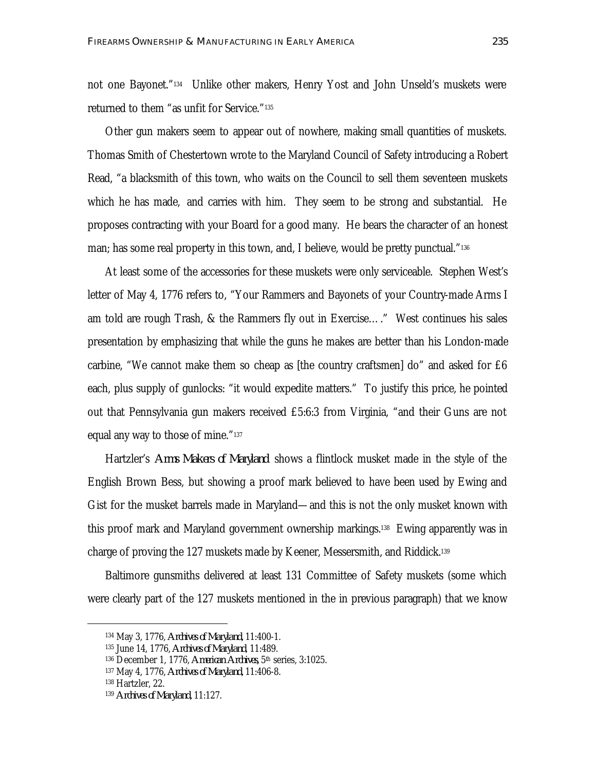not one Bayonet."134 Unlike other makers, Henry Yost and John Unseld's muskets were returned to them "as unfit for Service."<sup>135</sup>

Other gun makers seem to appear out of nowhere, making small quantities of muskets. Thomas Smith of Chestertown wrote to the Maryland Council of Safety introducing a Robert Read, "a blacksmith of this town, who waits on the Council to sell them seventeen muskets which he has made, and carries with him. They seem to be strong and substantial. He proposes contracting with your Board for a good many. He bears the character of an honest man; has some real property in this town, and, I believe, would be pretty punctual."<sup>136</sup>

At least some of the accessories for these muskets were only serviceable. Stephen West's letter of May 4, 1776 refers to, "Your Rammers and Bayonets of your Country-made Arms I am told are rough Trash, & the Rammers fly out in Exercise…." West continues his sales presentation by emphasizing that while the guns he makes are better than his London-made carbine, "We cannot make them so cheap as [the country craftsmen] do" and asked for £6 each, plus supply of gunlocks: "it would expedite matters." To justify this price, he pointed out that Pennsylvania gun makers received £5:6:3 from Virginia, "and their Guns are not equal any way to those of mine."<sup>137</sup>

Hartzler's *Arms Makers of Maryland* shows a flintlock musket made in the style of the English Brown Bess, but showing a proof mark believed to have been used by Ewing and Gist for the musket barrels made in Maryland—and this is not the only musket known with this proof mark and Maryland government ownership markings.138 Ewing apparently was in charge of proving the 127 muskets made by Keener, Messersmith, and Riddick.<sup>139</sup>

Baltimore gunsmiths delivered at least 131 Committee of Safety muskets (some which were clearly part of the 127 muskets mentioned in the in previous paragraph) that we know

<sup>134</sup> May 3, 1776, *Archives of Maryland,* 11:400-1.

<sup>135</sup> June 14, 1776, *Archives of Maryland*, 11:489.

<sup>&</sup>lt;sup>136</sup> December 1, 1776, *American Archives*, 5<sup>th</sup> series, 3:1025.

<sup>137</sup> May 4, 1776, *Archives of Maryland,* 11:406-8.

<sup>138</sup> Hartzler, 22.

<sup>139</sup> *Archives of Maryland,* 11:127.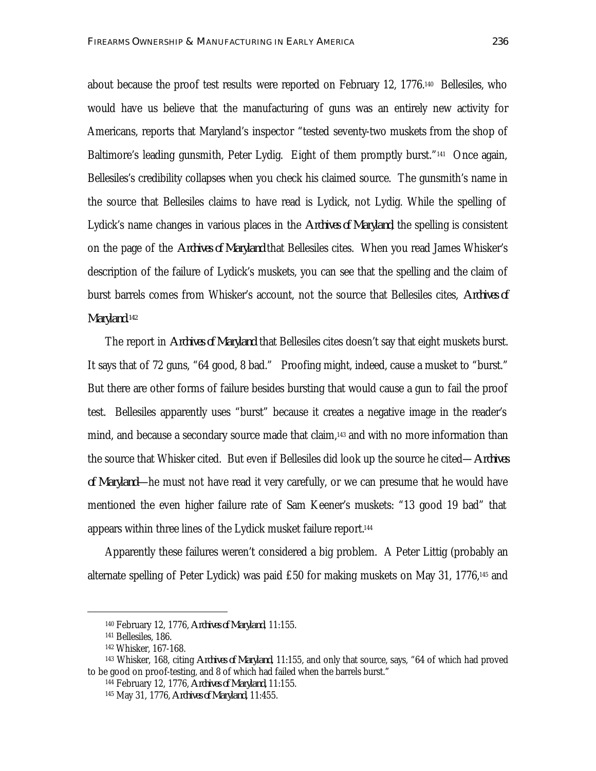about because the proof test results were reported on February 12, 1776.140 Bellesiles, who would have us believe that the manufacturing of guns was an entirely new activity for Americans, reports that Maryland's inspector "tested seventy-two muskets from the shop of Baltimore's leading gunsmith, Peter Lydig. Eight of them promptly burst."<sup>141</sup> Once again, Bellesiles's credibility collapses when you check his claimed source. The gunsmith's name in the source that Bellesiles claims to have read is Lydick, not Lydig. While the spelling of Lydick's name changes in various places in the *Archives of Maryland*, the spelling is consistent on the page of the *Archives of Maryland* that Bellesiles cites. When you read James Whisker's description of the failure of Lydick's muskets, you can see that the spelling and the claim of burst barrels comes from Whisker's account, not the source that Bellesiles cites, *Archives of Maryland.<sup>142</sup>*

The report in *Archives of Maryland* that Bellesiles cites doesn't say that eight muskets burst. It says that of 72 guns, "64 good, 8 bad." Proofing might, indeed, cause a musket to "burst." But there are other forms of failure besides bursting that would cause a gun to fail the proof test. Bellesiles apparently uses "burst" because it creates a negative image in the reader's mind, and because a secondary source made that claim,143 and with no more information than the source that Whisker cited. But even if Bellesiles did look up the source he cited—*Archives of Maryland—*he must not have read it very carefully, or we can presume that he would have mentioned the even higher failure rate of Sam Keener's muskets: "13 good 19 bad" that appears within three lines of the Lydick musket failure report.<sup>144</sup>

Apparently these failures weren't considered a big problem. A Peter Littig (probably an alternate spelling of Peter Lydick) was paid £50 for making muskets on May 31, 1776,145 and

<sup>140</sup> February 12, 1776, *Archives of Maryland*, 11:155.

<sup>141</sup> Bellesiles, 186.

<sup>142</sup> Whisker, 167-168.

<sup>143</sup> Whisker, 168, citing *Archives of Maryland,* 11:155, and only that source, says, "64 of which had proved to be good on proof-testing, and 8 of which had failed when the barrels burst."

<sup>144</sup> February 12, 1776, *Archives of Maryland,* 11:155.

<sup>145</sup> May 31, 1776, *Archives of Maryland,* 11:455.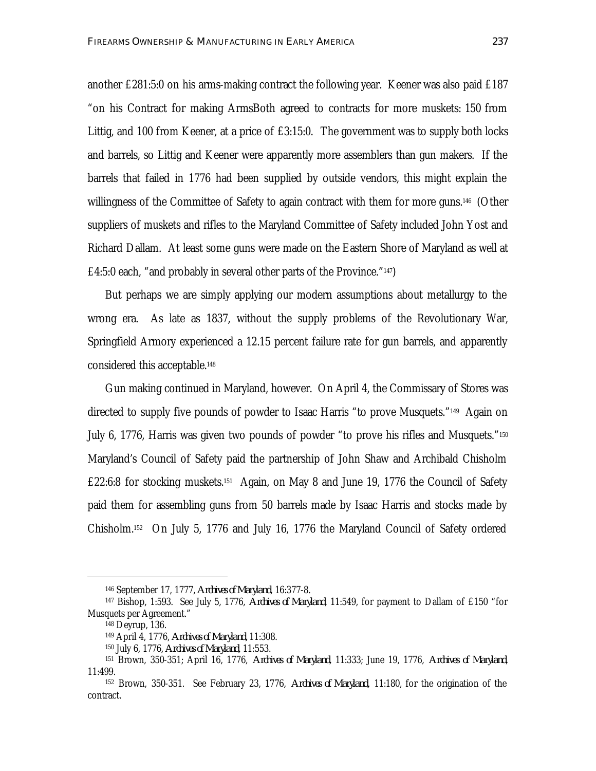another £281:5:0 on his arms-making contract the following year. Keener was also paid £187 "on his Contract for making ArmsBoth agreed to contracts for more muskets: 150 from Littig, and 100 from Keener, at a price of £3:15:0. The government was to supply both locks and barrels, so Littig and Keener were apparently more assemblers than gun makers. If the barrels that failed in 1776 had been supplied by outside vendors, this might explain the willingness of the Committee of Safety to again contract with them for more guns.146 (Other suppliers of muskets and rifles to the Maryland Committee of Safety included John Yost and Richard Dallam. At least some guns were made on the Eastern Shore of Maryland as well at £4:5:0 each, "and probably in several other parts of the Province."147)

But perhaps we are simply applying our modern assumptions about metallurgy to the wrong era. As late as 1837, without the supply problems of the Revolutionary War, Springfield Armory experienced a 12.15 percent failure rate for gun barrels, and apparently considered this acceptable.<sup>148</sup>

Gun making continued in Maryland, however. On April 4, the Commissary of Stores was directed to supply five pounds of powder to Isaac Harris "to prove Musquets."149 Again on July 6, 1776, Harris was given two pounds of powder "to prove his rifles and Musquets."<sup>150</sup> Maryland's Council of Safety paid the partnership of John Shaw and Archibald Chisholm £22:6:8 for stocking muskets.151 Again, on May 8 and June 19, 1776 the Council of Safety paid them for assembling guns from 50 barrels made by Isaac Harris and stocks made by Chisholm.152 On July 5, 1776 and July 16, 1776 the Maryland Council of Safety ordered

<sup>146</sup> September 17, 1777, *Archives of Maryland*, 16:377-8.

<sup>147</sup> Bishop, 1:593. See July 5, 1776, *Archives of Maryland*, 11:549, for payment to Dallam of £150 "for Musquets per Agreement."

<sup>148</sup> Deyrup, 136.

<sup>149</sup> April 4, 1776, *Archives of Maryland,* 11:308.

<sup>150</sup> July 6, 1776, *Archives of Maryland*, 11:553.

<sup>151</sup> Brown, 350-351; April 16, 1776, *Archives of Maryland*, 11:333; June 19, 1776, *Archives of Maryland*, 11:499.

<sup>152</sup> Brown, 350-351. See February 23, 1776, *Archives of Maryland,* 11:180, for the origination of the contract.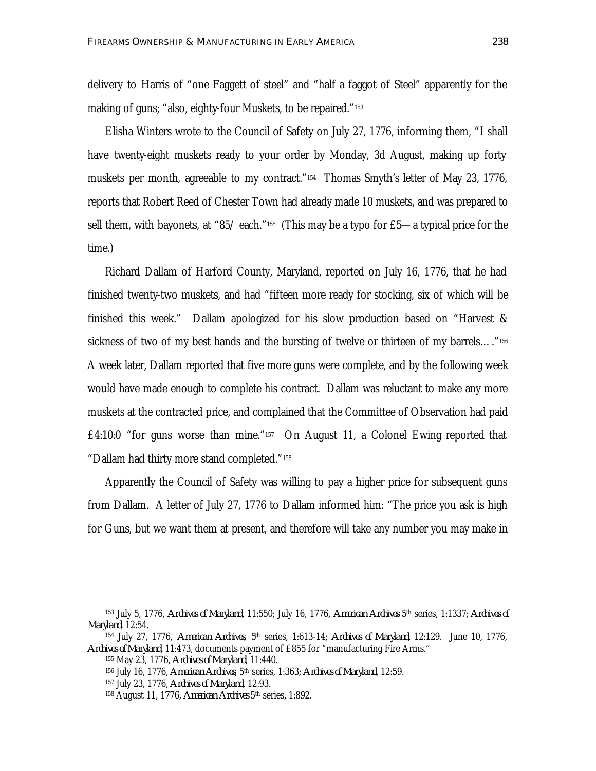delivery to Harris of "one Faggett of steel" and "half a faggot of Steel" apparently for the making of guns; "also, eighty-four Muskets, to be repaired."<sup>153</sup>

Elisha Winters wrote to the Council of Safety on July 27, 1776, informing them, "I shall have twenty-eight muskets ready to your order by Monday, 3d August, making up forty muskets per month, agreeable to my contract."154 Thomas Smyth's letter of May 23, 1776, reports that Robert Reed of Chester Town had already made 10 muskets, and was prepared to sell them, with bayonets, at "85/ each."<sup>155</sup> (This may be a typo for £5—a typical price for the time.)

Richard Dallam of Harford County, Maryland, reported on July 16, 1776, that he had finished twenty-two muskets, and had "fifteen more ready for stocking, six of which will be finished this week." Dallam apologized for his slow production based on "Harvest & sickness of two of my best hands and the bursting of twelve or thirteen of my barrels...."<sup>156</sup> A week later, Dallam reported that five more guns were complete, and by the following week would have made enough to complete his contract. Dallam was reluctant to make any more muskets at the contracted price, and complained that the Committee of Observation had paid £4:10:0 "for guns worse than mine."157 On August 11, a Colonel Ewing reported that "Dallam had thirty more stand completed."<sup>158</sup>

Apparently the Council of Safety was willing to pay a higher price for subsequent guns from Dallam. A letter of July 27, 1776 to Dallam informed him: "The price you ask is high for Guns, but we want them at present, and therefore will take any number you may make in

<sup>153</sup> July 5, 1776, *Archives of Maryland,* 11:550; July 16, 1776, *American Archives* 5 th series, 1:1337; *Archives of Maryland*, 12:54.

<sup>154</sup> July 27, 1776, *American Archives*, 5th series, 1:613-14; *Archives of Maryland*, 12:129. June 10, 1776, *Archives of Maryland*, 11:473, documents payment of £855 for "manufacturing Fire Arms."

<sup>155</sup> May 23, 1776, *Archives of Maryland*, 11:440.

<sup>156</sup> July 16, 1776, *American Archives*, 5th series, 1:363; *Archives of Maryland*, 12:59.

<sup>157</sup> July 23, 1776, *Archives of Maryland*, 12:93.

<sup>158</sup> August 11, 1776, *American Archives* 5th series, 1:892.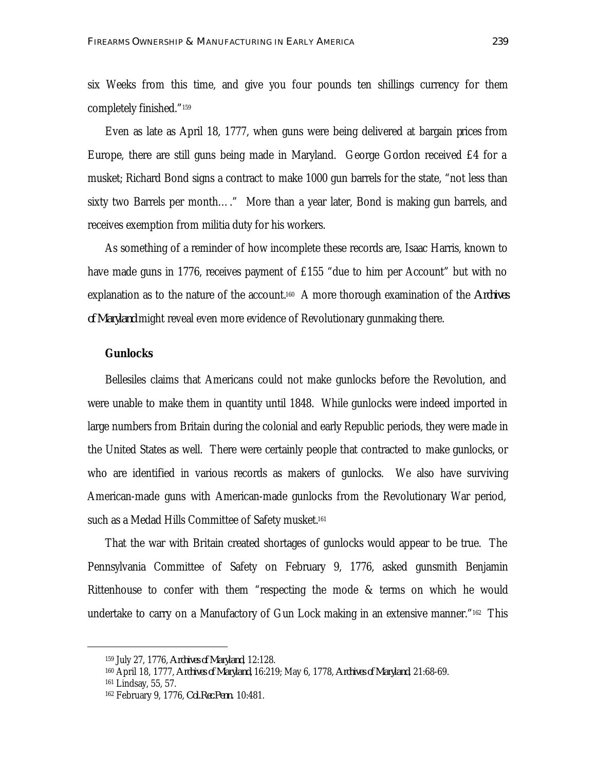six Weeks from this time, and give you four pounds ten shillings currency for them completely finished."<sup>159</sup>

Even as late as April 18, 1777, when guns were being delivered at bargain prices from Europe, there are still guns being made in Maryland. George Gordon received £4 for a musket; Richard Bond signs a contract to make 1000 gun barrels for the state, "not less than sixty two Barrels per month…." More than a year later, Bond is making gun barrels, and receives exemption from militia duty for his workers.

As something of a reminder of how incomplete these records are, Isaac Harris, known to have made guns in 1776, receives payment of £155 "due to him per Account" but with no explanation as to the nature of the account.160 A more thorough examination of the *Archives of Maryland* might reveal even more evidence of Revolutionary gunmaking there.

# **Gunlocks**

Bellesiles claims that Americans could not make gunlocks before the Revolution, and were unable to make them in quantity until 1848. While gunlocks were indeed imported in large numbers from Britain during the colonial and early Republic periods, they were made in the United States as well. There were certainly people that contracted to make gunlocks, or who are identified in various records as makers of gunlocks. We also have surviving American-made guns with American-made gunlocks from the Revolutionary War period, such as a Medad Hills Committee of Safety musket.<sup>161</sup>

That the war with Britain created shortages of gunlocks would appear to be true. The Pennsylvania Committee of Safety on February 9, 1776, asked gunsmith Benjamin Rittenhouse to confer with them "respecting the mode & terms on which he would undertake to carry on a Manufactory of Gun Lock making in an extensive manner."162 This

<sup>159</sup> July 27, 1776, *Archives of Maryland*, 12:128.

<sup>160</sup> April 18, 1777, *Archives of Maryland,* 16:219; May 6, 1778, *Archives of Maryland*, 21:68-69.

<sup>161</sup> Lindsay, 55, 57.

<sup>162</sup> February 9, 1776, *Col.Rec.Penn.* 10:481.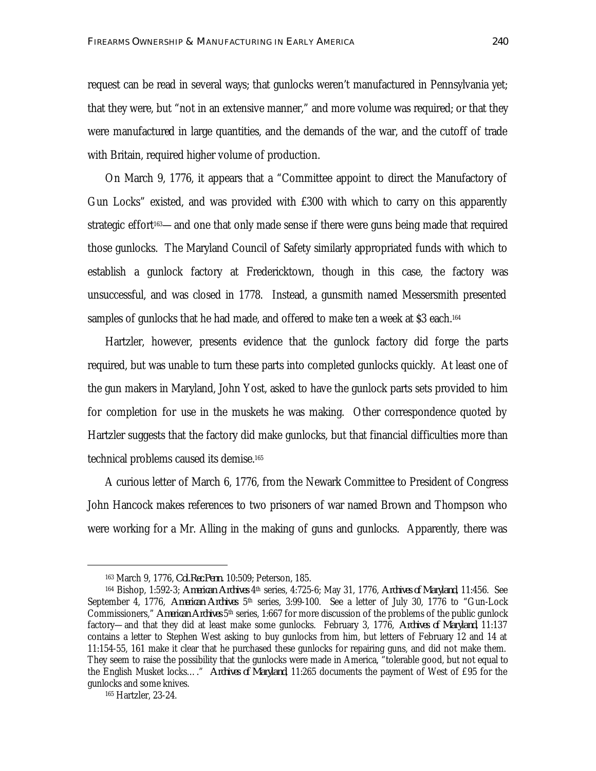request can be read in several ways; that gunlocks weren't manufactured in Pennsylvania yet; that they were, but "not in an extensive manner," and more volume was required; or that they were manufactured in large quantities, and the demands of the war, and the cutoff of trade with Britain, required higher volume of production.

On March 9, 1776, it appears that a "Committee appoint to direct the Manufactory of Gun Locks" existed, and was provided with £300 with which to carry on this apparently strategic effort163—and one that only made sense if there were guns being made that required those gunlocks. The Maryland Council of Safety similarly appropriated funds with which to establish a gunlock factory at Fredericktown, though in this case, the factory was unsuccessful, and was closed in 1778. Instead, a gunsmith named Messersmith presented samples of gunlocks that he had made, and offered to make ten a week at \$3 each.<sup>164</sup>

Hartzler, however, presents evidence that the gunlock factory did forge the parts required, but was unable to turn these parts into completed gunlocks quickly. At least one of the gun makers in Maryland, John Yost, asked to have the gunlock parts sets provided to him for completion for use in the muskets he was making. Other correspondence quoted by Hartzler suggests that the factory did make gunlocks, but that financial difficulties more than technical problems caused its demise.<sup>165</sup>

A curious letter of March 6, 1776, from the Newark Committee to President of Congress John Hancock makes references to two prisoners of war named Brown and Thompson who were working for a Mr. Alling in the making of guns and gunlocks. Apparently, there was

<sup>163</sup> March 9, 1776, *Col.Rec.Penn.* 10:509; Peterson, 185.

<sup>164</sup> Bishop, 1:592-3; *American Archives* 4th series, 4:725-6; May 31, 1776, *Archives of Maryland*, 11:456. See September 4, 1776, *American Archives* 5<sup>th</sup> series, 3:99-100. See a letter of July 30, 1776 to "Gun-Lock Commissioners," *American Archives* 5<sup>th</sup> series, 1:667 for more discussion of the problems of the public gunlock factory—and that they did at least make some gunlocks. February 3, 1776, *Archives of Maryland*, 11:137 contains a letter to Stephen West asking to buy gunlocks from him, but letters of February 12 and 14 at 11:154-55, 161 make it clear that he purchased these gunlocks for repairing guns, and did not make them. They seem to raise the possibility that the gunlocks were made in America, "tolerable good, but not equal to the English Musket locks…." *Archives of Maryland*, 11:265 documents the payment of West of £95 for the gunlocks and some knives.

<sup>165</sup> Hartzler, 23-24.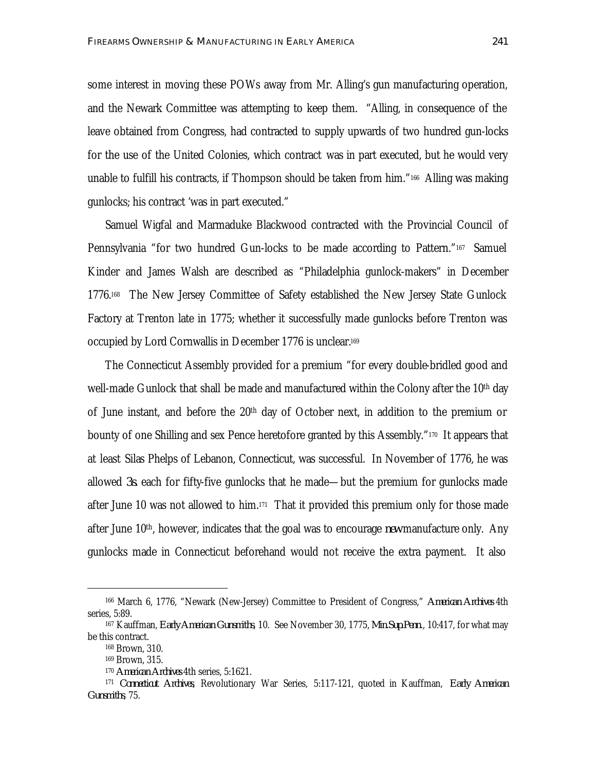some interest in moving these POWs away from Mr. Alling's gun manufacturing operation, and the Newark Committee was attempting to keep them. "Alling, in consequence of the leave obtained from Congress, had contracted to supply upwards of two hundred gun-locks for the use of the United Colonies, which contract was in part executed, but he would very unable to fulfill his contracts, if Thompson should be taken from him."166 Alling was making gunlocks; his contract 'was in part executed."

Samuel Wigfal and Marmaduke Blackwood contracted with the Provincial Council of Pennsylvania "for two hundred Gun-locks to be made according to Pattern."167 Samuel Kinder and James Walsh are described as "Philadelphia gunlock-makers" in December 1776.168 The New Jersey Committee of Safety established the New Jersey State Gunlock Factory at Trenton late in 1775; whether it successfully made gunlocks before Trenton was occupied by Lord Cornwallis in December 1776 is unclear.<sup>169</sup>

The Connecticut Assembly provided for a premium "for every double-bridled good and well-made Gunlock that shall be made and manufactured within the Colony after the 10<sup>th</sup> day of June instant, and before the 20<sup>th</sup> day of October next, in addition to the premium or bounty of one Shilling and sex Pence heretofore granted by this Assembly."<sup>170</sup> It appears that at least Silas Phelps of Lebanon, Connecticut, was successful. In November of 1776, he was allowed *3s.* each for fifty-five gunlocks that he made—but the premium for gunlocks made after June 10 was not allowed to him.171 That it provided this premium only for those made after June 10th, however, indicates that the goal was to encourage *new* manufacture only. Any gunlocks made in Connecticut beforehand would not receive the extra payment. It also

<sup>166</sup> March 6, 1776, "Newark (New-Jersey) Committee to President of Congress," *American Archives* 4th series, 5:89.

<sup>167</sup> Kauffman, *Early American Gunsmiths*, 10. See November 30, 1775, *Min.Sup.Penn.*, 10:417, for what may be this contract.

<sup>168</sup> Brown, 310.

<sup>169</sup> Brown, 315.

<sup>170</sup> *American Archives* 4th series, 5:1621.

<sup>171</sup> *Connecticut Archives*, Revolutionary War Series, 5:117-121, quoted in Kauffman, *Early American Gunsmiths*, 75.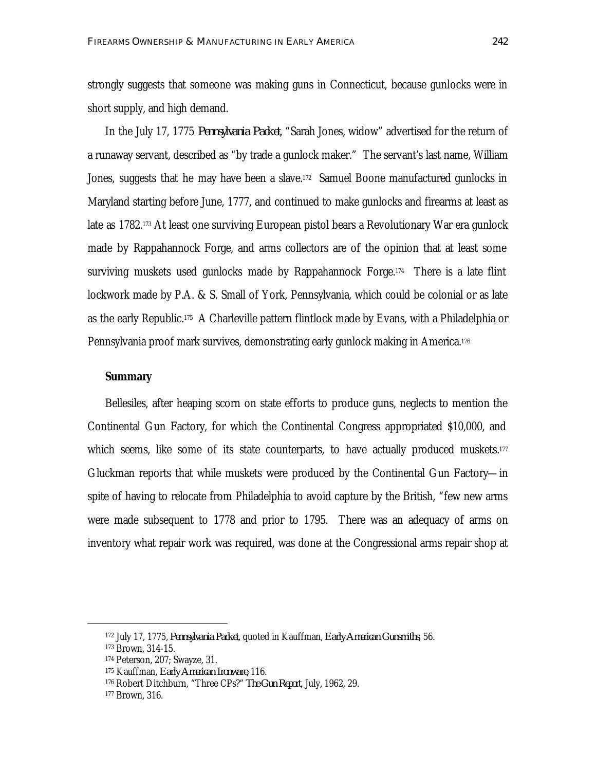strongly suggests that someone was making guns in Connecticut, because gunlocks were in short supply, and high demand.

In the July 17, 1775 *Pennsylvania Packet*, "Sarah Jones, widow" advertised for the return of a runaway servant, described as "by trade a gunlock maker." The servant's last name, William Jones, suggests that he may have been a slave.172 Samuel Boone manufactured gunlocks in Maryland starting before June, 1777, and continued to make gunlocks and firearms at least as late as 1782.173 At least one surviving European pistol bears a Revolutionary War era gunlock made by Rappahannock Forge, and arms collectors are of the opinion that at least some surviving muskets used gunlocks made by Rappahannock Forge.174 There is a late flint lockwork made by P.A. & S. Small of York, Pennsylvania, which could be colonial or as late as the early Republic.175 A Charleville pattern flintlock made by Evans, with a Philadelphia or Pennsylvania proof mark survives, demonstrating early gunlock making in America.<sup>176</sup>

### **Summary**

Bellesiles, after heaping scorn on state efforts to produce guns, neglects to mention the Continental Gun Factory, for which the Continental Congress appropriated \$10,000, and which seems, like some of its state counterparts, to have actually produced muskets.<sup>177</sup> Gluckman reports that while muskets were produced by the Continental Gun Factory—in spite of having to relocate from Philadelphia to avoid capture by the British, "few new arms were made subsequent to 1778 and prior to 1795. There was an adequacy of arms on inventory what repair work was required, was done at the Congressional arms repair shop at

<sup>172</sup> July 17, 1775, *Pennsylvania Packet*, quoted in Kauffman, *Early American Gunsmiths*, 56. <sup>173</sup> Brown, 314-15.

<sup>174</sup> Peterson, 207; Swayze, 31.

<sup>175</sup> Kauffman, *Early American Ironware,* 116.

<sup>176</sup> Robert Ditchburn, "Three CPs?" *The Gun Report*, July, 1962, 29.

<sup>177</sup> Brown, 316.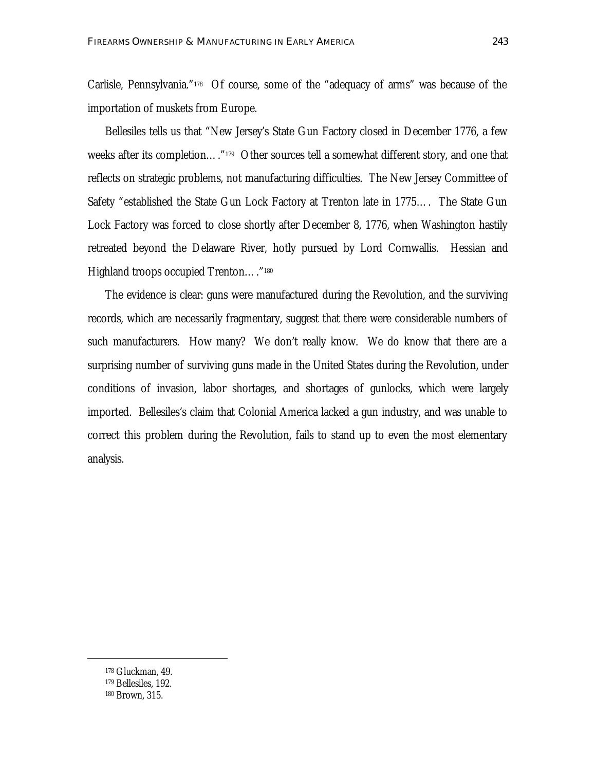Carlisle, Pennsylvania."178 Of course, some of the "adequacy of arms" was because of the importation of muskets from Europe.

Bellesiles tells us that "New Jersey's State Gun Factory closed in December 1776, a few weeks after its completion…."179 Other sources tell a somewhat different story, and one that reflects on strategic problems, not manufacturing difficulties. The New Jersey Committee of Safety "established the State Gun Lock Factory at Trenton late in 1775…. The State Gun Lock Factory was forced to close shortly after December 8, 1776, when Washington hastily retreated beyond the Delaware River, hotly pursued by Lord Cornwallis. Hessian and Highland troops occupied Trenton…."<sup>180</sup>

The evidence is clear: guns were manufactured during the Revolution, and the surviving records, which are necessarily fragmentary, suggest that there were considerable numbers of such manufacturers. How many? We don't really know. We do know that there are a surprising number of surviving guns made in the United States during the Revolution, under conditions of invasion, labor shortages, and shortages of gunlocks, which were largely imported. Bellesiles's claim that Colonial America lacked a gun industry, and was unable to correct this problem during the Revolution, fails to stand up to even the most elementary analysis.

<sup>178</sup> Gluckman, 49.

<sup>179</sup> Bellesiles, 192.

<sup>180</sup> Brown, 315.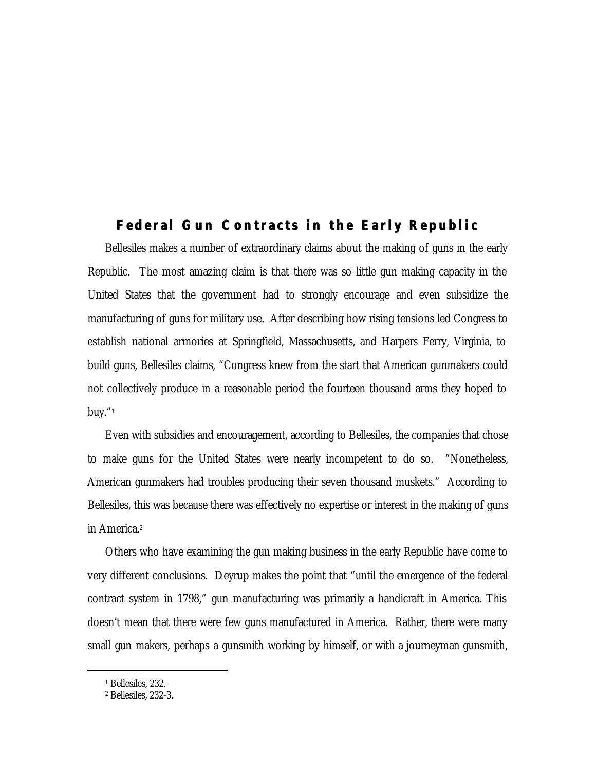# **Federal Gun Contracts in the Early Republic**

Bellesiles makes a number of extraordinary claims about the making of guns in the early Republic. The most amazing claim is that there was so little gun making capacity in the United States that the government had to strongly encourage and even subsidize the manufacturing of guns for military use. After describing how rising tensions led Congress to establish national armories at Springfield, Massachusetts, and Harpers Ferry, Virginia, to build guns, Bellesiles claims, "Congress knew from the start that American gunmakers could not collectively produce in a reasonable period the fourteen thousand arms they hoped to buy."<sup>1</sup>

Even with subsidies and encouragement, according to Bellesiles, the companies that chose to make guns for the United States were nearly incompetent to do so. "Nonetheless, American gunmakers had troubles producing their seven thousand muskets." According to Bellesiles, this was because there was effectively no expertise or interest in the making of guns in America.<sup>2</sup>

Others who have examining the gun making business in the early Republic have come to very different conclusions. Deyrup makes the point that "until the emergence of the federal contract system in 1798," gun manufacturing was primarily a handicraft in America. This doesn't mean that there were few guns manufactured in America. Rather, there were many small gun makers, perhaps a gunsmith working by himself, or with a journeyman gunsmith,

<sup>1</sup> Bellesiles, 232.

<sup>2</sup> Bellesiles, 232-3.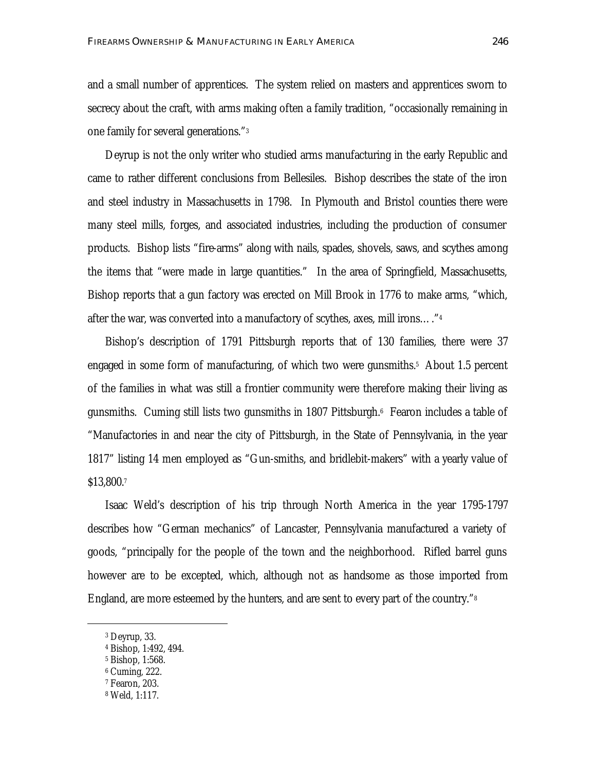and a small number of apprentices. The system relied on masters and apprentices sworn to secrecy about the craft, with arms making often a family tradition, "occasionally remaining in one family for several generations."<sup>3</sup>

Deyrup is not the only writer who studied arms manufacturing in the early Republic and came to rather different conclusions from Bellesiles. Bishop describes the state of the iron and steel industry in Massachusetts in 1798. In Plymouth and Bristol counties there were many steel mills, forges, and associated industries, including the production of consumer products. Bishop lists "fire-arms" along with nails, spades, shovels, saws, and scythes among the items that "were made in large quantities." In the area of Springfield, Massachusetts, Bishop reports that a gun factory was erected on Mill Brook in 1776 to make arms, "which, after the war, was converted into a manufactory of scythes, axes, mill irons…."<sup>4</sup>

Bishop's description of 1791 Pittsburgh reports that of 130 families, there were 37 engaged in some form of manufacturing, of which two were gunsmiths.<sup>5</sup> About 1.5 percent of the families in what was still a frontier community were therefore making their living as gunsmiths. Cuming still lists two gunsmiths in 1807 Pittsburgh.<sup>6</sup> Fearon includes a table of "Manufactories in and near the city of Pittsburgh, in the State of Pennsylvania, in the year 1817" listing 14 men employed as "Gun-smiths, and bridlebit-makers" with a yearly value of \$13,800.<sup>7</sup>

Isaac Weld's description of his trip through North America in the year 1795-1797 describes how "German mechanics" of Lancaster, Pennsylvania manufactured a variety of goods, "principally for the people of the town and the neighborhood. Rifled barrel guns however are to be excepted, which, although not as handsome as those imported from England, are more esteemed by the hunters, and are sent to every part of the country."<sup>8</sup>

<sup>3</sup> Deyrup, 33.

<sup>4</sup> Bishop, 1:492, 494.

<sup>5</sup> Bishop, 1:568.

<sup>6</sup> Cuming, 222.

<sup>7</sup> Fearon, 203.

<sup>8</sup> Weld, 1:117.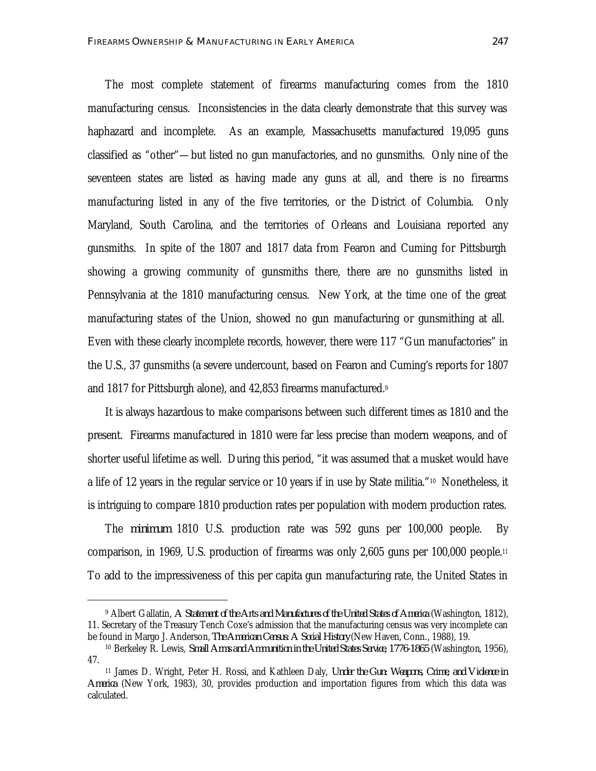The most complete statement of firearms manufacturing comes from the 1810 manufacturing census. Inconsistencies in the data clearly demonstrate that this survey was haphazard and incomplete. As an example, Massachusetts manufactured 19,095 guns classified as "other"—but listed no gun manufactories, and no gunsmiths. Only nine of the seventeen states are listed as having made any guns at all, and there is no firearms manufacturing listed in any of the five territories, or the District of Columbia. Only Maryland, South Carolina, and the territories of Orleans and Louisiana reported any gunsmiths. In spite of the 1807 and 1817 data from Fearon and Cuming for Pittsburgh showing a growing community of gunsmiths there, there are no gunsmiths listed in Pennsylvania at the 1810 manufacturing census. New York, at the time one of the great manufacturing states of the Union, showed no gun manufacturing or gunsmithing at all. Even with these clearly incomplete records, however, there were 117 "Gun manufactories" in the U.S., 37 gunsmiths (a severe undercount, based on Fearon and Cuming's reports for 1807 and 1817 for Pittsburgh alone), and 42,853 firearms manufactured.<sup>9</sup>

It is always hazardous to make comparisons between such different times as 1810 and the present. Firearms manufactured in 1810 were far less precise than modern weapons, and of shorter useful lifetime as well. During this period, "it was assumed that a musket would have a life of 12 years in the regular service or 10 years if in use by State militia."10 Nonetheless, it is intriguing to compare 1810 production rates per population with modern production rates.

The *minimum* 1810 U.S. production rate was 592 guns per 100,000 people. By comparison, in 1969, U.S. production of firearms was only 2,605 guns per 100,000 people.<sup>11</sup> To add to the impressiveness of this per capita gun manufacturing rate, the United States in

<sup>9</sup> Albert Gallatin, *A Statement of the Arts and Manufactures of the United States of America* (Washington, 1812), 11. Secretary of the Treasury Tench Coxe's admission that the manufacturing census was very incomplete can be found in Margo J. Anderson, *The American Census: A Social History* (New Haven, Conn., 1988), 19.

<sup>10</sup> Berkeley R. Lewis, *Small Arms and Ammunition in the United States Service, 1776-1865* (Washington, 1956), 47.

<sup>11</sup> James D. Wright, Peter H. Rossi, and Kathleen Daly, *Under the Gun: Weapons, Crime, and Violence in America* (New York, 1983), 30, provides production and importation figures from which this data was calculated.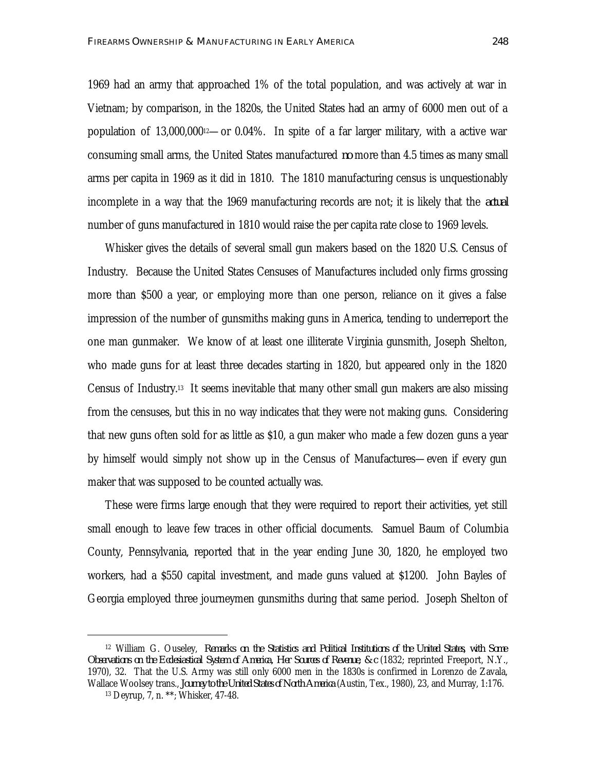1969 had an army that approached 1% of the total population, and was actively at war in Vietnam; by comparison, in the 1820s, the United States had an army of 6000 men out of a population of 13,000,00012—or 0.04%. In spite of a far larger military, with a active war consuming small arms, the United States manufactured *no* more than 4.5 times as many small arms per capita in 1969 as it did in 1810. The 1810 manufacturing census is unquestionably incomplete in a way that the 1969 manufacturing records are not; it is likely that the *actual* number of guns manufactured in 1810 would raise the per capita rate close to 1969 levels.

Whisker gives the details of several small gun makers based on the 1820 U.S. Census of Industry. Because the United States Censuses of Manufactures included only firms grossing more than \$500 a year, or employing more than one person, reliance on it gives a false impression of the number of gunsmiths making guns in America, tending to underreport the one man gunmaker. We know of at least one illiterate Virginia gunsmith, Joseph Shelton, who made guns for at least three decades starting in 1820, but appeared only in the 1820 Census of Industry.13 It seems inevitable that many other small gun makers are also missing from the censuses, but this in no way indicates that they were not making guns. Considering that new guns often sold for as little as \$10, a gun maker who made a few dozen guns a year by himself would simply not show up in the Census of Manufactures—even if every gun maker that was supposed to be counted actually was.

These were firms large enough that they were required to report their activities, yet still small enough to leave few traces in other official documents. Samuel Baum of Columbia County, Pennsylvania, reported that in the year ending June 30, 1820, he employed two workers, had a \$550 capital investment, and made guns valued at \$1200. John Bayles of Georgia employed three journeymen gunsmiths during that same period. Joseph Shelton of

<sup>12</sup> William G. Ouseley, *Remarks on the Statistics and Political Institutions of the United States, with Some Observations on the Ecclesiastical System of America, Her Sources of Revenue, &c* (1832; reprinted Freeport, N.Y., 1970), 32. That the U.S. Army was still only 6000 men in the 1830s is confirmed in Lorenzo de Zavala, Wallace Woolsey trans., *Journey to the United States of North America* (Austin, Tex., 1980), 23, and Murray, 1:176.

<sup>13</sup> Deyrup, 7, n. \*\*; Whisker, 47-48.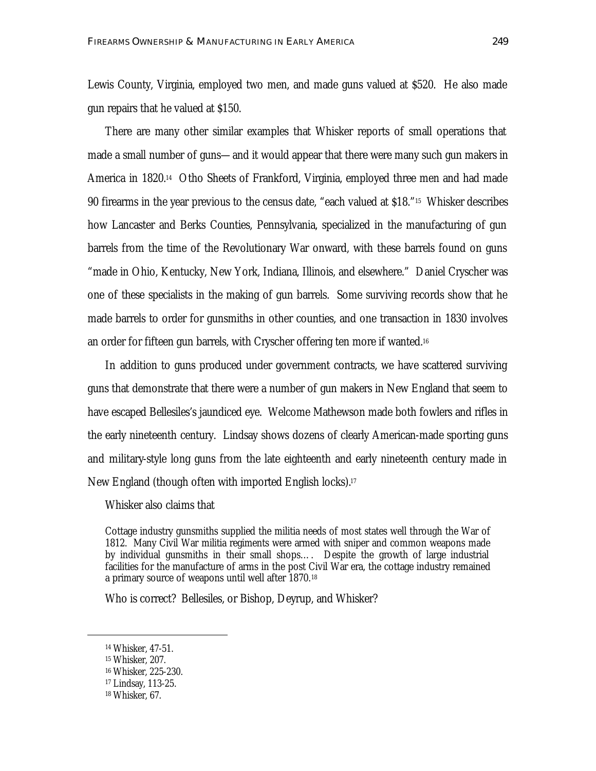Lewis County, Virginia, employed two men, and made guns valued at \$520. He also made gun repairs that he valued at \$150.

There are many other similar examples that Whisker reports of small operations that made a small number of guns—and it would appear that there were many such gun makers in America in 1820.14 Otho Sheets of Frankford, Virginia, employed three men and had made 90 firearms in the year previous to the census date, "each valued at \$18."15 Whisker describes how Lancaster and Berks Counties, Pennsylvania, specialized in the manufacturing of gun barrels from the time of the Revolutionary War onward, with these barrels found on guns "made in Ohio, Kentucky, New York, Indiana, Illinois, and elsewhere." Daniel Cryscher was one of these specialists in the making of gun barrels. Some surviving records show that he made barrels to order for gunsmiths in other counties, and one transaction in 1830 involves an order for fifteen gun barrels, with Cryscher offering ten more if wanted.<sup>16</sup>

In addition to guns produced under government contracts, we have scattered surviving guns that demonstrate that there were a number of gun makers in New England that seem to have escaped Bellesiles's jaundiced eye. Welcome Mathewson made both fowlers and rifles in the early nineteenth century. Lindsay shows dozens of clearly American-made sporting guns and military-style long guns from the late eighteenth and early nineteenth century made in New England (though often with imported English locks).<sup>17</sup>

Whisker also claims that

Cottage industry gunsmiths supplied the militia needs of most states well through the War of 1812. Many Civil War militia regiments were armed with sniper and common weapons made by individual gunsmiths in their small shops…. Despite the growth of large industrial facilities for the manufacture of arms in the post Civil War era, the cottage industry remained a primary source of weapons until well after 1870.<sup>18</sup>

Who is correct? Bellesiles, or Bishop, Deyrup, and Whisker?

<sup>14</sup> Whisker, 47-51.

<sup>15</sup> Whisker, 207.

<sup>16</sup> Whisker, 225-230.

<sup>17</sup> Lindsay, 113-25.

<sup>18</sup> Whisker, 67.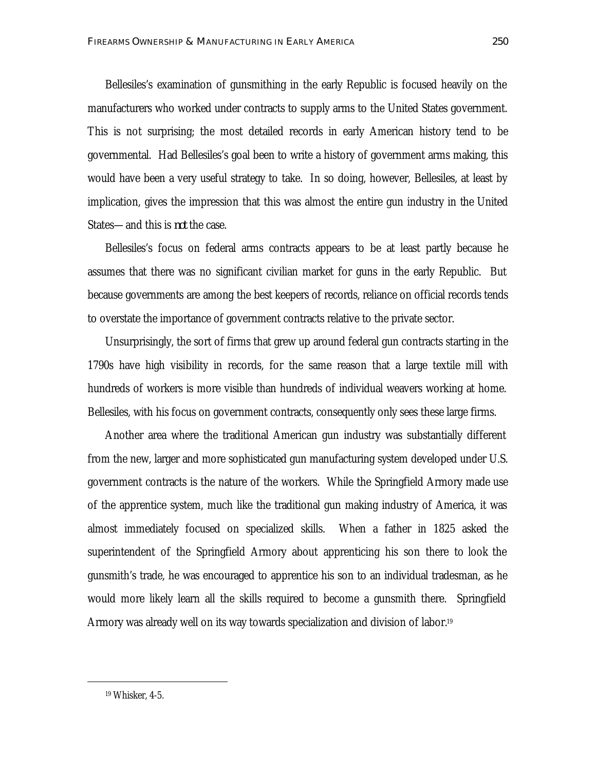Bellesiles's examination of gunsmithing in the early Republic is focused heavily on the manufacturers who worked under contracts to supply arms to the United States government. This is not surprising; the most detailed records in early American history tend to be governmental. Had Bellesiles's goal been to write a history of government arms making, this would have been a very useful strategy to take. In so doing, however, Bellesiles, at least by implication, gives the impression that this was almost the entire gun industry in the United States—and this is *not* the case.

Bellesiles's focus on federal arms contracts appears to be at least partly because he assumes that there was no significant civilian market for guns in the early Republic. But because governments are among the best keepers of records, reliance on official records tends to overstate the importance of government contracts relative to the private sector.

Unsurprisingly, the sort of firms that grew up around federal gun contracts starting in the 1790s have high visibility in records, for the same reason that a large textile mill with hundreds of workers is more visible than hundreds of individual weavers working at home. Bellesiles, with his focus on government contracts, consequently only sees these large firms.

Another area where the traditional American gun industry was substantially different from the new, larger and more sophisticated gun manufacturing system developed under U.S. government contracts is the nature of the workers. While the Springfield Armory made use of the apprentice system, much like the traditional gun making industry of America, it was almost immediately focused on specialized skills. When a father in 1825 asked the superintendent of the Springfield Armory about apprenticing his son there to look the gunsmith's trade, he was encouraged to apprentice his son to an individual tradesman, as he would more likely learn all the skills required to become a gunsmith there. Springfield Armory was already well on its way towards specialization and division of labor.<sup>19</sup>

<sup>19</sup> Whisker, 4-5.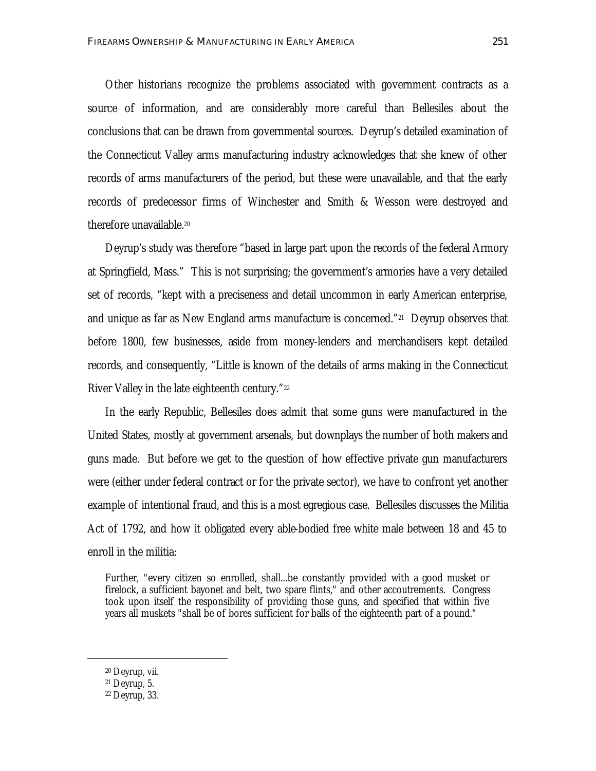Other historians recognize the problems associated with government contracts as a source of information, and are considerably more careful than Bellesiles about the conclusions that can be drawn from governmental sources. Deyrup's detailed examination of the Connecticut Valley arms manufacturing industry acknowledges that she knew of other records of arms manufacturers of the period, but these were unavailable, and that the early records of predecessor firms of Winchester and Smith & Wesson were destroyed and therefore unavailable.<sup>20</sup>

Deyrup's study was therefore "based in large part upon the records of the federal Armory at Springfield, Mass." This is not surprising; the government's armories have a very detailed set of records, "kept with a preciseness and detail uncommon in early American enterprise, and unique as far as New England arms manufacture is concerned."21 Deyrup observes that before 1800, few businesses, aside from money-lenders and merchandisers kept detailed records, and consequently, "Little is known of the details of arms making in the Connecticut River Valley in the late eighteenth century."<sup>22</sup>

In the early Republic, Bellesiles does admit that some guns were manufactured in the United States, mostly at government arsenals, but downplays the number of both makers and guns made. But before we get to the question of how effective private gun manufacturers were (either under federal contract or for the private sector), we have to confront yet another example of intentional fraud, and this is a most egregious case. Bellesiles discusses the Militia Act of 1792, and how it obligated every able-bodied free white male between 18 and 45 to enroll in the militia:

Further, "every citizen so enrolled, shall...be constantly provided with a good musket or firelock, a sufficient bayonet and belt, two spare flints," and other accoutrements. Congress took upon itself the responsibility of providing those guns, and specified that within five years all muskets "shall be of bores sufficient for balls of the eighteenth part of a pound."

<sup>20</sup> Deyrup, vii.

 $\overline{a}$ 

<sup>21</sup> Deyrup, 5.

<sup>22</sup> Deyrup, 33.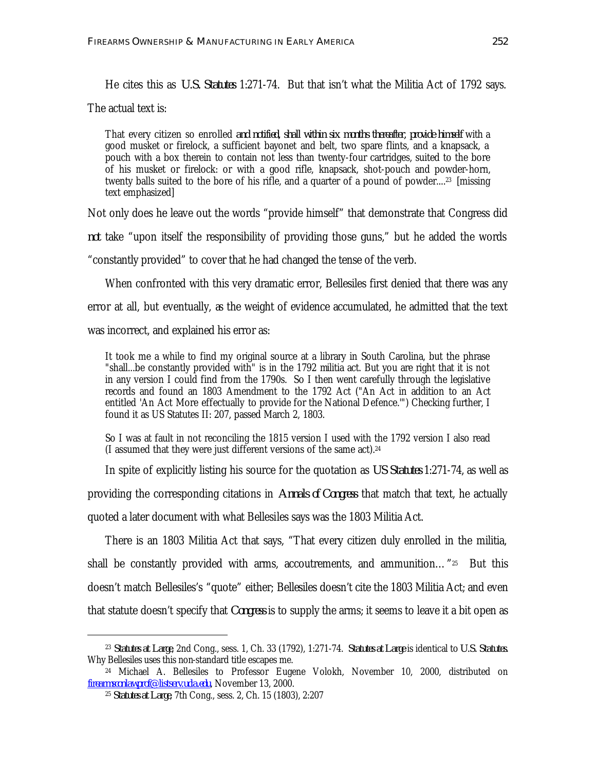He cites this as *U.S. Statutes* 1:271-74. But that isn't what the Militia Act of 1792 says.

The actual text is:

That every citizen so enrolled *and notified, shall within six months thereafter, provide himself* with a good musket or firelock, a sufficient bayonet and belt, two spare flints, and a knapsack, a pouch with a box therein to contain not less than twenty-four cartridges, suited to the bore of his musket or firelock: or with a good rifle, knapsack, shot-pouch and powder-horn, twenty balls suited to the bore of his rifle, and a quarter of a pound of powder....<sup>23</sup> [missing] text emphasized]

Not only does he leave out the words "provide himself" that demonstrate that Congress did *not* take "upon itself the responsibility of providing those guns," but he added the words "constantly provided" to cover that he had changed the tense of the verb.

When confronted with this very dramatic error, Bellesiles first denied that there was any error at all, but eventually, as the weight of evidence accumulated, he admitted that the text was incorrect, and explained his error as:

It took me a while to find my original source at a library in South Carolina, but the phrase "shall...be constantly provided with" is in the 1792 militia act. But you are right that it is not in any version I could find from the 1790s. So I then went carefully through the legislative records and found an 1803 Amendment to the 1792 Act ("An Act in addition to an Act entitled 'An Act More effectually to provide for the National Defence.'") Checking further, I found it as US Statutes II: 207, passed March 2, 1803.

So I was at fault in not reconciling the 1815 version I used with the 1792 version I also read (I assumed that they were just different versions of the same act).<sup>24</sup>

In spite of explicitly listing his source for the quotation as *US Statutes* 1:271-74, as well as providing the corresponding citations in *Annals of Congress* that match that text, he actually quoted a later document with what Bellesiles says was the 1803 Militia Act.

There is an 1803 Militia Act that says, "That every citizen duly enrolled in the militia, shall be constantly provided with arms, accoutrements, and ammunition..."<sup>25</sup> But this doesn't match Bellesiles's "quote" either; Bellesiles doesn't cite the 1803 Militia Act; and even that statute doesn't specify that *Congress* is to supply the arms; it seems to leave it a bit open as

<sup>23</sup> *Statutes at Large*, 2nd Cong., sess. 1, Ch. 33 (1792), 1:271-74. *Statutes at Large* is identical to *U.S. Statutes.* Why Bellesiles uses this non-standard title escapes me.

<sup>24</sup> Michael A. Bellesiles to Professor Eugene Volokh, November 10, 2000, distributed on *firearmsconlawprof@listserv.ucla.edu*, November 13, 2000.

<sup>25</sup> *Statutes at Large*, 7th Cong., sess. 2, Ch. 15 (1803), 2:207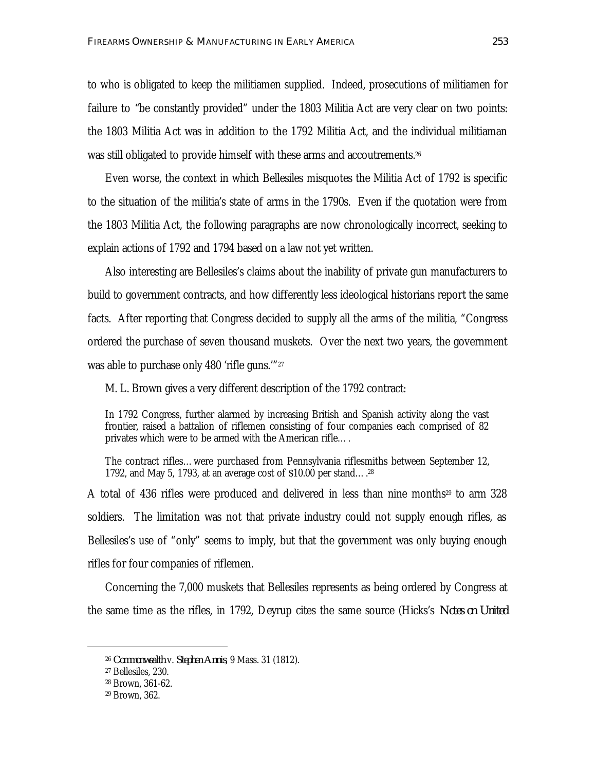to who is obligated to keep the militiamen supplied. Indeed, prosecutions of militiamen for failure to "be constantly provided" under the 1803 Militia Act are very clear on two points: the 1803 Militia Act was in addition to the 1792 Militia Act, and the individual militiaman was still obligated to provide himself with these arms and accoutrements.<sup>26</sup>

Even worse, the context in which Bellesiles misquotes the Militia Act of 1792 is specific to the situation of the militia's state of arms in the 1790s. Even if the quotation were from the 1803 Militia Act, the following paragraphs are now chronologically incorrect, seeking to explain actions of 1792 and 1794 based on a law not yet written.

Also interesting are Bellesiles's claims about the inability of private gun manufacturers to build to government contracts, and how differently less ideological historians report the same facts. After reporting that Congress decided to supply all the arms of the militia, "Congress ordered the purchase of seven thousand muskets. Over the next two years, the government was able to purchase only 480 'rifle guns.'"<sup>27</sup>

M. L. Brown gives a very different description of the 1792 contract:

In 1792 Congress, further alarmed by increasing British and Spanish activity along the vast frontier, raised a battalion of riflemen consisting of four companies each comprised of 82 privates which were to be armed with the American rifle….

The contract rifles…were purchased from Pennsylvania riflesmiths between September 12, 1792, and May 5, 1793, at an average cost of \$10.00 per stand….<sup>28</sup>

A total of 436 rifles were produced and delivered in less than nine months<sup>29</sup> to arm 328 soldiers. The limitation was not that private industry could not supply enough rifles, as Bellesiles's use of "only" seems to imply, but that the government was only buying enough rifles for four companies of riflemen.

Concerning the 7,000 muskets that Bellesiles represents as being ordered by Congress at the same time as the rifles, in 1792, Deyrup cites the same source (Hicks's *Notes on United* 

<sup>26</sup> *Commonwealth* v. *Stephen Annis*, 9 Mass. 31 (1812).

<sup>27</sup> Bellesiles, 230.

<sup>28</sup> Brown, 361-62.

<sup>29</sup> Brown, 362.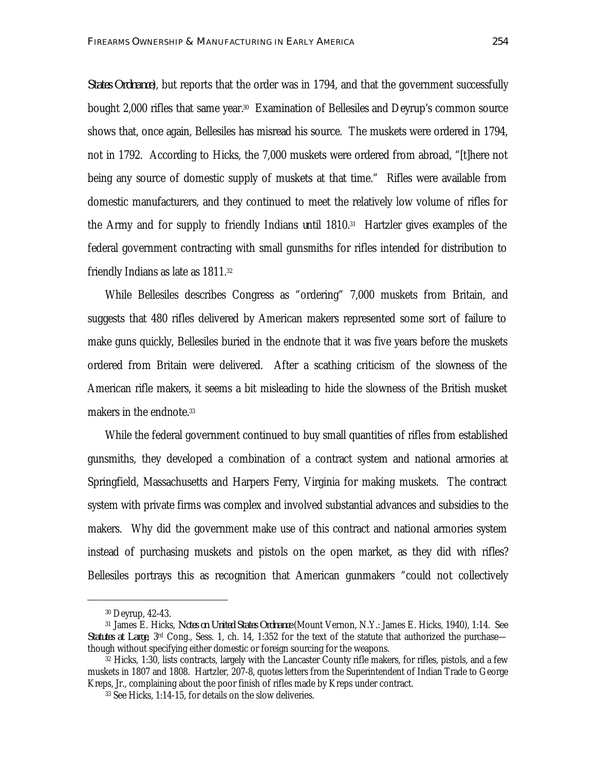*States Ordnance*), but reports that the order was in 1794, and that the government successfully bought 2,000 rifles that same year.30 Examination of Bellesiles and Deyrup's common source shows that, once again, Bellesiles has misread his source. The muskets were ordered in 1794, not in 1792. According to Hicks, the 7,000 muskets were ordered from abroad, "[t]here not being any source of domestic supply of muskets at that time." Rifles were available from domestic manufacturers, and they continued to meet the relatively low volume of rifles for the Army and for supply to friendly Indians until 1810.31 Hartzler gives examples of the federal government contracting with small gunsmiths for rifles intended for distribution to friendly Indians as late as 1811.<sup>32</sup>

While Bellesiles describes Congress as "ordering" 7,000 muskets from Britain, and suggests that 480 rifles delivered by American makers represented some sort of failure to make guns quickly, Bellesiles buried in the endnote that it was five years before the muskets ordered from Britain were delivered. After a scathing criticism of the slowness of the American rifle makers, it seems a bit misleading to hide the slowness of the British musket makers in the endnote.<sup>33</sup>

While the federal government continued to buy small quantities of rifles from established gunsmiths, they developed a combination of a contract system and national armories at Springfield, Massachusetts and Harpers Ferry, Virginia for making muskets. The contract system with private firms was complex and involved substantial advances and subsidies to the makers. Why did the government make use of this contract and national armories system instead of purchasing muskets and pistols on the open market, as they did with rifles? Bellesiles portrays this as recognition that American gunmakers "could not collectively

<sup>30</sup> Deyrup, 42-43.

<sup>31</sup> James E. Hicks, *Notes on United States Ordnance* (Mount Vernon, N.Y.: James E. Hicks, 1940), 1:14. See *Statutes at Large*, 3rd Cong., Sess. 1, ch. 14, 1:352 for the text of the statute that authorized the purchase though without specifying either domestic or foreign sourcing for the weapons.

<sup>32</sup> Hicks, 1:30, lists contracts, largely with the Lancaster County rifle makers, for rifles, pistols, and a few muskets in 1807 and 1808. Hartzler, 207-8, quotes letters from the Superintendent of Indian Trade to George Kreps, Jr., complaining about the poor finish of rifles made by Kreps under contract.

<sup>33</sup> See Hicks, 1:14-15, for details on the slow deliveries.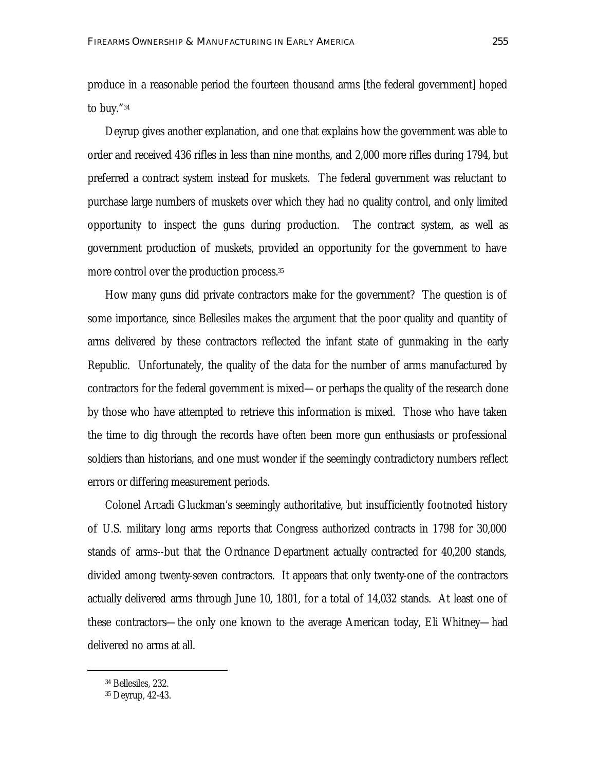produce in a reasonable period the fourteen thousand arms [the federal government] hoped to buy."<sup>34</sup>

Deyrup gives another explanation, and one that explains how the government was able to order and received 436 rifles in less than nine months, and 2,000 more rifles during 1794, but preferred a contract system instead for muskets. The federal government was reluctant to purchase large numbers of muskets over which they had no quality control, and only limited opportunity to inspect the guns during production. The contract system, as well as government production of muskets, provided an opportunity for the government to have more control over the production process.<sup>35</sup>

How many guns did private contractors make for the government? The question is of some importance, since Bellesiles makes the argument that the poor quality and quantity of arms delivered by these contractors reflected the infant state of gunmaking in the early Republic. Unfortunately, the quality of the data for the number of arms manufactured by contractors for the federal government is mixed—or perhaps the quality of the research done by those who have attempted to retrieve this information is mixed. Those who have taken the time to dig through the records have often been more gun enthusiasts or professional soldiers than historians, and one must wonder if the seemingly contradictory numbers reflect errors or differing measurement periods.

Colonel Arcadi Gluckman's seemingly authoritative, but insufficiently footnoted history of U.S. military long arms reports that Congress authorized contracts in 1798 for 30,000 stands of arms--but that the Ordnance Department actually contracted for 40,200 stands, divided among twenty-seven contractors. It appears that only twenty-one of the contractors actually delivered arms through June 10, 1801, for a total of 14,032 stands. At least one of these contractors—the only one known to the average American today, Eli Whitney—had delivered no arms at all.

<sup>34</sup> Bellesiles, 232.

<sup>35</sup> Deyrup, 42-43.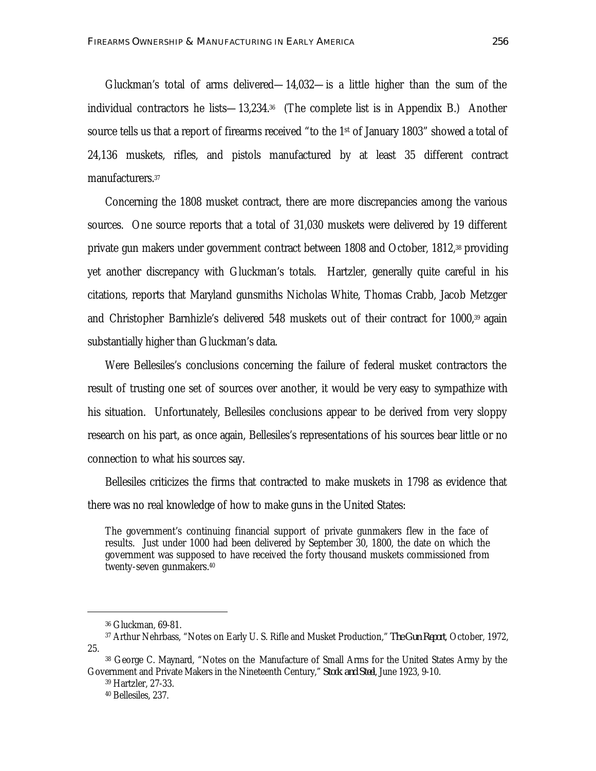Gluckman's total of arms delivered—14,032—is a little higher than the sum of the individual contractors he lists—13,234.36 (The complete list is in Appendix B.) Another source tells us that a report of firearms received "to the 1st of January 1803" showed a total of 24,136 muskets, rifles, and pistols manufactured by at least 35 different contract manufacturers.<sup>37</sup>

Concerning the 1808 musket contract, there are more discrepancies among the various sources. One source reports that a total of 31,030 muskets were delivered by 19 different private gun makers under government contract between 1808 and October, 1812,38 providing yet another discrepancy with Gluckman's totals. Hartzler, generally quite careful in his citations, reports that Maryland gunsmiths Nicholas White, Thomas Crabb, Jacob Metzger and Christopher Barnhizle's delivered 548 muskets out of their contract for 1000,39 again substantially higher than Gluckman's data.

Were Bellesiles's conclusions concerning the failure of federal musket contractors the result of trusting one set of sources over another, it would be very easy to sympathize with his situation. Unfortunately, Bellesiles conclusions appear to be derived from very sloppy research on his part, as once again, Bellesiles's representations of his sources bear little or no connection to what his sources say.

Bellesiles criticizes the firms that contracted to make muskets in 1798 as evidence that there was no real knowledge of how to make guns in the United States:

The government's continuing financial support of private gunmakers flew in the face of results. Just under 1000 had been delivered by September 30, 1800, the date on which the government was supposed to have received the forty thousand muskets commissioned from twenty-seven gunmakers.<sup>40</sup>

<sup>36</sup> Gluckman, 69-81.

<sup>37</sup> Arthur Nehrbass, "Notes on Early U. S. Rifle and Musket Production," *The Gun Report*, October, 1972, 25.

<sup>38</sup> George C. Maynard, "Notes on the Manufacture of Small Arms for the United States Army by the Government and Private Makers in the Nineteenth Century," *Stock and Steel*, June 1923, 9-10.

<sup>39</sup> Hartzler, 27-33.

<sup>40</sup> Bellesiles, 237.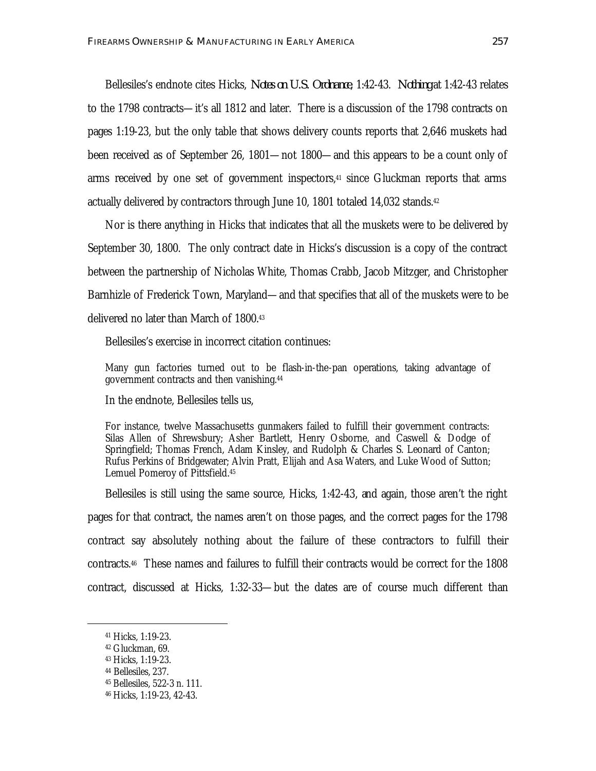Bellesiles's endnote cites Hicks, *Notes on U.S. Ordnance*, 1:42-43. *Nothing* at 1:42-43 relates to the 1798 contracts—it's all 1812 and later. There is a discussion of the 1798 contracts on pages 1:19-23, but the only table that shows delivery counts reports that 2,646 muskets had been received as of September 26, 1801—not 1800—and this appears to be a count only of arms received by one set of government inspectors,<sup>41</sup> since Gluckman reports that arms actually delivered by contractors through June 10, 1801 totaled 14,032 stands.<sup>42</sup>

Nor is there anything in Hicks that indicates that all the muskets were to be delivered by September 30, 1800. The only contract date in Hicks's discussion is a copy of the contract between the partnership of Nicholas White, Thomas Crabb, Jacob Mitzger, and Christopher Barnhizle of Frederick Town, Maryland—and that specifies that all of the muskets were to be delivered no later than March of 1800.<sup>43</sup>

Bellesiles's exercise in incorrect citation continues:

Many gun factories turned out to be flash-in-the-pan operations, taking advantage of government contracts and then vanishing.<sup>44</sup>

In the endnote, Bellesiles tells us,

For instance, twelve Massachusetts gunmakers failed to fulfill their government contracts: Silas Allen of Shrewsbury; Asher Bartlett, Henry Osborne, and Caswell & Dodge of Springfield; Thomas French, Adam Kinsley, and Rudolph & Charles S. Leonard of Canton; Rufus Perkins of Bridgewater; Alvin Pratt, Elijah and Asa Waters, and Luke Wood of Sutton; Lemuel Pomeroy of Pittsfield.<sup>45</sup>

Bellesiles is still using the same source, Hicks, 1:42-43, and again, those aren't the right pages for that contract, the names aren't on those pages, and the correct pages for the 1798 contract say absolutely nothing about the failure of these contractors to fulfill their contracts.46 These names and failures to fulfill their contracts would be correct for the 1808 contract, discussed at Hicks, 1:32-33—but the dates are of course much different than

<sup>41</sup> Hicks, 1:19-23.

<sup>42</sup> Gluckman, 69.

<sup>43</sup> Hicks, 1:19-23.

<sup>44</sup> Bellesiles, 237.

<sup>45</sup> Bellesiles, 522-3 n. 111.

<sup>46</sup> Hicks, 1:19-23, 42-43.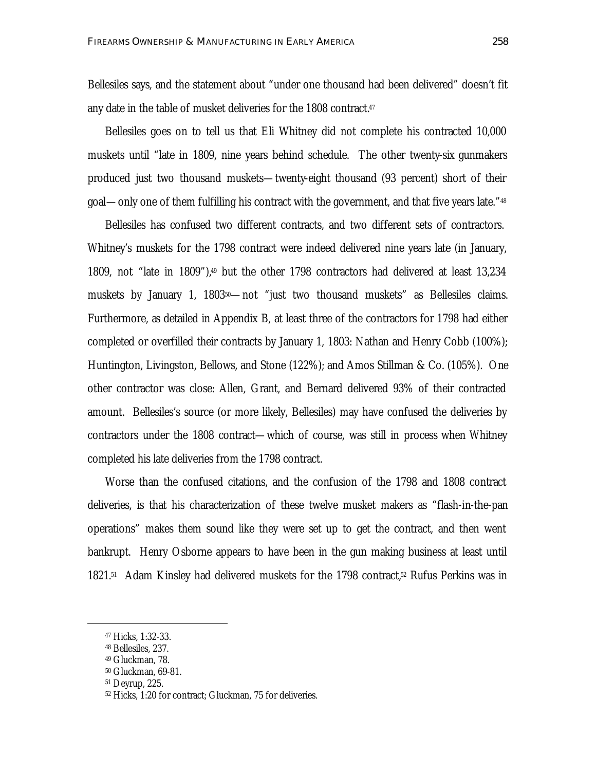Bellesiles says, and the statement about "under one thousand had been delivered" doesn't fit any date in the table of musket deliveries for the 1808 contract.<sup>47</sup>

Bellesiles goes on to tell us that Eli Whitney did not complete his contracted 10,000 muskets until "late in 1809, nine years behind schedule. The other twenty-six gunmakers produced just two thousand muskets—twenty-eight thousand (93 percent) short of their goal—only one of them fulfilling his contract with the government, and that five years late."<sup>48</sup>

Bellesiles has confused two different contracts, and two different sets of contractors. Whitney's muskets for the 1798 contract were indeed delivered nine years late (in January, 1809, not "late in 1809"),49 but the other 1798 contractors had delivered at least 13,234 muskets by January 1, 180350—not "just two thousand muskets" as Bellesiles claims. Furthermore, as detailed in Appendix B, at least three of the contractors for 1798 had either completed or overfilled their contracts by January 1, 1803: Nathan and Henry Cobb (100%); Huntington, Livingston, Bellows, and Stone (122%); and Amos Stillman & Co. (105%). One other contractor was close: Allen, Grant, and Bernard delivered 93% of their contracted amount. Bellesiles's source (or more likely, Bellesiles) may have confused the deliveries by contractors under the 1808 contract—which of course, was still in process when Whitney completed his late deliveries from the 1798 contract.

Worse than the confused citations, and the confusion of the 1798 and 1808 contract deliveries, is that his characterization of these twelve musket makers as "flash-in-the-pan operations" makes them sound like they were set up to get the contract, and then went bankrupt. Henry Osborne appears to have been in the gun making business at least until 1821.51 Adam Kinsley had delivered muskets for the 1798 contract,52 Rufus Perkins was in

<sup>47</sup> Hicks, 1:32-33.

<sup>48</sup> Bellesiles, 237.

<sup>49</sup> Gluckman, 78.

<sup>50</sup> Gluckman, 69-81.

<sup>51</sup> Deyrup, 225.

<sup>52</sup> Hicks, 1:20 for contract; Gluckman, 75 for deliveries.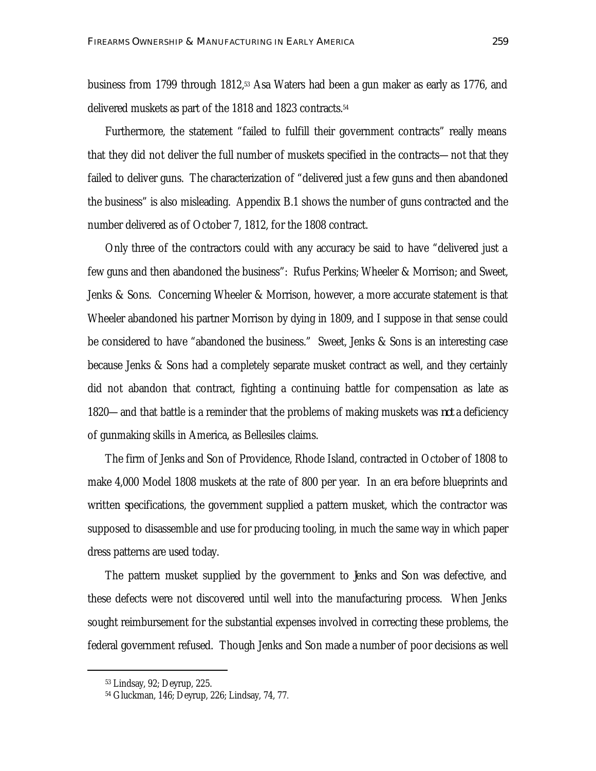business from 1799 through 1812,53 Asa Waters had been a gun maker as early as 1776, and delivered muskets as part of the 1818 and 1823 contracts.<sup>54</sup>

Furthermore, the statement "failed to fulfill their government contracts" really means that they did not deliver the full number of muskets specified in the contracts—not that they failed to deliver guns. The characterization of "delivered just a few guns and then abandoned the business" is also misleading. Appendix B.1 shows the number of guns contracted and the number delivered as of October 7, 1812, for the 1808 contract.

Only three of the contractors could with any accuracy be said to have "delivered just a few guns and then abandoned the business": Rufus Perkins; Wheeler & Morrison; and Sweet, Jenks & Sons. Concerning Wheeler & Morrison, however, a more accurate statement is that Wheeler abandoned his partner Morrison by dying in 1809, and I suppose in that sense could be considered to have "abandoned the business." Sweet, Jenks & Sons is an interesting case because Jenks & Sons had a completely separate musket contract as well, and they certainly did not abandon that contract, fighting a continuing battle for compensation as late as 1820—and that battle is a reminder that the problems of making muskets was *not* a deficiency of gunmaking skills in America, as Bellesiles claims.

The firm of Jenks and Son of Providence, Rhode Island, contracted in October of 1808 to make 4,000 Model 1808 muskets at the rate of 800 per year. In an era before blueprints and written specifications, the government supplied a pattern musket, which the contractor was supposed to disassemble and use for producing tooling, in much the same way in which paper dress patterns are used today.

The pattern musket supplied by the government to Jenks and Son was defective, and these defects were not discovered until well into the manufacturing process. When Jenks sought reimbursement for the substantial expenses involved in correcting these problems, the federal government refused. Though Jenks and Son made a number of poor decisions as well

<sup>53</sup> Lindsay, 92; Deyrup, 225.

<sup>54</sup> Gluckman, 146; Deyrup, 226; Lindsay, 74, 77.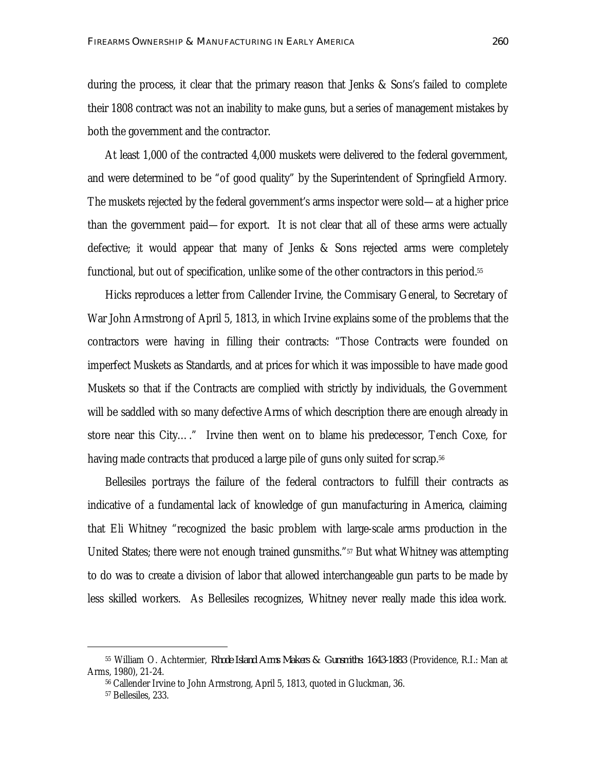during the process, it clear that the primary reason that Jenks & Sons's failed to complete their 1808 contract was not an inability to make guns, but a series of management mistakes by both the government and the contractor.

At least 1,000 of the contracted 4,000 muskets were delivered to the federal government, and were determined to be "of good quality" by the Superintendent of Springfield Armory. The muskets rejected by the federal government's arms inspector were sold—at a higher price than the government paid—for export. It is not clear that all of these arms were actually defective; it would appear that many of Jenks & Sons rejected arms were completely functional, but out of specification, unlike some of the other contractors in this period.<sup>55</sup>

Hicks reproduces a letter from Callender Irvine, the Commisary General, to Secretary of War John Armstrong of April 5, 1813, in which Irvine explains some of the problems that the contractors were having in filling their contracts: "Those Contracts were founded on imperfect Muskets as Standards, and at prices for which it was impossible to have made good Muskets so that if the Contracts are complied with strictly by individuals, the Government will be saddled with so many defective Arms of which description there are enough already in store near this City…." Irvine then went on to blame his predecessor, Tench Coxe, for having made contracts that produced a large pile of guns only suited for scrap.<sup>56</sup>

Bellesiles portrays the failure of the federal contractors to fulfill their contracts as indicative of a fundamental lack of knowledge of gun manufacturing in America, claiming that Eli Whitney "recognized the basic problem with large-scale arms production in the United States; there were not enough trained gunsmiths."57 But what Whitney was attempting to do was to create a division of labor that allowed interchangeable gun parts to be made by less skilled workers. As Bellesiles recognizes, Whitney never really made this idea work.

<sup>55</sup> William O. Achtermier, *Rhode Island Arms Makers & Gunsmiths: 1643-1883* (Providence, R.I.: Man at Arms, 1980), 21-24.

<sup>56</sup> Callender Irvine to John Armstrong, April 5, 1813, quoted in Gluckman, 36.

<sup>57</sup> Bellesiles, 233.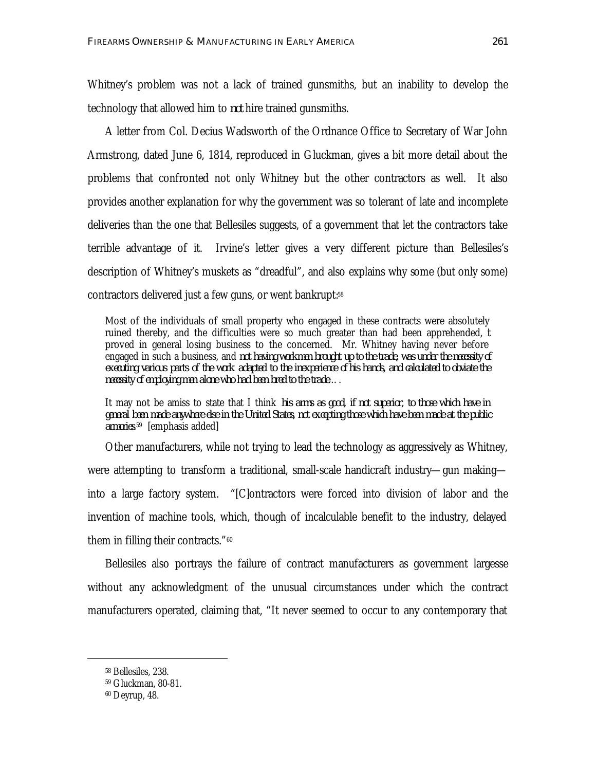Whitney's problem was not a lack of trained gunsmiths, but an inability to develop the technology that allowed him to *not* hire trained gunsmiths.

A letter from Col. Decius Wadsworth of the Ordnance Office to Secretary of War John Armstrong, dated June 6, 1814, reproduced in Gluckman, gives a bit more detail about the problems that confronted not only Whitney but the other contractors as well. It also provides another explanation for why the government was so tolerant of late and incomplete deliveries than the one that Bellesiles suggests, of a government that let the contractors take terrible advantage of it. Irvine's letter gives a very different picture than Bellesiles's description of Whitney's muskets as "dreadful", and also explains why some (but only some) contractors delivered just a few guns, or went bankrupt:<sup>58</sup>

Most of the individuals of small property who engaged in these contracts were absolutely ruined thereby, and the difficulties were so much greater than had been apprehended, it proved in general losing business to the concerned. Mr. Whitney having never before engaged in such a business, and *not having workmen brought up to the trade, was under the necessity of executing various parts of the work adapted to the inexperience of his hands, and calculated to obviate the necessity of employing men alone who had been bred to the trade*….

It may not be amiss to state that I think *his arms as good, if not superior, to those which have in general been made anywhere else in the United States, not excepting those which have been made at the public armories*. <sup>59</sup> [emphasis added]

Other manufacturers, while not trying to lead the technology as aggressively as Whitney, were attempting to transform a traditional, small-scale handicraft industry—gun making into a large factory system. "[C]ontractors were forced into division of labor and the invention of machine tools, which, though of incalculable benefit to the industry, delayed them in filling their contracts."<sup>60</sup>

Bellesiles also portrays the failure of contract manufacturers as government largesse without any acknowledgment of the unusual circumstances under which the contract manufacturers operated, claiming that, "It never seemed to occur to any contemporary that

<sup>58</sup> Bellesiles, 238.

<sup>59</sup> Gluckman, 80-81.

<sup>60</sup> Deyrup, 48.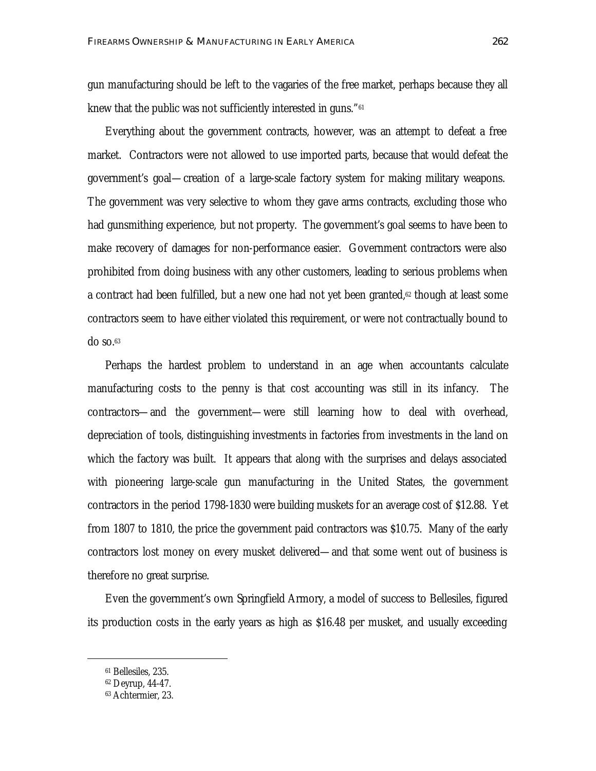gun manufacturing should be left to the vagaries of the free market, perhaps because they all knew that the public was not sufficiently interested in guns."<sup>61</sup>

Everything about the government contracts, however, was an attempt to defeat a free market. Contractors were not allowed to use imported parts, because that would defeat the government's goal—creation of a large-scale factory system for making military weapons. The government was very selective to whom they gave arms contracts, excluding those who had gunsmithing experience, but not property. The government's goal seems to have been to make recovery of damages for non-performance easier. Government contractors were also prohibited from doing business with any other customers, leading to serious problems when a contract had been fulfilled, but a new one had not yet been granted,<sup>62</sup> though at least some contractors seem to have either violated this requirement, or were not contractually bound to  $do$  so. $63$ 

Perhaps the hardest problem to understand in an age when accountants calculate manufacturing costs to the penny is that cost accounting was still in its infancy. The contractors—and the government—were still learning how to deal with overhead, depreciation of tools, distinguishing investments in factories from investments in the land on which the factory was built. It appears that along with the surprises and delays associated with pioneering large-scale gun manufacturing in the United States, the government contractors in the period 1798-1830 were building muskets for an average cost of \$12.88. Yet from 1807 to 1810, the price the government paid contractors was \$10.75. Many of the early contractors lost money on every musket delivered—and that some went out of business is therefore no great surprise.

Even the government's own Springfield Armory, a model of success to Bellesiles, figured its production costs in the early years as high as \$16.48 per musket, and usually exceeding

<sup>61</sup> Bellesiles, 235.

<sup>62</sup> Deyrup, 44-47.

<sup>63</sup> Achtermier, 23.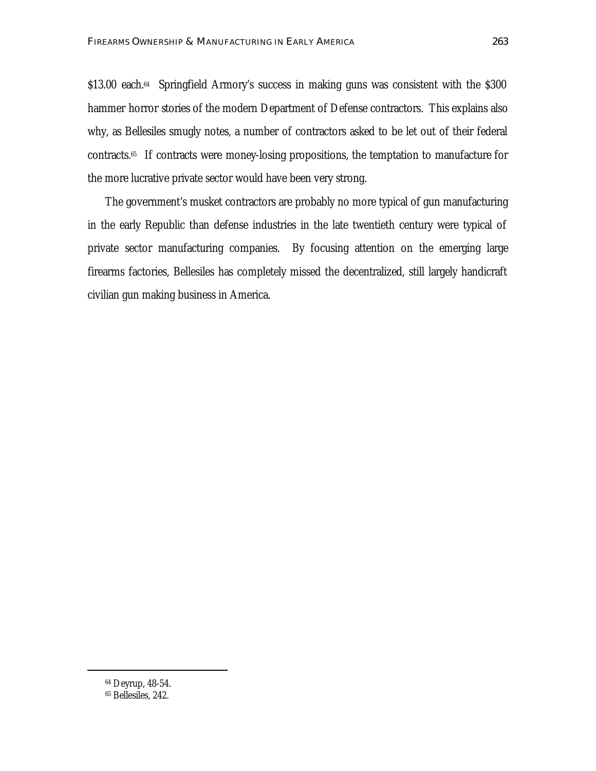\$13.00 each.<sup>64</sup> Springfield Armory's success in making guns was consistent with the \$300 hammer horror stories of the modern Department of Defense contractors. This explains also why, as Bellesiles smugly notes, a number of contractors asked to be let out of their federal contracts.65 If contracts were money-losing propositions, the temptation to manufacture for the more lucrative private sector would have been very strong.

The government's musket contractors are probably no more typical of gun manufacturing in the early Republic than defense industries in the late twentieth century were typical of private sector manufacturing companies. By focusing attention on the emerging large firearms factories, Bellesiles has completely missed the decentralized, still largely handicraft civilian gun making business in America.

<sup>64</sup> Deyrup, 48-54.

<sup>65</sup> Bellesiles, 242.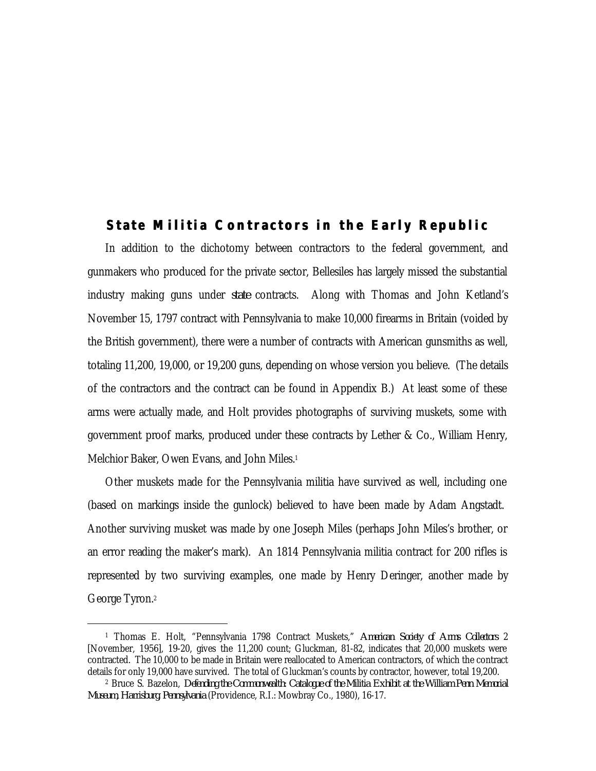#### **State Militia Contractors in the Early Republic**

In addition to the dichotomy between contractors to the federal government, and gunmakers who produced for the private sector, Bellesiles has largely missed the substantial industry making guns under *state* contracts. Along with Thomas and John Ketland's November 15, 1797 contract with Pennsylvania to make 10,000 firearms in Britain (voided by the British government), there were a number of contracts with American gunsmiths as well, totaling 11,200, 19,000, or 19,200 guns, depending on whose version you believe. (The details of the contractors and the contract can be found in Appendix B.) At least some of these arms were actually made, and Holt provides photographs of surviving muskets, some with government proof marks, produced under these contracts by Lether & Co., William Henry, Melchior Baker, Owen Evans, and John Miles.<sup>1</sup>

Other muskets made for the Pennsylvania militia have survived as well, including one (based on markings inside the gunlock) believed to have been made by Adam Angstadt. Another surviving musket was made by one Joseph Miles (perhaps John Miles's brother, or an error reading the maker's mark). An 1814 Pennsylvania militia contract for 200 rifles is represented by two surviving examples, one made by Henry Deringer, another made by George Tyron.<sup>2</sup>

<sup>1</sup> Thomas E. Holt, "Pennsylvania 1798 Contract Muskets," *American Society of Arms Collectors* 2 [November, 1956], 19-20, gives the 11,200 count; Gluckman, 81-82, indicates that 20,000 muskets were contracted. The 10,000 to be made in Britain were reallocated to American contractors, of which the contract details for only 19,000 have survived. The total of Gluckman's counts by contractor, however, total 19,200.

<sup>&</sup>lt;sup>2</sup> Bruce S. Bazelon, *Defending the Commonwealth: Catalogue of the Militia Exhibit at the William Penn Memorial Museum, Harrisburg, Pennsylvania* (Providence, R.I.: Mowbray Co., 1980), 16-17.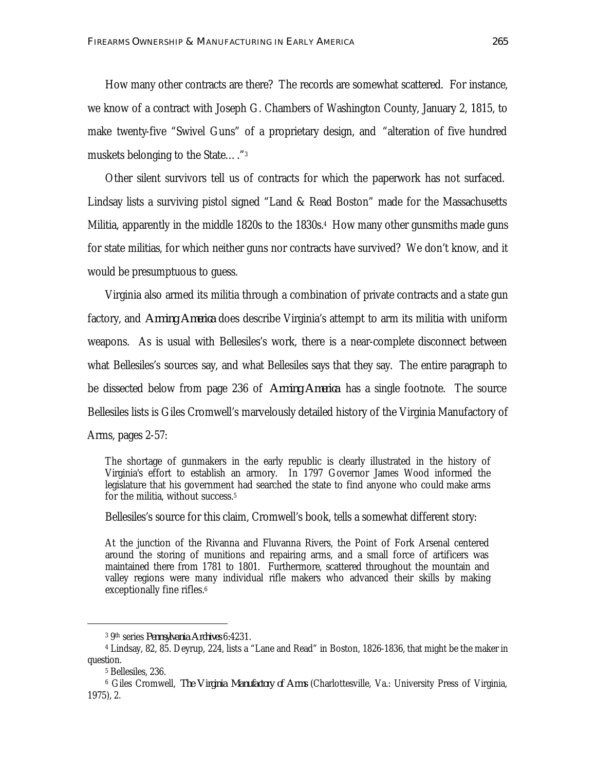How many other contracts are there? The records are somewhat scattered. For instance, we know of a contract with Joseph G. Chambers of Washington County, January 2, 1815, to make twenty-five "Swivel Guns" of a proprietary design, and "alteration of five hundred muskets belonging to the State…."<sup>3</sup>

Other silent survivors tell us of contracts for which the paperwork has not surfaced. Lindsay lists a surviving pistol signed "Land & Read Boston" made for the Massachusetts Militia, apparently in the middle 1820s to the 1830s.<sup>4</sup> How many other gunsmiths made guns for state militias, for which neither guns nor contracts have survived? We don't know, and it would be presumptuous to guess.

Virginia also armed its militia through a combination of private contracts and a state gun factory, and *Arming America* does describe Virginia's attempt to arm its militia with uniform weapons. As is usual with Bellesiles's work, there is a near-complete disconnect between what Bellesiles's sources say, and what Bellesiles says that they say. The entire paragraph to be dissected below from page 236 of *Arming America* has a single footnote. The source Bellesiles lists is Giles Cromwell's marvelously detailed history of the Virginia Manufactory of Arms, pages 2-57:

The shortage of gunmakers in the early republic is clearly illustrated in the history of Virginia's effort to establish an armory. In 1797 Governor James Wood informed the legislature that his government had searched the state to find anyone who could make arms for the militia, without success.<sup>5</sup>

Bellesiles's source for this claim, Cromwell's book, tells a somewhat different story:

At the junction of the Rivanna and Fluvanna Rivers, the Point of Fork Arsenal centered around the storing of munitions and repairing arms, and a small force of artificers was maintained there from 1781 to 1801. Furthermore, scattered throughout the mountain and valley regions were many individual rifle makers who advanced their skills by making exceptionally fine rifles.<sup>6</sup>

<sup>3</sup> 9th series *Pennsylvania Archives* 6:4231.

<sup>4</sup> Lindsay, 82, 85. Deyrup, 224, lists a "Lane and Read" in Boston, 1826-1836, that might be the maker in question.

<sup>5</sup> Bellesiles, 236.

<sup>6</sup> Giles Cromwell, *The Virginia Manufactory of Arms* (Charlottesville, Va.: University Press of Virginia, 1975), 2.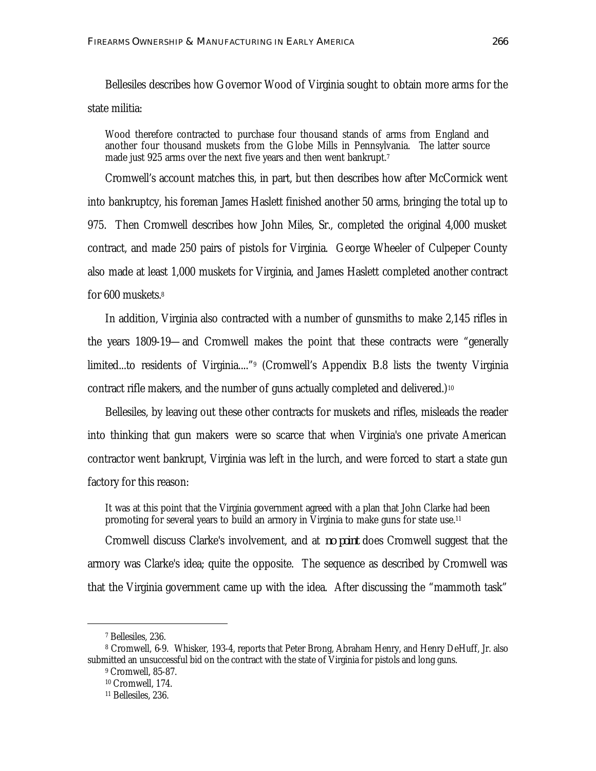Bellesiles describes how Governor Wood of Virginia sought to obtain more arms for the state militia:

Wood therefore contracted to purchase four thousand stands of arms from England and another four thousand muskets from the Globe Mills in Pennsylvania. The latter source made just 925 arms over the next five years and then went bankrupt.<sup>7</sup>

Cromwell's account matches this, in part, but then describes how after McCormick went into bankruptcy, his foreman James Haslett finished another 50 arms, bringing the total up to 975. Then Cromwell describes how John Miles, Sr., completed the original 4,000 musket contract, and made 250 pairs of pistols for Virginia. George Wheeler of Culpeper County also made at least 1,000 muskets for Virginia, and James Haslett completed another contract for 600 muskets.<sup>8</sup>

In addition, Virginia also contracted with a number of gunsmiths to make 2,145 rifles in the years 1809-19—and Cromwell makes the point that these contracts were "generally limited...to residents of Virginia...."<sup>9</sup> (Cromwell's Appendix B.8 lists the twenty Virginia contract rifle makers, and the number of guns actually completed and delivered.)<sup>10</sup>

Bellesiles, by leaving out these other contracts for muskets and rifles, misleads the reader into thinking that gun makers were so scarce that when Virginia's one private American contractor went bankrupt, Virginia was left in the lurch, and were forced to start a state gun factory for this reason:

It was at this point that the Virginia government agreed with a plan that John Clarke had been promoting for several years to build an armory in Virginia to make guns for state use.<sup>11</sup>

Cromwell discuss Clarke's involvement, and at *no point* does Cromwell suggest that the armory was Clarke's idea; quite the opposite. The sequence as described by Cromwell was that the Virginia government came up with the idea. After discussing the "mammoth task"

<sup>7</sup> Bellesiles, 236.

<sup>8</sup> Cromwell, 6-9. Whisker, 193-4, reports that Peter Brong, Abraham Henry, and Henry DeHuff, Jr. also submitted an unsuccessful bid on the contract with the state of Virginia for pistols and long guns.

<sup>9</sup> Cromwell, 85-87.

<sup>10</sup> Cromwell, 174.

<sup>11</sup> Bellesiles, 236.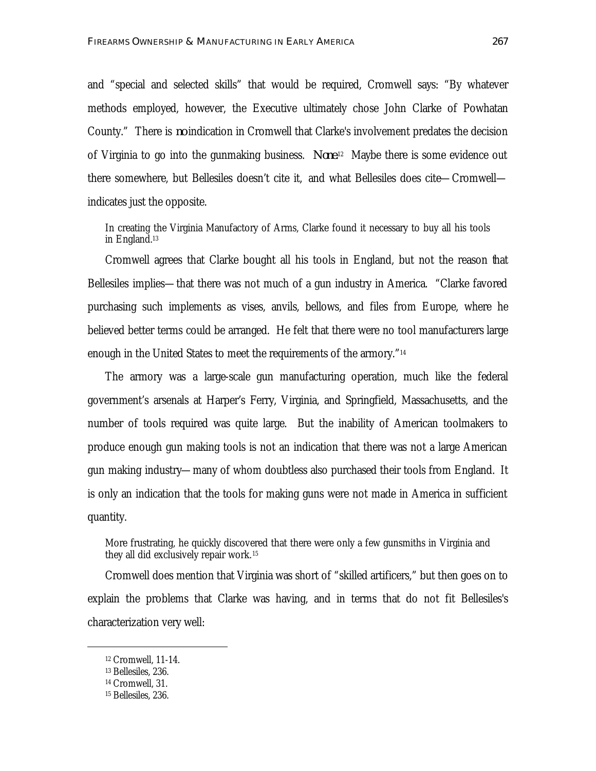and "special and selected skills" that would be required, Cromwell says: "By whatever methods employed, however, the Executive ultimately chose John Clarke of Powhatan County." There is *no* indication in Cromwell that Clarke's involvement predates the decision of Virginia to go into the gunmaking business. *None.*12 Maybe there is some evidence out there somewhere, but Bellesiles doesn't cite it, and what Bellesiles does cite—Cromwell indicates just the opposite.

In creating the Virginia Manufactory of Arms, Clarke found it necessary to buy all his tools in England.<sup>13</sup>

Cromwell agrees that Clarke bought all his tools in England, but not the reason that Bellesiles implies—that there was not much of a gun industry in America. "Clarke favored purchasing such implements as vises, anvils, bellows, and files from Europe, where he believed better terms could be arranged. He felt that there were no tool manufacturers large enough in the United States to meet the requirements of the armory."<sup>14</sup>

The armory was a large-scale gun manufacturing operation, much like the federal government's arsenals at Harper's Ferry, Virginia, and Springfield, Massachusetts, and the number of tools required was quite large. But the inability of American toolmakers to produce enough gun making tools is not an indication that there was not a large American gun making industry—many of whom doubtless also purchased their tools from England. It is only an indication that the tools for making guns were not made in America in sufficient quantity.

More frustrating, he quickly discovered that there were only a few gunsmiths in Virginia and they all did exclusively repair work.<sup>15</sup>

Cromwell does mention that Virginia was short of "skilled artificers," but then goes on to explain the problems that Clarke was having, and in terms that do not fit Bellesiles's characterization very well:

<sup>12</sup> Cromwell, 11-14.

<sup>13</sup> Bellesiles, 236.

<sup>14</sup> Cromwell, 31.

<sup>15</sup> Bellesiles, 236.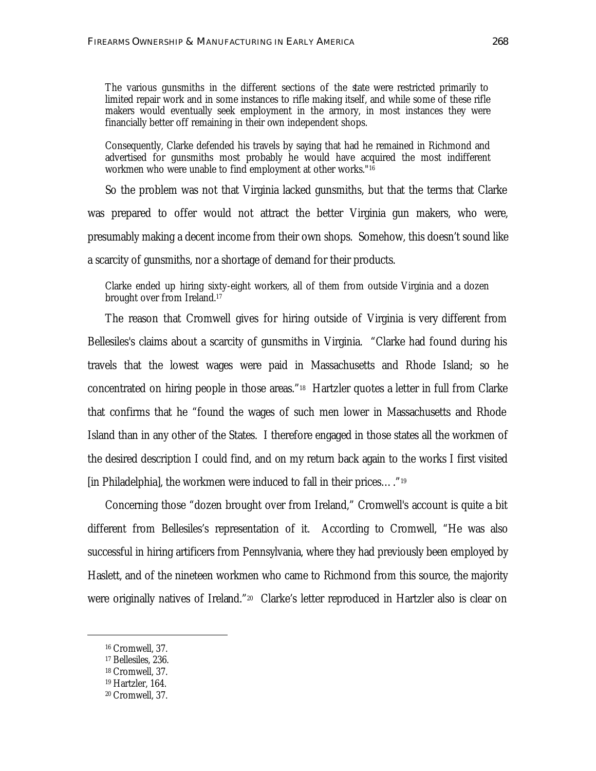The various gunsmiths in the different sections of the state were restricted primarily to limited repair work and in some instances to rifle making itself, and while some of these rifle makers would eventually seek employment in the armory, in most instances they were financially better off remaining in their own independent shops.

Consequently, Clarke defended his travels by saying that had he remained in Richmond and advertised for gunsmiths most probably he would have acquired the most indifferent workmen who were unable to find employment at other works."<sup>16</sup>

So the problem was not that Virginia lacked gunsmiths, but that the terms that Clarke was prepared to offer would not attract the better Virginia gun makers, who were, presumably making a decent income from their own shops. Somehow, this doesn't sound like a scarcity of gunsmiths, nor a shortage of demand for their products.

Clarke ended up hiring sixty-eight workers, all of them from outside Virginia and a dozen brought over from Ireland.<sup>17</sup>

The reason that Cromwell gives for hiring outside of Virginia is very different from Bellesiles's claims about a scarcity of gunsmiths in Virginia. "Clarke had found during his travels that the lowest wages were paid in Massachusetts and Rhode Island; so he concentrated on hiring people in those areas."18 Hartzler quotes a letter in full from Clarke that confirms that he "found the wages of such men lower in Massachusetts and Rhode Island than in any other of the States. I therefore engaged in those states all the workmen of the desired description I could find, and on my return back again to the works I first visited [in Philadelphia], the workmen were induced to fall in their prices…."<sup>19</sup>

Concerning those "dozen brought over from Ireland," Cromwell's account is quite a bit different from Bellesiles's representation of it. According to Cromwell, "He was also successful in hiring artificers from Pennsylvania, where they had previously been employed by Haslett, and of the nineteen workmen who came to Richmond from this source, the majority were originally natives of Ireland."20 Clarke's letter reproduced in Hartzler also is clear on

<sup>16</sup> Cromwell, 37.

<sup>17</sup> Bellesiles, 236.

<sup>18</sup> Cromwell, 37.

<sup>19</sup> Hartzler, 164.

<sup>20</sup> Cromwell, 37.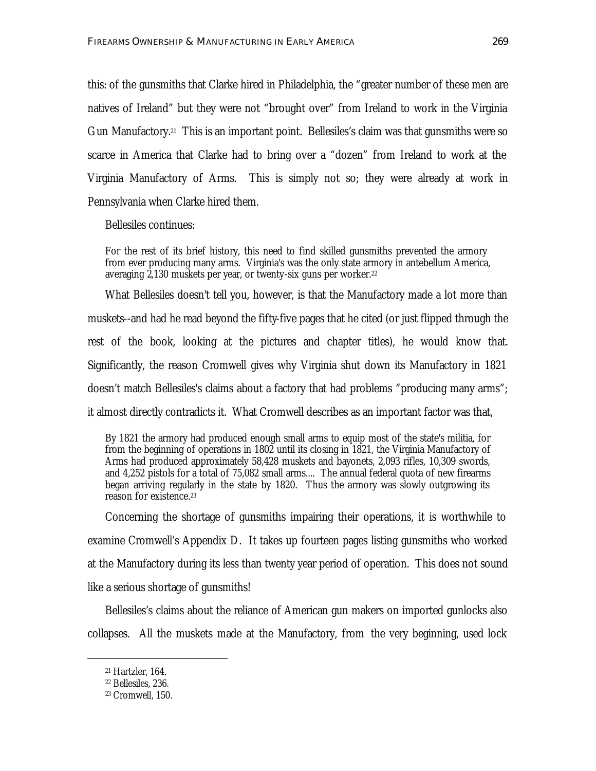this: of the gunsmiths that Clarke hired in Philadelphia, the "greater number of these men are natives of Ireland" but they were not "brought over" from Ireland to work in the Virginia Gun Manufactory.21 This is an important point. Bellesiles's claim was that gunsmiths were so scarce in America that Clarke had to bring over a "dozen" from Ireland to work at the Virginia Manufactory of Arms. This is simply not so; they were already at work in Pennsylvania when Clarke hired them.

Bellesiles continues:

For the rest of its brief history, this need to find skilled gunsmiths prevented the armory from ever producing many arms. Virginia's was the only state armory in antebellum America, averaging 2,130 muskets per year, or twenty-six guns per worker.<sup>22</sup>

What Bellesiles doesn't tell you, however, is that the Manufactory made a lot more than muskets--and had he read beyond the fifty-five pages that he cited (or just flipped through the rest of the book, looking at the pictures and chapter titles), he would know that. Significantly, the reason Cromwell gives why Virginia shut down its Manufactory in 1821 doesn't match Bellesiles's claims about a factory that had problems "producing many arms"; it almost directly contradicts it. What Cromwell describes as an important factor was that,

By 1821 the armory had produced enough small arms to equip most of the state's militia, for from the beginning of operations in 1802 until its closing in 1821, the Virginia Manufactory of Arms had produced approximately 58,428 muskets and bayonets, 2,093 rifles, 10,309 swords, and 4,252 pistols for a total of 75,082 small arms.... The annual federal quota of new firearms began arriving regularly in the state by 1820. Thus the armory was slowly outgrowing its reason for existence.<sup>23</sup>

Concerning the shortage of gunsmiths impairing their operations, it is worthwhile to examine Cromwell's Appendix D. It takes up fourteen pages listing gunsmiths who worked at the Manufactory during its less than twenty year period of operation. This does not sound like a serious shortage of gunsmiths!

Bellesiles's claims about the reliance of American gun makers on imported gunlocks also collapses. All the muskets made at the Manufactory, from the very beginning, used lock

<sup>21</sup> Hartzler, 164.

<sup>22</sup> Bellesiles, 236.

<sup>23</sup> Cromwell, 150.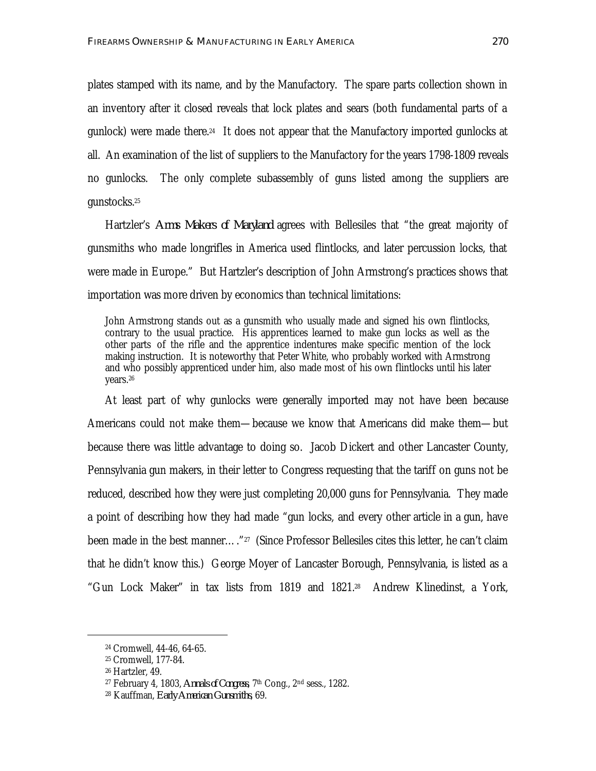plates stamped with its name, and by the Manufactory. The spare parts collection shown in an inventory after it closed reveals that lock plates and sears (both fundamental parts of a gunlock) were made there.24 It does not appear that the Manufactory imported gunlocks at all. An examination of the list of suppliers to the Manufactory for the years 1798-1809 reveals no gunlocks. The only complete subassembly of guns listed among the suppliers are gunstocks.<sup>25</sup>

Hartzler's *Arms Makers of Maryland* agrees with Bellesiles that "the great majority of gunsmiths who made longrifles in America used flintlocks, and later percussion locks, that were made in Europe." But Hartzler's description of John Armstrong's practices shows that importation was more driven by economics than technical limitations:

John Armstrong stands out as a gunsmith who usually made and signed his own flintlocks, contrary to the usual practice. His apprentices learned to make gun locks as well as the other parts of the rifle and the apprentice indentures make specific mention of the lock making instruction. It is noteworthy that Peter White, who probably worked with Armstrong and who possibly apprenticed under him, also made most of his own flintlocks until his later years.<sup>26</sup>

At least part of why gunlocks were generally imported may not have been because Americans could not make them—because we know that Americans did make them—but because there was little advantage to doing so. Jacob Dickert and other Lancaster County, Pennsylvania gun makers, in their letter to Congress requesting that the tariff on guns not be reduced, described how they were just completing 20,000 guns for Pennsylvania. They made a point of describing how they had made "gun locks, and every other article in a gun, have been made in the best manner…."27 (Since Professor Bellesiles cites this letter, he can't claim that he didn't know this.) George Moyer of Lancaster Borough, Pennsylvania, is listed as a "Gun Lock Maker" in tax lists from 1819 and 1821.28 Andrew Klinedinst, a York,

<sup>24</sup> Cromwell, 44-46, 64-65.

<sup>25</sup> Cromwell, 177-84.

<sup>26</sup> Hartzler, 49.

<sup>27</sup> February 4, 1803, *Annals of Congress*, 7th Cong., 2nd sess., 1282.

<sup>28</sup> Kauffman, *Early American Gunsmiths*, 69.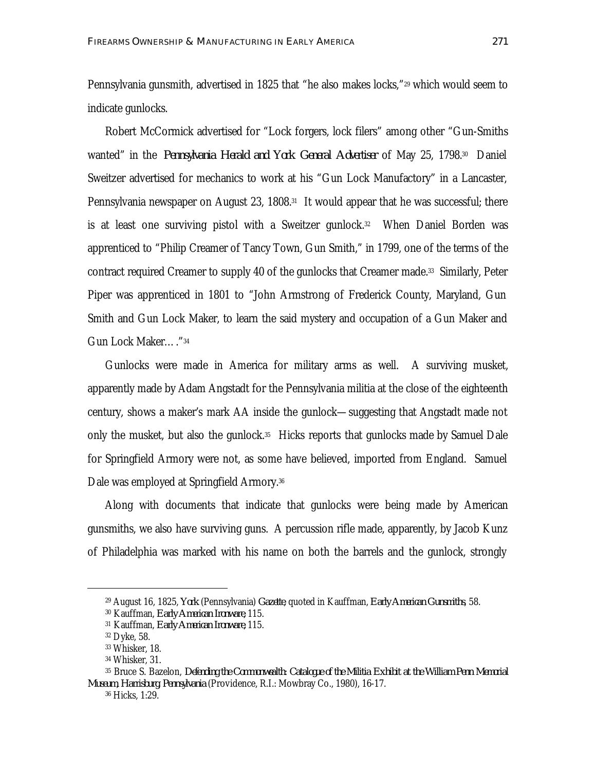Pennsylvania gunsmith, advertised in 1825 that "he also makes locks,"29 which would seem to indicate gunlocks.

Robert McCormick advertised for "Lock forgers, lock filers" among other "Gun-Smiths wanted" in the *Pennsylvania Herald and York General Advertiser* of May 25, 1798.30 Daniel Sweitzer advertised for mechanics to work at his "Gun Lock Manufactory" in a Lancaster, Pennsylvania newspaper on August 23, 1808.<sup>31</sup> It would appear that he was successful; there is at least one surviving pistol with a Sweitzer gunlock.32 When Daniel Borden was apprenticed to "Philip Creamer of Tancy Town, Gun Smith," in 1799, one of the terms of the contract required Creamer to supply 40 of the gunlocks that Creamer made.33 Similarly, Peter Piper was apprenticed in 1801 to "John Armstrong of Frederick County, Maryland, Gun Smith and Gun Lock Maker, to learn the said mystery and occupation of a Gun Maker and Gun Lock Maker…."<sup>34</sup>

Gunlocks were made in America for military arms as well. A surviving musket, apparently made by Adam Angstadt for the Pennsylvania militia at the close of the eighteenth century, shows a maker's mark AA inside the gunlock—suggesting that Angstadt made not only the musket, but also the gunlock.<sup>35</sup> Hicks reports that gunlocks made by Samuel Dale for Springfield Armory were not, as some have believed, imported from England. Samuel Dale was employed at Springfield Armory.<sup>36</sup>

Along with documents that indicate that gunlocks were being made by American gunsmiths, we also have surviving guns. A percussion rifle made, apparently, by Jacob Kunz of Philadelphia was marked with his name on both the barrels and the gunlock, strongly

<sup>29</sup> August 16, 1825, *York* (Pennsylvania) *Gazette*, quoted in Kauffman, *Early American Gunsmiths*, 58.

<sup>30</sup> Kauffman, *Early American Ironware,* 115.

<sup>31</sup> Kauffman, *Early American Ironware,* 115.

<sup>32</sup> Dyke, 58.

<sup>33</sup> Whisker, 18.

<sup>34</sup> Whisker, 31.

<sup>35</sup> Bruce S. Bazelon, *Defending the Commonwealth: Catalogue of the Militia Exhibit at the William Penn Memorial Museum, Harrisburg, Pennsylvania* (Providence, R.I.: Mowbray Co., 1980), 16-17.

<sup>36</sup> Hicks, 1:29.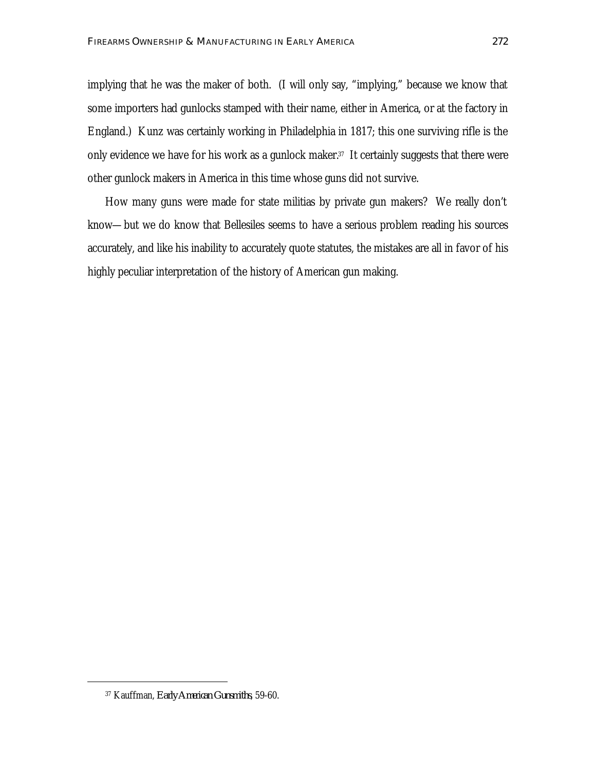implying that he was the maker of both. (I will only say, "implying," because we know that some importers had gunlocks stamped with their name, either in America, or at the factory in England.) Kunz was certainly working in Philadelphia in 1817; this one surviving rifle is the only evidence we have for his work as a gunlock maker.<sup>37</sup> It certainly suggests that there were other gunlock makers in America in this time whose guns did not survive.

How many guns were made for state militias by private gun makers? We really don't know—but we do know that Bellesiles seems to have a serious problem reading his sources accurately, and like his inability to accurately quote statutes, the mistakes are all in favor of his highly peculiar interpretation of the history of American gun making.

<sup>37</sup> Kauffman, *Early American Gunsmiths*, 59-60.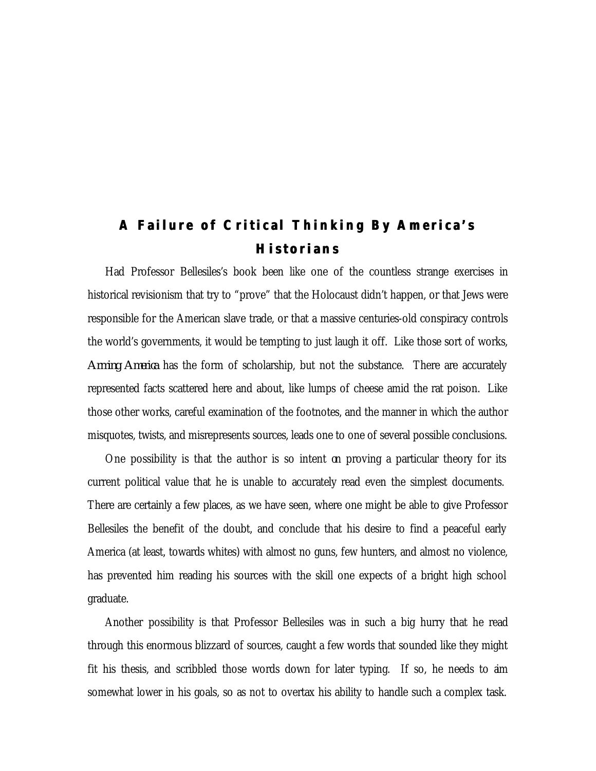## **A Failure of Critical Thinking By America's Historians**

Had Professor Bellesiles's book been like one of the countless strange exercises in historical revisionism that try to "prove" that the Holocaust didn't happen, or that Jews were responsible for the American slave trade, or that a massive centuries-old conspiracy controls the world's governments, it would be tempting to just laugh it off. Like those sort of works, *Arming America* has the form of scholarship, but not the substance. There are accurately represented facts scattered here and about, like lumps of cheese amid the rat poison. Like those other works, careful examination of the footnotes, and the manner in which the author misquotes, twists, and misrepresents sources, leads one to one of several possible conclusions.

One possibility is that the author is so intent on proving a particular theory for its current political value that he is unable to accurately read even the simplest documents. There are certainly a few places, as we have seen, where one might be able to give Professor Bellesiles the benefit of the doubt, and conclude that his desire to find a peaceful early America (at least, towards whites) with almost no guns, few hunters, and almost no violence, has prevented him reading his sources with the skill one expects of a bright high school graduate.

Another possibility is that Professor Bellesiles was in such a big hurry that he read through this enormous blizzard of sources, caught a few words that sounded like they might fit his thesis, and scribbled those words down for later typing. If so, he needs to aim somewhat lower in his goals, so as not to overtax his ability to handle such a complex task.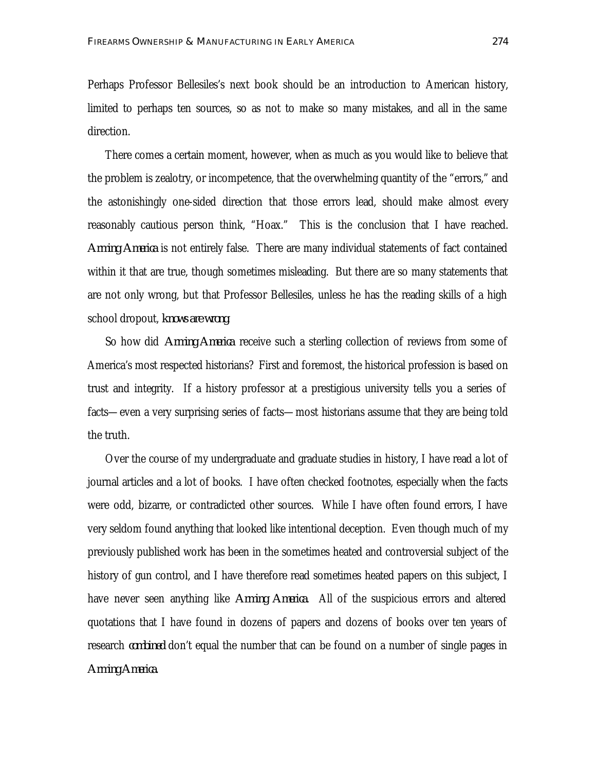Perhaps Professor Bellesiles's next book should be an introduction to American history, limited to perhaps ten sources, so as not to make so many mistakes, and all in the same direction.

There comes a certain moment, however, when as much as you would like to believe that the problem is zealotry, or incompetence, that the overwhelming quantity of the "errors," and the astonishingly one-sided direction that those errors lead, should make almost every reasonably cautious person think, "Hoax." This is the conclusion that I have reached. *Arming America* is not entirely false. There are many individual statements of fact contained within it that are true, though sometimes misleading. But there are so many statements that are not only wrong, but that Professor Bellesiles, unless he has the reading skills of a high school dropout, *knows are wrong.*

So how did *Arming America* receive such a sterling collection of reviews from some of America's most respected historians? First and foremost, the historical profession is based on trust and integrity. If a history professor at a prestigious university tells you a series of facts—even a very surprising series of facts—most historians assume that they are being told the truth.

Over the course of my undergraduate and graduate studies in history, I have read a lot of journal articles and a lot of books. I have often checked footnotes, especially when the facts were odd, bizarre, or contradicted other sources. While I have often found errors, I have very seldom found anything that looked like intentional deception. Even though much of my previously published work has been in the sometimes heated and controversial subject of the history of gun control, and I have therefore read sometimes heated papers on this subject, I have never seen anything like *Arming America*. All of the suspicious errors and altered quotations that I have found in dozens of papers and dozens of books over ten years of research *combined* don't equal the number that can be found on a number of single pages in *Arming America*.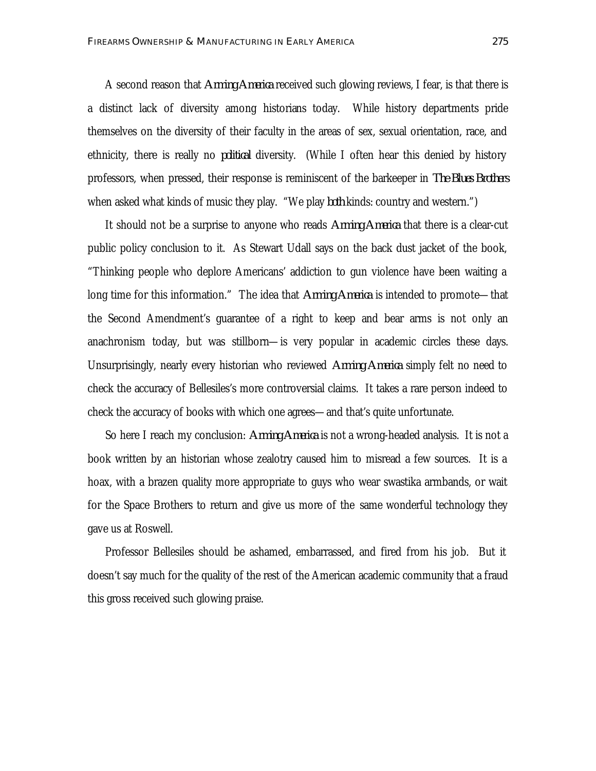A second reason that *Arming America* received such glowing reviews, I fear, is that there is a distinct lack of diversity among historians today. While history departments pride themselves on the diversity of their faculty in the areas of sex, sexual orientation, race, and ethnicity, there is really no *political* diversity. (While I often hear this denied by history professors, when pressed, their response is reminiscent of the barkeeper in *The Blues Brothers* when asked what kinds of music they play. "We play *both* kinds: country and western.")

It should not be a surprise to anyone who reads *Arming America* that there is a clear-cut public policy conclusion to it. As Stewart Udall says on the back dust jacket of the book, "Thinking people who deplore Americans' addiction to gun violence have been waiting a long time for this information." The idea that *Arming America* is intended to promote—that the Second Amendment's guarantee of a right to keep and bear arms is not only an anachronism today, but was stillborn—is very popular in academic circles these days. Unsurprisingly, nearly every historian who reviewed *Arming America* simply felt no need to check the accuracy of Bellesiles's more controversial claims. It takes a rare person indeed to check the accuracy of books with which one agrees—and that's quite unfortunate.

So here I reach my conclusion: *Arming America* is not a wrong-headed analysis. It is not a book written by an historian whose zealotry caused him to misread a few sources. It is a hoax, with a brazen quality more appropriate to guys who wear swastika armbands, or wait for the Space Brothers to return and give us more of the same wonderful technology they gave us at Roswell.

Professor Bellesiles should be ashamed, embarrassed, and fired from his job. But it doesn't say much for the quality of the rest of the American academic community that a fraud this gross received such glowing praise.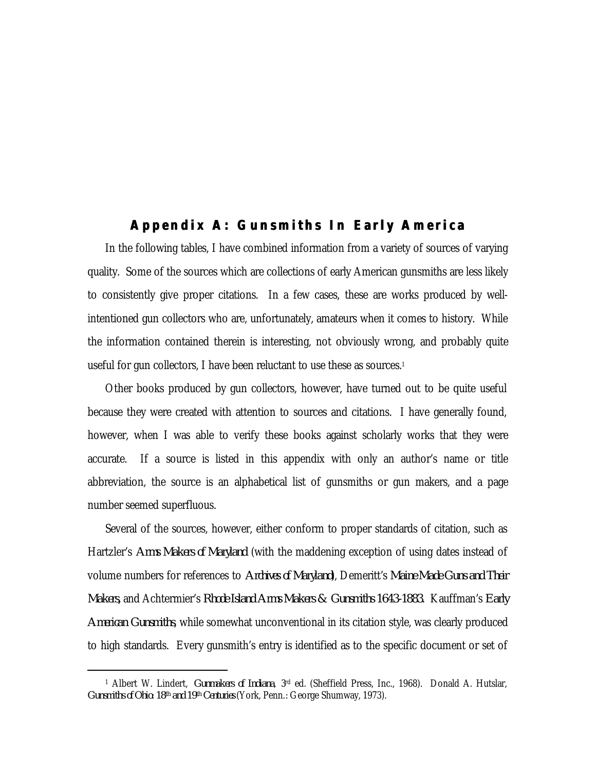### **Appendix A: Gunsmiths In Early America**

In the following tables, I have combined information from a variety of sources of varying quality. Some of the sources which are collections of early American gunsmiths are less likely to consistently give proper citations. In a few cases, these are works produced by wellintentioned gun collectors who are, unfortunately, amateurs when it comes to history. While the information contained therein is interesting, not obviously wrong, and probably quite useful for gun collectors, I have been reluctant to use these as sources.<sup>1</sup>

Other books produced by gun collectors, however, have turned out to be quite useful because they were created with attention to sources and citations. I have generally found, however, when I was able to verify these books against scholarly works that they were accurate. If a source is listed in this appendix with only an author's name or title abbreviation, the source is an alphabetical list of gunsmiths or gun makers, and a page number seemed superfluous.

Several of the sources, however, either conform to proper standards of citation, such as Hartzler's *Arms Makers of Maryland* (with the maddening exception of using dates instead of volume numbers for references to *Archives of Maryland*), Demeritt's *Maine Made Guns and Their Makers,* and Achtermier's *Rhode Island Arms Makers & Gunsmiths 1643-1883*.Kauffman's *Early American Gunsmiths*, while somewhat unconventional in its citation style, was clearly produced to high standards. Every gunsmith's entry is identified as to the specific document or set of

<sup>&</sup>lt;sup>1</sup> Albert W. Lindert, *Gunmakers of Indiana*, 3<sup>rd</sup> ed. (Sheffield Press, Inc., 1968). Donald A. Hutslar, *Gunsmiths of Ohio: 18th and 19th Centuries* (York, Penn.: George Shumway, 1973).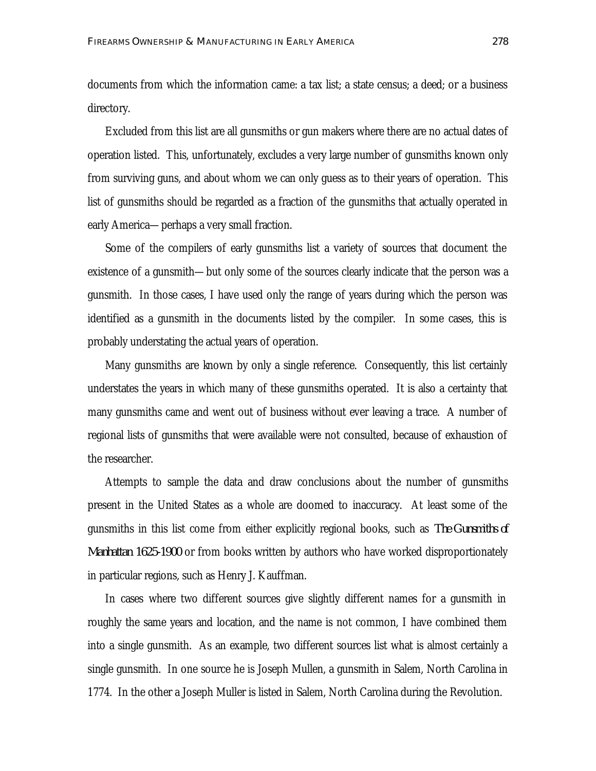documents from which the information came: a tax list; a state census; a deed; or a business directory.

Excluded from this list are all gunsmiths or gun makers where there are no actual dates of operation listed. This, unfortunately, excludes a very large number of gunsmiths known only from surviving guns, and about whom we can only guess as to their years of operation. This list of gunsmiths should be regarded as a fraction of the gunsmiths that actually operated in early America—perhaps a very small fraction.

Some of the compilers of early gunsmiths list a variety of sources that document the existence of a gunsmith—but only some of the sources clearly indicate that the person was a gunsmith. In those cases, I have used only the range of years during which the person was identified as a gunsmith in the documents listed by the compiler. In some cases, this is probably understating the actual years of operation.

Many gunsmiths are known by only a single reference. Consequently, this list certainly understates the years in which many of these gunsmiths operated. It is also a certainty that many gunsmiths came and went out of business without ever leaving a trace. A number of regional lists of gunsmiths that were available were not consulted, because of exhaustion of the researcher.

Attempts to sample the data and draw conclusions about the number of gunsmiths present in the United States as a whole are doomed to inaccuracy. At least some of the gunsmiths in this list come from either explicitly regional books, such as *The Gunsmiths of Manhattan 1625-1900* or from books written by authors who have worked disproportionately in particular regions, such as Henry J. Kauffman.

In cases where two different sources give slightly different names for a gunsmith in roughly the same years and location, and the name is not common, I have combined them into a single gunsmith. As an example, two different sources list what is almost certainly a single gunsmith. In one source he is Joseph Mullen, a gunsmith in Salem, North Carolina in 1774. In the other a Joseph Muller is listed in Salem, North Carolina during the Revolution.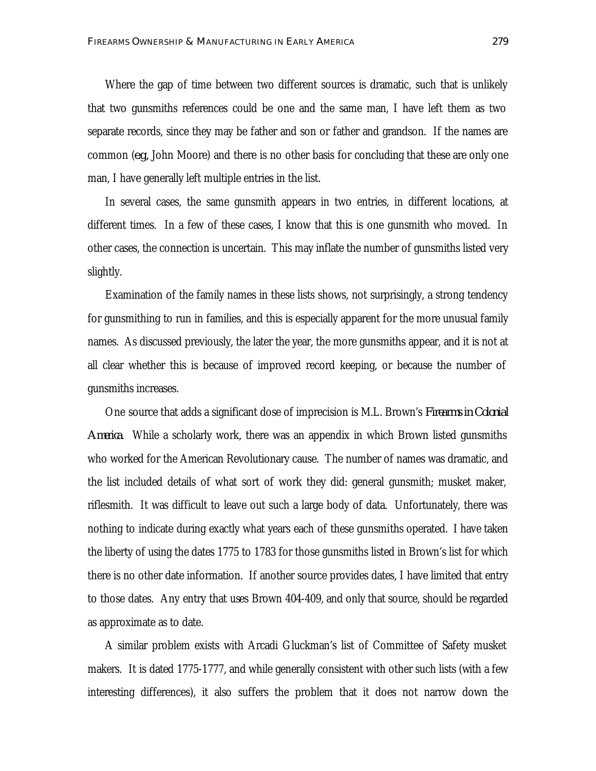Where the gap of time between two different sources is dramatic, such that is unlikely that two gunsmiths references could be one and the same man, I have left them as two separate records, since they may be father and son or father and grandson. If the names are common (*e.g.,* John Moore) and there is no other basis for concluding that these are only one man, I have generally left multiple entries in the list.

In several cases, the same gunsmith appears in two entries, in different locations, at different times. In a few of these cases, I know that this is one gunsmith who moved. In other cases, the connection is uncertain. This may inflate the number of gunsmiths listed very slightly.

Examination of the family names in these lists shows, not surprisingly, a strong tendency for gunsmithing to run in families, and this is especially apparent for the more unusual family names. As discussed previously, the later the year, the more gunsmiths appear, and it is not at all clear whether this is because of improved record keeping, or because the number of gunsmiths increases.

One source that adds a significant dose of imprecision is M.L. Brown's *Firearms in Colonial America*. While a scholarly work, there was an appendix in which Brown listed gunsmiths who worked for the American Revolutionary cause. The number of names was dramatic, and the list included details of what sort of work they did: general gunsmith; musket maker, riflesmith. It was difficult to leave out such a large body of data. Unfortunately, there was nothing to indicate during exactly what years each of these gunsmiths operated. I have taken the liberty of using the dates 1775 to 1783 for those gunsmiths listed in Brown's list for which there is no other date information. If another source provides dates, I have limited that entry to those dates. Any entry that uses Brown 404-409, and only that source, should be regarded as approximate as to date.

A similar problem exists with Arcadi Gluckman's list of Committee of Safety musket makers. It is dated 1775-1777, and while generally consistent with other such lists (with a few interesting differences), it also suffers the problem that it does not narrow down the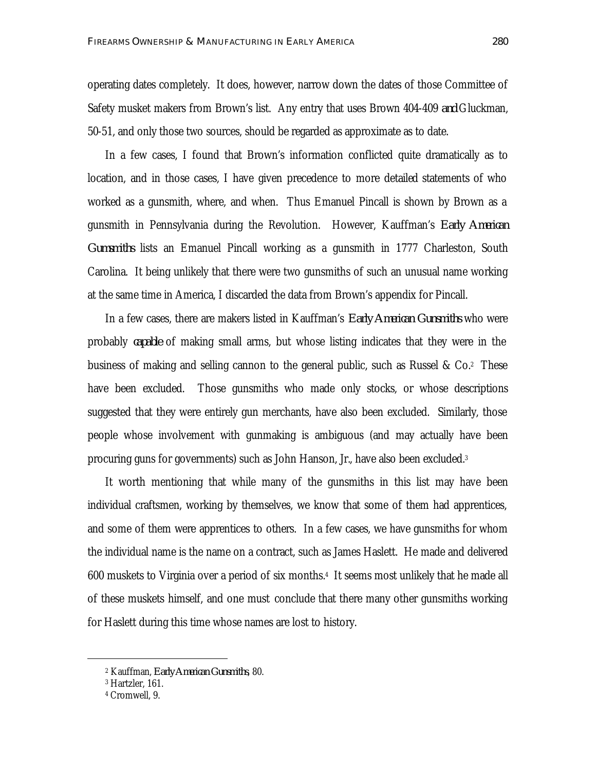operating dates completely. It does, however, narrow down the dates of those Committee of Safety musket makers from Brown's list. Any entry that uses Brown 404-409 *and* Gluckman, 50-51, and only those two sources, should be regarded as approximate as to date.

In a few cases, I found that Brown's information conflicted quite dramatically as to location, and in those cases, I have given precedence to more detailed statements of who worked as a gunsmith, where, and when. Thus Emanuel Pincall is shown by Brown as a gunsmith in Pennsylvania during the Revolution. However, Kauffman's *Early American Gumsmiths* lists an Emanuel Pincall working as a gunsmith in 1777 Charleston, South Carolina. It being unlikely that there were two gunsmiths of such an unusual name working at the same time in America, I discarded the data from Brown's appendix for Pincall.

In a few cases, there are makers listed in Kauffman's *Early American Gunsmiths* who were probably *capable* of making small arms, but whose listing indicates that they were in the business of making and selling cannon to the general public, such as Russel & Co.<sup>2</sup> These have been excluded. Those gunsmiths who made only stocks, or whose descriptions suggested that they were entirely gun merchants, have also been excluded. Similarly, those people whose involvement with gunmaking is ambiguous (and may actually have been procuring guns for governments) such as John Hanson, Jr., have also been excluded.<sup>3</sup>

It worth mentioning that while many of the gunsmiths in this list may have been individual craftsmen, working by themselves, we know that some of them had apprentices, and some of them were apprentices to others. In a few cases, we have gunsmiths for whom the individual name is the name on a contract, such as James Haslett. He made and delivered 600 muskets to Virginia over a period of six months.<sup>4</sup> It seems most unlikely that he made all of these muskets himself, and one must conclude that there many other gunsmiths working for Haslett during this time whose names are lost to history.

<sup>2</sup> Kauffman, *Early American Gunsmiths*, 80.

<sup>3</sup> Hartzler, 161.

<sup>4</sup> Cromwell, 9.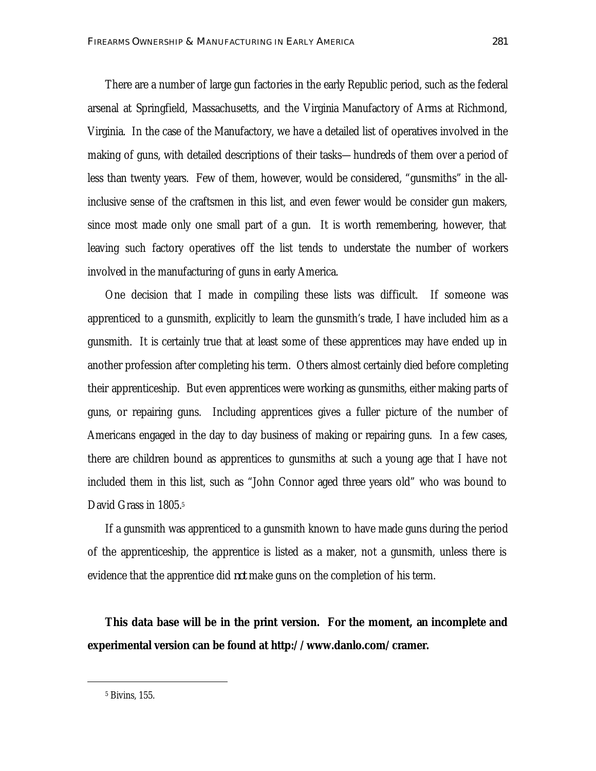There are a number of large gun factories in the early Republic period, such as the federal arsenal at Springfield, Massachusetts, and the Virginia Manufactory of Arms at Richmond, Virginia. In the case of the Manufactory, we have a detailed list of operatives involved in the making of guns, with detailed descriptions of their tasks—hundreds of them over a period of less than twenty years. Few of them, however, would be considered, "gunsmiths" in the allinclusive sense of the craftsmen in this list, and even fewer would be consider gun makers, since most made only one small part of a gun. It is worth remembering, however, that leaving such factory operatives off the list tends to understate the number of workers involved in the manufacturing of guns in early America.

One decision that I made in compiling these lists was difficult. If someone was apprenticed to a gunsmith, explicitly to learn the gunsmith's trade, I have included him as a gunsmith. It is certainly true that at least some of these apprentices may have ended up in another profession after completing his term. Others almost certainly died before completing their apprenticeship. But even apprentices were working as gunsmiths, either making parts of guns, or repairing guns. Including apprentices gives a fuller picture of the number of Americans engaged in the day to day business of making or repairing guns. In a few cases, there are children bound as apprentices to gunsmiths at such a young age that I have not included them in this list, such as "John Connor aged three years old" who was bound to David Grass in 1805.<sup>5</sup>

If a gunsmith was apprenticed to a gunsmith known to have made guns during the period of the apprenticeship, the apprentice is listed as a maker, not a gunsmith, unless there is evidence that the apprentice did *not* make guns on the completion of his term.

**This data base will be in the print version. For the moment, an incomplete and experimental version can be found at http://www.danlo.com/cramer.**

5 Bivins, 155.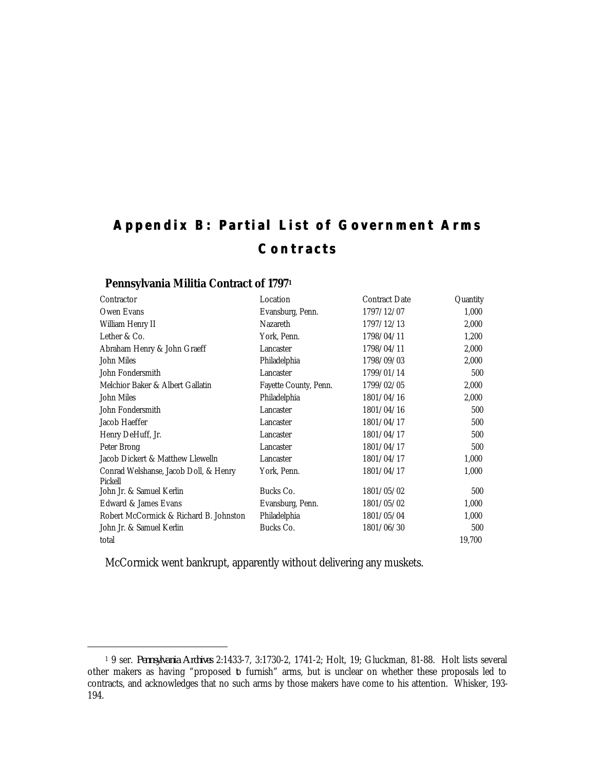# **Appendix B: Partial List of Government Arms Contracts**

#### **Pennsylvania Militia Contract of 1797<sup>1</sup>**

 $\overline{a}$ 

| Contractor                                       | Location              | <b>Contract Date</b> | Quantity |
|--------------------------------------------------|-----------------------|----------------------|----------|
| <b>Owen Evans</b>                                | Evansburg, Penn.      | 1797/12/07           | 1,000    |
| William Henry II                                 | Nazareth              | 1797/12/13           | 2,000    |
| Lether & Co.                                     | York, Penn.           | 1798/04/11           | 1,200    |
| Abraham Henry & John Graeff                      | Lancaster             | 1798/04/11           | 2,000    |
| <b>John Miles</b>                                | Philadelphia          | 1798/09/03           | 2,000    |
| John Fondersmith                                 | Lancaster             | 1799/01/14           | 500      |
| Melchior Baker & Albert Gallatin                 | Fayette County, Penn. | 1799/02/05           | 2,000    |
| <b>John Miles</b>                                | Philadelphia          | 1801/04/16           | 2,000    |
| John Fondersmith                                 | Lancaster             | 1801/04/16           | 500      |
| Jacob Haeffer                                    | Lancaster             | 1801/04/17           | 500      |
| Henry DeHuff, Jr.                                | Lancaster             | 1801/04/17           | 500      |
| Peter Brong                                      | Lancaster             | 1801/04/17           | 500      |
| Jacob Dickert & Matthew Llewelln                 | Lancaster             | 1801/04/17           | 1,000    |
| Conrad Welshanse, Jacob Doll, & Henry<br>Pickell | York, Penn.           | 1801/04/17           | 1,000    |
| John Jr. & Samuel Kerlin                         | Bucks Co.             | 1801/05/02           | 500      |
| Edward & James Evans                             | Evansburg, Penn.      | 1801/05/02           | 1,000    |
| Robert McCormick & Richard B. Johnston           | Philadelphia          | 1801/05/04           | 1,000    |
| John Jr. & Samuel Kerlin                         | Bucks Co.             | 1801/06/30           | 500      |
| total                                            |                       |                      | 19,700   |

McCormick went bankrupt, apparently without delivering any muskets.

<sup>1</sup> 9 ser. *Pennsylvania Archives* 2:1433-7, 3:1730-2, 1741-2; Holt, 19; Gluckman, 81-88. Holt lists several other makers as having "proposed to furnish" arms, but is unclear on whether these proposals led to contracts, and acknowledges that no such arms by those makers have come to his attention. Whisker, 193- 194.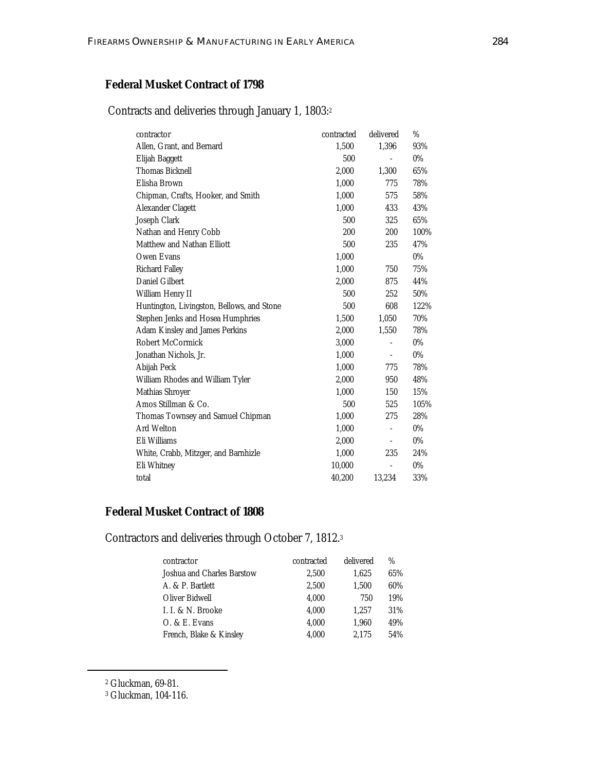## **Federal Musket Contract of 1798**

Contracts and deliveries through January 1, 1803:<sup>2</sup>

| contractor                                 | contracted | delivered                    | %     |
|--------------------------------------------|------------|------------------------------|-------|
| Allen, Grant, and Bernard                  | 1,500      | 1,396                        | 93%   |
| Elijah Baggett                             | 500        |                              | $0\%$ |
| <b>Thomas Bicknell</b>                     | 2,000      | 1,300                        | 65%   |
| Elisha Brown                               | 1,000      | 775                          | 78%   |
| Chipman, Crafts, Hooker, and Smith         | 1,000      | 575                          | 58%   |
| <b>Alexander Clagett</b>                   | 1,000      | 433                          | 43%   |
| Joseph Clark                               | 500        | 325                          | 65%   |
| Nathan and Henry Cobb                      | 200        | 200                          | 100%  |
| Matthew and Nathan Elliott                 | 500        | 235                          | 47%   |
| Owen Evans                                 | 1,000      |                              | $0\%$ |
| <b>Richard Falley</b>                      | 1,000      | 750                          | 75%   |
| Daniel Gilbert                             | 2,000      | 875                          | 44%   |
| William Henry II                           | 500        | 252                          | 50%   |
| Huntington, Livingston, Bellows, and Stone | 500        | 608                          | 122%  |
| Stephen Jenks and Hosea Humphries          | 1,500      | 1,050                        | 70%   |
| Adam Kinsley and James Perkins             | 2,000      | 1,550                        | 78%   |
| Robert McCormick                           | 3,000      |                              | $0\%$ |
| Jonathan Nichols, Jr.                      | 1,000      | $\overline{a}$               | $0\%$ |
| Abijah Peck                                | 1,000      | 775                          | 78%   |
| William Rhodes and William Tyler           | 2,000      | 950                          | 48%   |
| <b>Mathias Shroyer</b>                     | 1,000      | 150                          | 15%   |
| Amos Stillman & Co.                        | 500        | 525                          | 105%  |
| Thomas Townsey and Samuel Chipman          | 1,000      | 275                          | 28%   |
| <b>Ard Welton</b>                          | 1,000      | $\qquad \qquad \blacksquare$ | $0\%$ |
| Eli Williams                               | 2,000      | ÷,                           | $0\%$ |
| White, Crabb, Mitzger, and Barnhizle       | 1,000      | 235                          | 24%   |
| Eli Whitney                                | 10,000     | -                            | $0\%$ |
| total                                      | 40.200     | 13.234                       | 33%   |

## **Federal Musket Contract of 1808**

Contractors and deliveries through October 7, 1812.<sup>3</sup>

| contractor                 | contracted | delivered | $\%$ |
|----------------------------|------------|-----------|------|
| Joshua and Charles Barstow | 2,500      | 1.625     | 65%  |
| A. & P. Bartlett           | 2,500      | 1,500     | 60%  |
| Oliver Bidwell             | 4,000      | 750       | 19%  |
| I. I. & N. Brooke          | 4,000      | 1.257     | 31%  |
| O. & E. Evans              | 4,000      | 1,960     | 49%  |
| French, Blake & Kinsley    | 4,000      | 2.175     | 54%  |

2 Gluckman, 69-81.

 $\overline{a}$ 

3 Gluckman, 104-116.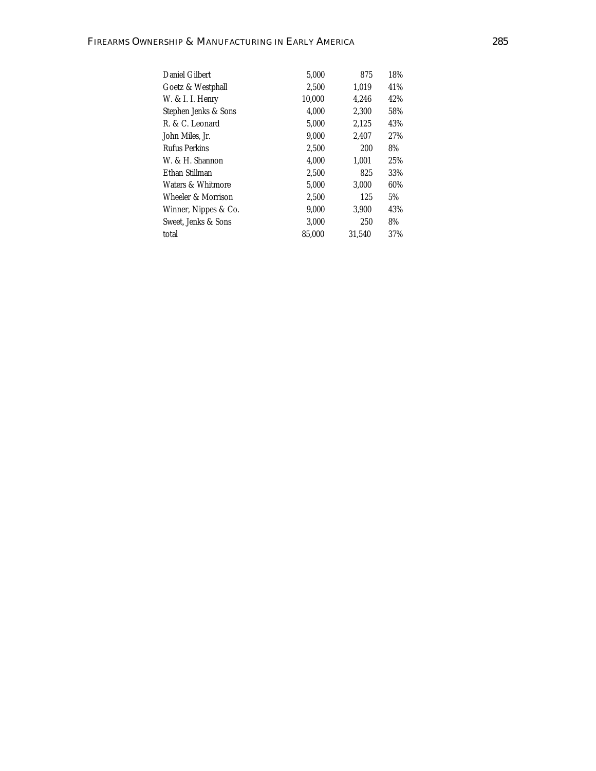#### FIREARMS OWNERSHIP & MANUFACTURING IN EARLY AMERICA 285

| Daniel Gilbert       | 5,000  | 875    | 18% |
|----------------------|--------|--------|-----|
| Goetz & Westphall    | 2,500  | 1,019  | 41% |
| W. & I. I. Henry     | 10,000 | 4,246  | 42% |
| Stephen Jenks & Sons | 4.000  | 2.300  | 58% |
| R. & C. Leonard      | 5,000  | 2,125  | 43% |
| John Miles. Jr.      | 9.000  | 2.407  | 27% |
| <b>Rufus Perkins</b> | 2,500  | 200    | 8%  |
| W. & H. Shannon      | 4,000  | 1,001  | 25% |
| Ethan Stillman       | 2,500  | 825    | 33% |
| Waters & Whitmore    | 5,000  | 3,000  | 60% |
| Wheeler & Morrison   | 2,500  | 125    | 5%  |
| Winner, Nippes & Co. | 9,000  | 3,900  | 43% |
| Sweet. Jenks & Sons  | 3,000  | 250    | 8%  |
| total                | 85,000 | 31,540 | 37% |
|                      |        |        |     |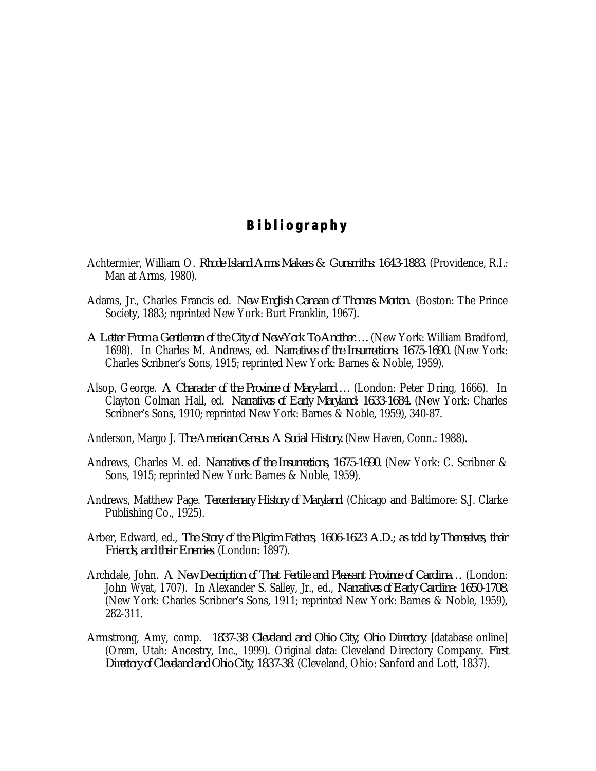# **Bibliography**

- Achtermier, William O. *Rhode Island Arms Makers & Gunsmiths: 1643-1883.* (Providence, R.I.: Man at Arms, 1980).
- Adams, Jr., Charles Francis ed. *New English Canaan of Thomas Morton.* (Boston: The Prince Society, 1883; reprinted New York: Burt Franklin, 1967).
- *A Letter From a Gentleman of the City of New-York To Another….* (New York: William Bradford, 1698). In Charles M. Andrews, ed. *Narratives of the Insurrections: 1675-1690.* (New York: Charles Scribner's Sons, 1915; reprinted New York: Barnes & Noble, 1959).
- Alsop, George. *A Character of the Province of Mary-land….* (London: Peter Dring, 1666). In Clayton Colman Hall, ed. *Narratives of Early Maryland: 1633-1684.* (New York: Charles Scribner's Sons, 1910; reprinted New York: Barnes & Noble, 1959), 340-87.
- Anderson, Margo J. *The American Census: A Social History.* (New Haven, Conn.: 1988).
- Andrews, Charles M. ed. *Narratives of the Insurrections, 1675-1690.* (New York: C. Scribner & Sons, 1915; reprinted New York: Barnes & Noble, 1959).
- Andrews, Matthew Page. *Tercentenary History of Maryland.* (Chicago and Baltimore: S.J. Clarke Publishing Co., 1925).
- Arber, Edward, ed., *The Story of the Pilgrim Fathers, 1606-1623 A.D.; as told by Themselves, their Friends, and their Enemies*. (London: 1897).
- Archdale, John. *A New Description of That Fertile and Pleasant Province of Carolina…* (London: John Wyat, 1707). In Alexander S. Salley, Jr., ed., *Narratives of Early Carolina: 1650-1708.* (New York: Charles Scribner's Sons, 1911; reprinted New York: Barnes & Noble, 1959), 282-311.
- Armstrong, Amy, comp. *1837-38 Cleveland and Ohio City, Ohio Directory*. [database online] (Orem, Utah: Ancestry, Inc., 1999). Original data: Cleveland Directory Company. *First Directory of Cleveland and Ohio City, 1837-38*. (Cleveland, Ohio: Sanford and Lott, 1837).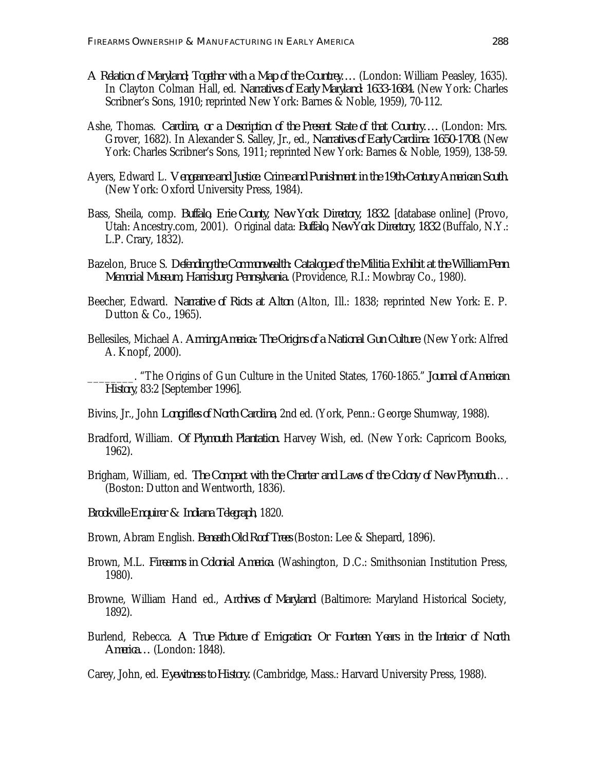- *A Relation of Maryland; Together with a Map of the Countrey….* (London: William Peasley, 1635). In Clayton Colman Hall, ed. *Narratives of Early Maryland: 1633-1684.* (New York: Charles Scribner's Sons, 1910; reprinted New York: Barnes & Noble, 1959), 70-112.
- Ashe, Thomas. *Carolina, or a Description of the Present State of that Country….* (London: Mrs. Grover, 1682). In Alexander S. Salley, Jr., ed., *Narratives of Early Carolina: 1650-1708.* (New York: Charles Scribner's Sons, 1911; reprinted New York: Barnes & Noble, 1959), 138-59.
- Ayers, Edward L. *Vengeance and Justice: Crime and Punishment in the 19th-Century American South.* (New York: Oxford University Press, 1984).
- Bass, Sheila, comp. *Buffalo, Erie County, New York Directory, 1832*. [database online] (Provo, Utah: Ancestry.com, 2001). Original data: *Buffalo, New York Directory, 1832* (Buffalo, N.Y.: L.P. Crary, 1832).
- Bazelon, Bruce S. *Defending the Commonwealth: Catalogue of the Militia Exhibit at the William Penn Memorial Museum, Harrisburg, Pennsylvania.* (Providence, R.I.: Mowbray Co., 1980).
- Beecher, Edward. *Narrative of Riots at Alton* (Alton, Ill.: 1838; reprinted New York: E. P. Dutton & Co., 1965).
- Bellesiles, Michael A. *Arming America: The Origins of a National Gun Culture*. (New York: Alfred A. Knopf, 2000).
- \_\_\_\_\_\_\_\_. "The Origins of Gun Culture in the United States, 1760-1865." *Journal of American History*, 83:2 [September 1996].
- Bivins, Jr., John *Longrifles of North Carolina*, 2nd ed. (York, Penn.: George Shumway, 1988).
- Bradford, William. *Of Plymouth Plantation.* Harvey Wish, ed. (New York: Capricorn Books, 1962).
- Brigham, William, ed. *The Compact with the Charter and Laws of the Colony of New Plymouth*…. (Boston: Dutton and Wentworth, 1836).
- *Brookville Enquirer & Indiana Telegraph*, 1820.
- Brown, Abram English. *Beneath Old Roof Trees* (Boston: Lee & Shepard, 1896).
- Brown, M.L. *Firearms in Colonial America*. (Washington, D.C.: Smithsonian Institution Press, 1980).
- Browne, William Hand ed., *Archives of Maryland*. (Baltimore: Maryland Historical Society, 1892).
- Burlend, Rebecca. *A True Picture of Emigration: Or Fourteen Years in the Interior of North America…* (London: 1848).

Carey, John, ed. *Eyewitness to History.* (Cambridge, Mass.: Harvard University Press, 1988).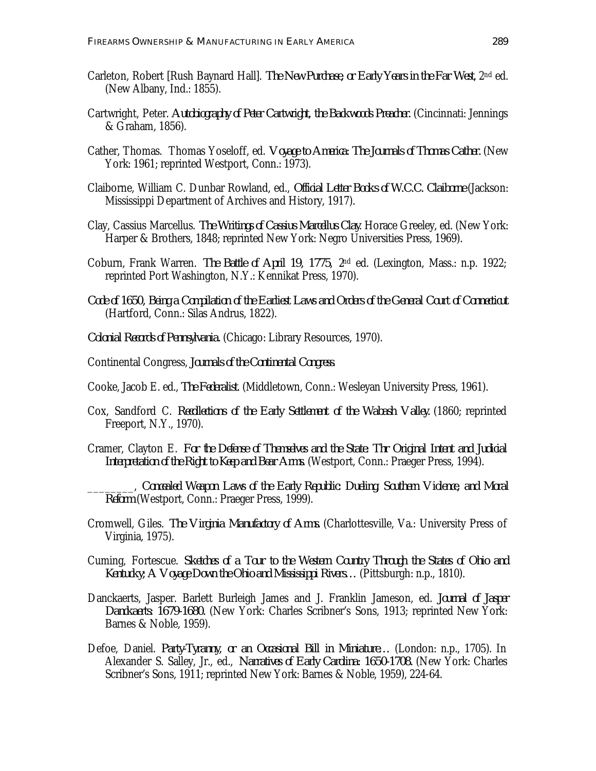- Carleton, Robert [Rush Baynard Hall]. *The New Purchase, or Early Years in the Far West*, 2nd ed. (New Albany, Ind.: 1855).
- Cartwright, Peter. *Autobiography of Peter Cartwright, the Backwoods Preacher.* (Cincinnati: Jennings & Graham, 1856).
- Cather, Thomas. Thomas Yoseloff, ed. *Voyage to America: The Journals of Thomas Cather.* (New York: 1961; reprinted Westport, Conn.: 1973).
- Claiborne, William C. Dunbar Rowland, ed., *Official Letter Books of W.C.C. Claiborne* (Jackson: Mississippi Department of Archives and History, 1917).
- Clay, Cassius Marcellus. *The Writings of Cassius Marcellus Clay*. Horace Greeley, ed. (New York: Harper & Brothers, 1848; reprinted New York: Negro Universities Press, 1969).
- Coburn, Frank Warren. *The Battle of April 19, 1775*, 2nd ed. (Lexington, Mass.: n.p. 1922; reprinted Port Washington, N.Y.: Kennikat Press, 1970).
- *Code of 1650, Being a Compilation of the Earliest Laws and Orders of the General Court of Connecticut*  (Hartford, Conn.: Silas Andrus, 1822).
- *Colonial Records of Pennsylvania.* (Chicago: Library Resources, 1970).
- Continental Congress, *Journals of the Continental Congress*.
- Cooke, Jacob E. ed., *The Federalist*. (Middletown, Conn.: Wesleyan University Press, 1961).
- Cox, Sandford C. *Recollections of the Early Settlement of the Wabash Valley.* (1860; reprinted Freeport, N.Y., 1970).
- Cramer, Clayton E. *For the Defense of Themselves and the State: Thr Original Intent and Judicial Interpretation of the Right to Keep and Bear Arms.* (Westport, Conn.: Praeger Press, 1994).
- \_\_\_\_\_\_\_\_, *Concealed Weapon Laws of the Early Republic: Dueling, Southern Violence, and Moral Reform* (Westport, Conn.: Praeger Press, 1999).
- Cromwell, Giles. *The Virginia Manufactory of Arms.* (Charlottesville, Va.: University Press of Virginia, 1975).
- Cuming, Fortescue. *Sketches of a Tour to the Western Country Through the States of Ohio and Kentucky; A Voyage Down the Ohio and Mississippi Rivers…* (Pittsburgh: n.p., 1810).
- Danckaerts, Jasper. Barlett Burleigh James and J. Franklin Jameson, ed. *Journal of Jasper Danckaerts: 1679-1680.* (New York: Charles Scribner's Sons, 1913; reprinted New York: Barnes & Noble, 1959).
- Defoe, Daniel. *Party-Tyranny, or an Occasional Bill in Miniature…* (London: n.p., 1705). In Alexander S. Salley, Jr., ed., *Narratives of Early Carolina: 1650-1708.* (New York: Charles Scribner's Sons, 1911; reprinted New York: Barnes & Noble, 1959), 224-64.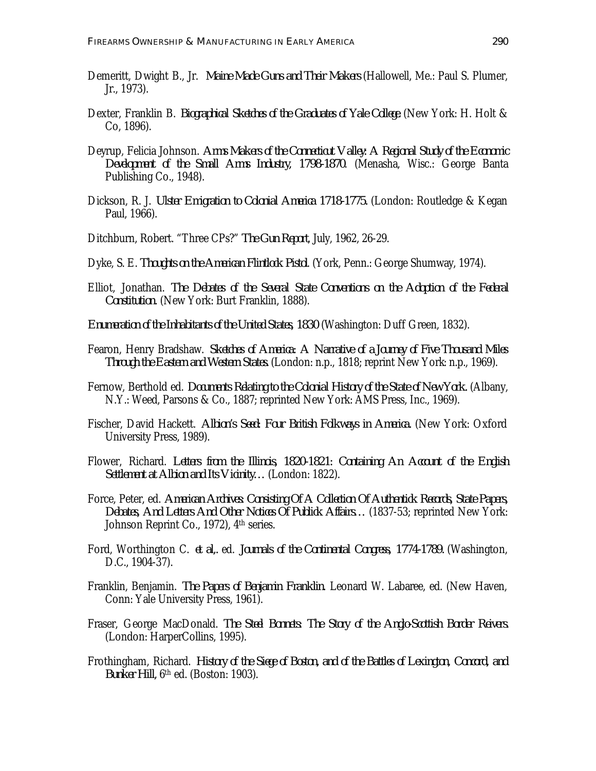- Demeritt, Dwight B., Jr. *Maine Made Guns and Their Makers* (Hallowell, Me.: Paul S. Plumer, Jr., 1973).
- Dexter, Franklin B. *Biographical Sketches of the Graduates of Yale College.* (New York: H. Holt & Co, 1896).
- Deyrup, Felicia Johnson. *Arms Makers of the Connecticut Valley: A Regional Study of the Economic Development of the Small Arms Industry, 1798-1870*. (Menasha, Wisc.: George Banta Publishing Co., 1948).
- Dickson, R. J. *Ulster Emigration to Colonial America 1718-1775.* (London: Routledge & Kegan Paul, 1966).
- Ditchburn, Robert. "Three CPs?" *The Gun Report*, July, 1962, 26-29.
- Dyke, S. E. *Thoughts on the American Flintlock Pistol*. (York, Penn.: George Shumway, 1974).
- Elliot, Jonathan. *The Debates of the Several State Conventions on the Adoption of the Federal Constitution*. (New York: Burt Franklin, 1888).
- *Enumeration of the Inhabitants of the United States, 1830* (Washington: Duff Green, 1832).
- Fearon, Henry Bradshaw. *Sketches of America: A Narrative of a Journey of Five Thousand Miles Through the Eastern and Western States.* (London: n.p., 1818; reprint New York: n.p., 1969).
- Fernow, Berthold ed. *Documents Relating to the Colonial History of the State of New York.* (Albany, N.Y.: Weed, Parsons & Co., 1887; reprinted New York: AMS Press, Inc., 1969).
- Fischer, David Hackett. *Albion's Seed: Four British Folkways in America.* (New York: Oxford University Press, 1989).
- Flower, Richard. *Letters from the Illinois, 1820-1821: Containing An Account of the English Settlement at Albion and Its Vicinity…* (London: 1822).
- Force, Peter, ed. *American Archives: Consisting Of A Collection Of Authentick Records, State Papers, Debates, And Letters And Other Notices Of Publick Affairs…* (1837-53; reprinted New York: Johnson Reprint Co., 1972), 4<sup>th</sup> series.
- Ford, Worthington C. *et al,.* ed. *Journals of the Continental Congress, 1774-1789.* (Washington, D.C., 1904-37).
- Franklin, Benjamin. *The Papers of Benjamin Franklin.* Leonard W. Labaree, ed. (New Haven, Conn: Yale University Press, 1961).
- Fraser, George MacDonald. *The Steel Bonnets: The Story of the Anglo-Scottish Border Reivers.* (London: HarperCollins, 1995).
- Frothingham, Richard. *History of the Siege of Boston, and of the Battles of Lexington, Concord, and Bunker Hill,* 6th ed. (Boston: 1903).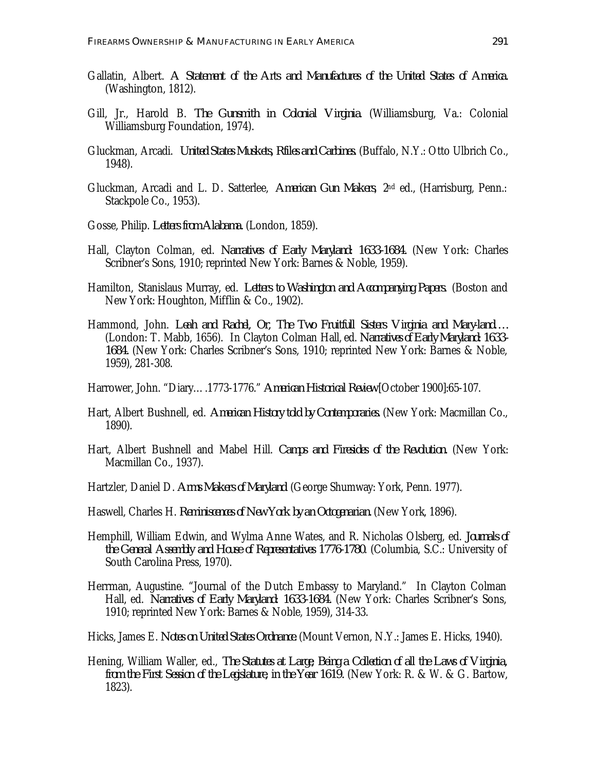- Gallatin, Albert. *A Statement of the Arts and Manufactures of the United States of America.* (Washington, 1812).
- Gill, Jr., Harold B. *The Gunsmith in Colonial Virginia.* (Williamsburg, Va.: Colonial Williamsburg Foundation, 1974).
- Gluckman, Arcadi. *United States Muskets, Rfiles and Carbines.* (Buffalo, N.Y.: Otto Ulbrich Co., 1948).
- Gluckman, Arcadi and L. D. Satterlee, *American Gun Makers*, 2nd ed., (Harrisburg, Penn.: Stackpole Co., 1953).
- Gosse, Philip. *Letters from Alabama.* (London, 1859).
- Hall, Clayton Colman, ed. *Narratives of Early Maryland: 1633-1684.* (New York: Charles Scribner's Sons, 1910; reprinted New York: Barnes & Noble, 1959).
- Hamilton, Stanislaus Murray, ed. *Letters to Washington and Accompanying Papers.* (Boston and New York: Houghton, Mifflin & Co., 1902).
- Hammond, John. *Leah and Rachel, Or, The Two Fruitfull Sisters Virginia and Mary-land….* (London: T. Mabb, 1656). In Clayton Colman Hall, ed. *Narratives of Early Maryland: 1633- 1684.* (New York: Charles Scribner's Sons, 1910; reprinted New York: Barnes & Noble, 1959), 281-308.
- Harrower, John. "Diary….1773-1776." *American Historical Review* [October 1900]:65-107.
- Hart, Albert Bushnell, ed. *American History told by Contemporaries.* (New York: Macmillan Co., 1890).
- Hart, Albert Bushnell and Mabel Hill. *Camps and Firesides of the Revolution.* (New York: Macmillan Co., 1937).
- Hartzler, Daniel D. *Arms Makers of Maryland*. (George Shumway: York, Penn. 1977).
- Haswell, Charles H. *Reminiscences of New York by an Octogenarian.* (New York, 1896).
- Hemphill, William Edwin, and Wylma Anne Wates, and R. Nicholas Olsberg, ed. *Journals of the General Assembly and House of Representatives 1776-1780*. (Columbia, S.C.: University of South Carolina Press, 1970).
- Herrman, Augustine. "Journal of the Dutch Embassy to Maryland." In Clayton Colman Hall, ed. *Narratives of Early Maryland: 1633-1684.* (New York: Charles Scribner's Sons, 1910; reprinted New York: Barnes & Noble, 1959), 314-33.
- Hicks, James E. *Notes on United States Ordnance.* (Mount Vernon, N.Y.: James E. Hicks, 1940).
- Hening, William Waller, ed., *The Statutes at Large; Being a Collection of all the Laws of Virginia, from the First Session of the Legislature, in the Year 1619.* (New York: R. & W. & G. Bartow, 1823).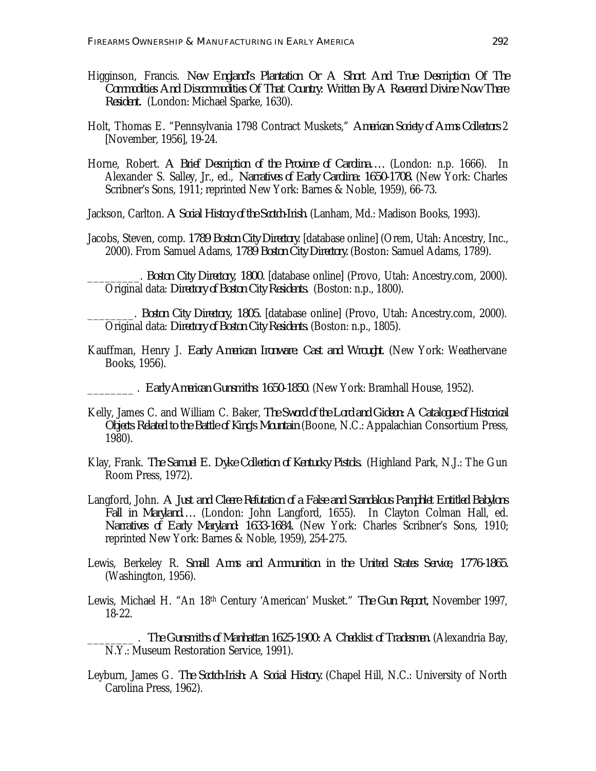- Higginson, Francis. *New England's Plantation Or A Short And True Description Of The Commodities And Discommodities Of That Country: Written By A Reverend Divine Now There Resident.* (London: Michael Sparke, 1630).
- Holt, Thomas E. "Pennsylvania 1798 Contract Muskets," *American Society of Arms Collectors* 2 [November, 1956], 19-24.
- Horne, Robert. *A Brief Description of the Province of Carolina….* (London: n.p. 1666). In Alexander S. Salley, Jr., ed., *Narratives of Early Carolina: 1650-1708.* (New York: Charles Scribner's Sons, 1911; reprinted New York: Barnes & Noble, 1959), 66-73.

Jackson, Carlton. *A Social History of the Scotch-Irish.* (Lanham, Md.: Madison Books, 1993).

Jacobs, Steven, comp. *1789 Boston City Directory*. [database online] (Orem, Utah: Ancestry, Inc., 2000). From Samuel Adams, *1789 Boston City Directory.* (Boston: Samuel Adams, 1789).

\_\_\_\_\_\_\_\_\_. *Boston City Directory, 1800.* [database online] (Provo, Utah: Ancestry.com, 2000). Original data: *Directory of Boston City Residents.* (Boston: n.p., 1800).

\_\_\_\_\_\_\_\_. *Boston City Directory, 1805.* [database online] (Provo, Utah: Ancestry.com, 2000). Original data: *Directory of Boston City Residents.* (Boston: n.p., 1805).

Kauffman, Henry J. *Early American Ironware: Cast and Wrought*. (New York: Weathervane Books, 1956).

\_\_\_\_\_\_\_\_ . *Early American Gunsmiths: 1650-1850*. (New York: Bramhall House, 1952).

- Kelly, James C. and William C. Baker, *The Sword of the Lord and Gideon: A Catalogue of Historical Objects Related to the Battle of King's Mountain* (Boone, N.C.: Appalachian Consortium Press, 1980).
- Klay, Frank. *The Samuel E. Dyke Collection of Kentucky Pistols.* (Highland Park, N.J.: The Gun Room Press, 1972).
- Langford, John. *A Just and Cleere Refutation of a False and Scandalous Pamphlet Entitled Babylons Fall in Maryland….* (London: John Langford, 1655). In Clayton Colman Hall, ed. *Narratives of Early Maryland: 1633-1684.* (New York: Charles Scribner's Sons, 1910; reprinted New York: Barnes & Noble, 1959), 254-275.
- Lewis, Berkeley R. *Small Arms and Ammunition in the United States Service, 1776-1865.* (Washington, 1956).
- Lewis, Michael H. "An 18th Century 'American' Musket." *The Gun Report*, November 1997, 18-22.

\_\_\_\_\_\_\_\_ . *The Gunsmiths of Manhattan 1625-1900: A Checklist of Tradesmen.* (Alexandria Bay, N.Y.: Museum Restoration Service, 1991).

Leyburn, James G. *The Scotch-Irish: A Social History.* (Chapel Hill, N.C.: University of North Carolina Press, 1962).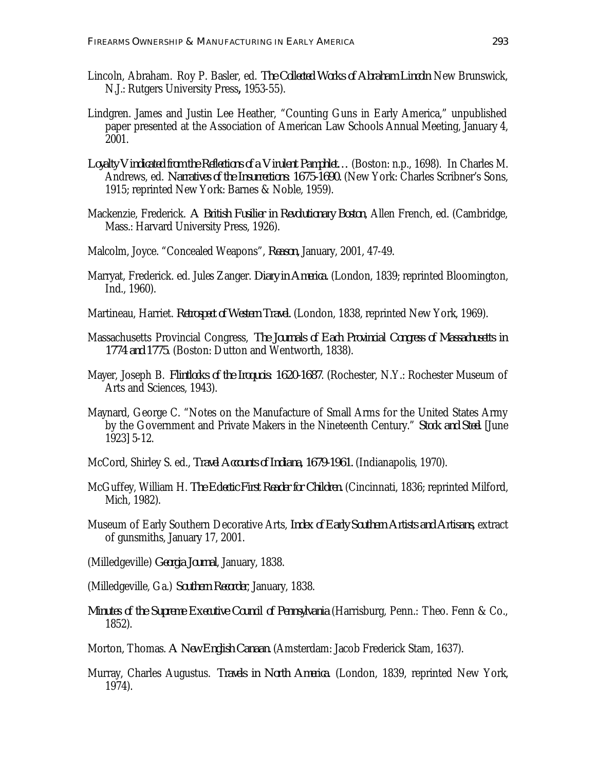- Lincoln, Abraham. Roy P. Basler, ed. *The Collected Works of Abraham Lincoln* New Brunswick, N.J.: Rutgers University Press*,* 1953-55).
- Lindgren. James and Justin Lee Heather, "Counting Guns in Early America," unpublished paper presented at the Association of American Law Schools Annual Meeting, January 4, 2001.
- *Loyalty Vindicated from the Reflections of a Virulent Pamphlet…* (Boston: n.p., 1698). In Charles M. Andrews, ed. *Narratives of the Insurrections: 1675-1690.* (New York: Charles Scribner's Sons, 1915; reprinted New York: Barnes & Noble, 1959).
- Mackenzie, Frederick. *A British Fusilier in Revolutionary Boston*, Allen French, ed. (Cambridge, Mass.: Harvard University Press, 1926).
- Malcolm, Joyce. "Concealed Weapons", *Reason,* January, 2001, 47-49.
- Marryat, Frederick. ed. Jules Zanger. *Diary in America.* (London, 1839; reprinted Bloomington, Ind., 1960).
- Martineau, Harriet. *Retrospect of Western Travel.* (London, 1838, reprinted New York, 1969).
- Massachusetts Provincial Congress, *The Journals of Each Provincial Congress of Massachusetts in 1774 and 1775*. (Boston: Dutton and Wentworth, 1838).
- Mayer, Joseph B. *Flintlocks of the Iroquois: 1620-1687*. (Rochester, N.Y.: Rochester Museum of Arts and Sciences, 1943).
- Maynard, George C. "Notes on the Manufacture of Small Arms for the United States Army by the Government and Private Makers in the Nineteenth Century." *Stock and Steel*. [June 1923] 5-12.
- McCord, Shirley S. ed., *Travel Accounts of Indiana, 1679-1961.* (Indianapolis, 1970).
- McGuffey, William H. *The Eclectic First Reader for Children.* (Cincinnati, 1836; reprinted Milford, Mich, 1982).
- Museum of Early Southern Decorative Arts, *Index of Early Southern Artists and Artisans,* extract of gunsmiths, January 17, 2001.
- (Milledgeville) *Georgia Journal*, January, 1838.
- (Milledgeville, Ga.) *Southern Recorder*, January, 1838.
- *Minutes of the Supreme Executive Council of Pennsylvania* (Harrisburg, Penn.: Theo. Fenn & Co., 1852).
- Morton, Thomas. *A New English Canaan.* (Amsterdam: Jacob Frederick Stam, 1637).
- Murray, Charles Augustus. *Travels in North America*. (London, 1839, reprinted New York, 1974).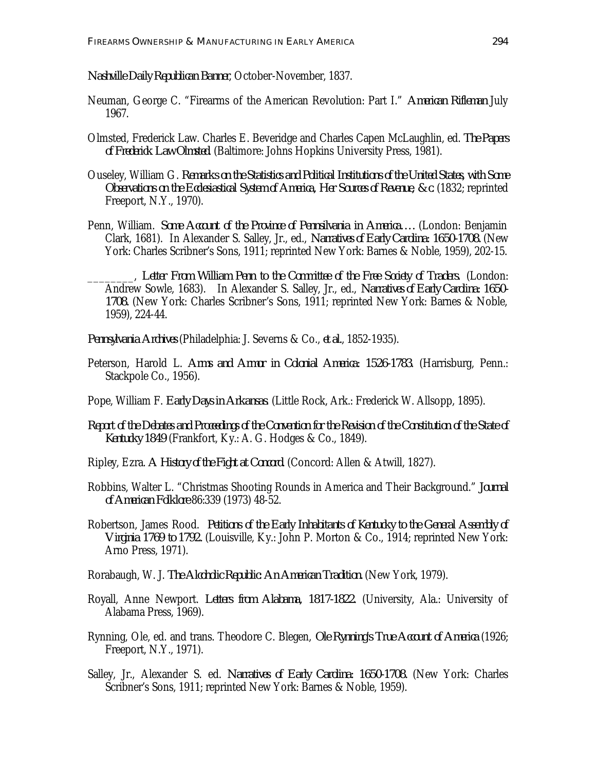*Nashville Daily Republican Banner*, October-November, 1837.

- Neuman, George C. "Firearms of the American Revolution: Part I." *American Rifleman* July 1967.
- Olmsted, Frederick Law. Charles E. Beveridge and Charles Capen McLaughlin, ed. *The Papers of Frederick Law Olmsted*. (Baltimore: Johns Hopkins University Press, 1981).
- Ouseley, William G. *Remarks on the Statistics and Political Institutions of the United States, with Some Observations on the Ecclesiastical System of America, Her Sources of Revenue, &c.* (1832; reprinted Freeport, N.Y., 1970).
- Penn, William. *Some Account of the Province of Pennsilvania in America….* (London: Benjamin Clark, 1681). In Alexander S. Salley, Jr., ed., *Narratives of Early Carolina: 1650-1708.* (New York: Charles Scribner's Sons, 1911; reprinted New York: Barnes & Noble, 1959), 202-15.
- \_\_\_\_\_\_\_\_, *Letter From William Penn to the Committee of the Free Society of Traders.* (London: Andrew Sowle, 1683). In Alexander S. Salley, Jr., ed., *Narratives of Early Carolina: 1650- 1708.* (New York: Charles Scribner's Sons, 1911; reprinted New York: Barnes & Noble, 1959), 224-44.

*Pennsylvania Archives* (Philadelphia: J. Severns & Co., *et al.*, 1852-1935).

- Peterson, Harold L. *Arms and Armor in Colonial America: 1526-1783*. (Harrisburg, Penn.: Stackpole Co., 1956).
- Pope, William F. *Early Days in Arkansas*. (Little Rock, Ark.: Frederick W. Allsopp, 1895).
- *Report of the Debates and Proceedings of the Convention for the Revision of the Constitution of the State of Kentucky 1849* (Frankfort, Ky.: A. G. Hodges & Co., 1849).
- Ripley, Ezra. *A History of the Fight at Concord.* (Concord: Allen & Atwill, 1827).
- Robbins, Walter L. "Christmas Shooting Rounds in America and Their Background." *Journal of American Folklore* 86:339 (1973) 48-52.
- Robertson, James Rood. *Petitions of the Early Inhabitants of Kentucky to the General Assembly of Virginia 1769 to 1792.* (Louisville, Ky.: John P. Morton & Co., 1914; reprinted New York: Arno Press, 1971).
- Rorabaugh, W. J. *The Alcoholic Republic: An American Tradition.* (New York, 1979).
- Royall, Anne Newport. *Letters from Alabama, 1817-1822*. (University, Ala.: University of Alabama Press, 1969).
- Rynning, Ole, ed. and trans. Theodore C. Blegen, *Ole Rynning's True Account of America* (1926; Freeport, N.Y., 1971).
- Salley, Jr., Alexander S. ed. *Narratives of Early Carolina: 1650-1708.* (New York: Charles Scribner's Sons, 1911; reprinted New York: Barnes & Noble, 1959).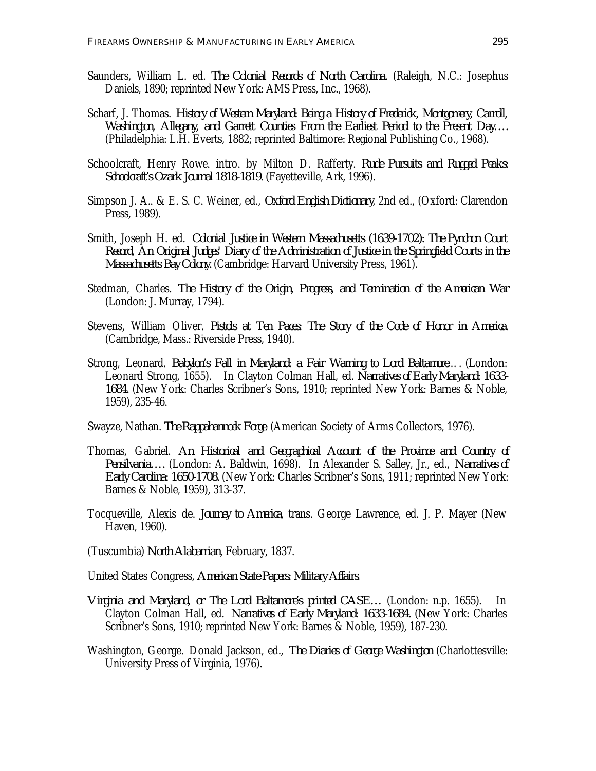- Saunders, William L. ed. *The Colonial Records of North Carolina.* (Raleigh, N.C.: Josephus Daniels, 1890; reprinted New York: AMS Press, Inc., 1968).
- Scharf, J. Thomas. *History of Western Maryland: Being a History of Frederick, Montgomery, Carroll, Washington, Allegany, and Garrett Counties From the Earliest Period to the Present Day….* (Philadelphia: L.H. Everts, 1882; reprinted Baltimore: Regional Publishing Co., 1968).
- Schoolcraft, Henry Rowe. intro. by Milton D. Rafferty. *Rude Pursuits and Rugged Peaks: Schoolcraft's Ozark Journal 1818-1819.* (Fayetteville, Ark, 1996).
- Simpson J. A.. & E. S. C. Weiner, ed., *Oxford English Dictionary*, 2nd ed., (Oxford: Clarendon Press, 1989).
- Smith, Joseph H. ed. *Colonial Justice in Western Massachusetts (1639-1702): The Pynchon Court Record, An Original Judges' Diary of the Administration of Justice in the Springfield Courts in the Massachusetts Bay Colony.* (Cambridge: Harvard University Press, 1961).
- Stedman, Charles. *The History of the Origin, Progress, and Termination of the American War* (London: J. Murray, 1794).
- Stevens, William Oliver. *Pistols at Ten Paces: The Story of the Code of Honor in America*. (Cambridge, Mass.: Riverside Press, 1940).
- Strong, Leonard. *Babylon's Fall in Maryland: a Fair Warning to Lord Baltamore*…. (London: Leonard Strong, 1655). In Clayton Colman Hall, ed. *Narratives of Early Maryland: 1633- 1684.* (New York: Charles Scribner's Sons, 1910; reprinted New York: Barnes & Noble, 1959), 235-46.

Swayze, Nathan. *The Rappahannock Forge*. (American Society of Arms Collectors, 1976).

- Thomas, Gabriel. *An Historical and Geographical Account of the Province and Country of Pensilvania….* (London: A. Baldwin, 1698). In Alexander S. Salley, Jr., ed., *Narratives of Early Carolina: 1650-1708.* (New York: Charles Scribner's Sons, 1911; reprinted New York: Barnes & Noble, 1959), 313-37.
- Tocqueville, Alexis de. *Journey to America*, trans. George Lawrence, ed. J. P. Mayer (New Haven, 1960).
- (Tuscumbia) *North Alabamian*, February, 1837.

United States Congress, *American State Papers: Military Affairs*.

- *Virginia and Maryland, or The Lord Baltamore's printed CASE…* (London: n.p. 1655). In Clayton Colman Hall, ed. *Narratives of Early Maryland: 1633-1684.* (New York: Charles Scribner's Sons, 1910; reprinted New York: Barnes & Noble, 1959), 187-230.
- Washington, George. Donald Jackson, ed., *The Diaries of George Washington* (Charlottesville: University Press of Virginia, 1976).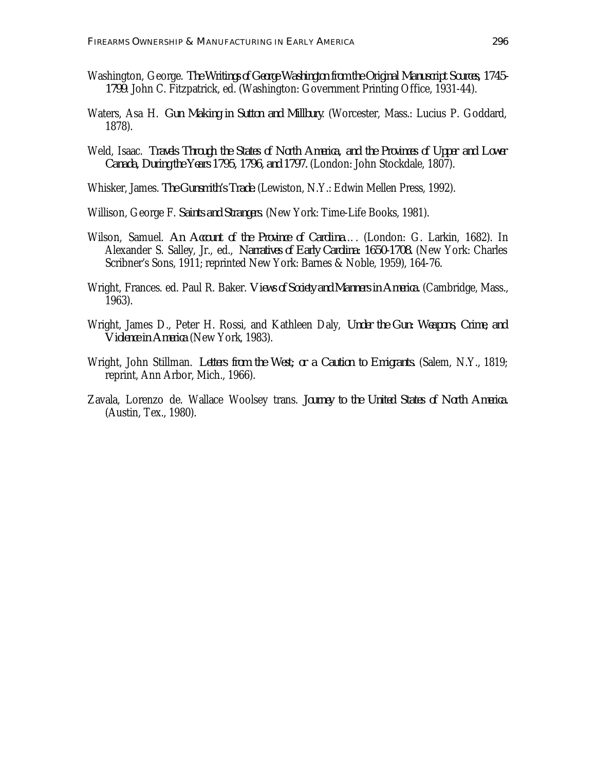- Washington, George. *The Writings of George Washington from the Original Manuscript Sources, 1745- 1799*. John C. Fitzpatrick, ed. (Washington: Government Printing Office, 1931-44).
- Waters, Asa H. *Gun Making in Sutton and Millbury*. (Worcester, Mass.: Lucius P. Goddard, 1878).
- Weld, Isaac. *Travels Through the States of North America, and the Provinces of Upper and Lower Canada, During the Years 1795, 1796, and 1797.* (London: John Stockdale, 1807).
- Whisker, James. *The Gunsmith's Trade.* (Lewiston, N.Y.: Edwin Mellen Press, 1992).
- Willison, George F. *Saints and Strangers*. (New York: Time-Life Books, 1981).
- Wilson, Samuel. *An Account of the Province of Carolina*…. (London: G. Larkin, 1682). In Alexander S. Salley, Jr., ed., *Narratives of Early Carolina: 1650-1708.* (New York: Charles Scribner's Sons, 1911; reprinted New York: Barnes & Noble, 1959), 164-76.
- Wright, Frances. ed. Paul R. Baker. *Views of Society and Manners in America.* (Cambridge, Mass., 1963).
- Wright, James D., Peter H. Rossi, and Kathleen Daly, *Under the Gun: Weapons, Crime, and Violence in America* (New York, 1983).
- Wright, John Stillman. *Letters from the West; or a Caution to Emigrants.* (Salem, N.Y., 1819; reprint, Ann Arbor, Mich., 1966).
- Zavala, Lorenzo de. Wallace Woolsey trans. *Journey to the United States of North America.* (Austin, Tex., 1980).